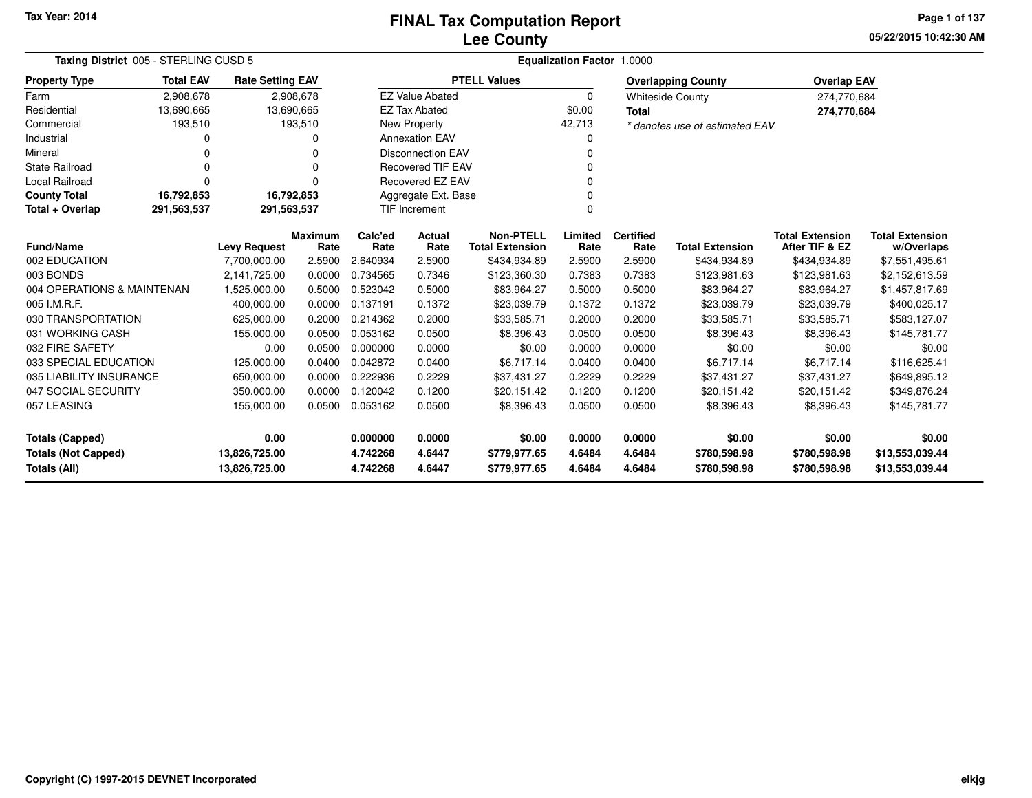# **Lee CountyFINAL Tax Computation Report**

**05/22/2015 10:42:30 AM Page 1 of 137**

| Taxing District 005 - STERLING CUSD 5      |                            |                                |                        | Equalization Factor 1.0000 |                          |                                            |                  |                          |                                |                                          |                                      |  |
|--------------------------------------------|----------------------------|--------------------------------|------------------------|----------------------------|--------------------------|--------------------------------------------|------------------|--------------------------|--------------------------------|------------------------------------------|--------------------------------------|--|
| <b>Property Type</b>                       | <b>Total EAV</b>           | <b>Rate Setting EAV</b>        |                        |                            |                          | <b>PTELL Values</b>                        |                  |                          | <b>Overlapping County</b>      | <b>Overlap EAV</b>                       |                                      |  |
| Farm                                       | 2,908,678                  |                                | 2,908,678              |                            | <b>EZ Value Abated</b>   |                                            | 0                |                          | <b>Whiteside County</b>        | 274,770,684                              |                                      |  |
| Residential                                | 13,690,665                 | 13,690,665                     |                        |                            | <b>EZ Tax Abated</b>     |                                            | \$0.00           | <b>Total</b>             |                                | 274,770,684                              |                                      |  |
| Commercial                                 | 193,510                    |                                | 193,510                |                            | New Property             |                                            | 42,713           |                          | * denotes use of estimated EAV |                                          |                                      |  |
| Industrial                                 | ი                          |                                | 0                      |                            | <b>Annexation EAV</b>    |                                            | 0                |                          |                                |                                          |                                      |  |
| Mineral                                    | 0                          |                                | O                      |                            | <b>Disconnection EAV</b> |                                            | 0                |                          |                                |                                          |                                      |  |
| <b>State Railroad</b>                      | 0                          |                                |                        |                            | <b>Recovered TIF EAV</b> |                                            | N                |                          |                                |                                          |                                      |  |
| <b>Local Railroad</b>                      | $\Omega$                   |                                |                        |                            | Recovered EZ EAV         |                                            |                  |                          |                                |                                          |                                      |  |
| <b>County Total</b>                        | 16,792,853                 | 16,792,853                     |                        |                            | Aggregate Ext. Base      |                                            | 0                |                          |                                |                                          |                                      |  |
| Total + Overlap                            | 291,563,537<br>291,563,537 |                                |                        |                            | <b>TIF Increment</b>     |                                            | 0                |                          |                                |                                          |                                      |  |
| Fund/Name                                  |                            | <b>Levy Request</b>            | <b>Maximum</b><br>Rate | Calc'ed<br>Rate            | Actual<br>Rate           | <b>Non-PTELL</b><br><b>Total Extension</b> | Limited<br>Rate  | <b>Certified</b><br>Rate | <b>Total Extension</b>         | <b>Total Extension</b><br>After TIF & EZ | <b>Total Extension</b><br>w/Overlaps |  |
| 002 EDUCATION                              |                            | 7,700,000.00                   | 2.5900                 | 2.640934                   | 2.5900                   | \$434,934.89                               | 2.5900           | 2.5900                   | \$434,934.89                   | \$434,934.89                             | \$7,551,495.61                       |  |
| 003 BONDS                                  |                            | 2,141,725.00                   | 0.0000                 | 0.734565                   | 0.7346                   | \$123,360.30                               | 0.7383           | 0.7383                   | \$123,981.63                   | \$123,981.63                             | \$2,152,613.59                       |  |
| 004 OPERATIONS & MAINTENAN                 |                            | 1,525,000.00                   | 0.5000                 | 0.523042                   | 0.5000                   | \$83,964.27                                | 0.5000           | 0.5000                   | \$83,964.27                    | \$83,964.27                              | \$1,457,817.69                       |  |
| 005 I.M.R.F.                               |                            | 400,000.00                     | 0.0000                 | 0.137191                   | 0.1372                   | \$23,039.79                                | 0.1372           | 0.1372                   | \$23,039.79                    | \$23,039.79                              | \$400,025.17                         |  |
| 030 TRANSPORTATION                         |                            | 625.000.00                     | 0.2000                 | 0.214362                   | 0.2000                   | \$33,585.71                                | 0.2000           | 0.2000                   | \$33,585.71                    | \$33,585.71                              | \$583,127.07                         |  |
| 031 WORKING CASH                           |                            | 155,000.00                     | 0.0500                 | 0.053162                   | 0.0500                   | \$8,396.43                                 | 0.0500           | 0.0500                   | \$8,396.43                     | \$8,396.43                               | \$145,781.77                         |  |
| 032 FIRE SAFETY                            |                            | 0.00                           | 0.0500                 | 0.000000                   | 0.0000                   | \$0.00                                     | 0.0000           | 0.0000                   | \$0.00                         | \$0.00                                   | \$0.00                               |  |
| 033 SPECIAL EDUCATION                      |                            | 125,000.00                     | 0.0400                 | 0.042872                   | 0.0400                   | \$6,717.14                                 | 0.0400           | 0.0400                   | \$6,717.14                     | \$6,717.14                               | \$116,625.41                         |  |
| 035 LIABILITY INSURANCE                    |                            | 650,000.00                     | 0.0000                 | 0.222936                   | 0.2229                   | \$37,431.27                                | 0.2229           | 0.2229                   | \$37,431.27                    | \$37,431.27                              | \$649,895.12                         |  |
| 047 SOCIAL SECURITY                        |                            | 350,000.00                     | 0.0000                 | 0.120042                   | 0.1200                   | \$20,151.42                                | 0.1200           | 0.1200                   | \$20,151.42                    | \$20,151.42                              | \$349,876.24                         |  |
| 057 LEASING                                |                            | 155,000.00                     | 0.0500                 | 0.053162                   | 0.0500                   | \$8,396.43                                 | 0.0500           | 0.0500                   | \$8,396.43                     | \$8,396.43                               | \$145,781.77                         |  |
| <b>Totals (Capped)</b>                     |                            | 0.00                           |                        | 0.000000                   | 0.0000                   | \$0.00                                     | 0.0000           | 0.0000                   | \$0.00                         | \$0.00                                   | \$0.00                               |  |
| <b>Totals (Not Capped)</b><br>Totals (All) |                            | 13,826,725.00<br>13,826,725.00 |                        | 4.742268<br>4.742268       | 4.6447<br>4.6447         | \$779,977.65<br>\$779,977.65               | 4.6484<br>4.6484 | 4.6484<br>4.6484         | \$780,598.98<br>\$780,598.98   | \$780,598.98<br>\$780,598.98             | \$13,553,039.44<br>\$13,553,039.44   |  |

۰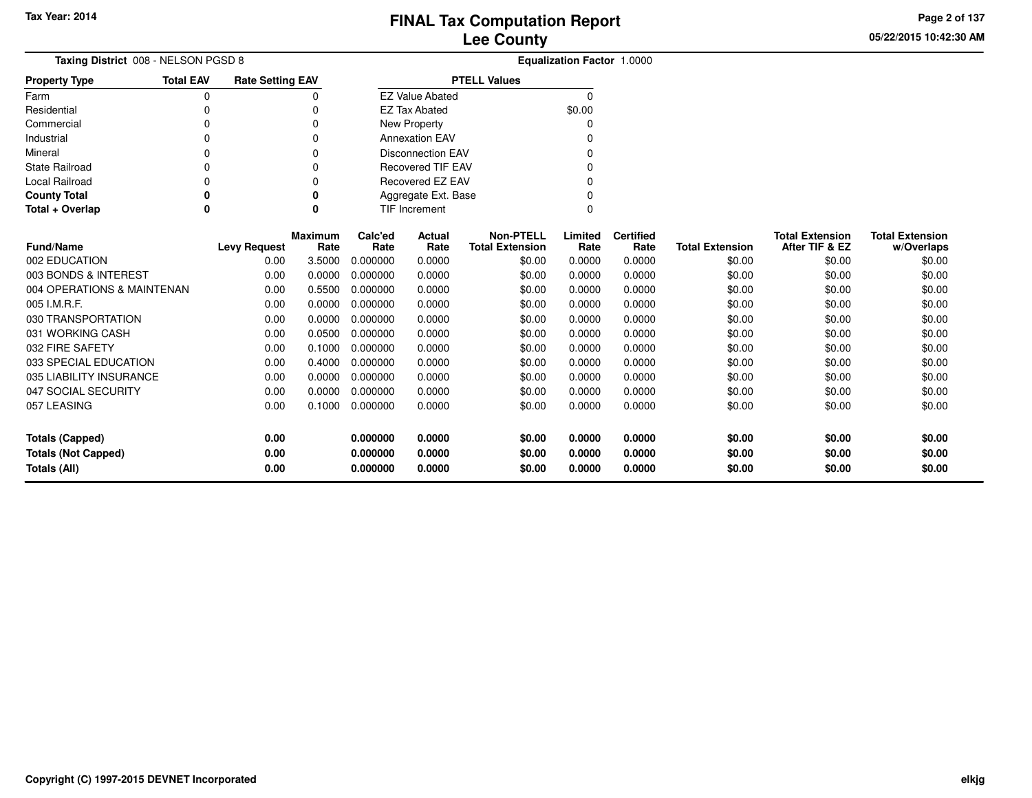**05/22/2015 10:42:30 AM Page 2 of 137**

| Taxing District 008 - NELSON PGSD 8                |                                                       |                                     |                                           |                                 |                                                                                                                                               |                                                                                                                        |                                                                                                                                                                                                                       |                                                                           |                  |                                            |
|----------------------------------------------------|-------------------------------------------------------|-------------------------------------|-------------------------------------------|---------------------------------|-----------------------------------------------------------------------------------------------------------------------------------------------|------------------------------------------------------------------------------------------------------------------------|-----------------------------------------------------------------------------------------------------------------------------------------------------------------------------------------------------------------------|---------------------------------------------------------------------------|------------------|--------------------------------------------|
| <b>Total EAV</b>                                   |                                                       |                                     |                                           |                                 |                                                                                                                                               |                                                                                                                        |                                                                                                                                                                                                                       |                                                                           |                  |                                            |
| 0                                                  |                                                       | 0                                   |                                           |                                 |                                                                                                                                               | 0                                                                                                                      |                                                                                                                                                                                                                       |                                                                           |                  |                                            |
|                                                    |                                                       | 0                                   |                                           |                                 |                                                                                                                                               | \$0.00                                                                                                                 |                                                                                                                                                                                                                       |                                                                           |                  |                                            |
|                                                    |                                                       | 0                                   |                                           |                                 |                                                                                                                                               | 0                                                                                                                      |                                                                                                                                                                                                                       |                                                                           |                  |                                            |
|                                                    |                                                       | 0                                   |                                           |                                 |                                                                                                                                               |                                                                                                                        |                                                                                                                                                                                                                       |                                                                           |                  |                                            |
|                                                    |                                                       | 0                                   |                                           |                                 |                                                                                                                                               | ი                                                                                                                      |                                                                                                                                                                                                                       |                                                                           |                  |                                            |
|                                                    |                                                       | 0                                   |                                           |                                 |                                                                                                                                               |                                                                                                                        |                                                                                                                                                                                                                       |                                                                           |                  |                                            |
|                                                    |                                                       | 0                                   |                                           |                                 |                                                                                                                                               | U                                                                                                                      |                                                                                                                                                                                                                       |                                                                           |                  |                                            |
| 0                                                  |                                                       | 0                                   |                                           |                                 |                                                                                                                                               |                                                                                                                        |                                                                                                                                                                                                                       |                                                                           |                  |                                            |
| 0                                                  |                                                       | 0                                   |                                           |                                 |                                                                                                                                               | $\Omega$                                                                                                               |                                                                                                                                                                                                                       |                                                                           |                  |                                            |
|                                                    |                                                       |                                     |                                           |                                 |                                                                                                                                               |                                                                                                                        |                                                                                                                                                                                                                       |                                                                           |                  | <b>Total Extension</b>                     |
|                                                    |                                                       | Rate                                | Rate                                      | Rate                            |                                                                                                                                               | Rate                                                                                                                   | Rate                                                                                                                                                                                                                  | <b>Total Extension</b>                                                    | After TIF & EZ   | w/Overlaps                                 |
|                                                    | 0.00                                                  | 3.5000                              | 0.000000                                  | 0.0000                          |                                                                                                                                               | 0.0000                                                                                                                 | 0.0000                                                                                                                                                                                                                | \$0.00                                                                    | \$0.00           | \$0.00                                     |
|                                                    | 0.00                                                  | 0.0000                              | 0.000000                                  | 0.0000                          |                                                                                                                                               | 0.0000                                                                                                                 | 0.0000                                                                                                                                                                                                                | \$0.00                                                                    | \$0.00           | \$0.00                                     |
|                                                    | 0.00                                                  | 0.5500                              | 0.000000                                  | 0.0000                          |                                                                                                                                               | 0.0000                                                                                                                 | 0.0000                                                                                                                                                                                                                | \$0.00                                                                    | \$0.00           | \$0.00                                     |
|                                                    | 0.00                                                  | 0.0000                              | 0.000000                                  | 0.0000                          |                                                                                                                                               | 0.0000                                                                                                                 | 0.0000                                                                                                                                                                                                                | \$0.00                                                                    | \$0.00           | \$0.00                                     |
|                                                    | 0.00                                                  | 0.0000                              | 0.000000                                  | 0.0000                          |                                                                                                                                               | 0.0000                                                                                                                 | 0.0000                                                                                                                                                                                                                | \$0.00                                                                    | \$0.00           | \$0.00                                     |
|                                                    | 0.00                                                  | 0.0500                              | 0.000000                                  | 0.0000                          |                                                                                                                                               | 0.0000                                                                                                                 | 0.0000                                                                                                                                                                                                                | \$0.00                                                                    | \$0.00           | \$0.00                                     |
|                                                    | 0.00                                                  | 0.1000                              | 0.000000                                  | 0.0000                          |                                                                                                                                               | 0.0000                                                                                                                 | 0.0000                                                                                                                                                                                                                | \$0.00                                                                    | \$0.00           | \$0.00                                     |
|                                                    | 0.00                                                  | 0.4000                              | 0.000000                                  | 0.0000                          |                                                                                                                                               | 0.0000                                                                                                                 | 0.0000                                                                                                                                                                                                                | \$0.00                                                                    | \$0.00           | \$0.00                                     |
|                                                    | 0.00                                                  | 0.0000                              | 0.000000                                  | 0.0000                          |                                                                                                                                               | 0.0000                                                                                                                 | 0.0000                                                                                                                                                                                                                | \$0.00                                                                    | \$0.00           | \$0.00                                     |
|                                                    | 0.00                                                  | 0.0000                              | 0.000000                                  | 0.0000                          |                                                                                                                                               | 0.0000                                                                                                                 | 0.0000                                                                                                                                                                                                                | \$0.00                                                                    | \$0.00           | \$0.00                                     |
|                                                    | 0.00                                                  | 0.1000                              | 0.000000                                  | 0.0000                          |                                                                                                                                               | 0.0000                                                                                                                 | 0.0000                                                                                                                                                                                                                | \$0.00                                                                    | \$0.00           | \$0.00                                     |
|                                                    |                                                       |                                     |                                           |                                 |                                                                                                                                               |                                                                                                                        |                                                                                                                                                                                                                       |                                                                           |                  | \$0.00                                     |
|                                                    |                                                       |                                     |                                           |                                 |                                                                                                                                               |                                                                                                                        |                                                                                                                                                                                                                       |                                                                           | \$0.00           |                                            |
| <b>Totals (Not Capped)</b><br>0.00<br>Totals (All) |                                                       |                                     | 0.000000                                  | 0.0000                          |                                                                                                                                               | 0.0000                                                                                                                 | 0.0000                                                                                                                                                                                                                | \$0.00                                                                    | \$0.00           | \$0.00                                     |
|                                                    | 004 OPERATIONS & MAINTENAN<br>035 LIABILITY INSURANCE | <b>Levy Request</b><br>0.00<br>0.00 | <b>Rate Setting EAV</b><br><b>Maximum</b> | Calc'ed<br>0.000000<br>0.000000 | <b>EZ Value Abated</b><br><b>EZ Tax Abated</b><br>New Property<br><b>Annexation EAV</b><br><b>TIF Increment</b><br>Actual<br>0.0000<br>0.0000 | <b>PTELL Values</b><br><b>Disconnection EAV</b><br><b>Recovered TIF EAV</b><br>Recovered EZ EAV<br>Aggregate Ext. Base | <b>Non-PTELL</b><br>Limited<br><b>Total Extension</b><br>\$0.00<br>\$0.00<br>\$0.00<br>\$0.00<br>\$0.00<br>\$0.00<br>\$0.00<br>\$0.00<br>\$0.00<br>\$0.00<br>\$0.00<br>\$0.00<br>0.0000<br>\$0.00<br>0.0000<br>\$0.00 | <b>Equalization Factor 1.0000</b><br><b>Certified</b><br>0.0000<br>0.0000 | \$0.00<br>\$0.00 | <b>Total Extension</b><br>\$0.00<br>\$0.00 |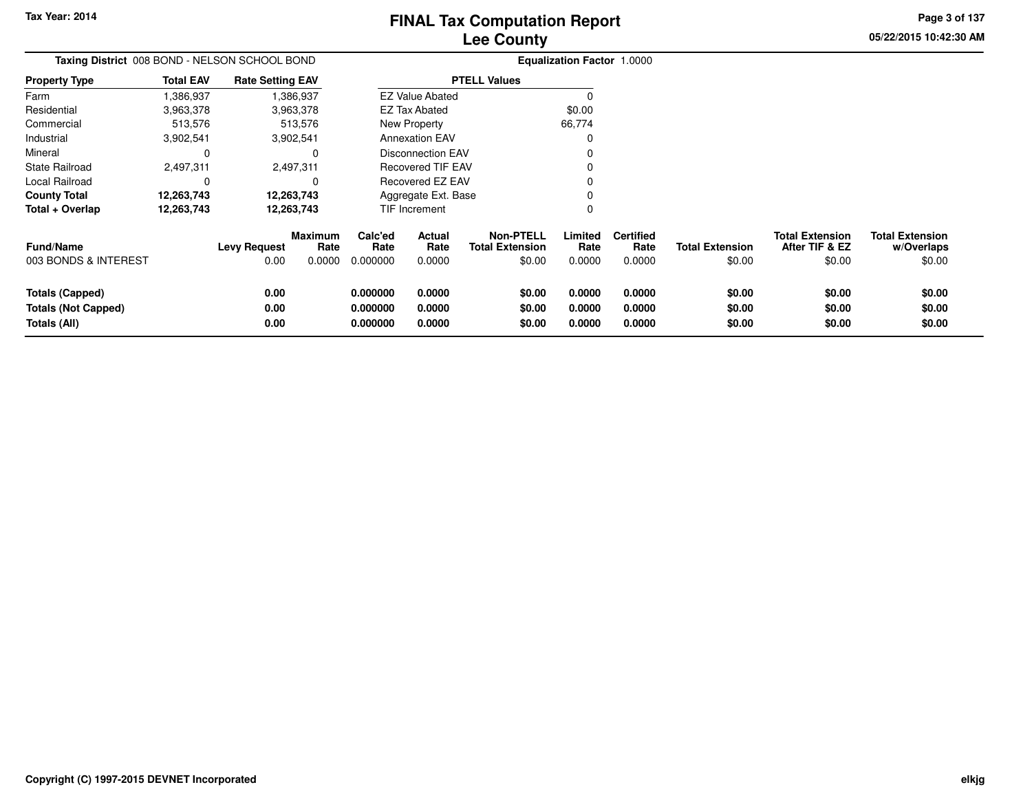**05/22/2015 10:42:30 AMPage 3 of 137**

> **w/Overlaps**\$0.00

| Taxing District 008 BOND - NELSON SCHOOL BOND |            |                        |                                                                                                                                      |                |                                            |                                                                                                                                                                              |                          |                                             |                                          |                                      |
|-----------------------------------------------|------------|------------------------|--------------------------------------------------------------------------------------------------------------------------------------|----------------|--------------------------------------------|------------------------------------------------------------------------------------------------------------------------------------------------------------------------------|--------------------------|---------------------------------------------|------------------------------------------|--------------------------------------|
| <b>Total EAV</b>                              |            |                        |                                                                                                                                      |                |                                            |                                                                                                                                                                              |                          |                                             |                                          |                                      |
| 1,386,937                                     |            |                        |                                                                                                                                      |                |                                            |                                                                                                                                                                              |                          |                                             |                                          |                                      |
| 3,963,378                                     |            |                        |                                                                                                                                      |                |                                            | \$0.00                                                                                                                                                                       |                          |                                             |                                          |                                      |
| 513,576                                       |            |                        |                                                                                                                                      |                |                                            | 66,774                                                                                                                                                                       |                          |                                             |                                          |                                      |
| 3,902,541                                     |            |                        |                                                                                                                                      |                |                                            |                                                                                                                                                                              |                          |                                             |                                          |                                      |
| 0                                             |            | 0                      |                                                                                                                                      |                |                                            |                                                                                                                                                                              |                          |                                             |                                          |                                      |
| 2,497,311                                     |            |                        |                                                                                                                                      |                |                                            |                                                                                                                                                                              |                          |                                             |                                          |                                      |
|                                               |            | 0                      |                                                                                                                                      |                |                                            |                                                                                                                                                                              |                          |                                             |                                          |                                      |
| 12,263,743                                    |            |                        |                                                                                                                                      |                |                                            |                                                                                                                                                                              |                          |                                             |                                          |                                      |
| 12,263,743                                    | 12,263,743 |                        | TIF Increment                                                                                                                        |                |                                            |                                                                                                                                                                              |                          |                                             |                                          |                                      |
|                                               |            | <b>Maximum</b><br>Rate | Calc'ed<br>Rate                                                                                                                      | Actual<br>Rate | <b>Non-PTELL</b><br><b>Total Extension</b> | Limited<br>Rate                                                                                                                                                              | <b>Certified</b><br>Rate | <b>Total Extension</b>                      | <b>Total Extension</b><br>After TIF & EZ | <b>Total Extension</b><br>w/Overlaps |
|                                               |            | 0.0000                 | 0.000000                                                                                                                             | 0.0000         | \$0.00                                     | 0.0000                                                                                                                                                                       | 0.0000                   | \$0.00                                      | \$0.00                                   | \$0.00                               |
|                                               |            |                        | 0.000000                                                                                                                             | 0.0000         | \$0.00                                     | 0.0000                                                                                                                                                                       | 0.0000                   | \$0.00                                      | \$0.00                                   | \$0.00                               |
|                                               |            |                        |                                                                                                                                      |                |                                            |                                                                                                                                                                              |                          |                                             |                                          | \$0.00                               |
|                                               | 0.00       |                        | 0.000000                                                                                                                             | 0.0000         | \$0.00                                     | 0.0000                                                                                                                                                                       | 0.0000                   | \$0.00                                      | \$0.00                                   | \$0.00                               |
|                                               |            | 0.00                   | <b>Rate Setting EAV</b><br>1,386,937<br>3,963,378<br>513,576<br>3,902,541<br>2,497,311<br>12,263,743<br>Levy Request<br>0.00<br>0.00 | 0.000000       | EZ Tax Abated<br>New Property<br>0.0000    | <b>PTELL Values</b><br><b>EZ Value Abated</b><br><b>Annexation EAV</b><br>Disconnection EAV<br><b>Recovered TIF EAV</b><br>Recovered EZ EAV<br>Aggregate Ext. Base<br>\$0.00 | 0.0000                   | <b>Equalization Factor 1.0000</b><br>0.0000 | \$0.00                                   | \$0.00                               |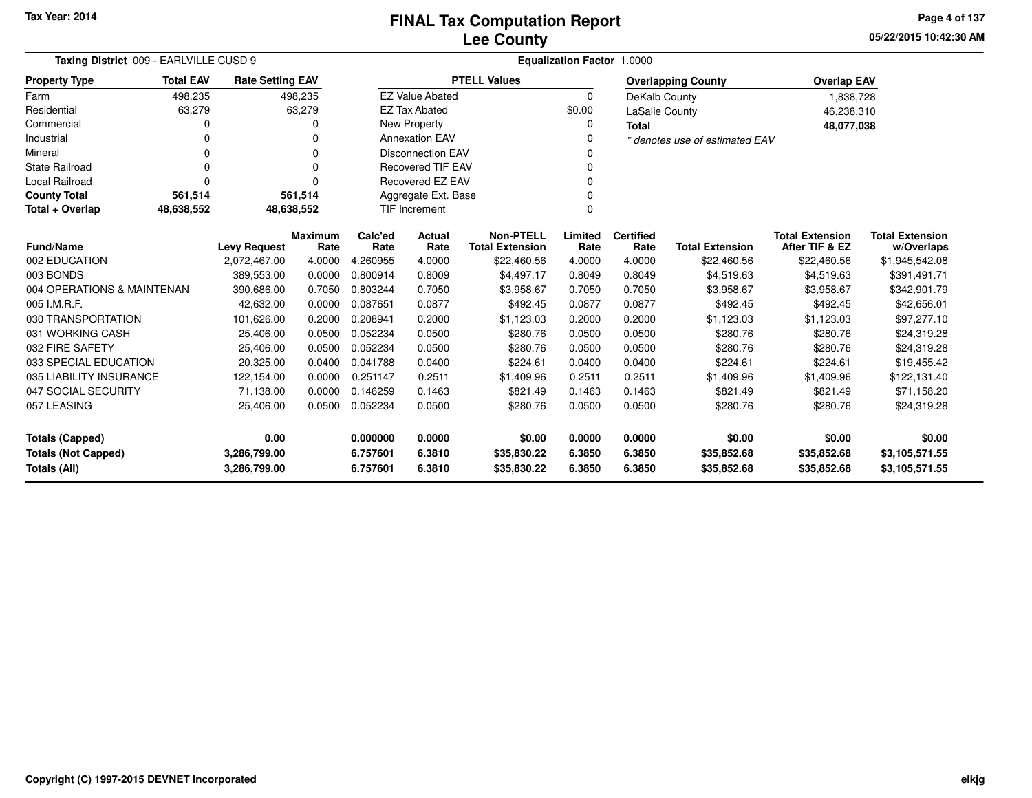**05/22/2015 10:42:30 AMPage 4 of 137**

|                                     | Taxing District 009 - EARLVILLE CUSD 9        |                         |          |          | Equalization Factor 1.0000 |                        |          |                  |                                |                        |                        |  |  |
|-------------------------------------|-----------------------------------------------|-------------------------|----------|----------|----------------------------|------------------------|----------|------------------|--------------------------------|------------------------|------------------------|--|--|
| <b>Property Type</b>                | <b>Total EAV</b>                              | <b>Rate Setting EAV</b> |          |          |                            | <b>PTELL Values</b>    |          |                  | <b>Overlapping County</b>      | <b>Overlap EAV</b>     |                        |  |  |
| Farm                                | 498,235                                       |                         | 498.235  |          | <b>EZ Value Abated</b>     |                        | $\Omega$ | DeKalb County    |                                | 1,838,728              |                        |  |  |
| Residential                         | 63,279                                        |                         | 63,279   |          | <b>EZ Tax Abated</b>       |                        | \$0.00   | LaSalle County   |                                | 46,238,310             |                        |  |  |
| Commercial                          | 0                                             |                         | 0        |          | New Property               |                        | 0        | <b>Total</b>     |                                | 48,077,038             |                        |  |  |
| Industrial                          | ი                                             |                         | 0        |          | <b>Annexation EAV</b>      |                        |          |                  | * denotes use of estimated EAV |                        |                        |  |  |
| Mineral                             | 0                                             |                         | 0        |          | <b>Disconnection EAV</b>   |                        | 0        |                  |                                |                        |                        |  |  |
| <b>State Railroad</b>               | 0                                             |                         | $\Omega$ |          | Recovered TIF EAV          |                        |          |                  |                                |                        |                        |  |  |
| <b>Local Railroad</b>               | $\Omega$                                      |                         | 0        |          | <b>Recovered EZ EAV</b>    |                        | 0        |                  |                                |                        |                        |  |  |
| <b>County Total</b>                 | 561,514                                       |                         | 561,514  |          | Aggregate Ext. Base        |                        |          |                  |                                |                        |                        |  |  |
| Total + Overlap                     | 48,638,552                                    | 48,638,552              |          |          | TIF Increment              |                        | $\Omega$ |                  |                                |                        |                        |  |  |
|                                     | <b>Maximum</b><br><b>Levy Request</b><br>Rate |                         |          | Calc'ed  | <b>Actual</b>              | <b>Non-PTELL</b>       | Limited  | <b>Certified</b> |                                | <b>Total Extension</b> | <b>Total Extension</b> |  |  |
| <b>Fund/Name</b>                    |                                               |                         |          | Rate     | Rate                       | <b>Total Extension</b> | Rate     | Rate             | <b>Total Extension</b>         | After TIF & EZ         | w/Overlaps             |  |  |
| 002 EDUCATION                       |                                               | 2,072,467.00            | 4.0000   | 4.260955 | 4.0000                     | \$22,460.56            | 4.0000   | 4.0000           | \$22,460.56                    | \$22,460.56            | \$1,945,542.08         |  |  |
| 003 BONDS                           |                                               | 389,553.00              | 0.0000   | 0.800914 | 0.8009                     | \$4,497.17             | 0.8049   | 0.8049           | \$4,519.63                     | \$4,519.63             | \$391,491.71           |  |  |
| 004 OPERATIONS & MAINTENAN          |                                               | 390,686.00              | 0.7050   | 0.803244 | 0.7050                     | \$3,958.67             | 0.7050   | 0.7050           | \$3,958.67                     | \$3,958.67             | \$342,901.79           |  |  |
| 005 I.M.R.F.                        |                                               | 42,632.00               | 0.0000   | 0.087651 | 0.0877                     | \$492.45               | 0.0877   | 0.0877           | \$492.45                       | \$492.45               | \$42,656.01            |  |  |
| 030 TRANSPORTATION                  |                                               | 101,626.00              | 0.2000   | 0.208941 | 0.2000                     | \$1,123.03             | 0.2000   | 0.2000           | \$1,123.03                     | \$1,123.03             | \$97,277.10            |  |  |
| 031 WORKING CASH                    |                                               | 25,406.00               | 0.0500   | 0.052234 | 0.0500                     | \$280.76               | 0.0500   | 0.0500           | \$280.76                       | \$280.76               | \$24,319.28            |  |  |
| 032 FIRE SAFETY                     |                                               | 25,406.00               | 0.0500   | 0.052234 | 0.0500                     | \$280.76               | 0.0500   | 0.0500           | \$280.76                       | \$280.76               | \$24,319.28            |  |  |
| 033 SPECIAL EDUCATION               |                                               | 20,325.00               | 0.0400   | 0.041788 | 0.0400                     | \$224.61               | 0.0400   | 0.0400           | \$224.61                       | \$224.61               | \$19,455.42            |  |  |
| 035 LIABILITY INSURANCE             |                                               | 122,154.00              | 0.0000   | 0.251147 | 0.2511                     | \$1,409.96             | 0.2511   | 0.2511           | \$1,409.96                     | \$1,409.96             | \$122,131.40           |  |  |
| 047 SOCIAL SECURITY                 |                                               | 71,138.00               | 0.0000   | 0.146259 | 0.1463                     | \$821.49               | 0.1463   | 0.1463           | \$821.49                       | \$821.49               | \$71,158.20            |  |  |
| 057 LEASING                         |                                               | 25,406.00               | 0.0500   | 0.052234 | 0.0500                     | \$280.76               | 0.0500   | 0.0500           | \$280.76                       | \$280.76               | \$24,319.28            |  |  |
| <b>Totals (Capped)</b>              |                                               | 0.00                    |          | 0.000000 | 0.0000                     | \$0.00                 | 0.0000   | 0.0000           | \$0.00                         | \$0.00                 | \$0.00                 |  |  |
| <b>Totals (Not Capped)</b>          |                                               | 3,286,799.00            |          | 6.757601 | 6.3810                     | \$35,830.22            | 6.3850   | 6.3850           | \$35,852.68                    | \$35,852.68            | \$3,105,571.55         |  |  |
| <b>Totals (All)</b><br>3,286,799.00 |                                               |                         | 6.757601 | 6.3810   | \$35,830.22                | 6.3850                 | 6.3850   | \$35,852.68      | \$35,852.68                    | \$3,105,571.55         |                        |  |  |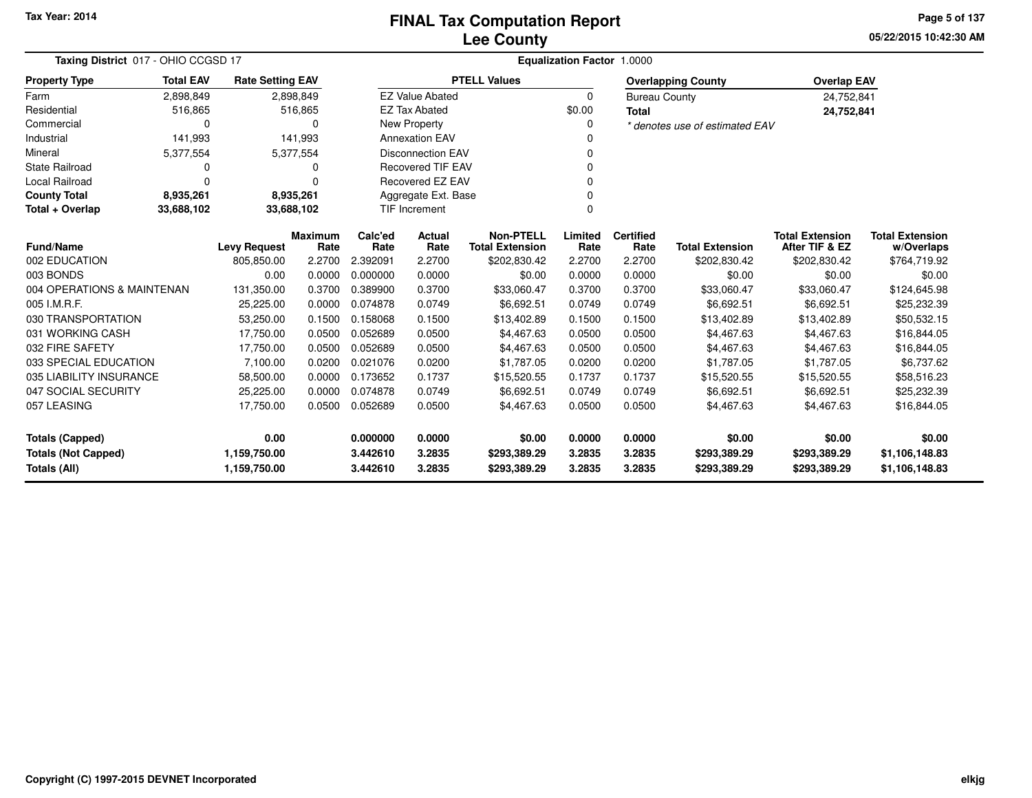**05/22/2015 10:42:30 AM Page 5 of 137**

| Taxing District 017 - OHIO CCGSD 17 | <b>Equalization Factor</b><br>1.0000 |                         |                 |                 |                          |                                            |                 |                          |                                |                                          |                                      |
|-------------------------------------|--------------------------------------|-------------------------|-----------------|-----------------|--------------------------|--------------------------------------------|-----------------|--------------------------|--------------------------------|------------------------------------------|--------------------------------------|
| <b>Property Type</b>                | <b>Total EAV</b>                     | <b>Rate Setting EAV</b> |                 |                 |                          | <b>PTELL Values</b>                        |                 |                          | <b>Overlapping County</b>      | <b>Overlap EAV</b>                       |                                      |
| Farm                                | 2,898,849                            |                         | 2,898,849       |                 | <b>EZ Value Abated</b>   |                                            | 0               | <b>Bureau County</b>     |                                | 24,752,841                               |                                      |
| Residential                         | 516,865                              |                         | 516,865         |                 | <b>EZ Tax Abated</b>     |                                            | \$0.00          | <b>Total</b>             |                                | 24,752,841                               |                                      |
| Commercial                          | 0                                    |                         | 0               |                 | New Property             |                                            | 0               |                          | * denotes use of estimated EAV |                                          |                                      |
| Industrial                          | 141,993                              |                         | 141,993         |                 | <b>Annexation EAV</b>    |                                            | $\Omega$        |                          |                                |                                          |                                      |
| Mineral                             | 5,377,554                            |                         | 5,377,554       |                 | <b>Disconnection EAV</b> |                                            | 0               |                          |                                |                                          |                                      |
| <b>State Railroad</b>               | 0                                    |                         | 0               |                 | <b>Recovered TIF EAV</b> |                                            | $\Omega$        |                          |                                |                                          |                                      |
| Local Railroad                      | $\Omega$                             |                         | $\Omega$        |                 | Recovered EZ EAV         |                                            | $\Omega$        |                          |                                |                                          |                                      |
| <b>County Total</b>                 | 8,935,261                            |                         | 8,935,261       |                 | Aggregate Ext. Base      |                                            | $\Omega$        |                          |                                |                                          |                                      |
| Total + Overlap                     | 33,688,102                           | 33,688,102              |                 |                 | <b>TIF Increment</b>     |                                            | $\Omega$        |                          |                                |                                          |                                      |
| Fund/Name                           |                                      | <b>Levy Request</b>     | Maximum<br>Rate | Calc'ed<br>Rate | Actual<br>Rate           | <b>Non-PTELL</b><br><b>Total Extension</b> | Limited<br>Rate | <b>Certified</b><br>Rate | <b>Total Extension</b>         | <b>Total Extension</b><br>After TIF & EZ | <b>Total Extension</b><br>w/Overlaps |
| 002 EDUCATION                       |                                      | 805,850.00              | 2.2700          | 2.392091        | 2.2700                   | \$202,830.42                               | 2.2700          | 2.2700                   | \$202,830.42                   | \$202,830.42                             | \$764,719.92                         |
| 003 BONDS                           |                                      | 0.00                    | 0.0000          | 0.000000        | 0.0000                   | \$0.00                                     | 0.0000          | 0.0000                   | \$0.00                         | \$0.00                                   | \$0.00                               |
| 004 OPERATIONS & MAINTENAN          |                                      | 131,350.00              | 0.3700          | 0.389900        | 0.3700                   | \$33,060.47                                | 0.3700          | 0.3700                   | \$33,060.47                    | \$33,060.47                              | \$124,645.98                         |
| 005 I.M.R.F.                        |                                      | 25,225.00               | 0.0000          | 0.074878        | 0.0749                   | \$6,692.51                                 | 0.0749          | 0.0749                   | \$6,692.51                     | \$6,692.51                               | \$25,232.39                          |
| 030 TRANSPORTATION                  |                                      | 53,250.00               | 0.1500          | 0.158068        | 0.1500                   | \$13,402.89                                | 0.1500          | 0.1500                   | \$13,402.89                    | \$13,402.89                              | \$50,532.15                          |
| 031 WORKING CASH                    |                                      | 17,750.00               | 0.0500          | 0.052689        | 0.0500                   | \$4,467.63                                 | 0.0500          | 0.0500                   | \$4,467.63                     | \$4,467.63                               | \$16,844.05                          |
| 032 FIRE SAFETY                     |                                      | 17,750.00               | 0.0500          | 0.052689        | 0.0500                   | \$4,467.63                                 | 0.0500          | 0.0500                   | \$4,467.63                     | \$4,467.63                               | \$16,844.05                          |
| 033 SPECIAL EDUCATION               |                                      | 7,100.00                | 0.0200          | 0.021076        | 0.0200                   | \$1,787.05                                 | 0.0200          | 0.0200                   | \$1,787.05                     | \$1,787.05                               | \$6,737.62                           |
| 035 LIABILITY INSURANCE             |                                      | 58,500.00               | 0.0000          | 0.173652        | 0.1737                   | \$15,520.55                                | 0.1737          | 0.1737                   | \$15,520.55                    | \$15,520.55                              | \$58,516.23                          |
| 047 SOCIAL SECURITY                 |                                      | 25,225.00               | 0.0000          | 0.074878        | 0.0749                   | \$6,692.51                                 | 0.0749          | 0.0749                   | \$6,692.51                     | \$6,692.51                               | \$25,232.39                          |
| 057 LEASING                         |                                      | 17,750.00               | 0.0500          | 0.052689        | 0.0500                   | \$4,467.63                                 | 0.0500          | 0.0500                   | \$4,467.63                     | \$4,467.63                               | \$16,844.05                          |
| <b>Totals (Capped)</b>              |                                      | 0.00                    |                 | 0.000000        | 0.0000                   | \$0.00                                     | 0.0000          | 0.0000                   | \$0.00                         | \$0.00                                   | \$0.00                               |
| <b>Totals (Not Capped)</b>          |                                      | 1,159,750.00            |                 | 3.442610        | 3.2835                   | \$293,389.29                               | 3.2835          | 3.2835                   | \$293,389.29                   | \$293,389.29                             | \$1,106,148.83                       |
| Totals (All)                        |                                      | 1,159,750.00            |                 | 3.442610        | 3.2835                   | \$293,389.29                               | 3.2835          | 3.2835                   | \$293,389.29                   | \$293,389.29                             | \$1,106,148.83                       |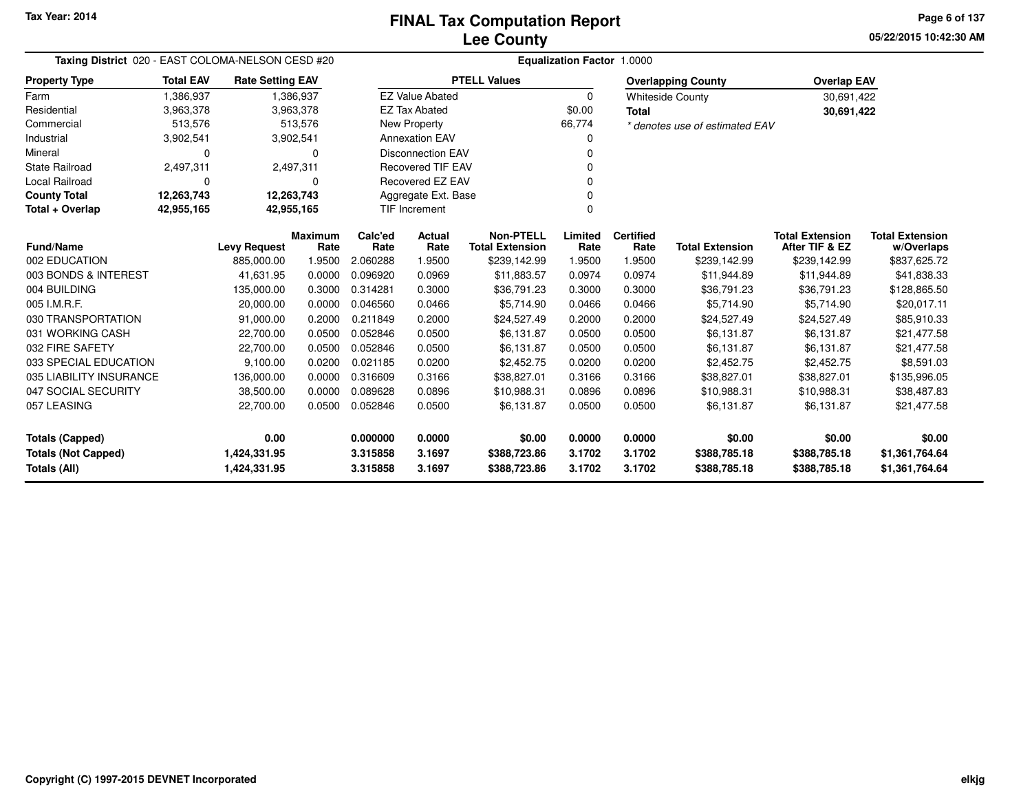**05/22/2015 10:42:30 AMPage 6 of 137**

| Taxing District 020 - EAST COLOMA-NELSON CESD #20 |                  |                         |                        | <b>Equalization Factor 1.0000</b> |                          |                                            |                 |                          |                                |                                          |                                      |  |  |
|---------------------------------------------------|------------------|-------------------------|------------------------|-----------------------------------|--------------------------|--------------------------------------------|-----------------|--------------------------|--------------------------------|------------------------------------------|--------------------------------------|--|--|
| <b>Property Type</b>                              | <b>Total EAV</b> | <b>Rate Setting EAV</b> |                        |                                   |                          | <b>PTELL Values</b>                        |                 |                          | <b>Overlapping County</b>      | <b>Overlap EAV</b>                       |                                      |  |  |
| Farm                                              | 1,386,937        |                         | 1,386,937              |                                   | <b>EZ Value Abated</b>   |                                            | $\mathbf 0$     |                          | <b>Whiteside County</b>        | 30,691,422                               |                                      |  |  |
| Residential                                       | 3,963,378        |                         | 3,963,378              |                                   | <b>EZ Tax Abated</b>     |                                            | \$0.00          | <b>Total</b>             |                                | 30,691,422                               |                                      |  |  |
| Commercial                                        | 513,576          |                         | 513,576                |                                   | New Property             |                                            | 66,774          |                          | * denotes use of estimated EAV |                                          |                                      |  |  |
| Industrial                                        | 3,902,541        |                         | 3,902,541              |                                   | <b>Annexation EAV</b>    |                                            |                 |                          |                                |                                          |                                      |  |  |
| Mineral                                           | 0                |                         | 0                      |                                   | <b>Disconnection EAV</b> |                                            |                 |                          |                                |                                          |                                      |  |  |
| <b>State Railroad</b>                             | 2,497,311        |                         | 2,497,311              |                                   | <b>Recovered TIF EAV</b> |                                            |                 |                          |                                |                                          |                                      |  |  |
| <b>Local Railroad</b>                             | $\Omega$         |                         | 0                      |                                   | Recovered EZ EAV         |                                            |                 |                          |                                |                                          |                                      |  |  |
| <b>County Total</b>                               | 12,263,743       | 12,263,743              |                        |                                   | Aggregate Ext. Base      |                                            |                 |                          |                                |                                          |                                      |  |  |
| Total + Overlap                                   | 42,955,165       | 42,955,165              |                        |                                   | <b>TIF Increment</b>     |                                            | $\Omega$        |                          |                                |                                          |                                      |  |  |
| <b>Fund/Name</b>                                  |                  | <b>Levy Request</b>     | <b>Maximum</b><br>Rate | Calc'ed<br>Rate                   | Actual<br>Rate           | <b>Non-PTELL</b><br><b>Total Extension</b> | Limited<br>Rate | <b>Certified</b><br>Rate | <b>Total Extension</b>         | <b>Total Extension</b><br>After TIF & EZ | <b>Total Extension</b><br>w/Overlaps |  |  |
| 002 EDUCATION                                     |                  | 885,000.00              | 1.9500                 | 2.060288                          | 1.9500                   | \$239,142.99                               | 1.9500          | 1.9500                   | \$239,142.99                   | \$239,142.99                             | \$837,625.72                         |  |  |
| 003 BONDS & INTEREST                              |                  | 41,631.95               | 0.0000                 | 0.096920                          | 0.0969                   | \$11,883.57                                | 0.0974          | 0.0974                   | \$11,944.89                    | \$11,944.89                              | \$41,838.33                          |  |  |
| 004 BUILDING                                      |                  | 135,000.00              | 0.3000                 | 0.314281                          | 0.3000                   | \$36,791.23                                | 0.3000          | 0.3000                   | \$36,791.23                    | \$36,791.23                              | \$128,865.50                         |  |  |
| 005 I.M.R.F.                                      |                  | 20,000.00               | 0.0000                 | 0.046560                          | 0.0466                   | \$5,714.90                                 | 0.0466          | 0.0466                   | \$5,714.90                     | \$5,714.90                               | \$20,017.11                          |  |  |
| 030 TRANSPORTATION                                |                  | 91,000.00               | 0.2000                 | 0.211849                          | 0.2000                   | \$24,527.49                                | 0.2000          | 0.2000                   | \$24,527.49                    | \$24,527.49                              | \$85,910.33                          |  |  |
| 031 WORKING CASH                                  |                  | 22,700.00               | 0.0500                 | 0.052846                          | 0.0500                   | \$6,131.87                                 | 0.0500          | 0.0500                   | \$6,131.87                     | \$6,131.87                               | \$21,477.58                          |  |  |
| 032 FIRE SAFETY                                   |                  | 22,700.00               | 0.0500                 | 0.052846                          | 0.0500                   | \$6,131.87                                 | 0.0500          | 0.0500                   | \$6,131.87                     | \$6,131.87                               | \$21,477.58                          |  |  |
| 033 SPECIAL EDUCATION                             |                  | 9,100.00                | 0.0200                 | 0.021185                          | 0.0200                   | \$2,452.75                                 | 0.0200          | 0.0200                   | \$2,452.75                     | \$2,452.75                               | \$8,591.03                           |  |  |
| 035 LIABILITY INSURANCE                           |                  | 136,000.00              | 0.0000                 | 0.316609                          | 0.3166                   | \$38,827.01                                | 0.3166          | 0.3166                   | \$38,827.01                    | \$38,827.01                              | \$135,996.05                         |  |  |
| 047 SOCIAL SECURITY                               |                  | 38,500.00               | 0.0000                 | 0.089628                          | 0.0896                   | \$10,988.31                                | 0.0896          | 0.0896                   | \$10,988.31                    | \$10,988.31                              | \$38,487.83                          |  |  |
| 057 LEASING                                       |                  | 22,700.00               | 0.0500                 | 0.052846                          | 0.0500                   | \$6,131.87                                 | 0.0500          | 0.0500                   | \$6,131.87                     | \$6,131.87                               | \$21,477.58                          |  |  |
| <b>Totals (Capped)</b>                            |                  | 0.00                    |                        | 0.000000                          | 0.0000                   | \$0.00                                     | 0.0000          | 0.0000                   | \$0.00                         | \$0.00                                   | \$0.00                               |  |  |
| <b>Totals (Not Capped)</b>                        |                  | 1,424,331.95            |                        | 3.315858                          | 3.1697                   | \$388,723.86                               | 3.1702          | 3.1702                   | \$388,785.18                   | \$388,785.18                             | \$1,361,764.64                       |  |  |
| <b>Totals (All)</b>                               |                  | 1,424,331.95            |                        | 3.315858                          | 3.1697                   | \$388,723.86                               | 3.1702          | 3.1702                   | \$388,785.18                   | \$388,785.18                             | \$1,361,764.64                       |  |  |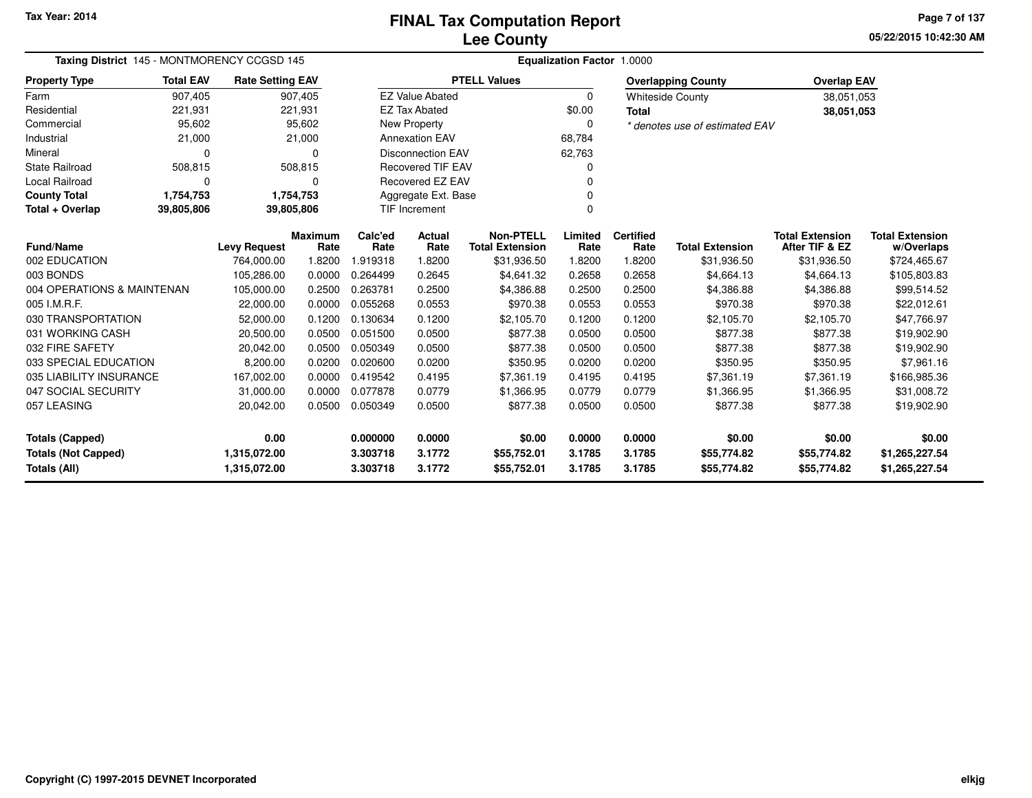**05/22/2015 10:42:30 AMPage 7 of 137**

| Taxing District 145 - MONTMORENCY CCGSD 145 |                                         |                         |                 | Equalization Factor 1.0000 |                         |                                            |                 |                          |                                |                                          |                                      |  |  |
|---------------------------------------------|-----------------------------------------|-------------------------|-----------------|----------------------------|-------------------------|--------------------------------------------|-----------------|--------------------------|--------------------------------|------------------------------------------|--------------------------------------|--|--|
| <b>Property Type</b>                        | <b>Total EAV</b>                        | <b>Rate Setting EAV</b> |                 |                            |                         | <b>PTELL Values</b>                        |                 |                          | <b>Overlapping County</b>      | <b>Overlap EAV</b>                       |                                      |  |  |
| Farm                                        | 907,405                                 |                         | 907,405         |                            | <b>EZ Value Abated</b>  |                                            | $\Omega$        |                          | <b>Whiteside County</b>        | 38,051,053                               |                                      |  |  |
| Residential                                 | 221,931                                 |                         | 221,931         |                            | <b>EZ Tax Abated</b>    |                                            | \$0.00          | <b>Total</b>             |                                | 38,051,053                               |                                      |  |  |
| Commercial                                  | 95,602                                  |                         | 95,602          |                            | New Property            |                                            | 0               |                          | * denotes use of estimated EAV |                                          |                                      |  |  |
| Industrial                                  | 21,000                                  |                         | 21,000          | <b>Annexation EAV</b>      |                         |                                            | 68,784          |                          |                                |                                          |                                      |  |  |
| Mineral                                     | $\Omega$                                |                         | $\Omega$        | <b>Disconnection EAV</b>   |                         |                                            | 62,763          |                          |                                |                                          |                                      |  |  |
| <b>State Railroad</b>                       | 508,815                                 |                         | 508,815         | <b>Recovered TIF EAV</b>   |                         |                                            | 0               |                          |                                |                                          |                                      |  |  |
| Local Railroad                              | 0                                       |                         | $\Omega$        |                            | <b>Recovered EZ EAV</b> |                                            |                 |                          |                                |                                          |                                      |  |  |
| <b>County Total</b>                         | 1,754,753                               |                         | 1,754,753       |                            | Aggregate Ext. Base     |                                            |                 |                          |                                |                                          |                                      |  |  |
| Total + Overlap                             | 39,805,806                              | 39,805,806              |                 |                            | TIF Increment           |                                            | $\Omega$        |                          |                                |                                          |                                      |  |  |
|                                             | <b>Fund/Name</b><br><b>Levy Request</b> |                         | Maximum<br>Rate | Calc'ed<br>Rate            | Actual<br>Rate          | <b>Non-PTELL</b><br><b>Total Extension</b> | Limited<br>Rate | <b>Certified</b><br>Rate | <b>Total Extension</b>         | <b>Total Extension</b><br>After TIF & EZ | <b>Total Extension</b><br>w/Overlaps |  |  |
| 002 EDUCATION                               |                                         | 764,000.00              | 1.8200          | 1.919318                   | 1.8200                  | \$31,936.50                                | 1.8200          | 1.8200                   | \$31,936.50                    | \$31,936.50                              | \$724,465.67                         |  |  |
| 003 BONDS                                   |                                         | 105,286.00              | 0.0000          | 0.264499                   | 0.2645                  | \$4,641.32                                 | 0.2658          | 0.2658                   | \$4,664.13                     | \$4,664.13                               | \$105,803.83                         |  |  |
| 004 OPERATIONS & MAINTENAN                  |                                         | 105,000.00              | 0.2500          | 0.263781                   | 0.2500                  | \$4,386.88                                 | 0.2500          | 0.2500                   | \$4,386.88                     | \$4,386.88                               | \$99,514.52                          |  |  |
| 005 I.M.R.F.                                |                                         | 22,000.00               | 0.0000          | 0.055268                   | 0.0553                  | \$970.38                                   | 0.0553          | 0.0553                   | \$970.38                       | \$970.38                                 | \$22,012.61                          |  |  |
| 030 TRANSPORTATION                          |                                         | 52,000.00               | 0.1200          | 0.130634                   | 0.1200                  | \$2,105.70                                 | 0.1200          | 0.1200                   | \$2,105.70                     | \$2,105.70                               | \$47,766.97                          |  |  |
| 031 WORKING CASH                            |                                         | 20,500.00               | 0.0500          | 0.051500                   | 0.0500                  | \$877.38                                   | 0.0500          | 0.0500                   | \$877.38                       | \$877.38                                 | \$19,902.90                          |  |  |
| 032 FIRE SAFETY                             |                                         | 20,042.00               | 0.0500          | 0.050349                   | 0.0500                  | \$877.38                                   | 0.0500          | 0.0500                   | \$877.38                       | \$877.38                                 | \$19,902.90                          |  |  |
| 033 SPECIAL EDUCATION                       |                                         | 8,200.00                | 0.0200          | 0.020600                   | 0.0200                  | \$350.95                                   | 0.0200          | 0.0200                   | \$350.95                       | \$350.95                                 | \$7,961.16                           |  |  |
| 035 LIABILITY INSURANCE                     |                                         | 167,002.00              | 0.0000          | 0.419542                   | 0.4195                  | \$7,361.19                                 | 0.4195          | 0.4195                   | \$7,361.19                     | \$7,361.19                               | \$166,985.36                         |  |  |
| 047 SOCIAL SECURITY                         |                                         | 31,000.00               | 0.0000          | 0.077878                   | 0.0779                  | \$1,366.95                                 | 0.0779          | 0.0779                   | \$1,366.95                     | \$1,366.95                               | \$31,008.72                          |  |  |
| 057 LEASING                                 |                                         | 20,042.00               | 0.0500          | 0.050349                   | 0.0500                  | \$877.38                                   | 0.0500          | 0.0500                   | \$877.38                       | \$877.38                                 | \$19,902.90                          |  |  |
| <b>Totals (Capped)</b>                      |                                         | 0.00                    |                 | 0.000000                   | 0.0000                  | \$0.00                                     | 0.0000          | 0.0000                   | \$0.00                         | \$0.00                                   | \$0.00                               |  |  |
| <b>Totals (Not Capped)</b>                  |                                         | 1,315,072.00            |                 | 3.303718                   | 3.1772                  | \$55,752.01                                | 3.1785          | 3.1785                   | \$55,774.82                    | \$55,774.82                              | \$1,265,227.54                       |  |  |
| Totals (All)                                |                                         | 1,315,072.00            |                 | 3.303718                   | 3.1772                  | \$55,752.01                                | 3.1785          | 3.1785                   | \$55,774.82                    | \$55,774.82                              | \$1,265,227.54                       |  |  |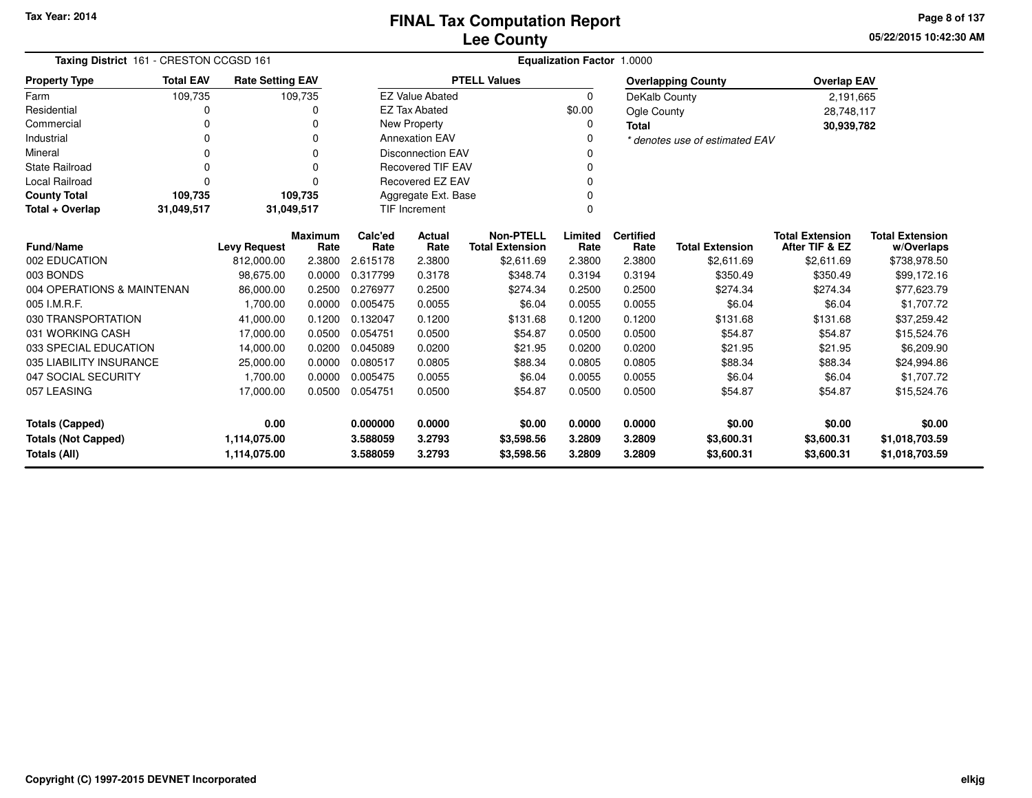**05/22/2015 10:42:30 AMPage 8 of 137**

| Taxing District 161 - CRESTON CCGSD 161 |                  |                         |                        | <b>Equalization Factor 1.0000</b> |                          |                                            |                 |                          |                                |                                          |                                      |  |
|-----------------------------------------|------------------|-------------------------|------------------------|-----------------------------------|--------------------------|--------------------------------------------|-----------------|--------------------------|--------------------------------|------------------------------------------|--------------------------------------|--|
| <b>Property Type</b>                    | <b>Total EAV</b> | <b>Rate Setting EAV</b> |                        |                                   |                          | <b>PTELL Values</b>                        |                 |                          | <b>Overlapping County</b>      | <b>Overlap EAV</b>                       |                                      |  |
| Farm                                    | 109,735          |                         | 109,735                |                                   | <b>EZ Value Abated</b>   |                                            | $\Omega$        | DeKalb County            |                                | 2,191,665                                |                                      |  |
| Residential                             | 0                |                         | 0                      |                                   | <b>EZ Tax Abated</b>     |                                            | \$0.00          | Ogle County              |                                | 28,748,117                               |                                      |  |
| Commercial                              | 0                |                         | 0                      |                                   | New Property             |                                            | 0               | <b>Total</b>             |                                | 30,939,782                               |                                      |  |
| Industrial                              | $\Omega$         |                         | 0                      |                                   | <b>Annexation EAV</b>    |                                            | $\Omega$        |                          | * denotes use of estimated EAV |                                          |                                      |  |
| Mineral                                 | 0                |                         | 0                      |                                   | <b>Disconnection EAV</b> |                                            |                 |                          |                                |                                          |                                      |  |
| <b>State Railroad</b>                   | $\Omega$         |                         | $\Omega$               |                                   | <b>Recovered TIF EAV</b> |                                            |                 |                          |                                |                                          |                                      |  |
| Local Railroad                          | $\Omega$         |                         | $\Omega$               |                                   | <b>Recovered EZ EAV</b>  |                                            |                 |                          |                                |                                          |                                      |  |
| <b>County Total</b>                     | 109,735          |                         | 109,735                |                                   | Aggregate Ext. Base      |                                            |                 |                          |                                |                                          |                                      |  |
| Total + Overlap                         | 31,049,517       | 31,049,517              |                        |                                   | <b>TIF Increment</b>     |                                            | $\Omega$        |                          |                                |                                          |                                      |  |
| <b>Fund/Name</b>                        |                  | <b>Levy Request</b>     | <b>Maximum</b><br>Rate | Calc'ed<br>Rate                   | Actual<br>Rate           | <b>Non-PTELL</b><br><b>Total Extension</b> | Limited<br>Rate | <b>Certified</b><br>Rate | <b>Total Extension</b>         | <b>Total Extension</b><br>After TIF & EZ | <b>Total Extension</b><br>w/Overlaps |  |
| 002 EDUCATION                           |                  | 812,000.00              | 2.3800                 | 2.615178                          | 2.3800                   | \$2,611.69                                 | 2.3800          | 2.3800                   | \$2,611.69                     | \$2,611.69                               | \$738,978.50                         |  |
| 003 BONDS                               |                  | 98,675.00               | 0.0000                 | 0.317799                          | 0.3178                   | \$348.74                                   | 0.3194          | 0.3194                   | \$350.49                       | \$350.49                                 | \$99,172.16                          |  |
| 004 OPERATIONS & MAINTENAN              |                  | 86,000.00               | 0.2500                 | 0.276977                          | 0.2500                   | \$274.34                                   | 0.2500          | 0.2500                   | \$274.34                       | \$274.34                                 | \$77,623.79                          |  |
| 005 I.M.R.F.                            |                  | 1,700.00                | 0.0000                 | 0.005475                          | 0.0055                   | \$6.04                                     | 0.0055          | 0.0055                   | \$6.04                         | \$6.04                                   | \$1,707.72                           |  |
| 030 TRANSPORTATION                      |                  | 41,000.00               | 0.1200                 | 0.132047                          | 0.1200                   | \$131.68                                   | 0.1200          | 0.1200                   | \$131.68                       | \$131.68                                 | \$37,259.42                          |  |
| 031 WORKING CASH                        |                  | 17,000.00               | 0.0500                 | 0.054751                          | 0.0500                   | \$54.87                                    | 0.0500          | 0.0500                   | \$54.87                        | \$54.87                                  | \$15,524.76                          |  |
| 033 SPECIAL EDUCATION                   |                  | 14,000.00               | 0.0200                 | 0.045089                          | 0.0200                   | \$21.95                                    | 0.0200          | 0.0200                   | \$21.95                        | \$21.95                                  | \$6,209.90                           |  |
| 035 LIABILITY INSURANCE                 |                  | 25,000.00               | 0.0000                 | 0.080517                          | 0.0805                   | \$88.34                                    | 0.0805          | 0.0805                   | \$88.34                        | \$88.34                                  | \$24,994.86                          |  |
| 047 SOCIAL SECURITY                     |                  | 1.700.00                | 0.0000                 | 0.005475                          | 0.0055                   | \$6.04                                     | 0.0055          | 0.0055                   | \$6.04                         | \$6.04                                   | \$1,707.72                           |  |
| 057 LEASING                             |                  | 17,000.00               | 0.0500                 | 0.054751                          | 0.0500                   | \$54.87                                    | 0.0500          | 0.0500                   | \$54.87                        | \$54.87                                  | \$15,524.76                          |  |
| <b>Totals (Capped)</b>                  |                  | 0.00                    |                        | 0.000000                          | 0.0000                   | \$0.00                                     | 0.0000          | 0.0000                   | \$0.00                         | \$0.00                                   | \$0.00                               |  |
| <b>Totals (Not Capped)</b>              |                  | 1,114,075.00            |                        | 3.588059                          | 3.2793                   | \$3,598.56                                 | 3.2809          | 3.2809                   | \$3,600.31                     | \$3,600.31                               | \$1,018,703.59                       |  |
| Totals (All)                            |                  | 1,114,075.00            |                        | 3.588059                          | 3.2793                   | \$3,598.56                                 | 3.2809          | 3.2809                   | \$3,600.31                     | \$3,600.31                               | \$1,018,703.59                       |  |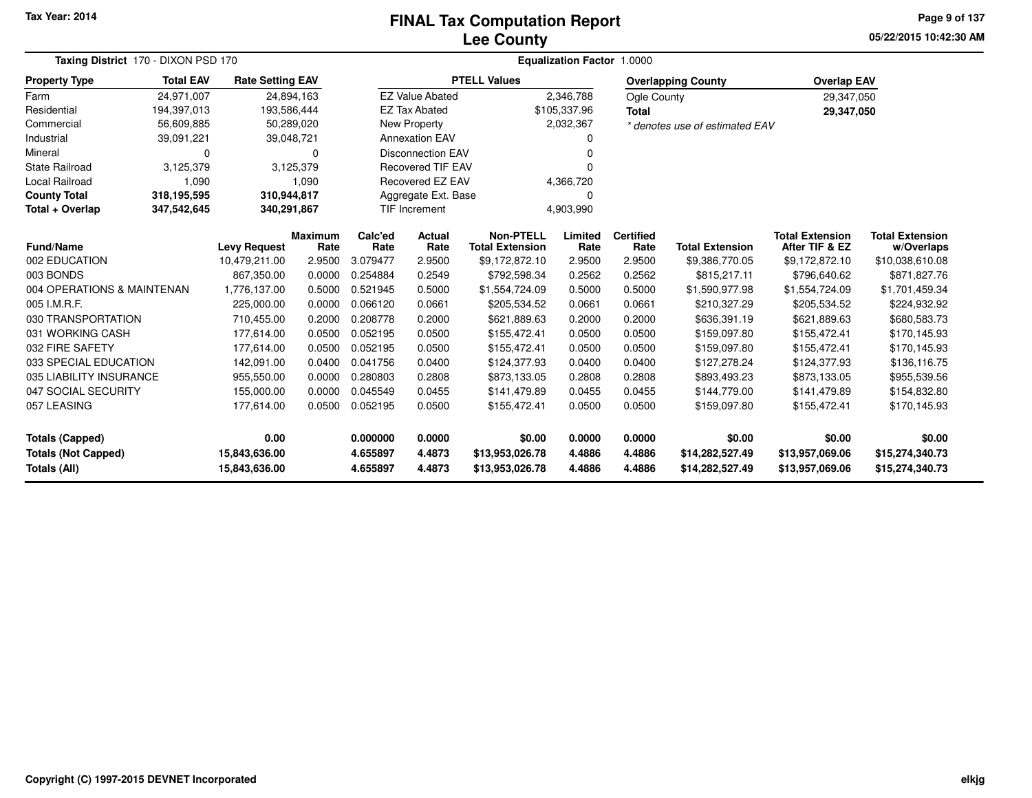### **Lee CountyFINAL Tax Computation Report**

**05/22/2015 10:42:30 AM Page 9 of 137**

| Taxing District 170 - DIXON PSD 170        |                  |                                |                 |                       | Equalization Factor 1.0000                 |                                    |                          |                        |                                          |                                      |                                    |  |  |  |
|--------------------------------------------|------------------|--------------------------------|-----------------|-----------------------|--------------------------------------------|------------------------------------|--------------------------|------------------------|------------------------------------------|--------------------------------------|------------------------------------|--|--|--|
| Property Type                              | <b>Total EAV</b> | <b>Rate Setting EAV</b>        |                 |                       |                                            | <b>PTELL Values</b>                |                          |                        | <b>Overlapping County</b>                | <b>Overlap EAV</b>                   |                                    |  |  |  |
| Farm                                       | 24.971.007       | 24,894,163                     |                 |                       | <b>EZ Value Abated</b>                     |                                    | 2,346,788                | Ogle County            |                                          | 29,347,050                           |                                    |  |  |  |
| Residential                                | 194,397,013      | 193,586,444                    |                 |                       | <b>EZ Tax Abated</b>                       |                                    | \$105,337.96             | <b>Total</b>           |                                          | 29,347,050                           |                                    |  |  |  |
| Commercial                                 | 56,609,885       | 50,289,020                     |                 |                       | <b>New Property</b>                        |                                    | 2,032,367                |                        | * denotes use of estimated EAV           |                                      |                                    |  |  |  |
| Industrial                                 | 39,091,221       | 39,048,721                     |                 |                       | <b>Annexation EAV</b>                      |                                    |                          |                        |                                          |                                      |                                    |  |  |  |
| Mineral                                    | 0                |                                | O               |                       | <b>Disconnection EAV</b>                   |                                    |                          |                        |                                          |                                      |                                    |  |  |  |
| State Railroad                             | 3,125,379        | 3,125,379                      |                 |                       | <b>Recovered TIF EAV</b>                   |                                    | O                        |                        |                                          |                                      |                                    |  |  |  |
| Local Railroad                             | 1,090            |                                | 1,090           |                       | Recovered EZ EAV                           |                                    | 4,366,720                |                        |                                          |                                      |                                    |  |  |  |
| <b>County Total</b>                        | 318,195,595      | 310,944,817                    |                 |                       | Aggregate Ext. Base                        |                                    | 0                        |                        |                                          |                                      |                                    |  |  |  |
| Total + Overlap                            | 347,542,645      | 340,291,867                    |                 |                       | <b>TIF Increment</b>                       | 4,903,990                          |                          |                        |                                          |                                      |                                    |  |  |  |
| Fund/Name<br><b>Levy Request</b>           |                  | <b>Maximum</b><br>Rate         | Calc'ed<br>Rate | <b>Actual</b><br>Rate | <b>Non-PTELL</b><br><b>Total Extension</b> | Limited<br>Rate                    | <b>Certified</b><br>Rate | <b>Total Extension</b> | <b>Total Extension</b><br>After TIF & EZ | <b>Total Extension</b><br>w/Overlaps |                                    |  |  |  |
| 002 EDUCATION                              |                  | 10,479,211.00                  | 2.9500          | 3.079477              | 2.9500                                     | \$9,172,872.10                     | 2.9500                   | 2.9500                 | \$9,386,770.05                           | \$9,172,872.10                       | \$10,038,610.08                    |  |  |  |
| 003 BONDS                                  |                  | 867,350.00                     | 0.0000          | 0.254884              | 0.2549                                     | \$792,598.34                       | 0.2562                   | 0.2562                 | \$815,217.11                             | \$796,640.62                         | \$871,827.76                       |  |  |  |
| 004 OPERATIONS & MAINTENAN                 |                  | 1,776,137.00                   | 0.5000          | 0.521945              | 0.5000                                     | \$1,554,724.09                     | 0.5000                   | 0.5000                 | \$1,590,977.98                           | \$1,554,724.09                       | \$1,701,459.34                     |  |  |  |
| 005 I.M.R.F.                               |                  | 225,000.00                     | 0.0000          | 0.066120              | 0.0661                                     | \$205,534.52                       | 0.0661                   | 0.0661                 | \$210,327.29                             | \$205,534.52                         | \$224,932.92                       |  |  |  |
| 030 TRANSPORTATION                         |                  | 710,455.00                     | 0.2000          | 0.208778              | 0.2000                                     | \$621,889.63                       | 0.2000                   | 0.2000                 | \$636,391.19                             | \$621,889.63                         | \$680,583.73                       |  |  |  |
| 031 WORKING CASH                           |                  | 177,614.00                     | 0.0500          | 0.052195              | 0.0500                                     | \$155,472.41                       | 0.0500                   | 0.0500                 | \$159,097.80                             | \$155,472.41                         | \$170,145.93                       |  |  |  |
| 032 FIRE SAFETY                            |                  | 177,614.00                     | 0.0500          | 0.052195              | 0.0500                                     | \$155,472.41                       | 0.0500                   | 0.0500                 | \$159,097.80                             | \$155,472.41                         | \$170,145.93                       |  |  |  |
| 033 SPECIAL EDUCATION                      |                  | 142,091.00                     | 0.0400          | 0.041756              | 0.0400                                     | \$124,377.93                       | 0.0400                   | 0.0400                 | \$127,278.24                             | \$124,377.93                         | \$136,116.75                       |  |  |  |
| 035 LIABILITY INSURANCE                    |                  | 955,550.00                     | 0.0000          | 0.280803              | 0.2808                                     | \$873,133.05                       | 0.2808                   | 0.2808                 | \$893,493.23                             | \$873,133.05                         | \$955,539.56                       |  |  |  |
| 047 SOCIAL SECURITY                        |                  | 155,000.00                     | 0.0000          | 0.045549              | 0.0455                                     | \$141,479.89                       | 0.0455                   | 0.0455                 | \$144,779.00                             | \$141,479.89                         | \$154,832.80                       |  |  |  |
| 057 LEASING                                |                  | 177,614.00                     | 0.0500          | 0.052195              | 0.0500                                     | \$155,472.41                       | 0.0500                   | 0.0500                 | \$159,097.80                             | \$155,472.41                         | \$170,145.93                       |  |  |  |
| <b>Totals (Capped)</b>                     |                  | 0.00                           |                 | 0.000000              | 0.0000                                     | \$0.00                             | 0.0000                   | 0.0000                 | \$0.00                                   | \$0.00                               | \$0.00                             |  |  |  |
| <b>Totals (Not Capped)</b><br>Totals (All) |                  | 15,843,636.00<br>15,843,636.00 |                 | 4.655897<br>4.655897  | 4.4873<br>4.4873                           | \$13,953,026.78<br>\$13,953,026.78 | 4.4886<br>4.4886         | 4.4886<br>4.4886       | \$14,282,527.49<br>\$14,282,527.49       | \$13,957,069.06<br>\$13,957,069.06   | \$15,274,340.73<br>\$15,274,340.73 |  |  |  |

 $\overline{\phantom{0}}$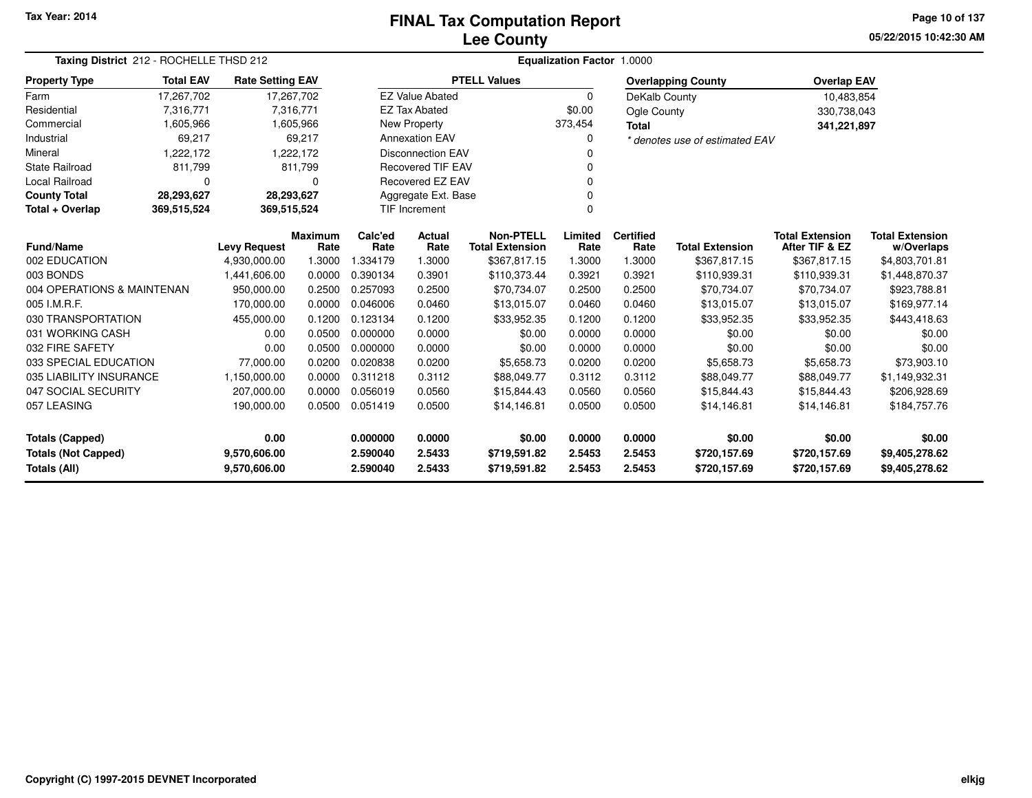## **Lee CountyFINAL Tax Computation Report**

**05/22/2015 10:42:30 AMPage 10 of 137**

| Taxing District 212 - ROCHELLE THSD 212 |                  |                         |                        | Equalization Factor 1.0000 |                          |                                            |                 |                          |                                |                                          |                                      |  |  |
|-----------------------------------------|------------------|-------------------------|------------------------|----------------------------|--------------------------|--------------------------------------------|-----------------|--------------------------|--------------------------------|------------------------------------------|--------------------------------------|--|--|
| <b>Property Type</b>                    | <b>Total EAV</b> | <b>Rate Setting EAV</b> |                        |                            |                          | <b>PTELL Values</b>                        |                 |                          | <b>Overlapping County</b>      | <b>Overlap EAV</b>                       |                                      |  |  |
| Farm                                    | 17,267,702       | 17,267,702              |                        |                            | <b>EZ Value Abated</b>   |                                            | $\Omega$        | DeKalb County            |                                | 10,483,854                               |                                      |  |  |
| Residential                             | 7,316,771        |                         | 7,316,771              |                            | <b>EZ Tax Abated</b>     |                                            | \$0.00          | Ogle County              |                                | 330,738,043                              |                                      |  |  |
| Commercial                              | 1,605,966        |                         | 1,605,966              |                            | New Property             |                                            | 373,454         | <b>Total</b>             |                                | 341,221,897                              |                                      |  |  |
| Industrial                              | 69,217           |                         | 69,217                 |                            | <b>Annexation EAV</b>    |                                            | $\Omega$        |                          | * denotes use of estimated EAV |                                          |                                      |  |  |
| Mineral                                 | 1,222,172        |                         | 1,222,172              |                            | <b>Disconnection EAV</b> |                                            | 0               |                          |                                |                                          |                                      |  |  |
| <b>State Railroad</b>                   | 811,799          |                         | 811,799                |                            | <b>Recovered TIF EAV</b> |                                            |                 |                          |                                |                                          |                                      |  |  |
| Local Railroad                          | 0                |                         | 0                      |                            | Recovered EZ EAV         |                                            | 0               |                          |                                |                                          |                                      |  |  |
| <b>County Total</b>                     | 28,293,627       | 28,293,627              |                        |                            | Aggregate Ext. Base      |                                            |                 |                          |                                |                                          |                                      |  |  |
| Total + Overlap                         | 369,515,524      | 369,515,524             |                        | <b>TIF Increment</b>       |                          |                                            | $\Omega$        |                          |                                |                                          |                                      |  |  |
| Fund/Name<br><b>Levy Request</b>        |                  |                         | <b>Maximum</b><br>Rate | Calc'ed<br>Rate            | Actual<br>Rate           | <b>Non-PTELL</b><br><b>Total Extension</b> | Limited<br>Rate | <b>Certified</b><br>Rate | <b>Total Extension</b>         | <b>Total Extension</b><br>After TIF & EZ | <b>Total Extension</b><br>w/Overlaps |  |  |
| 002 EDUCATION                           |                  | 4,930,000.00            | 1.3000                 | 1.334179                   | 1.3000                   | \$367,817.15                               | 1.3000          | 1.3000                   | \$367,817.15                   | \$367,817.15                             | \$4,803,701.81                       |  |  |
| 003 BONDS                               |                  | 1,441,606.00            | 0.0000                 | 0.390134                   | 0.3901                   | \$110,373.44                               | 0.3921          | 0.3921                   | \$110,939.31                   | \$110,939.31                             | \$1,448,870.37                       |  |  |
| 004 OPERATIONS & MAINTENAN              |                  | 950,000.00              | 0.2500                 | 0.257093                   | 0.2500                   | \$70,734.07                                | 0.2500          | 0.2500                   | \$70,734.07                    | \$70,734.07                              | \$923,788.81                         |  |  |
| 005 I.M.R.F.                            |                  | 170,000.00              | 0.0000                 | 0.046006                   | 0.0460                   | \$13,015.07                                | 0.0460          | 0.0460                   | \$13,015.07                    | \$13,015.07                              | \$169,977.14                         |  |  |
| 030 TRANSPORTATION                      |                  | 455,000.00              | 0.1200                 | 0.123134                   | 0.1200                   | \$33,952.35                                | 0.1200          | 0.1200                   | \$33,952.35                    | \$33,952.35                              | \$443,418.63                         |  |  |
| 031 WORKING CASH                        |                  | 0.00                    | 0.0500                 | 0.000000                   | 0.0000                   | \$0.00                                     | 0.0000          | 0.0000                   | \$0.00                         | \$0.00                                   | \$0.00                               |  |  |
| 032 FIRE SAFETY                         |                  | 0.00                    | 0.0500                 | 0.000000                   | 0.0000                   | \$0.00                                     | 0.0000          | 0.0000                   | \$0.00                         | \$0.00                                   | \$0.00                               |  |  |
| 033 SPECIAL EDUCATION                   |                  | 77,000.00               | 0.0200                 | 0.020838                   | 0.0200                   | \$5,658.73                                 | 0.0200          | 0.0200                   | \$5,658.73                     | \$5,658.73                               | \$73,903.10                          |  |  |
| 035 LIABILITY INSURANCE                 |                  | 1,150,000.00            | 0.0000                 | 0.311218                   | 0.3112                   | \$88,049.77                                | 0.3112          | 0.3112                   | \$88,049.77                    | \$88,049.77                              | \$1,149,932.31                       |  |  |
| 047 SOCIAL SECURITY                     |                  | 207,000.00              | 0.0000                 | 0.056019                   | 0.0560                   | \$15,844.43                                | 0.0560          | 0.0560                   | \$15,844.43                    | \$15,844.43                              | \$206,928.69                         |  |  |
| 057 LEASING                             |                  | 190,000.00              | 0.0500                 | 0.051419                   | 0.0500                   | \$14,146.81                                | 0.0500          | 0.0500                   | \$14,146.81                    | \$14,146.81                              | \$184,757.76                         |  |  |
| <b>Totals (Capped)</b>                  |                  | 0.00                    |                        | 0.000000                   | 0.0000                   | \$0.00                                     | 0.0000          | 0.0000                   | \$0.00                         | \$0.00                                   | \$0.00                               |  |  |
| <b>Totals (Not Capped)</b>              |                  | 9,570,606.00            |                        | 2.590040                   | 2.5433                   | \$719,591.82                               | 2.5453          | 2.5453                   | \$720,157.69                   | \$720,157.69                             | \$9,405,278.62                       |  |  |
| Totals (All)                            |                  | 9,570,606.00            |                        | 2.590040                   | 2.5433                   | \$719,591.82                               | 2.5453          | 2.5453                   | \$720,157.69                   | \$720,157.69                             | \$9,405,278.62                       |  |  |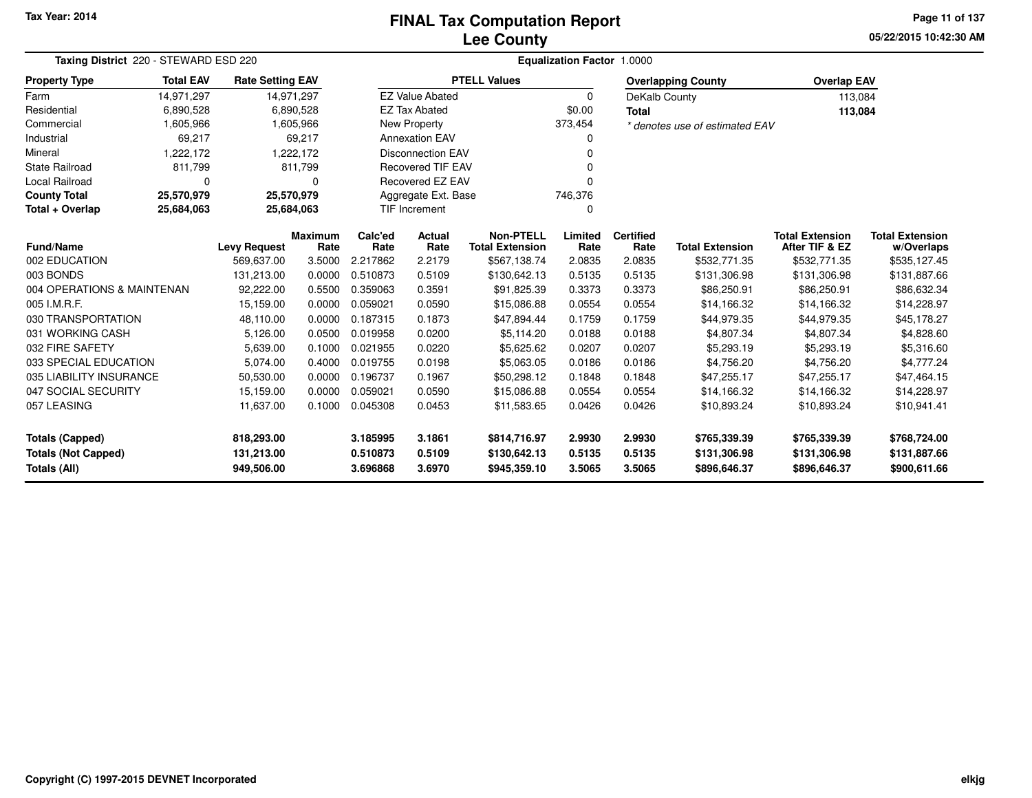## **Lee CountyFINAL Tax Computation Report**

**05/22/2015 10:42:30 AMPage 11 of 137**

| Taxing District 220 - STEWARD ESD 220 |                  |                         |                        |                      | <b>Equalization Factor 1.0000</b> |                                            |                 |                          |                                |                                          |                                      |  |  |  |
|---------------------------------------|------------------|-------------------------|------------------------|----------------------|-----------------------------------|--------------------------------------------|-----------------|--------------------------|--------------------------------|------------------------------------------|--------------------------------------|--|--|--|
| <b>Property Type</b>                  | <b>Total EAV</b> | <b>Rate Setting EAV</b> |                        |                      |                                   | <b>PTELL Values</b>                        |                 |                          | <b>Overlapping County</b>      | <b>Overlap EAV</b>                       |                                      |  |  |  |
| Farm                                  | 14,971,297       | 14,971,297              |                        |                      | <b>EZ Value Abated</b>            |                                            | 0               | DeKalb County            |                                | 113,084                                  |                                      |  |  |  |
| Residential                           | 6,890,528        |                         | 6,890,528              |                      | <b>EZ Tax Abated</b>              |                                            | \$0.00          | <b>Total</b>             |                                | 113,084                                  |                                      |  |  |  |
| Commercial                            | 1,605,966        |                         | 1,605,966              |                      | New Property                      |                                            | 373,454         |                          | * denotes use of estimated EAV |                                          |                                      |  |  |  |
| Industrial                            | 69,217           |                         | 69,217                 |                      | <b>Annexation EAV</b>             |                                            | 0               |                          |                                |                                          |                                      |  |  |  |
| Mineral                               | 1,222,172        |                         | 1,222,172              |                      | <b>Disconnection EAV</b>          |                                            | O               |                          |                                |                                          |                                      |  |  |  |
| <b>State Railroad</b>                 | 811,799          |                         | 811,799                |                      | <b>Recovered TIF EAV</b>          |                                            | O               |                          |                                |                                          |                                      |  |  |  |
| Local Railroad                        | 0                |                         | 0                      |                      | Recovered EZ EAV                  |                                            | O               |                          |                                |                                          |                                      |  |  |  |
| <b>County Total</b>                   | 25,570,979       | 25,570,979              |                        |                      | Aggregate Ext. Base               |                                            | 746,376         |                          |                                |                                          |                                      |  |  |  |
| Total + Overlap                       | 25,684,063       | 25,684,063              |                        | <b>TIF Increment</b> |                                   |                                            | 0               |                          |                                |                                          |                                      |  |  |  |
| <b>Fund/Name</b>                      |                  | <b>Levy Request</b>     | <b>Maximum</b><br>Rate | Calc'ed<br>Rate      | Actual<br>Rate                    | <b>Non-PTELL</b><br><b>Total Extension</b> | Limited<br>Rate | <b>Certified</b><br>Rate | <b>Total Extension</b>         | <b>Total Extension</b><br>After TIF & EZ | <b>Total Extension</b><br>w/Overlaps |  |  |  |
| 002 EDUCATION                         |                  | 569,637.00              | 3.5000                 | 2.217862             | 2.2179                            | \$567,138.74                               | 2.0835          | 2.0835                   | \$532,771.35                   | \$532,771.35                             | \$535,127.45                         |  |  |  |
| 003 BONDS                             |                  | 131,213.00              | 0.0000                 | 0.510873             | 0.5109                            | \$130,642.13                               | 0.5135          | 0.5135                   | \$131,306.98                   | \$131,306.98                             | \$131,887.66                         |  |  |  |
| 004 OPERATIONS & MAINTENAN            |                  | 92,222.00               | 0.5500                 | 0.359063             | 0.3591                            | \$91,825.39                                | 0.3373          | 0.3373                   | \$86,250.91                    | \$86,250.91                              | \$86,632.34                          |  |  |  |
| 005 I.M.R.F.                          |                  | 15,159.00               | 0.0000                 | 0.059021             | 0.0590                            | \$15,086.88                                | 0.0554          | 0.0554                   | \$14,166.32                    | \$14,166.32                              | \$14,228.97                          |  |  |  |
| 030 TRANSPORTATION                    |                  | 48,110.00               | 0.0000                 | 0.187315             | 0.1873                            | \$47,894.44                                | 0.1759          | 0.1759                   | \$44,979.35                    | \$44,979.35                              | \$45,178.27                          |  |  |  |
| 031 WORKING CASH                      |                  | 5,126.00                | 0.0500                 | 0.019958             | 0.0200                            | \$5,114.20                                 | 0.0188          | 0.0188                   | \$4,807.34                     | \$4,807.34                               | \$4,828.60                           |  |  |  |
| 032 FIRE SAFETY                       |                  | 5,639.00                | 0.1000                 | 0.021955             | 0.0220                            | \$5,625.62                                 | 0.0207          | 0.0207                   | \$5,293.19                     | \$5,293.19                               | \$5,316.60                           |  |  |  |
| 033 SPECIAL EDUCATION                 |                  | 5,074.00                | 0.4000                 | 0.019755             | 0.0198                            | \$5,063.05                                 | 0.0186          | 0.0186                   | \$4,756.20                     | \$4,756.20                               | \$4,777.24                           |  |  |  |
| 035 LIABILITY INSURANCE               |                  | 50,530.00               | 0.0000                 | 0.196737             | 0.1967                            | \$50,298.12                                | 0.1848          | 0.1848                   | \$47,255.17                    | \$47,255.17                              | \$47,464.15                          |  |  |  |
| 047 SOCIAL SECURITY                   |                  | 15,159.00               | 0.0000                 | 0.059021             | 0.0590                            | \$15,086.88                                | 0.0554          | 0.0554                   | \$14,166.32                    | \$14,166.32                              | \$14,228.97                          |  |  |  |
| 057 LEASING                           |                  | 11,637.00               | 0.1000                 | 0.045308             | 0.0453                            | \$11,583.65                                | 0.0426          | 0.0426                   | \$10,893.24                    | \$10,893.24                              | \$10,941.41                          |  |  |  |
| <b>Totals (Capped)</b>                |                  | 818,293.00              |                        | 3.185995             | 3.1861                            | \$814,716.97                               | 2.9930          | 2.9930                   | \$765,339.39                   | \$765,339.39                             | \$768,724.00                         |  |  |  |
| <b>Totals (Not Capped)</b>            |                  | 131,213.00              |                        | 0.510873             | 0.5109                            | \$130,642.13                               | 0.5135          | 0.5135                   | \$131,306.98                   | \$131,306.98                             | \$131,887.66                         |  |  |  |
| Totals (All)                          |                  | 949,506.00              |                        | 3.696868             | 3.6970                            | \$945,359.10                               | 3.5065          | 3.5065                   | \$896,646.37                   | \$896,646.37                             | \$900,611.66                         |  |  |  |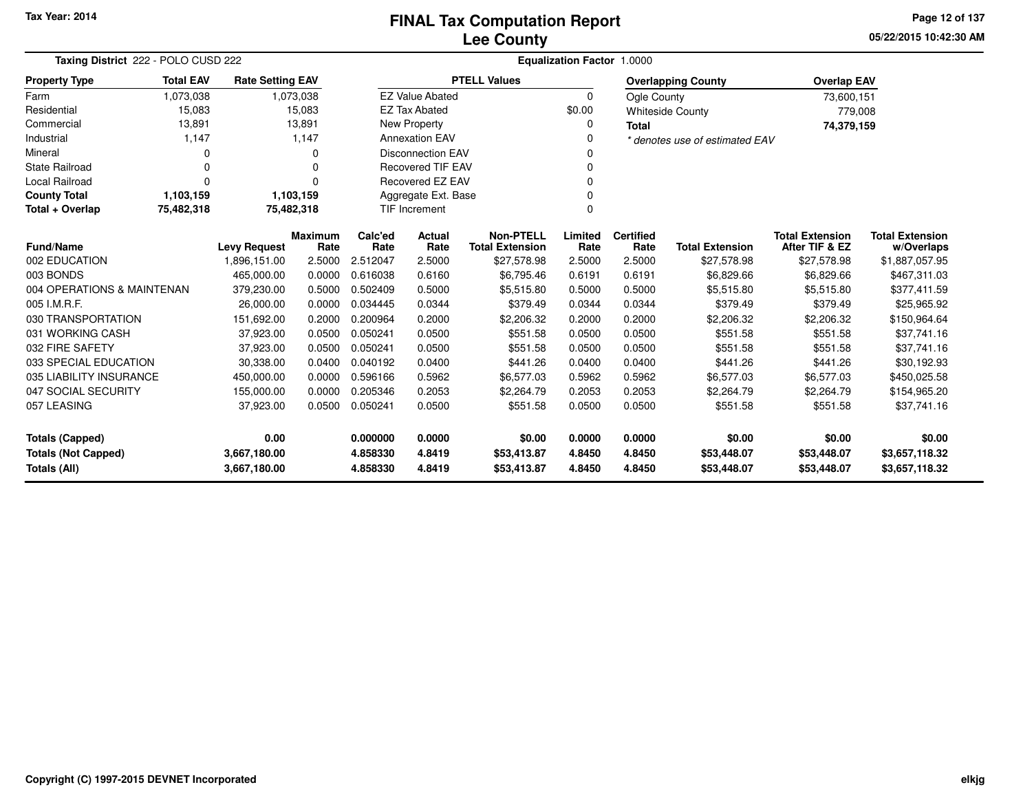**05/22/2015 10:42:30 AMPage 12 of 137**

| Taxing District 222 - POLO CUSD 222 |                  |                         |                 |                          | Equalization Factor 1.0000 |                                            |                 |                          |                                |                                          |                                      |  |  |
|-------------------------------------|------------------|-------------------------|-----------------|--------------------------|----------------------------|--------------------------------------------|-----------------|--------------------------|--------------------------------|------------------------------------------|--------------------------------------|--|--|
| <b>Property Type</b>                | <b>Total EAV</b> | <b>Rate Setting EAV</b> |                 |                          |                            | <b>PTELL Values</b>                        |                 |                          | <b>Overlapping County</b>      | <b>Overlap EAV</b>                       |                                      |  |  |
| Farm                                | 1,073,038        |                         | 1,073,038       |                          | <b>EZ Value Abated</b>     |                                            | $\Omega$        | Ogle County              |                                | 73,600,151                               |                                      |  |  |
| Residential                         | 15,083           |                         | 15,083          |                          | <b>EZ Tax Abated</b>       |                                            | \$0.00          |                          | <b>Whiteside County</b>        | 779,008                                  |                                      |  |  |
| Commercial                          | 13,891           |                         | 13,891          |                          | <b>New Property</b>        |                                            | 0               | <b>Total</b>             |                                | 74,379,159                               |                                      |  |  |
| Industrial                          | 1,147            |                         | 1,147           | <b>Annexation EAV</b>    |                            |                                            | 0               |                          | * denotes use of estimated EAV |                                          |                                      |  |  |
| Mineral                             | <sup>0</sup>     |                         | $\Omega$        | <b>Disconnection EAV</b> |                            |                                            | 0               |                          |                                |                                          |                                      |  |  |
| <b>State Railroad</b>               | $\Omega$         |                         | $\Omega$        | <b>Recovered TIF EAV</b> |                            |                                            | 0               |                          |                                |                                          |                                      |  |  |
| Local Railroad                      | $\Omega$         |                         | $\Omega$        | <b>Recovered EZ EAV</b>  |                            |                                            | $\Omega$        |                          |                                |                                          |                                      |  |  |
| <b>County Total</b>                 | 1,103,159        | 1,103,159               |                 | Aggregate Ext. Base      |                            |                                            | $\Omega$        |                          |                                |                                          |                                      |  |  |
| Total + Overlap                     | 75,482,318       | 75,482,318              |                 | TIF Increment            |                            |                                            | $\Omega$        |                          |                                |                                          |                                      |  |  |
| <b>Fund/Name</b>                    |                  | <b>Levy Request</b>     | Maximum<br>Rate | Calc'ed<br>Rate          | Actual<br>Rate             | <b>Non-PTELL</b><br><b>Total Extension</b> | Limited<br>Rate | <b>Certified</b><br>Rate | <b>Total Extension</b>         | <b>Total Extension</b><br>After TIF & EZ | <b>Total Extension</b><br>w/Overlaps |  |  |
| 002 EDUCATION                       |                  | 1,896,151.00            | 2.5000          | 2.512047                 | 2.5000                     | \$27,578.98                                | 2.5000          | 2.5000                   | \$27,578.98                    | \$27,578.98                              | \$1,887,057.95                       |  |  |
| 003 BONDS                           |                  | 465,000.00              | 0.0000          | 0.616038                 | 0.6160                     | \$6,795.46                                 | 0.6191          | 0.6191                   | \$6,829.66                     | \$6,829.66                               | \$467,311.03                         |  |  |
| 004 OPERATIONS & MAINTENAN          |                  | 379,230.00              | 0.5000          | 0.502409                 | 0.5000                     | \$5,515.80                                 | 0.5000          | 0.5000                   | \$5,515.80                     | \$5,515.80                               | \$377,411.59                         |  |  |
| 005 I.M.R.F.                        |                  | 26,000.00               | 0.0000          | 0.034445                 | 0.0344                     | \$379.49                                   | 0.0344          | 0.0344                   | \$379.49                       | \$379.49                                 | \$25,965.92                          |  |  |
| 030 TRANSPORTATION                  |                  | 151,692.00              | 0.2000          | 0.200964                 | 0.2000                     | \$2,206.32                                 | 0.2000          | 0.2000                   | \$2,206.32                     | \$2,206.32                               | \$150,964.64                         |  |  |
| 031 WORKING CASH                    |                  | 37,923.00               | 0.0500          | 0.050241                 | 0.0500                     | \$551.58                                   | 0.0500          | 0.0500                   | \$551.58                       | \$551.58                                 | \$37,741.16                          |  |  |
| 032 FIRE SAFETY                     |                  | 37,923.00               | 0.0500          | 0.050241                 | 0.0500                     | \$551.58                                   | 0.0500          | 0.0500                   | \$551.58                       | \$551.58                                 | \$37,741.16                          |  |  |
| 033 SPECIAL EDUCATION               |                  | 30,338.00               | 0.0400          | 0.040192                 | 0.0400                     | \$441.26                                   | 0.0400          | 0.0400                   | \$441.26                       | \$441.26                                 | \$30,192.93                          |  |  |
| 035 LIABILITY INSURANCE             |                  | 450,000.00              | 0.0000          | 0.596166                 | 0.5962                     | \$6,577.03                                 | 0.5962          | 0.5962                   | \$6,577.03                     | \$6,577.03                               | \$450,025.58                         |  |  |
| 047 SOCIAL SECURITY                 |                  | 155,000.00              | 0.0000          | 0.205346                 | 0.2053                     | \$2,264.79                                 | 0.2053          | 0.2053                   | \$2,264.79                     | \$2,264.79                               | \$154,965.20                         |  |  |
| 057 LEASING                         |                  | 37,923.00               | 0.0500          | 0.050241                 | 0.0500                     | \$551.58                                   | 0.0500          | 0.0500                   | \$551.58                       | \$551.58                                 | \$37,741.16                          |  |  |
| 0.00<br>Totals (Capped)             |                  | 0.000000                | 0.0000          | \$0.00                   | 0.0000                     | 0.0000                                     | \$0.00          | \$0.00                   | \$0.00                         |                                          |                                      |  |  |
| <b>Totals (Not Capped)</b>          |                  | 3,667,180.00            |                 | 4.858330                 | 4.8419                     | \$53,413.87                                | 4.8450          | 4.8450                   | \$53,448.07                    | \$53,448.07                              | \$3,657,118.32                       |  |  |
| Totals (All)<br>3,667,180.00        |                  |                         | 4.858330        | 4.8419                   | \$53,413.87                | 4.8450                                     | 4.8450          | \$53,448.07              | \$53,448.07                    | \$3,657,118.32                           |                                      |  |  |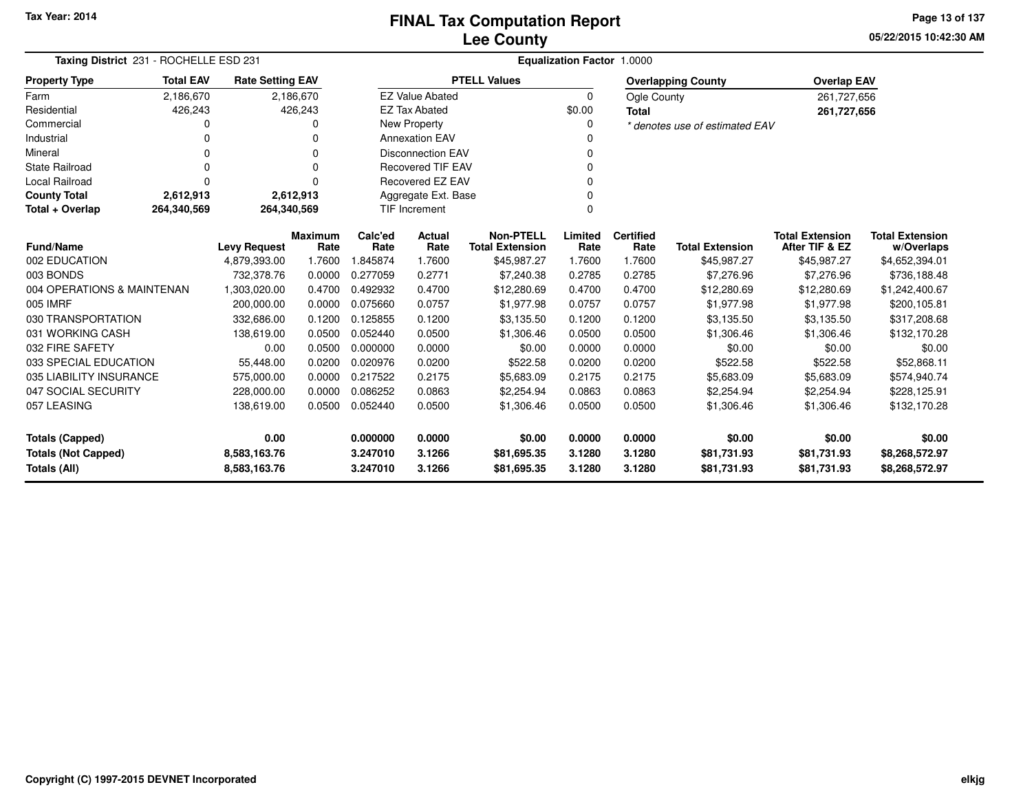**05/22/2015 10:42:30 AMPage 13 of 137**

| Taxing District 231 - ROCHELLE ESD 231 |                  |                                     |                |                      |                          |                                            | <b>Equalization Factor 1.0000</b> |                          |                                |                                          |                              |
|----------------------------------------|------------------|-------------------------------------|----------------|----------------------|--------------------------|--------------------------------------------|-----------------------------------|--------------------------|--------------------------------|------------------------------------------|------------------------------|
| <b>Property Type</b>                   | <b>Total EAV</b> | <b>Rate Setting EAV</b>             |                |                      |                          | <b>PTELL Values</b>                        |                                   |                          | <b>Overlapping County</b>      | <b>Overlap EAV</b>                       |                              |
| Farm                                   | 2,186,670        |                                     | 2,186,670      |                      | <b>EZ Value Abated</b>   |                                            | $\Omega$                          | Ogle County              |                                | 261,727,656                              |                              |
| Residential                            | 426,243          |                                     | 426,243        |                      | <b>EZ Tax Abated</b>     |                                            | \$0.00                            | <b>Total</b>             |                                | 261,727,656                              |                              |
| Commercial                             | O                |                                     | n              |                      | New Property             |                                            | $\Omega$                          |                          | * denotes use of estimated EAV |                                          |                              |
| Industrial                             | 0                |                                     |                |                      | <b>Annexation EAV</b>    |                                            |                                   |                          |                                |                                          |                              |
| Mineral                                | 0                |                                     | n              |                      | <b>Disconnection EAV</b> |                                            |                                   |                          |                                |                                          |                              |
| <b>State Railroad</b>                  | O                |                                     |                |                      | <b>Recovered TIF EAV</b> |                                            |                                   |                          |                                |                                          |                              |
| Local Railroad                         | 0                |                                     | U              |                      | Recovered EZ EAV         |                                            |                                   |                          |                                |                                          |                              |
| <b>County Total</b>                    | 2,612,913        |                                     | 2,612,913      |                      | Aggregate Ext. Base      |                                            |                                   |                          |                                |                                          |                              |
| Total + Overlap                        | 264,340,569      | 264,340,569                         |                |                      | <b>TIF Increment</b>     |                                            | $\Omega$                          |                          |                                |                                          |                              |
| <b>Fund/Name</b>                       |                  |                                     | <b>Maximum</b> | Calc'ed<br>Rate      | Actual<br>Rate           | <b>Non-PTELL</b><br><b>Total Extension</b> | Limited<br>Rate                   | <b>Certified</b><br>Rate | <b>Total Extension</b>         | <b>Total Extension</b><br>After TIF & EZ | <b>Total Extension</b>       |
| 002 EDUCATION                          |                  | <b>Levy Request</b><br>4,879,393.00 | Rate<br>1.7600 | 1.845874             | 1.7600                   | \$45,987.27                                | 1.7600                            | 1.7600                   | \$45,987.27                    | \$45,987.27                              | w/Overlaps<br>\$4,652,394.01 |
| 003 BONDS                              |                  | 732.378.76                          | 0.0000         | 0.277059             | 0.2771                   | \$7,240.38                                 | 0.2785                            | 0.2785                   | \$7,276.96                     | \$7,276.96                               | \$736,188.48                 |
| 004 OPERATIONS & MAINTENAN             |                  |                                     |                | 0.492932             |                          |                                            |                                   |                          |                                |                                          |                              |
| 005 IMRF                               |                  | 1,303,020.00                        | 0.4700         | 0.075660             | 0.4700                   | \$12,280.69                                | 0.4700<br>0.0757                  | 0.4700                   | \$12,280.69                    | \$12,280.69                              | \$1,242,400.67               |
|                                        |                  | 200,000.00                          | 0.0000         |                      | 0.0757                   | \$1,977.98                                 |                                   | 0.0757                   | \$1,977.98                     | \$1,977.98                               | \$200,105.81                 |
| 030 TRANSPORTATION                     |                  | 332,686.00                          | 0.1200         | 0.125855<br>0.052440 | 0.1200                   | \$3,135.50                                 | 0.1200                            | 0.1200                   | \$3,135.50                     | \$3,135.50                               | \$317,208.68                 |
| 031 WORKING CASH                       |                  | 138,619.00                          | 0.0500         |                      | 0.0500                   | \$1,306.46                                 | 0.0500                            | 0.0500                   | \$1,306.46                     | \$1,306.46                               | \$132,170.28                 |
| 032 FIRE SAFETY                        |                  | 0.00                                | 0.0500         | 0.000000             | 0.0000                   | \$0.00                                     | 0.0000                            | 0.0000                   | \$0.00                         | \$0.00                                   | \$0.00                       |
| 033 SPECIAL EDUCATION                  |                  | 55,448.00                           | 0.0200         | 0.020976             | 0.0200                   | \$522.58                                   | 0.0200                            | 0.0200                   | \$522.58                       | \$522.58                                 | \$52,868.11                  |
| 035 LIABILITY INSURANCE                |                  | 575,000.00                          | 0.0000         | 0.217522             | 0.2175                   | \$5,683.09                                 | 0.2175                            | 0.2175                   | \$5,683.09                     | \$5,683.09                               | \$574,940.74                 |
| 047 SOCIAL SECURITY                    |                  | 228,000.00                          | 0.0000         | 0.086252             | 0.0863                   | \$2,254.94                                 | 0.0863                            | 0.0863                   | \$2,254.94                     | \$2,254.94                               | \$228,125.91                 |
| 057 LEASING                            |                  | 138,619.00                          | 0.0500         | 0.052440             | 0.0500                   | \$1,306.46                                 | 0.0500                            | 0.0500                   | \$1,306.46                     | \$1,306.46                               | \$132,170.28                 |
| <b>Totals (Capped)</b>                 |                  | 0.00                                |                | 0.000000             | 0.0000                   | \$0.00                                     | 0.0000                            | 0.0000                   | \$0.00                         | \$0.00                                   | \$0.00                       |
| <b>Totals (Not Capped)</b>             |                  | 8,583,163.76                        |                | 3.247010             | 3.1266                   | \$81,695.35                                | 3.1280                            | 3.1280                   | \$81,731.93                    | \$81,731.93                              | \$8,268,572.97               |
| <b>Totals (All)</b>                    |                  | 8,583,163.76                        |                | 3.247010             | 3.1266                   | \$81,695.35                                | 3.1280                            | 3.1280                   | \$81,731.93                    | \$81,731.93                              | \$8,268,572.97               |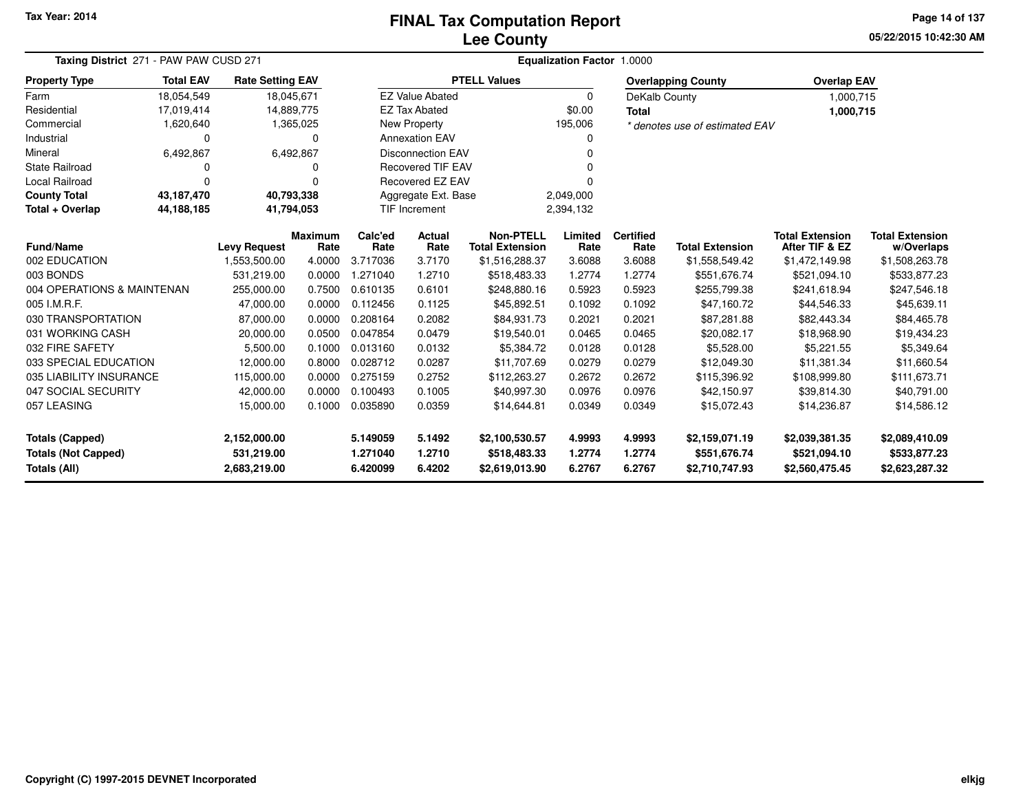## **Lee CountyFINAL Tax Computation Report**

**05/22/2015 10:42:30 AMPage 14 of 137**

| Taxing District 271 - PAW PAW CUSD 271 |                  |                         |                | <b>Equalization Factor 1.0000</b> |                          |                        |             |                  |                                |                        |                        |  |  |
|----------------------------------------|------------------|-------------------------|----------------|-----------------------------------|--------------------------|------------------------|-------------|------------------|--------------------------------|------------------------|------------------------|--|--|
| <b>Property Type</b>                   | <b>Total EAV</b> | <b>Rate Setting EAV</b> |                |                                   |                          | <b>PTELL Values</b>    |             |                  | <b>Overlapping County</b>      | <b>Overlap EAV</b>     |                        |  |  |
| Farm                                   | 18,054,549       | 18,045,671              |                |                                   | <b>EZ Value Abated</b>   |                        | $\mathbf 0$ | DeKalb County    |                                | 1,000,715              |                        |  |  |
| Residential                            | 17,019,414       | 14,889,775              |                |                                   | <b>EZ Tax Abated</b>     |                        | \$0.00      | <b>Total</b>     |                                | 1,000,715              |                        |  |  |
| Commercial                             | 1,620,640        |                         | 1,365,025      |                                   | New Property             |                        | 195,006     |                  | * denotes use of estimated EAV |                        |                        |  |  |
| Industrial                             | 0                |                         | $\Omega$       |                                   | <b>Annexation EAV</b>    |                        | 0           |                  |                                |                        |                        |  |  |
| Mineral                                | 6,492,867        |                         | 6,492,867      |                                   | <b>Disconnection EAV</b> |                        | ŋ           |                  |                                |                        |                        |  |  |
| <b>State Railroad</b>                  | 0                |                         | 0              |                                   | <b>Recovered TIF EAV</b> |                        |             |                  |                                |                        |                        |  |  |
| <b>Local Railroad</b>                  | $\Omega$         |                         | $\Omega$       |                                   | Recovered EZ EAV         |                        |             |                  |                                |                        |                        |  |  |
| <b>County Total</b>                    | 43,187,470       | 40,793,338              |                |                                   | Aggregate Ext. Base      |                        | 2,049,000   |                  |                                |                        |                        |  |  |
| Total + Overlap                        | 44,188,185       | 41,794,053              |                |                                   | TIF Increment            |                        | 2,394,132   |                  |                                |                        |                        |  |  |
|                                        |                  |                         | <b>Maximum</b> | Calc'ed                           | Actual                   | <b>Non-PTELL</b>       | Limited     | <b>Certified</b> |                                | <b>Total Extension</b> | <b>Total Extension</b> |  |  |
| <b>Fund/Name</b>                       |                  | <b>Levy Request</b>     | Rate           | Rate                              | Rate                     | <b>Total Extension</b> | Rate        | Rate             | <b>Total Extension</b>         | After TIF & EZ         | w/Overlaps             |  |  |
| 002 EDUCATION                          |                  | 1,553,500.00            | 4.0000         | 3.717036                          | 3.7170                   | \$1,516,288.37         | 3.6088      | 3.6088           | \$1,558,549.42                 | \$1,472,149.98         | \$1,508,263.78         |  |  |
| 003 BONDS                              |                  | 531,219.00              | 0.0000         | 1.271040                          | 1.2710                   | \$518,483.33           | 1.2774      | 1.2774           | \$551,676.74                   | \$521,094.10           | \$533,877.23           |  |  |
| 004 OPERATIONS & MAINTENAN             |                  | 255,000.00              | 0.7500         | 0.610135                          | 0.6101                   | \$248,880.16           | 0.5923      | 0.5923           | \$255,799.38                   | \$241,618.94           | \$247,546.18           |  |  |
| 005 I.M.R.F.                           |                  | 47,000.00               | 0.0000         | 0.112456                          | 0.1125                   | \$45,892.51            | 0.1092      | 0.1092           | \$47,160.72                    | \$44,546.33            | \$45,639.11            |  |  |
| 030 TRANSPORTATION                     |                  | 87,000.00               | 0.0000         | 0.208164                          | 0.2082                   | \$84,931.73            | 0.2021      | 0.2021           | \$87,281.88                    | \$82,443.34            | \$84,465.78            |  |  |
| 031 WORKING CASH                       |                  | 20,000.00               | 0.0500         | 0.047854                          | 0.0479                   | \$19,540.01            | 0.0465      | 0.0465           | \$20,082.17                    | \$18,968.90            | \$19,434.23            |  |  |
| 032 FIRE SAFETY                        |                  | 5,500.00                | 0.1000         | 0.013160                          | 0.0132                   | \$5,384.72             | 0.0128      | 0.0128           | \$5,528.00                     | \$5,221.55             | \$5,349.64             |  |  |
| 033 SPECIAL EDUCATION                  |                  | 12,000.00               | 0.8000         | 0.028712                          | 0.0287                   | \$11,707.69            | 0.0279      | 0.0279           | \$12,049.30                    | \$11,381.34            | \$11,660.54            |  |  |
| 035 LIABILITY INSURANCE                |                  | 115,000.00              | 0.0000         | 0.275159                          | 0.2752                   | \$112,263.27           | 0.2672      | 0.2672           | \$115,396.92                   | \$108,999.80           | \$111,673.71           |  |  |
| 047 SOCIAL SECURITY                    |                  | 42,000.00               | 0.0000         | 0.100493                          | 0.1005                   | \$40,997.30            | 0.0976      | 0.0976           | \$42,150.97                    | \$39,814.30            | \$40,791.00            |  |  |
| 057 LEASING                            |                  | 15,000.00               | 0.1000         | 0.035890                          | 0.0359                   | \$14,644.81            | 0.0349      | 0.0349           | \$15,072.43                    | \$14,236.87            | \$14,586.12            |  |  |
| <b>Totals (Capped)</b>                 |                  | 2,152,000.00            |                | 5.149059                          | 5.1492                   | \$2,100,530.57         | 4.9993      | 4.9993           | \$2,159,071.19                 | \$2,039,381.35         | \$2,089,410.09         |  |  |
| <b>Totals (Not Capped)</b>             |                  | 531,219.00              |                | 1.271040                          | 1.2710                   | \$518,483.33           | 1.2774      | 1.2774           | \$551,676.74                   | \$521,094.10           | \$533,877.23           |  |  |
| Totals (All)                           |                  | 2,683,219.00            |                | 6.420099                          | 6.4202                   | \$2,619,013.90         | 6.2767      | 6.2767           | \$2,710,747.93                 | \$2,560,475.45         | \$2,623,287.32         |  |  |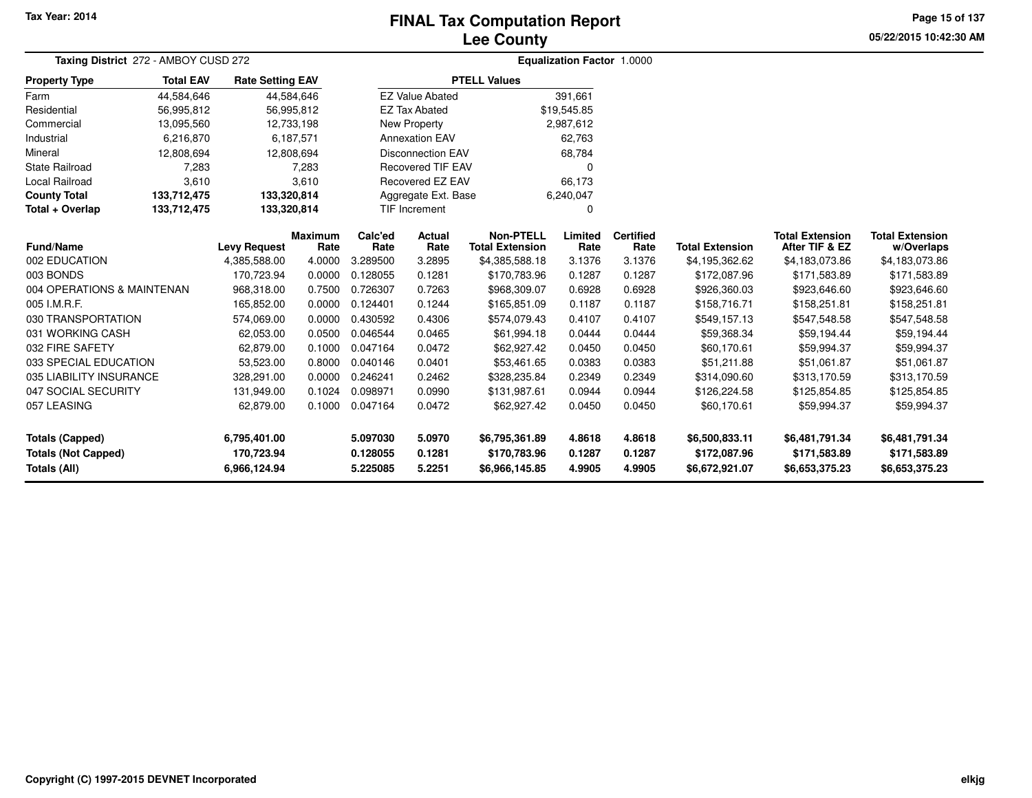# **Lee CountyFINAL Tax Computation Report**

**05/22/2015 10:42:30 AM Page 15 of 137**

| Taxing District 272 - AMBOY CUSD 272 |                  | <b>Equalization Factor 1.0000</b> |                 |                 |                          |                                            |                 |                          |                        |                                          |                                      |  |
|--------------------------------------|------------------|-----------------------------------|-----------------|-----------------|--------------------------|--------------------------------------------|-----------------|--------------------------|------------------------|------------------------------------------|--------------------------------------|--|
| <b>Property Type</b>                 | <b>Total EAV</b> | <b>Rate Setting EAV</b>           |                 |                 |                          | <b>PTELL Values</b>                        |                 |                          |                        |                                          |                                      |  |
| Farm                                 | 44,584,646       |                                   | 44,584,646      |                 | <b>EZ Value Abated</b>   |                                            | 391.661         |                          |                        |                                          |                                      |  |
| Residential                          | 56,995,812       |                                   | 56,995,812      |                 | <b>EZ Tax Abated</b>     |                                            | \$19,545.85     |                          |                        |                                          |                                      |  |
| Commercial                           | 13,095,560       |                                   | 12,733,198      |                 | New Property             |                                            | 2,987,612       |                          |                        |                                          |                                      |  |
| Industrial                           | 6,216,870        |                                   | 6,187,571       |                 | <b>Annexation EAV</b>    |                                            | 62.763          |                          |                        |                                          |                                      |  |
| Mineral                              | 12,808,694       |                                   | 12,808,694      |                 | <b>Disconnection EAV</b> |                                            | 68,784          |                          |                        |                                          |                                      |  |
| <b>State Railroad</b>                | 7,283            |                                   | 7,283           |                 | <b>Recovered TIF EAV</b> |                                            | 0               |                          |                        |                                          |                                      |  |
| <b>Local Railroad</b>                | 3,610            |                                   | 3,610           |                 | Recovered EZ EAV         |                                            | 66,173          |                          |                        |                                          |                                      |  |
| <b>County Total</b>                  | 133,712,475      | 133,320,814                       |                 |                 | Aggregate Ext. Base      |                                            | 6,240,047       |                          |                        |                                          |                                      |  |
| Total + Overlap                      | 133,712,475      | 133,320,814                       |                 |                 | <b>TIF Increment</b>     |                                            | 0               |                          |                        |                                          |                                      |  |
| <b>Fund/Name</b>                     |                  | <b>Levy Request</b>               | Maximum<br>Rate | Calc'ed<br>Rate | <b>Actual</b><br>Rate    | <b>Non-PTELL</b><br><b>Total Extension</b> | Limited<br>Rate | <b>Certified</b><br>Rate | <b>Total Extension</b> | <b>Total Extension</b><br>After TIF & EZ | <b>Total Extension</b><br>w/Overlaps |  |
| 002 EDUCATION                        |                  | 4,385,588.00                      | 4.0000          | 3.289500        | 3.2895                   | \$4,385,588.18                             | 3.1376          | 3.1376                   | \$4,195,362.62         | \$4,183,073.86                           | \$4,183,073.86                       |  |
| 003 BONDS                            |                  | 170,723.94                        | 0.0000          | 0.128055        | 0.1281                   | \$170,783.96                               | 0.1287          | 0.1287                   | \$172,087.96           | \$171,583.89                             | \$171,583.89                         |  |
| 004 OPERATIONS & MAINTENAN           |                  | 968,318.00                        | 0.7500          | 0.726307        | 0.7263                   | \$968,309.07                               | 0.6928          | 0.6928                   | \$926,360.03           | \$923,646.60                             | \$923,646.60                         |  |
| 005 I.M.R.F.                         |                  | 165,852.00                        | 0.0000          | 0.124401        | 0.1244                   | \$165,851.09                               | 0.1187          | 0.1187                   | \$158,716.71           | \$158,251.81                             | \$158,251.81                         |  |
| 030 TRANSPORTATION                   |                  | 574,069.00                        | 0.0000          | 0.430592        | 0.4306                   | \$574,079.43                               | 0.4107          | 0.4107                   | \$549,157.13           | \$547,548.58                             | \$547,548.58                         |  |
| 031 WORKING CASH                     |                  | 62,053.00                         | 0.0500          | 0.046544        | 0.0465                   | \$61,994.18                                | 0.0444          | 0.0444                   | \$59,368.34            | \$59,194.44                              | \$59,194.44                          |  |
| 032 FIRE SAFETY                      |                  | 62,879.00                         | 0.1000          | 0.047164        | 0.0472                   | \$62,927.42                                | 0.0450          | 0.0450                   | \$60,170.61            | \$59,994.37                              | \$59,994.37                          |  |
| 033 SPECIAL EDUCATION                |                  | 53,523.00                         | 0.8000          | 0.040146        | 0.0401                   | \$53,461.65                                | 0.0383          | 0.0383                   | \$51,211.88            | \$51,061.87                              | \$51,061.87                          |  |
| 035 LIABILITY INSURANCE              |                  | 328,291.00                        | 0.0000          | 0.246241        | 0.2462                   | \$328,235.84                               | 0.2349          | 0.2349                   | \$314,090.60           | \$313,170.59                             | \$313,170.59                         |  |
| 047 SOCIAL SECURITY                  |                  | 131,949.00                        | 0.1024          | 0.098971        | 0.0990                   | \$131,987.61                               | 0.0944          | 0.0944                   | \$126,224.58           | \$125,854.85                             | \$125,854.85                         |  |
| 057 LEASING                          |                  | 62,879.00                         | 0.1000          | 0.047164        | 0.0472                   | \$62,927.42                                | 0.0450          | 0.0450                   | \$60,170.61            | \$59,994.37                              | \$59,994.37                          |  |
| <b>Totals (Capped)</b>               |                  | 6,795,401.00                      |                 | 5.097030        | 5.0970                   | \$6,795,361.89                             | 4.8618          | 4.8618                   | \$6,500,833.11         | \$6,481,791.34                           | \$6,481,791.34                       |  |
| <b>Totals (Not Capped)</b>           |                  | 170,723.94                        |                 | 0.128055        | 0.1281                   | \$170,783.96                               | 0.1287          | 0.1287                   | \$172,087.96           | \$171,583.89                             | \$171,583.89                         |  |
| Totals (All)                         |                  | 6,966,124.94                      |                 | 5.225085        | 5.2251                   | \$6,966,145.85                             | 4.9905          | 4.9905                   | \$6,672,921.07         | \$6,653,375.23                           | \$6,653,375.23                       |  |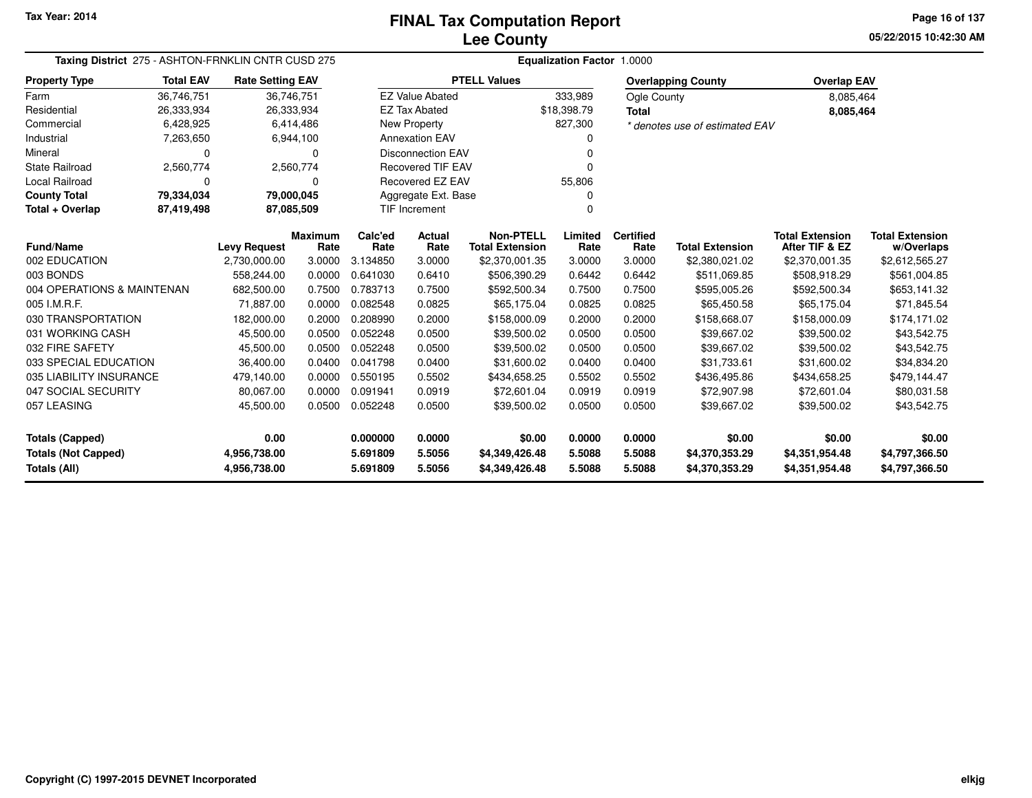**05/22/2015 10:42:30 AM Page 16 of 137**

| Taxing District 275 - ASHTON-FRNKLIN CNTR CUSD 275 |                                                      |                         |                        |                 | Equalization Factor 1.0000 |                                            |                 |                          |                                |                                          |                                      |  |  |  |
|----------------------------------------------------|------------------------------------------------------|-------------------------|------------------------|-----------------|----------------------------|--------------------------------------------|-----------------|--------------------------|--------------------------------|------------------------------------------|--------------------------------------|--|--|--|
| <b>Property Type</b>                               | <b>Total EAV</b>                                     | <b>Rate Setting EAV</b> |                        |                 |                            | <b>PTELL Values</b>                        |                 |                          | <b>Overlapping County</b>      | <b>Overlap EAV</b>                       |                                      |  |  |  |
| Farm                                               | 36,746,751                                           | 36,746,751              |                        |                 | <b>EZ Value Abated</b>     |                                            | 333,989         | <b>Ogle County</b>       |                                | 8,085,464                                |                                      |  |  |  |
| Residential                                        | 26,333,934                                           | 26,333,934              |                        |                 | <b>EZ Tax Abated</b>       |                                            | \$18,398.79     | <b>Total</b>             |                                | 8,085,464                                |                                      |  |  |  |
| Commercial                                         | 6,428,925                                            |                         | 6,414,486              |                 | New Property               |                                            | 827,300         |                          | * denotes use of estimated EAV |                                          |                                      |  |  |  |
| Industrial                                         | 7,263,650                                            |                         | 6,944,100              |                 | <b>Annexation EAV</b>      |                                            |                 |                          |                                |                                          |                                      |  |  |  |
| Mineral                                            | $\Omega$                                             |                         | $\Omega$               |                 | <b>Disconnection EAV</b>   |                                            | ŋ               |                          |                                |                                          |                                      |  |  |  |
| <b>State Railroad</b>                              | 2,560,774                                            |                         | 2,560,774              |                 | <b>Recovered TIF EAV</b>   |                                            | 0               |                          |                                |                                          |                                      |  |  |  |
| Local Railroad                                     | 0                                                    |                         | 0                      |                 | <b>Recovered EZ EAV</b>    |                                            | 55,806          |                          |                                |                                          |                                      |  |  |  |
| <b>County Total</b>                                | 79,334,034                                           | 79,000,045              |                        |                 | Aggregate Ext. Base        |                                            | n               |                          |                                |                                          |                                      |  |  |  |
| Total + Overlap                                    | 87,419,498                                           | 87,085,509              |                        |                 | <b>TIF Increment</b>       |                                            | O               |                          |                                |                                          |                                      |  |  |  |
| Fund/Name                                          |                                                      | <b>Levy Request</b>     | <b>Maximum</b><br>Rate | Calc'ed<br>Rate | Actual<br>Rate             | <b>Non-PTELL</b><br><b>Total Extension</b> | Limited<br>Rate | <b>Certified</b><br>Rate | <b>Total Extension</b>         | <b>Total Extension</b><br>After TIF & EZ | <b>Total Extension</b><br>w/Overlaps |  |  |  |
| 002 EDUCATION                                      |                                                      | 2,730,000.00            | 3.0000                 | 3.134850        | 3.0000                     | \$2,370,001.35                             | 3.0000          | 3.0000                   | \$2,380,021.02                 | \$2,370,001.35                           | \$2,612,565.27                       |  |  |  |
| 003 BONDS                                          |                                                      | 558,244.00              | 0.0000                 | 0.641030        | 0.6410                     | \$506,390.29                               | 0.6442          | 0.6442                   | \$511,069.85                   | \$508,918.29                             | \$561,004.85                         |  |  |  |
| 004 OPERATIONS & MAINTENAN                         |                                                      | 682,500.00              | 0.7500                 | 0.783713        | 0.7500                     | \$592,500.34                               | 0.7500          | 0.7500                   | \$595,005.26                   | \$592,500.34                             | \$653,141.32                         |  |  |  |
| 005 I.M.R.F.                                       |                                                      | 71,887.00               | 0.0000                 | 0.082548        | 0.0825                     | \$65,175.04                                | 0.0825          | 0.0825                   | \$65,450.58                    | \$65,175.04                              | \$71,845.54                          |  |  |  |
| 030 TRANSPORTATION                                 |                                                      | 182,000.00              | 0.2000                 | 0.208990        | 0.2000                     | \$158,000.09                               | 0.2000          | 0.2000                   | \$158,668.07                   | \$158,000.09                             | \$174,171.02                         |  |  |  |
| 031 WORKING CASH                                   |                                                      | 45,500.00               | 0.0500                 | 0.052248        | 0.0500                     | \$39,500.02                                | 0.0500          | 0.0500                   | \$39,667.02                    | \$39,500.02                              | \$43,542.75                          |  |  |  |
| 032 FIRE SAFETY                                    |                                                      | 45,500.00               | 0.0500                 | 0.052248        | 0.0500                     | \$39,500.02                                | 0.0500          | 0.0500                   | \$39,667.02                    | \$39,500.02                              | \$43,542.75                          |  |  |  |
| 033 SPECIAL EDUCATION                              |                                                      | 36,400.00               | 0.0400                 | 0.041798        | 0.0400                     | \$31,600.02                                | 0.0400          | 0.0400                   | \$31,733.61                    | \$31,600.02                              | \$34,834.20                          |  |  |  |
| 035 LIABILITY INSURANCE                            |                                                      | 479,140.00              | 0.0000                 | 0.550195        | 0.5502                     | \$434,658.25                               | 0.5502          | 0.5502                   | \$436,495.86                   | \$434,658.25                             | \$479,144.47                         |  |  |  |
| 047 SOCIAL SECURITY                                |                                                      | 80,067.00               | 0.0000                 | 0.091941        | 0.0919                     | \$72,601.04                                | 0.0919          | 0.0919                   | \$72,907.98                    | \$72,601.04                              | \$80,031.58                          |  |  |  |
| 057 LEASING                                        |                                                      | 45,500.00               | 0.0500                 | 0.052248        | 0.0500                     | \$39,500.02                                | 0.0500          | 0.0500                   | \$39,667.02                    | \$39,500.02                              | \$43,542.75                          |  |  |  |
| <b>Totals (Capped)</b>                             |                                                      | 0.00                    |                        | 0.000000        | 0.0000                     | \$0.00                                     | 0.0000          | 0.0000                   | \$0.00                         | \$0.00                                   | \$0.00                               |  |  |  |
| <b>Totals (Not Capped)</b>                         |                                                      | 4,956,738.00            |                        | 5.691809        | 5.5056                     | \$4,349,426.48                             | 5.5088          | 5.5088                   | \$4,370,353.29                 | \$4,351,954.48                           | \$4,797,366.50                       |  |  |  |
| Totals (All)                                       | 5.5056<br>4,956,738.00<br>5.691809<br>\$4,349,426.48 |                         | 5.5088                 | 5.5088          | \$4,370,353.29             | \$4,351,954.48                             | \$4,797,366.50  |                          |                                |                                          |                                      |  |  |  |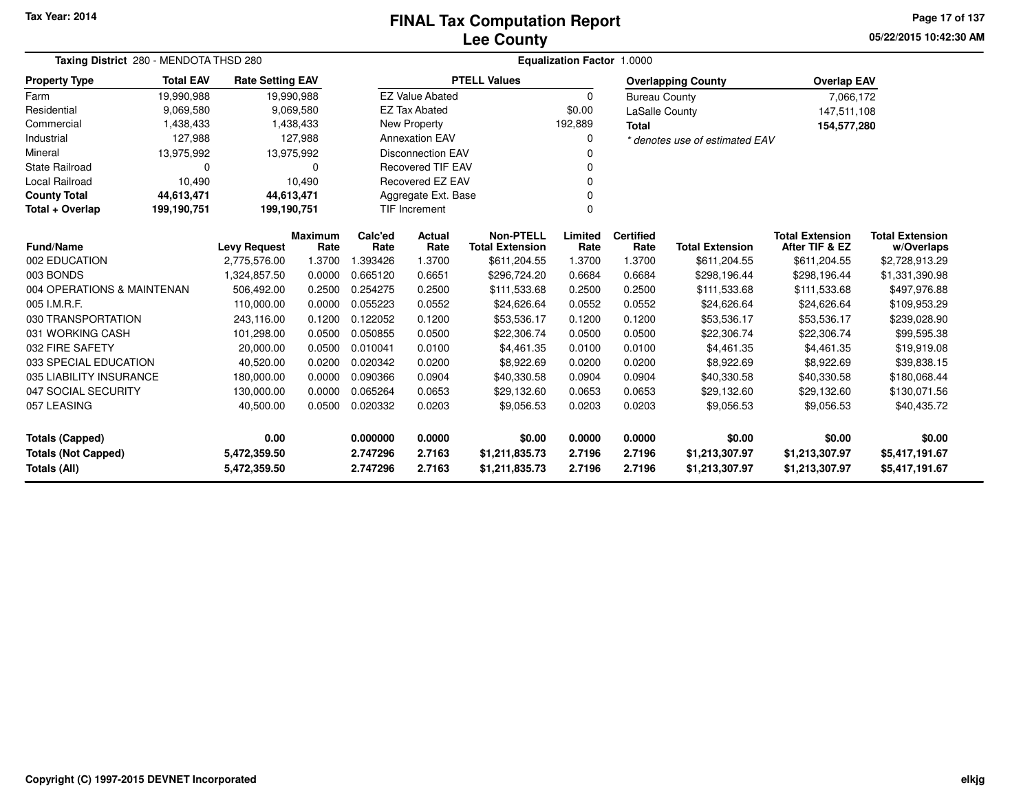## **Lee CountyFINAL Tax Computation Report**

**05/22/2015 10:42:30 AM Page 17 of 137**

| Taxing District 280 - MENDOTA THSD 280 |                  |                         |                        | Equalization Factor 1.0000 |                          |                                            |                 |                          |                                |                                          |                                      |  |  |
|----------------------------------------|------------------|-------------------------|------------------------|----------------------------|--------------------------|--------------------------------------------|-----------------|--------------------------|--------------------------------|------------------------------------------|--------------------------------------|--|--|
| <b>Property Type</b>                   | <b>Total EAV</b> | <b>Rate Setting EAV</b> |                        |                            |                          | <b>PTELL Values</b>                        |                 |                          | <b>Overlapping County</b>      | <b>Overlap EAV</b>                       |                                      |  |  |
| Farm                                   | 19,990,988       | 19,990,988              |                        |                            | <b>EZ Value Abated</b>   |                                            | 0               | <b>Bureau County</b>     |                                | 7,066,172                                |                                      |  |  |
| Residential                            | 9,069,580        |                         | 9,069,580              |                            | <b>EZ Tax Abated</b>     |                                            | \$0.00          | LaSalle County           |                                | 147,511,108                              |                                      |  |  |
| Commercial                             | 1,438,433        |                         | 1,438,433              |                            | New Property             |                                            | 192,889         | <b>Total</b>             |                                | 154,577,280                              |                                      |  |  |
| Industrial                             | 127,988          |                         | 127,988                |                            | <b>Annexation EAV</b>    |                                            |                 |                          | * denotes use of estimated EAV |                                          |                                      |  |  |
| Mineral                                | 13,975,992       | 13,975,992              |                        |                            | <b>Disconnection EAV</b> |                                            |                 |                          |                                |                                          |                                      |  |  |
| <b>State Railroad</b>                  | 0                |                         | 0                      |                            | <b>Recovered TIF EAV</b> |                                            |                 |                          |                                |                                          |                                      |  |  |
| Local Railroad                         | 10,490           |                         | 10,490                 |                            | Recovered EZ EAV         |                                            |                 |                          |                                |                                          |                                      |  |  |
| <b>County Total</b>                    | 44,613,471       | 44,613,471              |                        |                            | Aggregate Ext. Base      |                                            |                 |                          |                                |                                          |                                      |  |  |
| Total + Overlap                        | 199,190,751      | 199,190,751             |                        | <b>TIF Increment</b>       |                          |                                            |                 |                          |                                |                                          |                                      |  |  |
| Fund/Name                              |                  | <b>Levy Request</b>     | <b>Maximum</b><br>Rate | Calc'ed<br>Rate            | Actual<br>Rate           | <b>Non-PTELL</b><br><b>Total Extension</b> | Limited<br>Rate | <b>Certified</b><br>Rate | <b>Total Extension</b>         | <b>Total Extension</b><br>After TIF & EZ | <b>Total Extension</b><br>w/Overlaps |  |  |
| 002 EDUCATION                          |                  | 2,775,576.00            | 1.3700                 | 1.393426                   | 1.3700                   | \$611,204.55                               | 1.3700          | 1.3700                   | \$611,204.55                   | \$611,204.55                             | \$2,728,913.29                       |  |  |
| 003 BONDS                              |                  | 1,324,857.50            | 0.0000                 | 0.665120                   | 0.6651                   | \$296,724.20                               | 0.6684          | 0.6684                   | \$298,196.44                   | \$298,196.44                             | \$1,331,390.98                       |  |  |
| 004 OPERATIONS & MAINTENAN             |                  | 506,492.00              | 0.2500                 | 0.254275                   | 0.2500                   | \$111,533.68                               | 0.2500          | 0.2500                   | \$111,533.68                   | \$111,533.68                             | \$497,976.88                         |  |  |
| 005 I.M.R.F.                           |                  | 110,000.00              | 0.0000                 | 0.055223                   | 0.0552                   | \$24,626.64                                | 0.0552          | 0.0552                   | \$24,626.64                    | \$24,626.64                              | \$109,953.29                         |  |  |
| 030 TRANSPORTATION                     |                  | 243,116.00              | 0.1200                 | 0.122052                   | 0.1200                   | \$53,536.17                                | 0.1200          | 0.1200                   | \$53,536.17                    | \$53,536.17                              | \$239,028.90                         |  |  |
| 031 WORKING CASH                       |                  | 101,298.00              | 0.0500                 | 0.050855                   | 0.0500                   | \$22,306.74                                | 0.0500          | 0.0500                   | \$22,306.74                    | \$22,306.74                              | \$99,595.38                          |  |  |
| 032 FIRE SAFETY                        |                  | 20,000.00               | 0.0500                 | 0.010041                   | 0.0100                   | \$4,461.35                                 | 0.0100          | 0.0100                   | \$4,461.35                     | \$4,461.35                               | \$19,919.08                          |  |  |
| 033 SPECIAL EDUCATION                  |                  | 40,520.00               | 0.0200                 | 0.020342                   | 0.0200                   | \$8,922.69                                 | 0.0200          | 0.0200                   | \$8,922.69                     | \$8,922.69                               | \$39,838.15                          |  |  |
| 035 LIABILITY INSURANCE                |                  | 180,000.00              | 0.0000                 | 0.090366                   | 0.0904                   | \$40,330.58                                | 0.0904          | 0.0904                   | \$40,330.58                    | \$40,330.58                              | \$180,068.44                         |  |  |
| 047 SOCIAL SECURITY                    |                  | 130,000.00              | 0.0000                 | 0.065264                   | 0.0653                   | \$29,132.60                                | 0.0653          | 0.0653                   | \$29,132.60                    | \$29,132.60                              | \$130,071.56                         |  |  |
| 057 LEASING                            |                  | 40,500.00               | 0.0500                 | 0.020332                   | 0.0203                   | \$9,056.53                                 | 0.0203          | 0.0203                   | \$9,056.53                     | \$9,056.53                               | \$40,435.72                          |  |  |
| <b>Totals (Capped)</b>                 |                  | 0.00                    |                        | 0.000000                   | 0.0000                   | \$0.00                                     | 0.0000          | 0.0000                   | \$0.00                         | \$0.00                                   | \$0.00                               |  |  |
| <b>Totals (Not Capped)</b>             |                  | 5,472,359.50            |                        | 2.747296                   | 2.7163                   | \$1,211,835.73                             | 2.7196          | 2.7196                   | \$1,213,307.97                 | \$1,213,307.97                           | \$5,417,191.67                       |  |  |
| Totals (All)                           |                  | 5,472,359.50            |                        | 2.747296                   | 2.7163                   | \$1,211,835.73                             | 2.7196          | 2.7196                   | \$1,213,307.97                 | \$1,213,307.97                           | \$5,417,191.67                       |  |  |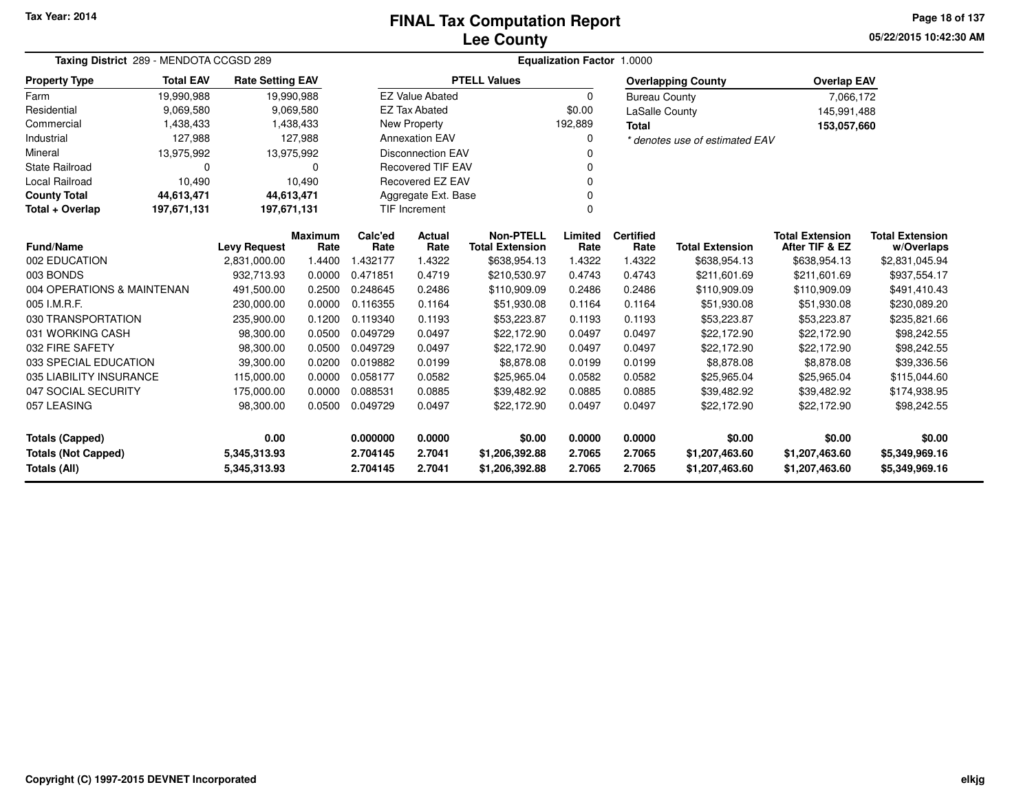## **Lee CountyFINAL Tax Computation Report**

**05/22/2015 10:42:30 AMPage 18 of 137**

| Taxing District 289 - MENDOTA CCGSD 289 |                  |                         |                  | Equalization Factor 1.0000 |                          |                            |                  |                      |                                        |                                          |                             |  |
|-----------------------------------------|------------------|-------------------------|------------------|----------------------------|--------------------------|----------------------------|------------------|----------------------|----------------------------------------|------------------------------------------|-----------------------------|--|
| <b>Property Type</b>                    | <b>Total EAV</b> | <b>Rate Setting EAV</b> |                  |                            |                          | <b>PTELL Values</b>        |                  |                      | <b>Overlapping County</b>              | <b>Overlap EAV</b>                       |                             |  |
| Farm                                    | 19,990,988       | 19,990,988              |                  |                            | <b>EZ Value Abated</b>   |                            | $\Omega$         | <b>Bureau County</b> |                                        | 7,066,172                                |                             |  |
| Residential                             | 9,069,580        |                         | 9,069,580        |                            | <b>EZ Tax Abated</b>     |                            | \$0.00           | LaSalle County       |                                        | 145,991,488                              |                             |  |
| Commercial                              | 1,438,433        |                         | 1,438,433        |                            | <b>New Property</b>      |                            | 192,889          | <b>Total</b>         |                                        | 153,057,660                              |                             |  |
| Industrial                              | 127,988          |                         | 127,988          |                            | <b>Annexation EAV</b>    |                            | $\Omega$         |                      | * denotes use of estimated EAV         |                                          |                             |  |
| Mineral                                 | 13,975,992       | 13,975,992              |                  |                            | <b>Disconnection EAV</b> |                            |                  |                      |                                        |                                          |                             |  |
| <b>State Railroad</b>                   | $\Omega$         |                         | 0                |                            | <b>Recovered TIF EAV</b> |                            |                  |                      |                                        |                                          |                             |  |
| Local Railroad                          | 10,490           |                         | 10,490           |                            | Recovered EZ EAV         |                            |                  |                      |                                        |                                          |                             |  |
| <b>County Total</b>                     | 44,613,471       | 44,613,471              |                  |                            | Aggregate Ext. Base      |                            |                  |                      |                                        |                                          |                             |  |
| Total + Overlap                         | 197,671,131      | 197,671,131             |                  |                            | <b>TIF Increment</b>     |                            | $\Omega$         |                      |                                        |                                          |                             |  |
|                                         |                  |                         | Maximum          | Calc'ed                    | Actual                   | <b>Non-PTELL</b>           | Limited          | <b>Certified</b>     |                                        | <b>Total Extension</b><br>After TIF & EZ | <b>Total Extension</b>      |  |
| Fund/Name<br>002 EDUCATION              |                  | <b>Levy Request</b>     | Rate<br>1.4400   | Rate                       | Rate                     | <b>Total Extension</b>     | Rate             | Rate                 | <b>Total Extension</b><br>\$638,954.13 | \$638,954.13                             | w/Overlaps                  |  |
| 003 BONDS                               |                  | 2,831,000.00            |                  | 1.432177<br>0.471851       | 1.4322<br>0.4719         | \$638,954.13               | 1.4322<br>0.4743 | 1.4322<br>0.4743     |                                        |                                          | \$2,831,045.94              |  |
|                                         |                  | 932,713.93              | 0.0000           |                            |                          | \$210,530.97               |                  |                      | \$211,601.69                           | \$211,601.69                             | \$937,554.17                |  |
| 004 OPERATIONS & MAINTENAN              |                  | 491,500.00              | 0.2500           | 0.248645                   | 0.2486                   | \$110,909.09               | 0.2486           | 0.2486               | \$110,909.09                           | \$110,909.09                             | \$491,410.43                |  |
| 005 I.M.R.F.<br>030 TRANSPORTATION      |                  | 230,000.00              | 0.0000<br>0.1200 | 0.116355<br>0.119340       | 0.1164<br>0.1193         | \$51,930.08                | 0.1164<br>0.1193 | 0.1164<br>0.1193     | \$51,930.08                            | \$51,930.08                              | \$230,089.20                |  |
| 031 WORKING CASH                        |                  | 235,900.00<br>98,300.00 | 0.0500           | 0.049729                   | 0.0497                   | \$53,223.87<br>\$22,172.90 | 0.0497           | 0.0497               | \$53,223.87<br>\$22,172.90             | \$53,223.87<br>\$22,172.90               | \$235,821.66<br>\$98,242.55 |  |
| 032 FIRE SAFETY                         |                  | 98,300.00               | 0.0500           | 0.049729                   | 0.0497                   | \$22,172.90                | 0.0497           | 0.0497               | \$22,172.90                            | \$22,172.90                              | \$98,242.55                 |  |
| 033 SPECIAL EDUCATION                   |                  | 39,300.00               | 0.0200           | 0.019882                   | 0.0199                   | \$8,878.08                 | 0.0199           | 0.0199               | \$8,878.08                             | \$8,878.08                               | \$39,336.56                 |  |
| 035 LIABILITY INSURANCE                 |                  | 115,000.00              | 0.0000           | 0.058177                   | 0.0582                   | \$25,965.04                | 0.0582           | 0.0582               | \$25,965.04                            | \$25,965.04                              | \$115,044.60                |  |
| 047 SOCIAL SECURITY                     |                  | 175,000.00              | 0.0000           | 0.088531                   | 0.0885                   | \$39,482.92                | 0.0885           | 0.0885               | \$39,482.92                            | \$39,482.92                              | \$174,938.95                |  |
| 057 LEASING                             |                  | 98,300.00               | 0.0500           | 0.049729                   | 0.0497                   | \$22,172.90                | 0.0497           | 0.0497               | \$22,172.90                            | \$22,172.90                              | \$98,242.55                 |  |
|                                         |                  |                         |                  |                            |                          |                            |                  |                      |                                        |                                          |                             |  |
| <b>Totals (Capped)</b>                  |                  | 0.00                    |                  | 0.000000                   | 0.0000                   | \$0.00                     | 0.0000           | 0.0000               | \$0.00                                 | \$0.00                                   | \$0.00                      |  |
| <b>Totals (Not Capped)</b>              |                  | 5,345,313.93            |                  | 2.704145                   | 2.7041                   | \$1,206,392.88             | 2.7065           | 2.7065               | \$1,207,463.60                         | \$1,207,463.60                           | \$5,349,969.16              |  |
| Totals (All)                            |                  | 5,345,313.93            |                  | 2.704145                   | 2.7041                   | \$1,206,392.88             | 2.7065           | 2.7065               | \$1,207,463.60                         | \$1,207,463.60                           | \$5,349,969.16              |  |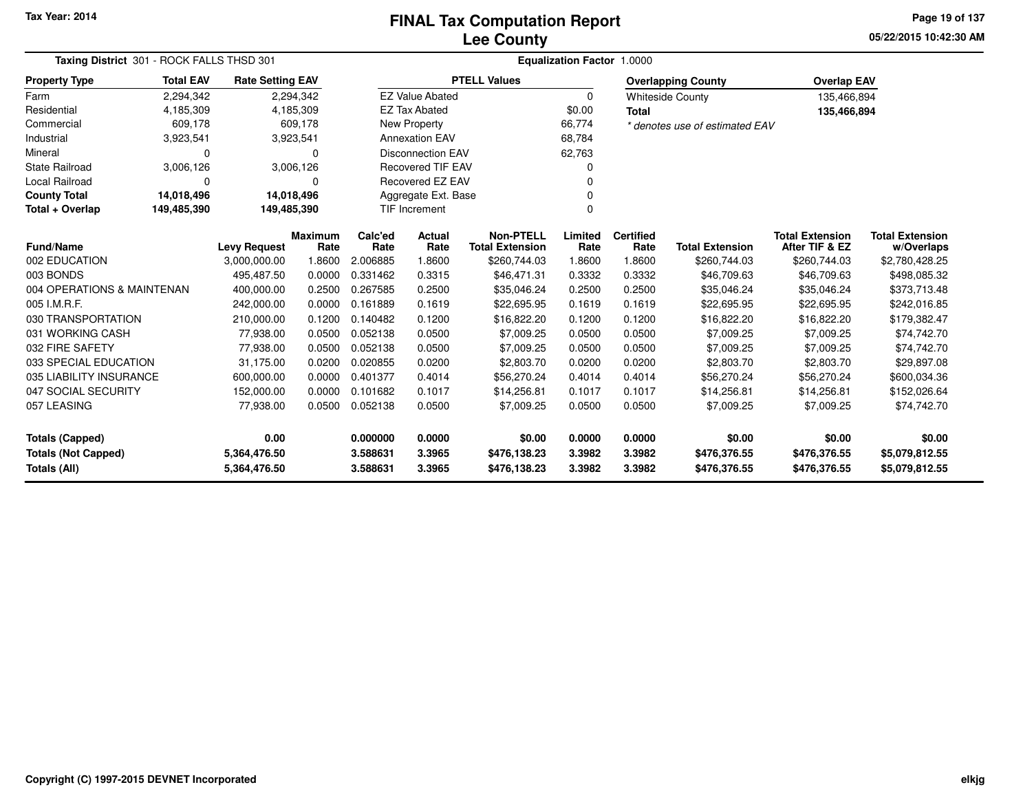**05/22/2015 10:42:30 AMPage 19 of 137**

| Taxing District 301 - ROCK FALLS THSD 301 |                  | <b>Equalization Factor 1.0000</b> |                 |                 |                          |                                            |                 |                          |                                |                                          |                                      |
|-------------------------------------------|------------------|-----------------------------------|-----------------|-----------------|--------------------------|--------------------------------------------|-----------------|--------------------------|--------------------------------|------------------------------------------|--------------------------------------|
| <b>Property Type</b>                      | <b>Total EAV</b> | <b>Rate Setting EAV</b>           |                 |                 |                          | <b>PTELL Values</b>                        |                 |                          | <b>Overlapping County</b>      | <b>Overlap EAV</b>                       |                                      |
| Farm                                      | 2,294,342        |                                   | 2,294,342       |                 | <b>EZ Value Abated</b>   |                                            | $\Omega$        |                          | <b>Whiteside County</b>        | 135,466,894                              |                                      |
| Residential                               | 4,185,309        |                                   | 4,185,309       |                 | <b>EZ Tax Abated</b>     |                                            | \$0.00          | <b>Total</b>             |                                | 135,466,894                              |                                      |
| Commercial                                | 609,178          |                                   | 609,178         |                 | <b>New Property</b>      |                                            | 66,774          |                          | * denotes use of estimated EAV |                                          |                                      |
| Industrial                                | 3,923,541        |                                   | 3,923,541       |                 | <b>Annexation EAV</b>    |                                            | 68,784          |                          |                                |                                          |                                      |
| Mineral                                   | $\Omega$         |                                   | 0               |                 | <b>Disconnection EAV</b> |                                            | 62,763          |                          |                                |                                          |                                      |
| <b>State Railroad</b>                     | 3,006,126        |                                   | 3,006,126       |                 | <b>Recovered TIF EAV</b> |                                            |                 |                          |                                |                                          |                                      |
| Local Railroad                            | 0                |                                   | 0               |                 | Recovered EZ EAV         |                                            |                 |                          |                                |                                          |                                      |
| <b>County Total</b>                       | 14,018,496       | 14,018,496                        |                 |                 | Aggregate Ext. Base      |                                            |                 |                          |                                |                                          |                                      |
| Total + Overlap                           | 149,485,390      | 149,485,390                       |                 |                 | <b>TIF Increment</b>     |                                            | $\Omega$        |                          |                                |                                          |                                      |
| Fund/Name                                 |                  | <b>Levy Request</b>               | Maximum<br>Rate | Calc'ed<br>Rate | Actual<br>Rate           | <b>Non-PTELL</b><br><b>Total Extension</b> | Limited<br>Rate | <b>Certified</b><br>Rate | <b>Total Extension</b>         | <b>Total Extension</b><br>After TIF & EZ | <b>Total Extension</b><br>w/Overlaps |
| 002 EDUCATION                             |                  | 3,000,000.00                      | 1.8600          | 2.006885        | 1.8600                   | \$260,744.03                               | 1.8600          | 1.8600                   | \$260,744.03                   | \$260,744.03                             | \$2,780,428.25                       |
| 003 BONDS                                 |                  | 495,487.50                        | 0.0000          | 0.331462        | 0.3315                   | \$46,471.31                                | 0.3332          | 0.3332                   | \$46,709.63                    | \$46,709.63                              | \$498,085.32                         |
| 004 OPERATIONS & MAINTENAN                |                  | 400,000.00                        | 0.2500          | 0.267585        | 0.2500                   | \$35,046.24                                | 0.2500          | 0.2500                   | \$35,046.24                    | \$35,046.24                              | \$373,713.48                         |
| 005 I.M.R.F.                              |                  | 242.000.00                        | 0.0000          | 0.161889        | 0.1619                   | \$22,695.95                                | 0.1619          | 0.1619                   | \$22,695.95                    | \$22,695.95                              | \$242,016.85                         |
| 030 TRANSPORTATION                        |                  | 210,000.00                        | 0.1200          | 0.140482        | 0.1200                   | \$16,822.20                                | 0.1200          | 0.1200                   | \$16,822.20                    | \$16,822.20                              | \$179,382.47                         |
| 031 WORKING CASH                          |                  | 77,938.00                         | 0.0500          | 0.052138        | 0.0500                   | \$7,009.25                                 | 0.0500          | 0.0500                   | \$7,009.25                     | \$7,009.25                               | \$74,742.70                          |
| 032 FIRE SAFETY                           |                  | 77,938.00                         | 0.0500          | 0.052138        | 0.0500                   | \$7,009.25                                 | 0.0500          | 0.0500                   | \$7,009.25                     | \$7,009.25                               | \$74,742.70                          |
| 033 SPECIAL EDUCATION                     |                  | 31,175.00                         | 0.0200          | 0.020855        | 0.0200                   | \$2,803.70                                 | 0.0200          | 0.0200                   | \$2,803.70                     | \$2,803.70                               | \$29,897.08                          |
| 035 LIABILITY INSURANCE                   |                  | 600,000.00                        | 0.0000          | 0.401377        | 0.4014                   | \$56,270.24                                | 0.4014          | 0.4014                   | \$56,270.24                    | \$56,270.24                              | \$600,034.36                         |
| 047 SOCIAL SECURITY                       |                  | 152,000.00                        | 0.0000          | 0.101682        | 0.1017                   | \$14,256.81                                | 0.1017          | 0.1017                   | \$14,256.81                    | \$14,256.81                              | \$152,026.64                         |
| 057 LEASING                               |                  | 77,938.00                         | 0.0500          | 0.052138        | 0.0500                   | \$7,009.25                                 | 0.0500          | 0.0500                   | \$7,009.25                     | \$7,009.25                               | \$74,742.70                          |
| <b>Totals (Capped)</b>                    |                  | 0.00                              |                 | 0.000000        | 0.0000                   | \$0.00                                     | 0.0000          | 0.0000                   | \$0.00                         | \$0.00                                   | \$0.00                               |
| <b>Totals (Not Capped)</b>                |                  | 5,364,476.50                      |                 | 3.588631        | 3.3965                   | \$476,138.23                               | 3.3982          | 3.3982                   | \$476,376.55                   | \$476,376.55                             | \$5,079,812.55                       |
| Totals (All)                              |                  | 5,364,476.50                      |                 | 3.588631        | 3.3965                   | \$476,138.23                               | 3.3982          | 3.3982                   | \$476,376.55                   | \$476,376.55                             | \$5,079,812.55                       |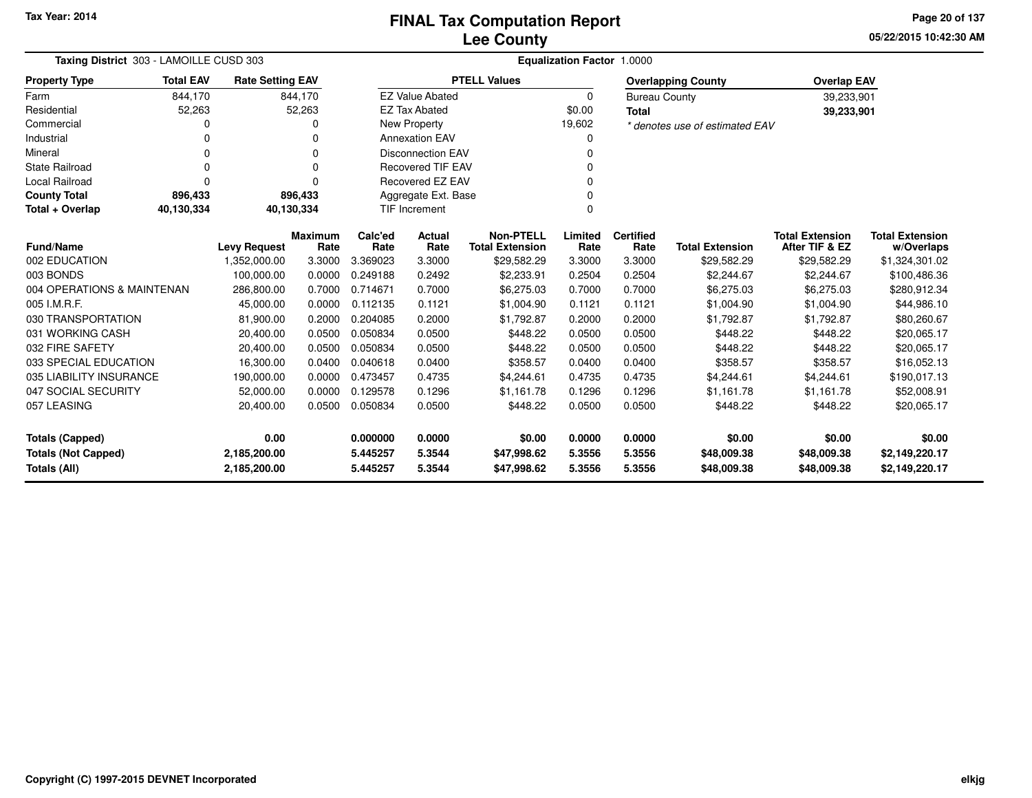**05/22/2015 10:42:30 AM Page 20 of 137**

| Taxing District 303 - LAMOILLE CUSD 303 | Equalization Factor 1.0000 |                         |                        |                 |                          |                                            |                 |                          |                                |                                          |                                      |
|-----------------------------------------|----------------------------|-------------------------|------------------------|-----------------|--------------------------|--------------------------------------------|-----------------|--------------------------|--------------------------------|------------------------------------------|--------------------------------------|
| <b>Property Type</b>                    | <b>Total EAV</b>           | <b>Rate Setting EAV</b> |                        |                 |                          | <b>PTELL Values</b>                        |                 |                          | <b>Overlapping County</b>      | <b>Overlap EAV</b>                       |                                      |
| Farm                                    | 844,170                    |                         | 844,170                |                 | <b>EZ Value Abated</b>   |                                            | $\Omega$        | <b>Bureau County</b>     |                                | 39,233,901                               |                                      |
| Residential                             | 52,263                     |                         | 52,263                 |                 | <b>EZ Tax Abated</b>     |                                            | \$0.00          | <b>Total</b>             |                                | 39,233,901                               |                                      |
| Commercial                              |                            |                         | ŋ                      |                 | New Property             |                                            | 19,602          |                          | * denotes use of estimated EAV |                                          |                                      |
| Industrial                              |                            |                         | $\Omega$               |                 | <b>Annexation EAV</b>    |                                            | 0               |                          |                                |                                          |                                      |
| Mineral                                 | 0                          |                         | O                      |                 | <b>Disconnection EAV</b> |                                            | $\Omega$        |                          |                                |                                          |                                      |
| <b>State Railroad</b>                   | 0                          |                         | $\Omega$               |                 | <b>Recovered TIF EAV</b> |                                            |                 |                          |                                |                                          |                                      |
| <b>Local Railroad</b>                   | 0                          |                         | O                      |                 | <b>Recovered EZ EAV</b>  |                                            | $\Omega$        |                          |                                |                                          |                                      |
| <b>County Total</b>                     | 896,433                    |                         | 896,433                |                 | Aggregate Ext. Base      |                                            | 0               |                          |                                |                                          |                                      |
| Total + Overlap                         | 40,130,334                 | 40,130,334              |                        |                 | <b>TIF Increment</b>     |                                            | $\Omega$        |                          |                                |                                          |                                      |
| <b>Fund/Name</b>                        |                            | <b>Levy Request</b>     | <b>Maximum</b><br>Rate | Calc'ed<br>Rate | Actual<br>Rate           | <b>Non-PTELL</b><br><b>Total Extension</b> | Limited<br>Rate | <b>Certified</b><br>Rate | <b>Total Extension</b>         | <b>Total Extension</b><br>After TIF & EZ | <b>Total Extension</b><br>w/Overlaps |
| 002 EDUCATION                           |                            | 1,352,000.00            | 3.3000                 | 3.369023        | 3.3000                   | \$29,582.29                                | 3.3000          | 3.3000                   | \$29,582.29                    | \$29,582.29                              | \$1,324,301.02                       |
| 003 BONDS                               |                            | 100,000.00              | 0.0000                 | 0.249188        | 0.2492                   | \$2,233.91                                 | 0.2504          | 0.2504                   | \$2,244.67                     | \$2,244.67                               | \$100,486.36                         |
| 004 OPERATIONS & MAINTENAN              |                            | 286,800.00              | 0.7000                 | 0.714671        | 0.7000                   | \$6,275.03                                 | 0.7000          | 0.7000                   | \$6,275.03                     | \$6,275.03                               | \$280,912.34                         |
| 005 I.M.R.F.                            |                            | 45,000.00               | 0.0000                 | 0.112135        | 0.1121                   | \$1,004.90                                 | 0.1121          | 0.1121                   | \$1,004.90                     | \$1,004.90                               | \$44,986.10                          |
| 030 TRANSPORTATION                      |                            | 81,900.00               | 0.2000                 | 0.204085        | 0.2000                   | \$1,792.87                                 | 0.2000          | 0.2000                   | \$1,792.87                     | \$1,792.87                               | \$80,260.67                          |
| 031 WORKING CASH                        |                            | 20,400.00               | 0.0500                 | 0.050834        | 0.0500                   | \$448.22                                   | 0.0500          | 0.0500                   | \$448.22                       | \$448.22                                 | \$20,065.17                          |
| 032 FIRE SAFETY                         |                            | 20,400.00               | 0.0500                 | 0.050834        | 0.0500                   | \$448.22                                   | 0.0500          | 0.0500                   | \$448.22                       | \$448.22                                 | \$20,065.17                          |
| 033 SPECIAL EDUCATION                   |                            | 16,300.00               | 0.0400                 | 0.040618        | 0.0400                   | \$358.57                                   | 0.0400          | 0.0400                   | \$358.57                       | \$358.57                                 | \$16,052.13                          |
| 035 LIABILITY INSURANCE                 |                            | 190,000.00              | 0.0000                 | 0.473457        | 0.4735                   | \$4,244.61                                 | 0.4735          | 0.4735                   | \$4,244.61                     | \$4,244.61                               | \$190,017.13                         |
| 047 SOCIAL SECURITY                     |                            | 52,000.00               | 0.0000                 | 0.129578        | 0.1296                   | \$1,161.78                                 | 0.1296          | 0.1296                   | \$1,161.78                     | \$1,161.78                               | \$52,008.91                          |
| 057 LEASING                             |                            | 20,400.00               | 0.0500                 | 0.050834        | 0.0500                   | \$448.22                                   | 0.0500          | 0.0500                   | \$448.22                       | \$448.22                                 | \$20,065.17                          |
| <b>Totals (Capped)</b>                  |                            | 0.00                    |                        | 0.000000        | 0.0000                   | \$0.00                                     | 0.0000          | 0.0000                   | \$0.00                         | \$0.00                                   | \$0.00                               |
| <b>Totals (Not Capped)</b>              |                            | 2,185,200.00            |                        | 5.445257        | 5.3544                   | \$47,998.62                                | 5.3556          | 5.3556                   | \$48,009.38                    | \$48,009.38                              | \$2,149,220.17                       |
| <b>Totals (All)</b>                     |                            | 2,185,200.00            |                        | 5.445257        | 5.3544                   | \$47,998.62                                | 5.3556          | 5.3556                   | \$48,009.38                    | \$48,009.38                              | \$2,149,220.17                       |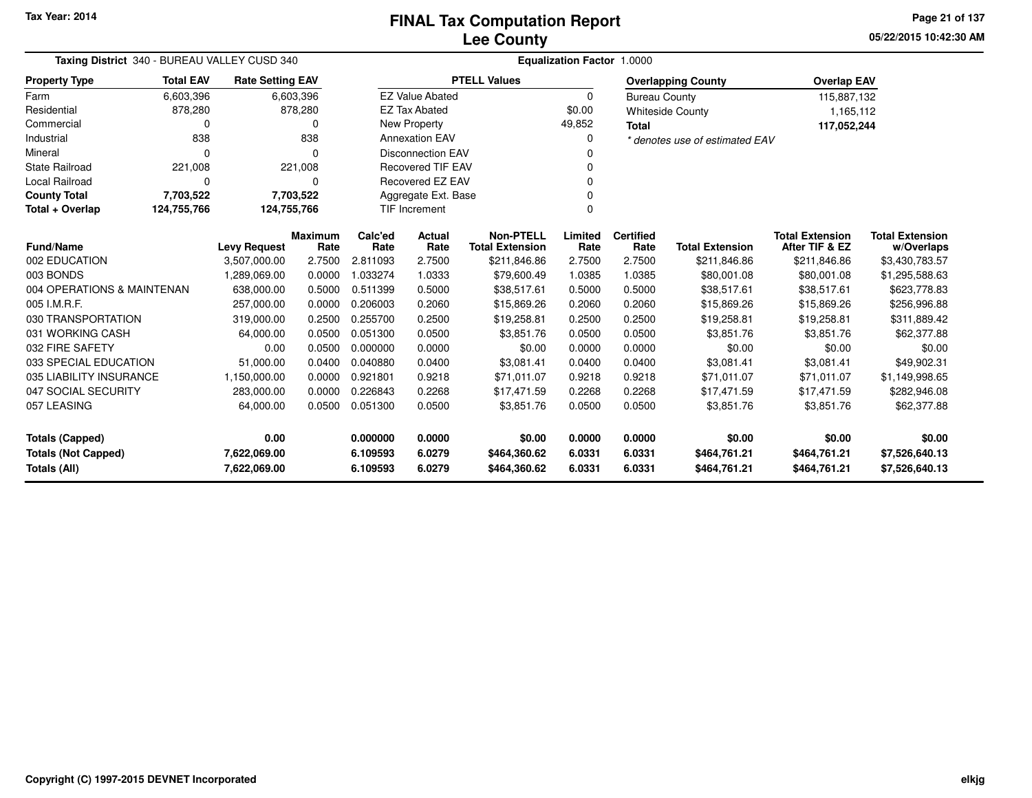**05/22/2015 10:42:30 AM Page 21 of 137**

| Taxing District 340 - BUREAU VALLEY CUSD 340                               |                  |                         |                        |                  | <b>Equalization Factor 1.0000</b> |                                            |                  |                              |                                |                                          |                              |  |  |  |
|----------------------------------------------------------------------------|------------------|-------------------------|------------------------|------------------|-----------------------------------|--------------------------------------------|------------------|------------------------------|--------------------------------|------------------------------------------|------------------------------|--|--|--|
| <b>Property Type</b>                                                       | <b>Total EAV</b> | <b>Rate Setting EAV</b> |                        |                  |                                   | <b>PTELL Values</b>                        |                  |                              | <b>Overlapping County</b>      | <b>Overlap EAV</b>                       |                              |  |  |  |
| Farm                                                                       | 6,603,396        |                         | 6,603,396              |                  | <b>EZ Value Abated</b>            |                                            | $\Omega$         | <b>Bureau County</b>         |                                | 115,887,132                              |                              |  |  |  |
| Residential                                                                | 878,280          |                         | 878,280                |                  | <b>EZ Tax Abated</b>              |                                            | \$0.00           |                              | <b>Whiteside County</b>        | 1,165,112                                |                              |  |  |  |
| Commercial                                                                 | 0                |                         | 0                      |                  | <b>New Property</b>               |                                            | 49,852           | <b>Total</b>                 |                                | 117,052,244                              |                              |  |  |  |
| Industrial                                                                 | 838              |                         | 838                    |                  | <b>Annexation EAV</b>             |                                            | $\Omega$         |                              | * denotes use of estimated EAV |                                          |                              |  |  |  |
| Mineral                                                                    | $\Omega$         |                         | n                      |                  | <b>Disconnection EAV</b>          |                                            | O                |                              |                                |                                          |                              |  |  |  |
| <b>State Railroad</b>                                                      | 221,008          |                         | 221,008                |                  | <b>Recovered TIF EAV</b>          |                                            |                  |                              |                                |                                          |                              |  |  |  |
| Local Railroad                                                             | 0                |                         | 0                      |                  | <b>Recovered EZ EAV</b>           |                                            | 0                |                              |                                |                                          |                              |  |  |  |
| <b>County Total</b>                                                        | 7,703,522        |                         | 7,703,522              |                  | Aggregate Ext. Base               |                                            |                  |                              |                                |                                          |                              |  |  |  |
| Total + Overlap                                                            | 124,755,766      | 124,755,766             |                        |                  | <b>TIF Increment</b>              |                                            | $\Omega$         |                              |                                |                                          |                              |  |  |  |
| <b>Fund/Name</b>                                                           |                  | <b>Levy Request</b>     | <b>Maximum</b><br>Rate | Calc'ed<br>Rate  | Actual<br>Rate                    | <b>Non-PTELL</b><br><b>Total Extension</b> | Limited<br>Rate  | <b>Certified</b><br>Rate     | <b>Total Extension</b>         | <b>Total Extension</b><br>After TIF & EZ | <b>Total Extension</b>       |  |  |  |
| 002 EDUCATION                                                              |                  | 3,507,000.00            | 2.7500                 | 2.811093         | 2.7500                            | \$211,846.86                               | 2.7500           | 2.7500                       | \$211,846.86                   | \$211,846.86                             | w/Overlaps<br>\$3,430,783.57 |  |  |  |
| 003 BONDS                                                                  |                  | 1,289,069.00            | 0.0000                 | 1.033274         | 1.0333                            | \$79,600.49                                | 1.0385           | 1.0385                       | \$80,001.08                    | \$80,001.08                              | \$1,295,588.63               |  |  |  |
| 004 OPERATIONS & MAINTENAN                                                 |                  | 638,000.00              | 0.5000                 | 0.511399         | 0.5000                            | \$38,517.61                                | 0.5000           | 0.5000                       | \$38,517.61                    | \$38,517.61                              | \$623,778.83                 |  |  |  |
| 005 I.M.R.F.                                                               |                  | 257,000.00              | 0.0000                 | 0.206003         | 0.2060                            | \$15,869.26                                | 0.2060           | 0.2060                       | \$15,869.26                    | \$15,869.26                              | \$256,996.88                 |  |  |  |
| 030 TRANSPORTATION                                                         |                  | 319,000.00              | 0.2500                 | 0.255700         | 0.2500                            | \$19,258.81                                | 0.2500           | 0.2500                       | \$19,258.81                    | \$19,258.81                              | \$311,889.42                 |  |  |  |
| 031 WORKING CASH                                                           |                  | 64,000.00               | 0.0500                 | 0.051300         | 0.0500                            | \$3,851.76                                 | 0.0500           | 0.0500                       | \$3,851.76                     | \$3,851.76                               | \$62,377.88                  |  |  |  |
| 032 FIRE SAFETY                                                            |                  | 0.00                    | 0.0500                 | 0.000000         | 0.0000                            | \$0.00                                     | 0.0000           | 0.0000                       | \$0.00                         | \$0.00                                   | \$0.00                       |  |  |  |
| 033 SPECIAL EDUCATION                                                      |                  | 51,000.00               | 0.0400                 | 0.040880         | 0.0400                            | \$3,081.41                                 | 0.0400           | 0.0400                       | \$3,081.41                     | \$3.081.41                               | \$49,902.31                  |  |  |  |
| 035 LIABILITY INSURANCE                                                    |                  | 1,150,000.00            | 0.0000                 | 0.921801         | 0.9218                            | \$71,011.07                                | 0.9218           | 0.9218                       | \$71,011.07                    | \$71,011.07                              | \$1,149,998.65               |  |  |  |
| 047 SOCIAL SECURITY                                                        |                  | 283,000.00              | 0.0000                 | 0.226843         | 0.2268                            | \$17,471.59                                | 0.2268           | 0.2268                       | \$17,471.59                    | \$17,471.59                              | \$282,946.08                 |  |  |  |
| 057 LEASING                                                                |                  | 64,000.00               | 0.0500                 | 0.051300         | 0.0500                            | \$3,851.76                                 | 0.0500           | 0.0500                       | \$3,851.76                     | \$3,851.76                               | \$62,377.88                  |  |  |  |
| <b>Totals (Capped)</b>                                                     |                  | 0.00                    |                        | 0.000000         | 0.0000                            | \$0.00                                     | 0.0000           | 0.0000                       | \$0.00                         | \$0.00                                   | \$0.00                       |  |  |  |
| <b>Totals (Not Capped)</b><br>7,622,069.00<br>Totals (All)<br>7,622,069.00 |                  |                         | 6.109593<br>6.109593   | 6.0279<br>6.0279 | \$464,360.62<br>\$464,360.62      | 6.0331<br>6.0331                           | 6.0331<br>6.0331 | \$464,761.21<br>\$464,761.21 | \$464,761.21<br>\$464,761.21   | \$7,526,640.13<br>\$7,526,640.13         |                              |  |  |  |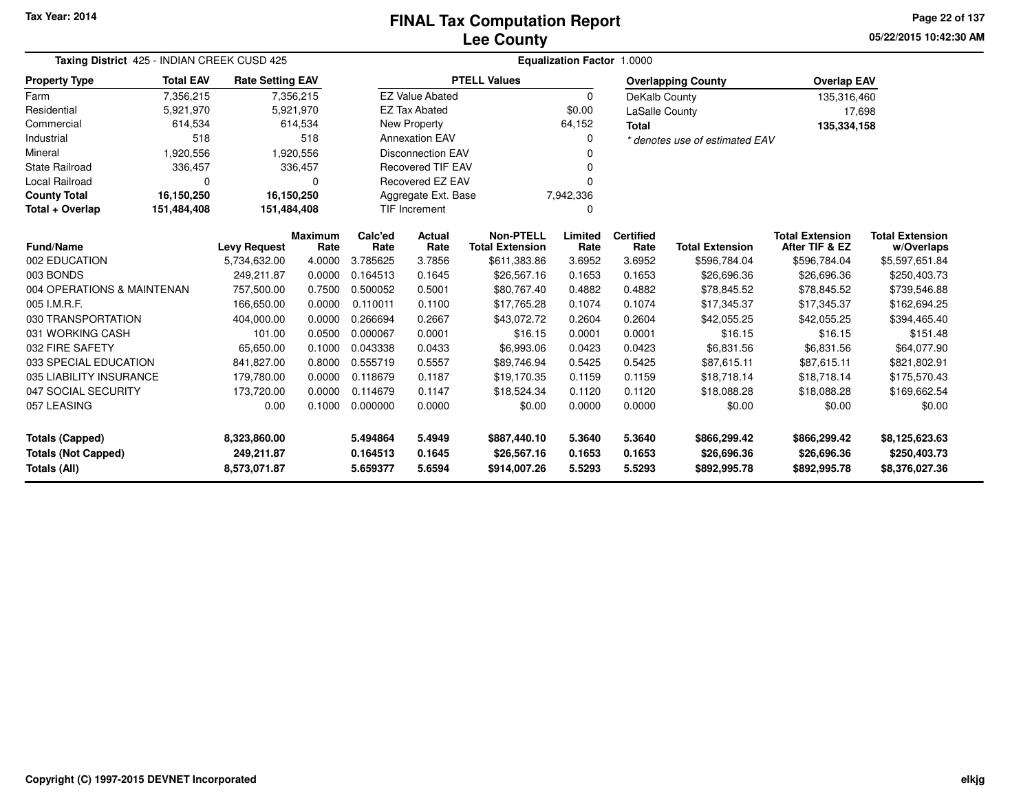**05/22/2015 10:42:30 AMPage 22 of 137**

| Taxing District 425 - INDIAN CREEK CUSD 425 |                  |                         | Equalization Factor 1.0000 |                 |                          |                                            |                 |                          |                                |                                          |                                      |  |
|---------------------------------------------|------------------|-------------------------|----------------------------|-----------------|--------------------------|--------------------------------------------|-----------------|--------------------------|--------------------------------|------------------------------------------|--------------------------------------|--|
| <b>Property Type</b>                        | <b>Total EAV</b> | <b>Rate Setting EAV</b> |                            |                 |                          | <b>PTELL Values</b>                        |                 |                          | <b>Overlapping County</b>      | <b>Overlap EAV</b>                       |                                      |  |
| Farm                                        | 7,356,215        |                         | 7,356,215                  |                 | <b>EZ Value Abated</b>   |                                            | 0               | DeKalb County            |                                | 135,316,460                              |                                      |  |
| Residential                                 | 5,921,970        |                         | 5,921,970                  |                 | <b>EZ Tax Abated</b>     |                                            | \$0.00          | <b>LaSalle County</b>    |                                | 17,698                                   |                                      |  |
| Commercial                                  | 614,534          |                         | 614,534                    |                 | New Property             |                                            | 64,152          | <b>Total</b>             |                                | 135,334,158                              |                                      |  |
| Industrial                                  | 518              |                         | 518                        |                 | <b>Annexation EAV</b>    |                                            | 0               |                          | * denotes use of estimated EAV |                                          |                                      |  |
| Mineral                                     | 1,920,556        |                         | 1,920,556                  |                 | <b>Disconnection EAV</b> |                                            |                 |                          |                                |                                          |                                      |  |
| <b>State Railroad</b>                       | 336,457          |                         | 336,457                    |                 | <b>Recovered TIF EAV</b> |                                            |                 |                          |                                |                                          |                                      |  |
| Local Railroad                              | $\Omega$         |                         | ŋ                          |                 | Recovered EZ EAV         |                                            |                 |                          |                                |                                          |                                      |  |
| <b>County Total</b>                         | 16,150,250       | 16,150,250              |                            |                 | Aggregate Ext. Base      |                                            | 7,942,336       |                          |                                |                                          |                                      |  |
| Total + Overlap                             | 151,484,408      | 151,484,408             |                            |                 | <b>TIF Increment</b>     |                                            | n               |                          |                                |                                          |                                      |  |
| Fund/Name                                   |                  | <b>Levy Request</b>     | <b>Maximum</b><br>Rate     | Calc'ed<br>Rate | Actual<br>Rate           | <b>Non-PTELL</b><br><b>Total Extension</b> | Limited<br>Rate | <b>Certified</b><br>Rate | <b>Total Extension</b>         | <b>Total Extension</b><br>After TIF & EZ | <b>Total Extension</b><br>w/Overlaps |  |
| 002 EDUCATION                               |                  | 5,734,632.00            | 4.0000                     | 3.785625        | 3.7856                   | \$611,383.86                               | 3.6952          | 3.6952                   | \$596,784.04                   | \$596,784.04                             | \$5,597,651.84                       |  |
| 003 BONDS                                   |                  | 249,211.87              | 0.0000                     | 0.164513        | 0.1645                   | \$26,567.16                                | 0.1653          | 0.1653                   | \$26,696.36                    | \$26,696.36                              | \$250,403.73                         |  |
| 004 OPERATIONS & MAINTENAN                  |                  | 757,500.00              | 0.7500                     | 0.500052        | 0.5001                   | \$80,767.40                                | 0.4882          | 0.4882                   | \$78,845.52                    | \$78,845.52                              | \$739,546.88                         |  |
| 005 I.M.R.F.                                |                  | 166,650.00              | 0.0000                     | 0.110011        | 0.1100                   | \$17,765.28                                | 0.1074          | 0.1074                   | \$17,345.37                    | \$17,345.37                              | \$162,694.25                         |  |
| 030 TRANSPORTATION                          |                  | 404,000.00              | 0.0000                     | 0.266694        | 0.2667                   | \$43,072.72                                | 0.2604          | 0.2604                   | \$42,055.25                    | \$42,055.25                              | \$394,465.40                         |  |
| 031 WORKING CASH                            |                  | 101.00                  | 0.0500                     | 0.000067        | 0.0001                   | \$16.15                                    | 0.0001          | 0.0001                   | \$16.15                        | \$16.15                                  | \$151.48                             |  |
| 032 FIRE SAFETY                             |                  | 65,650.00               | 0.1000                     | 0.043338        | 0.0433                   | \$6,993.06                                 | 0.0423          | 0.0423                   | \$6,831.56                     | \$6,831.56                               | \$64,077.90                          |  |
| 033 SPECIAL EDUCATION                       |                  | 841,827.00              | 0.8000                     | 0.555719        | 0.5557                   | \$89,746.94                                | 0.5425          | 0.5425                   | \$87,615.11                    | \$87,615.11                              | \$821,802.91                         |  |
| 035 LIABILITY INSURANCE                     |                  | 179,780.00              | 0.0000                     | 0.118679        | 0.1187                   | \$19,170.35                                | 0.1159          | 0.1159                   | \$18,718.14                    | \$18,718.14                              | \$175,570.43                         |  |
| 047 SOCIAL SECURITY                         |                  | 173,720.00              | 0.0000                     | 0.114679        | 0.1147                   | \$18,524.34                                | 0.1120          | 0.1120                   | \$18,088.28                    | \$18,088.28                              | \$169,662.54                         |  |
| 057 LEASING                                 |                  | 0.00                    | 0.1000                     | 0.000000        | 0.0000                   | \$0.00                                     | 0.0000          | 0.0000                   | \$0.00                         | \$0.00                                   | \$0.00                               |  |
| <b>Totals (Capped)</b>                      |                  | 8,323,860.00            |                            | 5.494864        | 5.4949                   | \$887,440.10                               | 5.3640          | 5.3640                   | \$866,299.42                   | \$866,299.42                             | \$8,125,623.63                       |  |
| <b>Totals (Not Capped)</b>                  |                  | 249,211.87              |                            | 0.164513        | 0.1645                   | \$26,567.16                                | 0.1653          | 0.1653                   | \$26,696.36                    | \$26,696.36                              | \$250,403.73                         |  |
| Totals (All)<br>8,573,071.87                |                  |                         | 5.659377                   | 5.6594          | \$914,007.26             | 5.5293                                     | 5.5293          | \$892,995.78             | \$892,995.78                   | \$8,376,027.36                           |                                      |  |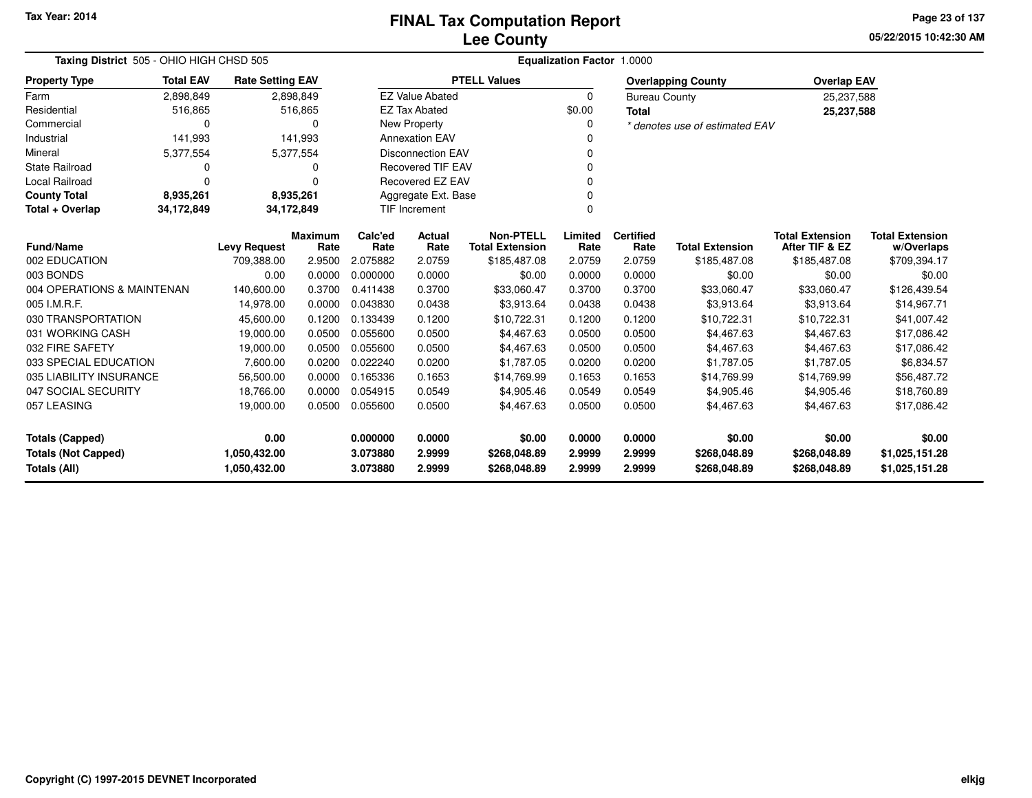**05/22/2015 10:42:30 AM Page 23 of 137**

| Taxing District 505 - OHIO HIGH CHSD 505   |                  |                              |                        |                      |                          |                                            | Equalization Factor 1.0000 |                          |                                |                                          |                                      |
|--------------------------------------------|------------------|------------------------------|------------------------|----------------------|--------------------------|--------------------------------------------|----------------------------|--------------------------|--------------------------------|------------------------------------------|--------------------------------------|
| <b>Property Type</b>                       | <b>Total EAV</b> | <b>Rate Setting EAV</b>      |                        |                      |                          | <b>PTELL Values</b>                        |                            |                          | <b>Overlapping County</b>      | <b>Overlap EAV</b>                       |                                      |
| Farm                                       | 2,898,849        |                              | 2,898,849              |                      | <b>EZ Value Abated</b>   |                                            | $\mathbf 0$                | <b>Bureau County</b>     |                                | 25,237,588                               |                                      |
| Residential                                | 516,865          |                              | 516,865                |                      | <b>EZ Tax Abated</b>     |                                            | \$0.00                     | Total                    |                                | 25,237,588                               |                                      |
| Commercial                                 |                  |                              | 0                      |                      | New Property             |                                            | 0                          |                          | * denotes use of estimated EAV |                                          |                                      |
| Industrial                                 | 141,993          |                              | 141,993                |                      | <b>Annexation EAV</b>    |                                            |                            |                          |                                |                                          |                                      |
| Mineral                                    | 5,377,554        |                              | 5,377,554              |                      | <b>Disconnection EAV</b> |                                            | $\Omega$                   |                          |                                |                                          |                                      |
| <b>State Railroad</b>                      |                  |                              | 0                      |                      | <b>Recovered TIF EAV</b> |                                            |                            |                          |                                |                                          |                                      |
| Local Railroad                             | $\Omega$         |                              | U                      |                      | Recovered EZ EAV         |                                            | <sup>0</sup>               |                          |                                |                                          |                                      |
| <b>County Total</b>                        | 8,935,261        |                              | 8,935,261              |                      | Aggregate Ext. Base      |                                            | $\Omega$                   |                          |                                |                                          |                                      |
| Total + Overlap                            | 34,172,849       | 34,172,849                   |                        |                      | <b>TIF Increment</b>     |                                            | $\mathbf 0$                |                          |                                |                                          |                                      |
| Fund/Name                                  |                  | <b>Levy Request</b>          | <b>Maximum</b><br>Rate | Calc'ed<br>Rate      | Actual<br>Rate           | <b>Non-PTELL</b><br><b>Total Extension</b> | Limited<br>Rate            | <b>Certified</b><br>Rate | <b>Total Extension</b>         | <b>Total Extension</b><br>After TIF & EZ | <b>Total Extension</b><br>w/Overlaps |
| 002 EDUCATION                              |                  | 709,388.00                   | 2.9500                 | 2.075882             | 2.0759                   | \$185,487.08                               | 2.0759                     | 2.0759                   | \$185,487.08                   | \$185,487.08                             | \$709,394.17                         |
| 003 BONDS                                  |                  | 0.00                         | 0.0000                 | 0.000000             | 0.0000                   | \$0.00                                     | 0.0000                     | 0.0000                   | \$0.00                         | \$0.00                                   | \$0.00                               |
| 004 OPERATIONS & MAINTENAN                 |                  | 140,600.00                   | 0.3700                 | 0.411438             | 0.3700                   | \$33,060.47                                | 0.3700                     | 0.3700                   | \$33,060.47                    | \$33,060.47                              | \$126,439.54                         |
| 005 I.M.R.F.                               |                  | 14,978.00                    | 0.0000                 | 0.043830             | 0.0438                   | \$3,913.64                                 | 0.0438                     | 0.0438                   | \$3,913.64                     | \$3,913.64                               | \$14,967.71                          |
| 030 TRANSPORTATION                         |                  | 45,600.00                    | 0.1200                 | 0.133439             | 0.1200                   | \$10,722.31                                | 0.1200                     | 0.1200                   | \$10,722.31                    | \$10,722.31                              | \$41,007.42                          |
| 031 WORKING CASH                           |                  | 19,000.00                    | 0.0500                 | 0.055600             | 0.0500                   | \$4,467.63                                 | 0.0500                     | 0.0500                   | \$4,467.63                     | \$4,467.63                               | \$17,086.42                          |
| 032 FIRE SAFETY                            |                  | 19,000.00                    | 0.0500                 | 0.055600             | 0.0500                   | \$4,467.63                                 | 0.0500                     | 0.0500                   | \$4,467.63                     | \$4,467.63                               | \$17,086.42                          |
| 033 SPECIAL EDUCATION                      |                  | 7,600.00                     | 0.0200                 | 0.022240             | 0.0200                   | \$1,787.05                                 | 0.0200                     | 0.0200                   | \$1,787.05                     | \$1,787.05                               | \$6,834.57                           |
| 035 LIABILITY INSURANCE                    |                  | 56,500.00                    | 0.0000                 | 0.165336             | 0.1653                   | \$14,769.99                                | 0.1653                     | 0.1653                   | \$14,769.99                    | \$14,769.99                              | \$56,487.72                          |
| 047 SOCIAL SECURITY                        |                  | 18,766.00                    | 0.0000                 | 0.054915             | 0.0549                   | \$4,905.46                                 | 0.0549                     | 0.0549                   | \$4,905.46                     | \$4,905.46                               | \$18,760.89                          |
| 057 LEASING                                |                  | 19,000.00                    | 0.0500                 | 0.055600             | 0.0500                   | \$4,467.63                                 | 0.0500                     | 0.0500                   | \$4,467.63                     | \$4,467.63                               | \$17,086.42                          |
| <b>Totals (Capped)</b>                     |                  | 0.00                         |                        | 0.000000             | 0.0000                   | \$0.00                                     | 0.0000                     | 0.0000                   | \$0.00                         | \$0.00                                   | \$0.00                               |
| <b>Totals (Not Capped)</b><br>Totals (All) |                  | 1,050,432.00<br>1,050,432.00 |                        | 3.073880<br>3.073880 | 2.9999<br>2.9999         | \$268,048.89<br>\$268,048.89               | 2.9999<br>2.9999           | 2.9999<br>2.9999         | \$268,048.89<br>\$268,048.89   | \$268,048.89<br>\$268,048.89             | \$1,025,151.28<br>\$1,025,151.28     |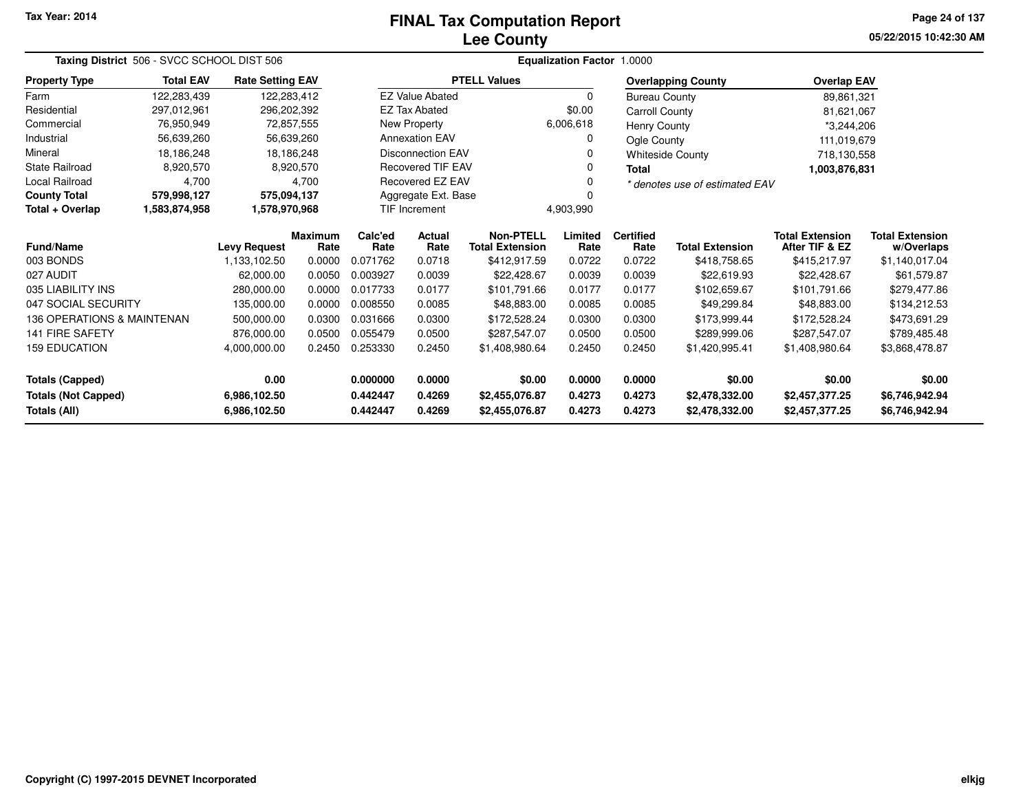# **Lee CountyFINAL Tax Computation Report**

**05/22/2015 10:42:30 AM Page 24 of 137**

|                            | Taxing District 506 - SVCC SCHOOL DIST 506 |                         |                        |                 |                          |                                            | <b>Equalization Factor 1.0000</b> |                          |                                |                                          |                                      |
|----------------------------|--------------------------------------------|-------------------------|------------------------|-----------------|--------------------------|--------------------------------------------|-----------------------------------|--------------------------|--------------------------------|------------------------------------------|--------------------------------------|
| <b>Property Type</b>       | <b>Total EAV</b>                           | <b>Rate Setting EAV</b> |                        |                 |                          | <b>PTELL Values</b>                        |                                   |                          | <b>Overlapping County</b>      | <b>Overlap EAV</b>                       |                                      |
| Farm                       | 122,283,439                                | 122,283,412             |                        |                 | <b>EZ Value Abated</b>   |                                            | $\Omega$                          | <b>Bureau County</b>     |                                | 89,861,321                               |                                      |
| Residential                | 297,012,961                                | 296,202,392             |                        |                 | <b>EZ Tax Abated</b>     |                                            | \$0.00                            | <b>Carroll County</b>    |                                | 81,621,067                               |                                      |
| Commercial                 | 76,950,949                                 | 72,857,555              |                        |                 | New Property             |                                            | 6,006,618                         | <b>Henry County</b>      |                                | *3,244,206                               |                                      |
| Industrial                 | 56,639,260                                 | 56,639,260              |                        |                 | <b>Annexation EAV</b>    |                                            | 0                                 | Ogle County              |                                | 111,019,679                              |                                      |
| Mineral                    | 18,186,248                                 | 18,186,248              |                        |                 | <b>Disconnection EAV</b> |                                            | 0                                 |                          | <b>Whiteside County</b>        | 718,130,558                              |                                      |
| <b>State Railroad</b>      | 8,920,570                                  |                         | 8,920,570              |                 | <b>Recovered TIF EAV</b> |                                            | 0                                 | Total                    |                                | 1,003,876,831                            |                                      |
| Local Railroad             | 4,700                                      |                         | 4,700                  |                 | Recovered EZ EAV         |                                            | 0                                 |                          | * denotes use of estimated EAV |                                          |                                      |
| <b>County Total</b>        | 579,998,127                                | 575,094,137             |                        |                 | Aggregate Ext. Base      |                                            | $\Omega$                          |                          |                                |                                          |                                      |
| Total + Overlap            | 1,583,874,958                              | 1,578,970,968           |                        |                 | <b>TIF Increment</b>     |                                            | 4,903,990                         |                          |                                |                                          |                                      |
| <b>Fund/Name</b>           |                                            | <b>Levy Request</b>     | <b>Maximum</b><br>Rate | Calc'ed<br>Rate | <b>Actual</b><br>Rate    | <b>Non-PTELL</b><br><b>Total Extension</b> | Limited<br>Rate                   | <b>Certified</b><br>Rate | <b>Total Extension</b>         | <b>Total Extension</b><br>After TIF & EZ | <b>Total Extension</b><br>w/Overlaps |
| 003 BONDS                  |                                            | 1,133,102.50            | 0.0000                 | 0.071762        | 0.0718                   | \$412,917.59                               | 0.0722                            | 0.0722                   | \$418,758.65                   | \$415,217.97                             | \$1,140,017.04                       |
| 027 AUDIT                  |                                            | 62,000.00               | 0.0050                 | 0.003927        | 0.0039                   | \$22,428.67                                | 0.0039                            | 0.0039                   | \$22,619.93                    | \$22,428.67                              | \$61,579.87                          |
| 035 LIABILITY INS          |                                            | 280,000.00              | 0.0000                 | 0.017733        | 0.0177                   | \$101,791.66                               | 0.0177                            | 0.0177                   | \$102,659.67                   | \$101,791.66                             | \$279,477.86                         |
| 047 SOCIAL SECURITY        |                                            | 135,000.00              | 0.0000                 | 0.008550        | 0.0085                   | \$48,883.00                                | 0.0085                            | 0.0085                   | \$49,299.84                    | \$48,883.00                              | \$134,212.53                         |
| 136 OPERATIONS & MAINTENAN |                                            | 500,000.00              | 0.0300                 | 0.031666        | 0.0300                   | \$172,528.24                               | 0.0300                            | 0.0300                   | \$173,999.44                   | \$172,528.24                             | \$473,691.29                         |
| <b>141 FIRE SAFETY</b>     |                                            | 876.000.00              | 0.0500                 | 0.055479        | 0.0500                   | \$287,547.07                               | 0.0500                            | 0.0500                   | \$289,999.06                   | \$287.547.07                             | \$789,485.48                         |
| <b>159 EDUCATION</b>       |                                            | 4,000,000.00            | 0.2450                 | 0.253330        | 0.2450                   | \$1,408,980.64                             | 0.2450                            | 0.2450                   | \$1,420,995.41                 | \$1,408,980.64                           | \$3,868,478.87                       |
| <b>Totals (Capped)</b>     |                                            | 0.00                    |                        | 0.000000        | 0.0000                   | \$0.00                                     | 0.0000                            | 0.0000                   | \$0.00                         | \$0.00                                   | \$0.00                               |
| <b>Totals (Not Capped)</b> |                                            | 6,986,102.50            |                        | 0.442447        | 0.4269                   | \$2,455,076.87                             | 0.4273                            | 0.4273                   | \$2,478,332.00                 | \$2,457,377.25                           | \$6,746,942.94                       |
| <b>Totals (All)</b>        |                                            | 6,986,102.50            |                        | 0.442447        | 0.4269                   | \$2,455,076.87                             | 0.4273                            | 0.4273                   | \$2,478,332.00                 | \$2,457,377.25                           | \$6,746,942.94                       |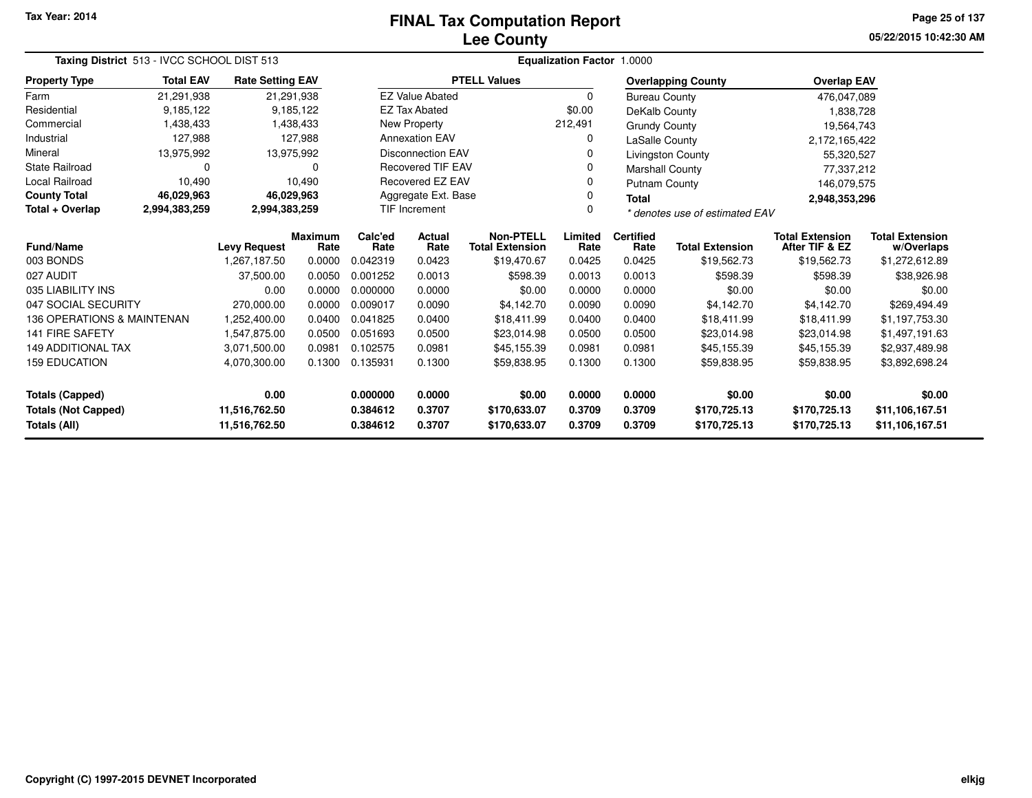# **Lee CountyFINAL Tax Computation Report**

**05/22/2015 10:42:30 AM Page 25 of 137**

|                                                                              | Taxing District 513 - IVCC SCHOOL DIST 513 |                         |                        |                              |                                                                     |                     | Equalization Factor 1.0000   |                              |                                    |                                          |                                      |
|------------------------------------------------------------------------------|--------------------------------------------|-------------------------|------------------------|------------------------------|---------------------------------------------------------------------|---------------------|------------------------------|------------------------------|------------------------------------|------------------------------------------|--------------------------------------|
| <b>Property Type</b>                                                         | <b>Total EAV</b>                           | <b>Rate Setting EAV</b> |                        |                              |                                                                     | <b>PTELL Values</b> |                              |                              | <b>Overlapping County</b>          | <b>Overlap EAV</b>                       |                                      |
| Farm                                                                         | 21,291,938                                 |                         | 21,291,938             |                              | <b>EZ Value Abated</b>                                              |                     | $\Omega$                     | <b>Bureau County</b>         |                                    | 476,047,089                              |                                      |
| Residential                                                                  | 9,185,122                                  |                         | 9,185,122              |                              | <b>EZ Tax Abated</b>                                                |                     | \$0.00                       | DeKalb County                |                                    | 1,838,728                                |                                      |
| Commercial                                                                   | 1,438,433                                  |                         | 1,438,433              |                              | New Property                                                        |                     | 212,491                      | <b>Grundy County</b>         |                                    | 19,564,743                               |                                      |
| Industrial                                                                   | 127,988                                    |                         | 127.988                |                              | <b>Annexation EAV</b>                                               |                     | 0                            | <b>LaSalle County</b>        |                                    | 2,172,165,422                            |                                      |
| Mineral                                                                      | 13,975,992                                 |                         | 13,975,992             |                              | <b>Disconnection EAV</b>                                            |                     | 0                            |                              | Livingston County                  | 55,320,527                               |                                      |
| <b>State Railroad</b>                                                        | 0                                          |                         | 0                      |                              | <b>Recovered TIF EAV</b>                                            |                     | 0                            | <b>Marshall County</b>       |                                    | 77,337,212                               |                                      |
| Local Railroad                                                               | 10,490                                     |                         | 10,490                 |                              | Recovered EZ EAV                                                    |                     | 0                            | Putnam County                |                                    | 146,079,575                              |                                      |
| <b>County Total</b>                                                          | 46,029,963                                 |                         | 46,029,963             |                              | Aggregate Ext. Base                                                 |                     | 0                            | <b>Total</b>                 |                                    | 2,948,353,296                            |                                      |
| Total + Overlap                                                              | 2,994,383,259                              | 2,994,383,259           |                        |                              | <b>TIF Increment</b>                                                |                     | $\Omega$                     |                              | * denotes use of estimated EAV     |                                          |                                      |
| Fund/Name                                                                    |                                            | <b>Levy Request</b>     | <b>Maximum</b><br>Rate | Calc'ed<br>Rate              | <b>Non-PTELL</b><br><b>Actual</b><br><b>Total Extension</b><br>Rate |                     | Limited<br>Rate              | <b>Certified</b><br>Rate     | <b>Total Extension</b>             | <b>Total Extension</b><br>After TIF & EZ | <b>Total Extension</b><br>w/Overlaps |
| 003 BONDS                                                                    |                                            | 1,267,187.50            | 0.0000                 | 0.042319                     | 0.0423                                                              | \$19,470.67         | 0.0425                       | 0.0425                       | \$19,562.73                        | \$19,562.73                              | \$1,272,612.89                       |
| 027 AUDIT                                                                    |                                            | 37,500.00               | 0.0050                 | 0.001252                     | 0.0013                                                              | \$598.39            | 0.0013                       | 0.0013                       | \$598.39                           | \$598.39                                 | \$38,926.98                          |
| 035 LIABILITY INS                                                            |                                            | 0.00                    | 0.0000                 | 0.000000                     | 0.0000                                                              | \$0.00              | 0.0000                       | 0.0000                       | \$0.00                             | \$0.00                                   | \$0.00                               |
| 047 SOCIAL SECURITY                                                          |                                            | 270,000.00              | 0.0000                 | 0.009017                     | 0.0090                                                              | \$4,142.70          | 0.0090                       | 0.0090                       | \$4,142.70                         | \$4,142.70                               | \$269,494.49                         |
| 136 OPERATIONS & MAINTENAN                                                   |                                            | 1.252.400.00            | 0.0400                 | 0.041825                     | 0.0400                                                              | \$18,411.99         | 0.0400                       | 0.0400                       | \$18,411.99                        | \$18,411.99                              | \$1,197,753.30                       |
| <b>141 FIRE SAFETY</b>                                                       |                                            | 1,547,875.00            | 0.0500                 | 0.051693                     | 0.0500                                                              | \$23,014.98         | 0.0500                       | 0.0500                       | \$23,014.98                        | \$23,014.98                              | \$1,497,191.63                       |
| <b>149 ADDITIONAL TAX</b>                                                    |                                            | 3,071,500.00            | 0.0981                 | 0.102575                     | 0.0981                                                              | \$45,155.39         | 0.0981                       | 0.0981                       | \$45,155.39                        | \$45,155.39                              | \$2,937,489.98                       |
| <b>159 EDUCATION</b>                                                         |                                            | 4,070,300.00            | 0.1300                 | 0.135931<br>0.1300           |                                                                     | \$59,838.95         | 0.1300                       | 0.1300                       | \$59,838.95                        | \$59,838.95                              | \$3,892,698.24                       |
| 0.00<br><b>Totals (Capped)</b>                                               |                                            | 0.000000                | 0.0000                 | \$0.00                       | 0.0000                                                              | 0.0000              | \$0.00                       | \$0.00                       | \$0.00                             |                                          |                                      |
| <b>Totals (Not Capped)</b><br>11,516,762.50<br>Totals (All)<br>11,516,762.50 |                                            | 0.384612<br>0.384612    | 0.3707<br>0.3707       | \$170,633.07<br>\$170,633.07 | 0.3709<br>0.3709                                                    | 0.3709<br>0.3709    | \$170,725.13<br>\$170,725.13 | \$170,725.13<br>\$170,725.13 | \$11,106,167.51<br>\$11,106,167.51 |                                          |                                      |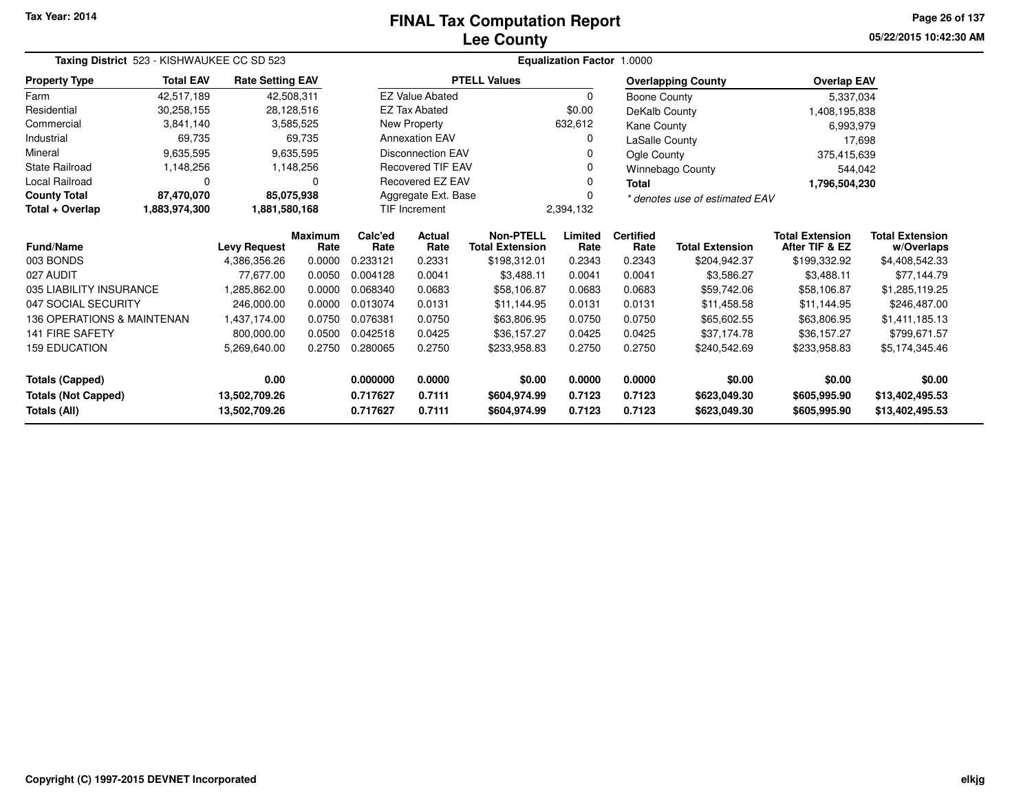# **Lee CountyFINAL Tax Computation Report**

**05/22/2015 10:42:30 AM Page 26 of 137**

| Taxing District 523 - KISHWAUKEE CC SD 523 |                  |                         |                        |                 |                          |                                            | Equalization Factor 1.0000 |                          |                                |                                          |                                      |  |
|--------------------------------------------|------------------|-------------------------|------------------------|-----------------|--------------------------|--------------------------------------------|----------------------------|--------------------------|--------------------------------|------------------------------------------|--------------------------------------|--|
| <b>Property Type</b>                       | <b>Total EAV</b> | <b>Rate Setting EAV</b> |                        |                 |                          | <b>PTELL Values</b>                        |                            |                          | <b>Overlapping County</b>      | <b>Overlap EAV</b>                       |                                      |  |
| Farm                                       | 42,517,189       | 42,508,311              |                        |                 | <b>EZ Value Abated</b>   |                                            | 0                          | Boone County             |                                | 5,337,034                                |                                      |  |
| Residential                                | 30,258,155       | 28,128,516              |                        |                 | <b>EZ Tax Abated</b>     |                                            | \$0.00                     | DeKalb County            |                                | 1,408,195,838                            |                                      |  |
| Commercial                                 | 3,841,140        |                         | 3,585,525              |                 | New Property             |                                            | 632,612                    | Kane County              |                                | 6,993,979                                |                                      |  |
| Industrial                                 | 69,735           |                         | 69,735                 |                 | <b>Annexation EAV</b>    |                                            | 0                          | LaSalle County           |                                | 17,698                                   |                                      |  |
| Mineral                                    | 9,635,595        |                         | 9,635,595              |                 | <b>Disconnection EAV</b> |                                            | 0                          | Ogle County              |                                | 375,415,639                              |                                      |  |
| State Railroad                             | 1,148,256        |                         | 1,148,256              |                 | Recovered TIF EAV        |                                            | $\Omega$                   |                          | <b>Winnebago County</b>        | 544,042                                  |                                      |  |
| Local Railroad                             | 0                |                         | 0                      |                 | Recovered EZ EAV         |                                            | 0                          | Total                    |                                | 1,796,504,230                            |                                      |  |
| <b>County Total</b>                        | 87,470,070       | 85,075,938              |                        |                 | Aggregate Ext. Base      |                                            | $\Omega$                   |                          | * denotes use of estimated EAV |                                          |                                      |  |
| Total + Overlap                            | 1,883,974,300    | 1,881,580,168           |                        |                 | <b>TIF Increment</b>     |                                            | 2,394,132                  |                          |                                |                                          |                                      |  |
| Fund/Name                                  |                  | <b>Levy Request</b>     | <b>Maximum</b><br>Rate | Calc'ed<br>Rate | <b>Actual</b><br>Rate    | <b>Non-PTELL</b><br><b>Total Extension</b> | Limited<br>Rate            | <b>Certified</b><br>Rate | <b>Total Extension</b>         | <b>Total Extension</b><br>After TIF & EZ | <b>Total Extension</b><br>w/Overlaps |  |
| 003 BONDS                                  |                  | 4,386,356.26            | 0.0000                 | 0.233121        | 0.2331                   | \$198,312.01                               | 0.2343                     | 0.2343                   | \$204,942.37                   | \$199,332.92                             | \$4,408,542.33                       |  |
| 027 AUDIT                                  |                  | 77.677.00               | 0.0050                 | 0.004128        | 0.0041                   | \$3,488.11                                 | 0.0041                     | 0.0041                   | \$3,586.27                     | \$3,488.11                               | \$77,144.79                          |  |
| 035 LIABILITY INSURANCE                    |                  | 1,285,862.00            | 0.0000                 | 0.068340        | 0.0683                   | \$58,106.87                                | 0.0683                     | 0.0683                   | \$59,742.06                    | \$58,106.87                              | \$1,285,119.25                       |  |
| 047 SOCIAL SECURITY                        |                  | 246,000.00              | 0.0000                 | 0.013074        | 0.0131                   | \$11,144.95                                | 0.0131                     | 0.0131                   | \$11,458.58                    | \$11,144.95                              | \$246,487.00                         |  |
| 136 OPERATIONS & MAINTENAN                 |                  | 1,437,174.00            | 0.0750                 | 0.076381        | 0.0750                   | \$63,806.95                                | 0.0750                     | 0.0750                   | \$65,602.55                    | \$63,806.95                              | \$1,411,185.13                       |  |
| <b>141 FIRE SAFETY</b>                     |                  | 800,000.00              | 0.0500                 | 0.042518        | 0.0425                   | \$36,157.27                                | 0.0425                     | 0.0425                   | \$37,174.78                    | \$36,157.27                              | \$799,671.57                         |  |
| <b>159 EDUCATION</b>                       |                  | 5,269,640.00            | 0.2750                 | 0.280065        | 0.2750                   | \$233,958.83                               | 0.2750                     | 0.2750                   | \$240,542.69                   | \$233,958.83                             | \$5,174,345.46                       |  |
| <b>Totals (Capped)</b>                     |                  | 0.00                    |                        | 0.000000        | 0.0000                   | \$0.00                                     | 0.0000                     | 0.0000                   | \$0.00                         | \$0.00                                   | \$0.00                               |  |
| <b>Totals (Not Capped)</b>                 |                  | 13,502,709.26           |                        | 0.717627        | 0.7111                   | \$604,974.99                               | 0.7123                     | 0.7123                   | \$623,049.30                   | \$605,995.90                             | \$13,402,495.53                      |  |
| Totals (All)                               |                  | 13,502,709.26           |                        | 0.717627        | 0.7111                   | \$604,974.99                               | 0.7123                     | 0.7123                   | \$623,049.30                   | \$605,995.90                             | \$13,402,495.53                      |  |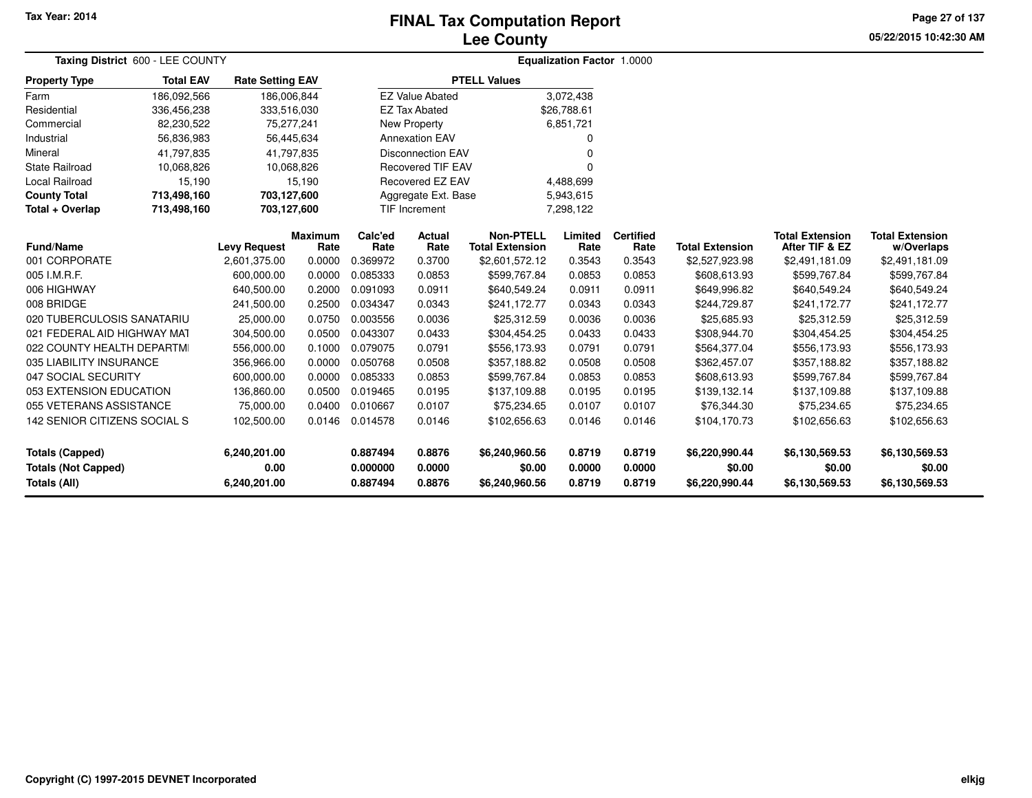# **Lee CountyFINAL Tax Computation Report**

**05/22/2015 10:42:30 AMPage 27 of 137**

| Taxing District 600 - LEE COUNTY           |                     |                         |                        |                      |                          |                                            | <b>Equalization Factor 1.0000</b> |                          |                          |                                          |                                      |  |
|--------------------------------------------|---------------------|-------------------------|------------------------|----------------------|--------------------------|--------------------------------------------|-----------------------------------|--------------------------|--------------------------|------------------------------------------|--------------------------------------|--|
| <b>Property Type</b>                       | <b>Total EAV</b>    | <b>Rate Setting EAV</b> |                        |                      |                          | <b>PTELL Values</b>                        |                                   |                          |                          |                                          |                                      |  |
| Farm                                       | 186,092,566         | 186,006,844             |                        |                      | <b>EZ Value Abated</b>   |                                            | 3,072,438                         |                          |                          |                                          |                                      |  |
| Residential                                | 336,456,238         | 333,516,030             |                        |                      | <b>EZ Tax Abated</b>     |                                            | \$26,788.61                       |                          |                          |                                          |                                      |  |
| Commercial                                 | 82,230,522          |                         | 75,277,241             |                      | New Property             |                                            | 6,851,721                         |                          |                          |                                          |                                      |  |
| Industrial                                 | 56,836,983          |                         | 56,445,634             |                      | <b>Annexation EAV</b>    |                                            | 0                                 |                          |                          |                                          |                                      |  |
| Mineral                                    | 41,797,835          |                         | 41,797,835             |                      | <b>Disconnection EAV</b> |                                            | 0                                 |                          |                          |                                          |                                      |  |
| <b>State Railroad</b>                      | 10,068,826          |                         | 10,068,826             |                      | <b>Recovered TIF EAV</b> |                                            | U                                 |                          |                          |                                          |                                      |  |
| Local Railroad                             | 15,190              |                         | 15,190                 |                      | Recovered EZ EAV         |                                            | 4,488,699                         |                          |                          |                                          |                                      |  |
| <b>County Total</b>                        | 713,498,160         | 703,127,600             |                        |                      | Aggregate Ext. Base      |                                            | 5,943,615                         |                          |                          |                                          |                                      |  |
| Total + Overlap                            | 713,498,160         | 703,127,600             |                        |                      | TIF Increment            |                                            | 7,298,122                         |                          |                          |                                          |                                      |  |
| <b>Fund/Name</b>                           | <b>Levy Request</b> |                         | <b>Maximum</b><br>Rate | Calc'ed<br>Rate      | <b>Actual</b><br>Rate    | <b>Non-PTELL</b><br><b>Total Extension</b> | Limited<br>Rate                   | <b>Certified</b><br>Rate | <b>Total Extension</b>   | <b>Total Extension</b><br>After TIF & EZ | <b>Total Extension</b><br>w/Overlaps |  |
| 001 CORPORATE                              |                     | 2,601,375.00            | 0.0000                 | 0.369972             | 0.3700                   | \$2,601,572.12                             | 0.3543                            | 0.3543                   | \$2,527,923.98           | \$2,491,181.09                           | \$2,491,181.09                       |  |
| 005 I.M.R.F.                               |                     | 600,000.00              | 0.0000                 | 0.085333             | 0.0853                   | \$599,767.84                               | 0.0853                            | 0.0853                   | \$608,613.93             | \$599,767.84                             | \$599,767.84                         |  |
| 006 HIGHWAY                                |                     | 640,500.00              | 0.2000                 | 0.091093             | 0.0911                   | \$640,549.24                               | 0.0911                            | 0.0911                   | \$649,996.82             | \$640,549.24                             | \$640,549.24                         |  |
| 008 BRIDGE                                 |                     | 241,500.00              | 0.2500                 | 0.034347             | 0.0343                   | \$241,172.77                               | 0.0343                            | 0.0343                   | \$244,729.87             | \$241,172.77                             | \$241,172.77                         |  |
| 020 TUBERCULOSIS SANATARIU                 |                     | 25,000.00               | 0.0750                 | 0.003556             | 0.0036                   | \$25,312.59                                | 0.0036                            | 0.0036                   | \$25,685.93              | \$25,312.59                              | \$25,312.59                          |  |
| 021 FEDERAL AID HIGHWAY MAT                |                     | 304,500.00              | 0.0500                 | 0.043307             | 0.0433                   | \$304,454.25                               | 0.0433                            | 0.0433                   | \$308,944.70             | \$304,454.25                             | \$304,454.25                         |  |
| 022 COUNTY HEALTH DEPARTMI                 |                     | 556,000.00              | 0.1000                 | 0.079075             | 0.0791                   | \$556,173.93                               | 0.0791                            | 0.0791                   | \$564,377.04             | \$556,173.93                             | \$556,173.93                         |  |
| 035 LIABILITY INSURANCE                    |                     | 356,966.00              | 0.0000                 | 0.050768             | 0.0508                   | \$357,188.82                               | 0.0508                            | 0.0508                   | \$362,457.07             | \$357,188.82                             | \$357,188.82                         |  |
| 047 SOCIAL SECURITY                        |                     | 600,000.00              | 0.0000                 | 0.085333             | 0.0853                   | \$599,767.84                               | 0.0853                            | 0.0853                   | \$608,613.93             | \$599,767.84                             | \$599,767.84                         |  |
| 053 EXTENSION EDUCATION                    |                     | 136,860.00              | 0.0500                 | 0.019465             | 0.0195                   | \$137,109.88                               | 0.0195                            | 0.0195                   | \$139,132.14             | \$137,109.88                             | \$137,109.88                         |  |
| 055 VETERANS ASSISTANCE                    |                     | 75,000.00               | 0.0400                 | 0.010667             | 0.0107                   | \$75,234.65                                | 0.0107                            | 0.0107                   | \$76,344.30              | \$75,234.65                              | \$75,234.65                          |  |
| 142 SENIOR CITIZENS SOCIAL S               |                     | 102,500.00              | 0.0146                 | 0.014578             | 0.0146                   | \$102,656.63                               | 0.0146                            | 0.0146                   | \$104,170.73             | \$102,656.63                             | \$102,656.63                         |  |
| <b>Totals (Capped)</b>                     |                     | 6,240,201.00            |                        | 0.887494             | 0.8876                   | \$6,240,960.56                             | 0.8719                            | 0.8719                   | \$6,220,990.44           | \$6,130,569.53                           | \$6,130,569.53                       |  |
| <b>Totals (Not Capped)</b><br>Totals (All) |                     | 0.00<br>6,240,201.00    |                        | 0.000000<br>0.887494 | 0.0000<br>0.8876         | \$0.00<br>\$6,240,960.56                   | 0.0000<br>0.8719                  | 0.0000<br>0.8719         | \$0.00<br>\$6,220,990.44 | \$0.00<br>\$6,130,569.53                 | \$0.00<br>\$6,130,569.53             |  |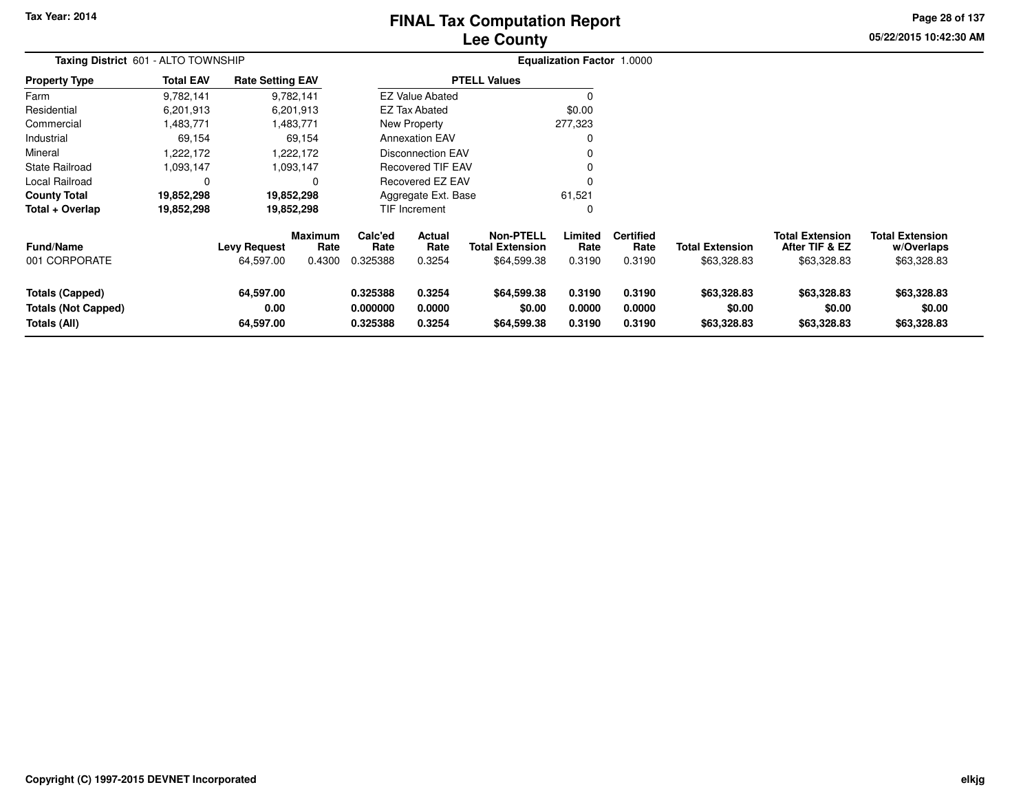# **Lee CountyFINAL Tax Computation Report**

**05/22/2015 10:42:30 AM Page 28 of 137**

| Taxing District 601 - ALTO TOWNSHIP                                  |                  |                                  |                                  |                                  |                            |                                                           | <b>Equalization Factor 1.0000</b> |                                    |                                       |                                                         |                                                     |
|----------------------------------------------------------------------|------------------|----------------------------------|----------------------------------|----------------------------------|----------------------------|-----------------------------------------------------------|-----------------------------------|------------------------------------|---------------------------------------|---------------------------------------------------------|-----------------------------------------------------|
| <b>Property Type</b>                                                 | <b>Total EAV</b> | <b>Rate Setting EAV</b>          |                                  |                                  |                            | <b>PTELL Values</b>                                       |                                   |                                    |                                       |                                                         |                                                     |
| Farm                                                                 | 9,782,141        |                                  | 9,782,141                        |                                  | <b>EZ Value Abated</b>     |                                                           |                                   |                                    |                                       |                                                         |                                                     |
| Residential                                                          | 6,201,913        |                                  | 6,201,913                        |                                  | <b>EZ Tax Abated</b>       |                                                           | \$0.00                            |                                    |                                       |                                                         |                                                     |
| Commercial                                                           | 1,483,771        |                                  | 1,483,771                        |                                  | New Property               |                                                           | 277,323                           |                                    |                                       |                                                         |                                                     |
| Industrial                                                           | 69,154           |                                  | 69,154                           |                                  | <b>Annexation EAV</b>      |                                                           |                                   |                                    |                                       |                                                         |                                                     |
| Mineral                                                              | .222,172         |                                  | 1,222,172                        |                                  | <b>Disconnection EAV</b>   |                                                           |                                   |                                    |                                       |                                                         |                                                     |
| State Railroad                                                       | 1,093,147        |                                  | 1,093,147                        |                                  | <b>Recovered TIF EAV</b>   |                                                           |                                   |                                    |                                       |                                                         |                                                     |
| Local Railroad                                                       | 0                |                                  |                                  |                                  | Recovered EZ EAV           |                                                           |                                   |                                    |                                       |                                                         |                                                     |
| <b>County Total</b>                                                  | 19,852,298       |                                  | 19,852,298                       |                                  | Aggregate Ext. Base        |                                                           | 61,521                            |                                    |                                       |                                                         |                                                     |
| Total + Overlap                                                      | 19,852,298       |                                  | 19,852,298                       |                                  | <b>TIF Increment</b>       |                                                           | 0                                 |                                    |                                       |                                                         |                                                     |
| <b>Fund/Name</b><br>001 CORPORATE                                    |                  | <b>Levy Request</b><br>64,597.00 | <b>Maximum</b><br>Rate<br>0.4300 | Calc'ed<br>Rate<br>0.325388      | Actual<br>Rate<br>0.3254   | <b>Non-PTELL</b><br><b>Total Extension</b><br>\$64,599.38 | Limited<br>Rate<br>0.3190         | <b>Certified</b><br>Rate<br>0.3190 | <b>Total Extension</b><br>\$63,328.83 | <b>Total Extension</b><br>After TIF & EZ<br>\$63,328.83 | <b>Total Extension</b><br>w/Overlaps<br>\$63,328.83 |
| <b>Totals (Capped)</b><br><b>Totals (Not Capped)</b><br>Totals (All) |                  | 64,597.00<br>0.00<br>64,597.00   |                                  | 0.325388<br>0.000000<br>0.325388 | 0.3254<br>0.0000<br>0.3254 | \$64,599.38<br>\$0.00<br>\$64,599.38                      | 0.3190<br>0.0000<br>0.3190        | 0.3190<br>0.0000<br>0.3190         | \$63,328.83<br>\$0.00<br>\$63,328.83  | \$63,328.83<br>\$0.00<br>\$63,328.83                    | \$63,328.83<br>\$0.00<br>\$63,328.83                |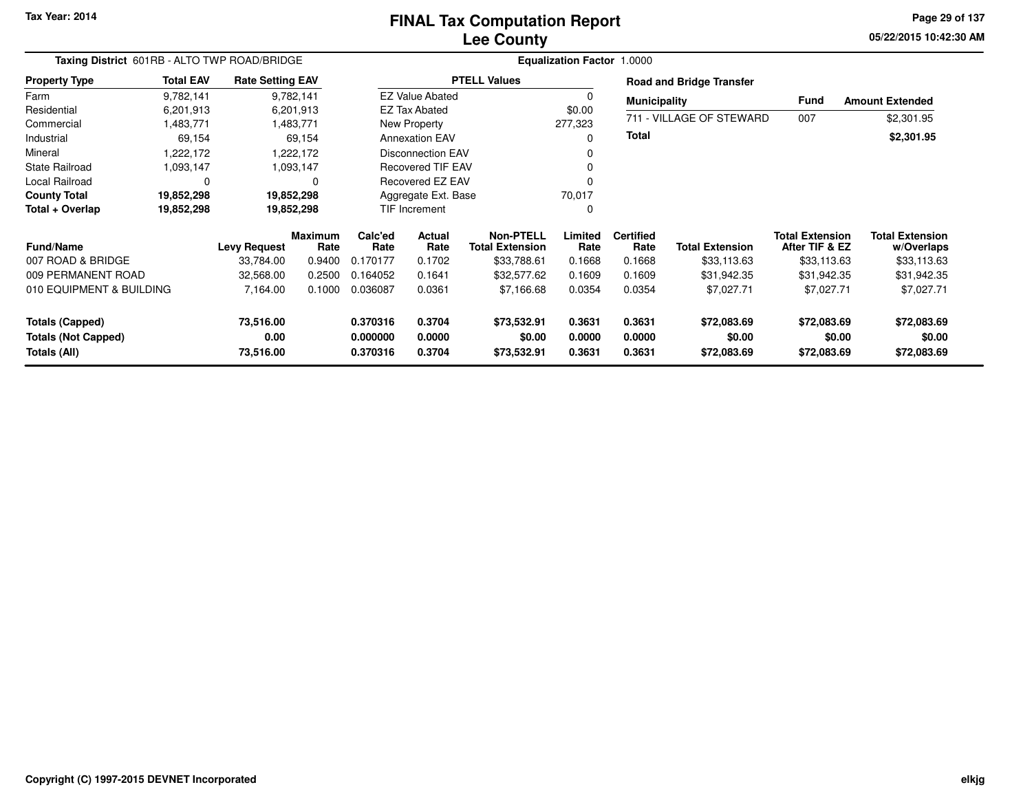# **Lee CountyFINAL Tax Computation Report**

**05/22/2015 10:42:30 AM Page 29 of 137**

|                                            | Taxing District 601RB - ALTO TWP ROAD/BRIDGE  |                         |                 |                       |                                            |                       | <b>Equalization Factor 1.0000</b> |                        |                                          |                                      |                        |
|--------------------------------------------|-----------------------------------------------|-------------------------|-----------------|-----------------------|--------------------------------------------|-----------------------|-----------------------------------|------------------------|------------------------------------------|--------------------------------------|------------------------|
| <b>Property Type</b>                       | <b>Total EAV</b>                              | <b>Rate Setting EAV</b> |                 |                       |                                            | <b>PTELL Values</b>   |                                   |                        | <b>Road and Bridge Transfer</b>          |                                      |                        |
| Farm                                       | 9,782,141                                     |                         | 9,782,141       |                       | <b>EZ Value Abated</b>                     |                       | $\Omega$                          | <b>Municipality</b>    |                                          | Fund                                 | <b>Amount Extended</b> |
| Residential                                | 6,201,913                                     |                         | 6,201,913       |                       | <b>EZ Tax Abated</b>                       |                       | \$0.00                            |                        |                                          |                                      |                        |
| Commercial                                 | 1,483,771                                     |                         | 1,483,771       |                       | New Property                               |                       | 277,323                           |                        | 711 - VILLAGE OF STEWARD                 | 007                                  | \$2,301.95             |
| Industrial                                 | 69,154                                        |                         | 69,154          |                       | <b>Annexation EAV</b>                      |                       | O                                 | <b>Total</b>           |                                          |                                      | \$2,301.95             |
| Mineral                                    | ,222,172                                      |                         | 1,222,172       |                       | <b>Disconnection EAV</b>                   |                       |                                   |                        |                                          |                                      |                        |
| <b>State Railroad</b>                      | 1,093,147                                     |                         | 1,093,147       |                       | <b>Recovered TIF EAV</b>                   |                       | 0                                 |                        |                                          |                                      |                        |
| Local Railroad                             | $\Omega$                                      |                         | $\Omega$        |                       | Recovered EZ EAV                           |                       | ŋ                                 |                        |                                          |                                      |                        |
| <b>County Total</b>                        | 19,852,298                                    |                         | 19,852,298      |                       | Aggregate Ext. Base                        |                       | 70,017                            |                        |                                          |                                      |                        |
| Total + Overlap                            | 19,852,298                                    |                         | 19,852,298      |                       | <b>TIF Increment</b>                       |                       | 0                                 |                        |                                          |                                      |                        |
| <b>Fund/Name</b>                           | <b>Maximum</b><br><b>Levy Request</b><br>Rate |                         | Calc'ed<br>Rate | <b>Actual</b><br>Rate | <b>Non-PTELL</b><br><b>Total Extension</b> | Limited<br>Rate       | <b>Certified</b><br>Rate          | <b>Total Extension</b> | <b>Total Extension</b><br>After TIF & EZ | <b>Total Extension</b><br>w/Overlaps |                        |
| 007 ROAD & BRIDGE                          |                                               | 33.784.00               | 0.9400          | 0.170177              | 0.1702                                     | \$33,788.61           | 0.1668                            | 0.1668                 | \$33,113.63                              | \$33,113.63                          | \$33,113.63            |
| 009 PERMANENT ROAD                         |                                               | 32,568.00               | 0.2500          | 0.164052              | 0.1641                                     | \$32,577.62           | 0.1609                            | 0.1609                 | \$31,942.35                              | \$31,942.35                          | \$31,942.35            |
| 010 EQUIPMENT & BUILDING                   |                                               | 7,164.00                | 0.1000          | 0.036087              | 0.0361                                     | \$7,166.68            | 0.0354                            | 0.0354                 | \$7,027.71                               | \$7,027.71                           | \$7,027.71             |
| <b>Totals (Capped)</b><br>73,516.00        |                                               |                         | 0.370316        | 0.3704                | \$73,532.91                                | 0.3631                | 0.3631                            | \$72,083.69            | \$72,083.69                              | \$72,083.69                          |                        |
| <b>Totals (Not Capped)</b><br>Totals (All) |                                               | 0.00<br>73,516.00       |                 | 0.000000<br>0.370316  | 0.0000<br>0.3704                           | \$0.00<br>\$73,532.91 | 0.0000<br>0.3631                  | 0.0000<br>0.3631       | \$0.00<br>\$72,083.69                    | \$0.00<br>\$72,083.69                | \$0.00<br>\$72,083.69  |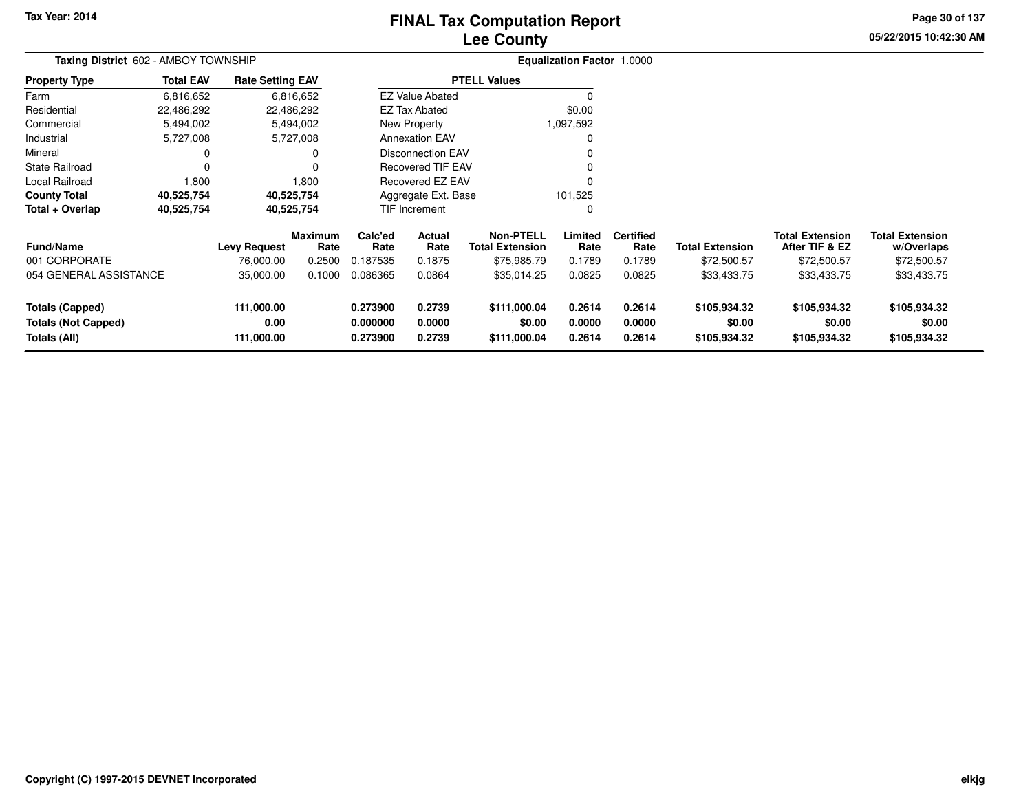# **Lee CountyFINAL Tax Computation Report**

**05/22/2015 10:42:30 AM Page 30 of 137**

| Taxing District 602 - AMBOY TOWNSHIP                                 |                  |                                  |                        |                                  |                            |                                            | Equalization Factor 1.0000 |                            |                                        |                                          |                                        |  |
|----------------------------------------------------------------------|------------------|----------------------------------|------------------------|----------------------------------|----------------------------|--------------------------------------------|----------------------------|----------------------------|----------------------------------------|------------------------------------------|----------------------------------------|--|
| <b>Property Type</b>                                                 | <b>Total EAV</b> | <b>Rate Setting EAV</b>          |                        |                                  |                            | <b>PTELL Values</b>                        |                            |                            |                                        |                                          |                                        |  |
| Farm                                                                 | 6,816,652        |                                  | 6,816,652              |                                  | <b>EZ Value Abated</b>     |                                            | $\Omega$                   |                            |                                        |                                          |                                        |  |
| Residential                                                          | 22,486,292       |                                  | 22,486,292             |                                  | <b>EZ Tax Abated</b>       |                                            | \$0.00                     |                            |                                        |                                          |                                        |  |
| Commercial                                                           | 5,494,002        |                                  | 5,494,002              |                                  | New Property               |                                            | 1,097,592                  |                            |                                        |                                          |                                        |  |
| Industrial                                                           | 5,727,008        |                                  | 5,727,008              |                                  | <b>Annexation EAV</b>      |                                            | 0                          |                            |                                        |                                          |                                        |  |
| Mineral                                                              |                  |                                  |                        |                                  | <b>Disconnection EAV</b>   |                                            | 0                          |                            |                                        |                                          |                                        |  |
| <b>State Railroad</b>                                                |                  |                                  |                        |                                  | <b>Recovered TIF EAV</b>   |                                            | 0                          |                            |                                        |                                          |                                        |  |
| Local Railroad                                                       | 1,800            |                                  | 1,800                  |                                  | <b>Recovered EZ EAV</b>    |                                            | 0                          |                            |                                        |                                          |                                        |  |
| <b>County Total</b>                                                  | 40,525,754       |                                  | 40,525,754             |                                  | Aggregate Ext. Base        |                                            | 101,525                    |                            |                                        |                                          |                                        |  |
| Total + Overlap                                                      | 40,525,754       |                                  | 40,525,754             |                                  | TIF Increment              |                                            | 0                          |                            |                                        |                                          |                                        |  |
| <b>Fund/Name</b>                                                     |                  | <b>Levy Request</b>              | <b>Maximum</b><br>Rate | Calc'ed<br>Rate                  | Actual<br>Rate             | <b>Non-PTELL</b><br><b>Total Extension</b> | Limited<br>Rate            | <b>Certified</b><br>Rate   | <b>Total Extension</b>                 | <b>Total Extension</b><br>After TIF & EZ | <b>Total Extension</b><br>w/Overlaps   |  |
| 001 CORPORATE                                                        |                  | 76,000.00                        | 0.2500                 | 0.187535                         | 0.1875                     | \$75,985.79                                | 0.1789                     | 0.1789                     | \$72,500.57                            | \$72,500.57                              | \$72,500.57                            |  |
| 054 GENERAL ASSISTANCE                                               |                  | 35,000.00                        | 0.1000                 | 0.086365                         | 0.0864                     | \$35,014.25                                | 0.0825                     | 0.0825                     | \$33,433.75                            | \$33,433.75                              | \$33,433.75                            |  |
| <b>Totals (Capped)</b><br><b>Totals (Not Capped)</b><br>Totals (All) |                  | 111,000.00<br>0.00<br>111,000.00 |                        | 0.273900<br>0.000000<br>0.273900 | 0.2739<br>0.0000<br>0.2739 | \$111,000.04<br>\$0.00<br>\$111,000.04     | 0.2614<br>0.0000<br>0.2614 | 0.2614<br>0.0000<br>0.2614 | \$105,934.32<br>\$0.00<br>\$105,934.32 | \$105,934.32<br>\$0.00<br>\$105,934.32   | \$105,934.32<br>\$0.00<br>\$105,934.32 |  |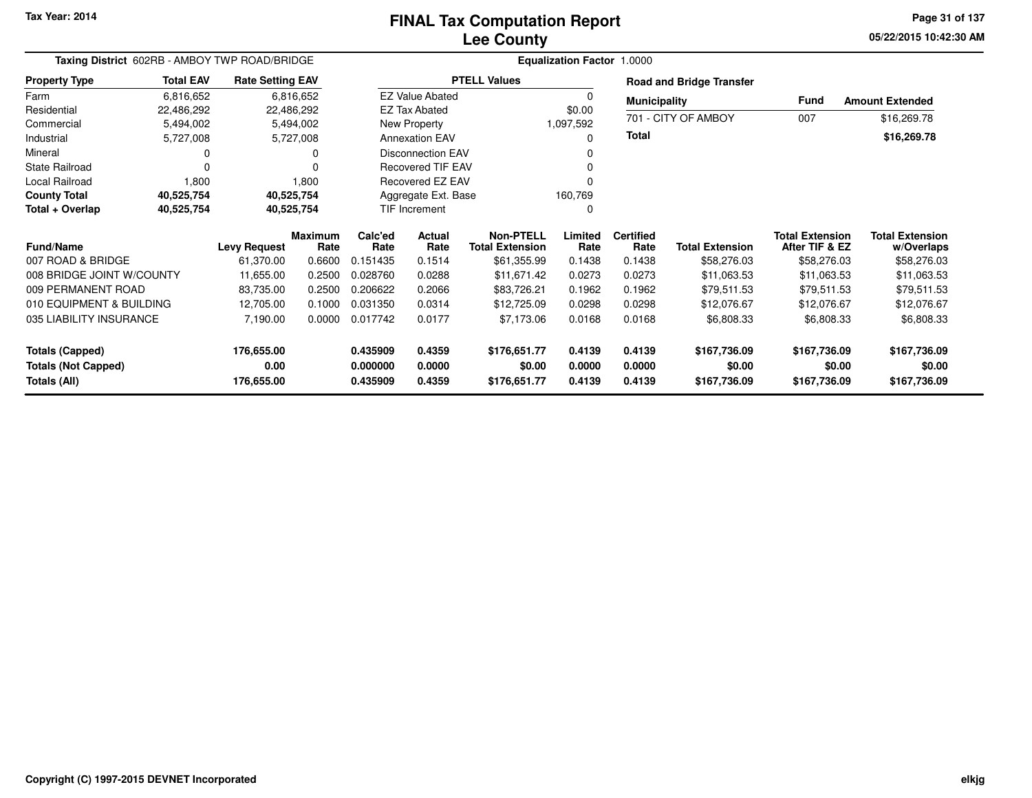## **Lee CountyFINAL Tax Computation Report**

**05/22/2015 10:42:30 AM Page 31 of 137**

| Taxing District 602RB - AMBOY TWP ROAD/BRIDGE |                  |                         |                        |                          |                          |                                            | <b>Equalization Factor 1.0000</b> |                          |                                 |                                          |                                      |
|-----------------------------------------------|------------------|-------------------------|------------------------|--------------------------|--------------------------|--------------------------------------------|-----------------------------------|--------------------------|---------------------------------|------------------------------------------|--------------------------------------|
| <b>Property Type</b>                          | <b>Total EAV</b> | <b>Rate Setting EAV</b> |                        |                          |                          | <b>PTELL Values</b>                        |                                   |                          | <b>Road and Bridge Transfer</b> |                                          |                                      |
| Farm                                          | 6,816,652        |                         | 6,816,652              |                          | <b>EZ Value Abated</b>   |                                            | 0                                 | <b>Municipality</b>      |                                 | <b>Fund</b>                              | <b>Amount Extended</b>               |
| Residential                                   | 22,486,292       |                         | 22,486,292             |                          | <b>EZ Tax Abated</b>     |                                            | \$0.00                            |                          |                                 |                                          |                                      |
| Commercial                                    | 5,494,002        |                         | 5,494,002              |                          | New Property             |                                            | 1,097,592                         |                          | 701 - CITY OF AMBOY             | 007                                      | \$16,269.78                          |
| Industrial                                    | 5,727,008        |                         | 5,727,008              | <b>Annexation EAV</b>    |                          |                                            | $\Omega$                          | <b>Total</b>             |                                 |                                          | \$16,269.78                          |
| Mineral                                       |                  |                         | 0                      |                          | <b>Disconnection EAV</b> |                                            | 0                                 |                          |                                 |                                          |                                      |
| <b>State Railroad</b>                         | 0                |                         |                        | <b>Recovered TIF EAV</b> |                          |                                            | 0                                 |                          |                                 |                                          |                                      |
| Local Railroad                                | 1,800            |                         | 1,800                  | Recovered EZ EAV         |                          |                                            | 0                                 |                          |                                 |                                          |                                      |
| <b>County Total</b>                           | 40,525,754       |                         | 40,525,754             | Aggregate Ext. Base      |                          |                                            | 160,769                           |                          |                                 |                                          |                                      |
| Total + Overlap                               | 40,525,754       |                         | 40,525,754             | TIF Increment            |                          |                                            | $\Omega$                          |                          |                                 |                                          |                                      |
| <b>Fund/Name</b>                              |                  | <b>Levy Request</b>     | <b>Maximum</b><br>Rate | Calc'ed<br>Rate          | Actual<br>Rate           | <b>Non-PTELL</b><br><b>Total Extension</b> | Limited<br>Rate                   | <b>Certified</b><br>Rate | <b>Total Extension</b>          | <b>Total Extension</b><br>After TIF & EZ | <b>Total Extension</b><br>w/Overlaps |
| 007 ROAD & BRIDGE                             |                  | 61,370.00               | 0.6600                 | 0.151435                 | 0.1514                   | \$61,355.99                                | 0.1438                            | 0.1438                   | \$58,276.03                     | \$58,276.03                              | \$58,276.03                          |
| 008 BRIDGE JOINT W/COUNTY                     |                  | 11,655.00               | 0.2500                 | 0.028760                 | 0.0288                   | \$11,671.42                                | 0.0273                            | 0.0273                   | \$11,063.53                     | \$11,063.53                              | \$11,063.53                          |
| 009 PERMANENT ROAD                            |                  | 83,735.00               | 0.2500                 | 0.206622                 | 0.2066                   | \$83,726.21                                | 0.1962                            | 0.1962                   | \$79,511.53                     | \$79,511.53                              | \$79,511.53                          |
| 010 EQUIPMENT & BUILDING                      |                  | 12,705.00               | 0.1000                 | 0.031350                 | 0.0314                   | \$12,725.09                                | 0.0298                            | 0.0298                   | \$12,076.67                     | \$12,076.67                              | \$12,076.67                          |
| 035 LIABILITY INSURANCE                       |                  | 7,190.00                | 0.0000                 | 0.017742                 | 0.0177                   | \$7,173.06                                 | 0.0168                            | 0.0168                   | \$6,808.33                      | \$6,808.33                               | \$6,808.33                           |
| Totals (Capped)                               |                  | 176,655.00              |                        | 0.435909                 | 0.4359                   | \$176,651.77                               | 0.4139                            | 0.4139                   | \$167,736.09                    | \$167,736.09                             | \$167,736.09                         |
| <b>Totals (Not Capped)</b>                    |                  | 0.00                    |                        | 0.000000                 | 0.0000                   | \$0.00                                     | 0.0000                            | 0.0000                   | \$0.00                          | \$0.00                                   | \$0.00                               |
| Totals (All)                                  |                  | 176,655.00              |                        | 0.435909                 | 0.4359                   | \$176,651.77                               | 0.4139                            | 0.4139                   | \$167,736.09                    | \$167,736.09                             | \$167,736.09                         |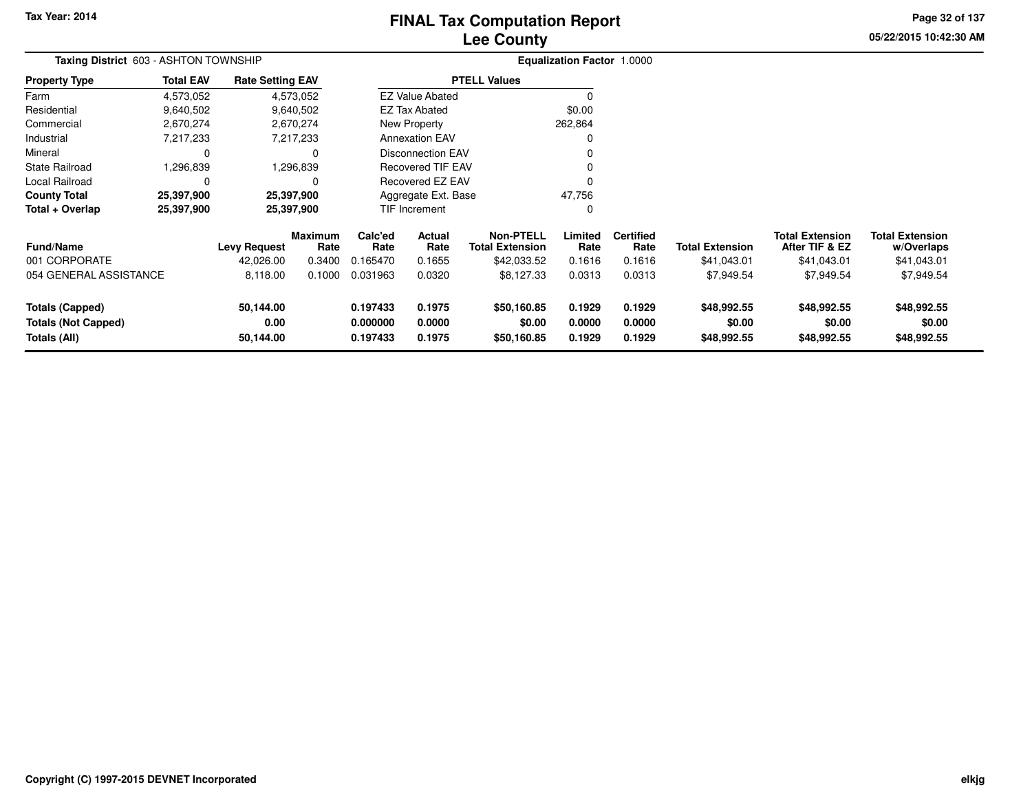# **Lee CountyFINAL Tax Computation Report**

**05/22/2015 10:42:30 AM Page 32 of 137**

| Taxing District 603 - ASHTON TOWNSHIP                                |                  |                                |                        |                                  |                            |                                            | <b>Equalization Factor 1.0000</b> |                            |                                      |                                          |                                      |
|----------------------------------------------------------------------|------------------|--------------------------------|------------------------|----------------------------------|----------------------------|--------------------------------------------|-----------------------------------|----------------------------|--------------------------------------|------------------------------------------|--------------------------------------|
| <b>Property Type</b>                                                 | <b>Total EAV</b> | <b>Rate Setting EAV</b>        |                        |                                  |                            | <b>PTELL Values</b>                        |                                   |                            |                                      |                                          |                                      |
| Farm                                                                 | 4,573,052        |                                | 4,573,052              |                                  | <b>EZ Value Abated</b>     |                                            | $\Omega$                          |                            |                                      |                                          |                                      |
| Residential                                                          | 9,640,502        |                                | 9,640,502              |                                  | <b>EZ Tax Abated</b>       |                                            | \$0.00                            |                            |                                      |                                          |                                      |
| Commercial                                                           | 2,670,274        |                                | 2,670,274              |                                  | New Property               |                                            | 262,864                           |                            |                                      |                                          |                                      |
| Industrial                                                           | 7,217,233        |                                | 7,217,233              |                                  | <b>Annexation EAV</b>      |                                            | 0                                 |                            |                                      |                                          |                                      |
| Mineral                                                              |                  |                                | 0                      |                                  | <b>Disconnection EAV</b>   |                                            |                                   |                            |                                      |                                          |                                      |
| <b>State Railroad</b>                                                | 1,296.839        |                                | ,296,839               |                                  | <b>Recovered TIF EAV</b>   |                                            |                                   |                            |                                      |                                          |                                      |
| Local Railroad                                                       |                  |                                | 0                      |                                  | Recovered EZ EAV           |                                            | 0                                 |                            |                                      |                                          |                                      |
| <b>County Total</b>                                                  | 25,397,900       |                                | 25,397,900             |                                  | Aggregate Ext. Base        |                                            | 47,756                            |                            |                                      |                                          |                                      |
| Total + Overlap                                                      | 25,397,900       |                                | 25,397,900             |                                  | <b>TIF Increment</b><br>0  |                                            |                                   |                            |                                      |                                          |                                      |
| <b>Fund/Name</b>                                                     |                  | <b>Levy Request</b>            | <b>Maximum</b><br>Rate | Calc'ed<br>Rate                  | Actual<br>Rate             | <b>Non-PTELL</b><br><b>Total Extension</b> | Limited<br>Rate                   | <b>Certified</b><br>Rate   | <b>Total Extension</b>               | <b>Total Extension</b><br>After TIF & EZ | <b>Total Extension</b><br>w/Overlaps |
| 001 CORPORATE                                                        |                  | 42,026.00                      | 0.3400                 | 0.165470                         | 0.1655                     | \$42,033.52                                | 0.1616                            | 0.1616                     | \$41,043.01                          | \$41,043.01                              | \$41,043.01                          |
| 054 GENERAL ASSISTANCE                                               |                  | 8,118.00                       | 0.1000                 | 0.031963                         | 0.0320                     | \$8,127.33                                 | 0.0313                            | 0.0313                     | \$7,949.54                           | \$7,949.54                               | \$7,949.54                           |
| <b>Totals (Capped)</b><br><b>Totals (Not Capped)</b><br>Totals (All) |                  | 50,144.00<br>0.00<br>50,144.00 |                        | 0.197433<br>0.000000<br>0.197433 | 0.1975<br>0.0000<br>0.1975 | \$50,160.85<br>\$0.00<br>\$50,160.85       | 0.1929<br>0.0000<br>0.1929        | 0.1929<br>0.0000<br>0.1929 | \$48,992.55<br>\$0.00<br>\$48,992.55 | \$48,992.55<br>\$0.00<br>\$48,992.55     | \$48,992.55<br>\$0.00<br>\$48,992.55 |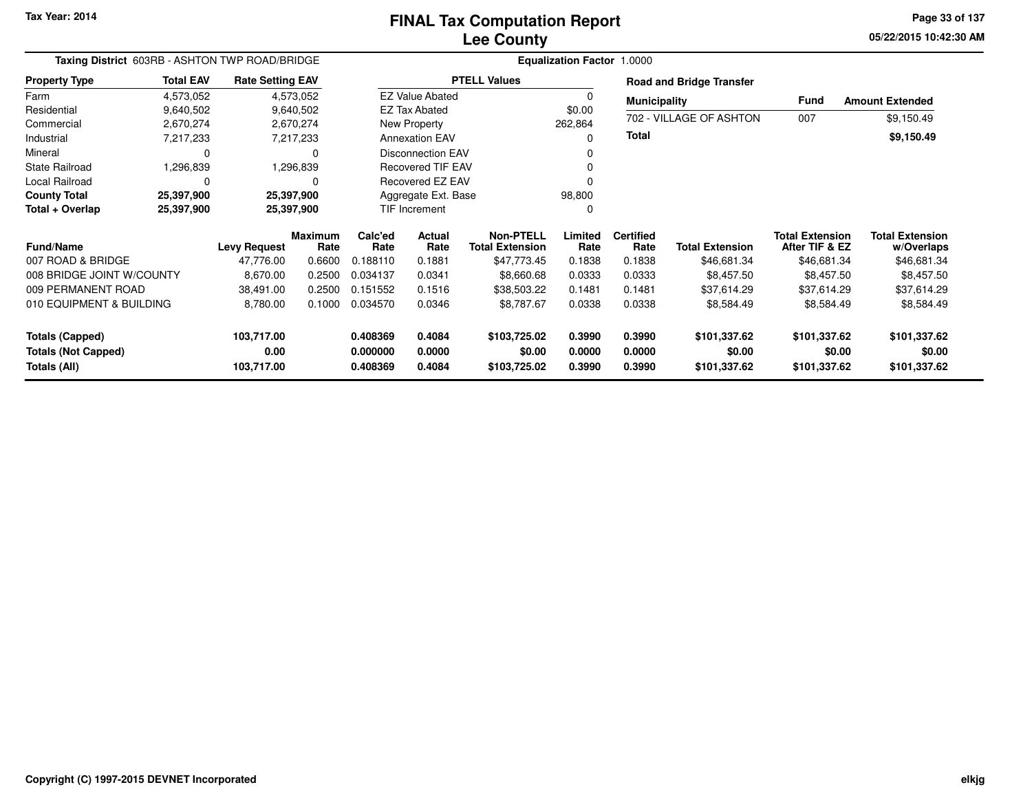## **Lee CountyFINAL Tax Computation Report**

**05/22/2015 10:42:30 AM Page 33 of 137**

| Taxing District 603RB - ASHTON TWP ROAD/BRIDGE                       |                  |                                  |                 |                                  | <b>Equalization Factor 1.0000</b>   |                                        |                            |                            |                                          |                                        |                                        |
|----------------------------------------------------------------------|------------------|----------------------------------|-----------------|----------------------------------|-------------------------------------|----------------------------------------|----------------------------|----------------------------|------------------------------------------|----------------------------------------|----------------------------------------|
| <b>Property Type</b>                                                 | <b>Total EAV</b> | <b>Rate Setting EAV</b>          |                 |                                  |                                     | <b>PTELL Values</b>                    |                            |                            | <b>Road and Bridge Transfer</b>          |                                        |                                        |
| Farm                                                                 | 4,573,052        |                                  | 4,573,052       |                                  | <b>EZ Value Abated</b>              |                                        | 0                          | <b>Municipality</b>        |                                          | Fund                                   | <b>Amount Extended</b>                 |
| Residential                                                          | 9,640,502        |                                  | 9,640,502       |                                  | <b>EZ Tax Abated</b>                |                                        | \$0.00                     |                            | 702 - VILLAGE OF ASHTON                  | 007                                    | \$9,150.49                             |
| Commercial                                                           | 2,670,274        |                                  | 2,670,274       |                                  | New Property                        |                                        | 262,864                    | Total                      |                                          |                                        |                                        |
| Industrial                                                           | 7,217,233        |                                  | 7,217,233       |                                  | <b>Annexation EAV</b>               |                                        | 0                          |                            |                                          |                                        | \$9,150.49                             |
| Mineral                                                              | 0                |                                  |                 |                                  | <b>Disconnection EAV</b>            |                                        | 0                          |                            |                                          |                                        |                                        |
| <b>State Railroad</b>                                                | 1,296,839        |                                  | 1,296,839       | <b>Recovered TIF EAV</b>         |                                     |                                        | 0                          |                            |                                          |                                        |                                        |
| Local Railroad                                                       | $\mathbf 0$      |                                  | O               |                                  | Recovered EZ EAV                    |                                        | 0                          |                            |                                          |                                        |                                        |
| <b>County Total</b>                                                  | 25,397,900       | 25,397,900                       |                 |                                  | Aggregate Ext. Base                 |                                        | 98,800                     |                            |                                          |                                        |                                        |
| Total + Overlap                                                      | 25,397,900       | 25,397,900                       |                 |                                  | <b>TIF Increment</b>                |                                        | 0                          |                            |                                          |                                        |                                        |
| <b>Fund/Name</b><br><b>Levy Request</b>                              |                  | <b>Maximum</b><br>Rate           | Calc'ed<br>Rate | Actual<br>Rate                   | Non-PTELL<br><b>Total Extension</b> | Limited<br>Rate                        | <b>Certified</b><br>Rate   | <b>Total Extension</b>     | <b>Total Extension</b><br>After TIF & EZ | <b>Total Extension</b><br>w/Overlaps   |                                        |
| 007 ROAD & BRIDGE                                                    |                  | 47.776.00                        | 0.6600          | 0.188110                         | 0.1881                              | \$47,773.45                            | 0.1838                     | 0.1838                     | \$46,681.34                              | \$46,681.34                            | \$46,681.34                            |
| 008 BRIDGE JOINT W/COUNTY                                            |                  | 8,670.00                         | 0.2500          | 0.034137                         | 0.0341                              | \$8,660.68                             | 0.0333                     | 0.0333                     | \$8,457.50                               | \$8,457.50                             | \$8,457.50                             |
| 009 PERMANENT ROAD                                                   |                  | 38,491.00                        | 0.2500          | 0.151552                         | 0.1516                              | \$38,503.22                            | 0.1481                     | 0.1481                     | \$37,614.29                              | \$37,614.29                            | \$37,614.29                            |
| 010 EQUIPMENT & BUILDING                                             |                  | 8,780.00                         | 0.1000          | 0.034570                         | 0.0346                              | \$8,787.67                             | 0.0338                     | 0.0338                     | \$8,584.49                               | \$8,584.49                             | \$8,584.49                             |
| <b>Totals (Capped)</b><br><b>Totals (Not Capped)</b><br>Totals (All) |                  | 103,717.00<br>0.00<br>103,717.00 |                 | 0.408369<br>0.000000<br>0.408369 | 0.4084<br>0.0000<br>0.4084          | \$103,725.02<br>\$0.00<br>\$103,725.02 | 0.3990<br>0.0000<br>0.3990 | 0.3990<br>0.0000<br>0.3990 | \$101,337.62<br>\$0.00<br>\$101,337.62   | \$101,337.62<br>\$0.00<br>\$101,337.62 | \$101,337.62<br>\$0.00<br>\$101,337.62 |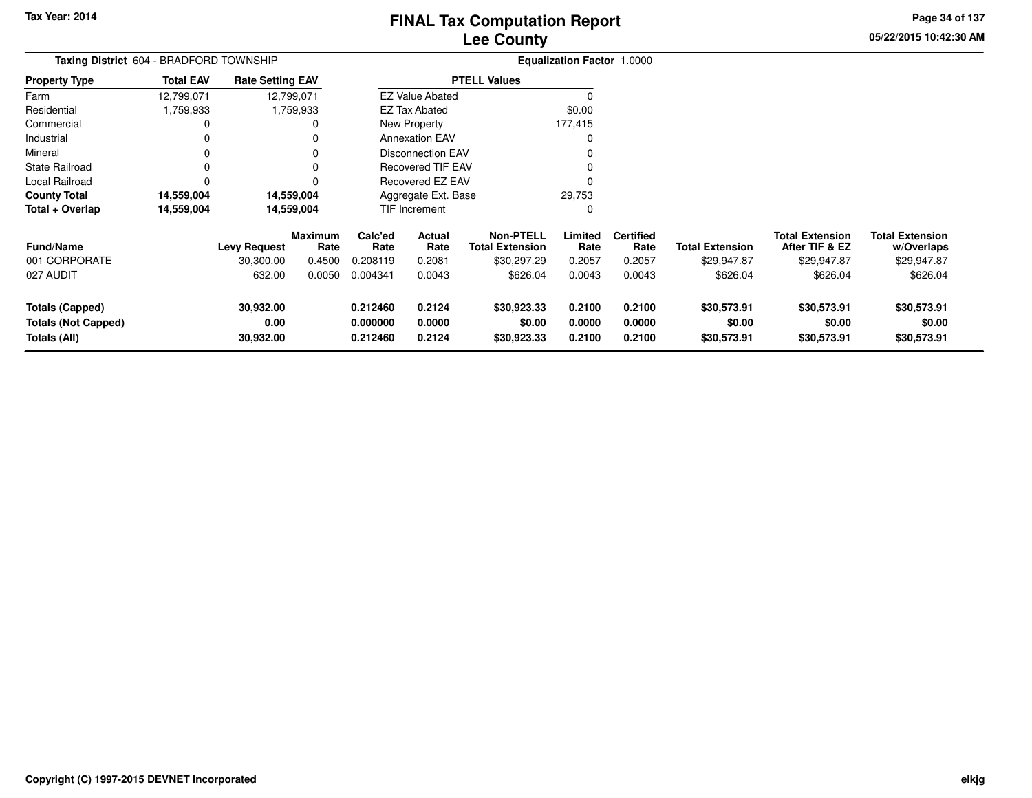**05/22/2015 10:42:30 AM Page 34 of 137**

| Taxing District 604 - BRADFORD TOWNSHIP                              |                  |                                  |                                  |                                  |                            |                                                           | <b>Equalization Factor 1.0000</b> |                                    |                                       |                                                         |                                                     |
|----------------------------------------------------------------------|------------------|----------------------------------|----------------------------------|----------------------------------|----------------------------|-----------------------------------------------------------|-----------------------------------|------------------------------------|---------------------------------------|---------------------------------------------------------|-----------------------------------------------------|
| <b>Property Type</b>                                                 | <b>Total EAV</b> | <b>Rate Setting EAV</b>          |                                  |                                  |                            | <b>PTELL Values</b>                                       |                                   |                                    |                                       |                                                         |                                                     |
| Farm                                                                 | 12,799,071       |                                  | 12,799,071                       |                                  | <b>EZ Value Abated</b>     |                                                           |                                   |                                    |                                       |                                                         |                                                     |
| Residential                                                          | 1,759,933        |                                  | 1,759,933                        |                                  | <b>EZ Tax Abated</b>       |                                                           | \$0.00                            |                                    |                                       |                                                         |                                                     |
| Commercial                                                           |                  |                                  |                                  |                                  | <b>New Property</b>        |                                                           | 177,415                           |                                    |                                       |                                                         |                                                     |
| Industrial                                                           |                  |                                  |                                  |                                  | <b>Annexation EAV</b>      |                                                           | <sup>0</sup>                      |                                    |                                       |                                                         |                                                     |
| Mineral                                                              |                  |                                  |                                  |                                  | <b>Disconnection EAV</b>   |                                                           |                                   |                                    |                                       |                                                         |                                                     |
| <b>State Railroad</b>                                                |                  |                                  |                                  |                                  | <b>Recovered TIF EAV</b>   |                                                           |                                   |                                    |                                       |                                                         |                                                     |
| Local Railroad                                                       |                  |                                  |                                  |                                  | <b>Recovered EZ EAV</b>    |                                                           |                                   |                                    |                                       |                                                         |                                                     |
| <b>County Total</b>                                                  | 14,559,004       |                                  | 14,559,004                       |                                  | Aggregate Ext. Base        |                                                           | 29,753                            |                                    |                                       |                                                         |                                                     |
| Total + Overlap                                                      | 14,559,004       |                                  | 14,559,004                       |                                  | TIF Increment              |                                                           | $\Omega$                          |                                    |                                       |                                                         |                                                     |
| <b>Fund/Name</b><br>001 CORPORATE                                    |                  | <b>Levy Request</b><br>30,300.00 | <b>Maximum</b><br>Rate<br>0.4500 | Calc'ed<br>Rate<br>0.208119      | Actual<br>Rate<br>0.2081   | <b>Non-PTELL</b><br><b>Total Extension</b><br>\$30,297.29 | Limited<br>Rate<br>0.2057         | <b>Certified</b><br>Rate<br>0.2057 | <b>Total Extension</b><br>\$29,947.87 | <b>Total Extension</b><br>After TIF & EZ<br>\$29,947.87 | <b>Total Extension</b><br>w/Overlaps<br>\$29,947.87 |
| 027 AUDIT                                                            |                  | 632.00                           | 0.0050                           | 0.004341                         | 0.0043                     | \$626.04                                                  | 0.0043                            | 0.0043                             | \$626.04                              | \$626.04                                                | \$626.04                                            |
| <b>Totals (Capped)</b><br><b>Totals (Not Capped)</b><br>Totals (All) |                  | 30,932.00<br>0.00<br>30,932.00   |                                  | 0.212460<br>0.000000<br>0.212460 | 0.2124<br>0.0000<br>0.2124 | \$30,923.33<br>\$0.00<br>\$30,923.33                      | 0.2100<br>0.0000<br>0.2100        | 0.2100<br>0.0000<br>0.2100         | \$30,573.91<br>\$0.00<br>\$30,573.91  | \$30,573.91<br>\$0.00<br>\$30,573.91                    | \$30,573.91<br>\$0.00<br>\$30,573.91                |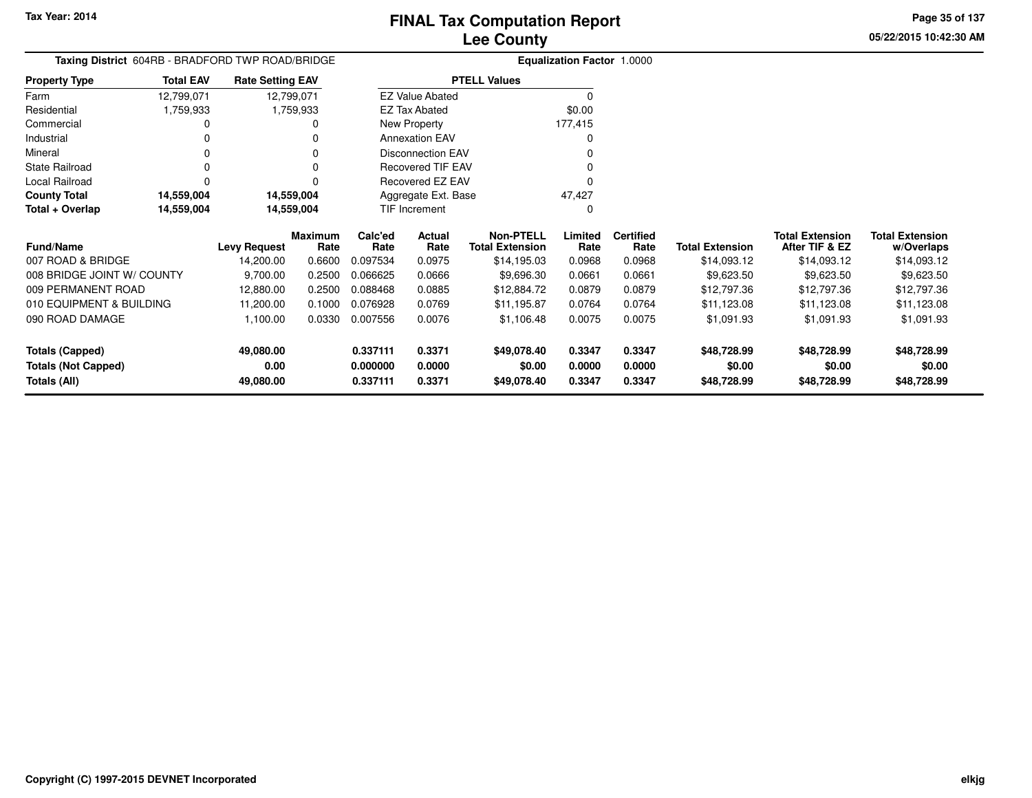**05/22/2015 10:42:30 AM Page 35 of 137**

| <b>Taxing District</b> 604RB - BRADFORD TWP ROAD/BRIDGE |                  |                         |                 |                 |                          |                                            | <b>Equalization Factor 1.0000</b> |                          |                        |                                          |                                      |
|---------------------------------------------------------|------------------|-------------------------|-----------------|-----------------|--------------------------|--------------------------------------------|-----------------------------------|--------------------------|------------------------|------------------------------------------|--------------------------------------|
| <b>Property Type</b>                                    | <b>Total EAV</b> | <b>Rate Setting EAV</b> |                 |                 |                          | <b>PTELL Values</b>                        |                                   |                          |                        |                                          |                                      |
| Farm                                                    | 12,799,071       | 12,799,071              |                 |                 | <b>EZ Value Abated</b>   |                                            | $\Omega$                          |                          |                        |                                          |                                      |
| Residential                                             | 1,759,933        |                         | 1,759,933       |                 | <b>EZ Tax Abated</b>     |                                            | \$0.00                            |                          |                        |                                          |                                      |
| Commercial                                              |                  |                         |                 |                 | New Property             |                                            | 177,415                           |                          |                        |                                          |                                      |
| Industrial                                              |                  |                         |                 |                 | <b>Annexation EAV</b>    |                                            | O                                 |                          |                        |                                          |                                      |
| Mineral                                                 |                  |                         |                 |                 | <b>Disconnection EAV</b> |                                            |                                   |                          |                        |                                          |                                      |
| <b>State Railroad</b>                                   |                  |                         |                 |                 | Recovered TIF EAV        |                                            |                                   |                          |                        |                                          |                                      |
| Local Railroad                                          | 0                |                         | 0               |                 | Recovered EZ EAV         |                                            | 0                                 |                          |                        |                                          |                                      |
| <b>County Total</b>                                     | 14,559,004       | 14,559,004              |                 |                 | Aggregate Ext. Base      |                                            | 47,427                            |                          |                        |                                          |                                      |
| Total + Overlap<br>14,559,004                           |                  | 14,559,004              |                 |                 | TIF Increment            |                                            | $\Omega$                          |                          |                        |                                          |                                      |
| <b>Fund/Name</b>                                        |                  | <b>Levy Request</b>     | Maximum<br>Rate | Calc'ed<br>Rate | Actual<br>Rate           | <b>Non-PTELL</b><br><b>Total Extension</b> | Limited<br>Rate                   | <b>Certified</b><br>Rate | <b>Total Extension</b> | <b>Total Extension</b><br>After TIF & EZ | <b>Total Extension</b><br>w/Overlaps |
| 007 ROAD & BRIDGE                                       |                  | 14,200.00               | 0.6600          | 0.097534        | 0.0975                   | \$14,195.03                                | 0.0968                            | 0.0968                   | \$14,093.12            | \$14,093.12                              | \$14,093.12                          |
| 008 BRIDGE JOINT W/ COUNTY                              |                  | 9,700.00                | 0.2500          | 0.066625        | 0.0666                   | \$9,696.30                                 | 0.0661                            | 0.0661                   | \$9,623.50             | \$9,623.50                               | \$9,623.50                           |
| 009 PERMANENT ROAD                                      |                  | 12,880.00               | 0.2500          | 0.088468        | 0.0885                   | \$12,884.72                                | 0.0879                            | 0.0879                   | \$12,797.36            | \$12,797.36                              | \$12,797.36                          |
| 010 EQUIPMENT & BUILDING                                |                  | 11,200.00               | 0.1000          | 0.076928        | 0.0769                   | \$11,195.87                                | 0.0764                            | 0.0764                   | \$11,123.08            | \$11,123.08                              | \$11,123.08                          |
| 090 ROAD DAMAGE                                         |                  | 1,100.00                | 0.0330          | 0.007556        | 0.0076                   | \$1,106.48                                 | 0.0075                            | 0.0075                   | \$1,091.93             | \$1,091.93                               | \$1,091.93                           |
| <b>Totals (Capped)</b>                                  |                  | 49,080.00               |                 | 0.337111        | 0.3371                   | \$49,078.40                                | 0.3347                            | 0.3347                   | \$48,728.99            | \$48,728.99                              | \$48,728.99                          |
| <b>Totals (Not Capped)</b>                              |                  | 0.00                    |                 | 0.000000        | 0.0000                   | \$0.00                                     | 0.0000                            | 0.0000                   | \$0.00                 | \$0.00                                   | \$0.00                               |
| Totals (All)                                            |                  | 49,080.00               |                 | 0.337111        | 0.3371                   | \$49,078.40                                | 0.3347                            | 0.3347                   | \$48,728.99            | \$48,728.99                              | \$48,728.99                          |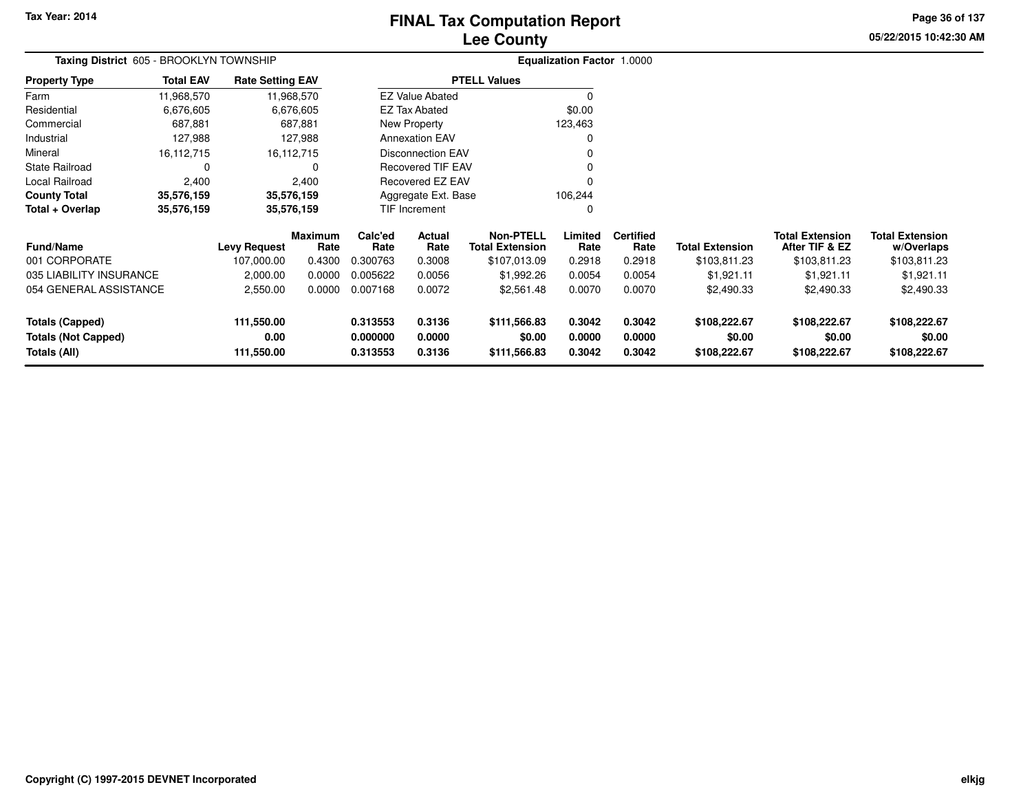# **Lee CountyFINAL Tax Computation Report**

**05/22/2015 10:42:30 AM Page 36 of 137**

| <b>Taxing District</b> 605 - BROOKLYN TOWNSHIP |                  |                         |                        |                      |                          |                                            | <b>Equalization Factor 1.0000</b> |                          |                        |                                          |                                      |
|------------------------------------------------|------------------|-------------------------|------------------------|----------------------|--------------------------|--------------------------------------------|-----------------------------------|--------------------------|------------------------|------------------------------------------|--------------------------------------|
| <b>Property Type</b>                           | <b>Total EAV</b> | <b>Rate Setting EAV</b> |                        |                      |                          | <b>PTELL Values</b>                        |                                   |                          |                        |                                          |                                      |
| Farm                                           | 11,968,570       |                         | 11,968,570             |                      | <b>EZ Value Abated</b>   |                                            | $\Omega$                          |                          |                        |                                          |                                      |
| Residential                                    | 6,676,605        |                         | 6,676,605              | <b>EZ Tax Abated</b> |                          |                                            | \$0.00                            |                          |                        |                                          |                                      |
| Commercial                                     | 687,881          |                         | 687,881                | New Property         |                          |                                            | 123,463                           |                          |                        |                                          |                                      |
| Industrial                                     | 127,988          |                         | 127,988                |                      | <b>Annexation EAV</b>    |                                            | 0                                 |                          |                        |                                          |                                      |
| Mineral                                        | 16,112,715       |                         | 16,112,715             |                      | <b>Disconnection EAV</b> |                                            |                                   |                          |                        |                                          |                                      |
| State Railroad                                 | 0                |                         | 0                      |                      | <b>Recovered TIF EAV</b> |                                            |                                   |                          |                        |                                          |                                      |
| Local Railroad                                 | 2,400            |                         | 2,400                  |                      | Recovered EZ EAV         |                                            | $\Omega$                          |                          |                        |                                          |                                      |
| <b>County Total</b>                            | 35,576,159       |                         | 35,576,159             |                      | Aggregate Ext. Base      |                                            | 106,244                           |                          |                        |                                          |                                      |
| Total + Overlap                                | 35,576,159       |                         | 35,576,159             |                      | TIF Increment            |                                            | 0                                 |                          |                        |                                          |                                      |
| <b>Fund/Name</b>                               |                  | <b>Levy Request</b>     | <b>Maximum</b><br>Rate | Calc'ed<br>Rate      | Actual<br>Rate           | <b>Non-PTELL</b><br><b>Total Extension</b> | Limited<br>Rate                   | <b>Certified</b><br>Rate | <b>Total Extension</b> | <b>Total Extension</b><br>After TIF & EZ | <b>Total Extension</b><br>w/Overlaps |
| 001 CORPORATE                                  |                  | 107,000.00              | 0.4300                 | 0.300763             | 0.3008                   | \$107,013.09                               | 0.2918                            | 0.2918                   | \$103,811.23           | \$103,811.23                             | \$103,811.23                         |
| 035 LIABILITY INSURANCE                        |                  | 2,000.00                | 0.0000                 | 0.005622             | 0.0056                   | \$1,992.26                                 | 0.0054                            | 0.0054                   | \$1,921.11             | \$1,921.11                               | \$1,921.11                           |
| 054 GENERAL ASSISTANCE                         |                  | 2,550.00                | 0.0000                 | 0.007168             | 0.0072                   | \$2,561.48                                 | 0.0070                            | 0.0070                   | \$2,490.33             | \$2,490.33                               | \$2,490.33                           |
| <b>Totals (Capped)</b>                         |                  | 111,550.00              |                        | 0.313553             | 0.3136                   | \$111,566.83                               | 0.3042                            | 0.3042                   | \$108,222.67           | \$108,222.67                             | \$108,222.67                         |
| <b>Totals (Not Capped)</b>                     |                  | 0.00                    |                        | 0.000000             | 0.0000                   | \$0.00                                     | 0.0000                            | 0.0000                   | \$0.00                 | \$0.00                                   | \$0.00                               |
| Totals (All)                                   |                  | 111,550.00              |                        | 0.313553             | 0.3136                   | \$111,566.83                               | 0.3042                            | 0.3042                   | \$108,222.67           | \$108,222.67                             | \$108,222.67                         |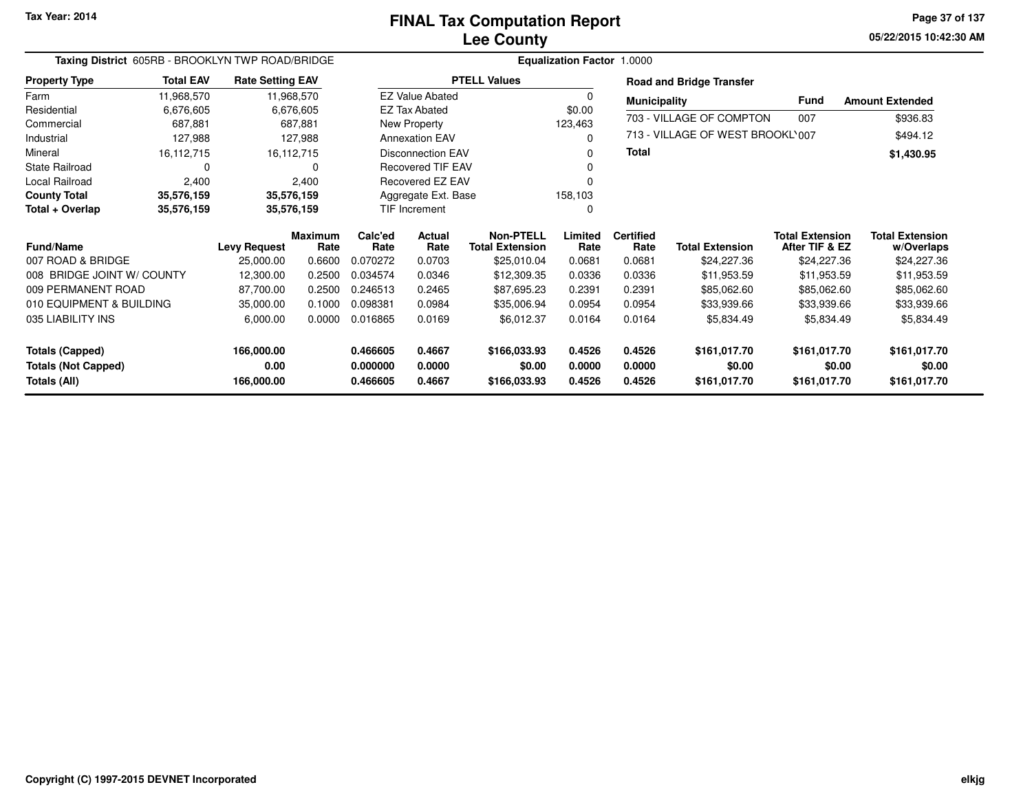**05/22/2015 10:42:30 AM Page 37 of 137**

| Taxing District 605RB - BROOKLYN TWP ROAD/BRIDGE |                  |                         |                        |                 |                          |                                            | <b>Equalization Factor 1.0000</b> |                          |                                  |                                          |                                      |
|--------------------------------------------------|------------------|-------------------------|------------------------|-----------------|--------------------------|--------------------------------------------|-----------------------------------|--------------------------|----------------------------------|------------------------------------------|--------------------------------------|
| <b>Property Type</b>                             | <b>Total EAV</b> | <b>Rate Setting EAV</b> |                        |                 |                          | <b>PTELL Values</b>                        |                                   |                          | <b>Road and Bridge Transfer</b>  |                                          |                                      |
| Farm                                             | 11,968,570       |                         | 11,968,570             |                 | <b>EZ Value Abated</b>   |                                            | 0                                 | <b>Municipality</b>      |                                  | Fund                                     | <b>Amount Extended</b>               |
| Residential                                      | 6,676,605        |                         | 6,676,605              |                 | <b>EZ Tax Abated</b>     |                                            | \$0.00                            |                          |                                  |                                          |                                      |
| Commercial                                       | 687,881          |                         | 687,881                |                 | New Property             |                                            | 123,463                           |                          | 703 - VILLAGE OF COMPTON         | 007                                      | \$936.83                             |
| Industrial                                       | 127,988          |                         | 127,988                |                 | <b>Annexation EAV</b>    |                                            | 0                                 |                          | 713 - VILLAGE OF WEST BROOKL'007 |                                          | \$494.12                             |
| Mineral                                          | 16,112,715       |                         | 16,112,715             |                 | <b>Disconnection EAV</b> |                                            | 0                                 | Total                    |                                  |                                          | \$1,430.95                           |
| <b>State Railroad</b>                            | $\Omega$         |                         | 0                      |                 | Recovered TIF EAV        |                                            |                                   |                          |                                  |                                          |                                      |
| Local Railroad                                   | 2,400            |                         | 2,400                  |                 | Recovered EZ EAV         |                                            |                                   |                          |                                  |                                          |                                      |
| <b>County Total</b>                              | 35,576,159       |                         | 35,576,159             |                 | Aggregate Ext. Base      |                                            | 158,103                           |                          |                                  |                                          |                                      |
| Total + Overlap                                  | 35,576,159       |                         | 35,576,159             |                 | TIF Increment            |                                            | 0                                 |                          |                                  |                                          |                                      |
| <b>Fund/Name</b>                                 |                  | <b>Levy Request</b>     | <b>Maximum</b><br>Rate | Calc'ed<br>Rate | Actual<br>Rate           | <b>Non-PTELL</b><br><b>Total Extension</b> | Limited<br>Rate                   | <b>Certified</b><br>Rate | <b>Total Extension</b>           | <b>Total Extension</b><br>After TIF & EZ | <b>Total Extension</b><br>w/Overlaps |
| 007 ROAD & BRIDGE                                |                  | 25,000.00               | 0.6600                 | 0.070272        | 0.0703                   | \$25,010.04                                | 0.0681                            | 0.0681                   | \$24,227.36                      | \$24,227.36                              | \$24,227.36                          |
| 008 BRIDGE JOINT W/ COUNTY                       |                  | 12,300.00               | 0.2500                 | 0.034574        | 0.0346                   | \$12,309.35                                | 0.0336                            | 0.0336                   | \$11,953.59                      | \$11,953.59                              | \$11,953.59                          |
| 009 PERMANENT ROAD                               |                  | 87,700.00               | 0.2500                 | 0.246513        | 0.2465                   | \$87,695.23                                | 0.2391                            | 0.2391                   | \$85,062.60                      | \$85,062.60                              | \$85,062.60                          |
| 010 EQUIPMENT & BUILDING                         |                  | 35,000.00               | 0.1000                 | 0.098381        | 0.0984                   | \$35,006.94                                | 0.0954                            | 0.0954                   | \$33,939.66                      | \$33,939.66                              | \$33,939.66                          |
| 035 LIABILITY INS                                |                  | 6,000.00                | 0.0000                 | 0.016865        | 0.0169                   | \$6,012.37                                 | 0.0164                            | 0.0164                   | \$5,834.49                       | \$5,834.49                               | \$5,834.49                           |
| <b>Totals (Capped)</b>                           |                  | 166,000.00              |                        | 0.466605        | 0.4667                   | \$166,033.93                               | 0.4526                            | 0.4526                   | \$161,017.70                     | \$161,017.70                             | \$161,017.70                         |
| <b>Totals (Not Capped)</b>                       |                  | 0.00                    |                        | 0.000000        | 0.0000                   | \$0.00                                     | 0.0000                            | 0.0000                   | \$0.00                           | \$0.00                                   | \$0.00                               |
| Totals (All)                                     |                  | 166,000.00              |                        | 0.466605        | 0.4667                   | \$166,033.93                               | 0.4526                            | 0.4526                   | \$161,017.70                     | \$161,017.70                             | \$161,017.70                         |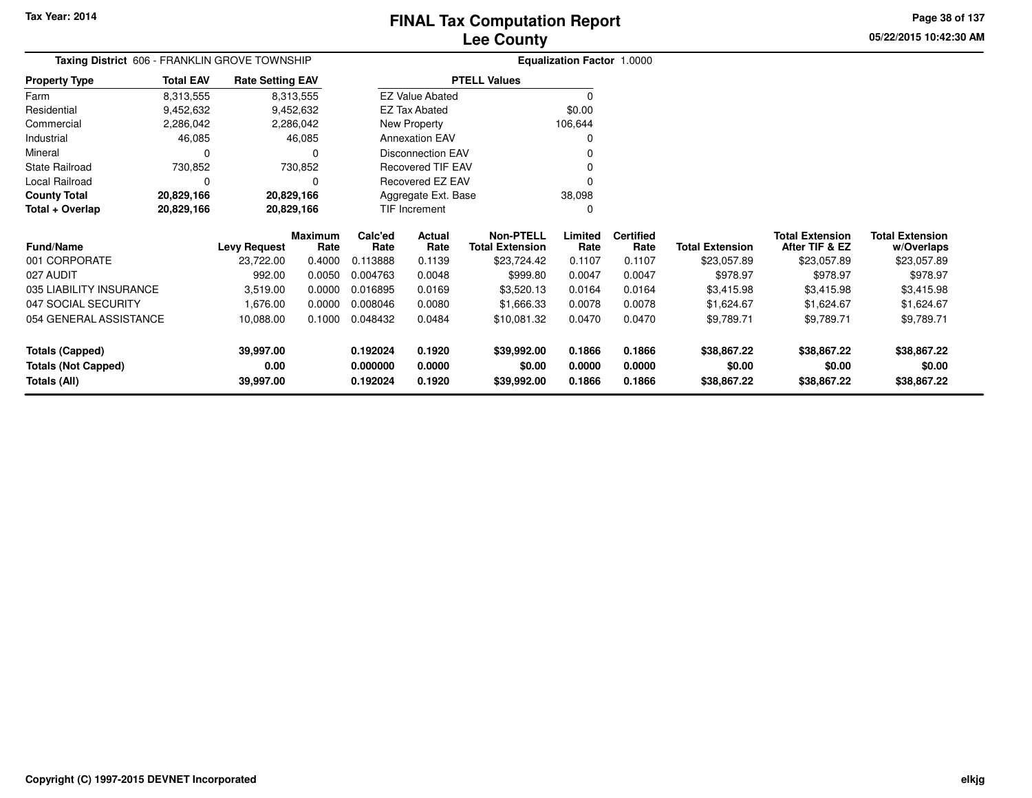**05/22/2015 10:42:30 AMPage 38 of 137**

| Taxing District 606 - FRANKLIN GROVE TOWNSHIP |                  |                         |                        |                 |                          |                                     | Equalization Factor 1.0000 |                          |                        |                                          |                                      |
|-----------------------------------------------|------------------|-------------------------|------------------------|-----------------|--------------------------|-------------------------------------|----------------------------|--------------------------|------------------------|------------------------------------------|--------------------------------------|
| <b>Property Type</b>                          | <b>Total EAV</b> | <b>Rate Setting EAV</b> |                        |                 |                          | <b>PTELL Values</b>                 |                            |                          |                        |                                          |                                      |
| Farm                                          | 8,313,555        |                         | 8,313,555              |                 | <b>EZ Value Abated</b>   |                                     | $\Omega$                   |                          |                        |                                          |                                      |
| Residential                                   | 9,452,632        |                         | 9,452,632              |                 | <b>EZ Tax Abated</b>     |                                     | \$0.00                     |                          |                        |                                          |                                      |
| Commercial                                    | 2,286,042        |                         | 2,286,042              |                 | New Property             |                                     | 106,644                    |                          |                        |                                          |                                      |
| Industrial                                    | 46,085           |                         | 46,085                 |                 | <b>Annexation EAV</b>    |                                     | 0                          |                          |                        |                                          |                                      |
| Mineral                                       | 0                |                         | $\Omega$               |                 | <b>Disconnection EAV</b> |                                     |                            |                          |                        |                                          |                                      |
| <b>State Railroad</b>                         | 730,852          |                         | 730,852                |                 | Recovered TIF EAV        |                                     |                            |                          |                        |                                          |                                      |
| Local Railroad                                | 0                |                         | $\Omega$               |                 | Recovered EZ EAV         |                                     |                            |                          |                        |                                          |                                      |
| <b>County Total</b>                           | 20,829,166       | 20,829,166              |                        |                 | Aggregate Ext. Base      |                                     | 38,098                     |                          |                        |                                          |                                      |
| Total + Overlap                               | 20,829,166       | 20,829,166              |                        |                 | TIF Increment            |                                     | $\Omega$                   |                          |                        |                                          |                                      |
| <b>Fund/Name</b>                              |                  | <b>Levy Request</b>     | <b>Maximum</b><br>Rate | Calc'ed<br>Rate | Actual<br>Rate           | Non-PTELL<br><b>Total Extension</b> | Limited<br>Rate            | <b>Certified</b><br>Rate | <b>Total Extension</b> | <b>Total Extension</b><br>After TIF & EZ | <b>Total Extension</b><br>w/Overlaps |
| 001 CORPORATE                                 |                  | 23,722.00               | 0.4000                 | 0.113888        | 0.1139                   | \$23,724.42                         | 0.1107                     | 0.1107                   | \$23,057.89            | \$23,057.89                              | \$23,057.89                          |
| 027 AUDIT                                     |                  | 992.00                  | 0.0050                 | 0.004763        | 0.0048                   | \$999.80                            | 0.0047                     | 0.0047                   | \$978.97               | \$978.97                                 | \$978.97                             |
| 035 LIABILITY INSURANCE                       |                  | 3,519.00                | 0.0000                 | 0.016895        | 0.0169                   | \$3,520.13                          | 0.0164                     | 0.0164                   | \$3,415.98             | \$3,415.98                               | \$3,415.98                           |
| 047 SOCIAL SECURITY                           |                  | 1,676.00                | 0.0000                 | 0.008046        | 0.0080                   | \$1,666.33                          | 0.0078                     | 0.0078                   | \$1,624.67             | \$1,624.67                               | \$1,624.67                           |
| 054 GENERAL ASSISTANCE                        |                  | 10,088.00               | 0.1000                 | 0.048432        | 0.0484                   | \$10,081.32                         | 0.0470                     | 0.0470                   | \$9,789.71             | \$9,789.71                               | \$9,789.71                           |
| <b>Totals (Capped)</b>                        |                  | 39,997.00               |                        | 0.192024        | 0.1920                   | \$39,992.00                         | 0.1866                     | 0.1866                   | \$38,867.22            | \$38,867.22                              | \$38,867.22                          |
| <b>Totals (Not Capped)</b>                    |                  | 0.00                    |                        | 0.000000        | 0.0000                   | \$0.00                              | 0.0000                     | 0.0000                   | \$0.00                 | \$0.00                                   | \$0.00                               |
| <b>Totals (All)</b>                           |                  | 39,997.00               |                        | 0.192024        | 0.1920                   | \$39,992.00                         | 0.1866                     | 0.1866                   | \$38,867.22            | \$38,867.22                              | \$38,867.22                          |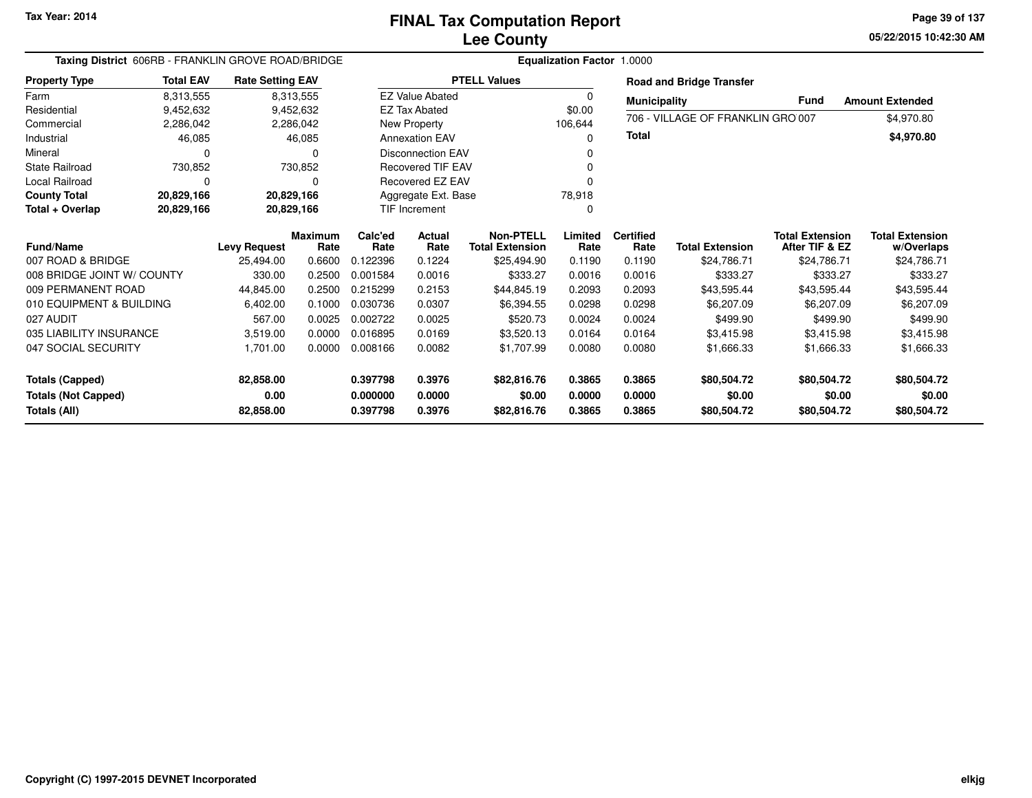**05/22/2015 10:42:30 AM Page 39 of 137**

| Taxing District 606RB - FRANKLIN GROVE ROAD/BRIDGE                   |                  |                                |                        |                                  |                            |                                            | Equalization Factor 1.0000 |                            |                                      |                                          |                                      |
|----------------------------------------------------------------------|------------------|--------------------------------|------------------------|----------------------------------|----------------------------|--------------------------------------------|----------------------------|----------------------------|--------------------------------------|------------------------------------------|--------------------------------------|
| <b>Property Type</b>                                                 | <b>Total EAV</b> | <b>Rate Setting EAV</b>        |                        |                                  |                            | <b>PTELL Values</b>                        |                            |                            | <b>Road and Bridge Transfer</b>      |                                          |                                      |
| Farm                                                                 | 8,313,555        |                                | 8,313,555              |                                  | <b>EZ Value Abated</b>     |                                            | 0                          | <b>Municipality</b>        |                                      | <b>Fund</b>                              | <b>Amount Extended</b>               |
| Residential                                                          | 9,452,632        |                                | 9,452,632              |                                  | <b>EZ Tax Abated</b>       |                                            | \$0.00                     |                            | 706 - VILLAGE OF FRANKLIN GRO 007    |                                          |                                      |
| Commercial                                                           | 2,286,042        |                                | 2,286,042              |                                  | New Property               |                                            | 106,644                    |                            |                                      |                                          | \$4,970.80                           |
| Industrial                                                           | 46,085           |                                | 46,085                 |                                  | <b>Annexation EAV</b>      |                                            |                            | <b>Total</b>               |                                      |                                          | \$4,970.80                           |
| Mineral                                                              | 0                |                                | 0                      |                                  | <b>Disconnection EAV</b>   |                                            |                            |                            |                                      |                                          |                                      |
| <b>State Railroad</b>                                                | 730,852          |                                | 730,852                |                                  | <b>Recovered TIF EAV</b>   |                                            |                            |                            |                                      |                                          |                                      |
| <b>Local Railroad</b>                                                | 0                |                                | 0                      |                                  | Recovered EZ EAV           |                                            |                            |                            |                                      |                                          |                                      |
| <b>County Total</b>                                                  | 20,829,166       |                                | 20,829,166             |                                  | Aggregate Ext. Base        |                                            | 78,918                     |                            |                                      |                                          |                                      |
| Total + Overlap                                                      | 20,829,166       |                                | 20,829,166             |                                  | TIF Increment              |                                            | 0                          |                            |                                      |                                          |                                      |
| <b>Fund/Name</b>                                                     |                  | <b>Levy Request</b>            | <b>Maximum</b><br>Rate | Calc'ed<br>Rate                  | <b>Actual</b><br>Rate      | <b>Non-PTELL</b><br><b>Total Extension</b> | Limited<br>Rate            | <b>Certified</b><br>Rate   | <b>Total Extension</b>               | <b>Total Extension</b><br>After TIF & EZ | <b>Total Extension</b><br>w/Overlaps |
| 007 ROAD & BRIDGE                                                    |                  | 25.494.00                      | 0.6600                 | 0.122396                         | 0.1224                     | \$25,494.90                                | 0.1190                     | 0.1190                     | \$24,786.71                          | \$24,786.71                              | \$24,786.71                          |
| 008 BRIDGE JOINT W/ COUNTY                                           |                  | 330.00                         | 0.2500                 | 0.001584                         | 0.0016                     | \$333.27                                   | 0.0016                     | 0.0016                     | \$333.27                             | \$333.27                                 | \$333.27                             |
| 009 PERMANENT ROAD                                                   |                  | 44,845.00                      | 0.2500                 | 0.215299                         | 0.2153                     | \$44,845.19                                | 0.2093                     | 0.2093                     | \$43,595.44                          | \$43,595.44                              | \$43,595.44                          |
| 010 EQUIPMENT & BUILDING                                             |                  | 6,402.00                       | 0.1000                 | 0.030736                         | 0.0307                     | \$6,394.55                                 | 0.0298                     | 0.0298                     | \$6,207.09                           | \$6,207.09                               | \$6,207.09                           |
| 027 AUDIT                                                            |                  | 567.00                         | 0.0025                 | 0.002722                         | 0.0025                     | \$520.73                                   | 0.0024                     | 0.0024                     | \$499.90                             | \$499.90                                 | \$499.90                             |
| 035 LIABILITY INSURANCE                                              |                  | 3,519.00                       | 0.0000                 | 0.016895                         | 0.0169                     | \$3,520.13                                 | 0.0164                     | 0.0164                     | \$3,415.98                           | \$3,415.98                               | \$3,415.98                           |
| 047 SOCIAL SECURITY                                                  |                  | 1,701.00                       | 0.0000                 | 0.008166                         | 0.0082                     | \$1,707.99                                 | 0.0080                     | 0.0080                     | \$1,666.33                           | \$1,666.33                               | \$1,666.33                           |
| <b>Totals (Capped)</b><br><b>Totals (Not Capped)</b><br>Totals (All) |                  | 82,858.00<br>0.00<br>82,858.00 |                        | 0.397798<br>0.000000<br>0.397798 | 0.3976<br>0.0000<br>0.3976 | \$82,816.76<br>\$0.00<br>\$82,816.76       | 0.3865<br>0.0000<br>0.3865 | 0.3865<br>0.0000<br>0.3865 | \$80,504.72<br>\$0.00<br>\$80,504.72 | \$80,504.72<br>\$0.00<br>\$80,504.72     | \$80,504.72<br>\$0.00<br>\$80,504.72 |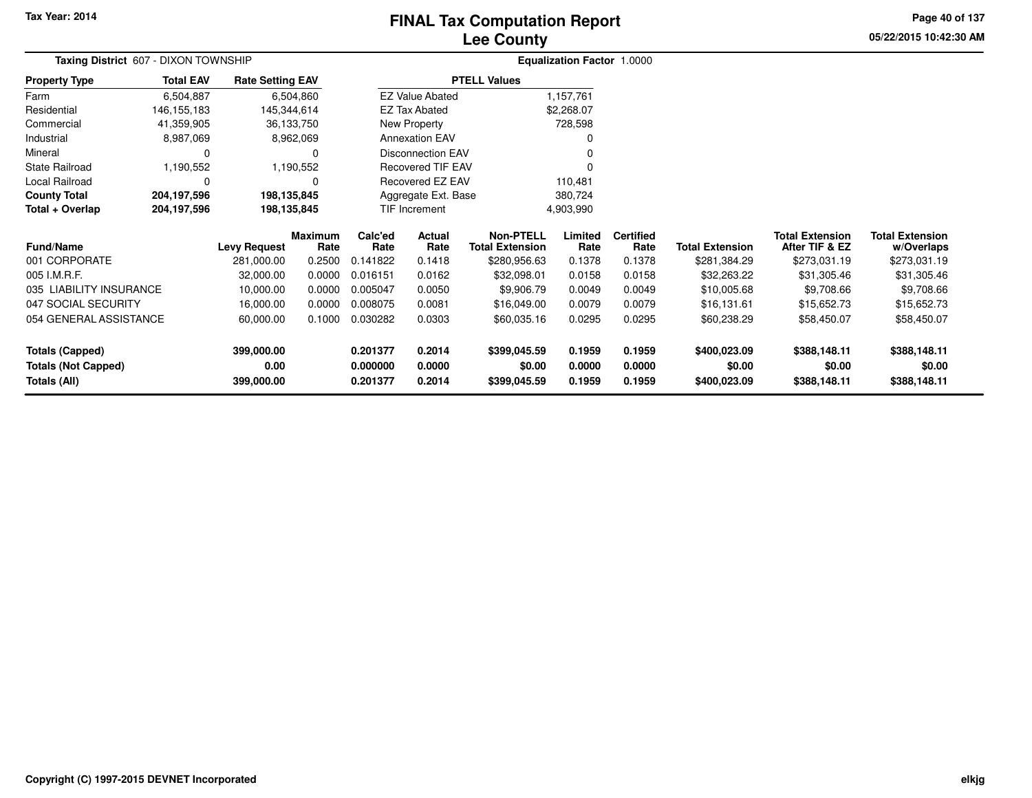# **Lee CountyFINAL Tax Computation Report**

**05/22/2015 10:42:30 AM Page 40 of 137**

| Taxing District 607 - DIXON TOWNSHIP |                  |                         |                        |                 |                          |                                            | <b>Equalization Factor 1.0000</b> |                          |                        |                                          |                                      |  |  |
|--------------------------------------|------------------|-------------------------|------------------------|-----------------|--------------------------|--------------------------------------------|-----------------------------------|--------------------------|------------------------|------------------------------------------|--------------------------------------|--|--|
| <b>Property Type</b>                 | <b>Total EAV</b> | <b>Rate Setting EAV</b> |                        |                 |                          | <b>PTELL Values</b>                        |                                   |                          |                        |                                          |                                      |  |  |
| Farm                                 | 6,504,887        |                         | 6,504,860              |                 | <b>EZ Value Abated</b>   |                                            | 1,157,761                         |                          |                        |                                          |                                      |  |  |
| Residential                          | 146, 155, 183    | 145,344,614             |                        |                 | <b>EZ Tax Abated</b>     |                                            | \$2,268.07                        |                          |                        |                                          |                                      |  |  |
| Commercial                           | 41,359,905       |                         | 36,133,750             |                 | New Property             |                                            | 728,598                           |                          |                        |                                          |                                      |  |  |
| Industrial                           | 8,987,069        |                         | 8,962,069              |                 | <b>Annexation EAV</b>    |                                            |                                   |                          |                        |                                          |                                      |  |  |
| Mineral                              | 0                |                         | 0                      |                 | <b>Disconnection EAV</b> |                                            |                                   |                          |                        |                                          |                                      |  |  |
| <b>State Railroad</b>                | 1,190,552        |                         | 1,190,552              |                 | Recovered TIF EAV        |                                            |                                   |                          |                        |                                          |                                      |  |  |
| Local Railroad                       | 0                |                         | 0                      |                 | <b>Recovered EZ EAV</b>  |                                            | 110,481                           |                          |                        |                                          |                                      |  |  |
| <b>County Total</b>                  | 204,197,596      | 198,135,845             |                        |                 | Aggregate Ext. Base      |                                            | 380,724                           |                          |                        |                                          |                                      |  |  |
| Total + Overlap                      | 204,197,596      | 198,135,845             |                        |                 | TIF Increment            |                                            | 4,903,990                         |                          |                        |                                          |                                      |  |  |
| <b>Fund/Name</b>                     |                  | <b>Levy Request</b>     | <b>Maximum</b><br>Rate | Calc'ed<br>Rate | Actual<br>Rate           | <b>Non-PTELL</b><br><b>Total Extension</b> | Limited<br>Rate                   | <b>Certified</b><br>Rate | <b>Total Extension</b> | <b>Total Extension</b><br>After TIF & EZ | <b>Total Extension</b><br>w/Overlaps |  |  |
| 001 CORPORATE                        |                  | 281,000.00              | 0.2500                 | 0.141822        | 0.1418                   | \$280,956.63                               | 0.1378                            | 0.1378                   | \$281,384.29           | \$273,031.19                             | \$273,031.19                         |  |  |
| 005 I.M.R.F.                         |                  | 32,000.00               | 0.0000                 | 0.016151        | 0.0162                   | \$32,098.01                                | 0.0158                            | 0.0158                   | \$32,263.22            | \$31,305.46                              | \$31,305.46                          |  |  |
| 035 LIABILITY INSURANCE              |                  | 10,000.00               | 0.0000                 | 0.005047        | 0.0050                   | \$9,906.79                                 | 0.0049                            | 0.0049                   | \$10,005.68            | \$9,708.66                               | \$9,708.66                           |  |  |
| 047 SOCIAL SECURITY                  |                  | 16,000.00               | 0.0000                 | 0.008075        | 0.0081                   | \$16,049.00                                | 0.0079                            | 0.0079                   | \$16,131.61            | \$15,652.73                              | \$15,652.73                          |  |  |
| 054 GENERAL ASSISTANCE               |                  | 60,000.00               | 0.1000                 | 0.030282        | 0.0303                   | \$60,035.16                                | 0.0295                            | 0.0295                   | \$60,238.29            | \$58,450.07                              | \$58,450.07                          |  |  |
| <b>Totals (Capped)</b>               |                  | 399,000.00              |                        | 0.201377        | 0.2014                   | \$399,045.59                               | 0.1959                            | 0.1959                   | \$400,023.09           | \$388,148.11                             | \$388,148.11                         |  |  |
| <b>Totals (Not Capped)</b>           |                  | 0.00                    |                        | 0.000000        | 0.0000                   | \$0.00                                     | 0.0000                            | 0.0000                   | \$0.00                 | \$0.00                                   | \$0.00                               |  |  |
| <b>Totals (All)</b>                  |                  | 399,000.00              |                        | 0.201377        | 0.2014                   | \$399,045.59                               | 0.1959                            | 0.1959                   | \$400,023.09           | \$388,148.11                             | \$388,148.11                         |  |  |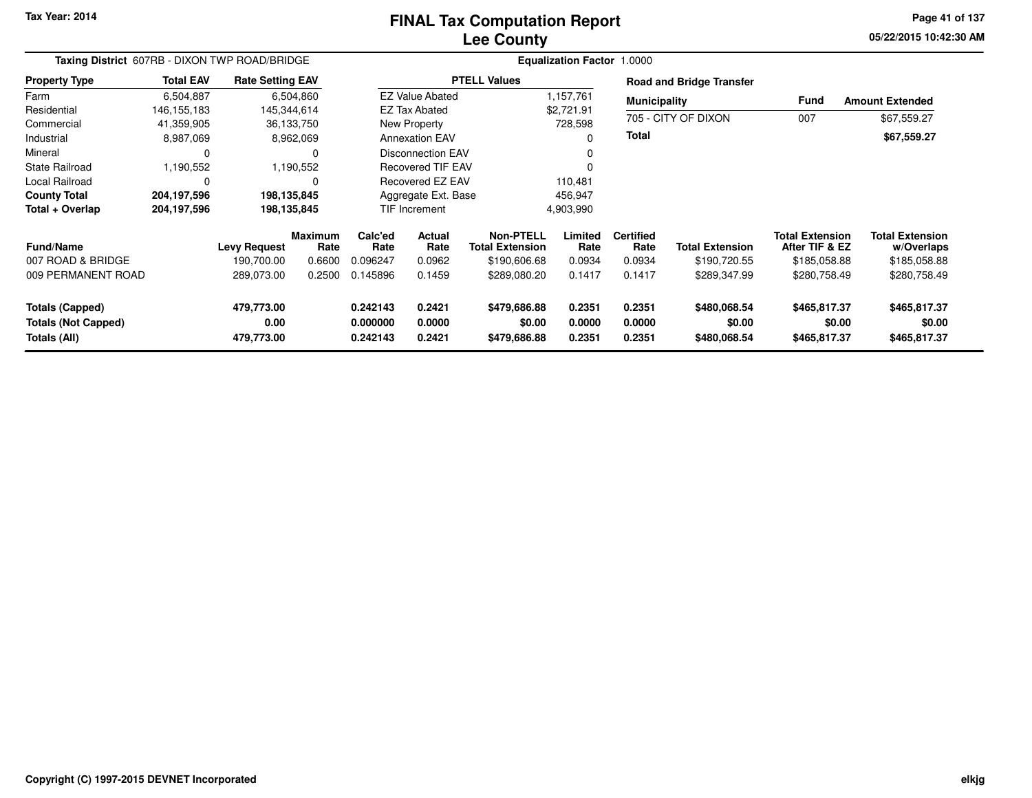### **Lee CountyFINAL Tax Computation Report**

**05/22/2015 10:42:30 AM Page 41 of 137**

| Taxing District 607RB - DIXON TWP ROAD/BRIDGE |                  |                         |                 |                 |                          |                                     | <b>Equalization Factor 1.0000</b> |                          |                                 |                                          |                                      |
|-----------------------------------------------|------------------|-------------------------|-----------------|-----------------|--------------------------|-------------------------------------|-----------------------------------|--------------------------|---------------------------------|------------------------------------------|--------------------------------------|
| <b>Property Type</b>                          | <b>Total EAV</b> | <b>Rate Setting EAV</b> |                 |                 |                          | <b>PTELL Values</b>                 |                                   |                          | <b>Road and Bridge Transfer</b> |                                          |                                      |
| Farm                                          | 6,504,887        |                         | 6,504,860       |                 | <b>EZ Value Abated</b>   |                                     | 1,157,761                         | <b>Municipality</b>      |                                 | <b>Fund</b>                              | <b>Amount Extended</b>               |
| Residential                                   | 146, 155, 183    | 145,344,614             |                 |                 | <b>EZ Tax Abated</b>     |                                     | \$2,721.91                        |                          |                                 |                                          |                                      |
| Commercial                                    | 41,359,905       |                         | 36,133,750      |                 | New Property             |                                     | 728,598                           |                          | 705 - CITY OF DIXON             | 007                                      | \$67,559.27                          |
| Industrial                                    | 8,987,069        |                         | 8,962,069       |                 | <b>Annexation EAV</b>    |                                     | O                                 | <b>Total</b>             |                                 |                                          | \$67,559.27                          |
| Mineral                                       | 0                |                         | 0               |                 | <b>Disconnection EAV</b> |                                     | 0                                 |                          |                                 |                                          |                                      |
| <b>State Railroad</b>                         | 1,190,552        |                         | 1,190,552       |                 | <b>Recovered TIF EAV</b> |                                     |                                   |                          |                                 |                                          |                                      |
| <b>Local Railroad</b>                         | $\Omega$         |                         |                 |                 | Recovered EZ EAV         |                                     | 110,481                           |                          |                                 |                                          |                                      |
| <b>County Total</b>                           | 204,197,596      | 198,135,845             |                 |                 | Aggregate Ext. Base      |                                     | 456,947                           |                          |                                 |                                          |                                      |
| Total + Overlap                               | 204,197,596      | 198,135,845             |                 |                 | <b>TIF Increment</b>     |                                     | 4,903,990                         |                          |                                 |                                          |                                      |
| <b>Fund/Name</b>                              |                  | <b>Levy Request</b>     | Maximum<br>Rate | Calc'ed<br>Rate | Actual<br>Rate           | Non-PTELL<br><b>Total Extension</b> | Limited<br>Rate                   | <b>Certified</b><br>Rate | <b>Total Extension</b>          | <b>Total Extension</b><br>After TIF & EZ | <b>Total Extension</b><br>w/Overlaps |
| 007 ROAD & BRIDGE                             |                  | 190,700.00              | 0.6600          | 0.096247        | 0.0962                   | \$190,606.68                        | 0.0934                            | 0.0934                   | \$190,720.55                    | \$185,058.88                             | \$185,058.88                         |
| 009 PERMANENT ROAD                            |                  | 289,073.00              | 0.2500          | 0.145896        | 0.1459                   | \$289,080.20                        | 0.1417                            | 0.1417                   | \$289,347.99                    | \$280,758.49                             | \$280,758.49                         |
| <b>Totals (Capped)</b>                        |                  | 479,773.00              |                 | 0.242143        | 0.2421                   | \$479,686.88                        | 0.2351                            | 0.2351                   | \$480,068.54                    | \$465,817.37                             | \$465,817.37                         |
| <b>Totals (Not Capped)</b>                    |                  | 0.00                    |                 | 0.000000        | 0.0000                   | \$0.00                              | 0.0000                            | 0.0000                   | \$0.00                          | \$0.00                                   | \$0.00                               |
| Totals (All)                                  |                  | 479,773.00              |                 | 0.242143        | 0.2421                   | \$479,686.88                        | 0.2351                            | 0.2351                   | \$480,068.54                    | \$465,817.37                             | \$465,817.37                         |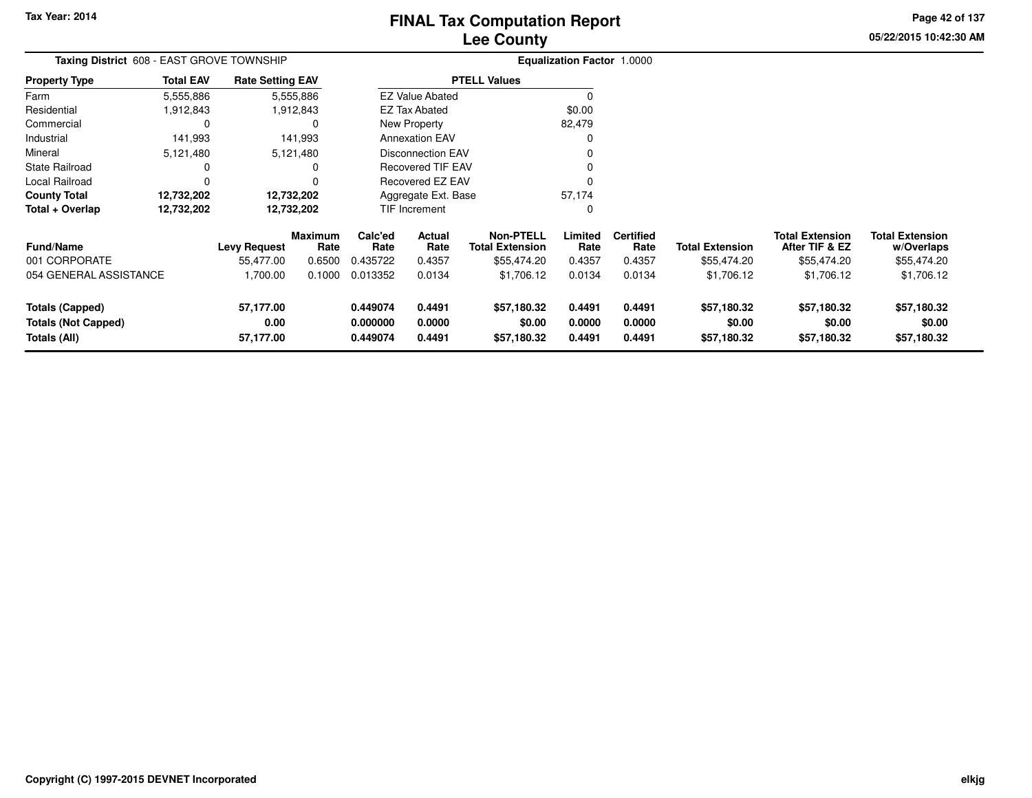# **Lee CountyFINAL Tax Computation Report**

**05/22/2015 10:42:30 AM Page 42 of 137**

| <b>Taxing District</b> 608 - EAST GROVE TOWNSHIP |                  |                         |                 |                 |                          |                                            | <b>Equalization Factor 1.0000</b> |                          |                        |                                          |                                      |
|--------------------------------------------------|------------------|-------------------------|-----------------|-----------------|--------------------------|--------------------------------------------|-----------------------------------|--------------------------|------------------------|------------------------------------------|--------------------------------------|
| <b>Property Type</b>                             | <b>Total EAV</b> | <b>Rate Setting EAV</b> |                 |                 |                          | <b>PTELL Values</b>                        |                                   |                          |                        |                                          |                                      |
| Farm                                             | 5,555,886        |                         | 5,555,886       |                 | <b>EZ Value Abated</b>   |                                            | $\Omega$                          |                          |                        |                                          |                                      |
| Residential                                      | 1,912,843        |                         | 1,912,843       |                 | <b>EZ Tax Abated</b>     |                                            | \$0.00                            |                          |                        |                                          |                                      |
| Commercial                                       |                  |                         |                 |                 | New Property             |                                            | 82,479                            |                          |                        |                                          |                                      |
| Industrial                                       | 141,993          |                         | 141,993         |                 | <b>Annexation EAV</b>    |                                            | 0                                 |                          |                        |                                          |                                      |
| Mineral                                          | 5,121,480        |                         | 5,121,480       |                 | <b>Disconnection EAV</b> |                                            | 0                                 |                          |                        |                                          |                                      |
| State Railroad                                   |                  |                         | 0               |                 | <b>Recovered TIF EAV</b> |                                            | 0                                 |                          |                        |                                          |                                      |
| Local Railroad                                   | 0                |                         |                 |                 | <b>Recovered EZ EAV</b>  |                                            |                                   |                          |                        |                                          |                                      |
| <b>County Total</b>                              | 12,732,202       |                         | 12,732,202      |                 | Aggregate Ext. Base      |                                            | 57,174                            |                          |                        |                                          |                                      |
| Total + Overlap                                  | 12,732,202       |                         | 12,732,202      |                 | <b>TIF Increment</b>     |                                            | 0                                 |                          |                        |                                          |                                      |
| <b>Fund/Name</b>                                 |                  | <b>Levy Request</b>     | Maximum<br>Rate | Calc'ed<br>Rate | <b>Actual</b><br>Rate    | <b>Non-PTELL</b><br><b>Total Extension</b> | Limited<br>Rate                   | <b>Certified</b><br>Rate | <b>Total Extension</b> | <b>Total Extension</b><br>After TIF & EZ | <b>Total Extension</b><br>w/Overlaps |
| 001 CORPORATE                                    |                  | 55,477.00               | 0.6500          | 0.435722        | 0.4357                   | \$55,474.20                                | 0.4357                            | 0.4357                   | \$55,474.20            | \$55,474.20                              | \$55,474.20                          |
| 054 GENERAL ASSISTANCE                           |                  | 1,700.00                | 0.1000          | 0.013352        | 0.0134                   | \$1,706.12                                 | 0.0134                            | 0.0134                   | \$1,706.12             | \$1,706.12                               | \$1,706.12                           |
| <b>Totals (Capped)</b>                           |                  | 57,177.00               |                 | 0.449074        | 0.4491                   | \$57,180.32                                | 0.4491                            | 0.4491                   | \$57,180.32            | \$57,180.32                              | \$57,180.32                          |
| <b>Totals (Not Capped)</b>                       |                  | 0.00                    |                 | 0.000000        | 0.0000                   | \$0.00                                     | 0.0000                            | 0.0000                   | \$0.00                 | \$0.00                                   | \$0.00                               |
| Totals (All)                                     |                  | 57,177.00               |                 | 0.449074        | 0.4491                   | \$57,180.32                                | 0.4491                            | 0.4491                   | \$57,180.32            | \$57,180.32                              | \$57,180.32                          |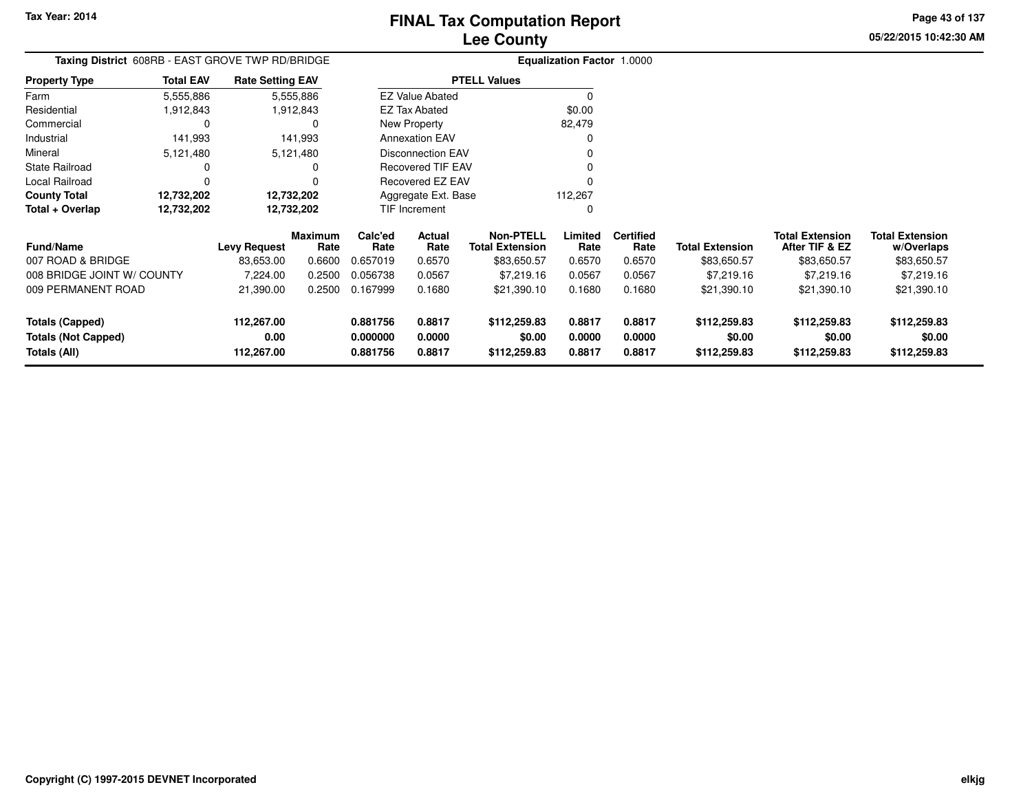**05/22/2015 10:42:30 AMPage 43 of 137**

> **w/Overlaps**\$83,650.57

| Taxing District 608RB - EAST GROVE TWP RD/BRIDGE |                  |                         |                 |                 |                          |                                            | <b>Equalization Factor 1.0000</b> |                          |                        |                                          |                                      |
|--------------------------------------------------|------------------|-------------------------|-----------------|-----------------|--------------------------|--------------------------------------------|-----------------------------------|--------------------------|------------------------|------------------------------------------|--------------------------------------|
| <b>Property Type</b>                             | <b>Total EAV</b> | <b>Rate Setting EAV</b> |                 |                 |                          | <b>PTELL Values</b>                        |                                   |                          |                        |                                          |                                      |
| Farm                                             | 5,555,886        |                         | 5,555,886       |                 | <b>EZ Value Abated</b>   |                                            |                                   |                          |                        |                                          |                                      |
| Residential                                      | 1,912,843        |                         | 1,912,843       |                 | <b>EZ Tax Abated</b>     |                                            | \$0.00                            |                          |                        |                                          |                                      |
| Commercial                                       |                  |                         |                 |                 | New Property             |                                            | 82,479                            |                          |                        |                                          |                                      |
| Industrial                                       | 141,993          |                         | 141,993         |                 | <b>Annexation EAV</b>    |                                            |                                   |                          |                        |                                          |                                      |
| Mineral                                          | 5,121,480        |                         | 5,121,480       |                 | <b>Disconnection EAV</b> |                                            |                                   |                          |                        |                                          |                                      |
| <b>State Railroad</b>                            |                  |                         |                 |                 | Recovered TIF EAV        |                                            |                                   |                          |                        |                                          |                                      |
| Local Railroad                                   |                  |                         |                 |                 | Recovered EZ EAV         |                                            |                                   |                          |                        |                                          |                                      |
| <b>County Total</b>                              | 12,732,202       |                         | 12,732,202      |                 | Aggregate Ext. Base      |                                            | 112,267                           |                          |                        |                                          |                                      |
| Total + Overlap                                  | 12,732,202       |                         | 12,732,202      |                 | <b>TIF Increment</b>     |                                            |                                   |                          |                        |                                          |                                      |
| <b>Fund/Name</b>                                 |                  | <b>Levy Request</b>     | Maximum<br>Rate | Calc'ed<br>Rate | Actual<br>Rate           | <b>Non-PTELL</b><br><b>Total Extension</b> | Limited<br>Rate                   | <b>Certified</b><br>Rate | <b>Total Extension</b> | <b>Total Extension</b><br>After TIF & EZ | <b>Total Extension</b><br>w/Overlaps |
| 007 ROAD & BRIDGE                                |                  | 83,653.00               | 0.6600          | 0.657019        | 0.6570                   | \$83,650.57                                | 0.6570                            | 0.6570                   | \$83,650.57            | \$83,650.57                              | \$83,650.57                          |
| 008 BRIDGE JOINT W/ COUNTY                       |                  | 7,224.00                | 0.2500          | 0.056738        | 0.0567                   | \$7,219.16                                 | 0.0567                            | 0.0567                   | \$7,219.16             | \$7,219.16                               | \$7,219.16                           |
| 009 PERMANENT ROAD                               |                  | 21,390.00               | 0.2500          | 0.167999        | 0.1680                   | \$21,390.10                                | 0.1680                            | 0.1680                   | \$21,390.10            | \$21,390.10                              | \$21,390.10                          |
| <b>Totals (Capped)</b>                           |                  | 112,267.00              |                 | 0.881756        | 0.8817                   | \$112,259.83                               | 0.8817                            | 0.8817                   | \$112,259.83           | \$112,259.83                             | \$112,259.83                         |
| <b>Totals (Not Capped)</b>                       |                  | 0.00                    |                 | 0.000000        | 0.0000                   | \$0.00                                     | 0.0000                            | 0.0000                   | \$0.00                 | \$0.00                                   | \$0.00                               |
| Totals (All)                                     |                  | 112,267.00              |                 | 0.881756        | 0.8817                   | \$112,259.83                               | 0.8817                            | 0.8817                   | \$112,259.83           | \$112,259.83                             | \$112,259.83                         |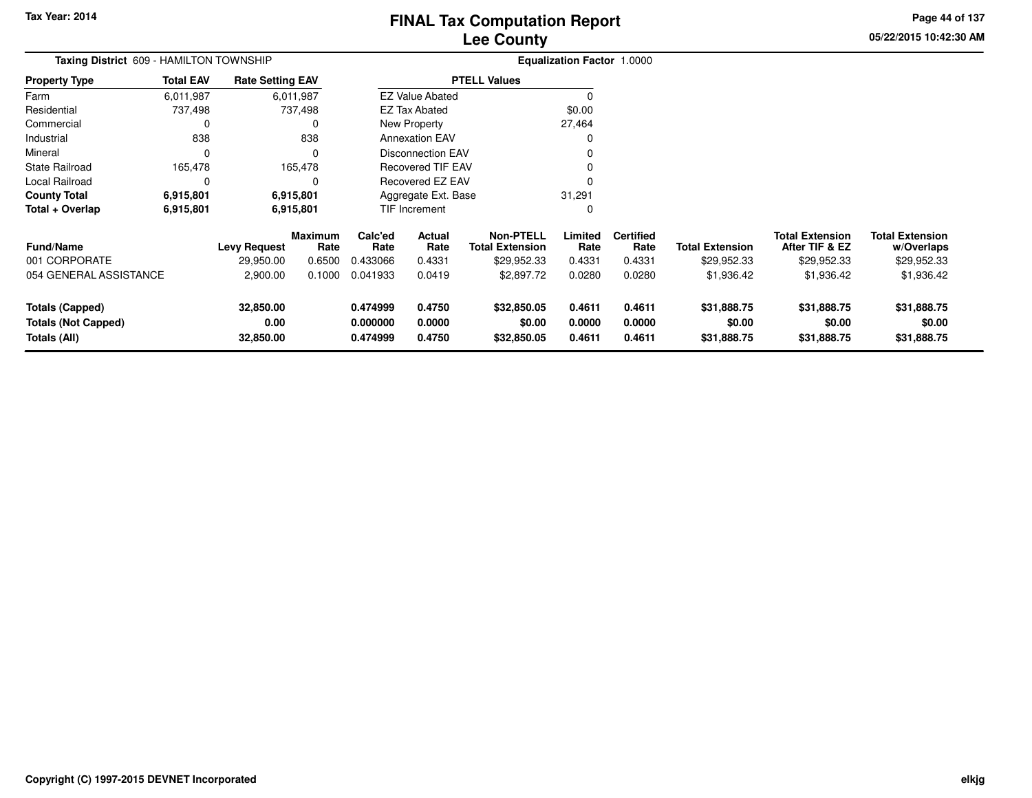**05/22/2015 10:42:30 AM Page 44 of 137**

| Taxing District 609 - HAMILTON TOWNSHIP                                     |                  |                                |                        | <b>Equalization Factor 1.0000</b> |                            |                                            |                            |                            |                                      |                                          |                                      |
|-----------------------------------------------------------------------------|------------------|--------------------------------|------------------------|-----------------------------------|----------------------------|--------------------------------------------|----------------------------|----------------------------|--------------------------------------|------------------------------------------|--------------------------------------|
| Property Type                                                               | <b>Total EAV</b> | <b>Rate Setting EAV</b>        |                        |                                   |                            | <b>PTELL Values</b>                        |                            |                            |                                      |                                          |                                      |
| Farm                                                                        | 6,011,987        |                                | 6,011,987              |                                   | <b>EZ Value Abated</b>     |                                            | $\Omega$                   |                            |                                      |                                          |                                      |
| Residential                                                                 | 737,498          |                                | 737,498                |                                   | <b>EZ Tax Abated</b>       |                                            | \$0.00                     |                            |                                      |                                          |                                      |
| Commercial                                                                  | 0                |                                | 0                      |                                   | New Property               |                                            | 27,464                     |                            |                                      |                                          |                                      |
| Industrial                                                                  | 838              |                                | 838                    |                                   | <b>Annexation EAV</b>      |                                            |                            |                            |                                      |                                          |                                      |
| Mineral                                                                     | 0                |                                | $\Omega$               |                                   | <b>Disconnection EAV</b>   |                                            |                            |                            |                                      |                                          |                                      |
| State Railroad                                                              | 165,478          |                                | 165,478                |                                   | <b>Recovered TIF EAV</b>   |                                            |                            |                            |                                      |                                          |                                      |
| Local Railroad                                                              | 0                |                                |                        |                                   | <b>Recovered EZ EAV</b>    |                                            |                            |                            |                                      |                                          |                                      |
| <b>County Total</b>                                                         | 6,915,801        |                                | 6,915,801              |                                   | Aggregate Ext. Base        |                                            | 31,291                     |                            |                                      |                                          |                                      |
| Total + Overlap                                                             | 6,915,801        |                                | 6,915,801              |                                   | <b>TIF Increment</b>       |                                            | 0                          |                            |                                      |                                          |                                      |
| <b>Fund/Name</b>                                                            |                  | <b>Levy Request</b>            | <b>Maximum</b><br>Rate | Calc'ed<br>Rate                   | Actual<br>Rate             | <b>Non-PTELL</b><br><b>Total Extension</b> | Limited<br>Rate            | <b>Certified</b><br>Rate   | <b>Total Extension</b>               | <b>Total Extension</b><br>After TIF & EZ | <b>Total Extension</b><br>w/Overlaps |
| 001 CORPORATE                                                               |                  | 29,950.00                      | 0.6500                 | 0.433066                          | 0.4331                     | \$29,952.33                                | 0.4331                     | 0.4331                     | \$29,952.33                          | \$29,952.33                              | \$29,952.33                          |
| 054 GENERAL ASSISTANCE                                                      |                  | 2,900.00                       | 0.1000                 | 0.041933                          | 0.0419                     | \$2,897.72                                 | 0.0280                     | 0.0280                     | \$1,936.42                           | \$1,936.42                               | \$1,936.42                           |
| <b>Totals (Capped)</b><br><b>Totals (Not Capped)</b><br><b>Totals (All)</b> |                  | 32,850.00<br>0.00<br>32,850.00 |                        | 0.474999<br>0.000000<br>0.474999  | 0.4750<br>0.0000<br>0.4750 | \$32,850.05<br>\$0.00<br>\$32,850.05       | 0.4611<br>0.0000<br>0.4611 | 0.4611<br>0.0000<br>0.4611 | \$31,888.75<br>\$0.00<br>\$31,888.75 | \$31,888.75<br>\$0.00<br>\$31,888.75     | \$31,888.75<br>\$0.00<br>\$31,888.75 |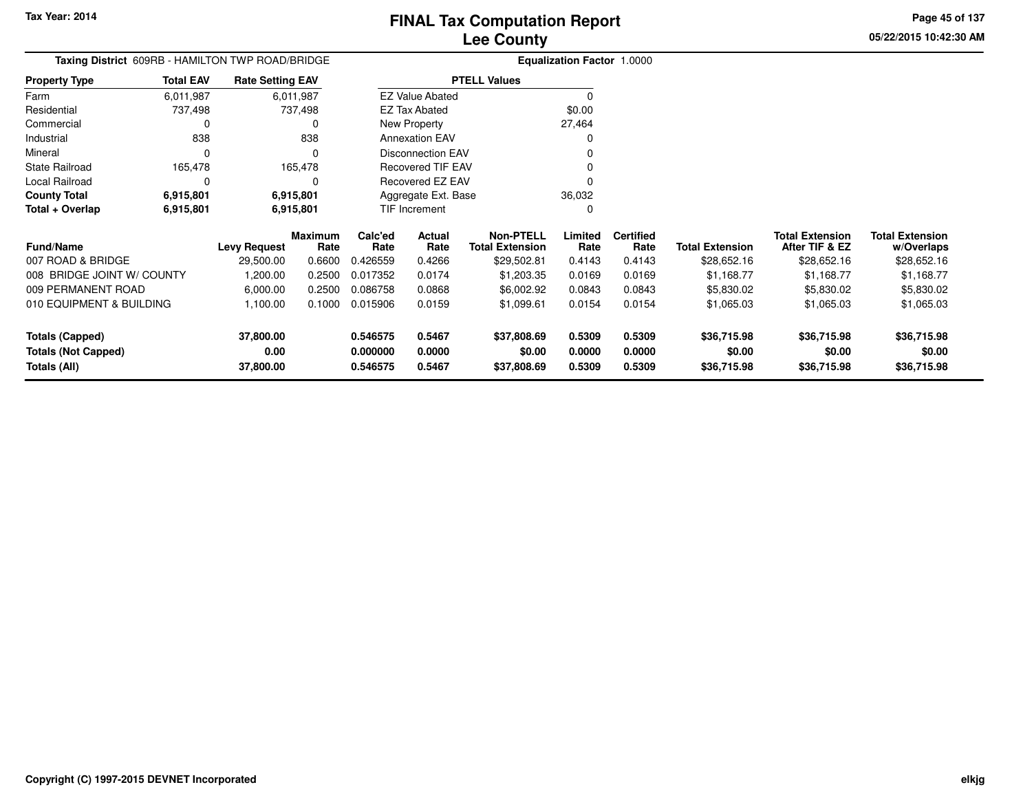**Totals (All)**

# **Lee CountyFINAL Tax Computation Report**

**0.546575 0.5467 \$37,808.69 0.5309 0.5309 \$36,715.98 \$36,715.98 \$36,715.98**

**05/22/2015 10:42:30 AMPage 45 of 137**

> **w/Overlaps** \$28,652.16

**Total Extension**

#### **Equalization Factor** 1.0000 **Taxing District** 609RB - HAMILTON TWP ROAD/BRIDGE**Property Type**737,498 737,498  $\mathbf 0$ Farm ResidentialCommercial 0 838 Industrial 838  $\Omega$ Mineral 0 0165,478 State Railroad 165,478  $\mathbf 0$ Local Railroad 0 0 6,915,801 **County Total 6,915,801 6,915,801**6,915,801 **Total + Overlap 6,915,801 6,915,801** 6,011,987737,498 **Fund/Name Levy Request Rate Limited**Rate **After TIF & EZ** \$28,652.16 **Total ExtensionRate Total Extension Rate Total Extension**\$28,652.16 **Maximum Calc'ed Rate**0.426559 **Actual RateNon-PTELL Certified** \$29,502.81 007 ROAD & BRIDGE 29,500.00 0.6600 0.426559 0.4266 \$29,502.81 0.4143 0.4143 \$28,652.16 \$28,652.16 \$28,652.16 008 BRIDGE JOINT W/ COUNTY 1,200.00 0.2500 0.017352 0.0174 \$1,203.35 0.0169 0.0169 \$1,168.77 \$1,168.77 \$1,168.77 009 PERMANENT ROAD 6,000.00 0.2500 0.086758 0.0868 \$6,002.92 0.0843 0.0843 \$5,830.02 \$5,830.02 \$5,830.02 010 EQUIPMENT & BUILDING 1,100.00 0.1000 0.015906 0.0159 \$1,099.61 0.0154 0.0154 \$1,065.03 \$1,065.03 \$1,065.03 **Totals (Capped) 37,800.00 0.546575 0.5467 \$37,808.69 0.5309 0.5309 \$36,715.98 \$36,715.98 \$36,715.98 Totals (Not Capped) 0.00 0.000000 0.0000 \$0.00 0.0000 0.0000 \$0.00 \$0.00 \$0.00** 6,011,987**Total EAVRate Setting EAV PTELL Values**  $\overline{\overline{0}}$  \$0.00 27,464 $\mathbf 0$ Annexation EAV v o Disconnection EAV $\sim$  0 Recovered TIF EAV0 v Recovered EZ EAV <sup>0</sup> 36,032 $\mathbf{0}$ New Property EZ Tax AbatedEZ Value AbatedAggregate Ext. BaseTIF Increment0

**37,800.00**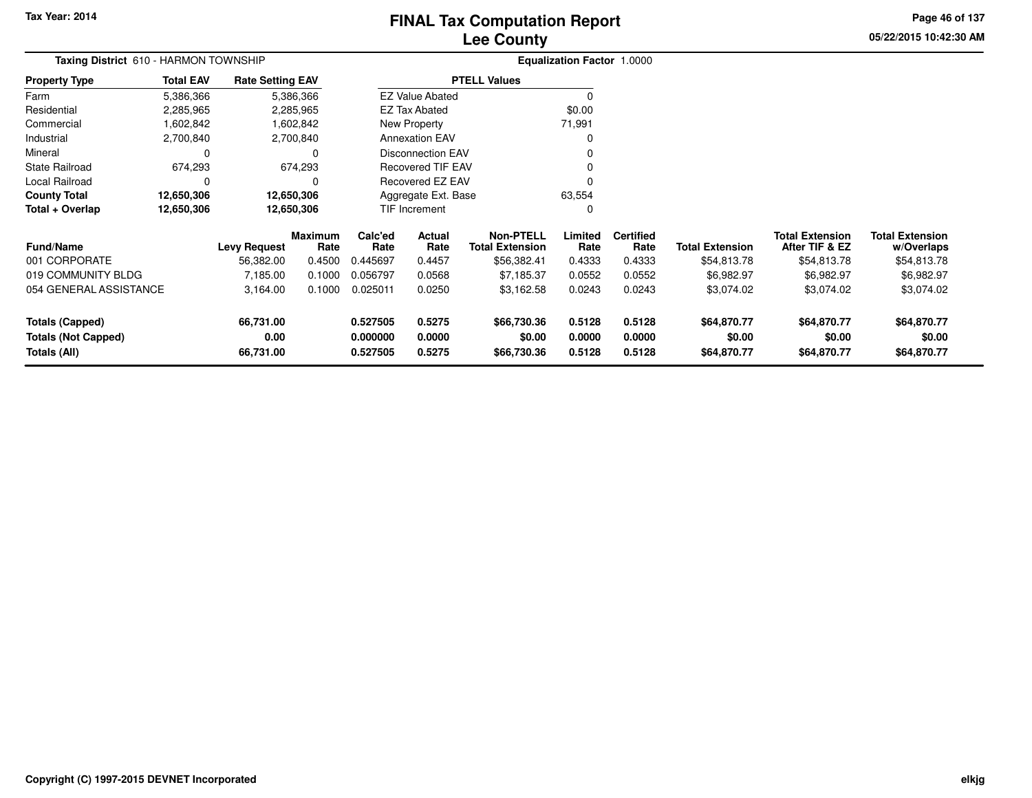# **Lee CountyFINAL Tax Computation Report**

**05/22/2015 10:42:30 AM Page 46 of 137**

| <b>Total Extension</b><br>w/Overlaps                                                                                        |
|-----------------------------------------------------------------------------------------------------------------------------|
| \$54,813.78                                                                                                                 |
| \$6,982.97                                                                                                                  |
| \$3,074.02                                                                                                                  |
| \$64,870.77                                                                                                                 |
| \$0.00<br>\$64,870.77                                                                                                       |
| <b>Total Extension</b><br>After TIF & EZ<br>\$54,813.78<br>\$6,982.97<br>\$3,074.02<br>\$64,870.77<br>\$0.00<br>\$64,870.77 |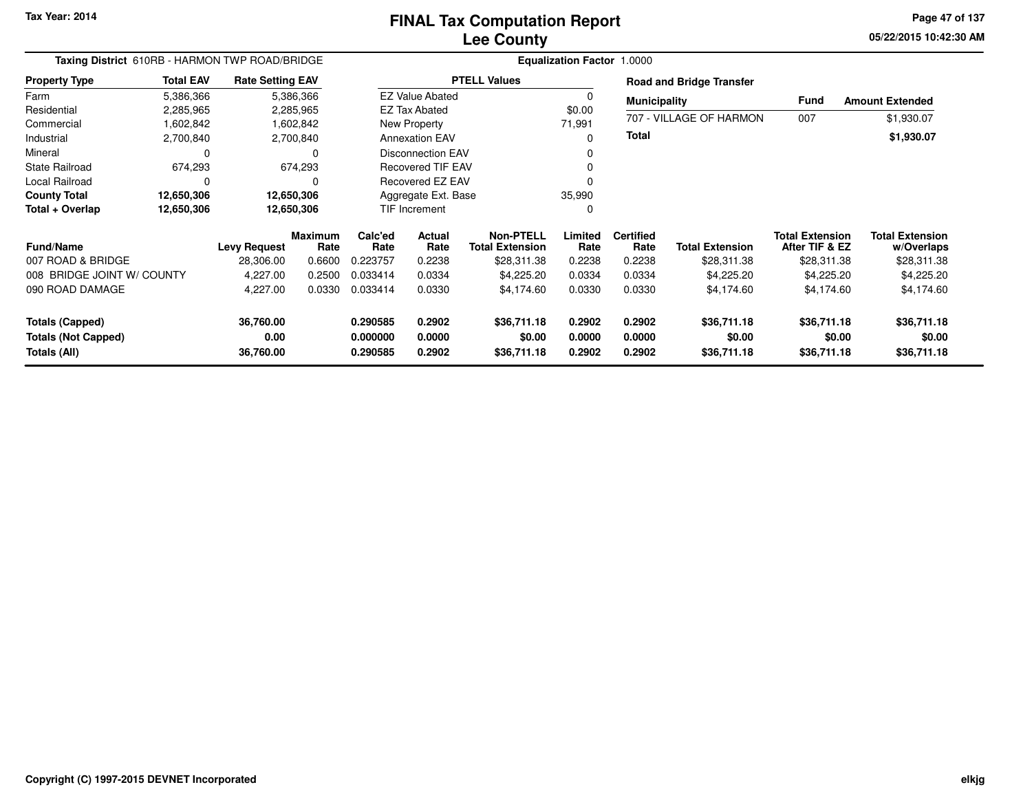**05/22/2015 10:42:30 AM Page 47 of 137**

| Taxing District 610RB - HARMON TWP ROAD/BRIDGE |                  | Equalization Factor 1.0000 |                 |                 |                          |                                            |                 |                          |                                 |                                          |                                      |
|------------------------------------------------|------------------|----------------------------|-----------------|-----------------|--------------------------|--------------------------------------------|-----------------|--------------------------|---------------------------------|------------------------------------------|--------------------------------------|
| <b>Property Type</b>                           | <b>Total EAV</b> | <b>Rate Setting EAV</b>    |                 |                 |                          | <b>PTELL Values</b>                        |                 |                          | <b>Road and Bridge Transfer</b> |                                          |                                      |
| Farm                                           | 5,386,366        |                            | 5,386,366       |                 | <b>EZ Value Abated</b>   |                                            | 0               | <b>Municipality</b>      |                                 | <b>Fund</b>                              | <b>Amount Extended</b>               |
| Residential                                    | 2,285,965        |                            | 2,285,965       |                 | <b>EZ Tax Abated</b>     |                                            | \$0.00          |                          |                                 |                                          |                                      |
| Commercial                                     | 1,602,842        |                            | 1,602,842       |                 | New Property             |                                            | 71,991          |                          | 707 - VILLAGE OF HARMON         | 007                                      | \$1,930.07                           |
| Industrial                                     | 2,700,840        |                            | 2,700,840       |                 | <b>Annexation EAV</b>    |                                            | $\Omega$        | <b>Total</b>             |                                 |                                          | \$1,930.07                           |
| Mineral                                        | 0                |                            |                 |                 | <b>Disconnection EAV</b> |                                            | 0               |                          |                                 |                                          |                                      |
| <b>State Railroad</b>                          | 674,293          |                            | 674,293         |                 | <b>Recovered TIF EAV</b> |                                            | 0               |                          |                                 |                                          |                                      |
| Local Railroad                                 | 0                |                            |                 |                 | Recovered EZ EAV         |                                            |                 |                          |                                 |                                          |                                      |
| <b>County Total</b>                            | 12,650,306       |                            | 12,650,306      |                 | Aggregate Ext. Base      |                                            | 35,990          |                          |                                 |                                          |                                      |
| Total + Overlap                                | 12,650,306       |                            | 12,650,306      |                 | TIF Increment            |                                            | 0               |                          |                                 |                                          |                                      |
| <b>Fund/Name</b>                               |                  | <b>Levy Request</b>        | Maximum<br>Rate | Calc'ed<br>Rate | Actual<br>Rate           | <b>Non-PTELL</b><br><b>Total Extension</b> | Limited<br>Rate | <b>Certified</b><br>Rate | <b>Total Extension</b>          | <b>Total Extension</b><br>After TIF & EZ | <b>Total Extension</b><br>w/Overlaps |
| 007 ROAD & BRIDGE                              |                  | 28,306.00                  | 0.6600          | 0.223757        | 0.2238                   | \$28,311.38                                | 0.2238          | 0.2238                   | \$28,311.38                     | \$28,311.38                              | \$28,311.38                          |
| 008 BRIDGE JOINT W/ COUNTY                     |                  | 4,227.00                   | 0.2500          | 0.033414        | 0.0334                   | \$4,225.20                                 | 0.0334          | 0.0334                   | \$4,225.20                      | \$4,225.20                               | \$4,225.20                           |
| 090 ROAD DAMAGE                                |                  | 4,227.00                   | 0.0330          | 0.033414        | 0.0330                   | \$4,174.60                                 | 0.0330          | 0.0330                   | \$4,174.60                      | \$4,174.60                               | \$4,174.60                           |
| <b>Totals (Capped)</b>                         |                  | 36,760.00                  |                 | 0.290585        | 0.2902                   | \$36,711.18                                | 0.2902          | 0.2902                   | \$36,711.18                     | \$36,711.18                              | \$36,711.18                          |
| <b>Totals (Not Capped)</b>                     |                  | 0.00                       |                 | 0.000000        | 0.0000                   | \$0.00                                     | 0.0000          | 0.0000                   | \$0.00                          | \$0.00                                   | \$0.00                               |
| Totals (All)                                   |                  | 36,760.00                  |                 | 0.290585        | 0.2902                   | \$36,711.18                                | 0.2902          | 0.2902                   | \$36,711.18                     | \$36,711.18                              | \$36,711.18                          |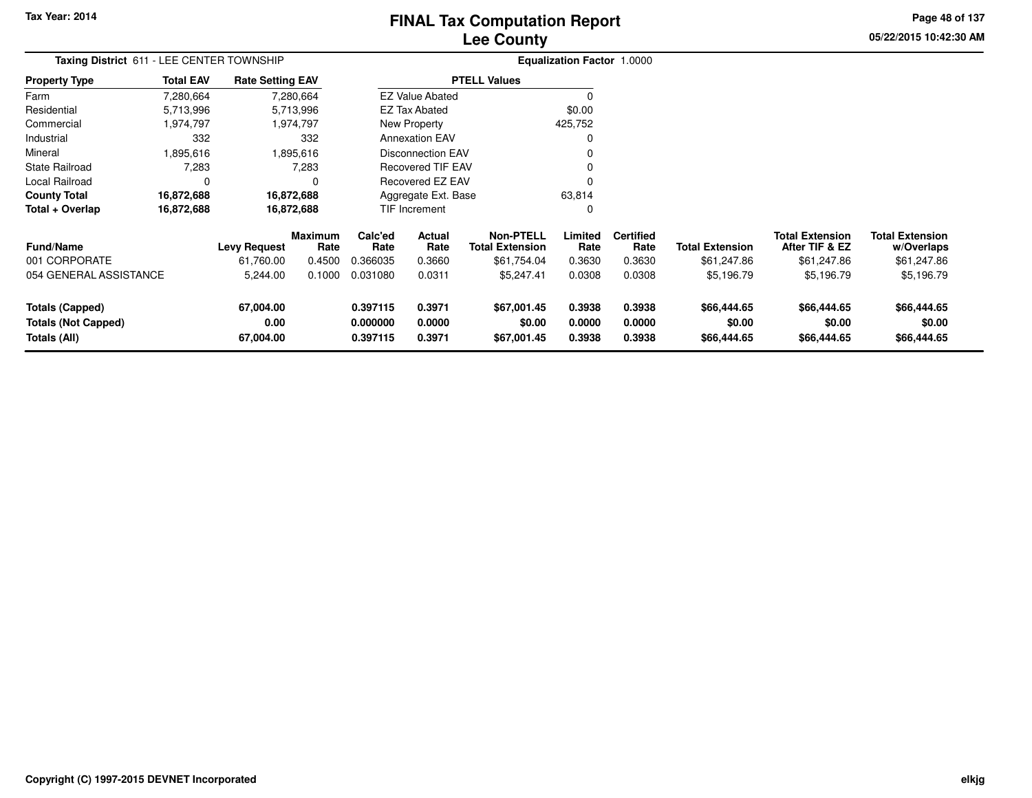# **Lee CountyFINAL Tax Computation Report**

**05/22/2015 10:42:30 AM Page 48 of 137**

| Taxing District 611 - LEE CENTER TOWNSHIP |                  |                         |                 |                 |                          |                                            | <b>Equalization Factor 1.0000</b> |                          |                        |                                          |                                      |  |  |  |
|-------------------------------------------|------------------|-------------------------|-----------------|-----------------|--------------------------|--------------------------------------------|-----------------------------------|--------------------------|------------------------|------------------------------------------|--------------------------------------|--|--|--|
| <b>Property Type</b>                      | <b>Total EAV</b> | <b>Rate Setting EAV</b> |                 |                 |                          | <b>PTELL Values</b>                        |                                   |                          |                        |                                          |                                      |  |  |  |
| Farm                                      | 7,280,664        |                         | 7,280,664       |                 | <b>EZ Value Abated</b>   |                                            |                                   |                          |                        |                                          |                                      |  |  |  |
| Residential                               | 5,713,996        |                         | 5,713,996       |                 | EZ Tax Abated            |                                            | \$0.00                            |                          |                        |                                          |                                      |  |  |  |
| Commercial                                | 1,974,797        |                         | 1,974,797       |                 | New Property             |                                            | 425,752                           |                          |                        |                                          |                                      |  |  |  |
| Industrial                                | 332              |                         | 332             |                 | <b>Annexation EAV</b>    |                                            |                                   |                          |                        |                                          |                                      |  |  |  |
| Mineral                                   | 1,895,616        |                         | .895,616        |                 | Disconnection EAV        |                                            |                                   |                          |                        |                                          |                                      |  |  |  |
| <b>State Railroad</b>                     | 7,283            |                         | 7,283           |                 | <b>Recovered TIF EAV</b> |                                            |                                   |                          |                        |                                          |                                      |  |  |  |
| Local Railroad                            |                  |                         | O               |                 | Recovered EZ EAV         |                                            |                                   |                          |                        |                                          |                                      |  |  |  |
| <b>County Total</b>                       | 16,872,688       |                         | 16,872,688      |                 | Aggregate Ext. Base      |                                            | 63,814                            |                          |                        |                                          |                                      |  |  |  |
| Total + Overlap                           | 16,872,688       |                         | 16,872,688      |                 | TIF Increment            |                                            | $\Omega$                          |                          |                        |                                          |                                      |  |  |  |
| <b>Fund/Name</b>                          |                  | <b>Levy Request</b>     | Maximum<br>Rate | Calc'ed<br>Rate | Actual<br>Rate           | <b>Non-PTELL</b><br><b>Total Extension</b> | Limited<br>Rate                   | <b>Certified</b><br>Rate | <b>Total Extension</b> | <b>Total Extension</b><br>After TIF & EZ | <b>Total Extension</b><br>w/Overlaps |  |  |  |
| 001 CORPORATE                             |                  | 61,760.00               | 0.4500          | 0.366035        | 0.3660                   | \$61,754.04                                | 0.3630                            | 0.3630                   | \$61,247.86            | \$61,247.86                              | \$61,247.86                          |  |  |  |
| 054 GENERAL ASSISTANCE                    |                  | 5,244.00                | 0.1000          | 0.031080        | 0.0311                   | \$5,247.41                                 | 0.0308                            | 0.0308                   | \$5,196.79             | \$5,196.79                               | \$5,196.79                           |  |  |  |
| <b>Totals (Capped)</b>                    |                  | 67,004.00               |                 | 0.397115        | 0.3971                   | \$67,001.45                                | 0.3938                            | 0.3938                   | \$66,444.65            | \$66,444.65                              | \$66,444.65                          |  |  |  |
| <b>Totals (Not Capped)</b>                |                  | 0.00                    |                 | 0.000000        | 0.0000                   | \$0.00                                     | 0.0000                            | 0.0000                   | \$0.00                 | \$0.00                                   | \$0.00                               |  |  |  |
| Totals (All)                              |                  | 67,004.00               |                 | 0.397115        | 0.3971                   | \$67,001.45                                | 0.3938                            | 0.3938                   | \$66,444.65            | \$66,444.65                              | \$66,444.65                          |  |  |  |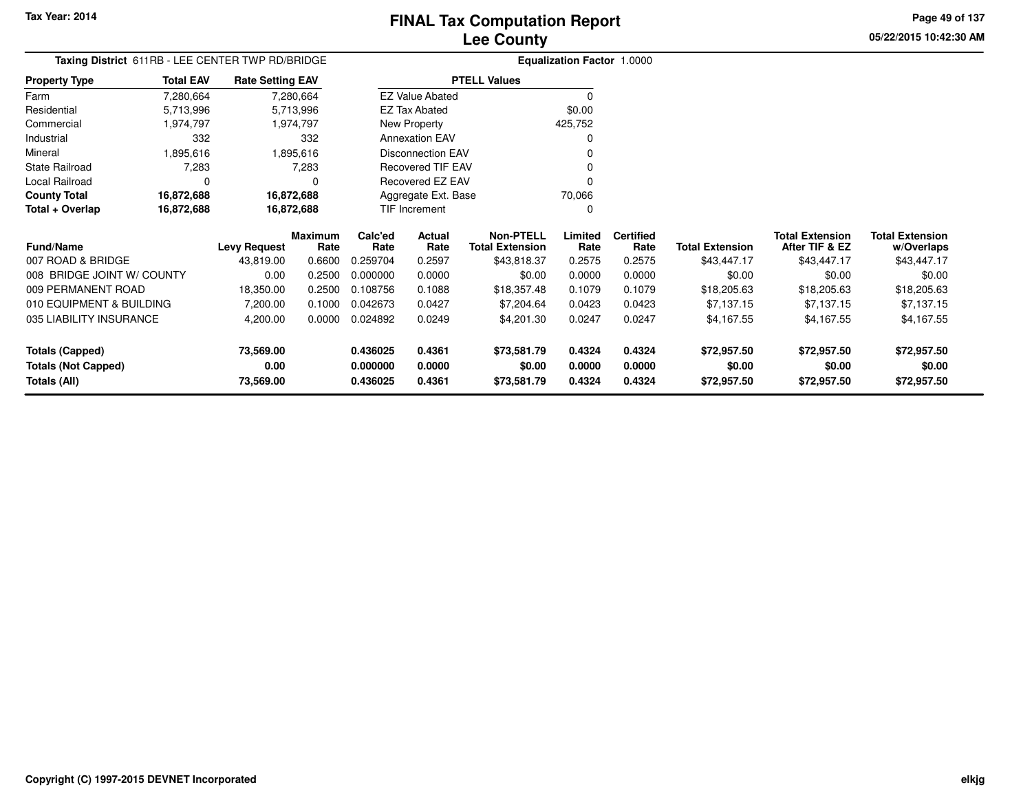**05/22/2015 10:42:30 AMPage 49 of 137**

|                            | Taxing District 611RB - LEE CENTER TWP RD/BRIDGE |                          |                        |                 |                          |                                     | Equalization Factor 1.0000 |                          |                        |                                          |                                      |
|----------------------------|--------------------------------------------------|--------------------------|------------------------|-----------------|--------------------------|-------------------------------------|----------------------------|--------------------------|------------------------|------------------------------------------|--------------------------------------|
| <b>Property Type</b>       | <b>Total EAV</b>                                 | <b>Rate Setting EAV</b>  |                        |                 |                          | <b>PTELL Values</b>                 |                            |                          |                        |                                          |                                      |
| Farm                       | 7,280,664                                        |                          | 7,280,664              |                 | <b>EZ Value Abated</b>   |                                     |                            |                          |                        |                                          |                                      |
| Residential                | 5,713,996                                        |                          | 5,713,996              |                 | EZ Tax Abated            |                                     | \$0.00                     |                          |                        |                                          |                                      |
| Commercial                 | 1,974,797                                        |                          | 1,974,797              |                 | New Property             |                                     | 425,752                    |                          |                        |                                          |                                      |
| Industrial                 | 332                                              |                          | 332                    |                 | <b>Annexation EAV</b>    |                                     |                            |                          |                        |                                          |                                      |
| Mineral                    | 1,895,616                                        |                          | 1,895,616              |                 | <b>Disconnection EAV</b> |                                     |                            |                          |                        |                                          |                                      |
| <b>State Railroad</b>      | 7,283                                            |                          | 7,283                  |                 | Recovered TIF EAV        |                                     |                            |                          |                        |                                          |                                      |
| <b>Local Railroad</b>      | $\Omega$                                         |                          | 0                      |                 | Recovered EZ EAV         |                                     |                            |                          |                        |                                          |                                      |
| <b>County Total</b>        | 16,872,688                                       |                          | 16,872,688             |                 | Aggregate Ext. Base      |                                     | 70,066                     |                          |                        |                                          |                                      |
| Total + Overlap            | 16,872,688                                       |                          | 16,872,688             |                 | TIF Increment            |                                     | 0                          |                          |                        |                                          |                                      |
| <b>Fund/Name</b>           |                                                  | <b>Levy Request</b>      | <b>Maximum</b><br>Rate | Calc'ed<br>Rate | <b>Actual</b><br>Rate    | Non-PTELL<br><b>Total Extension</b> | Limited<br>Rate            | <b>Certified</b><br>Rate | <b>Total Extension</b> | <b>Total Extension</b><br>After TIF & EZ | <b>Total Extension</b><br>w/Overlaps |
| 007 ROAD & BRIDGE          |                                                  | 43.819.00                | 0.6600                 | 0.259704        | 0.2597                   | \$43,818.37                         | 0.2575                     | 0.2575                   | \$43,447.17            | \$43,447.17                              | \$43,447.17                          |
| 008 BRIDGE JOINT W/ COUNTY |                                                  | 0.00                     | 0.2500                 | 0.000000        | 0.0000                   | \$0.00                              | 0.0000                     | 0.0000                   | \$0.00                 | \$0.00                                   | \$0.00                               |
|                            |                                                  | $\overline{\phantom{a}}$ |                        |                 |                          |                                     |                            |                          |                        |                                          |                                      |

| 007 ROAD & BRIDGE          | 43.819.00 | 0.6600 | 0.259704 | 0.2597 | \$43,818.37 | 0.2575 | 0.2575 | \$43,447.17 | \$43,447.17 | \$43,447.17 |
|----------------------------|-----------|--------|----------|--------|-------------|--------|--------|-------------|-------------|-------------|
| 008 BRIDGE JOINT W/ COUNTY | 0.00      | 0.2500 | 0.000000 | 0.0000 | \$0.00      | 0.0000 | 0.0000 | \$0.00      | \$0.00      | \$0.00      |
| 009 PERMANENT ROAD         | 18.350.00 | 0.2500 | 0.108756 | 0.1088 | \$18,357.48 | 0.1079 | 0.1079 | \$18,205.63 | \$18,205.63 | \$18,205.63 |
| 010 EQUIPMENT & BUILDING   | 7.200.00  | 0.1000 | 0.042673 | 0.0427 | \$7,204.64  | 0.0423 | 0.0423 | \$7.137.15  | \$7.137.15  | \$7,137.15  |
| 035 LIABILITY INSURANCE    | 4,200.00  | 0.0000 | 0.024892 | 0.0249 | \$4,201.30  | 0.0247 | 0.0247 | \$4.167.55  | \$4.167.55  | \$4,167.55  |
| Totals (Capped)            | 73,569.00 |        | 0.436025 | 0.4361 | \$73,581.79 | 0.4324 | 0.4324 | \$72.957.50 | \$72,957.50 | \$72,957.50 |
| <b>Totals (Not Capped)</b> | 0.00      |        | 0.000000 | 0.0000 | \$0.00      | 0.0000 | 0.0000 | \$0.00      | \$0.00      | \$0.00      |
| Totals (All)               | 73,569.00 |        | 0.436025 | 0.4361 | \$73,581.79 | 0.4324 | 0.4324 | \$72,957.50 | \$72,957.50 | \$72,957.50 |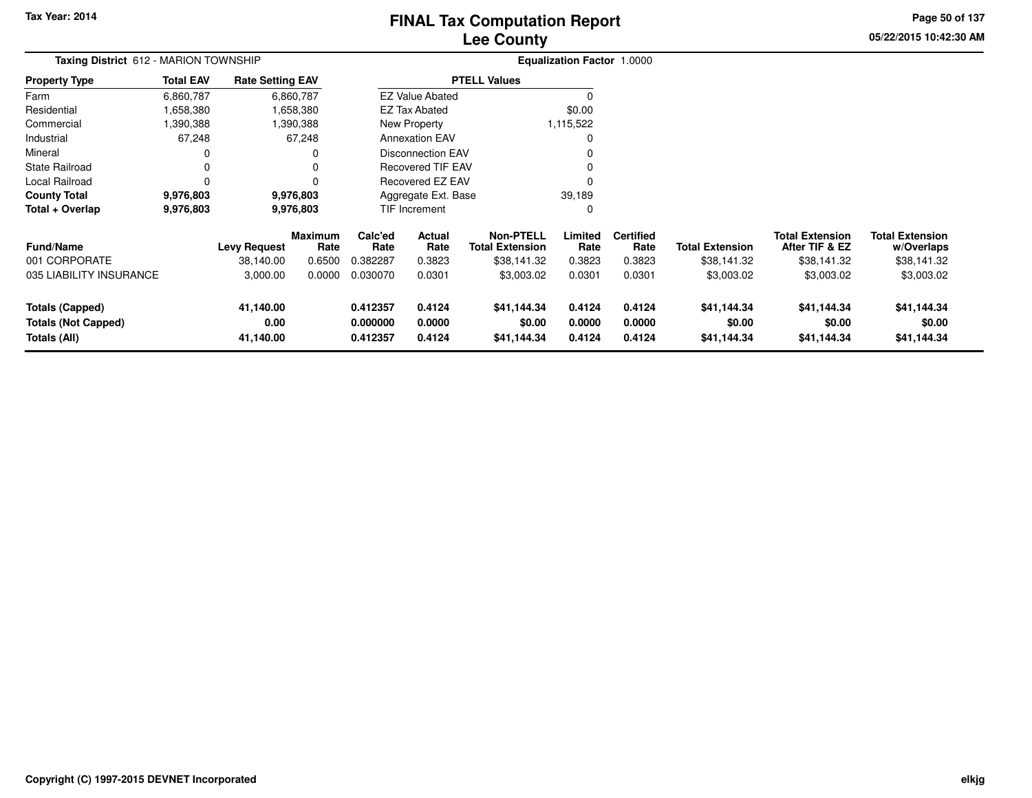# **Lee CountyFINAL Tax Computation Report**

**05/22/2015 10:42:30 AM Page 50 of 137**

| Taxing District 612 - MARION TOWNSHIP |                  |                         |                        | <b>Equalization Factor 1.0000</b> |                          |                                            |                 |                          |                        |                                          |                                      |
|---------------------------------------|------------------|-------------------------|------------------------|-----------------------------------|--------------------------|--------------------------------------------|-----------------|--------------------------|------------------------|------------------------------------------|--------------------------------------|
| <b>Property Type</b>                  | <b>Total EAV</b> | <b>Rate Setting EAV</b> |                        |                                   |                          | <b>PTELL Values</b>                        |                 |                          |                        |                                          |                                      |
| Farm                                  | 6,860,787        |                         | 6,860,787              |                                   | <b>EZ Value Abated</b>   |                                            | 0               |                          |                        |                                          |                                      |
| Residential                           | 1,658,380        |                         | 1,658,380              |                                   | EZ Tax Abated            |                                            | \$0.00          |                          |                        |                                          |                                      |
| Commercial                            | 1,390,388        |                         | 1,390,388              |                                   | New Property             |                                            | 1,115,522       |                          |                        |                                          |                                      |
| Industrial                            | 67,248           |                         | 67,248                 |                                   | <b>Annexation EAV</b>    |                                            | 0               |                          |                        |                                          |                                      |
| Mineral                               | 0                |                         | 0                      |                                   | <b>Disconnection EAV</b> |                                            | 0               |                          |                        |                                          |                                      |
| <b>State Railroad</b>                 | 0                |                         | 0                      |                                   | <b>Recovered TIF EAV</b> |                                            | 0               |                          |                        |                                          |                                      |
| Local Railroad                        | n                |                         | 0                      |                                   | Recovered EZ EAV         |                                            | 0               |                          |                        |                                          |                                      |
| <b>County Total</b>                   | 9,976,803        |                         | 9,976,803              |                                   | Aggregate Ext. Base      |                                            | 39,189          |                          |                        |                                          |                                      |
| Total + Overlap                       | 9,976,803        | 9,976,803               |                        | TIF Increment                     |                          |                                            | 0               |                          |                        |                                          |                                      |
| <b>Fund/Name</b>                      |                  | <b>Levy Request</b>     | <b>Maximum</b><br>Rate | Calc'ed<br>Rate                   | Actual<br>Rate           | <b>Non-PTELL</b><br><b>Total Extension</b> | Limited<br>Rate | <b>Certified</b><br>Rate | <b>Total Extension</b> | <b>Total Extension</b><br>After TIF & EZ | <b>Total Extension</b><br>w/Overlaps |
| 001 CORPORATE                         |                  | 38,140.00               | 0.6500                 | 0.382287                          | 0.3823                   | \$38,141.32                                | 0.3823          | 0.3823                   | \$38,141.32            | \$38,141.32                              | \$38,141.32                          |
| 035 LIABILITY INSURANCE               |                  | 3,000.00                | 0.0000                 | 0.030070                          | 0.0301                   | \$3,003.02                                 | 0.0301          | 0.0301                   | \$3,003.02             | \$3,003.02                               | \$3,003.02                           |
| <b>Totals (Capped)</b>                |                  | 41,140.00               |                        | 0.412357                          | 0.4124                   | \$41,144.34                                | 0.4124          | 0.4124                   | \$41,144.34            | \$41,144.34                              | \$41,144.34                          |
| <b>Totals (Not Capped)</b>            |                  | 0.00                    |                        | 0.000000                          | 0.0000                   | \$0.00                                     | 0.0000          | 0.0000                   | \$0.00                 | \$0.00                                   | \$0.00                               |
| Totals (All)                          |                  | 41,140.00               |                        | 0.412357                          | 0.4124                   | \$41,144.34                                | 0.4124          | 0.4124                   | \$41,144.34            | \$41,144.34                              | \$41,144.34                          |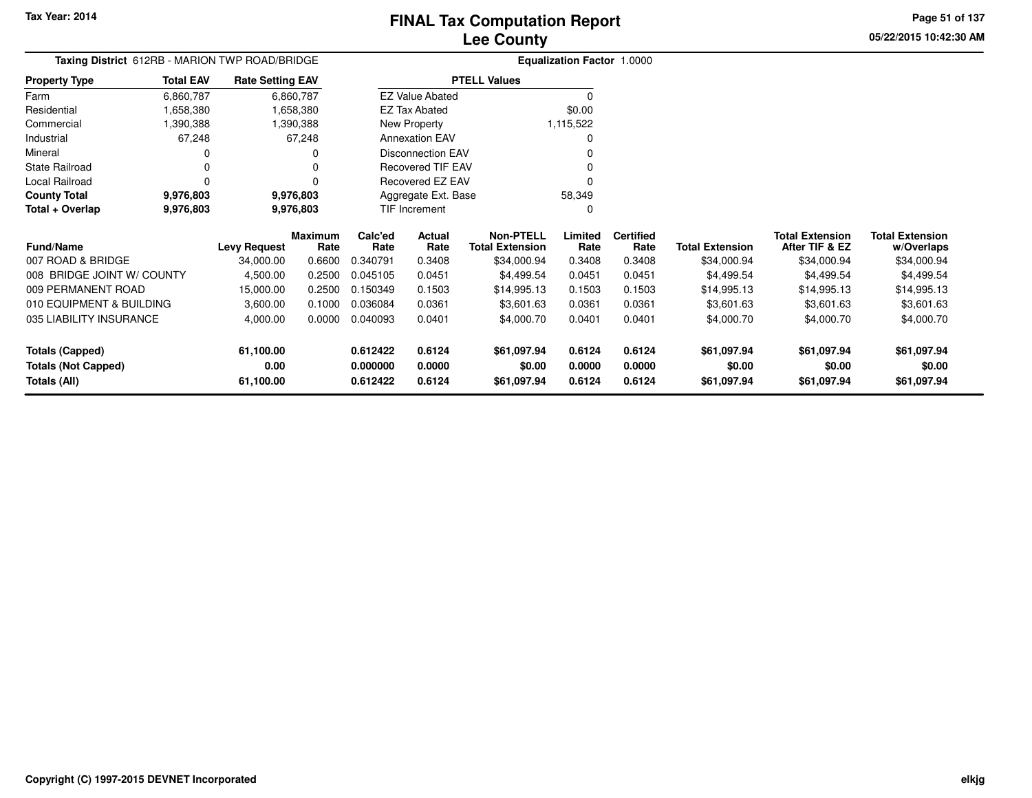**05/22/2015 10:42:30 AMPage 51 of 137**

| Taxing District 612RB - MARION TWP ROAD/BRIDGE |                        |                         |                 | <b>Equalization Factor 1.0000</b> |                          |                                            |                 |                          |                        |                                          |                                      |
|------------------------------------------------|------------------------|-------------------------|-----------------|-----------------------------------|--------------------------|--------------------------------------------|-----------------|--------------------------|------------------------|------------------------------------------|--------------------------------------|
| Property Type                                  | <b>Total EAV</b>       | <b>Rate Setting EAV</b> |                 |                                   |                          | <b>PTELL Values</b>                        |                 |                          |                        |                                          |                                      |
| Farm                                           | 6,860,787              |                         | 6,860,787       |                                   | <b>EZ Value Abated</b>   |                                            | $\Omega$        |                          |                        |                                          |                                      |
| Residential                                    | 1,658,380              |                         | 1,658,380       |                                   | <b>EZ Tax Abated</b>     |                                            | \$0.00          |                          |                        |                                          |                                      |
| Commercial                                     | 1,390,388              |                         | 1,390,388       |                                   | New Property             |                                            | 1,115,522       |                          |                        |                                          |                                      |
| Industrial                                     | 67,248                 |                         | 67,248          |                                   | <b>Annexation EAV</b>    |                                            | O               |                          |                        |                                          |                                      |
| Mineral                                        | 0                      |                         |                 |                                   | <b>Disconnection EAV</b> |                                            |                 |                          |                        |                                          |                                      |
| State Railroad                                 | 0                      |                         |                 |                                   | Recovered TIF EAV        |                                            |                 |                          |                        |                                          |                                      |
| Local Railroad                                 | 0                      |                         |                 |                                   | Recovered EZ EAV         |                                            | 0               |                          |                        |                                          |                                      |
| <b>County Total</b>                            | 9,976,803<br>9,976,803 |                         |                 |                                   | Aggregate Ext. Base      |                                            | 58,349          |                          |                        |                                          |                                      |
| Total + Overlap                                | 9,976,803              | 9,976,803               |                 |                                   | TIF Increment            |                                            | O               |                          |                        |                                          |                                      |
| Fund/Name                                      |                        | <b>Levy Request</b>     | Maximum<br>Rate | Calc'ed<br>Rate                   | Actual<br>Rate           | <b>Non-PTELL</b><br><b>Total Extension</b> | Limited<br>Rate | <b>Certified</b><br>Rate | <b>Total Extension</b> | <b>Total Extension</b><br>After TIF & EZ | <b>Total Extension</b><br>w/Overlaps |
| 007 ROAD & BRIDGE                              |                        | 34,000.00               | 0.6600          | 0.340791                          | 0.3408                   | \$34,000.94                                | 0.3408          | 0.3408                   | \$34,000.94            | \$34,000.94                              | \$34,000.94                          |
| 008 BRIDGE JOINT W/ COUNTY                     |                        | 4,500.00                | 0.2500          | 0.045105                          | 0.0451                   | \$4,499.54                                 | 0.0451          | 0.0451                   | \$4,499.54             | \$4,499.54                               | \$4,499.54                           |
| 009 PERMANENT ROAD                             |                        | 15,000.00               | 0.2500          | 0.150349                          | 0.1503                   | \$14,995.13                                | 0.1503          | 0.1503                   | \$14,995.13            | \$14,995.13                              | \$14,995.13                          |
| 010 EQUIPMENT & BUILDING                       |                        | 3,600.00                | 0.1000          | 0.036084                          | 0.0361                   | \$3,601.63                                 | 0.0361          | 0.0361                   | \$3,601.63             | \$3,601.63                               | \$3,601.63                           |
| 035 LIABILITY INSURANCE                        |                        | 4,000.00                | 0.0000          | 0.040093                          | 0.0401                   | \$4,000.70                                 | 0.0401          | 0.0401                   | \$4,000.70             | \$4,000.70                               | \$4,000.70                           |
| <b>Totals (Capped)</b>                         |                        | 61,100.00               |                 | 0.612422                          | 0.6124                   | \$61,097.94                                | 0.6124          | 0.6124                   | \$61,097.94            | \$61,097.94                              | \$61,097.94                          |
| <b>Totals (Not Capped)</b>                     |                        | 0.00                    |                 | 0.000000                          | 0.0000                   | \$0.00                                     | 0.0000          | 0.0000                   | \$0.00                 | \$0.00                                   | \$0.00                               |
| <b>Totals (All)</b>                            |                        | 61,100.00               |                 | 0.612422                          | 0.6124                   | \$61,097.94                                | 0.6124          | 0.6124                   | \$61,097.94            | \$61,097.94                              | \$61,097.94                          |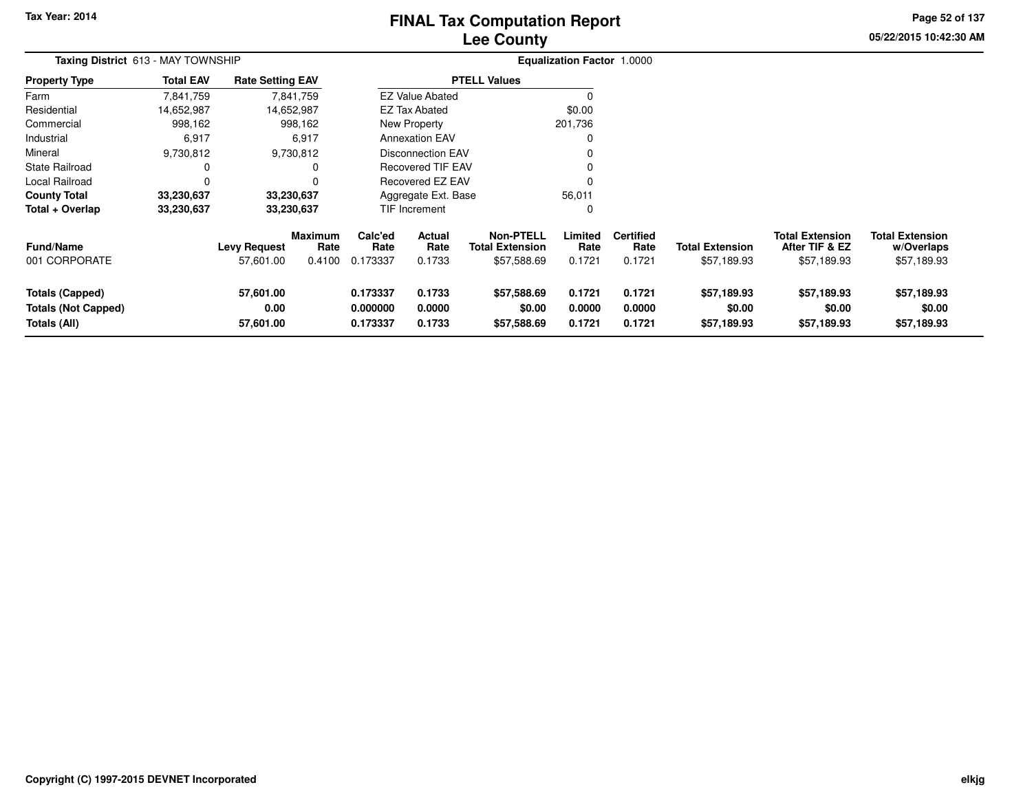# **Lee CountyFINAL Tax Computation Report**

**05/22/2015 10:42:30 AM Page 52 of 137**

| <b>Taxing District 613 - MAY TOWNSHIP</b>                            |                  |                                  |                                  |                                  | <b>Equalization Factor 1.0000</b> |                                                           |                            |                                    |                                       |                                                         |                                                     |
|----------------------------------------------------------------------|------------------|----------------------------------|----------------------------------|----------------------------------|-----------------------------------|-----------------------------------------------------------|----------------------------|------------------------------------|---------------------------------------|---------------------------------------------------------|-----------------------------------------------------|
| <b>Property Type</b>                                                 | <b>Total EAV</b> | <b>Rate Setting EAV</b>          |                                  |                                  |                                   | <b>PTELL Values</b>                                       |                            |                                    |                                       |                                                         |                                                     |
| Farm                                                                 | 7,841,759        |                                  | 7,841,759                        |                                  | <b>EZ Value Abated</b>            |                                                           |                            |                                    |                                       |                                                         |                                                     |
| Residential                                                          | 14,652,987       |                                  | 14,652,987                       |                                  | <b>EZ Tax Abated</b>              |                                                           | \$0.00                     |                                    |                                       |                                                         |                                                     |
| Commercial                                                           | 998,162          |                                  | 998,162                          |                                  | New Property                      |                                                           | 201,736                    |                                    |                                       |                                                         |                                                     |
| Industrial                                                           | 6,917            |                                  | 6,917                            |                                  | <b>Annexation EAV</b>             |                                                           |                            |                                    |                                       |                                                         |                                                     |
| Mineral                                                              | 9,730,812        |                                  | 9,730,812                        |                                  | <b>Disconnection EAV</b>          |                                                           |                            |                                    |                                       |                                                         |                                                     |
| <b>State Railroad</b>                                                | 0                |                                  |                                  |                                  | <b>Recovered TIF EAV</b>          |                                                           |                            |                                    |                                       |                                                         |                                                     |
| Local Railroad                                                       | 0                |                                  |                                  |                                  | Recovered EZ EAV                  |                                                           |                            |                                    |                                       |                                                         |                                                     |
| <b>County Total</b>                                                  | 33,230,637       |                                  | 33,230,637                       |                                  | Aggregate Ext. Base               |                                                           | 56,011                     |                                    |                                       |                                                         |                                                     |
| Total + Overlap                                                      | 33,230,637       | 33,230,637                       |                                  | TIF Increment                    |                                   |                                                           | $\Omega$                   |                                    |                                       |                                                         |                                                     |
| <b>Fund/Name</b><br>001 CORPORATE                                    |                  | <b>Levy Request</b><br>57,601.00 | <b>Maximum</b><br>Rate<br>0.4100 | Calc'ed<br>Rate<br>0.173337      | Actual<br>Rate<br>0.1733          | <b>Non-PTELL</b><br><b>Total Extension</b><br>\$57,588.69 | Limited<br>Rate<br>0.1721  | <b>Certified</b><br>Rate<br>0.1721 | <b>Total Extension</b><br>\$57,189.93 | <b>Total Extension</b><br>After TIF & EZ<br>\$57,189.93 | <b>Total Extension</b><br>w/Overlaps<br>\$57,189.93 |
| <b>Totals (Capped)</b><br><b>Totals (Not Capped)</b><br>Totals (All) |                  | 57,601.00<br>0.00<br>57,601.00   |                                  | 0.173337<br>0.000000<br>0.173337 | 0.1733<br>0.0000<br>0.1733        | \$57,588.69<br>\$0.00<br>\$57,588.69                      | 0.1721<br>0.0000<br>0.1721 | 0.1721<br>0.0000<br>0.1721         | \$57,189.93<br>\$0.00<br>\$57,189.93  | \$57,189.93<br>\$0.00<br>\$57,189.93                    | \$57,189.93<br>\$0.00<br>\$57,189.93                |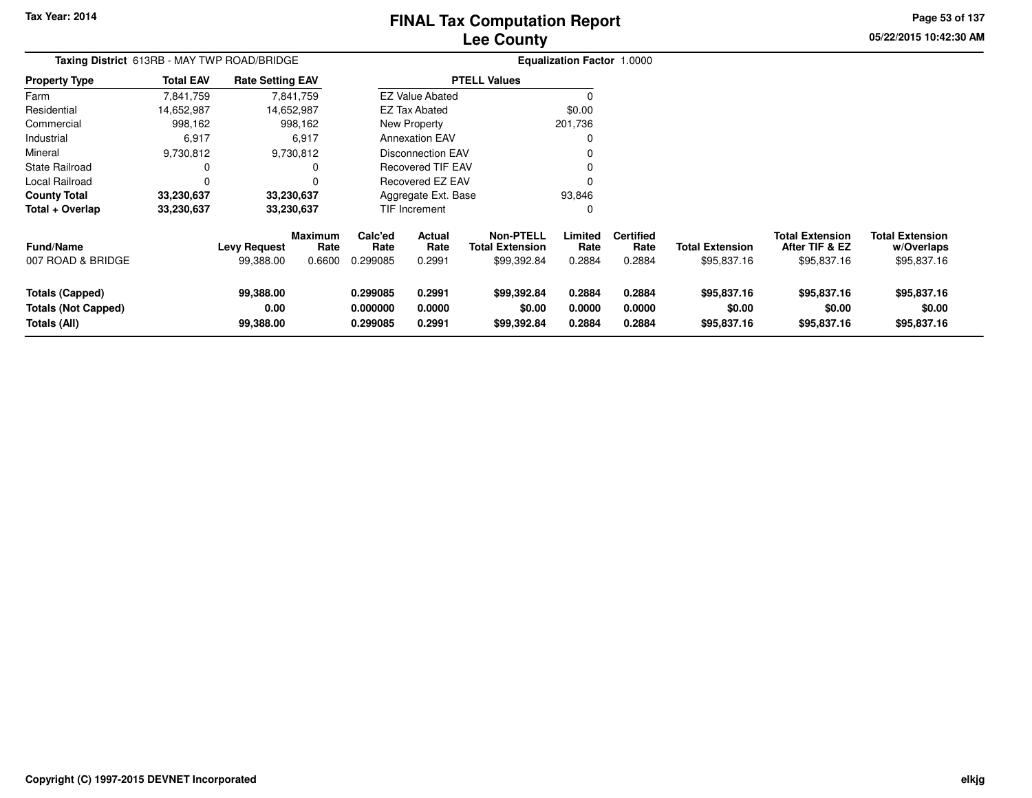# **Lee CountyFINAL Tax Computation Report**

**05/22/2015 10:42:30 AM Page 53 of 137**

| Taxing District 613RB - MAY TWP ROAD/BRIDGE                   |                  |                                  |                                  | <b>Equalization Factor 1.0000</b> |                            |                                                           |                            |                                    |                                       |                                                         |                                                     |
|---------------------------------------------------------------|------------------|----------------------------------|----------------------------------|-----------------------------------|----------------------------|-----------------------------------------------------------|----------------------------|------------------------------------|---------------------------------------|---------------------------------------------------------|-----------------------------------------------------|
| <b>Property Type</b>                                          | <b>Total EAV</b> | <b>Rate Setting EAV</b>          |                                  |                                   |                            | <b>PTELL Values</b>                                       |                            |                                    |                                       |                                                         |                                                     |
| Farm                                                          | 7,841,759        |                                  | 7,841,759                        |                                   | <b>EZ Value Abated</b>     |                                                           |                            |                                    |                                       |                                                         |                                                     |
| Residential                                                   | 14,652,987       |                                  | 14,652,987                       |                                   | <b>EZ Tax Abated</b>       |                                                           | \$0.00                     |                                    |                                       |                                                         |                                                     |
| Commercial                                                    | 998,162          |                                  | 998,162                          |                                   | New Property               |                                                           | 201,736                    |                                    |                                       |                                                         |                                                     |
| Industrial                                                    | 6,917            |                                  | 6,917                            |                                   | <b>Annexation EAV</b>      |                                                           |                            |                                    |                                       |                                                         |                                                     |
| Mineral                                                       | 9,730,812        |                                  | 9,730,812                        |                                   | Disconnection EAV          |                                                           |                            |                                    |                                       |                                                         |                                                     |
| <b>State Railroad</b>                                         |                  |                                  |                                  |                                   | Recovered TIF EAV          |                                                           |                            |                                    |                                       |                                                         |                                                     |
| Local Railroad                                                |                  |                                  |                                  |                                   | Recovered EZ EAV           |                                                           |                            |                                    |                                       |                                                         |                                                     |
| <b>County Total</b>                                           | 33,230,637       | 33,230,637                       |                                  |                                   | Aggregate Ext. Base        |                                                           | 93,846                     |                                    |                                       |                                                         |                                                     |
| Total + Overlap                                               | 33,230,637       | 33,230,637                       |                                  |                                   | TIF Increment              |                                                           | 0                          |                                    |                                       |                                                         |                                                     |
| <b>Fund/Name</b><br>007 ROAD & BRIDGE                         |                  | <b>Levy Request</b><br>99,388.00 | <b>Maximum</b><br>Rate<br>0.6600 | Calc'ed<br>Rate<br>0.299085       | Actual<br>Rate<br>0.2991   | <b>Non-PTELL</b><br><b>Total Extension</b><br>\$99,392.84 | Limited<br>Rate<br>0.2884  | <b>Certified</b><br>Rate<br>0.2884 | <b>Total Extension</b><br>\$95,837.16 | <b>Total Extension</b><br>After TIF & EZ<br>\$95,837.16 | <b>Total Extension</b><br>w/Overlaps<br>\$95,837.16 |
| Totals (Capped)<br><b>Totals (Not Capped)</b><br>Totals (All) |                  | 99,388.00<br>0.00<br>99,388.00   |                                  | 0.299085<br>0.000000<br>0.299085  | 0.2991<br>0.0000<br>0.2991 | \$99,392.84<br>\$0.00<br>\$99,392.84                      | 0.2884<br>0.0000<br>0.2884 | 0.2884<br>0.0000<br>0.2884         | \$95,837.16<br>\$0.00<br>\$95,837.16  | \$95,837.16<br>\$0.00<br>\$95,837.16                    | \$95,837.16<br>\$0.00<br>\$95,837.16                |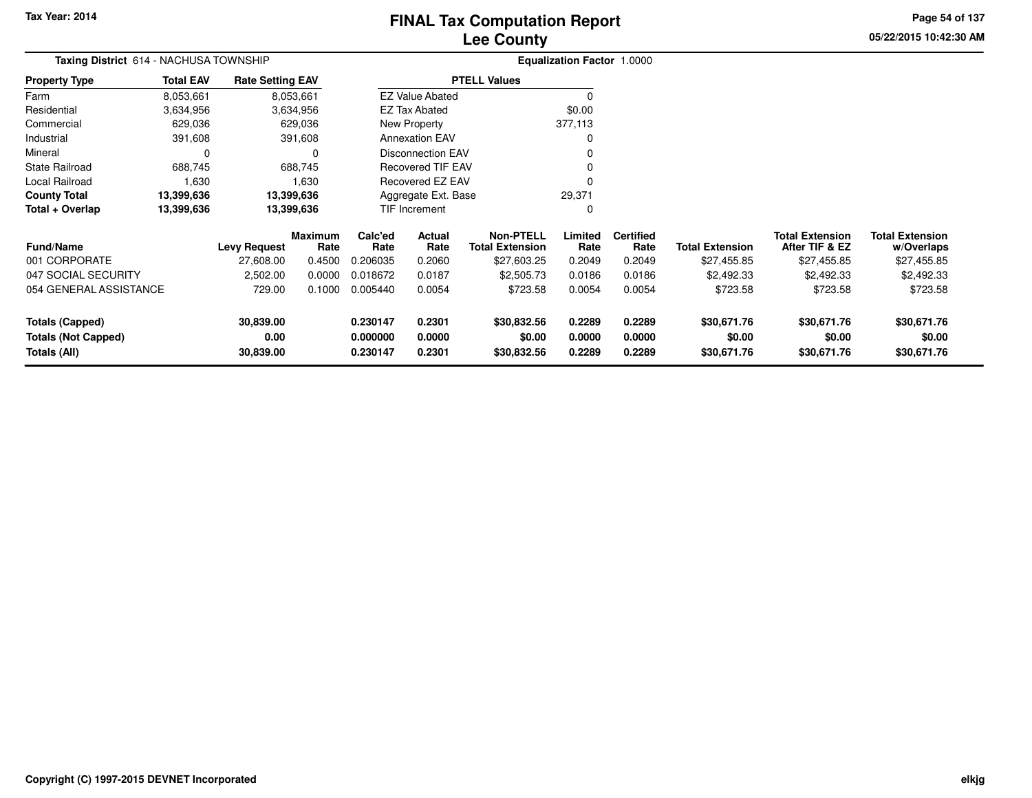# **Lee CountyFINAL Tax Computation Report**

**05/22/2015 10:42:30 AM Page 54 of 137**

| <b>Taxing District</b> 614 - NACHUSA TOWNSHIP |                  |                         |                 | <b>Equalization Factor 1.0000</b> |                          |                                            |                 |                          |                        |                                          |                                      |
|-----------------------------------------------|------------------|-------------------------|-----------------|-----------------------------------|--------------------------|--------------------------------------------|-----------------|--------------------------|------------------------|------------------------------------------|--------------------------------------|
| <b>Property Type</b>                          | <b>Total EAV</b> | <b>Rate Setting EAV</b> |                 |                                   |                          | <b>PTELL Values</b>                        |                 |                          |                        |                                          |                                      |
| Farm                                          | 8,053,661        |                         | 8,053,661       |                                   | <b>EZ Value Abated</b>   |                                            | 0               |                          |                        |                                          |                                      |
| Residential                                   | 3,634,956        |                         | 3,634,956       |                                   | <b>EZ Tax Abated</b>     |                                            | \$0.00          |                          |                        |                                          |                                      |
| Commercial                                    | 629,036          |                         | 629,036         |                                   | New Property             |                                            | 377,113         |                          |                        |                                          |                                      |
| Industrial                                    | 391,608          |                         | 391,608         |                                   | <b>Annexation EAV</b>    |                                            | 0               |                          |                        |                                          |                                      |
| Mineral                                       | 0                |                         |                 |                                   | <b>Disconnection EAV</b> |                                            |                 |                          |                        |                                          |                                      |
| State Railroad                                | 688,745          |                         | 688,745         |                                   | <b>Recovered TIF EAV</b> |                                            |                 |                          |                        |                                          |                                      |
| Local Railroad                                | 1,630            |                         | 1,630           |                                   | Recovered EZ EAV         |                                            | 0               |                          |                        |                                          |                                      |
| <b>County Total</b>                           | 13,399,636       |                         | 13,399,636      |                                   | Aggregate Ext. Base      |                                            | 29,371          |                          |                        |                                          |                                      |
| Total + Overlap                               | 13.399.636       | 13,399,636              |                 |                                   | TIF Increment            |                                            | 0               |                          |                        |                                          |                                      |
| Fund/Name                                     |                  | <b>Levy Request</b>     | Maximum<br>Rate | Calc'ed<br>Rate                   | Actual<br>Rate           | <b>Non-PTELL</b><br><b>Total Extension</b> | Limited<br>Rate | <b>Certified</b><br>Rate | <b>Total Extension</b> | <b>Total Extension</b><br>After TIF & EZ | <b>Total Extension</b><br>w/Overlaps |
| 001 CORPORATE                                 |                  | 27,608.00               | 0.4500          | 0.206035                          | 0.2060                   | \$27,603.25                                | 0.2049          | 0.2049                   | \$27,455.85            | \$27,455.85                              | \$27,455.85                          |
| 047 SOCIAL SECURITY                           |                  | 2,502.00                | 0.0000          | 0.018672                          | 0.0187                   | \$2,505.73                                 | 0.0186          | 0.0186                   | \$2,492.33             | \$2,492.33                               | \$2,492.33                           |
| 054 GENERAL ASSISTANCE                        |                  | 729.00                  | 0.1000          | 0.005440                          | 0.0054                   | \$723.58                                   | 0.0054          | 0.0054                   | \$723.58               | \$723.58                                 | \$723.58                             |
| <b>Totals (Capped)</b>                        |                  | 30,839.00               |                 | 0.230147                          | 0.2301                   | \$30,832.56                                | 0.2289          | 0.2289                   | \$30,671.76            | \$30,671.76                              | \$30,671.76                          |
| <b>Totals (Not Capped)</b>                    |                  | 0.00                    |                 | 0.000000                          | 0.0000                   | \$0.00                                     | 0.0000          | 0.0000                   | \$0.00                 | \$0.00                                   | \$0.00                               |
| Totals (All)                                  |                  | 30,839.00               |                 | 0.230147                          | 0.2301                   | \$30,832.56                                | 0.2289          | 0.2289                   | \$30,671.76            | \$30,671.76                              | \$30,671.76                          |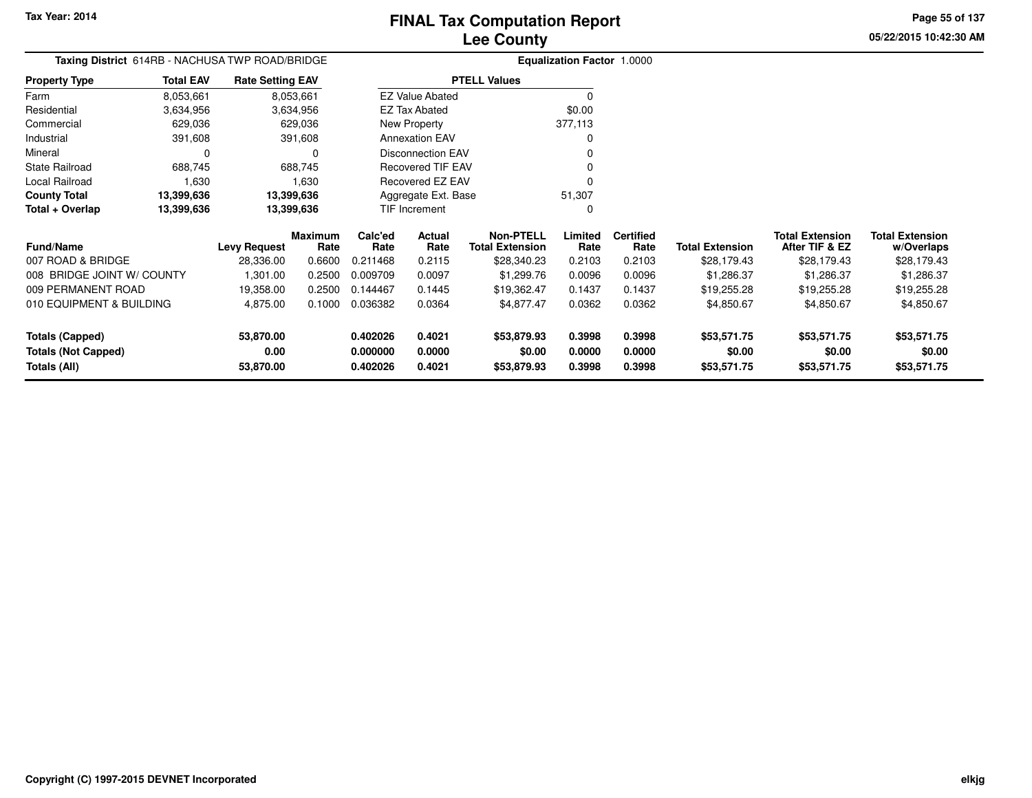**05/22/2015 10:42:30 AMPage 55 of 137**

> **w/Overlaps** \$28,179.43

**Total Extension**

\$28,179.43

#### **Equalization Factor** 1.0000 **Taxing District** 614RB - NACHUSA TWP ROAD/BRIDGE**Property Type**3,634,956 3,634,956 629,036 Farm Residential Commercial 629,036 629,036391,608 Industrial 391,608 391,608 $\mathbf 0$ Mineral 0 0688,745 State Railroad 688,745 1,630 Local Railroad 1,630 13,399,636 **County Total 13,399,636 13,399,636**13,399,636 **Total + Overlap 13,399,636 13,399,636** 8,053,6613,634,956 **Fund/Name Levy Request Rate Limited**Rate **After TIF & EZ Total ExtensionRate Total Extension Rate Total Extension**\$28,179.43 **Maximum Calc'ed Rate**0.211468 **Actual RateNon-PTELL Certified** \$28,340.23 007 ROAD & BRIDGE 28,336.00 0.6600 0.211468 0.2115 \$28,340.23 0.2103 0.2103 \$28,179.43 \$28,179.43 \$28,179.43 008 BRIDGE JOINT W/ COUNTY009 PERMANENT ROAD8,053,661**Total EAV Rate Setting EAV PTELL Values**  $\overline{\overline{0}}$  \$0.00 377,113 $\pmb{0}$ Annexation EAV v o Disconnection EAV $\sim$  0 Recovered TIF EAV0 v Recovered EZ EAV <sup>0</sup> 51,307 $\mathbf{0}$ New Property EZ Tax AbatedEZ Value AbatedAggregate Ext. BaseTIF Increment0

| 008 BRIDGE JOINT W/ COUNTY | 1.301.00  | 0.2500 | 0.009709 | 0.0097 | \$1,299.76  | 0.0096 | 0.0096 | \$1.286.37  | \$1,286.37  | \$1,286.37  |
|----------------------------|-----------|--------|----------|--------|-------------|--------|--------|-------------|-------------|-------------|
| 009 PERMANENT ROAD         | 19.358.00 | 0.2500 | 0.144467 | 0.1445 | \$19.362.47 | 0.1437 | 0.1437 | \$19,255.28 | \$19,255.28 | \$19,255.28 |
| 010 EQUIPMENT & BUILDING   | 4.875.00  | 0.1000 | 0.036382 | 0.0364 | \$4,877.47  | 0.0362 | 0.0362 | \$4,850.67  | \$4,850.67  | \$4,850.67  |
|                            |           |        |          |        |             |        |        |             |             |             |
| Totals (Capped)            | 53,870,00 |        | 0.402026 | 0.4021 | \$53,879.93 | 0.3998 | 0.3998 | \$53,571.75 | \$53.571.75 | \$53,571.75 |
| Totals (Not Capped)        | 0.00      |        | 0.000000 | 0.0000 | \$0.00      | 0.0000 | 0.0000 | \$0.00      | \$0.00      | \$0.00      |
| Totals (All)               | 53,870.00 |        | 0.402026 | 0.4021 | \$53,879.93 | 0.3998 | 0.3998 | \$53,571.75 | \$53,571.75 | \$53,571.75 |
|                            |           |        |          |        |             |        |        |             |             |             |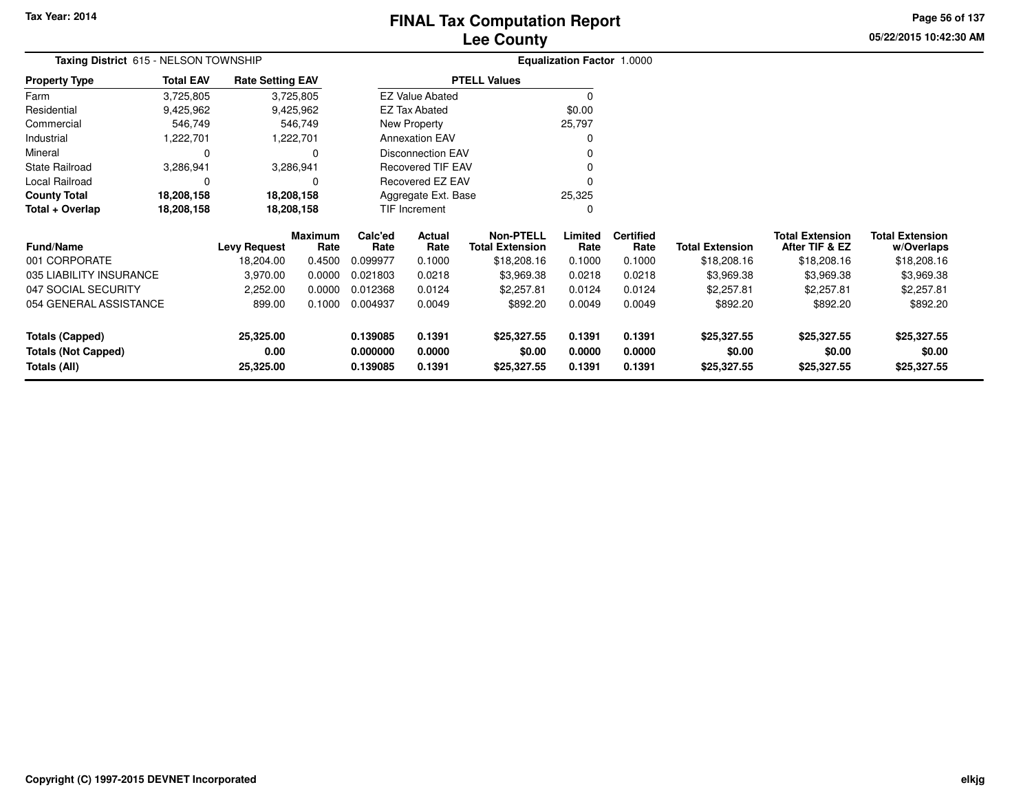**05/22/2015 10:42:30 AMPage 56 of 137**

| Taxing District 615 - NELSON TOWNSHIP             | Equalization Factor 1.0000 |                         |                 |                      |                          |                                            |                  |                          |                        |                                          |                                      |
|---------------------------------------------------|----------------------------|-------------------------|-----------------|----------------------|--------------------------|--------------------------------------------|------------------|--------------------------|------------------------|------------------------------------------|--------------------------------------|
| <b>Property Type</b>                              | <b>Total EAV</b>           | <b>Rate Setting EAV</b> |                 |                      |                          | <b>PTELL Values</b>                        |                  |                          |                        |                                          |                                      |
| Farm                                              | 3,725,805                  |                         | 3,725,805       |                      | <b>EZ Value Abated</b>   |                                            |                  |                          |                        |                                          |                                      |
| Residential                                       | 9,425,962                  |                         | 9,425,962       |                      | <b>EZ Tax Abated</b>     |                                            | \$0.00           |                          |                        |                                          |                                      |
| Commercial                                        | 546,749                    |                         | 546,749         |                      | New Property             |                                            | 25,797           |                          |                        |                                          |                                      |
| Industrial                                        | 1,222,701                  |                         | 1,222,701       |                      | <b>Annexation EAV</b>    |                                            |                  |                          |                        |                                          |                                      |
| Mineral                                           | $\mathbf 0$                |                         | n               |                      | Disconnection EAV        |                                            |                  |                          |                        |                                          |                                      |
| <b>State Railroad</b>                             | 3,286,941                  |                         | 3,286,941       |                      | <b>Recovered TIF EAV</b> |                                            |                  |                          |                        |                                          |                                      |
| Local Railroad                                    | 0                          |                         | 0               |                      | Recovered EZ EAV         |                                            |                  |                          |                        |                                          |                                      |
| <b>County Total</b>                               | 18,208,158                 | 18,208,158              |                 |                      | Aggregate Ext. Base      |                                            | 25,325           |                          |                        |                                          |                                      |
| Total + Overlap                                   | 18,208,158                 | 18,208,158              |                 |                      | TIF Increment            |                                            | $\Omega$         |                          |                        |                                          |                                      |
| <b>Fund/Name</b>                                  |                            | <b>Levy Request</b>     | Maximum<br>Rate | Calc'ed<br>Rate      | Actual<br>Rate           | <b>Non-PTELL</b><br><b>Total Extension</b> | Limited<br>Rate  | <b>Certified</b><br>Rate | <b>Total Extension</b> | <b>Total Extension</b><br>After TIF & EZ | <b>Total Extension</b><br>w/Overlaps |
| 001 CORPORATE                                     |                            | 18,204.00               | 0.4500          | 0.099977             | 0.1000                   | \$18,208.16                                | 0.1000           | 0.1000                   | \$18,208.16            | \$18,208.16                              | \$18,208.16                          |
| 035 LIABILITY INSURANCE                           |                            | 3,970.00                | 0.0000          | 0.021803             | 0.0218                   | \$3,969.38                                 | 0.0218           | 0.0218                   | \$3,969.38             | \$3,969.38                               | \$3,969.38                           |
| 047 SOCIAL SECURITY                               |                            | 2,252.00                | 0.0000          | 0.012368             | 0.0124                   | \$2,257.81                                 | 0.0124           | 0.0124                   | \$2,257.81             | \$2,257.81                               | \$2,257.81                           |
| 054 GENERAL ASSISTANCE                            |                            | 899.00                  | 0.1000          | 0.004937             | 0.0049                   | \$892.20                                   | 0.0049           | 0.0049                   | \$892.20               | \$892.20                                 | \$892.20                             |
| <b>Totals (Capped)</b>                            |                            | 25,325.00               |                 | 0.139085             | 0.1391                   | \$25,327.55                                | 0.1391           | 0.1391                   | \$25,327.55            | \$25,327.55                              | \$25,327.55                          |
| <b>Totals (Not Capped)</b><br><b>Totals (All)</b> |                            | 0.00<br>25,325.00       |                 | 0.000000<br>0.139085 | 0.0000<br>0.1391         | \$0.00<br>\$25,327.55                      | 0.0000<br>0.1391 | 0.0000<br>0.1391         | \$0.00<br>\$25,327.55  | \$0.00<br>\$25,327.55                    | \$0.00<br>\$25,327.55                |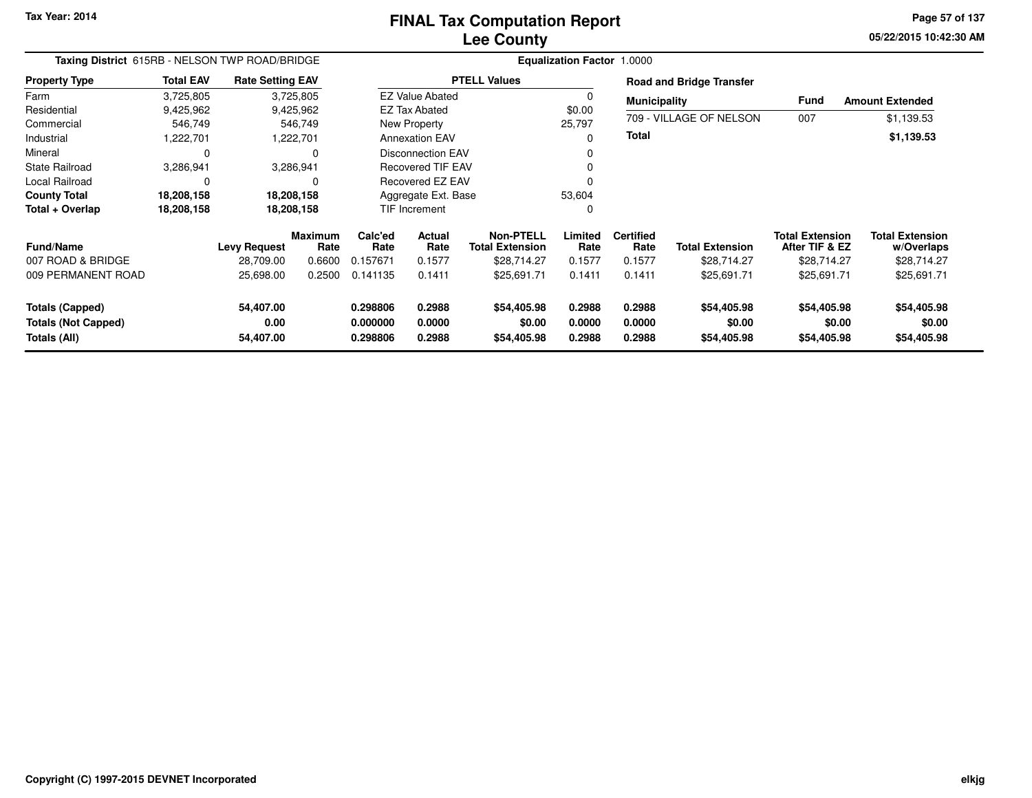**05/22/2015 10:42:30 AM Page 57 of 137**

| Taxing District 615RB - NELSON TWP ROAD/BRIDGE                |                  |                                |                        | <b>Equalization Factor 1.0000</b> |                            |                                            |                            |                            |                                      |                                          |                                      |  |
|---------------------------------------------------------------|------------------|--------------------------------|------------------------|-----------------------------------|----------------------------|--------------------------------------------|----------------------------|----------------------------|--------------------------------------|------------------------------------------|--------------------------------------|--|
| <b>Property Type</b>                                          | <b>Total EAV</b> | <b>Rate Setting EAV</b>        |                        |                                   |                            | <b>PTELL Values</b>                        |                            |                            | <b>Road and Bridge Transfer</b>      |                                          |                                      |  |
| Farm                                                          | 3,725,805        |                                | 3,725,805              |                                   | <b>EZ Value Abated</b>     |                                            |                            | <b>Municipality</b>        |                                      | Fund                                     | <b>Amount Extended</b>               |  |
| Residential                                                   | 9,425,962        |                                | 9,425,962              |                                   | <b>EZ Tax Abated</b>       |                                            | \$0.00                     |                            |                                      |                                          |                                      |  |
| Commercial                                                    | 546,749          |                                | 546,749                |                                   | New Property               |                                            | 25,797                     |                            | 709 - VILLAGE OF NELSON              | 007                                      | \$1,139.53                           |  |
| Industrial                                                    | 1,222,701        |                                | 1,222,701              |                                   | <b>Annexation EAV</b>      |                                            |                            | Total                      |                                      |                                          | \$1,139.53                           |  |
| Mineral                                                       | 0                |                                | 0                      |                                   | <b>Disconnection EAV</b>   |                                            |                            |                            |                                      |                                          |                                      |  |
| <b>State Railroad</b>                                         | 3,286,941        | 3,286,941                      |                        |                                   | <b>Recovered TIF EAV</b>   |                                            |                            |                            |                                      |                                          |                                      |  |
| Local Railroad                                                | $\Omega$         |                                | $\Omega$               |                                   | Recovered EZ EAV           |                                            |                            |                            |                                      |                                          |                                      |  |
| <b>County Total</b>                                           | 18,208,158       | 18,208,158                     |                        |                                   | Aggregate Ext. Base        |                                            | 53,604                     |                            |                                      |                                          |                                      |  |
| Total + Overlap                                               | 18,208,158       | 18,208,158                     |                        |                                   | TIF Increment              |                                            |                            |                            |                                      |                                          |                                      |  |
| <b>Fund/Name</b>                                              |                  | <b>Levy Request</b>            | <b>Maximum</b><br>Rate | Calc'ed<br>Rate                   | <b>Actual</b><br>Rate      | <b>Non-PTELL</b><br><b>Total Extension</b> | Limited<br>Rate            | <b>Certified</b><br>Rate   | <b>Total Extension</b>               | <b>Total Extension</b><br>After TIF & EZ | <b>Total Extension</b><br>w/Overlaps |  |
| 007 ROAD & BRIDGE                                             |                  | 28,709.00                      | 0.6600                 | 0.157671                          | 0.1577                     | \$28,714.27                                | 0.1577                     | 0.1577                     | \$28,714.27                          | \$28,714.27                              | \$28,714.27                          |  |
| 009 PERMANENT ROAD                                            |                  | 25,698.00                      | 0.2500                 | 0.141135                          | 0.1411                     | \$25,691.71                                | 0.1411                     | 0.1411                     | \$25,691.71                          | \$25,691.71                              | \$25,691.71                          |  |
| Totals (Capped)<br><b>Totals (Not Capped)</b><br>Totals (All) |                  | 54,407.00<br>0.00<br>54,407.00 |                        | 0.298806<br>0.000000<br>0.298806  | 0.2988<br>0.0000<br>0.2988 | \$54,405.98<br>\$0.00<br>\$54,405.98       | 0.2988<br>0.0000<br>0.2988 | 0.2988<br>0.0000<br>0.2988 | \$54,405.98<br>\$0.00<br>\$54,405.98 | \$54,405.98<br>\$0.00<br>\$54,405.98     | \$54,405.98<br>\$0.00<br>\$54,405.98 |  |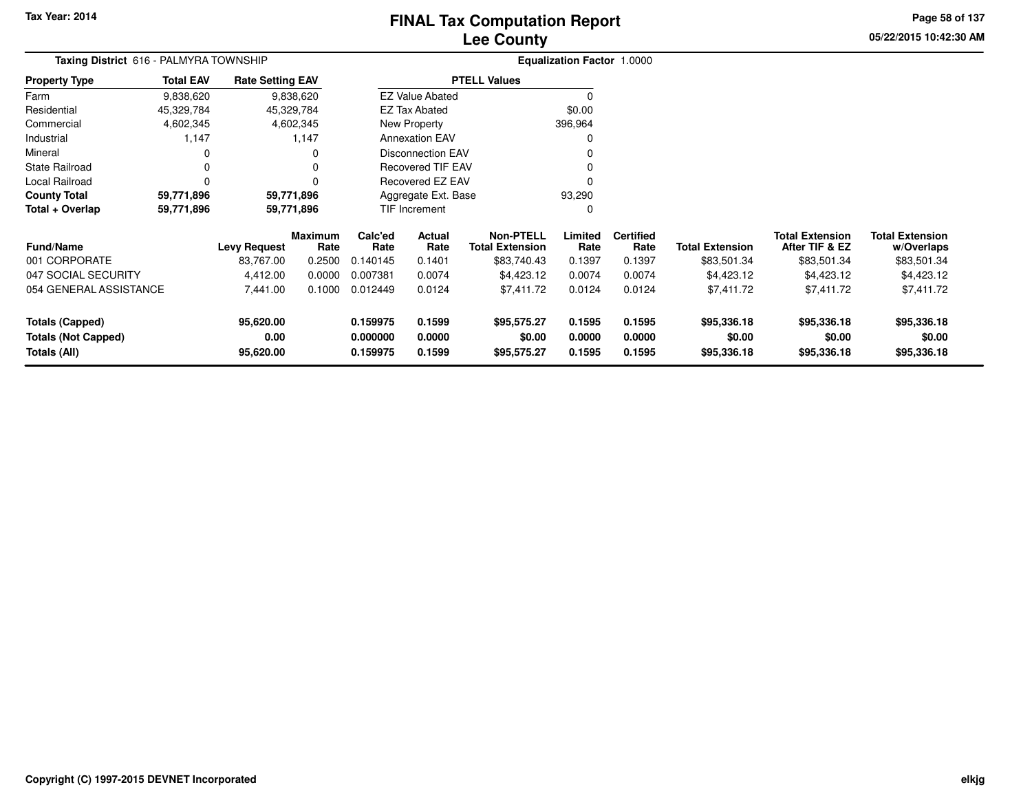# **Lee CountyFINAL Tax Computation Report**

**05/22/2015 10:42:30 AMPage 58 of 137**

| Taxing District 616 - PALMYRA TOWNSHIP | <b>Equalization Factor 1.0000</b> |                         |                 |                 |                          |                                            |                 |                          |                        |                                          |                                      |
|----------------------------------------|-----------------------------------|-------------------------|-----------------|-----------------|--------------------------|--------------------------------------------|-----------------|--------------------------|------------------------|------------------------------------------|--------------------------------------|
| <b>Property Type</b>                   | <b>Total EAV</b>                  | <b>Rate Setting EAV</b> |                 |                 |                          | <b>PTELL Values</b>                        |                 |                          |                        |                                          |                                      |
| Farm                                   | 9,838,620                         |                         | 9,838,620       |                 | <b>EZ Value Abated</b>   |                                            |                 |                          |                        |                                          |                                      |
| Residential                            | 45,329,784                        |                         | 45,329,784      |                 | EZ Tax Abated            |                                            | \$0.00          |                          |                        |                                          |                                      |
| Commercial                             | 4,602,345                         |                         | 4,602,345       |                 | New Property             |                                            | 396,964         |                          |                        |                                          |                                      |
| Industrial                             | 1,147                             |                         | 1,147           |                 | <b>Annexation EAV</b>    |                                            | 0               |                          |                        |                                          |                                      |
| Mineral                                | 0                                 |                         | 0               |                 | <b>Disconnection EAV</b> |                                            |                 |                          |                        |                                          |                                      |
| <b>State Railroad</b>                  | 0                                 |                         | 0               |                 | Recovered TIF EAV        |                                            | O               |                          |                        |                                          |                                      |
| Local Railroad                         | $\Omega$                          |                         | $\Omega$        |                 | <b>Recovered EZ EAV</b>  |                                            | $\Omega$        |                          |                        |                                          |                                      |
| <b>County Total</b>                    | 59,771,896                        |                         | 59,771,896      |                 | Aggregate Ext. Base      |                                            | 93,290          |                          |                        |                                          |                                      |
| Total + Overlap                        | 59,771,896                        | 59,771,896              |                 |                 | TIF Increment            |                                            | 0               |                          |                        |                                          |                                      |
| <b>Fund/Name</b>                       |                                   | <b>Levy Request</b>     | Maximum<br>Rate | Calc'ed<br>Rate | Actual<br>Rate           | <b>Non-PTELL</b><br><b>Total Extension</b> | Limited<br>Rate | <b>Certified</b><br>Rate | <b>Total Extension</b> | <b>Total Extension</b><br>After TIF & EZ | <b>Total Extension</b><br>w/Overlaps |
| 001 CORPORATE                          |                                   | 83,767.00               | 0.2500          | 0.140145        | 0.1401                   | \$83,740.43                                | 0.1397          | 0.1397                   | \$83,501.34            | \$83,501.34                              | \$83,501.34                          |
| 047 SOCIAL SECURITY                    |                                   | 4,412.00                | 0.0000          | 0.007381        | 0.0074                   | \$4,423.12                                 | 0.0074          | 0.0074                   | \$4,423.12             | \$4,423.12                               | \$4,423.12                           |
| 054 GENERAL ASSISTANCE                 |                                   | 7,441.00                | 0.1000          | 0.012449        | 0.0124                   | \$7,411.72                                 | 0.0124          | 0.0124                   | \$7,411.72             | \$7,411.72                               | \$7,411.72                           |
| <b>Totals (Capped)</b>                 |                                   | 95,620.00               |                 | 0.159975        | 0.1599                   | \$95,575.27                                | 0.1595          | 0.1595                   | \$95,336.18            | \$95,336.18                              | \$95,336.18                          |
| <b>Totals (Not Capped)</b>             |                                   | 0.00                    |                 | 0.000000        | 0.0000                   | \$0.00                                     | 0.0000          | 0.0000                   | \$0.00                 | \$0.00                                   | \$0.00                               |
| Totals (All)                           |                                   | 95,620.00               |                 | 0.159975        | 0.1599                   | \$95,575.27                                | 0.1595          | 0.1595                   | \$95,336.18            | \$95,336.18                              | \$95,336.18                          |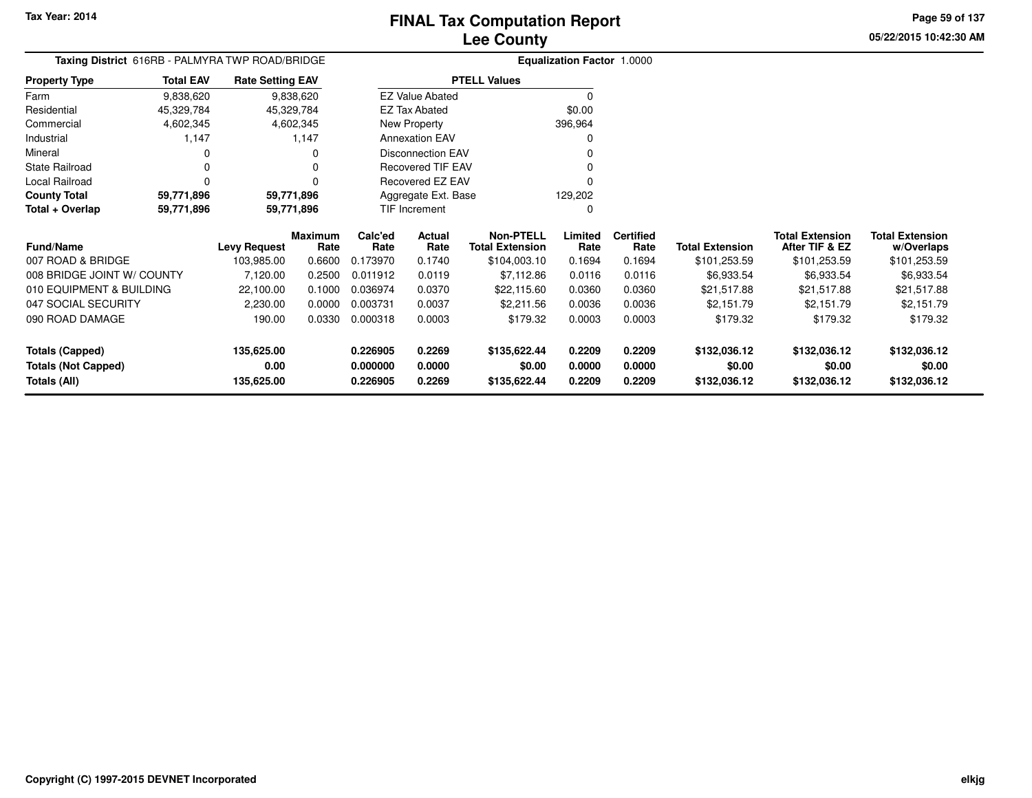**05/22/2015 10:42:30 AMPage 59 of 137**

| Taxing District 616RB - PALMYRA TWP ROAD/BRIDGE |                          |                         |                        |                 |                          |                                            | <b>Equalization Factor 1.0000</b> |                          |                        |                                          |                                      |
|-------------------------------------------------|--------------------------|-------------------------|------------------------|-----------------|--------------------------|--------------------------------------------|-----------------------------------|--------------------------|------------------------|------------------------------------------|--------------------------------------|
| Property Type                                   | <b>Total EAV</b>         | <b>Rate Setting EAV</b> |                        |                 |                          | <b>PTELL Values</b>                        |                                   |                          |                        |                                          |                                      |
| Farm                                            | 9,838,620                |                         | 9,838,620              |                 | <b>EZ Value Abated</b>   |                                            | $\Omega$                          |                          |                        |                                          |                                      |
| Residential                                     | 45,329,784               | 45,329,784              |                        |                 | <b>EZ Tax Abated</b>     |                                            | \$0.00                            |                          |                        |                                          |                                      |
| Commercial                                      | 4,602,345                |                         | 4,602,345              |                 | New Property             |                                            | 396,964                           |                          |                        |                                          |                                      |
| Industrial                                      | 1,147                    |                         | 1,147                  |                 | <b>Annexation EAV</b>    |                                            | O                                 |                          |                        |                                          |                                      |
| Mineral                                         | 0                        |                         |                        |                 | <b>Disconnection EAV</b> |                                            |                                   |                          |                        |                                          |                                      |
| State Railroad                                  | 0                        |                         |                        |                 | <b>Recovered TIF EAV</b> |                                            |                                   |                          |                        |                                          |                                      |
| Local Railroad                                  | 0                        |                         |                        |                 | Recovered EZ EAV         |                                            |                                   |                          |                        |                                          |                                      |
| <b>County Total</b>                             | 59,771,896<br>59,771,896 |                         |                        |                 | Aggregate Ext. Base      |                                            | 129,202                           |                          |                        |                                          |                                      |
| Total + Overlap                                 | 59,771,896               | 59,771,896              |                        | TIF Increment   |                          |                                            | O                                 |                          |                        |                                          |                                      |
| Fund/Name                                       |                          | <b>Levy Request</b>     | <b>Maximum</b><br>Rate | Calc'ed<br>Rate | Actual<br>Rate           | <b>Non-PTELL</b><br><b>Total Extension</b> | Limited<br>Rate                   | <b>Certified</b><br>Rate | <b>Total Extension</b> | <b>Total Extension</b><br>After TIF & EZ | <b>Total Extension</b><br>w/Overlaps |
| 007 ROAD & BRIDGE                               |                          | 103,985.00              | 0.6600                 | 0.173970        | 0.1740                   | \$104,003.10                               | 0.1694                            | 0.1694                   | \$101,253.59           | \$101,253.59                             | \$101,253.59                         |
| 008 BRIDGE JOINT W/ COUNTY                      |                          | 7,120.00                | 0.2500                 | 0.011912        | 0.0119                   | \$7,112.86                                 | 0.0116                            | 0.0116                   | \$6,933.54             | \$6,933.54                               | \$6,933.54                           |
| 010 EQUIPMENT & BUILDING                        |                          | 22,100.00               | 0.1000                 | 0.036974        | 0.0370                   | \$22,115.60                                | 0.0360                            | 0.0360                   | \$21,517.88            | \$21,517.88                              | \$21,517.88                          |
| 047 SOCIAL SECURITY                             |                          | 2,230.00                | 0.0000                 | 0.003731        | 0.0037                   | \$2,211.56                                 | 0.0036                            | 0.0036                   | \$2,151.79             | \$2,151.79                               | \$2,151.79                           |
| 090 ROAD DAMAGE                                 |                          | 190.00                  | 0.0330                 | 0.000318        | 0.0003                   | \$179.32                                   | 0.0003                            | 0.0003                   | \$179.32               | \$179.32                                 | \$179.32                             |
| <b>Totals (Capped)</b>                          |                          | 135,625.00              |                        | 0.226905        | 0.2269                   | \$135,622.44                               | 0.2209                            | 0.2209                   | \$132,036.12           | \$132,036.12                             | \$132,036.12                         |
| <b>Totals (Not Capped)</b>                      |                          | 0.00                    |                        | 0.000000        | 0.0000                   | \$0.00                                     | 0.0000                            | 0.0000                   | \$0.00                 | \$0.00                                   | \$0.00                               |
| <b>Totals (All)</b>                             |                          | 135,625.00              |                        | 0.226905        | 0.2269                   | \$135,622.44                               | 0.2209                            | 0.2209                   | \$132,036.12           | \$132,036.12                             | \$132,036.12                         |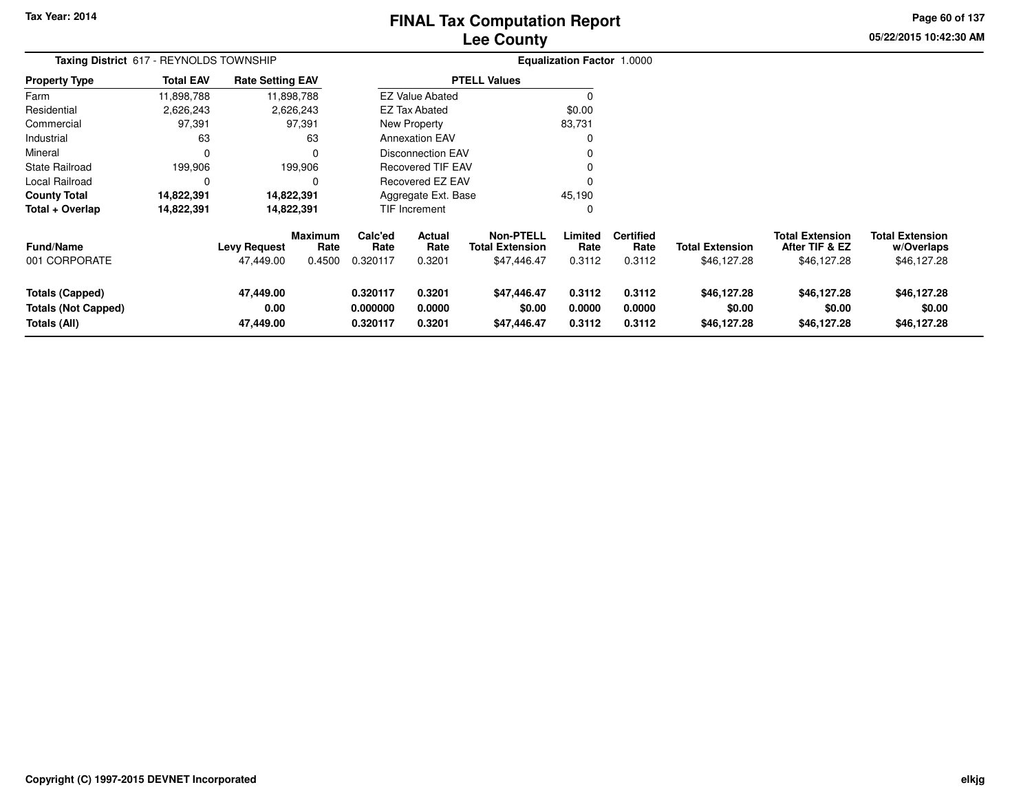# **Lee CountyFINAL Tax Computation Report**

**05/22/2015 10:42:30 AM Page 60 of 137**

| Taxing District 617 - REYNOLDS TOWNSHIP                              |                  |                                  |                                  |                                  |                            | Equalization Factor 1.0000                                |                            |                                    |                                       |                                                         |                                                     |
|----------------------------------------------------------------------|------------------|----------------------------------|----------------------------------|----------------------------------|----------------------------|-----------------------------------------------------------|----------------------------|------------------------------------|---------------------------------------|---------------------------------------------------------|-----------------------------------------------------|
| <b>Property Type</b>                                                 | <b>Total EAV</b> | <b>Rate Setting EAV</b>          |                                  |                                  |                            | <b>PTELL Values</b>                                       |                            |                                    |                                       |                                                         |                                                     |
| Farm                                                                 | 11,898,788       |                                  | 11,898,788                       |                                  | <b>EZ Value Abated</b>     |                                                           |                            |                                    |                                       |                                                         |                                                     |
| Residential                                                          | 2,626,243        |                                  | 2,626,243                        |                                  | <b>EZ Tax Abated</b>       |                                                           | \$0.00                     |                                    |                                       |                                                         |                                                     |
| Commercial                                                           | 97,391           |                                  | 97,391                           |                                  | New Property               |                                                           | 83,731                     |                                    |                                       |                                                         |                                                     |
| Industrial                                                           | 63               |                                  | 63                               |                                  | <b>Annexation EAV</b>      |                                                           |                            |                                    |                                       |                                                         |                                                     |
| Mineral                                                              | $\Omega$         |                                  | 0                                |                                  | <b>Disconnection EAV</b>   |                                                           |                            |                                    |                                       |                                                         |                                                     |
| State Railroad                                                       | 199,906          |                                  | 199,906                          |                                  | <b>Recovered TIF EAV</b>   |                                                           |                            |                                    |                                       |                                                         |                                                     |
| Local Railroad                                                       | 0                |                                  | 0                                | Recovered EZ EAV                 |                            |                                                           |                            |                                    |                                       |                                                         |                                                     |
| <b>County Total</b>                                                  | 14,822,391       | 14,822,391                       |                                  | Aggregate Ext. Base              |                            |                                                           | 45,190                     |                                    |                                       |                                                         |                                                     |
| Total + Overlap                                                      | 14,822,391       | 14,822,391                       |                                  |                                  | TIF Increment              |                                                           |                            |                                    |                                       |                                                         |                                                     |
| <b>Fund/Name</b><br>001 CORPORATE                                    |                  | <b>Levy Request</b><br>47,449.00 | <b>Maximum</b><br>Rate<br>0.4500 | Calc'ed<br>Rate<br>0.320117      | Actual<br>Rate<br>0.3201   | <b>Non-PTELL</b><br><b>Total Extension</b><br>\$47,446.47 | Limited<br>Rate<br>0.3112  | <b>Certified</b><br>Rate<br>0.3112 | <b>Total Extension</b><br>\$46,127.28 | <b>Total Extension</b><br>After TIF & EZ<br>\$46,127.28 | <b>Total Extension</b><br>w/Overlaps<br>\$46,127.28 |
| <b>Totals (Capped)</b><br><b>Totals (Not Capped)</b><br>Totals (All) |                  | 47,449.00<br>0.00<br>47,449.00   |                                  | 0.320117<br>0.000000<br>0.320117 | 0.3201<br>0.0000<br>0.3201 | \$47,446.47<br>\$0.00<br>\$47,446.47                      | 0.3112<br>0.0000<br>0.3112 | 0.3112<br>0.0000<br>0.3112         | \$46,127.28<br>\$0.00<br>\$46,127.28  | \$46,127.28<br>\$0.00<br>\$46,127.28                    | \$46,127.28<br>\$0.00<br>\$46,127.28                |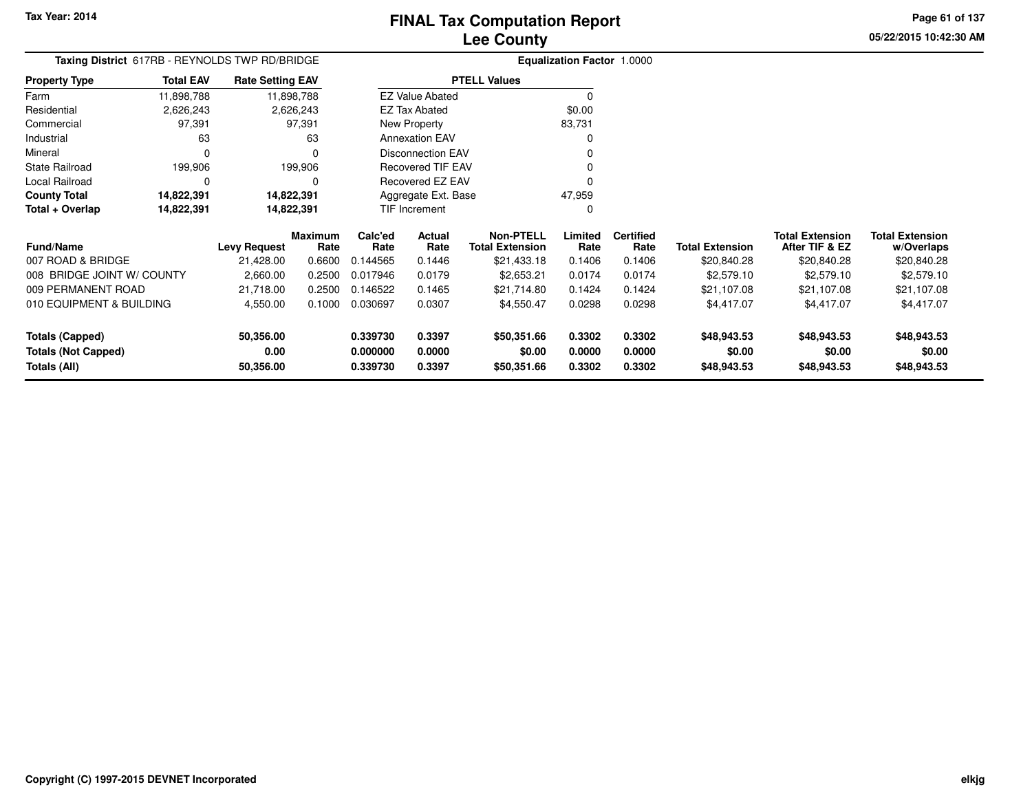**05/22/2015 10:42:30 AMPage 61 of 137**

#### **Equalization Factor** 1.0000 **Taxing District** 617RB - REYNOLDS TWP RD/BRIDGE**Property Type**2,626,243 2,626,243 97,391 Farm ResidentialCommercial 97,391 63 Industrial 63 63 $\mathbf 0$ Mineral 0 0199,906 State Railroad 199,906  $\mathbf 0$ Local Railroad 0 0 14,822,391 **County Total 14,822,391 14,822,391**14,822,391 **Total + Overlap 14,822,391 14,822,391** 11,898,7882,626,243 **Fund/Name Levy Request Rate Limited Certified** Rate **w/Overlaps** \$20,840.28 **Total ExtensionAfter TIF & EZ** \$20,840.28 **Total ExtensionRate Total Extension Rate Total Extension**\$20,840.28 **Maximum Calc'ed Rate**0.144565 **Actual RateNon-PTELL**\$21,433.18 007 ROAD & BRIDGE 21,428.00 0.6600 0.144565 0.1446 \$21,433.18 0.1406 0.1406 \$20,840.28 \$20,840.28 \$20,840.28 008 BRIDGE JOINT W/ COUNTY 2,660.00 0.2500 0.017946 0.0179 \$2,653.21 0.0174 0.0174 \$2,579.10 \$2,579.10 \$2,579.10 009 PERMANENT ROAD 21,718.00 0.2500 0.146522 0.1465 \$21,714.80 0.1424 0.1424 \$21,107.08 \$21,107.08 \$21,107.08 010 EQUIPMENT & BUILDING 4,550.00 0.1000 0.030697 0.0307 \$4,550.47 0.0298 0.0298 \$4,417.07 \$4,417.07 \$4,417.07 **Totals (Capped) 50,356.00 0.339730 0.3397 \$50,351.66 0.3302 0.3302 \$48,943.53 \$48,943.53 \$48,943.53 Totals (Not Capped) 0.00 0.000000 0.0000 \$0.00 0.0000 0.0000 \$0.00 \$0.00 \$0.00 Totals (All) 50,356.00 0.339730 0.3397 \$50,351.66 0.3302 0.3302 \$48,943.53 \$48,943.53 \$48,943.53** 11,898,788**Total EAVRate Setting EAV PTELL Values**  $\overline{\overline{0}}$  \$0.00 83,731 $\mathbf 0$ Annexation EAV v o Disconnection EAV $\sim$  0 Recovered TIF EAV0 v Recovered EZ EAV <sup>0</sup> 47,959 $\mathbf{0}$ New Property EZ Tax AbatedEZ Value AbatedAggregate Ext. BaseTIF Increment0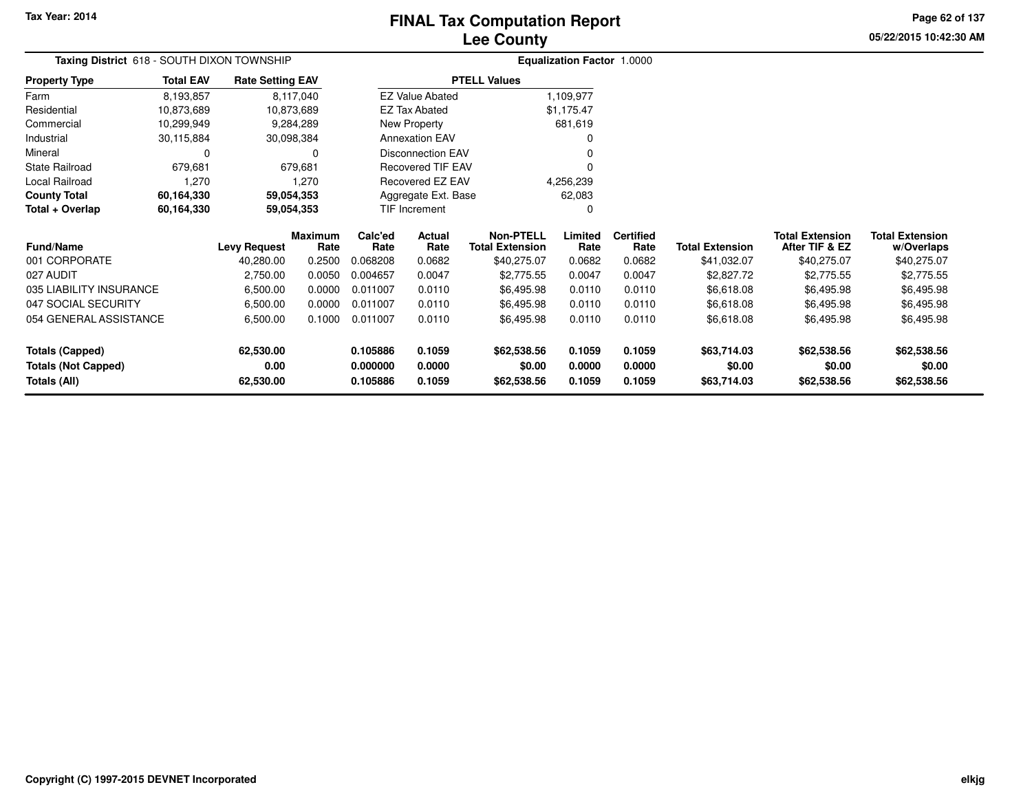# **Lee CountyFINAL Tax Computation Report**

**05/22/2015 10:42:30 AM Page 62 of 137**

| Taxing District 618 - SOUTH DIXON TOWNSHIP |                                    |                         |                        | <b>Equalization Factor 1.0000</b> |                          |                                            |                 |                          |                        |                                          |                                      |
|--------------------------------------------|------------------------------------|-------------------------|------------------------|-----------------------------------|--------------------------|--------------------------------------------|-----------------|--------------------------|------------------------|------------------------------------------|--------------------------------------|
| <b>Property Type</b>                       | <b>Total EAV</b>                   | <b>Rate Setting EAV</b> |                        |                                   |                          | <b>PTELL Values</b>                        |                 |                          |                        |                                          |                                      |
| Farm                                       | 8,193,857                          |                         | 8,117,040              |                                   | <b>EZ Value Abated</b>   |                                            | 1,109,977       |                          |                        |                                          |                                      |
| Residential                                | 10,873,689                         | 10,873,689              |                        |                                   | <b>EZ Tax Abated</b>     |                                            | \$1,175.47      |                          |                        |                                          |                                      |
| Commercial                                 | 10,299,949                         |                         | 9,284,289              |                                   | New Property             |                                            | 681,619         |                          |                        |                                          |                                      |
| Industrial                                 | 30,115,884                         | 30,098,384              |                        |                                   | <b>Annexation EAV</b>    |                                            |                 |                          |                        |                                          |                                      |
| Mineral                                    | 0                                  |                         | $\Omega$               |                                   | <b>Disconnection EAV</b> |                                            |                 |                          |                        |                                          |                                      |
| <b>State Railroad</b>                      | 679,681<br>679,681                 |                         |                        |                                   | Recovered TIF EAV        |                                            |                 |                          |                        |                                          |                                      |
| Local Railroad<br>1,270<br>1,270           |                                    |                         |                        |                                   | <b>Recovered EZ EAV</b>  |                                            | 4,256,239       |                          |                        |                                          |                                      |
| <b>County Total</b>                        | 60,164,330<br>59,054,353           |                         |                        |                                   | Aggregate Ext. Base      |                                            | 62,083          |                          |                        |                                          |                                      |
| Total + Overlap                            | 60,164,330                         | 59,054,353              |                        | TIF Increment                     |                          |                                            | $\Omega$        |                          |                        |                                          |                                      |
| <b>Fund/Name</b>                           |                                    | <b>Levy Request</b>     | <b>Maximum</b><br>Rate | Calc'ed<br>Rate                   | <b>Actual</b><br>Rate    | <b>Non-PTELL</b><br><b>Total Extension</b> | Limited<br>Rate | <b>Certified</b><br>Rate | <b>Total Extension</b> | <b>Total Extension</b><br>After TIF & EZ | <b>Total Extension</b><br>w/Overlaps |
| 001 CORPORATE                              |                                    | 40,280.00               | 0.2500                 | 0.068208                          | 0.0682                   | \$40,275.07                                | 0.0682          | 0.0682                   | \$41,032.07            | \$40,275.07                              | \$40,275.07                          |
| 027 AUDIT                                  |                                    | 2,750.00                | 0.0050                 | 0.004657                          | 0.0047                   | \$2,775.55                                 | 0.0047          | 0.0047                   | \$2,827.72             | \$2,775.55                               | \$2,775.55                           |
| 035 LIABILITY INSURANCE                    |                                    | 6,500.00                | 0.0000                 | 0.011007                          | 0.0110                   | \$6,495.98                                 | 0.0110          | 0.0110                   | \$6,618.08             | \$6,495.98                               | \$6,495.98                           |
| 047 SOCIAL SECURITY                        |                                    | 6,500.00                | 0.0000                 | 0.011007                          | 0.0110                   | \$6,495.98                                 | 0.0110          | 0.0110                   | \$6,618.08             | \$6,495.98                               | \$6,495.98                           |
|                                            | 054 GENERAL ASSISTANCE<br>6,500.00 |                         | 0.1000                 | 0.011007                          | 0.0110                   | \$6,495.98                                 | 0.0110          | 0.0110                   | \$6,618.08             | \$6,495.98                               | \$6,495.98                           |
| <b>Totals (Capped)</b>                     |                                    | 62,530.00               |                        | 0.105886                          | 0.1059                   | \$62,538.56                                | 0.1059          | 0.1059                   | \$63,714.03            | \$62,538.56                              | \$62,538.56                          |
| <b>Totals (Not Capped)</b>                 |                                    | 0.00                    |                        | 0.000000                          | 0.0000                   | \$0.00                                     | 0.0000          | 0.0000                   | \$0.00                 | \$0.00                                   | \$0.00                               |
| Totals (All)                               |                                    | 62,530.00               |                        | 0.105886                          | 0.1059                   | \$62,538.56                                | 0.1059          | 0.1059                   | \$63,714.03            | \$62,538.56                              | \$62,538.56                          |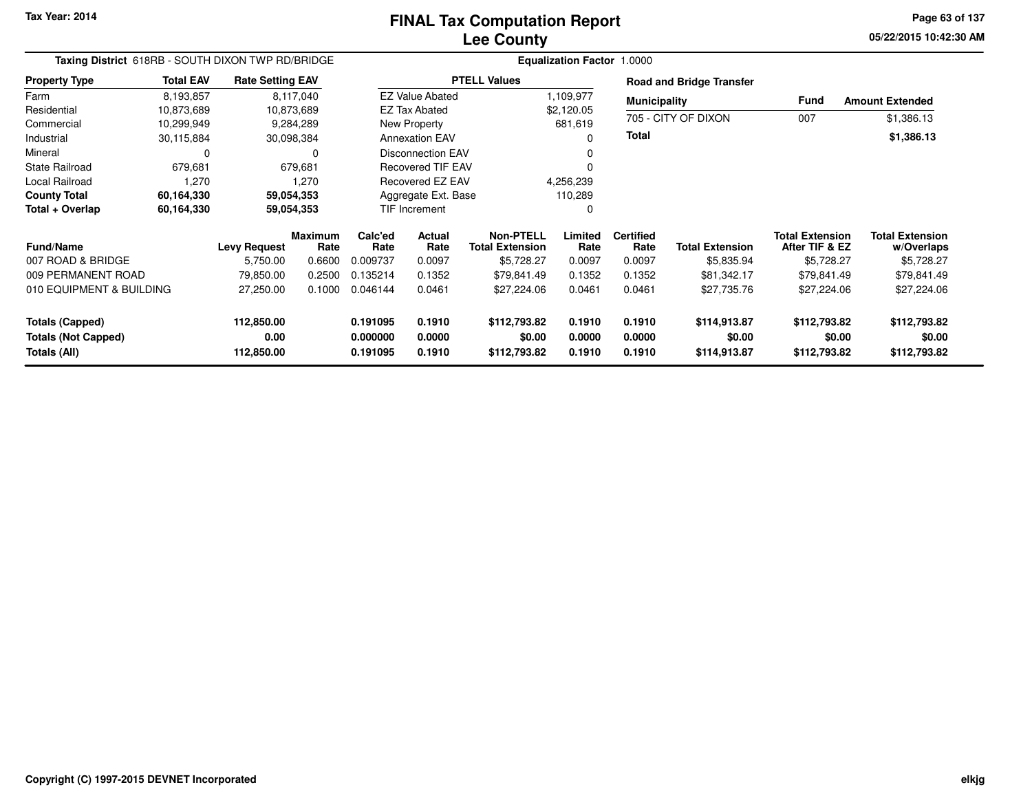**05/22/2015 10:42:30 AM Page 63 of 137**

| Taxing District 618RB - SOUTH DIXON TWP RD/BRIDGE |                  |                         |                        |                      |                          |                                            |                  | <b>Equalization Factor 1.0000</b> |                                 |                                          |                                      |
|---------------------------------------------------|------------------|-------------------------|------------------------|----------------------|--------------------------|--------------------------------------------|------------------|-----------------------------------|---------------------------------|------------------------------------------|--------------------------------------|
| <b>Property Type</b>                              | <b>Total EAV</b> | <b>Rate Setting EAV</b> |                        |                      |                          | <b>PTELL Values</b>                        |                  |                                   | <b>Road and Bridge Transfer</b> |                                          |                                      |
| Farm                                              | 8,193,857        |                         | 8,117,040              |                      | <b>EZ Value Abated</b>   |                                            | 1,109,977        | <b>Municipality</b>               |                                 | Fund                                     | <b>Amount Extended</b>               |
| Residential                                       | 10,873,689       |                         | 10,873,689             |                      | EZ Tax Abated            |                                            | \$2,120.05       |                                   | 705 - CITY OF DIXON             |                                          |                                      |
| Commercial                                        | 10,299,949       |                         | 9,284,289              |                      | <b>New Property</b>      |                                            | 681,619          |                                   |                                 | 007                                      | \$1,386.13                           |
| Industrial                                        | 30,115,884       | 30,098,384              |                        |                      | <b>Annexation EAV</b>    |                                            | 0                |                                   |                                 |                                          | \$1,386.13                           |
| Mineral                                           | $\Omega$         |                         | 0                      |                      | <b>Disconnection EAV</b> |                                            |                  |                                   |                                 |                                          |                                      |
| <b>State Railroad</b>                             | 679,681          |                         | 679,681                |                      | Recovered TIF EAV        |                                            |                  |                                   |                                 |                                          |                                      |
| Local Railroad                                    | 1,270            |                         | 1,270                  |                      | Recovered EZ EAV         |                                            | 4,256,239        |                                   |                                 |                                          |                                      |
| <b>County Total</b>                               | 60,164,330       |                         | 59.054,353             |                      | Aggregate Ext. Base      |                                            | 110,289          |                                   |                                 |                                          |                                      |
| Total + Overlap                                   | 60,164,330       |                         | 59,054,353             |                      | <b>TIF Increment</b>     |                                            | 0                |                                   |                                 |                                          |                                      |
| <b>Fund/Name</b>                                  |                  | <b>Levy Request</b>     | <b>Maximum</b><br>Rate | Calc'ed<br>Rate      | <b>Actual</b><br>Rate    | <b>Non-PTELL</b><br><b>Total Extension</b> | Limited<br>Rate  | <b>Certified</b><br>Rate          | <b>Total Extension</b>          | <b>Total Extension</b><br>After TIF & EZ | <b>Total Extension</b><br>w/Overlaps |
| 007 ROAD & BRIDGE                                 |                  | 5,750.00                | 0.6600                 | 0.009737             | 0.0097                   | \$5,728.27                                 | 0.0097           | 0.0097                            | \$5,835.94                      | \$5,728.27                               | \$5,728.27                           |
| 009 PERMANENT ROAD                                |                  | 79,850.00               | 0.2500                 | 0.135214             | 0.1352                   | \$79,841.49                                | 0.1352           | 0.1352                            | \$81,342.17                     | \$79,841.49                              | \$79,841.49                          |
| 010 EQUIPMENT & BUILDING                          |                  | 27,250.00               | 0.1000                 | 0.046144             | 0.0461                   | \$27,224.06                                | 0.0461           | 0.0461                            | \$27,735.76                     | \$27,224.06                              | \$27,224.06                          |
| <b>Totals (Capped)</b>                            |                  | 112,850.00              |                        | 0.191095             | 0.1910                   | \$112,793.82                               | 0.1910           | 0.1910                            | \$114,913.87                    | \$112,793.82                             | \$112,793.82                         |
| <b>Totals (Not Capped)</b><br>Totals (All)        |                  | 0.00<br>112,850.00      |                        | 0.000000<br>0.191095 | 0.0000<br>0.1910         | \$0.00<br>\$112,793.82                     | 0.0000<br>0.1910 | 0.0000<br>0.1910                  | \$0.00<br>\$114,913.87          | \$0.00<br>\$112,793.82                   | \$0.00<br>\$112,793.82               |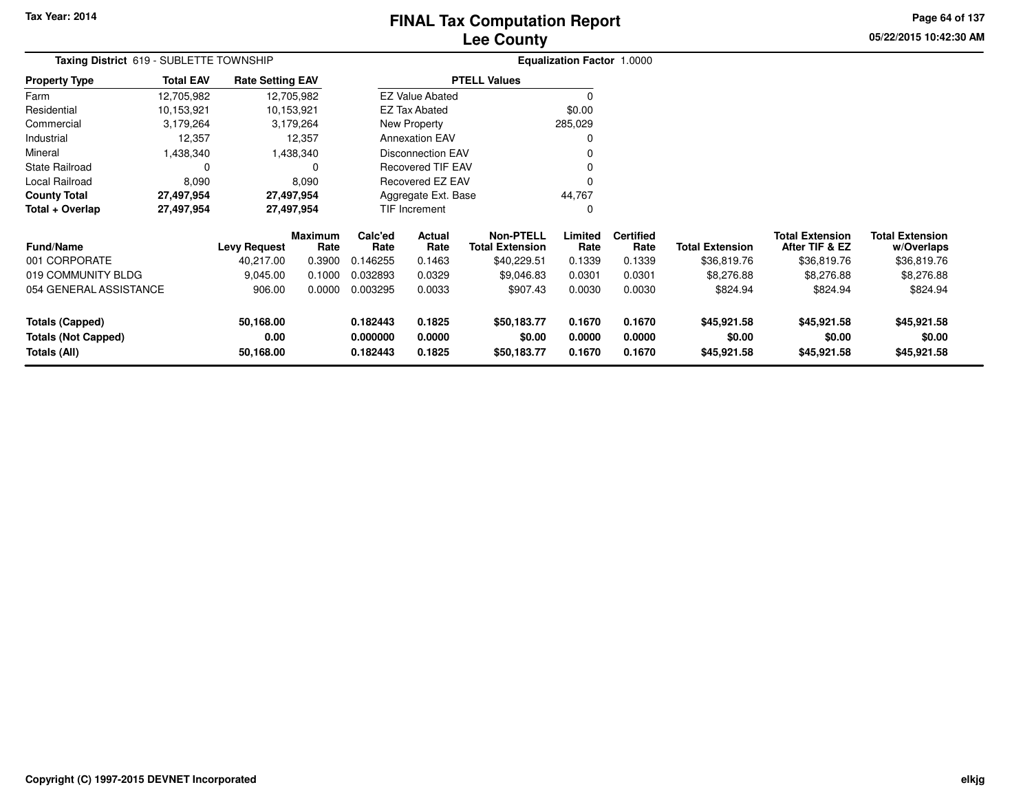# **Lee CountyFINAL Tax Computation Report**

**05/22/2015 10:42:30 AMPage 64 of 137**

| Taxing District 619 - SUBLETTE TOWNSHIP                      |                        |                     |                                                            |                |                                                               |                                                                                                                                           |                          |                                   |                                          |                                      |
|--------------------------------------------------------------|------------------------|---------------------|------------------------------------------------------------|----------------|---------------------------------------------------------------|-------------------------------------------------------------------------------------------------------------------------------------------|--------------------------|-----------------------------------|------------------------------------------|--------------------------------------|
| <b>Total EAV</b><br><b>Rate Setting EAV</b><br>Property Type |                        |                     |                                                            |                |                                                               |                                                                                                                                           |                          |                                   |                                          |                                      |
| 12,705,982                                                   |                        |                     |                                                            |                |                                                               | 0                                                                                                                                         |                          |                                   |                                          |                                      |
| 10,153,921                                                   |                        |                     |                                                            |                |                                                               | \$0.00                                                                                                                                    |                          |                                   |                                          |                                      |
| 3,179,264                                                    |                        |                     |                                                            |                |                                                               | 285,029                                                                                                                                   |                          |                                   |                                          |                                      |
| 12,357                                                       |                        |                     |                                                            |                |                                                               | 0                                                                                                                                         |                          |                                   |                                          |                                      |
| Mineral<br>1,438,340<br>1,438,340                            |                        |                     |                                                            |                |                                                               |                                                                                                                                           |                          |                                   |                                          |                                      |
| State Railroad<br>0                                          |                        |                     |                                                            |                |                                                               |                                                                                                                                           |                          |                                   |                                          |                                      |
| Local Railroad<br>8,090<br>8,090                             |                        |                     |                                                            |                |                                                               |                                                                                                                                           |                          |                                   |                                          |                                      |
| 27,497,954<br>County Total<br>27,497,954                     |                        |                     |                                                            |                |                                                               | 44,767                                                                                                                                    |                          |                                   |                                          |                                      |
| 27,497,954                                                   |                        | 27,497,954          |                                                            | TIF Increment  |                                                               | 0                                                                                                                                         |                          |                                   |                                          |                                      |
|                                                              |                        | Rate                | Calc'ed<br>Rate                                            | Actual<br>Rate | <b>Non-PTELL</b><br><b>Total Extension</b>                    | Limited<br>Rate                                                                                                                           | <b>Certified</b><br>Rate | <b>Total Extension</b>            | <b>Total Extension</b><br>After TIF & EZ | <b>Total Extension</b><br>w/Overlaps |
|                                                              | 40,217.00              | 0.3900              | 0.146255                                                   | 0.1463         | \$40,229.51                                                   | 0.1339                                                                                                                                    | 0.1339                   | \$36,819.76                       | \$36,819.76                              | \$36,819.76                          |
|                                                              | 9,045.00               | 0.1000              | 0.032893                                                   | 0.0329         | \$9,046.83                                                    | 0.0301                                                                                                                                    | 0.0301                   | \$8,276.88                        | \$8,276.88                               | \$8,276.88                           |
|                                                              | 906.00                 | 0.0000              | 0.003295                                                   | 0.0033         | \$907.43                                                      | 0.0030                                                                                                                                    | 0.0030                   | \$824.94                          | \$824.94                                 | \$824.94                             |
|                                                              | 50,168.00              |                     | 0.182443                                                   | 0.1825         | \$50,183.77                                                   | 0.1670                                                                                                                                    | 0.1670                   | \$45,921.58                       | \$45,921.58                              | \$45,921.58                          |
| <b>Totals (Capped)</b><br><b>Totals (Not Capped)</b><br>0.00 |                        |                     | 0.000000                                                   | 0.0000         | \$0.00                                                        | 0.0000                                                                                                                                    | 0.0000                   | \$0.00                            | \$0.00                                   | \$0.00                               |
| Totals (All)<br>50,168.00                                    |                        |                     | 0.182443                                                   | 0.1825         | \$50,183.77                                                   | 0.1670                                                                                                                                    | 0.1670                   | \$45,921.58                       | \$45,921.58                              | \$45,921.58                          |
|                                                              | 054 GENERAL ASSISTANCE | <b>Levy Request</b> | 12,705,982<br>10,153,921<br>3,179,264<br>12,357<br>Maximum |                | <b>EZ Tax Abated</b><br>New Property<br><b>Annexation EAV</b> | <b>PTELL Values</b><br><b>EZ Value Abated</b><br>Disconnection EAV<br><b>Recovered TIF EAV</b><br>Recovered EZ EAV<br>Aggregate Ext. Base |                          | <b>Equalization Factor 1.0000</b> |                                          |                                      |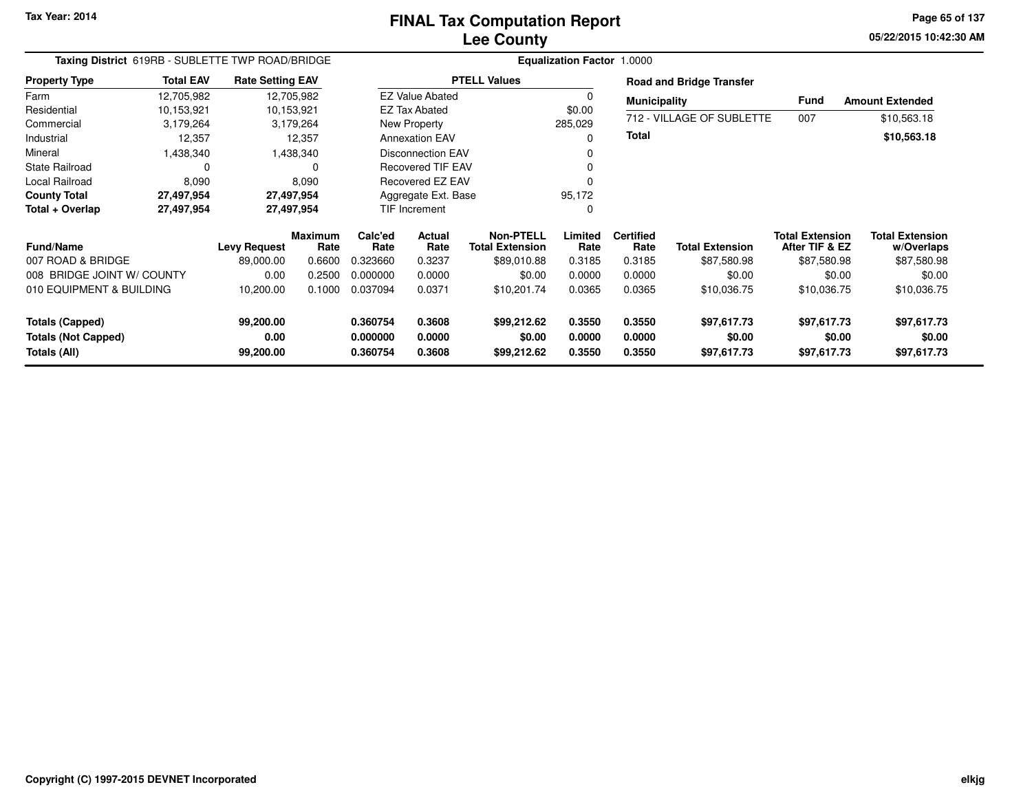**05/22/2015 10:42:30 AM Page 65 of 137**

| Taxing District 619RB - SUBLETTE TWP ROAD/BRIDGE |                                             |                     |                        |                 |                          |                                            | <b>Equalization Factor 1.0000</b> |                          |                                 |                                          |                                      |  |
|--------------------------------------------------|---------------------------------------------|---------------------|------------------------|-----------------|--------------------------|--------------------------------------------|-----------------------------------|--------------------------|---------------------------------|------------------------------------------|--------------------------------------|--|
| <b>Property Type</b>                             | <b>Total EAV</b><br><b>Rate Setting EAV</b> |                     |                        |                 |                          | <b>PTELL Values</b>                        |                                   |                          | <b>Road and Bridge Transfer</b> |                                          |                                      |  |
| Farm                                             | 12,705,982                                  |                     | 12,705,982             |                 | <b>EZ Value Abated</b>   |                                            | 0                                 | <b>Municipality</b>      |                                 | Fund                                     | <b>Amount Extended</b>               |  |
| Residential                                      | 10,153,921                                  |                     | 10,153,921             |                 | <b>EZ Tax Abated</b>     |                                            | \$0.00                            |                          |                                 |                                          |                                      |  |
| Commercial                                       | 3,179,264                                   |                     | 3,179,264              |                 | New Property             |                                            | 285,029                           |                          | 712 - VILLAGE OF SUBLETTE       | 007                                      | \$10,563.18                          |  |
| Industrial                                       | 12,357                                      | 12,357              |                        |                 | <b>Annexation EAV</b>    |                                            | 0                                 | <b>Total</b>             |                                 |                                          | \$10,563.18                          |  |
| Mineral                                          | ,438,340                                    |                     | 1,438,340              |                 | <b>Disconnection EAV</b> |                                            |                                   |                          |                                 |                                          |                                      |  |
| <b>State Railroad</b>                            | 0                                           |                     | 0                      |                 | <b>Recovered TIF EAV</b> |                                            |                                   |                          |                                 |                                          |                                      |  |
| Local Railroad                                   | 8,090                                       |                     | 8,090                  |                 | <b>Recovered EZ EAV</b>  |                                            |                                   |                          |                                 |                                          |                                      |  |
| <b>County Total</b>                              | 27,497,954                                  |                     | 27,497,954             |                 | Aggregate Ext. Base      |                                            | 95,172                            |                          |                                 |                                          |                                      |  |
| Total + Overlap                                  | 27,497,954                                  |                     | 27,497,954             |                 | TIF Increment            |                                            | 0                                 |                          |                                 |                                          |                                      |  |
| <b>Fund/Name</b>                                 |                                             | <b>Levy Request</b> | <b>Maximum</b><br>Rate | Calc'ed<br>Rate | Actual<br>Rate           | <b>Non-PTELL</b><br><b>Total Extension</b> | Limited<br>Rate                   | <b>Certified</b><br>Rate | <b>Total Extension</b>          | <b>Total Extension</b><br>After TIF & EZ | <b>Total Extension</b><br>w/Overlaps |  |
| 007 ROAD & BRIDGE                                |                                             | 89,000.00           | 0.6600                 | 0.323660        | 0.3237                   | \$89,010.88                                | 0.3185                            | 0.3185                   | \$87,580.98                     | \$87,580.98                              | \$87,580.98                          |  |
| 008 BRIDGE JOINT W/ COUNTY                       |                                             | 0.00                | 0.2500                 | 0.000000        | 0.0000                   | \$0.00                                     | 0.0000                            | 0.0000                   | \$0.00                          | \$0.00                                   | \$0.00                               |  |
| 010 EQUIPMENT & BUILDING                         |                                             | 10,200.00           | 0.1000                 | 0.037094        | 0.0371                   | \$10,201.74                                | 0.0365                            | 0.0365                   | \$10,036.75                     | \$10,036.75                              | \$10,036.75                          |  |
| <b>Totals (Capped)</b>                           |                                             | 99,200.00           |                        | 0.360754        | 0.3608                   | \$99,212.62                                | 0.3550                            | 0.3550                   | \$97,617.73                     | \$97,617.73                              | \$97,617.73                          |  |
| <b>Totals (Not Capped)</b>                       |                                             | 0.00                |                        | 0.000000        | 0.0000                   | \$0.00                                     | 0.0000                            | 0.0000                   | \$0.00                          | \$0.00                                   | \$0.00                               |  |
| Totals (All)                                     |                                             | 99,200.00           |                        | 0.360754        | 0.3608                   | \$99,212.62                                | 0.3550                            | 0.3550                   | \$97,617.73                     | \$97,617.73                              | \$97,617.73                          |  |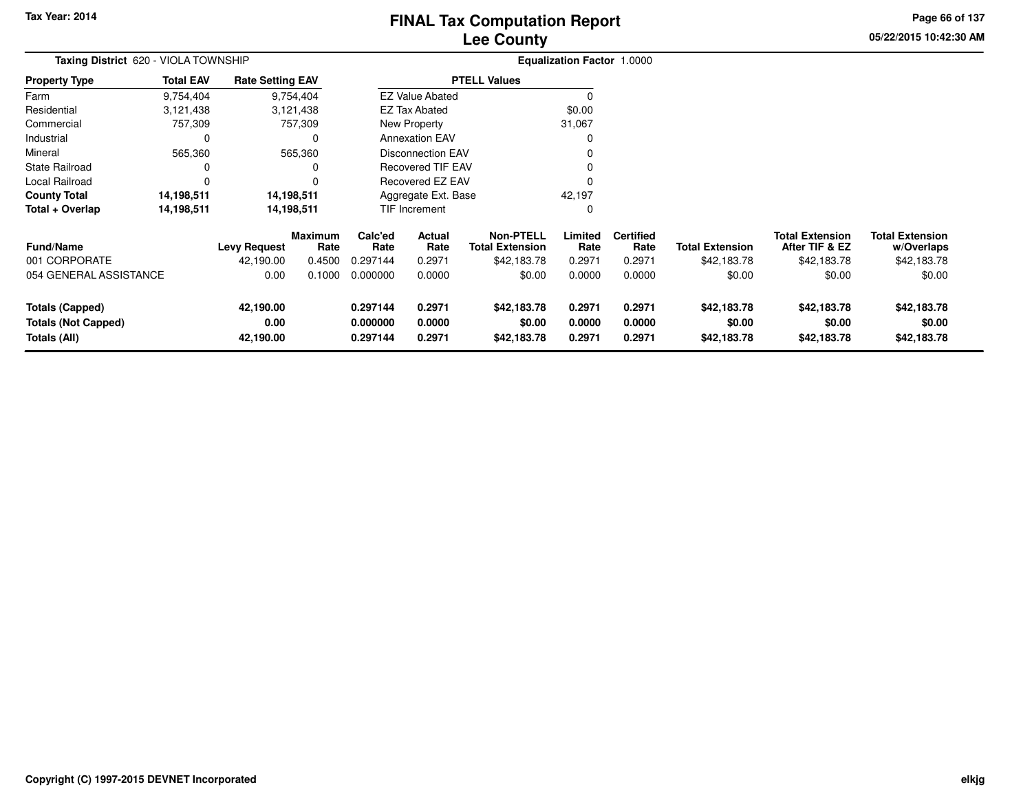# **Lee CountyFINAL Tax Computation Report**

**05/22/2015 10:42:30 AM Page 66 of 137**

| Taxing District 620 - VIOLA TOWNSHIP |                  |                         |                        |                 | <b>Equalization Factor 1.0000</b> |                                            |                 |                          |                        |                                          |                                      |
|--------------------------------------|------------------|-------------------------|------------------------|-----------------|-----------------------------------|--------------------------------------------|-----------------|--------------------------|------------------------|------------------------------------------|--------------------------------------|
| <b>Property Type</b>                 | <b>Total EAV</b> | <b>Rate Setting EAV</b> |                        |                 |                                   | <b>PTELL Values</b>                        |                 |                          |                        |                                          |                                      |
| Farm                                 | 9,754,404        |                         | 9,754,404              |                 | <b>EZ Value Abated</b>            |                                            | O               |                          |                        |                                          |                                      |
| Residential                          | 3,121,438        |                         | 3,121,438              |                 | <b>EZ Tax Abated</b>              |                                            | \$0.00          |                          |                        |                                          |                                      |
| Commercial                           | 757,309          |                         | 757,309                |                 | New Property                      |                                            | 31,067          |                          |                        |                                          |                                      |
| Industrial                           | 0                |                         | 0                      |                 | <b>Annexation EAV</b>             |                                            | 0               |                          |                        |                                          |                                      |
| Mineral<br>565,360<br>565,360        |                  |                         |                        |                 | <b>Disconnection EAV</b>          |                                            |                 |                          |                        |                                          |                                      |
| State Railroad                       |                  |                         | 0                      |                 | Recovered TIF EAV                 |                                            |                 |                          |                        |                                          |                                      |
| Local Railroad                       |                  |                         | 0                      |                 | <b>Recovered EZ EAV</b>           |                                            |                 |                          |                        |                                          |                                      |
| <b>County Total</b>                  | 14,198,511       | 14,198,511              |                        |                 | Aggregate Ext. Base               |                                            | 42,197          |                          |                        |                                          |                                      |
| Total + Overlap                      | 14,198,511       | 14,198,511              |                        |                 | <b>TIF Increment</b>              |                                            | 0               |                          |                        |                                          |                                      |
| <b>Fund/Name</b>                     |                  | <b>Levy Request</b>     | <b>Maximum</b><br>Rate | Calc'ed<br>Rate | Actual<br>Rate                    | <b>Non-PTELL</b><br><b>Total Extension</b> | Limited<br>Rate | <b>Certified</b><br>Rate | <b>Total Extension</b> | <b>Total Extension</b><br>After TIF & EZ | <b>Total Extension</b><br>w/Overlaps |
| 001 CORPORATE                        |                  | 42,190.00               | 0.4500                 | 0.297144        | 0.2971                            | \$42,183.78                                | 0.2971          | 0.2971                   | \$42,183.78            | \$42,183.78                              | \$42,183.78                          |
| 054 GENERAL ASSISTANCE               |                  | 0.00                    | 0.1000                 | 0.000000        | 0.0000                            | \$0.00                                     | 0.0000          | 0.0000                   | \$0.00                 | \$0.00                                   | \$0.00                               |
| <b>Totals (Capped)</b>               |                  | 42,190.00               |                        | 0.297144        | 0.2971                            | \$42,183.78                                | 0.2971          | 0.2971                   | \$42,183.78            | \$42,183.78                              | \$42,183.78                          |
| <b>Totals (Not Capped)</b>           |                  | 0.00                    |                        | 0.000000        | 0.0000                            | \$0.00                                     | 0.0000          | 0.0000                   | \$0.00                 | \$0.00                                   | \$0.00                               |
| Totals (All)                         |                  | 42,190.00               |                        | 0.297144        | 0.2971                            | \$42,183.78                                | 0.2971          | 0.2971                   | \$42,183.78            | \$42,183.78                              | \$42,183.78                          |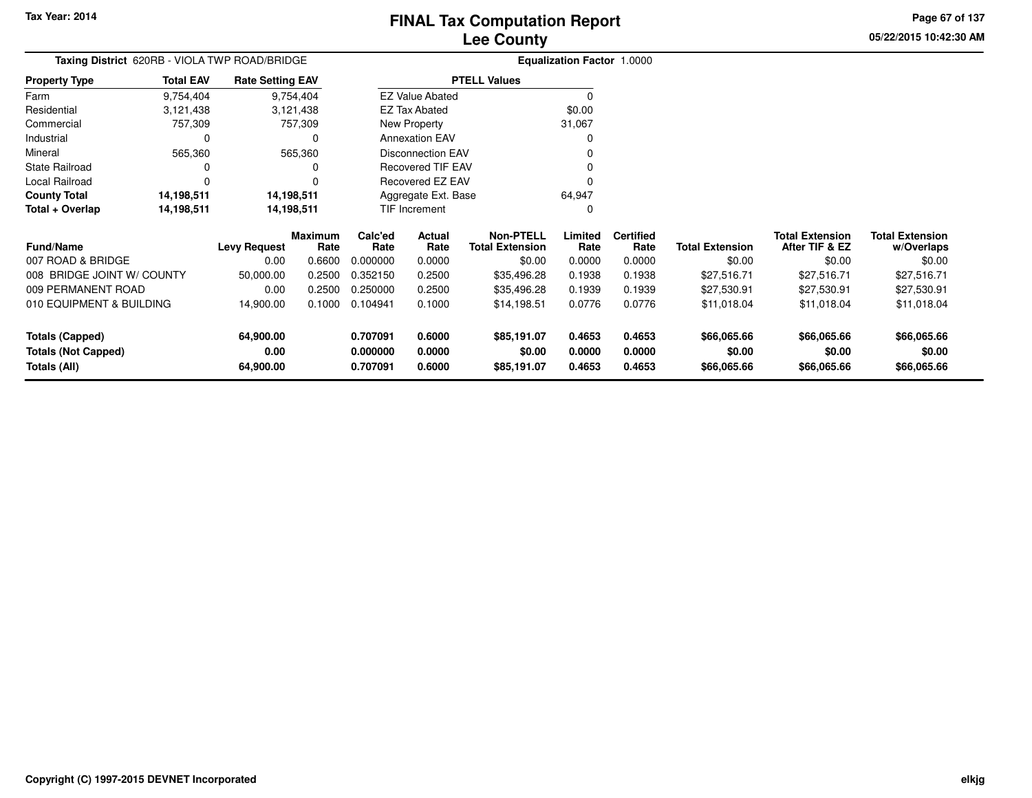**05/22/2015 10:42:30 AMPage 67 of 137**

#### **Equalization Factor** 1.0000 **Taxing District** 620RB - VIOLA TWP ROAD/BRIDGE**Property Type**3,121,438 3,121,438 757,309 Farm Residential Commercial 757,309 757,309 $\mathbf 0$ Industrial 0 565,360 Mineral 565,360 565,360 $\mathbf 0$ State Railroad 0 0  $\mathbf 0$ Local Railroad 0 0 14,198,511 **County Total 14,198,511 14,198,511**14,198,511 **Total + Overlap 14,198,511 14,198,511** 9,754,4043,121,438 9,754,404**Total EAV Rate Setting EAV PTELL Values**  $\overline{0}$  \$0.00 31,067 $\pmb{0}$ Annexation EAV v o Disconnection EAV $\sim$  0 Recovered TIF EAV0 v Recovered EZ EAV <sup>0</sup> 64,947 $\mathbf 0$ New Property EZ Tax AbatedEZ Value AbatedAggregate Ext. BaseTIF Increment0

| <b>Fund/Name</b>                                                     | <b>Levy Request</b>            | <b>Maximum</b><br>Rate | Calc'ed<br>Rate                  | Actual<br>Rate             | Non-PTELL<br><b>Total Extension</b>  | Limited<br>Rate            | <b>Certified</b><br>Rate   | <b>Total Extension</b>               | <b>Total Extension</b><br>After TIF & EZ | <b>Total Extension</b><br>w/Overlaps |
|----------------------------------------------------------------------|--------------------------------|------------------------|----------------------------------|----------------------------|--------------------------------------|----------------------------|----------------------------|--------------------------------------|------------------------------------------|--------------------------------------|
| 007 ROAD & BRIDGE                                                    | 0.00                           | 0.6600                 | 0.000000                         | 0.0000                     | \$0.00                               | 0.0000                     | 0.0000                     | \$0.00                               | \$0.00                                   | \$0.00                               |
| 008 BRIDGE JOINT W/ COUNTY                                           | 50,000.00                      | 0.2500                 | 0.352150                         | 0.2500                     | \$35.496.28                          | 0.1938                     | 0.1938                     | \$27,516.71                          | \$27.516.71                              | \$27,516.71                          |
| 009 PERMANENT ROAD                                                   | 0.00                           | 0.2500                 | 0.250000                         | 0.2500                     | \$35.496.28                          | 0.1939                     | 0.1939                     | \$27.530.91                          | \$27.530.91                              | \$27,530.91                          |
| 010 EQUIPMENT & BUILDING                                             | 14.900.00                      | 0.1000                 | 0.104941                         | 0.1000                     | \$14.198.51                          | 0.0776                     | 0.0776                     | \$11,018.04                          | \$11.018.04                              | \$11,018.04                          |
| <b>Totals (Capped)</b><br><b>Totals (Not Capped)</b><br>Totals (All) | 64.900.00<br>0.00<br>64,900.00 |                        | 0.707091<br>0.000000<br>0.707091 | 0.6000<br>0.0000<br>0.6000 | \$85,191.07<br>\$0.00<br>\$85,191.07 | 0.4653<br>0.0000<br>0.4653 | 0.4653<br>0.0000<br>0.4653 | \$66,065.66<br>\$0.00<br>\$66,065.66 | \$66,065.66<br>\$0.00<br>\$66,065.66     | \$66,065.66<br>\$0.00<br>\$66,065.66 |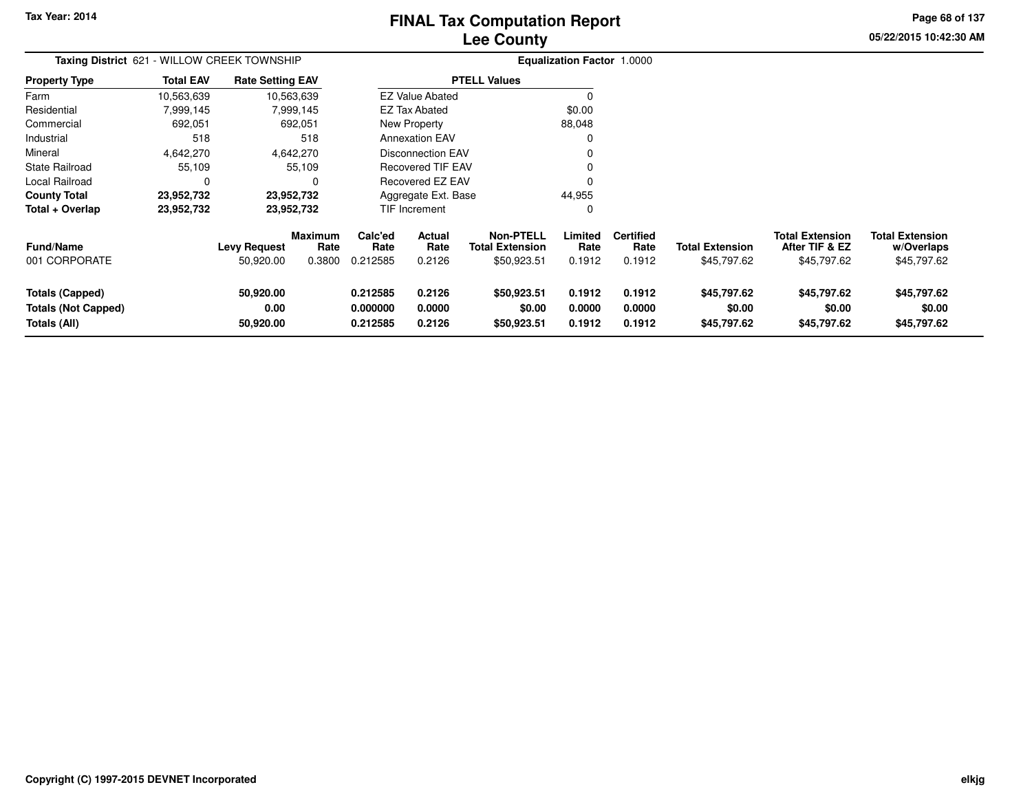# **Lee CountyFINAL Tax Computation Report**

**05/22/2015 10:42:30 AM Page 68 of 137**

| Taxing District 621 - WILLOW CREEK TOWNSHIP                          |                  |                                  |                                  |                                  |                            |                                                           | <b>Equalization Factor 1.0000</b> |                                    |                                       |                                                         |                                                     |
|----------------------------------------------------------------------|------------------|----------------------------------|----------------------------------|----------------------------------|----------------------------|-----------------------------------------------------------|-----------------------------------|------------------------------------|---------------------------------------|---------------------------------------------------------|-----------------------------------------------------|
| <b>Property Type</b>                                                 | <b>Total EAV</b> | <b>Rate Setting EAV</b>          |                                  |                                  |                            | <b>PTELL Values</b>                                       |                                   |                                    |                                       |                                                         |                                                     |
| Farm                                                                 | 10,563,639       | 10,563,639                       |                                  |                                  | <b>EZ Value Abated</b>     |                                                           |                                   |                                    |                                       |                                                         |                                                     |
| Residential                                                          | 7,999,145        |                                  | 7,999,145                        |                                  | <b>EZ Tax Abated</b>       |                                                           | \$0.00                            |                                    |                                       |                                                         |                                                     |
| Commercial                                                           | 692,051          |                                  | 692,051                          |                                  | New Property               |                                                           | 88,048                            |                                    |                                       |                                                         |                                                     |
| Industrial                                                           | 518              |                                  | 518                              |                                  | <b>Annexation EAV</b>      |                                                           |                                   |                                    |                                       |                                                         |                                                     |
| Mineral                                                              | 4,642,270        |                                  | 4,642,270                        |                                  | <b>Disconnection EAV</b>   |                                                           |                                   |                                    |                                       |                                                         |                                                     |
| State Railroad                                                       | 55,109           |                                  | 55,109                           |                                  | Recovered TIF EAV          |                                                           |                                   |                                    |                                       |                                                         |                                                     |
| Local Railroad                                                       |                  |                                  | $\Omega$                         |                                  | Recovered EZ EAV           |                                                           |                                   |                                    |                                       |                                                         |                                                     |
| <b>County Total</b>                                                  | 23,952,732       | 23,952,732                       |                                  |                                  | Aggregate Ext. Base        |                                                           | 44,955                            |                                    |                                       |                                                         |                                                     |
| Total + Overlap                                                      | 23,952,732       | 23,952,732                       |                                  |                                  | TIF Increment              |                                                           |                                   |                                    |                                       |                                                         |                                                     |
| <b>Fund/Name</b><br>001 CORPORATE                                    |                  | <b>Levy Request</b><br>50,920.00 | <b>Maximum</b><br>Rate<br>0.3800 | Calc'ed<br>Rate<br>0.212585      | Actual<br>Rate<br>0.2126   | <b>Non-PTELL</b><br><b>Total Extension</b><br>\$50,923.51 | Limited<br>Rate<br>0.1912         | <b>Certified</b><br>Rate<br>0.1912 | <b>Total Extension</b><br>\$45,797.62 | <b>Total Extension</b><br>After TIF & EZ<br>\$45,797.62 | <b>Total Extension</b><br>w/Overlaps<br>\$45,797.62 |
| <b>Totals (Capped)</b><br><b>Totals (Not Capped)</b><br>Totals (All) |                  | 50,920.00<br>0.00<br>50,920.00   |                                  | 0.212585<br>0.000000<br>0.212585 | 0.2126<br>0.0000<br>0.2126 | \$50,923.51<br>\$0.00<br>\$50,923.51                      | 0.1912<br>0.0000<br>0.1912        | 0.1912<br>0.0000<br>0.1912         | \$45,797.62<br>\$0.00<br>\$45,797.62  | \$45,797.62<br>\$0.00<br>\$45,797.62                    | \$45,797.62<br>\$0.00<br>\$45,797.62                |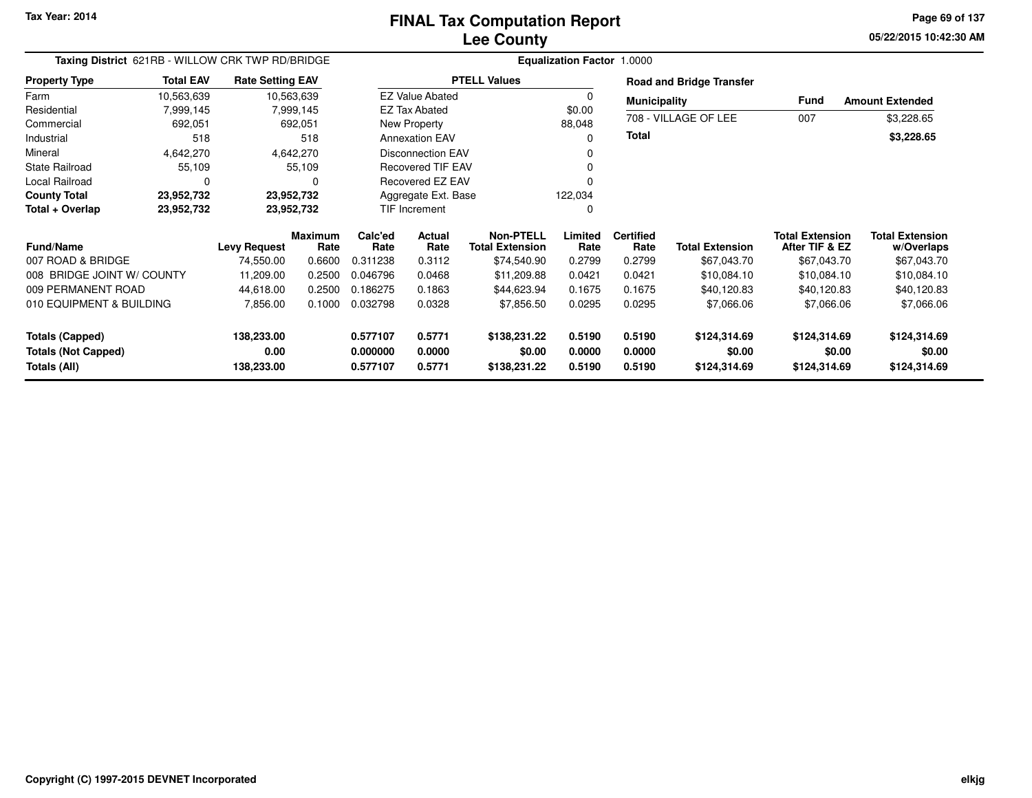**05/22/2015 10:42:30 AM Page 69 of 137**

| Taxing District 621RB - WILLOW CRK TWP RD/BRIDGE                     |                          |                                  |                        |                                  |                            |                                            | <b>Equalization Factor 1.0000</b> |                            |                                        |                                          |                                        |  |
|----------------------------------------------------------------------|--------------------------|----------------------------------|------------------------|----------------------------------|----------------------------|--------------------------------------------|-----------------------------------|----------------------------|----------------------------------------|------------------------------------------|----------------------------------------|--|
| <b>Property Type</b>                                                 | <b>Total EAV</b>         | <b>Rate Setting EAV</b>          |                        |                                  |                            | <b>PTELL Values</b>                        |                                   |                            | <b>Road and Bridge Transfer</b>        |                                          |                                        |  |
| Farm                                                                 | 10,563,639<br>10,563,639 |                                  |                        |                                  | <b>EZ Value Abated</b>     |                                            | 0                                 | <b>Municipality</b>        |                                        | Fund                                     | <b>Amount Extended</b>                 |  |
| Residential                                                          | 7,999,145<br>7,999,145   |                                  |                        | \$0.00<br><b>EZ Tax Abated</b>   |                            |                                            |                                   |                            |                                        |                                          |                                        |  |
| Commercial                                                           | 692,051<br>692,051       |                                  |                        | New Property                     |                            |                                            | 88,048                            |                            | 708 - VILLAGE OF LEE                   | 007                                      | \$3,228.65                             |  |
| Industrial                                                           | 518<br>518               |                                  | <b>Annexation EAV</b>  |                                  |                            | $\Omega$                                   | Total                             |                            |                                        | \$3,228.65                               |                                        |  |
| Mineral                                                              | 4,642,270                |                                  | 4,642,270              |                                  | <b>Disconnection EAV</b>   |                                            |                                   |                            |                                        |                                          |                                        |  |
| <b>State Railroad</b>                                                | 55,109                   |                                  | 55,109                 |                                  | <b>Recovered TIF EAV</b>   |                                            |                                   |                            |                                        |                                          |                                        |  |
| Local Railroad                                                       | 0                        |                                  | 0                      |                                  | <b>Recovered EZ EAV</b>    |                                            |                                   |                            |                                        |                                          |                                        |  |
| <b>County Total</b>                                                  | 23,952,732               | 23,952,732                       |                        |                                  | Aggregate Ext. Base        |                                            | 122,034                           |                            |                                        |                                          |                                        |  |
| Total + Overlap                                                      | 23,952,732               |                                  | 23,952,732             |                                  | <b>TIF Increment</b>       |                                            | $\Omega$                          |                            |                                        |                                          |                                        |  |
| <b>Fund/Name</b>                                                     |                          | <b>Levy Request</b>              | <b>Maximum</b><br>Rate | Calc'ed<br>Rate                  | Actual<br>Rate             | <b>Non-PTELL</b><br><b>Total Extension</b> | Limited<br>Rate                   | <b>Certified</b><br>Rate   | <b>Total Extension</b>                 | <b>Total Extension</b><br>After TIF & EZ | <b>Total Extension</b><br>w/Overlaps   |  |
| 007 ROAD & BRIDGE                                                    |                          | 74,550.00                        | 0.6600                 | 0.311238                         | 0.3112                     | \$74,540.90                                | 0.2799                            | 0.2799                     | \$67,043.70                            | \$67,043.70                              | \$67,043.70                            |  |
| 008 BRIDGE JOINT W/ COUNTY                                           |                          | 11,209.00                        | 0.2500                 | 0.046796                         | 0.0468                     | \$11,209.88                                | 0.0421                            | 0.0421                     | \$10,084.10                            | \$10,084.10                              | \$10,084.10                            |  |
| 009 PERMANENT ROAD                                                   |                          | 44,618.00                        | 0.2500                 | 0.186275                         | 0.1863                     | \$44,623.94                                | 0.1675                            | 0.1675                     | \$40,120.83                            | \$40,120.83                              | \$40,120.83                            |  |
| 010 EQUIPMENT & BUILDING                                             |                          | 7,856.00                         | 0.1000                 | 0.032798                         | 0.0328                     | \$7,856.50                                 | 0.0295                            | 0.0295                     | \$7,066.06                             | \$7,066.06                               | \$7,066.06                             |  |
| <b>Totals (Capped)</b><br><b>Totals (Not Capped)</b><br>Totals (All) |                          | 138,233.00<br>0.00<br>138,233.00 |                        | 0.577107<br>0.000000<br>0.577107 | 0.5771<br>0.0000<br>0.5771 | \$138,231.22<br>\$0.00<br>\$138,231.22     | 0.5190<br>0.0000<br>0.5190        | 0.5190<br>0.0000<br>0.5190 | \$124,314.69<br>\$0.00<br>\$124,314.69 | \$124,314.69<br>\$0.00<br>\$124,314.69   | \$124,314.69<br>\$0.00<br>\$124,314.69 |  |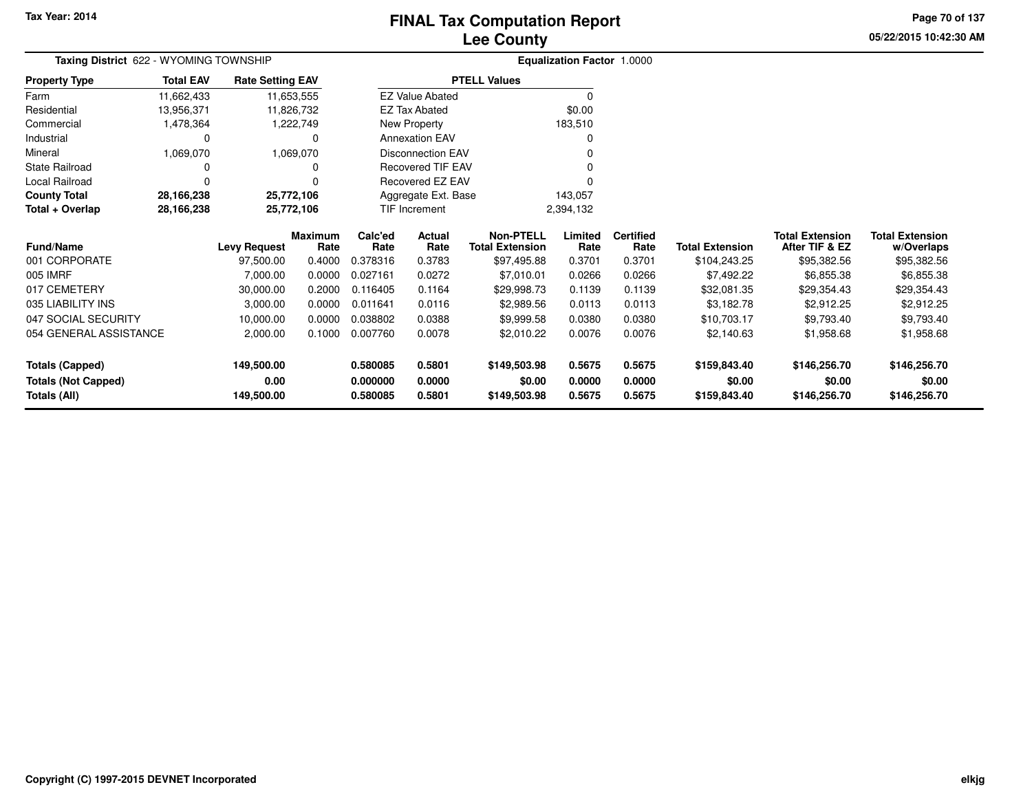# **Lee CountyFINAL Tax Computation Report**

**05/22/2015 10:42:30 AM Page 70 of 137**

| Taxing District 622 - WYOMING TOWNSHIP |                  |                         |                        |                 |                          |                                            | Equalization Factor 1.0000 |                          |                        |                                          |                                      |
|----------------------------------------|------------------|-------------------------|------------------------|-----------------|--------------------------|--------------------------------------------|----------------------------|--------------------------|------------------------|------------------------------------------|--------------------------------------|
| <b>Property Type</b>                   | <b>Total EAV</b> | <b>Rate Setting EAV</b> |                        |                 |                          | <b>PTELL Values</b>                        |                            |                          |                        |                                          |                                      |
| Farm                                   | 11,662,433       |                         | 11,653,555             |                 | <b>EZ Value Abated</b>   |                                            | $\Omega$                   |                          |                        |                                          |                                      |
| Residential                            | 13,956,371       |                         | 11,826,732             |                 | <b>EZ Tax Abated</b>     |                                            | \$0.00                     |                          |                        |                                          |                                      |
| Commercial                             | 1,478,364        |                         | 1,222,749              |                 | New Property             |                                            | 183,510                    |                          |                        |                                          |                                      |
| Industrial                             | 0                |                         | 0                      |                 | <b>Annexation EAV</b>    |                                            | 0                          |                          |                        |                                          |                                      |
| Mineral                                | 1,069,070        |                         | 1,069,070              |                 | <b>Disconnection EAV</b> |                                            |                            |                          |                        |                                          |                                      |
| State Railroad                         | 0                |                         |                        |                 | <b>Recovered TIF EAV</b> |                                            |                            |                          |                        |                                          |                                      |
| Local Railroad                         | $\Omega$         |                         |                        |                 | Recovered EZ EAV         |                                            |                            |                          |                        |                                          |                                      |
| <b>County Total</b>                    | 28,166,238       | 25,772,106              |                        |                 | Aggregate Ext. Base      |                                            | 143,057                    |                          |                        |                                          |                                      |
| Total + Overlap                        | 28,166,238       |                         | 25,772,106             |                 | <b>TIF Increment</b>     |                                            | 2,394,132                  |                          |                        |                                          |                                      |
| Fund/Name                              |                  | <b>Levy Request</b>     | <b>Maximum</b><br>Rate | Calc'ed<br>Rate | Actual<br>Rate           | <b>Non-PTELL</b><br><b>Total Extension</b> | Limited<br>Rate            | <b>Certified</b><br>Rate | <b>Total Extension</b> | <b>Total Extension</b><br>After TIF & EZ | <b>Total Extension</b><br>w/Overlaps |
| 001 CORPORATE                          |                  | 97,500.00               | 0.4000                 | 0.378316        | 0.3783                   | \$97,495.88                                | 0.3701                     | 0.3701                   | \$104,243.25           | \$95,382.56                              | \$95,382.56                          |
| 005 IMRF                               |                  | 7,000.00                | 0.0000                 | 0.027161        | 0.0272                   | \$7,010.01                                 | 0.0266                     | 0.0266                   | \$7,492.22             | \$6,855.38                               | \$6,855.38                           |
| 017 CEMETERY                           |                  | 30,000.00               | 0.2000                 | 0.116405        | 0.1164                   | \$29,998.73                                | 0.1139                     | 0.1139                   | \$32,081.35            | \$29,354.43                              | \$29,354.43                          |
| 035 LIABILITY INS                      |                  | 3,000.00                | 0.0000                 | 0.011641        | 0.0116                   | \$2,989.56                                 | 0.0113                     | 0.0113                   | \$3,182.78             | \$2,912.25                               | \$2,912.25                           |
| 047 SOCIAL SECURITY                    |                  | 10,000.00               | 0.0000                 | 0.038802        | 0.0388                   | \$9,999.58                                 | 0.0380                     | 0.0380                   | \$10,703.17            | \$9,793.40                               | \$9,793.40                           |
| 054 GENERAL ASSISTANCE                 |                  | 2,000.00                | 0.1000                 | 0.007760        | 0.0078                   | \$2,010.22                                 | 0.0076                     | 0.0076                   | \$2,140.63             | \$1,958.68                               | \$1,958.68                           |
| <b>Totals (Capped)</b>                 |                  | 149,500.00              |                        | 0.580085        | 0.5801                   | \$149,503.98                               | 0.5675                     | 0.5675                   | \$159,843.40           | \$146,256.70                             | \$146,256.70                         |
| <b>Totals (Not Capped)</b>             |                  | 0.00                    |                        | 0.000000        | 0.0000                   | \$0.00                                     | 0.0000                     | 0.0000                   | \$0.00                 | \$0.00                                   | \$0.00                               |
| Totals (All)<br>149,500.00             |                  |                         | 0.580085               | 0.5801          | \$149,503.98             | 0.5675                                     | 0.5675                     | \$159,843.40             | \$146,256.70           | \$146,256.70                             |                                      |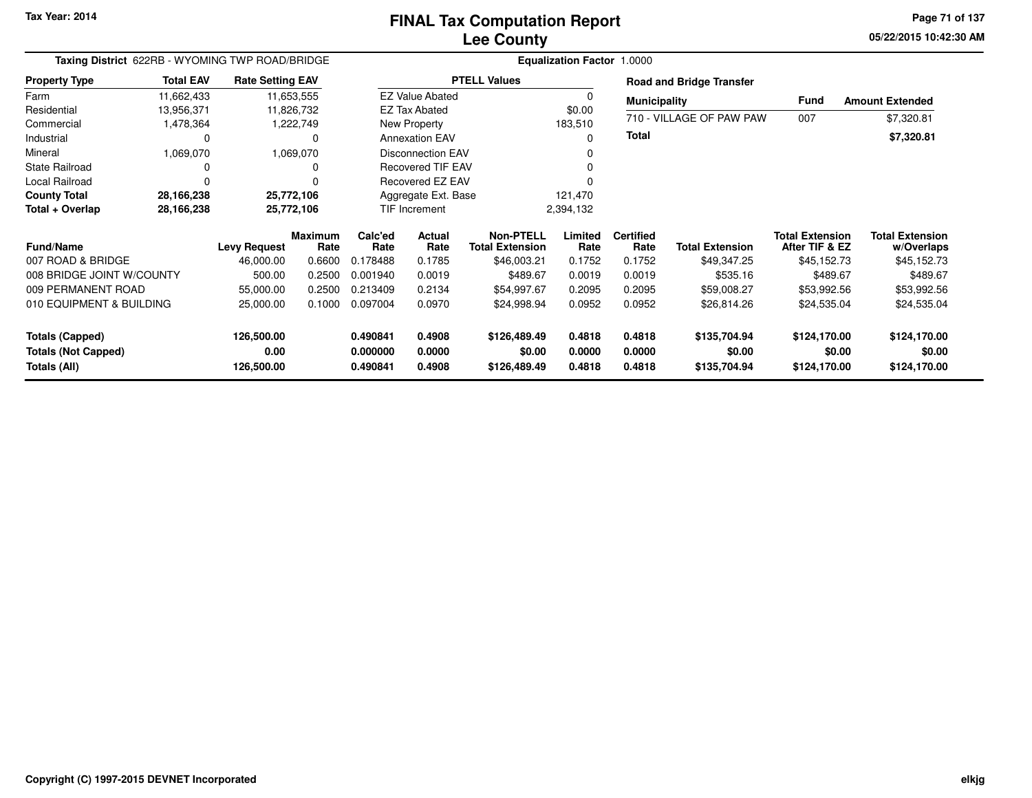**05/22/2015 10:42:30 AM Page 71 of 137**

| Taxing District 622RB - WYOMING TWP ROAD/BRIDGE |                        | <b>Equalization Factor 1.0000</b> |                        |                       |                          |                                            |                  |                          |                                 |                                          |                                      |
|-------------------------------------------------|------------------------|-----------------------------------|------------------------|-----------------------|--------------------------|--------------------------------------------|------------------|--------------------------|---------------------------------|------------------------------------------|--------------------------------------|
| <b>Property Type</b>                            | <b>Total EAV</b>       | <b>Rate Setting EAV</b>           |                        |                       |                          | <b>PTELL Values</b>                        |                  |                          | <b>Road and Bridge Transfer</b> |                                          |                                      |
| Farm                                            | 11,662,433             | 11,653,555                        |                        |                       | <b>EZ Value Abated</b>   |                                            | 0                | <b>Municipality</b>      |                                 | <b>Fund</b>                              | <b>Amount Extended</b>               |
| Residential                                     | 13,956,371             | 11,826,732                        |                        |                       | <b>EZ Tax Abated</b>     |                                            | \$0.00           | 710 - VILLAGE OF PAW PAW |                                 | 007                                      |                                      |
| Commercial                                      | 1,478,364<br>1,222,749 |                                   |                        |                       | New Property             |                                            | 183,510          |                          |                                 |                                          | \$7,320.81                           |
| Industrial                                      | 0                      |                                   | 0                      | <b>Annexation EAV</b> |                          |                                            | 0                | <b>Total</b>             |                                 |                                          | \$7,320.81                           |
| Mineral                                         | 1,069,070              |                                   | 1,069,070              |                       | <b>Disconnection EAV</b> |                                            | 0                |                          |                                 |                                          |                                      |
| <b>State Railroad</b>                           | O                      |                                   |                        |                       | <b>Recovered TIF EAV</b> |                                            | 0                |                          |                                 |                                          |                                      |
| Local Railroad                                  | 0                      |                                   |                        |                       | Recovered EZ EAV         |                                            |                  |                          |                                 |                                          |                                      |
| <b>County Total</b>                             | 28,166,238             | 25,772,106                        |                        |                       | Aggregate Ext. Base      |                                            | 121,470          |                          |                                 |                                          |                                      |
| Total + Overlap                                 | 28,166,238             | 25,772,106                        |                        |                       | TIF Increment            |                                            | 2,394,132        |                          |                                 |                                          |                                      |
| <b>Fund/Name</b>                                |                        | <b>Levy Request</b>               | <b>Maximum</b><br>Rate | Calc'ed<br>Rate       | Actual<br>Rate           | <b>Non-PTELL</b><br><b>Total Extension</b> | Limited<br>Rate  | <b>Certified</b><br>Rate | <b>Total Extension</b>          | <b>Total Extension</b><br>After TIF & EZ | <b>Total Extension</b><br>w/Overlaps |
| 007 ROAD & BRIDGE                               |                        | 46,000.00                         | 0.6600                 | 0.178488              | 0.1785                   | \$46,003.21                                | 0.1752           | 0.1752                   | \$49,347.25                     | \$45,152.73                              | \$45,152.73                          |
| 008 BRIDGE JOINT W/COUNTY                       |                        | 500.00                            | 0.2500                 | 0.001940              | 0.0019                   | \$489.67                                   | 0.0019           | 0.0019                   | \$535.16                        | \$489.67                                 | \$489.67                             |
| 009 PERMANENT ROAD                              |                        | 55,000.00                         | 0.2500                 | 0.213409              | 0.2134                   | \$54,997.67                                | 0.2095           | 0.2095                   | \$59,008.27                     | \$53,992.56                              | \$53,992.56                          |
| 010 EQUIPMENT & BUILDING                        |                        | 25,000.00                         | 0.1000                 | 0.097004              | 0.0970                   | \$24,998.94                                | 0.0952           | 0.0952                   | \$26,814.26                     | \$24,535.04                              | \$24,535.04                          |
| <b>Totals (Capped)</b>                          |                        | 126,500.00                        |                        | 0.490841              | 0.4908                   | \$126,489.49                               | 0.4818           | 0.4818                   | \$135,704.94                    | \$124,170.00                             | \$124,170.00                         |
| <b>Totals (Not Capped)</b><br>Totals (All)      |                        | 0.00<br>126,500.00                |                        | 0.000000<br>0.490841  | 0.0000<br>0.4908         | \$0.00<br>\$126,489.49                     | 0.0000<br>0.4818 | 0.0000<br>0.4818         | \$0.00<br>\$135,704.94          | \$0.00<br>\$124,170.00                   | \$0.00<br>\$124,170.00               |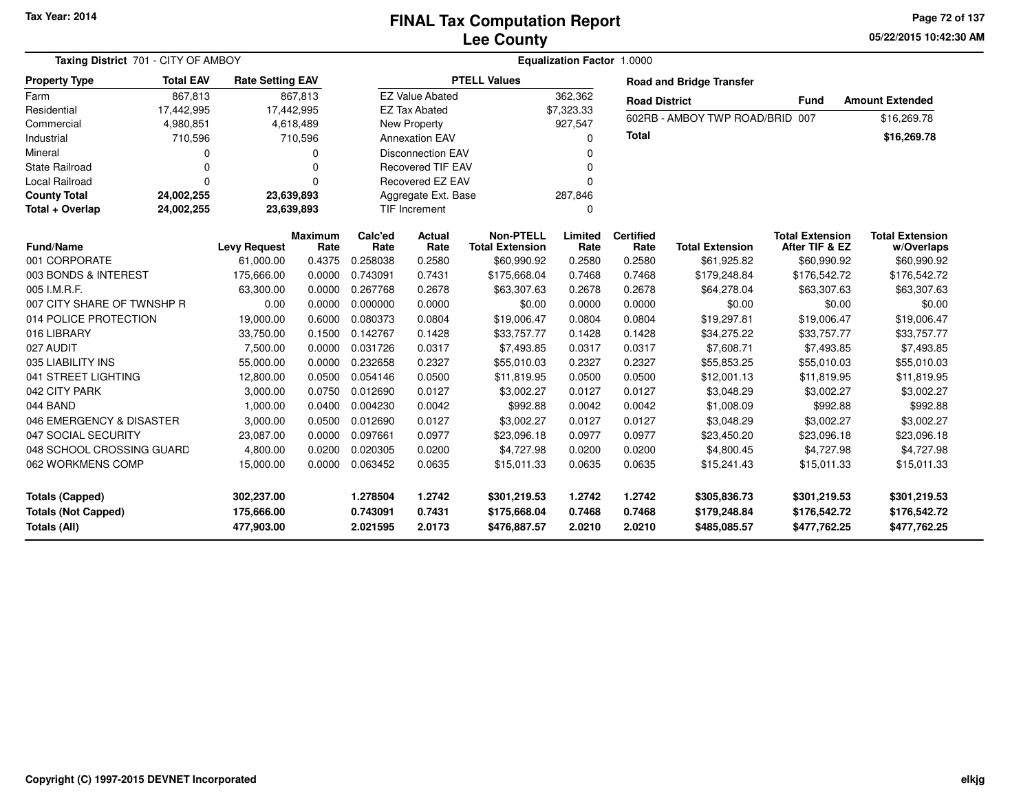# **Lee CountyFINAL Tax Computation Report**

**05/22/2015 10:42:30 AM Page 72 of 137**

| <b>Taxing District 701 - CITY OF AMBOY</b>                                  |                      | <b>Equalization Factor 1.0000</b>      |                        |                                  |                            |                                              |                            |                            |                                              |                                              |                                              |
|-----------------------------------------------------------------------------|----------------------|----------------------------------------|------------------------|----------------------------------|----------------------------|----------------------------------------------|----------------------------|----------------------------|----------------------------------------------|----------------------------------------------|----------------------------------------------|
| <b>Property Type</b>                                                        | <b>Total EAV</b>     | <b>Rate Setting EAV</b>                |                        |                                  |                            | <b>PTELL Values</b>                          |                            |                            | <b>Road and Bridge Transfer</b>              |                                              |                                              |
| Farm                                                                        | 867,813              |                                        | 867,813                |                                  | <b>EZ Value Abated</b>     |                                              | 362,362                    | <b>Road District</b>       |                                              | <b>Fund</b>                                  | <b>Amount Extended</b>                       |
| Residential                                                                 | 17,442,995           |                                        | 17,442,995             |                                  | <b>EZ Tax Abated</b>       |                                              | \$7,323.33                 |                            | 602RB - AMBOY TWP ROAD/BRID 007              |                                              |                                              |
| Commercial                                                                  | 4,980,851            |                                        | 4,618,489              |                                  | <b>New Property</b>        |                                              | 927,547                    |                            |                                              |                                              | \$16,269.78                                  |
| Industrial                                                                  | 710,596              |                                        | 710,596                | <b>Annexation EAV</b>            |                            |                                              | $\Omega$                   | <b>Total</b>               |                                              |                                              | \$16,269.78                                  |
| Mineral                                                                     | 0                    |                                        | 0                      |                                  | <b>Disconnection EAV</b>   |                                              | $\Omega$                   |                            |                                              |                                              |                                              |
| <b>State Railroad</b>                                                       | $\Omega$             |                                        | 0                      |                                  | <b>Recovered TIF EAV</b>   |                                              | 0                          |                            |                                              |                                              |                                              |
| Local Railroad                                                              | $\Omega$<br>$\Omega$ |                                        |                        |                                  | Recovered EZ EAV           |                                              | $\Omega$                   |                            |                                              |                                              |                                              |
| <b>County Total</b>                                                         | 24,002,255           |                                        | 23,639,893             |                                  | Aggregate Ext. Base        |                                              | 287,846                    |                            |                                              |                                              |                                              |
| Total + Overlap                                                             | 24,002,255           |                                        | 23,639,893             |                                  | TIF Increment              |                                              | 0                          |                            |                                              |                                              |                                              |
| <b>Fund/Name</b>                                                            |                      | <b>Levy Request</b>                    | <b>Maximum</b><br>Rate | Calc'ed<br>Rate                  | Actual<br>Rate             | <b>Non-PTELL</b><br><b>Total Extension</b>   | Limited<br>Rate            | <b>Certified</b><br>Rate   | <b>Total Extension</b>                       | <b>Total Extension</b><br>After TIF & EZ     | <b>Total Extension</b><br>w/Overlaps         |
| 001 CORPORATE                                                               |                      | 61,000.00                              | 0.4375                 | 0.258038                         | 0.2580                     | \$60,990.92                                  | 0.2580                     | 0.2580                     | \$61,925.82                                  | \$60,990.92                                  | \$60,990.92                                  |
| 003 BONDS & INTEREST                                                        |                      | 175,666.00                             | 0.0000                 | 0.743091                         | 0.7431                     | \$175,668.04                                 | 0.7468                     | 0.7468                     | \$179,248.84                                 | \$176,542.72                                 | \$176,542.72                                 |
| 005 I.M.R.F.                                                                |                      | 63,300.00                              | 0.0000                 | 0.267768                         | 0.2678                     | \$63,307.63                                  | 0.2678                     | 0.2678                     | \$64,278.04                                  | \$63,307.63                                  | \$63,307.63                                  |
| 007 CITY SHARE OF TWNSHP R                                                  |                      | 0.00                                   | 0.0000                 | 0.000000                         | 0.0000                     | \$0.00                                       | 0.0000                     | 0.0000                     | \$0.00                                       | \$0.00                                       | \$0.00                                       |
| 014 POLICE PROTECTION                                                       |                      | 19,000.00                              | 0.6000                 | 0.080373                         | 0.0804                     | \$19,006.47                                  | 0.0804                     | 0.0804                     | \$19,297.81                                  | \$19,006.47                                  | \$19,006.47                                  |
| 016 LIBRARY                                                                 |                      | 33,750.00                              | 0.1500                 | 0.142767                         | 0.1428                     | \$33,757.77                                  | 0.1428                     | 0.1428                     | \$34,275.22                                  | \$33,757.77                                  | \$33,757.77                                  |
| 027 AUDIT                                                                   |                      | 7,500.00                               | 0.0000                 | 0.031726                         | 0.0317                     | \$7,493.85                                   | 0.0317                     | 0.0317                     | \$7,608.71                                   | \$7,493.85                                   | \$7,493.85                                   |
| 035 LIABILITY INS                                                           |                      | 55,000.00                              | 0.0000                 | 0.232658                         | 0.2327                     | \$55,010.03                                  | 0.2327                     | 0.2327                     | \$55,853.25                                  | \$55,010.03                                  | \$55,010.03                                  |
| 041 STREET LIGHTING                                                         |                      | 12,800.00                              | 0.0500                 | 0.054146                         | 0.0500                     | \$11,819.95                                  | 0.0500                     | 0.0500                     | \$12,001.13                                  | \$11,819.95                                  | \$11,819.95                                  |
| 042 CITY PARK                                                               |                      | 3,000.00                               | 0.0750                 | 0.012690                         | 0.0127                     | \$3,002.27                                   | 0.0127                     | 0.0127                     | \$3,048.29                                   | \$3,002.27                                   | \$3,002.27                                   |
| 044 BAND                                                                    |                      | 1,000.00                               | 0.0400                 | 0.004230                         | 0.0042                     | \$992.88                                     | 0.0042                     | 0.0042                     | \$1,008.09                                   | \$992.88                                     | \$992.88                                     |
| 046 EMERGENCY & DISASTER                                                    |                      | 3,000.00                               | 0.0500                 | 0.012690                         | 0.0127                     | \$3,002.27                                   | 0.0127                     | 0.0127                     | \$3,048.29                                   | \$3,002.27                                   | \$3,002.27                                   |
| 047 SOCIAL SECURITY                                                         |                      | 23,087.00                              | 0.0000                 | 0.097661                         | 0.0977                     | \$23,096.18                                  | 0.0977                     | 0.0977                     | \$23,450.20                                  | \$23,096.18                                  | \$23,096.18                                  |
| 048 SCHOOL CROSSING GUARD                                                   |                      | 4,800.00                               | 0.0200                 | 0.020305                         | 0.0200                     | \$4,727.98                                   | 0.0200                     | 0.0200                     | \$4,800.45                                   | \$4,727.98                                   | \$4,727.98                                   |
| 062 WORKMENS COMP<br>15,000.00                                              |                      | 0.0000                                 | 0.063452               | 0.0635                           | \$15,011.33                | 0.0635                                       | 0.0635                     | \$15,241.43                | \$15,011.33                                  | \$15,011.33                                  |                                              |
| <b>Totals (Capped)</b><br><b>Totals (Not Capped)</b><br><b>Totals (All)</b> |                      | 302,237.00<br>175,666.00<br>477,903.00 |                        | 1.278504<br>0.743091<br>2.021595 | 1.2742<br>0.7431<br>2.0173 | \$301,219.53<br>\$175,668.04<br>\$476,887.57 | 1.2742<br>0.7468<br>2.0210 | 1.2742<br>0.7468<br>2.0210 | \$305,836.73<br>\$179,248.84<br>\$485,085.57 | \$301,219.53<br>\$176,542.72<br>\$477,762.25 | \$301,219.53<br>\$176,542.72<br>\$477,762.25 |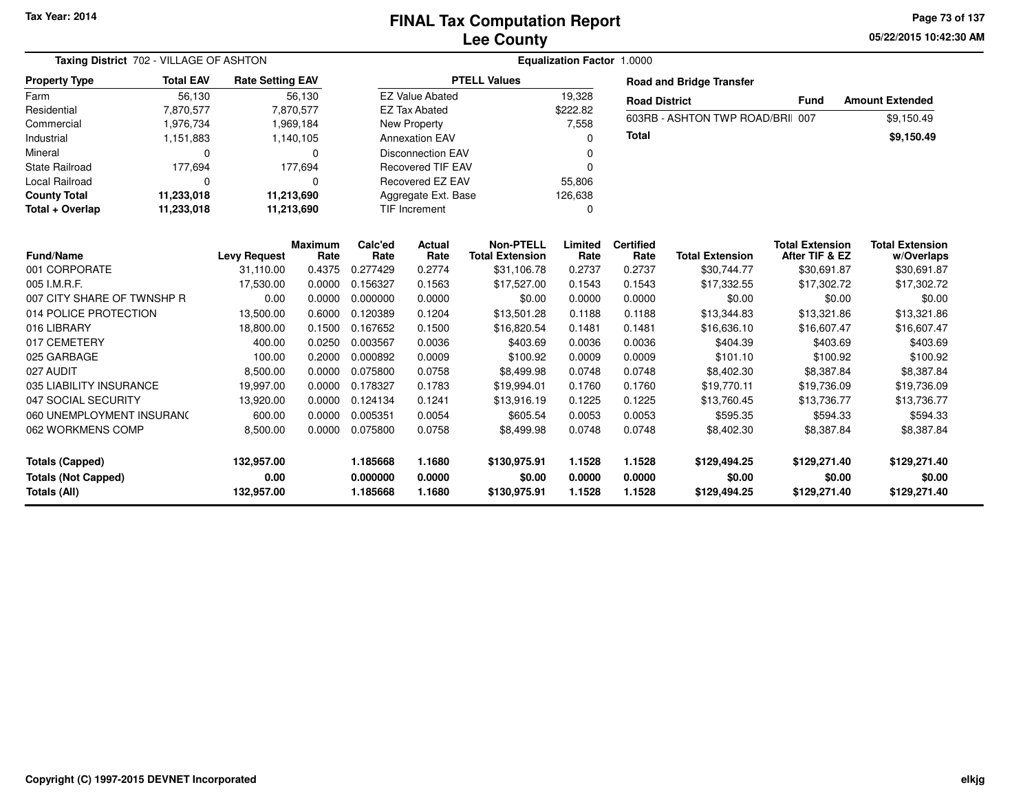**05/22/2015 10:42:30 AM Page 73 of 137**

|                            | Taxing District 702 - VILLAGE OF ASHTON |                         |                |          |                           | Equalization Factor 1.0000 |          |                      |                                  |                        |                        |  |  |  |  |
|----------------------------|-----------------------------------------|-------------------------|----------------|----------|---------------------------|----------------------------|----------|----------------------|----------------------------------|------------------------|------------------------|--|--|--|--|
| <b>Property Type</b>       | <b>Total EAV</b>                        | <b>Rate Setting EAV</b> |                |          |                           | <b>PTELL Values</b>        |          |                      | <b>Road and Bridge Transfer</b>  |                        |                        |  |  |  |  |
| Farm                       | 56,130                                  |                         | 56,130         |          | <b>EZ Value Abated</b>    |                            | 19,328   | <b>Road District</b> |                                  | <b>Fund</b>            | <b>Amount Extended</b> |  |  |  |  |
| Residential                | 7,870,577                               |                         | 7,870,577      |          | <b>EZ Tax Abated</b>      |                            | \$222.82 |                      |                                  |                        |                        |  |  |  |  |
| Commercial                 | 1,976,734                               |                         | 1,969,184      |          | New Property              |                            | 7,558    |                      | 603RB - ASHTON TWP ROAD/BRII 007 |                        | \$9,150.49             |  |  |  |  |
| Industrial                 | 1,151,883                               |                         | 1,140,105      |          | <b>Annexation EAV</b>     |                            | $\Omega$ | <b>Total</b>         |                                  |                        | \$9,150.49             |  |  |  |  |
| Mineral                    | $\Omega$                                |                         | $\Omega$       |          | <b>Disconnection EAV</b>  |                            | 0        |                      |                                  |                        |                        |  |  |  |  |
| <b>State Railroad</b>      | 177,694                                 |                         | 177,694        |          | <b>Recovered TIF EAV</b>  |                            | O        |                      |                                  |                        |                        |  |  |  |  |
| <b>Local Railroad</b>      | $\Omega$                                |                         | $\Omega$       |          | Recovered EZ EAV          |                            | 55,806   |                      |                                  |                        |                        |  |  |  |  |
| <b>County Total</b>        | 11,233,018                              | 11,213,690              |                |          | Aggregate Ext. Base       |                            | 126,638  |                      |                                  |                        |                        |  |  |  |  |
| Total + Overlap            | 11,233,018                              | 11,213,690              |                |          | <b>TIF Increment</b><br>0 |                            |          |                      |                                  |                        |                        |  |  |  |  |
|                            |                                         |                         | <b>Maximum</b> | Calc'ed  | Actual                    | <b>Non-PTELL</b>           | Limited  | <b>Certified</b>     |                                  | <b>Total Extension</b> | <b>Total Extension</b> |  |  |  |  |
| Fund/Name                  |                                         | <b>Levy Request</b>     | Rate           | Rate     | Rate                      | <b>Total Extension</b>     | Rate     | Rate                 | <b>Total Extension</b>           | After TIF & EZ         | w/Overlaps             |  |  |  |  |
| 001 CORPORATE              |                                         | 31,110.00               | 0.4375         | 0.277429 | 0.2774                    | \$31,106.78                | 0.2737   | 0.2737               | \$30,744.77                      | \$30,691.87            | \$30,691.87            |  |  |  |  |
| 005 I.M.R.F.               |                                         | 17,530.00               | 0.0000         | 0.156327 | 0.1563                    | \$17,527.00                | 0.1543   | 0.1543               | \$17,332.55                      | \$17,302.72            | \$17,302.72            |  |  |  |  |
| 007 CITY SHARE OF TWNSHP R |                                         | 0.00                    | 0.0000         | 0.000000 | 0.0000                    | \$0.00                     | 0.0000   | 0.0000               | \$0.00                           | \$0.00                 | \$0.00                 |  |  |  |  |
| 014 POLICE PROTECTION      |                                         | 13,500.00               | 0.6000         | 0.120389 | 0.1204                    | \$13,501.28                | 0.1188   | 0.1188               | \$13,344.83                      | \$13,321.86            | \$13,321.86            |  |  |  |  |
| 016 LIBRARY                |                                         | 18,800.00               | 0.1500         | 0.167652 | 0.1500                    | \$16,820.54                | 0.1481   | 0.1481               | \$16,636.10                      | \$16,607.47            | \$16,607.47            |  |  |  |  |
| 017 CEMETERY               |                                         | 400.00                  | 0.0250         | 0.003567 | 0.0036                    | \$403.69                   | 0.0036   | 0.0036               | \$404.39                         | \$403.69               | \$403.69               |  |  |  |  |
| 025 GARBAGE                |                                         | 100.00                  | 0.2000         | 0.000892 | 0.0009                    | \$100.92                   | 0.0009   | 0.0009               | \$101.10                         | \$100.92               | \$100.92               |  |  |  |  |
| 027 AUDIT                  |                                         | 8,500.00                | 0.0000         | 0.075800 | 0.0758                    | \$8,499.98                 | 0.0748   | 0.0748               | \$8,402.30                       | \$8,387.84             | \$8,387.84             |  |  |  |  |
| 035 LIABILITY INSURANCE    |                                         | 19,997.00               | 0.0000         | 0.178327 | 0.1783                    | \$19,994.01                | 0.1760   | 0.1760               | \$19,770.11                      | \$19,736.09            | \$19,736.09            |  |  |  |  |
| 047 SOCIAL SECURITY        |                                         | 13,920.00               | 0.0000         | 0.124134 | 0.1241                    | \$13,916.19                | 0.1225   | 0.1225               | \$13,760.45                      | \$13,736.77            | \$13,736.77            |  |  |  |  |
| 060 UNEMPLOYMENT INSURANC  |                                         | 600.00                  | 0.0000         | 0.005351 | 0.0054                    | \$605.54                   | 0.0053   | 0.0053               | \$595.35                         | \$594.33               | \$594.33               |  |  |  |  |
| 062 WORKMENS COMP          |                                         | 8,500.00                | 0.0000         | 0.075800 | 0.0758                    | \$8,499.98                 | 0.0748   | 0.0748               | \$8,402.30                       | \$8,387.84             | \$8,387.84             |  |  |  |  |
| <b>Totals (Capped)</b>     |                                         | 132,957.00              |                | 1.185668 | 1.1680                    | \$130,975.91               | 1.1528   | 1.1528               | \$129,494.25                     | \$129,271.40           | \$129,271.40           |  |  |  |  |
| <b>Totals (Not Capped)</b> |                                         | 0.00                    |                | 0.000000 | 0.0000                    | \$0.00                     | 0.0000   | 0.0000               | \$0.00                           | \$0.00                 | \$0.00                 |  |  |  |  |
| Totals (All)               |                                         | 132,957.00              |                | 1.185668 | 1.1680                    | \$130,975.91               | 1.1528   | 1.1528               | \$129,494.25                     | \$129,271.40           | \$129,271.40           |  |  |  |  |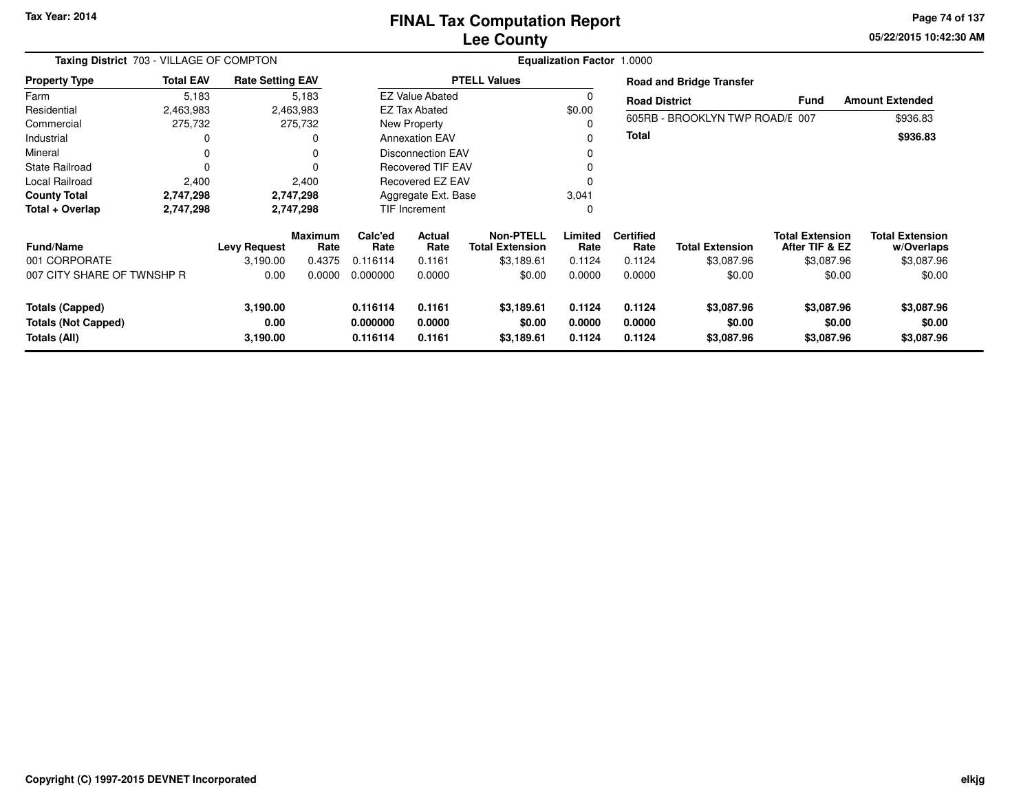### **Lee CountyFINAL Tax Computation Report**

**05/22/2015 10:42:30 AM Page 74 of 137**

| Taxing District 703 - VILLAGE OF COMPTON | <b>Equalization Factor 1.0000</b> |                         |                 |                 |                          |                                            |                 |                          |                                 |                                          |                                      |
|------------------------------------------|-----------------------------------|-------------------------|-----------------|-----------------|--------------------------|--------------------------------------------|-----------------|--------------------------|---------------------------------|------------------------------------------|--------------------------------------|
| <b>Property Type</b>                     | <b>Total EAV</b>                  | <b>Rate Setting EAV</b> |                 |                 |                          | <b>PTELL Values</b>                        |                 |                          | <b>Road and Bridge Transfer</b> |                                          |                                      |
| Farm                                     | 5,183                             |                         | 5,183           |                 | <b>EZ Value Abated</b>   |                                            |                 | <b>Road District</b>     |                                 | Fund                                     | <b>Amount Extended</b>               |
| Residential                              | 2,463,983                         |                         | 2,463,983       |                 | <b>EZ Tax Abated</b>     |                                            | \$0.00          |                          |                                 |                                          |                                      |
| Commercial                               | 275,732                           |                         | 275,732         |                 | New Property             |                                            | 0               |                          | 605RB - BROOKLYN TWP ROAD/E 007 |                                          | \$936.83                             |
| Industrial                               | 0                                 |                         | 0               |                 | <b>Annexation EAV</b>    |                                            |                 | Total                    |                                 |                                          | \$936.83                             |
| Mineral                                  | 0                                 |                         | 0               |                 | <b>Disconnection EAV</b> |                                            |                 |                          |                                 |                                          |                                      |
| <b>State Railroad</b>                    | $\Omega$                          |                         |                 |                 | <b>Recovered TIF EAV</b> |                                            |                 |                          |                                 |                                          |                                      |
| Local Railroad                           | 2,400                             |                         | 2,400           |                 | Recovered EZ EAV         |                                            |                 |                          |                                 |                                          |                                      |
| <b>County Total</b>                      | 2,747,298                         |                         | 2,747,298       |                 | Aggregate Ext. Base      |                                            | 3,041           |                          |                                 |                                          |                                      |
| Total + Overlap                          | 2,747,298                         |                         | 2,747,298       |                 | <b>TIF Increment</b>     |                                            |                 |                          |                                 |                                          |                                      |
| <b>Fund/Name</b>                         |                                   | <b>Levy Request</b>     | Maximum<br>Rate | Calc'ed<br>Rate | Actual<br>Rate           | <b>Non-PTELL</b><br><b>Total Extension</b> | Limited<br>Rate | <b>Certified</b><br>Rate | <b>Total Extension</b>          | <b>Total Extension</b><br>After TIF & EZ | <b>Total Extension</b><br>w/Overlaps |
| 001 CORPORATE                            |                                   | 3,190.00                | 0.4375          | 0.116114        | 0.1161                   | \$3,189.61                                 | 0.1124          | 0.1124                   | \$3,087.96                      | \$3,087.96                               | \$3,087.96                           |
| 007 CITY SHARE OF TWNSHP R               |                                   | 0.00                    | 0.0000          | 0.000000        | 0.0000                   | \$0.00                                     | 0.0000          | 0.0000                   | \$0.00                          | \$0.00                                   | \$0.00                               |
| <b>Totals (Capped)</b>                   |                                   | 3,190.00                |                 | 0.116114        | 0.1161                   | \$3,189.61                                 | 0.1124          | 0.1124                   | \$3,087.96                      | \$3,087.96                               | \$3,087.96                           |
| <b>Totals (Not Capped)</b>               |                                   | 0.00                    |                 | 0.000000        | 0.0000                   | \$0.00                                     | 0.0000          | 0.0000                   | \$0.00                          | \$0.00                                   | \$0.00                               |
| Totals (All)                             |                                   | 3,190.00                |                 | 0.116114        | 0.1161                   | \$3,189.61                                 | 0.1124          | 0.1124                   | \$3,087.96                      | \$3,087.96                               | \$3,087.96                           |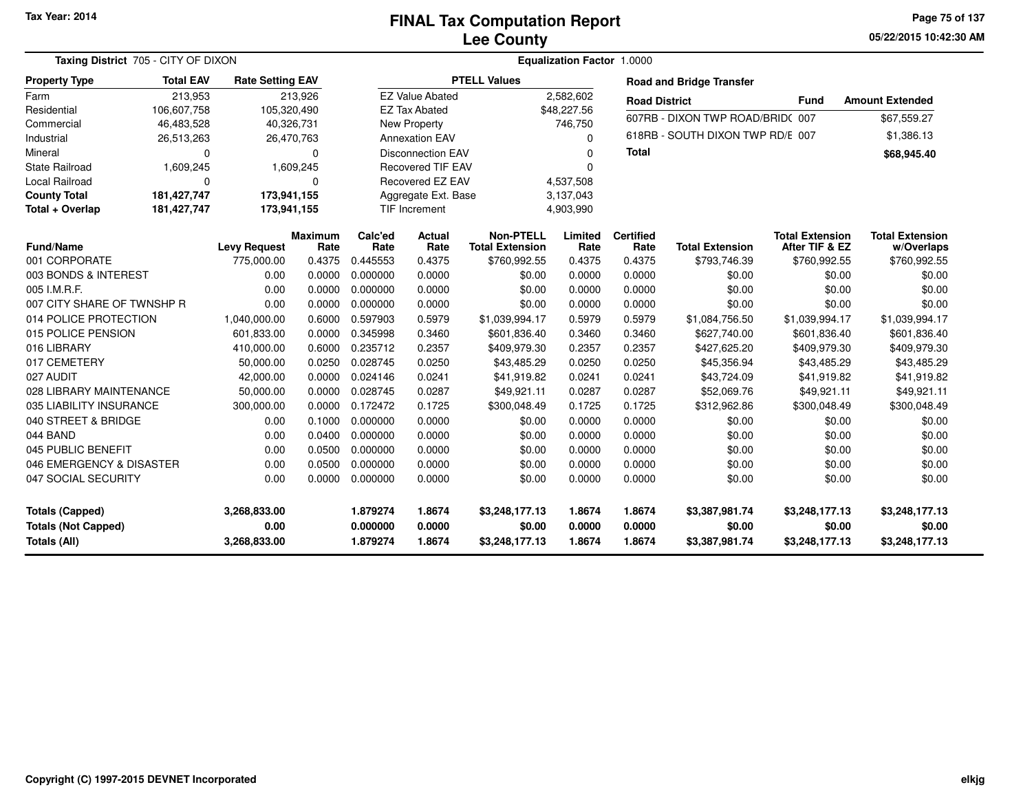**05/22/2015 10:42:30 AM Page 75 of 137**

|                            | Taxing District 705 - CITY OF DIXON |                         |                        |                          |                          | Equalization Factor 1.0000                 |                 |                          |                                  |                                          |                                      |  |  |  |  |
|----------------------------|-------------------------------------|-------------------------|------------------------|--------------------------|--------------------------|--------------------------------------------|-----------------|--------------------------|----------------------------------|------------------------------------------|--------------------------------------|--|--|--|--|
| <b>Property Type</b>       | <b>Total EAV</b>                    | <b>Rate Setting EAV</b> |                        |                          |                          | <b>PTELL Values</b>                        |                 |                          | <b>Road and Bridge Transfer</b>  |                                          |                                      |  |  |  |  |
| Farm                       | 213,953                             |                         | 213,926                |                          | <b>EZ Value Abated</b>   |                                            | 2,582,602       | <b>Road District</b>     |                                  | <b>Fund</b>                              | <b>Amount Extended</b>               |  |  |  |  |
| Residential                | 106,607,758                         | 105,320,490             |                        |                          | <b>EZ Tax Abated</b>     |                                            | \$48,227.56     |                          | 607RB - DIXON TWP ROAD/BRID(007  |                                          | \$67,559.27                          |  |  |  |  |
| Commercial                 | 46,483,528                          | 40,326,731              |                        |                          | New Property             |                                            | 746,750         |                          |                                  |                                          |                                      |  |  |  |  |
| Industrial                 | 26,513,263                          | 26,470,763              |                        |                          | <b>Annexation EAV</b>    |                                            | 0               |                          | 618RB - SOUTH DIXON TWP RD/E 007 |                                          | \$1,386.13                           |  |  |  |  |
| Mineral                    | 0                                   |                         | 0                      |                          | <b>Disconnection EAV</b> |                                            | $\Omega$        | <b>Total</b>             |                                  |                                          | \$68,945.40                          |  |  |  |  |
| State Railroad             | 1,609,245                           |                         | 1,609,245              | <b>Recovered TIF EAV</b> |                          |                                            | $\Omega$        |                          |                                  |                                          |                                      |  |  |  |  |
| <b>Local Railroad</b>      | $\mathbf 0$                         |                         | $\Omega$               |                          | Recovered EZ EAV         |                                            | 4,537,508       |                          |                                  |                                          |                                      |  |  |  |  |
| <b>County Total</b>        | 181,427,747                         | 173,941,155             |                        |                          | Aggregate Ext. Base      |                                            | 3,137,043       |                          |                                  |                                          |                                      |  |  |  |  |
| Total + Overlap            | 181,427,747                         | 173,941,155             |                        |                          | <b>TIF Increment</b>     |                                            | 4,903,990       |                          |                                  |                                          |                                      |  |  |  |  |
| <b>Fund/Name</b>           |                                     | <b>Levy Request</b>     | <b>Maximum</b><br>Rate | Calc'ed<br>Rate          | <b>Actual</b><br>Rate    | <b>Non-PTELL</b><br><b>Total Extension</b> | Limited<br>Rate | <b>Certified</b><br>Rate | <b>Total Extension</b>           | <b>Total Extension</b><br>After TIF & EZ | <b>Total Extension</b><br>w/Overlaps |  |  |  |  |
| 001 CORPORATE              |                                     | 775,000.00              | 0.4375                 | 0.445553                 | 0.4375                   | \$760,992.55                               | 0.4375          | 0.4375                   | \$793,746.39                     | \$760,992.55                             | \$760,992.55                         |  |  |  |  |
| 003 BONDS & INTEREST       |                                     | 0.00                    | 0.0000                 | 0.000000                 | 0.0000                   | \$0.00                                     | 0.0000          | 0.0000                   | \$0.00                           | \$0.00                                   | \$0.00                               |  |  |  |  |
| 005 I.M.R.F.               |                                     | 0.00                    | 0.0000                 | 0.000000                 | 0.0000                   | \$0.00                                     | 0.0000          | 0.0000                   | \$0.00                           | \$0.00                                   | \$0.00                               |  |  |  |  |
| 007 CITY SHARE OF TWNSHP R |                                     | 0.00                    | 0.0000                 | 0.000000                 | 0.0000                   | \$0.00                                     | 0.0000          | 0.0000                   | \$0.00                           | \$0.00                                   | \$0.00                               |  |  |  |  |
| 014 POLICE PROTECTION      |                                     | 1,040,000.00            | 0.6000                 | 0.597903                 | 0.5979                   | \$1,039,994.17                             | 0.5979          | 0.5979                   | \$1,084,756.50                   | \$1,039,994.17                           | \$1,039,994.17                       |  |  |  |  |
| 015 POLICE PENSION         |                                     | 601,833.00              | 0.0000                 | 0.345998                 | 0.3460                   | \$601,836.40                               | 0.3460          | 0.3460                   | \$627,740.00                     | \$601,836.40                             | \$601,836.40                         |  |  |  |  |
| 016 LIBRARY                |                                     | 410,000.00              | 0.6000                 | 0.235712                 | 0.2357                   | \$409,979.30                               | 0.2357          | 0.2357                   | \$427,625.20                     | \$409,979.30                             | \$409,979.30                         |  |  |  |  |
| 017 CEMETERY               |                                     | 50,000.00               | 0.0250                 | 0.028745                 | 0.0250                   | \$43,485.29                                | 0.0250          | 0.0250                   | \$45,356.94                      | \$43,485.29                              | \$43,485.29                          |  |  |  |  |
| 027 AUDIT                  |                                     | 42,000.00               | 0.0000                 | 0.024146                 | 0.0241                   | \$41,919.82                                | 0.0241          | 0.0241                   | \$43,724.09                      | \$41,919.82                              | \$41,919.82                          |  |  |  |  |
| 028 LIBRARY MAINTENANCE    |                                     | 50,000.00               | 0.0000                 | 0.028745                 | 0.0287                   | \$49,921.11                                | 0.0287          | 0.0287                   | \$52,069.76                      | \$49,921.11                              | \$49,921.11                          |  |  |  |  |
| 035 LIABILITY INSURANCE    |                                     | 300,000.00              | 0.0000                 | 0.172472                 | 0.1725                   | \$300,048.49                               | 0.1725          | 0.1725                   | \$312,962.86                     | \$300,048.49                             | \$300,048.49                         |  |  |  |  |
| 040 STREET & BRIDGE        |                                     | 0.00                    | 0.1000                 | 0.000000                 | 0.0000                   | \$0.00                                     | 0.0000          | 0.0000                   | \$0.00                           | \$0.00                                   | \$0.00                               |  |  |  |  |
| 044 BAND                   |                                     | 0.00                    | 0.0400                 | 0.000000                 | 0.0000                   | \$0.00                                     | 0.0000          | 0.0000                   | \$0.00                           | \$0.00                                   | \$0.00                               |  |  |  |  |
| 045 PUBLIC BENEFIT         |                                     | 0.00                    | 0.0500                 | 0.000000                 | 0.0000                   | \$0.00                                     | 0.0000          | 0.0000                   | \$0.00                           | \$0.00                                   | \$0.00                               |  |  |  |  |
| 046 EMERGENCY & DISASTER   |                                     | 0.00                    | 0.0500                 | 0.000000                 | 0.0000                   | \$0.00                                     | 0.0000          | 0.0000                   | \$0.00                           | \$0.00                                   | \$0.00                               |  |  |  |  |
| 047 SOCIAL SECURITY        |                                     | 0.00                    | 0.0000                 | 0.000000                 | 0.0000                   | \$0.00                                     | 0.0000          | 0.0000                   | \$0.00                           | \$0.00                                   | \$0.00                               |  |  |  |  |
| <b>Totals (Capped)</b>     |                                     | 3,268,833.00            |                        | 1.879274                 | 1.8674                   | \$3,248,177.13                             | 1.8674          | 1.8674                   | \$3,387,981.74                   | \$3,248,177.13                           | \$3,248,177.13                       |  |  |  |  |
| <b>Totals (Not Capped)</b> |                                     | 0.00                    |                        | 0.000000                 | 0.0000                   | \$0.00                                     | 0.0000          | 0.0000                   | \$0.00                           | \$0.00                                   | \$0.00                               |  |  |  |  |
| <b>Totals (All)</b>        |                                     | 3,268,833.00            |                        | 1.879274                 | 1.8674                   | \$3,248,177.13                             | 1.8674          | 1.8674                   | \$3,387,981.74                   | \$3,248,177.13                           | \$3,248,177.13                       |  |  |  |  |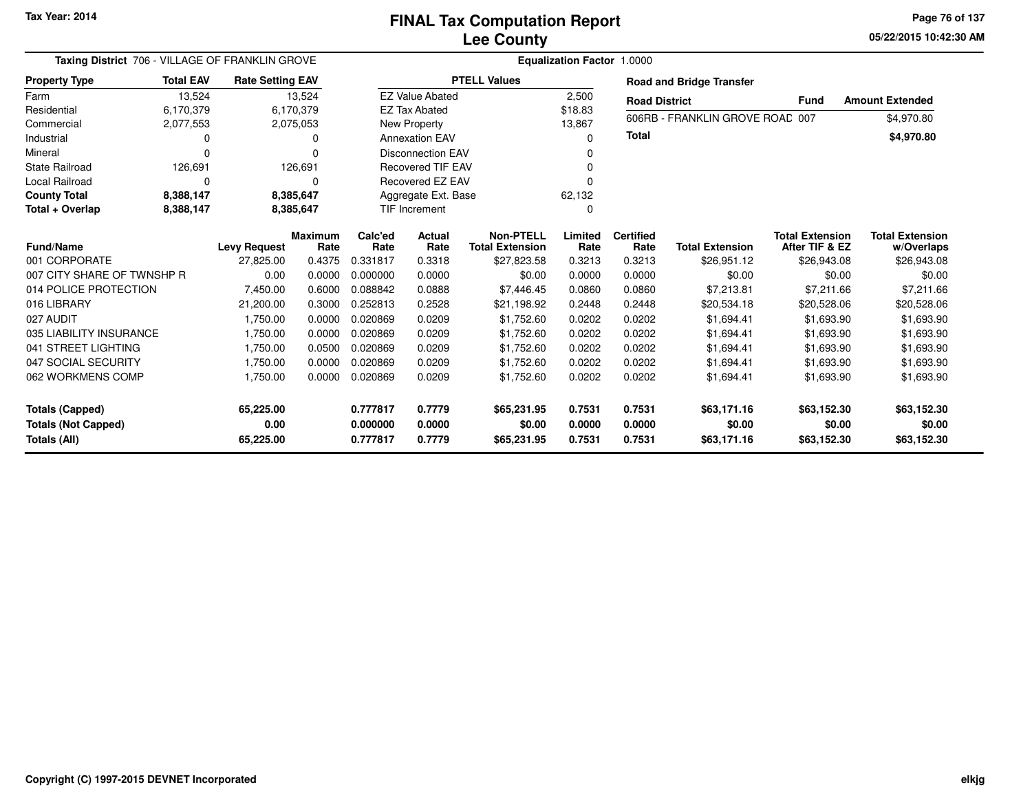**05/22/2015 10:42:30 AM Page 76 of 137**

| Taxing District 706 - VILLAGE OF FRANKLIN GROVE |                  |                         |                        | <b>Equalization Factor 1.0000</b> |                          |                                            |                 |                          |                                 |                                          |                                      |  |  |
|-------------------------------------------------|------------------|-------------------------|------------------------|-----------------------------------|--------------------------|--------------------------------------------|-----------------|--------------------------|---------------------------------|------------------------------------------|--------------------------------------|--|--|
| <b>Property Type</b>                            | <b>Total EAV</b> | <b>Rate Setting EAV</b> |                        |                                   |                          | <b>PTELL Values</b>                        |                 |                          | <b>Road and Bridge Transfer</b> |                                          |                                      |  |  |
| Farm                                            | 13,524           |                         | 13,524                 |                                   | <b>EZ Value Abated</b>   |                                            | 2,500           | <b>Road District</b>     |                                 | <b>Fund</b>                              | <b>Amount Extended</b>               |  |  |
| Residential                                     | 6,170,379        |                         | 6,170,379              |                                   | <b>EZ Tax Abated</b>     |                                            | \$18.83         |                          |                                 |                                          |                                      |  |  |
| Commercial                                      | 2,077,553        |                         | 2,075,053              |                                   | New Property             |                                            | 13,867          |                          | 606RB - FRANKLIN GROVE ROAD 007 |                                          | \$4,970.80                           |  |  |
| Industrial                                      | 0                |                         | 0                      |                                   | <b>Annexation EAV</b>    |                                            | 0               | <b>Total</b>             |                                 |                                          | \$4,970.80                           |  |  |
| Mineral                                         | O                |                         | O                      |                                   | <b>Disconnection EAV</b> |                                            |                 |                          |                                 |                                          |                                      |  |  |
| <b>State Railroad</b>                           | 126,691          |                         | 126,691                |                                   | <b>Recovered TIF EAV</b> |                                            |                 |                          |                                 |                                          |                                      |  |  |
| <b>Local Railroad</b>                           | $\Omega$         |                         | $\Omega$               |                                   | Recovered EZ EAV         |                                            |                 |                          |                                 |                                          |                                      |  |  |
| <b>County Total</b>                             | 8,388,147        |                         | 8,385,647              |                                   | Aggregate Ext. Base      |                                            | 62,132          |                          |                                 |                                          |                                      |  |  |
| Total + Overlap                                 | 8,388,147        |                         | 8,385,647              | <b>TIF Increment</b>              |                          |                                            | 0               |                          |                                 |                                          |                                      |  |  |
| <b>Fund/Name</b>                                |                  | <b>Levy Request</b>     | <b>Maximum</b><br>Rate | Calc'ed<br>Rate                   | Actual<br>Rate           | <b>Non-PTELL</b><br><b>Total Extension</b> | Limited<br>Rate | <b>Certified</b><br>Rate | <b>Total Extension</b>          | <b>Total Extension</b><br>After TIF & EZ | <b>Total Extension</b><br>w/Overlaps |  |  |
| 001 CORPORATE                                   |                  | 27,825.00               | 0.4375                 | 0.331817                          | 0.3318                   | \$27,823.58                                | 0.3213          | 0.3213                   | \$26,951.12                     | \$26,943.08                              | \$26,943.08                          |  |  |
| 007 CITY SHARE OF TWNSHP R                      |                  | 0.00                    | 0.0000                 | 0.000000                          | 0.0000                   | \$0.00                                     | 0.0000          | 0.0000                   | \$0.00                          | \$0.00                                   | \$0.00                               |  |  |
| 014 POLICE PROTECTION                           |                  | 7,450.00                | 0.6000                 | 0.088842                          | 0.0888                   | \$7,446.45                                 | 0.0860          | 0.0860                   | \$7,213.81                      | \$7,211.66                               | \$7,211.66                           |  |  |
| 016 LIBRARY                                     |                  | 21,200.00               | 0.3000                 | 0.252813                          | 0.2528                   | \$21,198.92                                | 0.2448          | 0.2448                   | \$20,534.18                     | \$20,528.06                              | \$20,528.06                          |  |  |
| 027 AUDIT                                       |                  | 1,750.00                | 0.0000                 | 0.020869                          | 0.0209                   | \$1,752.60                                 | 0.0202          | 0.0202                   | \$1,694.41                      | \$1,693.90                               | \$1,693.90                           |  |  |
| 035 LIABILITY INSURANCE                         |                  | 1,750.00                | 0.0000                 | 0.020869                          | 0.0209                   | \$1,752.60                                 | 0.0202          | 0.0202                   | \$1,694.41                      | \$1,693.90                               | \$1,693.90                           |  |  |
| 041 STREET LIGHTING                             |                  | 1,750.00                | 0.0500                 | 0.020869                          | 0.0209                   | \$1,752.60                                 | 0.0202          | 0.0202                   | \$1,694.41                      | \$1,693.90                               | \$1,693.90                           |  |  |
| 047 SOCIAL SECURITY                             |                  | 1,750.00                | 0.0000                 | 0.020869                          | 0.0209                   | \$1,752.60                                 | 0.0202          | 0.0202                   | \$1,694.41                      | \$1,693.90                               | \$1,693.90                           |  |  |
| 062 WORKMENS COMP                               |                  | 1,750.00                | 0.0000                 | 0.020869                          | 0.0209                   | \$1,752.60                                 | 0.0202          | 0.0202                   | \$1,694.41                      | \$1,693.90                               | \$1,693.90                           |  |  |
| <b>Totals (Capped)</b>                          |                  | 65,225.00               |                        | 0.777817                          | 0.7779                   | \$65,231.95                                | 0.7531          | 0.7531                   | \$63,171.16                     | \$63,152.30                              | \$63,152.30                          |  |  |
| <b>Totals (Not Capped)</b>                      |                  | 0.00                    |                        | 0.000000                          | 0.0000                   | \$0.00                                     | 0.0000          | 0.0000                   | \$0.00                          | \$0.00                                   | \$0.00                               |  |  |
| Totals (All)                                    |                  | 65,225.00               |                        | 0.777817                          | 0.7779                   | \$65,231.95                                | 0.7531          | 0.7531                   | \$63,171.16                     | \$63,152.30                              | \$63,152.30                          |  |  |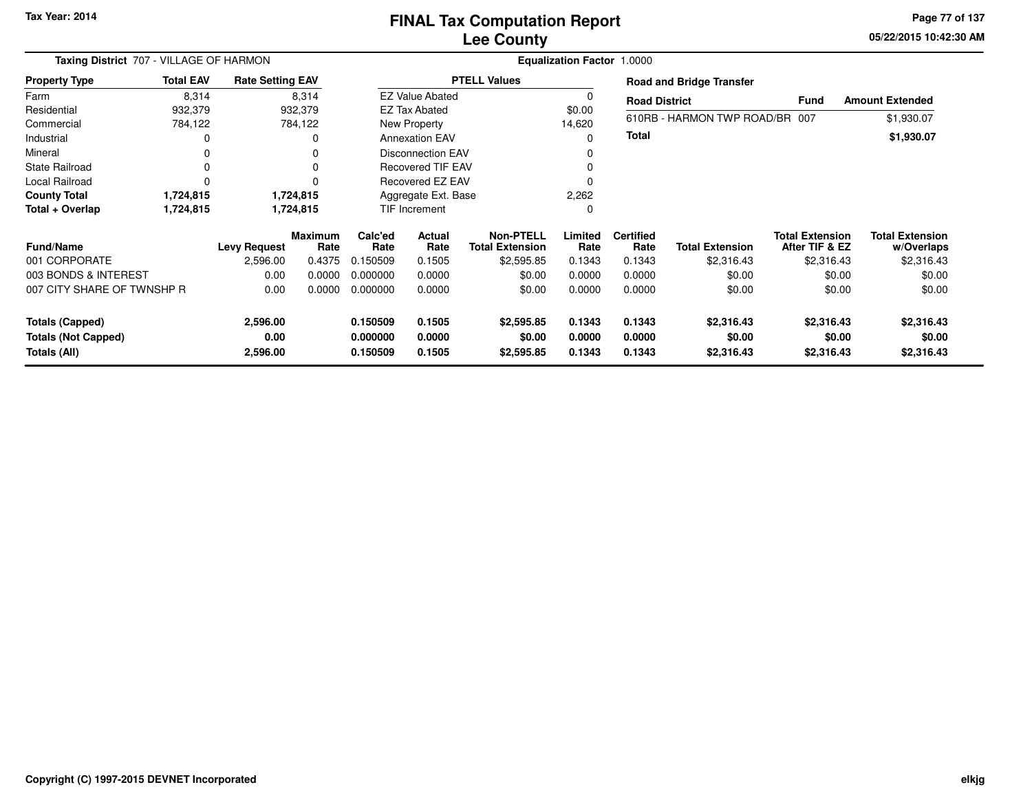# **Lee CountyFINAL Tax Computation Report**

**05/22/2015 10:42:30 AM Page 77 of 137**

|                                            | Taxing District 707 - VILLAGE OF HARMON |                         |                        |                      |                        | Equalization Factor 1.0000          |                  |                          |                                 |                                          |                                      |  |  |  |  |  |
|--------------------------------------------|-----------------------------------------|-------------------------|------------------------|----------------------|------------------------|-------------------------------------|------------------|--------------------------|---------------------------------|------------------------------------------|--------------------------------------|--|--|--|--|--|
| <b>Property Type</b>                       | <b>Total EAV</b>                        | <b>Rate Setting EAV</b> |                        |                      |                        | <b>PTELL Values</b>                 |                  |                          | <b>Road and Bridge Transfer</b> |                                          |                                      |  |  |  |  |  |
| Farm                                       | 8,314                                   |                         | 8,314                  |                      | <b>EZ Value Abated</b> |                                     | $\Omega$         | <b>Road District</b>     |                                 | <b>Fund</b>                              | <b>Amount Extended</b>               |  |  |  |  |  |
| Residential                                | 932,379                                 |                         | 932,379                |                      | EZ Tax Abated          |                                     | \$0.00           |                          |                                 |                                          |                                      |  |  |  |  |  |
| Commercial                                 | 784,122                                 |                         | 784,122                |                      | <b>New Property</b>    |                                     | 14,620           |                          | 610RB - HARMON TWP ROAD/BR 007  |                                          | \$1,930.07                           |  |  |  |  |  |
| Industrial                                 |                                         |                         | 0                      |                      | <b>Annexation EAV</b>  |                                     | 0                | <b>Total</b>             |                                 |                                          | \$1,930.07                           |  |  |  |  |  |
| Mineral                                    |                                         |                         | 0                      |                      | Disconnection EAV      |                                     | 0                |                          |                                 |                                          |                                      |  |  |  |  |  |
| <b>State Railroad</b>                      | 0                                       |                         | 0                      |                      | Recovered TIF EAV      |                                     |                  |                          |                                 |                                          |                                      |  |  |  |  |  |
| Local Railroad                             | O                                       |                         | 0                      |                      | Recovered EZ EAV       |                                     | ŋ                |                          |                                 |                                          |                                      |  |  |  |  |  |
| <b>County Total</b>                        | 1,724,815                               |                         | 1,724,815              | Aggregate Ext. Base  |                        |                                     | 2,262            |                          |                                 |                                          |                                      |  |  |  |  |  |
| Total + Overlap                            | 1,724,815                               |                         | 1,724,815              | TIF Increment        |                        |                                     | 0                |                          |                                 |                                          |                                      |  |  |  |  |  |
| Fund/Name                                  |                                         | <b>Levy Request</b>     | <b>Maximum</b><br>Rate | Calc'ed<br>Rate      | Actual<br>Rate         | Non-PTELL<br><b>Total Extension</b> | Limited<br>Rate  | <b>Certified</b><br>Rate | <b>Total Extension</b>          | <b>Total Extension</b><br>After TIF & EZ | <b>Total Extension</b><br>w/Overlaps |  |  |  |  |  |
| 001 CORPORATE                              |                                         | 2,596.00                | 0.4375                 | 0.150509             | 0.1505                 | \$2,595.85                          | 0.1343           | 0.1343                   | \$2,316.43                      | \$2,316.43                               | \$2,316.43                           |  |  |  |  |  |
| 003 BONDS & INTEREST                       |                                         | 0.00                    | 0.0000                 | 0.000000             | 0.0000                 | \$0.00                              | 0.0000           | 0.0000                   | \$0.00                          | \$0.00                                   | \$0.00                               |  |  |  |  |  |
| 007 CITY SHARE OF TWNSHP R                 |                                         | 0.00                    | 0.0000                 | 0.000000             | 0.0000                 | \$0.00                              | 0.0000           | 0.0000                   | \$0.00                          | \$0.00                                   | \$0.00                               |  |  |  |  |  |
| <b>Totals (Capped)</b>                     |                                         | 2,596.00                |                        | 0.150509             | 0.1505                 | \$2,595.85                          | 0.1343           | 0.1343                   | \$2,316.43                      | \$2,316.43                               | \$2,316.43                           |  |  |  |  |  |
| <b>Totals (Not Capped)</b><br>Totals (All) |                                         | 0.00<br>2,596.00        |                        | 0.000000<br>0.150509 | 0.0000<br>0.1505       | \$0.00<br>\$2,595.85                | 0.0000<br>0.1343 | 0.0000<br>0.1343         | \$0.00<br>\$2,316.43            | \$0.00<br>\$2,316.43                     | \$0.00<br>\$2,316.43                 |  |  |  |  |  |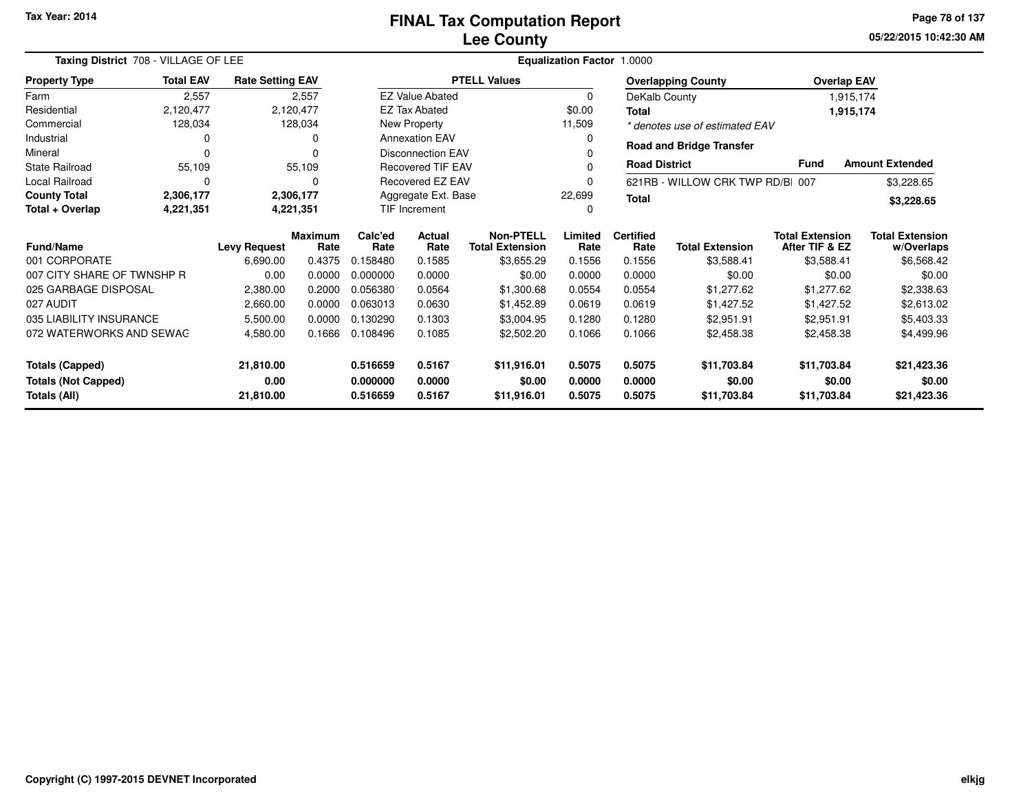| Taxing District 708 - VILLAGE OF LEE    |                  |                         | Equalization Factor 1.0000 |                       |                                            |                     |                          |                        |                                          |                                      |                        |
|-----------------------------------------|------------------|-------------------------|----------------------------|-----------------------|--------------------------------------------|---------------------|--------------------------|------------------------|------------------------------------------|--------------------------------------|------------------------|
| <b>Property Type</b>                    | <b>Total EAV</b> | <b>Rate Setting EAV</b> |                            |                       |                                            | <b>PTELL Values</b> |                          |                        | <b>Overlapping County</b>                | <b>Overlap EAV</b>                   |                        |
| Farm                                    | 2,557            |                         | 2,557                      |                       | <b>EZ Value Abated</b>                     |                     | 0                        |                        | DeKalb County                            |                                      | 1,915,174              |
| Residential                             | 2,120,477        |                         | 2,120,477                  |                       | <b>EZ Tax Abated</b>                       |                     | \$0.00                   | <b>Total</b>           |                                          | 1,915,174                            |                        |
| Commercial                              | 128,034          |                         | 128,034                    |                       | New Property                               |                     | 11,509                   |                        | * denotes use of estimated EAV           |                                      |                        |
| Industrial                              |                  |                         | 0                          |                       | <b>Annexation EAV</b>                      |                     | 0                        |                        |                                          |                                      |                        |
| Mineral                                 | $\Omega$         |                         | 0                          |                       | <b>Disconnection EAV</b>                   |                     |                          |                        | <b>Road and Bridge Transfer</b>          |                                      |                        |
| <b>State Railroad</b>                   | 55,109           |                         | 55,109                     |                       | <b>Recovered TIF EAV</b>                   |                     | 0                        | <b>Road District</b>   |                                          | <b>Fund</b>                          | <b>Amount Extended</b> |
| <b>Local Railroad</b>                   | 0                |                         | 0                          |                       | Recovered EZ EAV                           |                     | 0                        |                        | 621RB - WILLOW CRK TWP RD/B 007          |                                      | \$3,228.65             |
| <b>County Total</b>                     | 2,306,177        |                         | 2,306,177                  | Aggregate Ext. Base   |                                            |                     | 22,699                   | <b>Total</b>           |                                          |                                      | \$3,228.65             |
| Total + Overlap                         | 4,221,351        |                         | 4,221,351                  |                       | TIF Increment<br>0                         |                     |                          |                        |                                          |                                      |                        |
| <b>Fund/Name</b><br><b>Levy Request</b> |                  | <b>Maximum</b><br>Rate  | Calc'ed<br>Rate            | <b>Actual</b><br>Rate | <b>Non-PTELL</b><br><b>Total Extension</b> | Limited<br>Rate     | <b>Certified</b><br>Rate | <b>Total Extension</b> | <b>Total Extension</b><br>After TIF & EZ | <b>Total Extension</b><br>w/Overlaps |                        |
| 001 CORPORATE                           |                  | 6,690.00                | 0.4375                     | 0.158480              | 0.1585                                     | \$3,655.29          | 0.1556                   | 0.1556                 | \$3,588.41                               | \$3,588.41                           | \$6,568.42             |
| 007 CITY SHARE OF TWNSHP R              |                  | 0.00                    | 0.0000                     | 0.000000              | 0.0000                                     | \$0.00              | 0.0000                   | 0.0000                 | \$0.00                                   | \$0.00                               | \$0.00                 |
| 025 GARBAGE DISPOSAL                    |                  | 2,380.00                | 0.2000                     | 0.056380              | 0.0564                                     | \$1,300.68          | 0.0554                   | 0.0554                 | \$1,277.62                               | \$1,277.62                           | \$2,338.63             |
| 027 AUDIT                               |                  | 2,660.00                | 0.0000                     | 0.063013              | 0.0630                                     | \$1,452.89          | 0.0619                   | 0.0619                 | \$1,427.52                               | \$1,427.52                           | \$2,613.02             |
| 035 LIABILITY INSURANCE                 |                  | 5,500.00                | 0.0000                     | 0.130290              | 0.1303                                     | \$3,004.95          | 0.1280                   | 0.1280                 | \$2,951.91                               | \$2,951.91                           | \$5,403.33             |
| 072 WATERWORKS AND SEWAG                |                  | 4,580.00                | 0.1666                     | 0.108496              | 0.1085                                     | \$2,502.20          | 0.1066                   | 0.1066                 | \$2,458.38                               | \$2,458.38                           | \$4,499.96             |
| <b>Totals (Capped)</b><br>21,810.00     |                  |                         |                            | 0.516659              | 0.5167                                     | \$11,916.01         | 0.5075                   | 0.5075                 | \$11,703.84                              | \$11,703.84                          | \$21,423.36            |
| <b>Totals (Not Capped)</b><br>0.00      |                  |                         | 0.000000                   | 0.0000                | \$0.00                                     | 0.0000              | 0.0000                   | \$0.00                 | \$0.00                                   | \$0.00                               |                        |
| Totals (All)<br>21,810.00               |                  |                         |                            | 0.516659              | 0.5167                                     | \$11,916.01         | 0.5075                   | 0.5075                 | \$11,703.84                              | \$11,703.84                          | \$21,423.36            |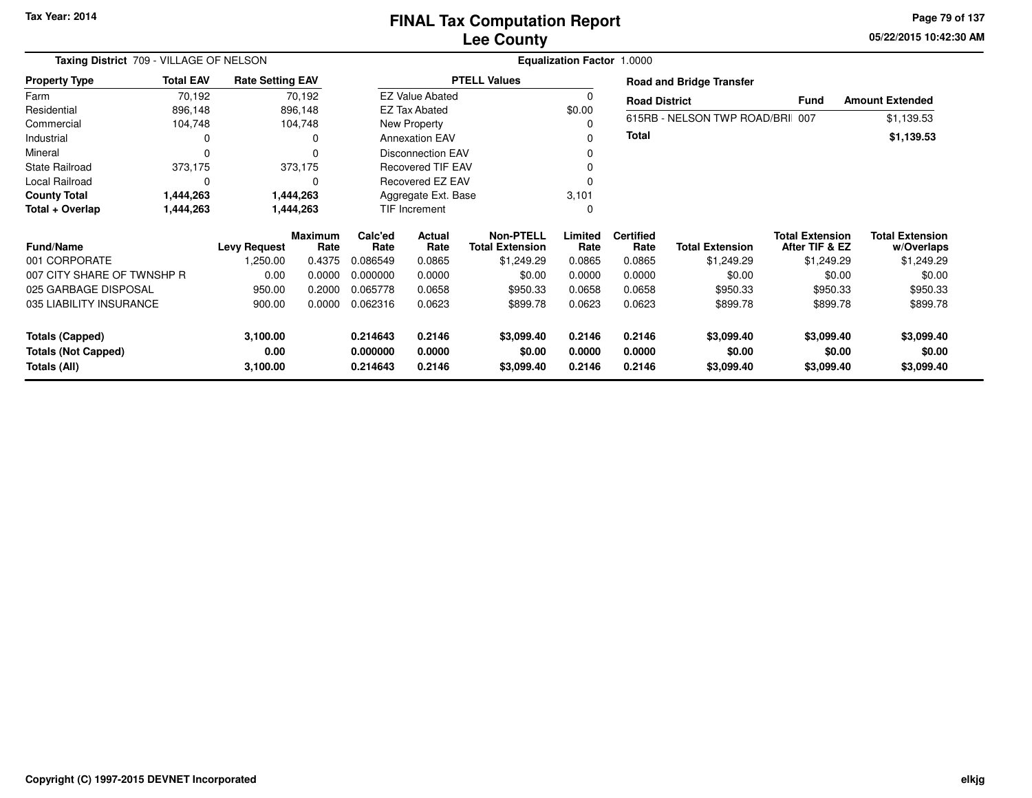# **Lee CountyFINAL Tax Computation Report**

**05/22/2015 10:42:30 AM Page 79 of 137**

| Taxing District 709 - VILLAGE OF NELSON    | <b>Equalization Factor 1.0000</b> |                         |                        |                      |                                                     |                                            |                  |                          |                                 |                                          |                                      |  |
|--------------------------------------------|-----------------------------------|-------------------------|------------------------|----------------------|-----------------------------------------------------|--------------------------------------------|------------------|--------------------------|---------------------------------|------------------------------------------|--------------------------------------|--|
| <b>Property Type</b>                       | <b>Total EAV</b>                  | <b>Rate Setting EAV</b> |                        |                      |                                                     | <b>PTELL Values</b>                        |                  |                          | <b>Road and Bridge Transfer</b> |                                          |                                      |  |
| Farm                                       | 70,192                            |                         | 70,192                 |                      | <b>EZ Value Abated</b>                              |                                            |                  | <b>Road District</b>     |                                 | Fund                                     | <b>Amount Extended</b>               |  |
| Residential                                | 896,148                           |                         | 896,148                |                      | <b>EZ Tax Abated</b>                                |                                            | \$0.00           |                          |                                 |                                          |                                      |  |
| Commercial                                 | 104,748                           |                         | 104,748                |                      | New Property                                        |                                            |                  |                          | 615RB - NELSON TWP ROAD/BRI 007 |                                          | \$1,139.53                           |  |
| Industrial                                 | 0                                 |                         | 0                      |                      | <b>Annexation EAV</b>                               |                                            |                  | <b>Total</b>             |                                 |                                          | \$1,139.53                           |  |
| Mineral                                    | 0                                 |                         | ŋ                      |                      | <b>Disconnection EAV</b>                            |                                            |                  |                          |                                 |                                          |                                      |  |
| <b>State Railroad</b>                      | 373,175                           |                         | 373,175                |                      | <b>Recovered TIF EAV</b><br><b>Recovered EZ EAV</b> |                                            |                  |                          |                                 |                                          |                                      |  |
| Local Railroad                             | $\Omega$                          |                         | 0                      |                      |                                                     |                                            |                  |                          |                                 |                                          |                                      |  |
| <b>County Total</b>                        | 1,444,263                         |                         | 1,444,263              |                      | Aggregate Ext. Base                                 |                                            | 3,101            |                          |                                 |                                          |                                      |  |
| Total + Overlap                            | 1,444,263                         |                         | 1,444,263              |                      | TIF Increment                                       |                                            | 0                |                          |                                 |                                          |                                      |  |
| Fund/Name                                  |                                   | <b>Levy Request</b>     | <b>Maximum</b><br>Rate | Calc'ed<br>Rate      | Actual<br>Rate                                      | <b>Non-PTELL</b><br><b>Total Extension</b> | Limited<br>Rate  | <b>Certified</b><br>Rate | <b>Total Extension</b>          | <b>Total Extension</b><br>After TIF & EZ | <b>Total Extension</b><br>w/Overlaps |  |
| 001 CORPORATE                              |                                   | 1,250.00                | 0.4375                 | 0.086549             | 0.0865                                              | \$1,249.29                                 | 0.0865           | 0.0865                   | \$1,249.29                      | \$1,249.29                               | \$1,249.29                           |  |
| 007 CITY SHARE OF TWNSHP R                 |                                   | 0.00                    | 0.0000                 | 0.000000             | 0.0000                                              | \$0.00                                     | 0.0000           | 0.0000                   | \$0.00                          | \$0.00                                   | \$0.00                               |  |
| 025 GARBAGE DISPOSAL                       |                                   | 950.00                  | 0.2000                 | 0.065778             | 0.0658                                              | \$950.33                                   | 0.0658           | 0.0658                   | \$950.33                        | \$950.33                                 | \$950.33                             |  |
| 035 LIABILITY INSURANCE                    |                                   | 900.00                  | 0.0000                 | 0.062316             | 0.0623                                              | \$899.78                                   | 0.0623           | 0.0623                   | \$899.78                        | \$899.78                                 | \$899.78                             |  |
| <b>Totals (Capped)</b>                     |                                   | 3,100.00                |                        | 0.214643             | 0.2146                                              | \$3,099.40                                 | 0.2146           | 0.2146                   | \$3,099.40                      | \$3,099.40                               | \$3,099.40                           |  |
| <b>Totals (Not Capped)</b><br>Totals (All) |                                   | 0.00<br>3,100.00        |                        | 0.000000<br>0.214643 | 0.0000<br>0.2146                                    | \$0.00<br>\$3,099.40                       | 0.0000<br>0.2146 | 0.0000<br>0.2146         | \$0.00<br>\$3,099.40            | \$0.00<br>\$3,099.40                     | \$0.00<br>\$3,099.40                 |  |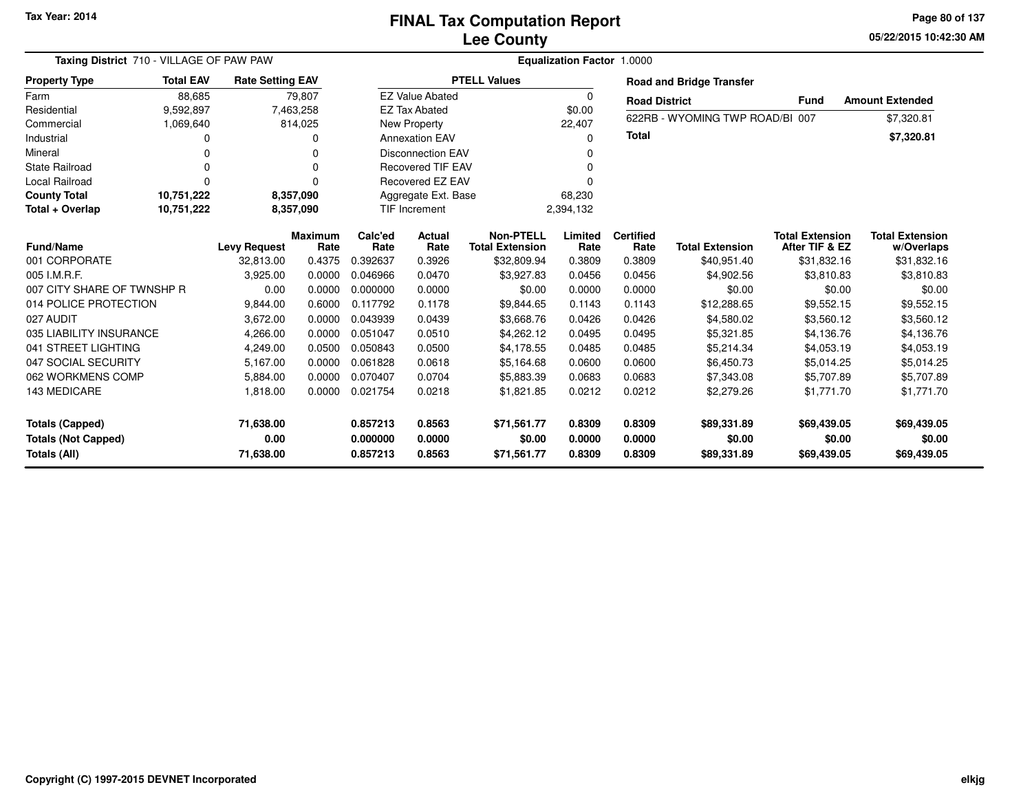**05/22/2015 10:42:30 AM Page 80 of 137**

| Taxing District 710 - VILLAGE OF PAW PAW |                  | <b>Equalization Factor 1.0000</b> |                |                               |                          |                        |           |                      |                                 |                        |                          |
|------------------------------------------|------------------|-----------------------------------|----------------|-------------------------------|--------------------------|------------------------|-----------|----------------------|---------------------------------|------------------------|--------------------------|
| <b>Property Type</b>                     | <b>Total EAV</b> | <b>Rate Setting EAV</b>           |                |                               |                          | <b>PTELL Values</b>    |           |                      | <b>Road and Bridge Transfer</b> |                        |                          |
| Farm                                     | 88,685           |                                   | 79,807         |                               | <b>EZ Value Abated</b>   |                        | $\Omega$  | <b>Road District</b> |                                 | <b>Fund</b>            | <b>Amount Extended</b>   |
| Residential                              | 9,592,897        |                                   | 7,463,258      |                               | <b>EZ Tax Abated</b>     |                        | \$0.00    |                      |                                 |                        |                          |
| Commercial                               | 1,069,640        |                                   | 814,025        |                               | New Property             |                        | 22,407    |                      | 622RB - WYOMING TWP ROAD/BI 007 |                        | \$7,320.81               |
| Industrial                               | O                |                                   |                |                               | <b>Annexation EAV</b>    |                        | O         | <b>Total</b>         |                                 |                        | \$7,320.81               |
| Mineral                                  | O                |                                   | 0              |                               | <b>Disconnection EAV</b> |                        |           |                      |                                 |                        |                          |
| <b>State Railroad</b>                    | O                |                                   | O              |                               | <b>Recovered TIF EAV</b> |                        |           |                      |                                 |                        |                          |
| <b>Local Railroad</b>                    | $\Omega$         |                                   | 0              | Recovered EZ EAV<br>n         |                          |                        |           |                      |                                 |                        |                          |
| <b>County Total</b>                      | 10,751,222       |                                   | 8,357,090      | Aggregate Ext. Base<br>68,230 |                          |                        |           |                      |                                 |                        |                          |
| Total + Overlap                          | 10,751,222       |                                   | 8,357,090      |                               | <b>TIF Increment</b>     |                        | 2,394,132 |                      |                                 |                        |                          |
|                                          |                  |                                   | Maximum        | Calc'ed                       | Actual                   | <b>Non-PTELL</b>       | Limited   | <b>Certified</b>     |                                 | <b>Total Extension</b> | <b>Total Extension</b>   |
| <b>Fund/Name</b><br>001 CORPORATE        |                  | <b>Levy Request</b><br>32.813.00  | Rate<br>0.4375 | Rate<br>0.392637              | Rate<br>0.3926           | <b>Total Extension</b> | Rate      | Rate<br>0.3809       | <b>Total Extension</b>          | After TIF & EZ         | w/Overlaps               |
| 005 I.M.R.F.                             |                  |                                   |                |                               |                          | \$32,809.94            | 0.3809    | 0.0456               | \$40,951.40                     | \$31,832.16            | \$31,832.16              |
| 007 CITY SHARE OF TWNSHP R               |                  | 3,925.00                          | 0.0000         | 0.046966<br>0.000000          | 0.0470                   | \$3,927.83             | 0.0456    |                      | \$4,902.56                      | \$3,810.83             | \$3,810.83               |
|                                          |                  | 0.00                              | 0.0000         | 0.117792                      | 0.0000                   | \$0.00                 | 0.0000    | 0.0000               | \$0.00                          | \$0.00                 | \$0.00                   |
| 014 POLICE PROTECTION<br>027 AUDIT       |                  | 9,844.00                          | 0.6000         |                               | 0.1178                   | \$9,844.65             | 0.1143    | 0.1143<br>0.0426     | \$12,288.65<br>\$4,580.02       | \$9,552.15             | \$9,552.15<br>\$3,560.12 |
| 035 LIABILITY INSURANCE                  |                  | 3,672.00                          | 0.0000         | 0.043939                      | 0.0439                   | \$3,668.76             | 0.0426    |                      |                                 | \$3,560.12             |                          |
|                                          |                  | 4,266.00                          | 0.0000         | 0.051047                      | 0.0510                   | \$4,262.12             | 0.0495    | 0.0495               | \$5,321.85                      | \$4,136.76             | \$4,136.76               |
| 041 STREET LIGHTING                      |                  | 4,249.00                          | 0.0500         | 0.050843                      | 0.0500                   | \$4,178.55             | 0.0485    | 0.0485               | \$5,214.34                      | \$4,053.19             | \$4,053.19               |
| 047 SOCIAL SECURITY                      |                  | 5,167.00                          | 0.0000         | 0.061828                      | 0.0618                   | \$5,164.68             | 0.0600    | 0.0600               | \$6,450.73                      | \$5,014.25             | \$5,014.25               |
| 062 WORKMENS COMP                        |                  | 5,884.00                          | 0.0000         | 0.070407                      | 0.0704                   | \$5.883.39             | 0.0683    | 0.0683               | \$7,343.08                      | \$5,707.89             | \$5,707.89               |
| 143 MEDICARE                             |                  | 1,818.00                          | 0.0000         | 0.021754                      | 0.0218                   | \$1,821.85             | 0.0212    | 0.0212               | \$2,279.26                      | \$1,771.70             | \$1,771.70               |
| Totals (Capped)                          |                  | 71,638.00                         |                | 0.857213                      | 0.8563                   | \$71,561.77            | 0.8309    | 0.8309               | \$89,331.89                     | \$69,439.05            | \$69,439.05              |
| <b>Totals (Not Capped)</b>               |                  | 0.00                              |                | 0.000000                      | 0.0000                   | \$0.00                 | 0.0000    | 0.0000               | \$0.00                          | \$0.00                 | \$0.00                   |
| Totals (All)                             |                  | 71,638.00                         |                | 0.857213                      | 0.8563                   | \$71,561.77            | 0.8309    | 0.8309               | \$89,331.89                     | \$69,439.05            | \$69,439.05              |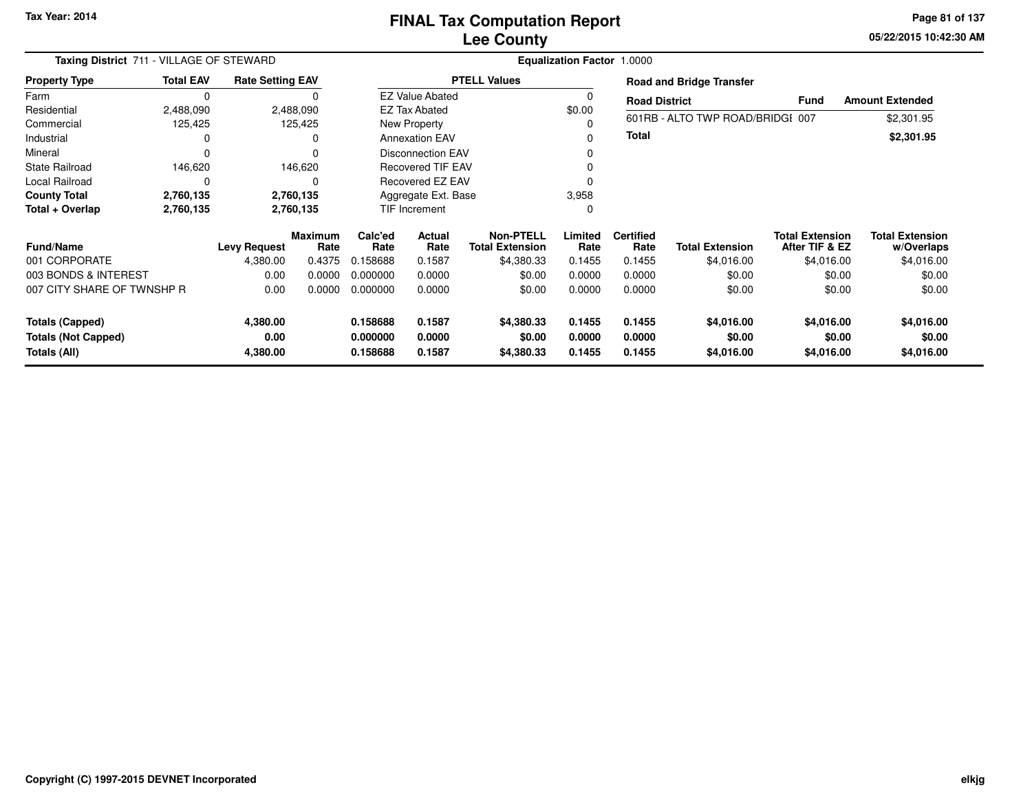**05/22/2015 10:42:30 AM Page 81 of 137**

| Taxing District 711 - VILLAGE OF STEWARD   |                  | Equalization Factor 1.0000 |                        |                         |                          |                                            |                  |                          |                                  |                                          |                                      |
|--------------------------------------------|------------------|----------------------------|------------------------|-------------------------|--------------------------|--------------------------------------------|------------------|--------------------------|----------------------------------|------------------------------------------|--------------------------------------|
| <b>Property Type</b>                       | <b>Total EAV</b> | <b>Rate Setting EAV</b>    |                        |                         |                          | <b>PTELL Values</b>                        |                  |                          | <b>Road and Bridge Transfer</b>  |                                          |                                      |
| Farm                                       | 0                |                            | O                      |                         | <b>EZ Value Abated</b>   |                                            | $\Omega$         | <b>Road District</b>     |                                  | <b>Fund</b>                              | <b>Amount Extended</b>               |
| Residential                                | 2,488,090        |                            | 2,488,090              |                         | EZ Tax Abated            |                                            | \$0.00           |                          |                                  |                                          |                                      |
| Commercial                                 | 125,425          |                            | 125,425                |                         | New Property             |                                            |                  |                          | 601RB - ALTO TWP ROAD/BRIDGI 007 |                                          | \$2,301.95                           |
| Industrial                                 |                  |                            |                        |                         | <b>Annexation EAV</b>    |                                            | $\Omega$         | Total                    |                                  |                                          | \$2,301.95                           |
| Mineral                                    | $\Omega$         |                            | $\Omega$               |                         | <b>Disconnection EAV</b> |                                            | 0                |                          |                                  |                                          |                                      |
| <b>State Railroad</b>                      | 146,620          |                            | 146,620                |                         | <b>Recovered TIF EAV</b> |                                            |                  |                          |                                  |                                          |                                      |
| Local Railroad                             | 0                |                            |                        | <b>Recovered EZ EAV</b> |                          |                                            | $\Omega$         |                          |                                  |                                          |                                      |
| <b>County Total</b>                        | 2,760,135        |                            | 2,760,135              | Aggregate Ext. Base     |                          |                                            | 3,958            |                          |                                  |                                          |                                      |
| Total + Overlap                            | 2,760,135        |                            | 2,760,135              | <b>TIF Increment</b>    |                          |                                            | 0                |                          |                                  |                                          |                                      |
| <b>Fund/Name</b>                           |                  | <b>Levy Request</b>        | <b>Maximum</b><br>Rate | Calc'ed<br>Rate         | Actual<br>Rate           | <b>Non-PTELL</b><br><b>Total Extension</b> | Limited<br>Rate  | <b>Certified</b><br>Rate | <b>Total Extension</b>           | <b>Total Extension</b><br>After TIF & EZ | <b>Total Extension</b><br>w/Overlaps |
| 001 CORPORATE                              |                  | 4,380.00                   | 0.4375                 | 0.158688                | 0.1587                   | \$4,380.33                                 | 0.1455           | 0.1455                   | \$4,016.00                       | \$4,016.00                               | \$4,016.00                           |
| 003 BONDS & INTEREST                       |                  | 0.00                       | 0.0000                 | 0.000000                | 0.0000                   | \$0.00                                     | 0.0000           | 0.0000                   | \$0.00                           | \$0.00                                   | \$0.00                               |
| 007 CITY SHARE OF TWNSHP R                 |                  | 0.00                       | 0.0000                 | 0.000000                | 0.0000                   | \$0.00                                     | 0.0000           | 0.0000                   | \$0.00                           | \$0.00                                   | \$0.00                               |
| <b>Totals (Capped)</b>                     |                  | 4,380.00                   |                        | 0.158688                | 0.1587                   | \$4,380.33                                 | 0.1455           | 0.1455                   | \$4,016.00                       | \$4,016.00                               | \$4,016.00                           |
| <b>Totals (Not Capped)</b><br>Totals (All) |                  | 0.00<br>4,380.00           |                        | 0.000000<br>0.158688    | 0.0000<br>0.1587         | \$0.00<br>\$4,380.33                       | 0.0000<br>0.1455 | 0.0000<br>0.1455         | \$0.00<br>\$4,016.00             | \$0.00<br>\$4,016.00                     | \$0.00<br>\$4,016.00                 |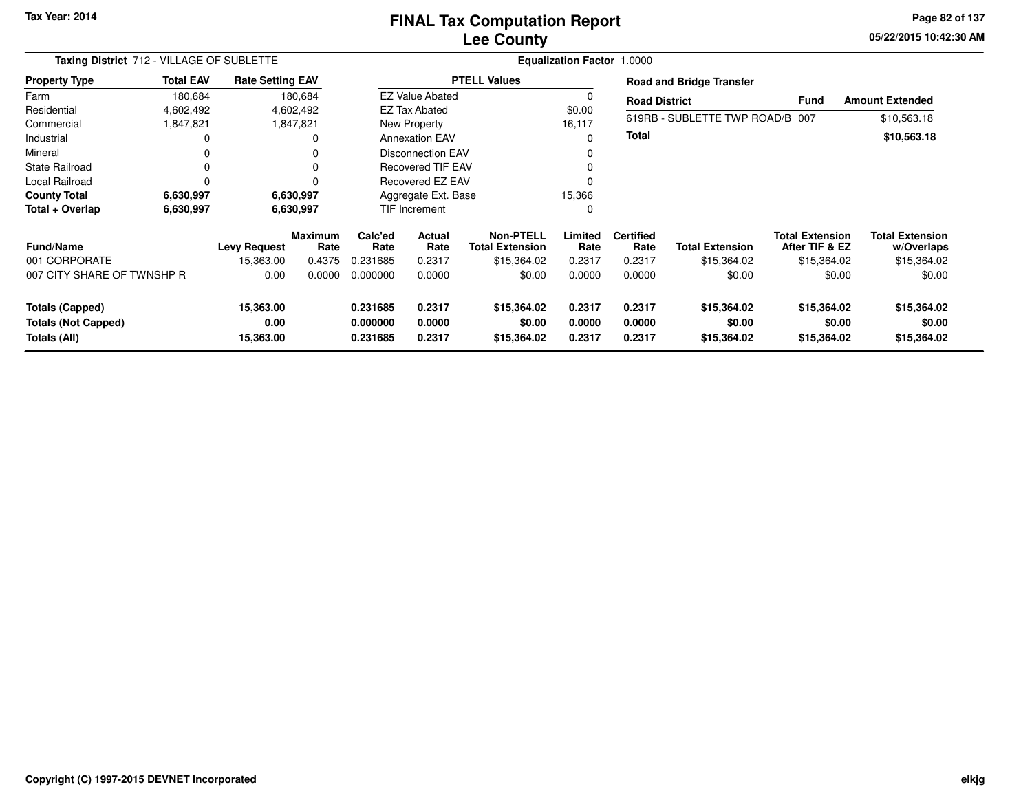### **Lee CountyFINAL Tax Computation Report**

**05/22/2015 10:42:30 AM Page 82 of 137**

| Taxing District 712 - VILLAGE OF SUBLETTE  |                  |                         |                        | <b>Equalization Factor 1.0000</b> |                          |                                            |                  |                          |                                 |                                          |                                      |
|--------------------------------------------|------------------|-------------------------|------------------------|-----------------------------------|--------------------------|--------------------------------------------|------------------|--------------------------|---------------------------------|------------------------------------------|--------------------------------------|
| <b>Property Type</b>                       | <b>Total EAV</b> | <b>Rate Setting EAV</b> |                        |                                   |                          | <b>PTELL Values</b>                        |                  |                          | <b>Road and Bridge Transfer</b> |                                          |                                      |
| Farm                                       | 180,684          |                         | 180,684                |                                   | <b>EZ Value Abated</b>   |                                            | 0                | <b>Road District</b>     |                                 | <b>Fund</b>                              | <b>Amount Extended</b>               |
| Residential                                | 4,602,492        |                         | 4,602,492              |                                   | <b>EZ Tax Abated</b>     |                                            | \$0.00           |                          |                                 |                                          |                                      |
| Commercial                                 | 1,847,821        |                         | 1,847,821              |                                   | New Property             |                                            | 16,117           |                          | 619RB - SUBLETTE TWP ROAD/B 007 |                                          | \$10,563.18                          |
| Industrial                                 |                  |                         |                        |                                   | <b>Annexation EAV</b>    |                                            | $\Omega$         | Total                    |                                 |                                          | \$10,563.18                          |
| Mineral                                    |                  |                         |                        |                                   | <b>Disconnection EAV</b> |                                            | 0                |                          |                                 |                                          |                                      |
| <b>State Railroad</b>                      |                  |                         |                        |                                   | Recovered TIF EAV        |                                            |                  |                          |                                 |                                          |                                      |
| Local Railroad                             |                  |                         |                        |                                   | Recovered EZ EAV         |                                            | $\Omega$         |                          |                                 |                                          |                                      |
| <b>County Total</b>                        | 6,630,997        |                         | 6,630,997              |                                   | Aggregate Ext. Base      |                                            | 15,366           |                          |                                 |                                          |                                      |
| Total + Overlap                            | 6,630,997        |                         | 6,630,997              |                                   | <b>TIF Increment</b>     |                                            | 0                |                          |                                 |                                          |                                      |
| <b>Fund/Name</b>                           |                  | <b>Levy Request</b>     | <b>Maximum</b><br>Rate | Calc'ed<br>Rate                   | Actual<br>Rate           | <b>Non-PTELL</b><br><b>Total Extension</b> | Limited<br>Rate  | <b>Certified</b><br>Rate | <b>Total Extension</b>          | <b>Total Extension</b><br>After TIF & EZ | <b>Total Extension</b><br>w/Overlaps |
| 001 CORPORATE                              |                  | 15,363.00               | 0.4375                 | 0.231685                          | 0.2317                   | \$15,364.02                                | 0.2317           | 0.2317                   | \$15,364.02                     | \$15,364.02                              | \$15,364.02                          |
| 007 CITY SHARE OF TWNSHP R                 |                  | 0.00                    | 0.0000                 | 0.000000                          | 0.0000                   | \$0.00                                     | 0.0000           | 0.0000                   | \$0.00                          | \$0.00                                   | \$0.00                               |
| Totals (Capped)                            |                  | 15,363.00               |                        | 0.231685                          | 0.2317                   | \$15,364.02                                | 0.2317           | 0.2317                   | \$15,364.02                     | \$15,364.02                              | \$15,364.02                          |
| <b>Totals (Not Capped)</b><br>Totals (All) |                  | 0.00<br>15,363.00       |                        | 0.000000<br>0.231685              | 0.0000<br>0.2317         | \$0.00<br>\$15,364.02                      | 0.0000<br>0.2317 | 0.0000<br>0.2317         | \$0.00<br>\$15,364.02           | \$0.00<br>\$15,364.02                    | \$0.00<br>\$15,364.02                |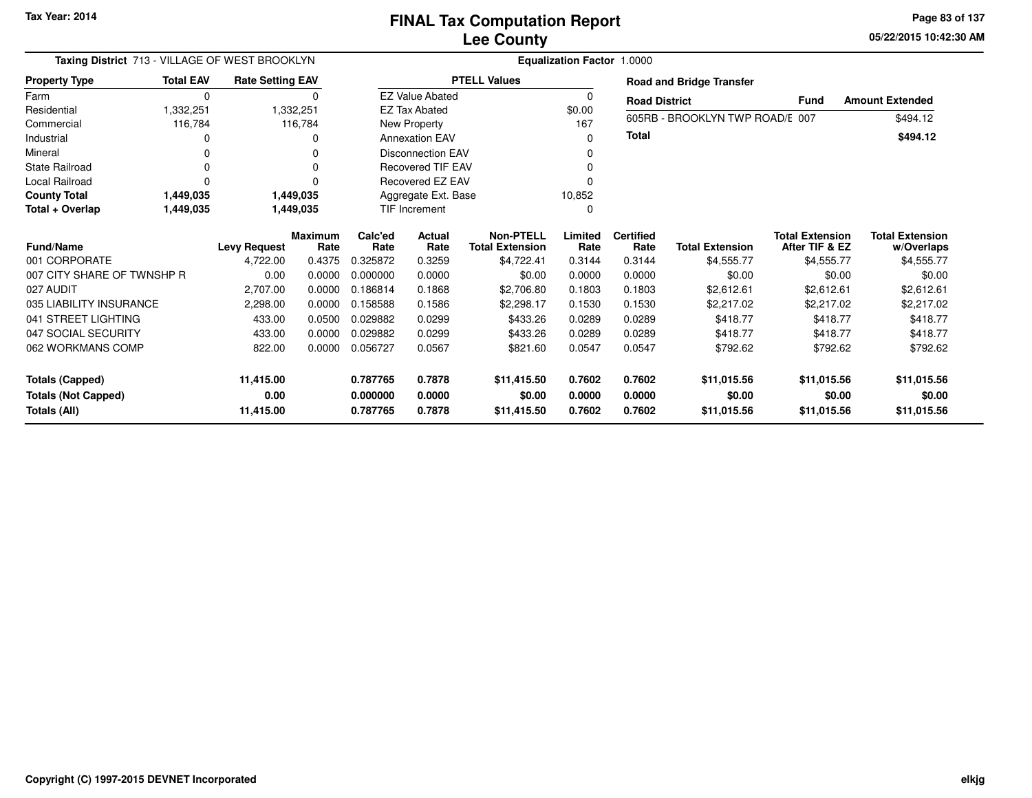**05/22/2015 10:42:30 AM Page 83 of 137**

| Taxing District 713 - VILLAGE OF WEST BROOKLYN |                  |                         |                        | Equalization Factor 1.0000 |                          |                                            |                  |                          |                                 |                                          |                                      |  |  |  |
|------------------------------------------------|------------------|-------------------------|------------------------|----------------------------|--------------------------|--------------------------------------------|------------------|--------------------------|---------------------------------|------------------------------------------|--------------------------------------|--|--|--|
| <b>Property Type</b>                           | <b>Total EAV</b> | <b>Rate Setting EAV</b> |                        |                            |                          | <b>PTELL Values</b>                        |                  |                          | <b>Road and Bridge Transfer</b> |                                          |                                      |  |  |  |
| Farm                                           | 0                |                         | $\mathbf 0$            |                            | <b>EZ Value Abated</b>   |                                            | 0                | <b>Road District</b>     |                                 | <b>Fund</b>                              | <b>Amount Extended</b>               |  |  |  |
| Residential                                    | 1,332,251        |                         | 1,332,251              |                            | <b>EZ Tax Abated</b>     |                                            | \$0.00           |                          | 605RB - BROOKLYN TWP ROAD/E 007 |                                          |                                      |  |  |  |
| Commercial                                     | 116,784          |                         | 116,784                |                            | New Property             |                                            | 167              |                          |                                 |                                          | \$494.12                             |  |  |  |
| Industrial                                     |                  |                         | n                      |                            | <b>Annexation EAV</b>    |                                            | 0                | Total                    |                                 |                                          | \$494.12                             |  |  |  |
| Mineral                                        |                  |                         |                        |                            | <b>Disconnection EAV</b> |                                            |                  |                          |                                 |                                          |                                      |  |  |  |
| <b>State Railroad</b>                          |                  |                         |                        |                            | <b>Recovered TIF EAV</b> |                                            |                  |                          |                                 |                                          |                                      |  |  |  |
| <b>Local Railroad</b>                          |                  |                         | $\Omega$               |                            | Recovered EZ EAV         |                                            | 0                |                          |                                 |                                          |                                      |  |  |  |
| <b>County Total</b>                            | 1,449,035        |                         | 1,449,035              | Aggregate Ext. Base        |                          |                                            | 10,852           |                          |                                 |                                          |                                      |  |  |  |
| Total + Overlap                                | 1,449,035        |                         | 1,449,035              | <b>TIF Increment</b>       |                          | 0                                          |                  |                          |                                 |                                          |                                      |  |  |  |
| <b>Fund/Name</b><br><b>Levy Request</b>        |                  |                         | <b>Maximum</b><br>Rate | Calc'ed<br>Rate            | Actual<br>Rate           | <b>Non-PTELL</b><br><b>Total Extension</b> | Limited<br>Rate  | <b>Certified</b><br>Rate | <b>Total Extension</b>          | <b>Total Extension</b><br>After TIF & EZ | <b>Total Extension</b><br>w/Overlaps |  |  |  |
| 001 CORPORATE                                  |                  | 4,722.00                | 0.4375                 | 0.325872                   | 0.3259                   | \$4,722.41                                 | 0.3144           | 0.3144                   | \$4,555.77                      | \$4,555.77                               | \$4,555.77                           |  |  |  |
| 007 CITY SHARE OF TWNSHP R                     |                  | 0.00                    | 0.0000                 | 0.000000                   | 0.0000                   | \$0.00                                     | 0.0000           | 0.0000                   | \$0.00                          | \$0.00                                   | \$0.00                               |  |  |  |
| 027 AUDIT                                      |                  | 2,707.00                | 0.0000                 | 0.186814                   | 0.1868                   | \$2,706.80                                 | 0.1803           | 0.1803                   | \$2,612.61                      | \$2,612.61                               | \$2,612.61                           |  |  |  |
| 035 LIABILITY INSURANCE                        |                  | 2,298.00                | 0.0000                 | 0.158588                   | 0.1586                   | \$2,298.17                                 | 0.1530           | 0.1530                   | \$2,217.02                      | \$2,217.02                               | \$2,217.02                           |  |  |  |
| 041 STREET LIGHTING                            |                  | 433.00                  | 0.0500                 | 0.029882                   | 0.0299                   | \$433.26                                   | 0.0289           | 0.0289                   | \$418.77                        | \$418.77                                 | \$418.77                             |  |  |  |
| 047 SOCIAL SECURITY                            |                  | 433.00                  | 0.0000                 | 0.029882                   | 0.0299                   | \$433.26                                   | 0.0289           | 0.0289                   | \$418.77                        | \$418.77                                 | \$418.77                             |  |  |  |
| 062 WORKMANS COMP                              |                  | 822.00                  | 0.0000                 | 0.056727                   | 0.0567                   | \$821.60                                   | 0.0547           | 0.0547                   | \$792.62                        | \$792.62                                 | \$792.62                             |  |  |  |
|                                                |                  |                         |                        | 0.787765                   | 0.7878                   |                                            |                  |                          |                                 |                                          |                                      |  |  |  |
| <b>Totals (Capped)</b>                         |                  | 11,415.00               |                        |                            |                          | \$11,415.50                                | 0.7602           | 0.7602                   | \$11,015.56                     | \$11,015.56                              | \$11,015.56                          |  |  |  |
| <b>Totals (Not Capped)</b><br>Totals (All)     |                  | 0.00<br>11,415.00       |                        | 0.000000<br>0.787765       | 0.0000<br>0.7878         | \$0.00<br>\$11,415.50                      | 0.0000<br>0.7602 | 0.0000<br>0.7602         | \$0.00<br>\$11,015.56           | \$0.00<br>\$11,015.56                    | \$0.00<br>\$11,015.56                |  |  |  |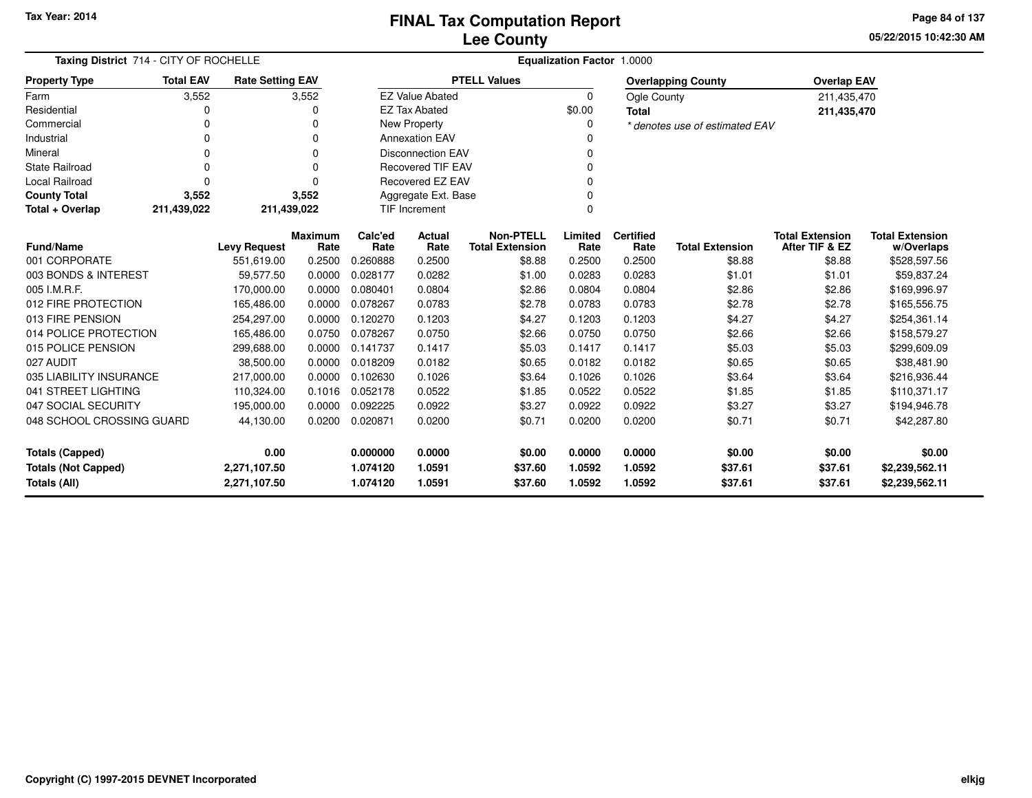**05/22/2015 10:42:30 AMPage 84 of 137**

| Taxing District 714 - CITY OF ROCHELLE                                     |                  |                         |                        | <b>Equalization Factor 1.0000</b> |                                  |                                            |                  |                          |                                |                                          |                                      |
|----------------------------------------------------------------------------|------------------|-------------------------|------------------------|-----------------------------------|----------------------------------|--------------------------------------------|------------------|--------------------------|--------------------------------|------------------------------------------|--------------------------------------|
| <b>Property Type</b>                                                       | <b>Total EAV</b> | <b>Rate Setting EAV</b> |                        |                                   |                                  | <b>PTELL Values</b>                        |                  |                          | <b>Overlapping County</b>      | <b>Overlap EAV</b>                       |                                      |
| Farm                                                                       | 3,552            |                         | 3,552                  |                                   | <b>EZ Value Abated</b>           |                                            | $\mathbf 0$      | <b>Ogle County</b>       |                                | 211,435,470                              |                                      |
| Residential                                                                | 0                |                         | O                      |                                   | <b>EZ Tax Abated</b>             |                                            | \$0.00           | <b>Total</b>             |                                | 211,435,470                              |                                      |
| Commercial                                                                 | 0                |                         | 0                      |                                   | New Property                     |                                            | 0                |                          | * denotes use of estimated EAV |                                          |                                      |
| Industrial                                                                 | 0                |                         | $\Omega$               |                                   | <b>Annexation EAV</b>            |                                            | n                |                          |                                |                                          |                                      |
| Mineral                                                                    | 0                |                         | 0                      |                                   | <b>Disconnection EAV</b>         |                                            | O                |                          |                                |                                          |                                      |
| <b>State Railroad</b>                                                      | 0                |                         | $\Omega$               |                                   | <b>Recovered TIF EAV</b>         |                                            | 0                |                          |                                |                                          |                                      |
| Local Railroad                                                             | 0                |                         |                        |                                   | Recovered EZ EAV                 |                                            | 0                |                          |                                |                                          |                                      |
| <b>County Total</b>                                                        | 3,552            |                         | 3,552                  |                                   | Aggregate Ext. Base              |                                            | $\Omega$         |                          |                                |                                          |                                      |
| Total + Overlap                                                            | 211,439,022      | 211,439,022             |                        |                                   | <b>TIF Increment</b><br>$\Omega$ |                                            |                  |                          |                                |                                          |                                      |
| <b>Fund/Name</b>                                                           |                  | <b>Levy Request</b>     | <b>Maximum</b><br>Rate | Calc'ed<br>Rate                   | Actual<br>Rate                   | <b>Non-PTELL</b><br><b>Total Extension</b> | Limited<br>Rate  | <b>Certified</b><br>Rate | <b>Total Extension</b>         | <b>Total Extension</b><br>After TIF & EZ | <b>Total Extension</b><br>w/Overlaps |
| 001 CORPORATE                                                              |                  | 551,619.00              | 0.2500                 | 0.260888                          | 0.2500                           | \$8.88                                     | 0.2500           | 0.2500                   | \$8.88                         | \$8.88                                   | \$528,597.56                         |
| 003 BONDS & INTEREST                                                       |                  | 59,577.50               | 0.0000                 | 0.028177                          | 0.0282                           | \$1.00                                     | 0.0283           | 0.0283                   | \$1.01                         | \$1.01                                   | \$59,837.24                          |
| 005 I.M.R.F.                                                               |                  | 170,000.00              | 0.0000                 | 0.080401                          | 0.0804                           | \$2.86                                     | 0.0804           | 0.0804                   | \$2.86                         | \$2.86                                   | \$169,996.97                         |
| 012 FIRE PROTECTION                                                        |                  | 165,486.00              | 0.0000                 | 0.078267                          | 0.0783                           | \$2.78                                     | 0.0783           | 0.0783                   | \$2.78                         | \$2.78                                   | \$165,556.75                         |
| 013 FIRE PENSION                                                           |                  | 254,297.00              | 0.0000                 | 0.120270                          | 0.1203                           | \$4.27                                     | 0.1203           | 0.1203                   | \$4.27                         | \$4.27                                   | \$254,361.14                         |
| 014 POLICE PROTECTION                                                      |                  | 165,486.00              | 0.0750                 | 0.078267                          | 0.0750                           | \$2.66                                     | 0.0750           | 0.0750                   | \$2.66                         | \$2.66                                   | \$158,579.27                         |
| 015 POLICE PENSION                                                         |                  | 299,688.00              | 0.0000                 | 0.141737                          | 0.1417                           | \$5.03                                     | 0.1417           | 0.1417                   | \$5.03                         | \$5.03                                   | \$299,609.09                         |
| 027 AUDIT                                                                  |                  | 38,500.00               | 0.0000                 | 0.018209                          | 0.0182                           | \$0.65                                     | 0.0182           | 0.0182                   | \$0.65                         | \$0.65                                   | \$38,481.90                          |
| 035 LIABILITY INSURANCE                                                    |                  | 217,000.00              | 0.0000                 | 0.102630                          | 0.1026                           | \$3.64                                     | 0.1026           | 0.1026                   | \$3.64                         | \$3.64                                   | \$216,936.44                         |
| 041 STREET LIGHTING                                                        |                  | 110,324.00              | 0.1016                 | 0.052178                          | 0.0522                           | \$1.85                                     | 0.0522           | 0.0522                   | \$1.85                         | \$1.85                                   | \$110,371.17                         |
| 047 SOCIAL SECURITY                                                        |                  | 195,000.00              | 0.0000                 | 0.092225                          | 0.0922                           | \$3.27                                     | 0.0922           | 0.0922                   | \$3.27                         | \$3.27                                   | \$194,946.78                         |
| 048 SCHOOL CROSSING GUARD<br>44,130.00                                     |                  | 0.0200                  | 0.020871               | 0.0200                            | \$0.71                           | 0.0200                                     | 0.0200           | \$0.71                   | \$0.71                         | \$42,287.80                              |                                      |
| 0.00<br><b>Totals (Capped)</b>                                             |                  |                         | 0.000000               | 0.0000                            | \$0.00                           | 0.0000                                     | 0.0000           | \$0.00                   | \$0.00                         | \$0.00                                   |                                      |
| <b>Totals (Not Capped)</b><br>2,271,107.50<br>Totals (All)<br>2,271,107.50 |                  |                         |                        | 1.074120<br>1.074120              | 1.0591<br>1.0591                 | \$37.60<br>\$37.60                         | 1.0592<br>1.0592 | 1.0592<br>1.0592         | \$37.61<br>\$37.61             | \$37.61<br>\$37.61                       | \$2,239,562.11<br>\$2,239,562.11     |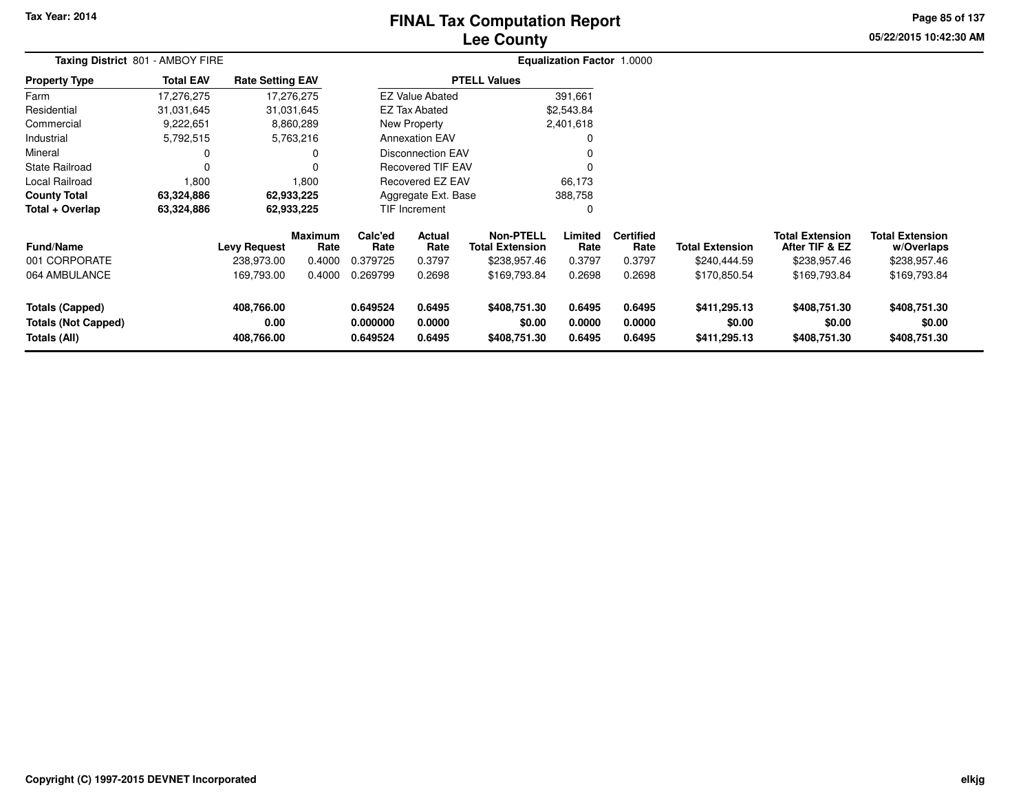# **Lee CountyFINAL Tax Computation Report**

**05/22/2015 10:42:30 AM Page 85 of 137**

| Taxing District 801 - AMBOY FIRE                                     |                  |                                  | <b>Equalization Factor 1.0000</b> |                                  |                            |                                            |                            |                            |                                        |                                          |                                        |  |
|----------------------------------------------------------------------|------------------|----------------------------------|-----------------------------------|----------------------------------|----------------------------|--------------------------------------------|----------------------------|----------------------------|----------------------------------------|------------------------------------------|----------------------------------------|--|
| <b>Property Type</b>                                                 | <b>Total EAV</b> | <b>Rate Setting EAV</b>          |                                   |                                  |                            | <b>PTELL Values</b>                        |                            |                            |                                        |                                          |                                        |  |
| Farm                                                                 | 17,276,275       |                                  | 17,276,275                        |                                  | <b>EZ Value Abated</b>     |                                            | 391,661                    |                            |                                        |                                          |                                        |  |
| Residential                                                          | 31,031,645       |                                  | 31,031,645                        |                                  | <b>EZ Tax Abated</b>       |                                            | \$2,543.84                 |                            |                                        |                                          |                                        |  |
| Commercial                                                           | 9,222,651        |                                  | 8,860,289                         |                                  | <b>New Property</b>        |                                            | 2,401,618                  |                            |                                        |                                          |                                        |  |
| Industrial                                                           | 5,792,515        |                                  | 5,763,216                         |                                  | <b>Annexation EAV</b>      |                                            |                            |                            |                                        |                                          |                                        |  |
| Mineral                                                              |                  |                                  |                                   |                                  | Disconnection EAV          |                                            | <sup>0</sup>               |                            |                                        |                                          |                                        |  |
| <b>State Railroad</b>                                                |                  |                                  |                                   |                                  | <b>Recovered TIF EAV</b>   |                                            | $\Omega$                   |                            |                                        |                                          |                                        |  |
| <b>Local Railroad</b>                                                | 1,800            |                                  | 1,800                             |                                  | Recovered EZ EAV           |                                            | 66,173                     |                            |                                        |                                          |                                        |  |
| <b>County Total</b>                                                  | 63,324,886       |                                  | 62,933,225                        |                                  | Aggregate Ext. Base        |                                            | 388,758                    |                            |                                        |                                          |                                        |  |
| Total + Overlap                                                      | 63,324,886       |                                  | 62,933,225                        |                                  | <b>TIF Increment</b>       |                                            | $\Omega$                   |                            |                                        |                                          |                                        |  |
| <b>Fund/Name</b>                                                     |                  | <b>Levy Request</b>              | <b>Maximum</b><br>Rate            | Calc'ed<br>Rate                  | <b>Actual</b><br>Rate      | <b>Non-PTELL</b><br><b>Total Extension</b> | Limited<br>Rate            | <b>Certified</b><br>Rate   | <b>Total Extension</b>                 | <b>Total Extension</b><br>After TIF & EZ | <b>Total Extension</b><br>w/Overlaps   |  |
| 001 CORPORATE                                                        |                  | 238,973.00                       | 0.4000                            | 0.379725                         | 0.3797                     | \$238,957.46                               | 0.3797                     | 0.3797                     | \$240,444.59                           | \$238,957.46                             | \$238,957.46                           |  |
| 064 AMBULANCE                                                        |                  | 169,793.00                       | 0.4000                            | 0.269799                         | 0.2698                     | \$169,793.84                               | 0.2698                     | 0.2698                     | \$170,850.54                           | \$169,793.84                             | \$169,793.84                           |  |
| <b>Totals (Capped)</b><br><b>Totals (Not Capped)</b><br>Totals (All) |                  | 408,766.00<br>0.00<br>408,766.00 |                                   | 0.649524<br>0.000000<br>0.649524 | 0.6495<br>0.0000<br>0.6495 | \$408,751.30<br>\$0.00<br>\$408,751.30     | 0.6495<br>0.0000<br>0.6495 | 0.6495<br>0.0000<br>0.6495 | \$411,295.13<br>\$0.00<br>\$411,295.13 | \$408,751.30<br>\$0.00<br>\$408,751.30   | \$408,751.30<br>\$0.00<br>\$408,751.30 |  |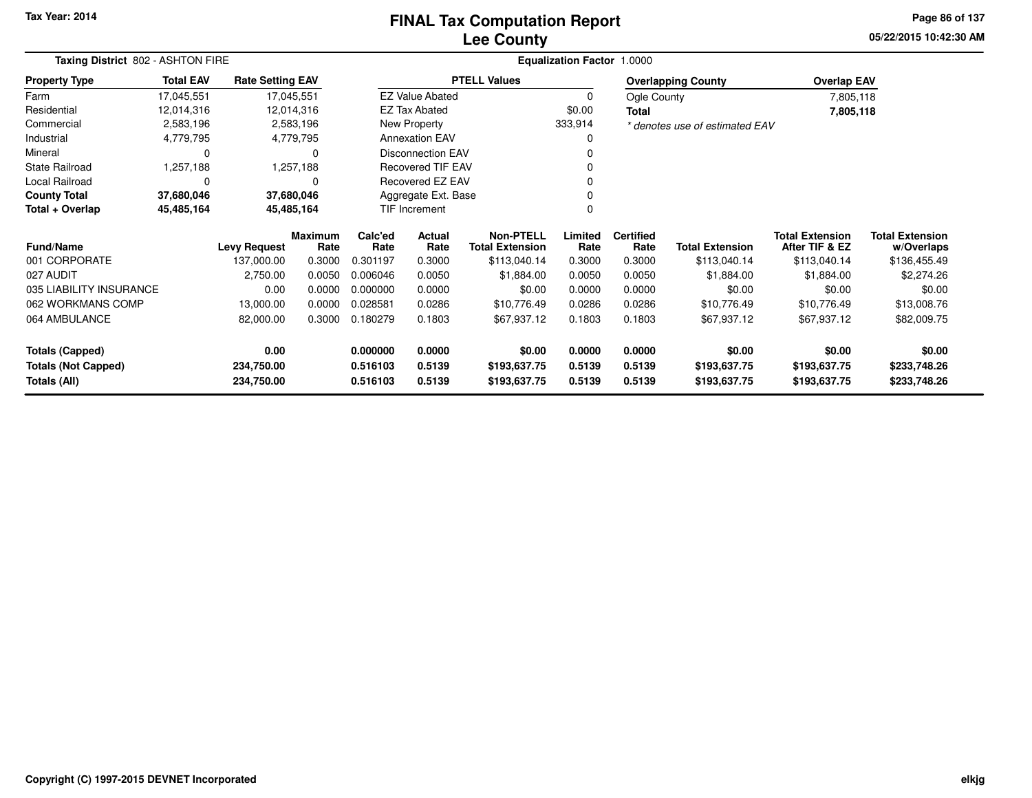### **Lee CountyFINAL Tax Computation Report**

**05/22/2015 10:42:30 AM Page 86 of 137**

| Taxing District 802 - ASHTON FIRE |                  |                         |                        |                 |                          |                                            | Equalization Factor 1.0000 |                          |                                |                                          |                                      |
|-----------------------------------|------------------|-------------------------|------------------------|-----------------|--------------------------|--------------------------------------------|----------------------------|--------------------------|--------------------------------|------------------------------------------|--------------------------------------|
| <b>Property Type</b>              | <b>Total EAV</b> | <b>Rate Setting EAV</b> |                        |                 |                          | <b>PTELL Values</b>                        |                            |                          | <b>Overlapping County</b>      | <b>Overlap EAV</b>                       |                                      |
| Farm                              | 17,045,551       |                         | 17,045,551             |                 | <b>EZ Value Abated</b>   |                                            | 0                          | Ogle County              |                                | 7,805,118                                |                                      |
| Residential                       | 12,014,316       |                         | 12,014,316             |                 | <b>EZ Tax Abated</b>     |                                            | \$0.00                     | <b>Total</b>             |                                | 7,805,118                                |                                      |
| Commercial                        | 2,583,196        |                         | 2,583,196              |                 | New Property             |                                            | 333,914                    |                          | * denotes use of estimated EAV |                                          |                                      |
| Industrial                        | 4,779,795        |                         | 4,779,795              |                 | <b>Annexation EAV</b>    |                                            |                            |                          |                                |                                          |                                      |
| Mineral                           | 0                |                         | 0                      |                 | <b>Disconnection EAV</b> |                                            |                            |                          |                                |                                          |                                      |
| <b>State Railroad</b>             | 1,257,188        |                         | 1,257,188              |                 | <b>Recovered TIF EAV</b> |                                            |                            |                          |                                |                                          |                                      |
| Local Railroad                    | 0                |                         | 0                      |                 | Recovered EZ EAV         |                                            |                            |                          |                                |                                          |                                      |
| <b>County Total</b>               | 37,680,046       |                         | 37,680,046             |                 | Aggregate Ext. Base      |                                            |                            |                          |                                |                                          |                                      |
| Total + Overlap                   | 45,485,164       |                         | 45,485,164             |                 | TIF Increment            |                                            |                            |                          |                                |                                          |                                      |
| <b>Fund/Name</b>                  |                  | <b>Levy Request</b>     | <b>Maximum</b><br>Rate | Calc'ed<br>Rate | Actual<br>Rate           | <b>Non-PTELL</b><br><b>Total Extension</b> | Limited<br>Rate            | <b>Certified</b><br>Rate | <b>Total Extension</b>         | <b>Total Extension</b><br>After TIF & EZ | <b>Total Extension</b><br>w/Overlaps |
| 001 CORPORATE                     |                  | 137,000.00              | 0.3000                 | 0.301197        | 0.3000                   | \$113,040.14                               | 0.3000                     | 0.3000                   | \$113,040.14                   | \$113,040.14                             | \$136,455.49                         |
| 027 AUDIT                         |                  | 2,750.00                | 0.0050                 | 0.006046        | 0.0050                   | \$1,884.00                                 | 0.0050                     | 0.0050                   | \$1,884.00                     | \$1,884.00                               | \$2,274.26                           |
| 035 LIABILITY INSURANCE           |                  | 0.00                    | 0.0000                 | 0.000000        | 0.0000                   | \$0.00                                     | 0.0000                     | 0.0000                   | \$0.00                         | \$0.00                                   | \$0.00                               |
| 062 WORKMANS COMP                 |                  | 13,000.00               | 0.0000                 | 0.028581        | 0.0286                   | \$10,776.49                                | 0.0286                     | 0.0286                   | \$10,776.49                    | \$10,776.49                              | \$13,008.76                          |
| 064 AMBULANCE                     |                  | 82,000.00               | 0.3000                 | 0.180279        | 0.1803                   | \$67,937.12                                | 0.1803                     | 0.1803                   | \$67,937.12                    | \$67,937.12                              | \$82,009.75                          |
| <b>Totals (Capped)</b>            |                  | 0.00                    |                        | 0.000000        | 0.0000                   | \$0.00                                     | 0.0000                     | 0.0000                   | \$0.00                         | \$0.00                                   | \$0.00                               |
| <b>Totals (Not Capped)</b>        |                  | 234,750.00              |                        | 0.516103        | 0.5139                   | \$193,637.75                               | 0.5139                     | 0.5139                   | \$193,637.75                   | \$193,637.75                             | \$233,748.26                         |
| Totals (All)                      |                  | 234,750.00              |                        | 0.516103        | 0.5139                   | \$193,637.75                               | 0.5139                     | 0.5139                   | \$193,637.75                   | \$193,637.75                             | \$233,748.26                         |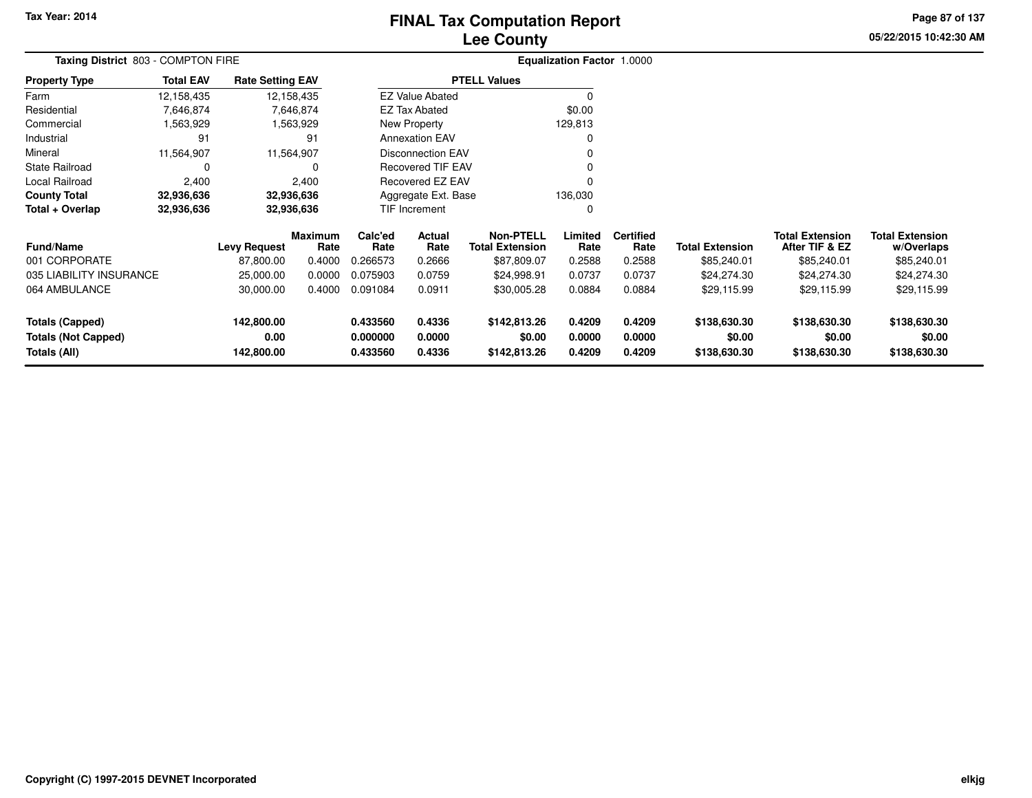# **Lee CountyFINAL Tax Computation Report**

**05/22/2015 10:42:30 AM Page 87 of 137**

| Taxing District 803 - COMPTON FIRE |                  |                         |                        |                 |                          |                                            | Equalization Factor 1.0000 |                          |                 |                                          |                                      |
|------------------------------------|------------------|-------------------------|------------------------|-----------------|--------------------------|--------------------------------------------|----------------------------|--------------------------|-----------------|------------------------------------------|--------------------------------------|
| <b>Property Type</b>               | <b>Total EAV</b> | <b>Rate Setting EAV</b> |                        |                 |                          | <b>PTELL Values</b>                        |                            |                          |                 |                                          |                                      |
| Farm                               | 12,158,435       |                         | 12,158,435             |                 | <b>EZ Value Abated</b>   |                                            |                            |                          |                 |                                          |                                      |
| Residential                        | 7,646,874        |                         | 7,646,874              |                 | <b>EZ Tax Abated</b>     |                                            | \$0.00                     |                          |                 |                                          |                                      |
| Commercial                         | 1,563,929        |                         | 1,563,929              |                 | New Property             |                                            | 129,813                    |                          |                 |                                          |                                      |
| Industrial                         | 91               |                         | 91                     |                 | <b>Annexation EAV</b>    |                                            |                            |                          |                 |                                          |                                      |
| Mineral                            | 11,564,907       |                         | 11,564,907             |                 | <b>Disconnection EAV</b> |                                            |                            |                          |                 |                                          |                                      |
| <b>State Railroad</b>              | 0                |                         | 0                      |                 | <b>Recovered TIF EAV</b> |                                            |                            |                          |                 |                                          |                                      |
| Local Railroad                     | 2,400            |                         | 2,400                  |                 | Recovered EZ EAV         |                                            |                            |                          |                 |                                          |                                      |
| <b>County Total</b>                | 32,936,636       |                         | 32,936,636             |                 | Aggregate Ext. Base      |                                            | 136,030                    |                          |                 |                                          |                                      |
| Total + Overlap                    | 32,936,636       |                         | 32,936,636             |                 | TIF Increment            |                                            | 0                          |                          |                 |                                          |                                      |
| <b>Fund/Name</b>                   |                  | <b>Levy Request</b>     | <b>Maximum</b><br>Rate | Calc'ed<br>Rate | Actual<br>Rate           | <b>Non-PTELL</b><br><b>Total Extension</b> | Limited<br>Rate            | <b>Certified</b><br>Rate | Total Extension | <b>Total Extension</b><br>After TIF & EZ | <b>Total Extension</b><br>w/Overlaps |
| 001 CORPORATE                      |                  | 87,800.00               | 0.4000                 | 0.266573        | 0.2666                   | \$87,809.07                                | 0.2588                     | 0.2588                   | \$85,240.01     | \$85,240.01                              | \$85,240.01                          |
| 035 LIABILITY INSURANCE            |                  | 25,000.00               | 0.0000                 | 0.075903        | 0.0759                   | \$24,998.91                                | 0.0737                     | 0.0737                   | \$24,274.30     | \$24,274.30                              | \$24,274.30                          |
| 064 AMBULANCE                      |                  | 30,000.00               | 0.4000                 | 0.091084        | 0.0911                   | \$30,005.28                                | 0.0884                     | 0.0884                   | \$29,115.99     | \$29,115.99                              | \$29,115.99                          |
| <b>Totals (Capped)</b>             |                  | 142,800.00              |                        | 0.433560        | 0.4336                   | \$142,813.26                               | 0.4209                     | 0.4209                   | \$138,630.30    | \$138,630.30                             | \$138,630.30                         |
| <b>Totals (Not Capped)</b>         |                  | 0.00                    |                        | 0.000000        | 0.0000                   | \$0.00                                     | 0.0000                     | 0.0000                   | \$0.00          | \$0.00                                   | \$0.00                               |
| Totals (All)                       |                  | 142,800.00              |                        | 0.433560        | 0.4336                   | \$142,813.26                               | 0.4209                     | 0.4209                   | \$138,630.30    | \$138,630.30                             | \$138,630.30                         |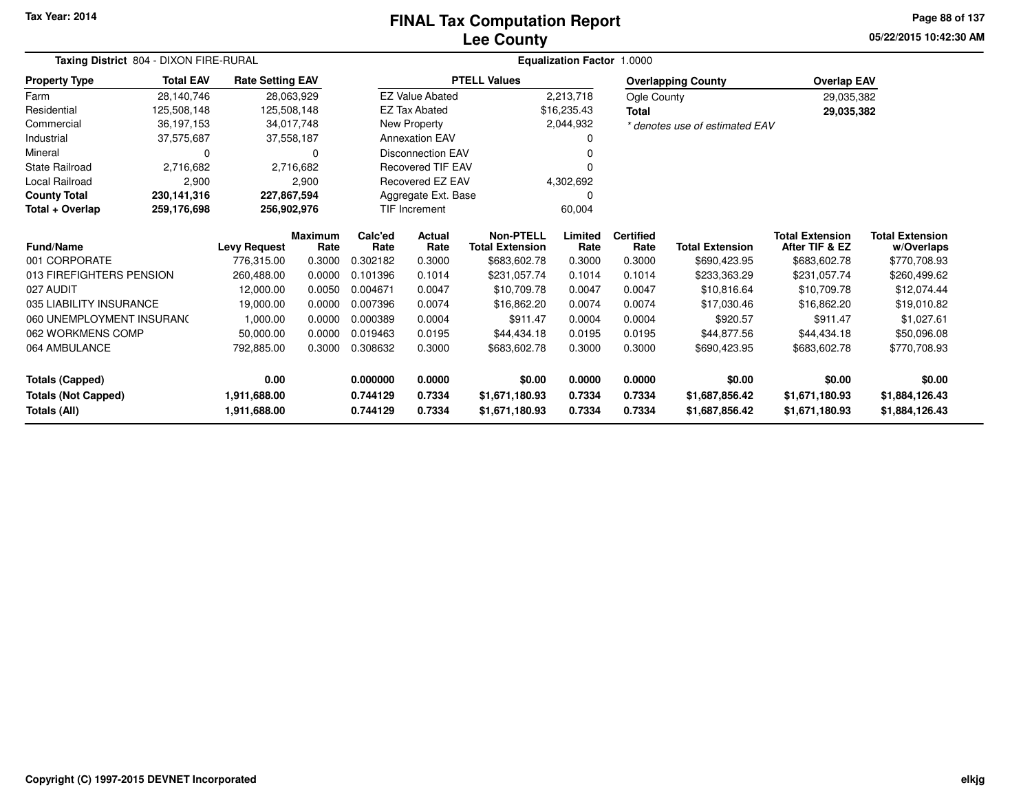# **Lee CountyFINAL Tax Computation Report**

**05/22/2015 10:42:30 AM Page 88 of 137**

|                                            | Taxing District 804 - DIXON FIRE-RURAL |                         |                        |                 | <b>Equalization Factor 1.0000</b> |                                            |                 |                          |                                |                                          |                                      |  |
|--------------------------------------------|----------------------------------------|-------------------------|------------------------|-----------------|-----------------------------------|--------------------------------------------|-----------------|--------------------------|--------------------------------|------------------------------------------|--------------------------------------|--|
| <b>Property Type</b>                       | <b>Total EAV</b>                       | <b>Rate Setting EAV</b> |                        |                 |                                   | <b>PTELL Values</b>                        |                 |                          | <b>Overlapping County</b>      | <b>Overlap EAV</b>                       |                                      |  |
| Farm                                       | 28,140,746                             |                         | 28,063,929             |                 | <b>EZ Value Abated</b>            |                                            | 2,213,718       | Ogle County              |                                | 29,035,382                               |                                      |  |
| Residential                                | 125,508,148                            |                         | 125,508,148            |                 | <b>EZ Tax Abated</b>              |                                            | \$16,235.43     | <b>Total</b>             |                                | 29,035,382                               |                                      |  |
| Commercial                                 | 36,197,153                             |                         | 34,017,748             |                 | New Property                      |                                            | 2,044,932       |                          | * denotes use of estimated EAV |                                          |                                      |  |
| Industrial                                 | 37,575,687                             |                         | 37,558,187             |                 | <b>Annexation EAV</b>             |                                            |                 |                          |                                |                                          |                                      |  |
| Mineral                                    | 0                                      |                         | 0                      |                 | <b>Disconnection EAV</b>          |                                            |                 |                          |                                |                                          |                                      |  |
| State Railroad                             | 2,716,682                              |                         | 2,716,682              |                 | <b>Recovered TIF EAV</b>          |                                            |                 |                          |                                |                                          |                                      |  |
| Local Railroad                             | 2,900                                  |                         | 2,900                  |                 | Recovered EZ EAV                  |                                            | 4,302,692       |                          |                                |                                          |                                      |  |
| <b>County Total</b>                        | 230,141,316                            |                         | 227,867,594            |                 | Aggregate Ext. Base               |                                            | 0               |                          |                                |                                          |                                      |  |
| Total + Overlap                            | 259,176,698                            | 256,902,976             |                        |                 | <b>TIF Increment</b>              |                                            | 60,004          |                          |                                |                                          |                                      |  |
| Fund/Name                                  |                                        | <b>Levy Request</b>     | <b>Maximum</b><br>Rate | Calc'ed<br>Rate | <b>Actual</b><br>Rate             | <b>Non-PTELL</b><br><b>Total Extension</b> | Limited<br>Rate | <b>Certified</b><br>Rate | <b>Total Extension</b>         | <b>Total Extension</b><br>After TIF & EZ | <b>Total Extension</b><br>w/Overlaps |  |
| 001 CORPORATE                              |                                        | 776,315.00              | 0.3000                 | 0.302182        | 0.3000                            | \$683,602.78                               | 0.3000          | 0.3000                   | \$690,423.95                   | \$683,602.78                             | \$770,708.93                         |  |
| 013 FIREFIGHTERS PENSION                   |                                        | 260,488.00              | 0.0000                 | 0.101396        | 0.1014                            | \$231,057.74                               | 0.1014          | 0.1014                   | \$233,363.29                   | \$231,057.74                             | \$260,499.62                         |  |
| 027 AUDIT                                  |                                        | 12,000.00               | 0.0050                 | 0.004671        | 0.0047                            | \$10,709.78                                | 0.0047          | 0.0047                   | \$10,816.64                    | \$10,709.78                              | \$12,074.44                          |  |
| 035 LIABILITY INSURANCE                    |                                        | 19,000.00               | 0.0000                 | 0.007396        | 0.0074                            | \$16,862.20                                | 0.0074          | 0.0074                   | \$17,030.46                    | \$16,862.20                              | \$19,010.82                          |  |
| 060 UNEMPLOYMENT INSURANC                  |                                        | 1,000.00                | 0.0000                 | 0.000389        | 0.0004                            | \$911.47                                   | 0.0004          | 0.0004                   | \$920.57                       | \$911.47                                 | \$1,027.61                           |  |
| 062 WORKMENS COMP                          |                                        | 50,000.00               | 0.0000                 | 0.019463        | 0.0195                            | \$44,434.18                                | 0.0195          | 0.0195                   | \$44,877.56                    | \$44,434.18                              | \$50,096.08                          |  |
| 064 AMBULANCE                              |                                        | 792,885.00              | 0.3000                 | 0.308632        | 0.3000                            | \$683,602.78                               | 0.3000          | 0.3000                   | \$690,423.95                   | \$683,602.78                             | \$770,708.93                         |  |
| <b>Totals (Capped)</b>                     |                                        | 0.00                    |                        | 0.000000        | 0.0000                            | \$0.00                                     | 0.0000          | 0.0000                   | \$0.00                         | \$0.00                                   | \$0.00                               |  |
| <b>Totals (Not Capped)</b><br>1,911,688.00 |                                        |                         |                        | 0.744129        | 0.7334                            | \$1,671,180.93                             | 0.7334          | 0.7334                   | \$1,687,856.42                 | \$1,671,180.93                           | \$1,884,126.43                       |  |
| <b>Totals (All)</b>                        |                                        | 1,911,688.00            |                        | 0.744129        | 0.7334                            | \$1,671,180.93                             | 0.7334          | 0.7334                   | \$1,687,856.42                 | \$1,671,180.93                           | \$1,884,126.43                       |  |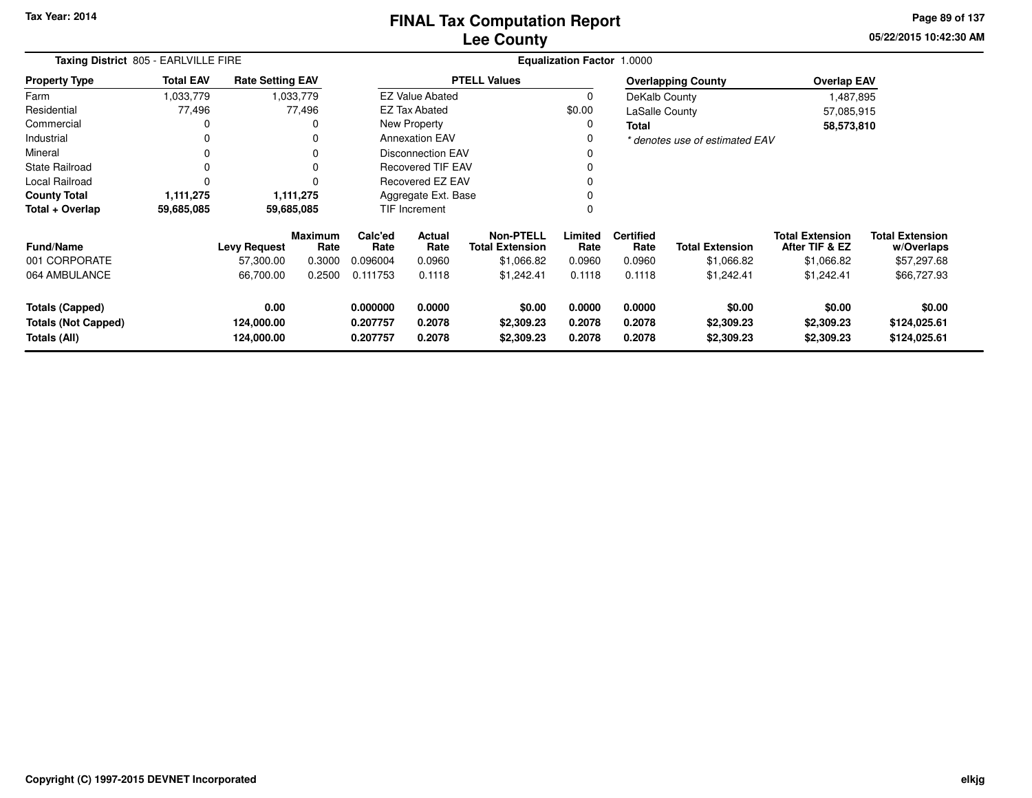**05/22/2015 10:42:30 AM Page 89 of 137**

|                                                                      | Taxing District 805 - EARLVILLE FIRE |                                  |                        |                                  |                            |                                            | <b>Equalization Factor 1.0000</b> |                            |                                    |                                          |                                        |
|----------------------------------------------------------------------|--------------------------------------|----------------------------------|------------------------|----------------------------------|----------------------------|--------------------------------------------|-----------------------------------|----------------------------|------------------------------------|------------------------------------------|----------------------------------------|
| <b>Property Type</b>                                                 | <b>Total EAV</b>                     | <b>Rate Setting EAV</b>          |                        |                                  |                            | <b>PTELL Values</b>                        |                                   |                            | <b>Overlapping County</b>          | <b>Overlap EAV</b>                       |                                        |
| Farm                                                                 | 1,033,779                            |                                  | 1,033,779              |                                  | <b>EZ Value Abated</b>     |                                            | 0                                 | DeKalb County              |                                    | 1,487,895                                |                                        |
| Residential                                                          | 77,496                               |                                  | 77,496                 |                                  | <b>EZ Tax Abated</b>       |                                            | \$0.00                            | LaSalle County             |                                    | 57,085,915                               |                                        |
| Commercial                                                           | 0                                    |                                  |                        |                                  | New Property               |                                            | 0                                 | <b>Total</b>               |                                    | 58,573,810                               |                                        |
| Industrial                                                           | 0                                    |                                  |                        |                                  | <b>Annexation EAV</b>      |                                            | 0                                 |                            | * denotes use of estimated EAV     |                                          |                                        |
| Mineral                                                              | $\Omega$                             |                                  |                        |                                  | <b>Disconnection EAV</b>   |                                            |                                   |                            |                                    |                                          |                                        |
| <b>State Railroad</b>                                                | 0                                    |                                  |                        |                                  | <b>Recovered TIF EAV</b>   |                                            | $\Omega$                          |                            |                                    |                                          |                                        |
| Local Railroad                                                       | 0                                    |                                  |                        |                                  | Recovered EZ EAV           |                                            | $\Omega$                          |                            |                                    |                                          |                                        |
| <b>County Total</b>                                                  | 1,111,275                            |                                  | 1,111,275              |                                  | Aggregate Ext. Base        |                                            | 0                                 |                            |                                    |                                          |                                        |
| Total + Overlap                                                      | 59,685,085                           | 59,685,085                       |                        |                                  | <b>TIF Increment</b>       |                                            | $\mathbf 0$                       |                            |                                    |                                          |                                        |
| Fund/Name                                                            |                                      | <b>Levy Request</b>              | <b>Maximum</b><br>Rate | Calc'ed<br>Rate                  | <b>Actual</b><br>Rate      | <b>Non-PTELL</b><br><b>Total Extension</b> | Limited<br>Rate                   | <b>Certified</b><br>Rate   | <b>Total Extension</b>             | <b>Total Extension</b><br>After TIF & EZ | <b>Total Extension</b><br>w/Overlaps   |
| 001 CORPORATE                                                        |                                      | 57,300.00                        | 0.3000                 | 0.096004                         | 0.0960                     | \$1,066.82                                 | 0.0960                            | 0.0960                     | \$1,066.82                         | \$1,066.82                               | \$57,297.68                            |
| 064 AMBULANCE                                                        |                                      | 66,700.00                        | 0.2500                 | 0.111753                         | 0.1118                     | \$1,242.41                                 | 0.1118                            | 0.1118                     | \$1,242.41                         | \$1,242.41                               | \$66,727.93                            |
| <b>Totals (Capped)</b><br><b>Totals (Not Capped)</b><br>Totals (All) |                                      | 0.00<br>124,000.00<br>124,000.00 |                        | 0.000000<br>0.207757<br>0.207757 | 0.0000<br>0.2078<br>0.2078 | \$0.00<br>\$2,309.23<br>\$2,309.23         | 0.0000<br>0.2078<br>0.2078        | 0.0000<br>0.2078<br>0.2078 | \$0.00<br>\$2,309.23<br>\$2,309.23 | \$0.00<br>\$2,309.23<br>\$2,309.23       | \$0.00<br>\$124,025.61<br>\$124,025.61 |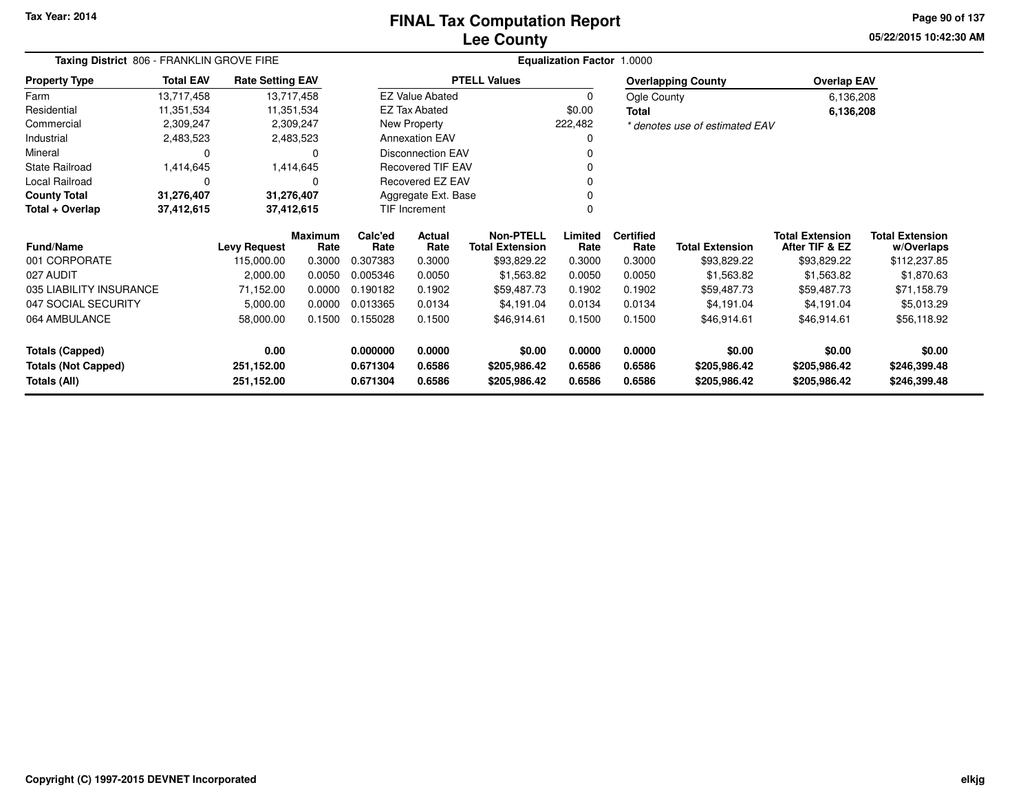### **Lee CountyFINAL Tax Computation Report**

**05/22/2015 10:42:30 AM Page 90 of 137**

| Taxing District 806 - FRANKLIN GROVE FIRE<br><b>Total EAV</b><br><b>Rate Setting EAV</b> |            |                     |                        |                 |                          |                                            | Equalization Factor 1.0000 |                          |                                |                                          |                                      |
|------------------------------------------------------------------------------------------|------------|---------------------|------------------------|-----------------|--------------------------|--------------------------------------------|----------------------------|--------------------------|--------------------------------|------------------------------------------|--------------------------------------|
| <b>Property Type</b>                                                                     |            |                     |                        |                 |                          | <b>PTELL Values</b>                        |                            |                          | <b>Overlapping County</b>      | <b>Overlap EAV</b>                       |                                      |
| Farm                                                                                     | 13,717,458 |                     | 13,717,458             |                 | <b>EZ Value Abated</b>   |                                            | $\mathbf 0$                | Ogle County              |                                | 6,136,208                                |                                      |
| Residential                                                                              | 11,351,534 |                     | 11,351,534             |                 | <b>EZ Tax Abated</b>     |                                            | \$0.00                     | Total                    |                                | 6,136,208                                |                                      |
| Commercial                                                                               | 2,309,247  |                     | 2,309,247              |                 | New Property             |                                            | 222,482                    |                          | * denotes use of estimated EAV |                                          |                                      |
| Industrial                                                                               | 2,483,523  |                     | 2,483,523              |                 | <b>Annexation EAV</b>    |                                            |                            |                          |                                |                                          |                                      |
| Mineral                                                                                  | 0          |                     | 0                      |                 | <b>Disconnection EAV</b> |                                            |                            |                          |                                |                                          |                                      |
| <b>State Railroad</b>                                                                    | 1,414,645  |                     | 1,414,645              |                 | <b>Recovered TIF EAV</b> |                                            |                            |                          |                                |                                          |                                      |
| Local Railroad                                                                           | 0          |                     | $\Omega$               |                 | Recovered EZ EAV         |                                            |                            |                          |                                |                                          |                                      |
| <b>County Total</b><br>31,276,407<br>Total + Overlap<br>37,412,615                       |            |                     | 31,276,407             |                 | Aggregate Ext. Base      |                                            |                            |                          |                                |                                          |                                      |
| 37,412,615                                                                               |            |                     |                        |                 | <b>TIF Increment</b>     |                                            |                            |                          |                                |                                          |                                      |
| <b>Fund/Name</b>                                                                         |            | <b>Levy Request</b> | <b>Maximum</b><br>Rate | Calc'ed<br>Rate | Actual<br>Rate           | <b>Non-PTELL</b><br><b>Total Extension</b> | Limited<br>Rate            | <b>Certified</b><br>Rate | <b>Total Extension</b>         | <b>Total Extension</b><br>After TIF & EZ | <b>Total Extension</b><br>w/Overlaps |
| 001 CORPORATE                                                                            |            | 115,000.00          | 0.3000                 | 0.307383        | 0.3000                   | \$93,829.22                                | 0.3000                     | 0.3000                   | \$93,829.22                    | \$93,829.22                              | \$112,237.85                         |
| 027 AUDIT                                                                                |            | 2,000.00            | 0.0050                 | 0.005346        | 0.0050                   | \$1,563.82                                 | 0.0050                     | 0.0050                   | \$1,563.82                     | \$1,563.82                               | \$1,870.63                           |
| 035 LIABILITY INSURANCE                                                                  |            | 71,152.00           | 0.0000                 | 0.190182        | 0.1902                   | \$59,487.73                                | 0.1902                     | 0.1902                   | \$59,487.73                    | \$59,487.73                              | \$71,158.79                          |
| 047 SOCIAL SECURITY                                                                      |            | 5,000.00            | 0.0000                 | 0.013365        | 0.0134                   | \$4,191.04                                 | 0.0134                     | 0.0134                   | \$4,191.04                     | \$4,191.04                               | \$5,013.29                           |
| 064 AMBULANCE                                                                            |            | 58,000.00           | 0.1500                 | 0.155028        | 0.1500                   | \$46,914.61                                | 0.1500                     | 0.1500                   | \$46,914.61                    | \$46,914.61                              | \$56,118.92                          |
| <b>Totals (Capped)</b>                                                                   |            | 0.00                |                        | 0.000000        | 0.0000                   | \$0.00                                     | 0.0000                     | 0.0000                   | \$0.00                         | \$0.00                                   | \$0.00                               |
| <b>Totals (Not Capped)</b>                                                               |            | 251,152.00          |                        | 0.671304        | 0.6586                   | \$205,986.42                               | 0.6586                     | 0.6586                   | \$205,986.42                   | \$205,986.42                             | \$246,399.48                         |
| Totals (All)                                                                             |            | 251,152.00          |                        | 0.671304        | 0.6586                   | \$205,986.42                               | 0.6586                     | 0.6586                   | \$205,986.42                   | \$205,986.42                             | \$246,399.48                         |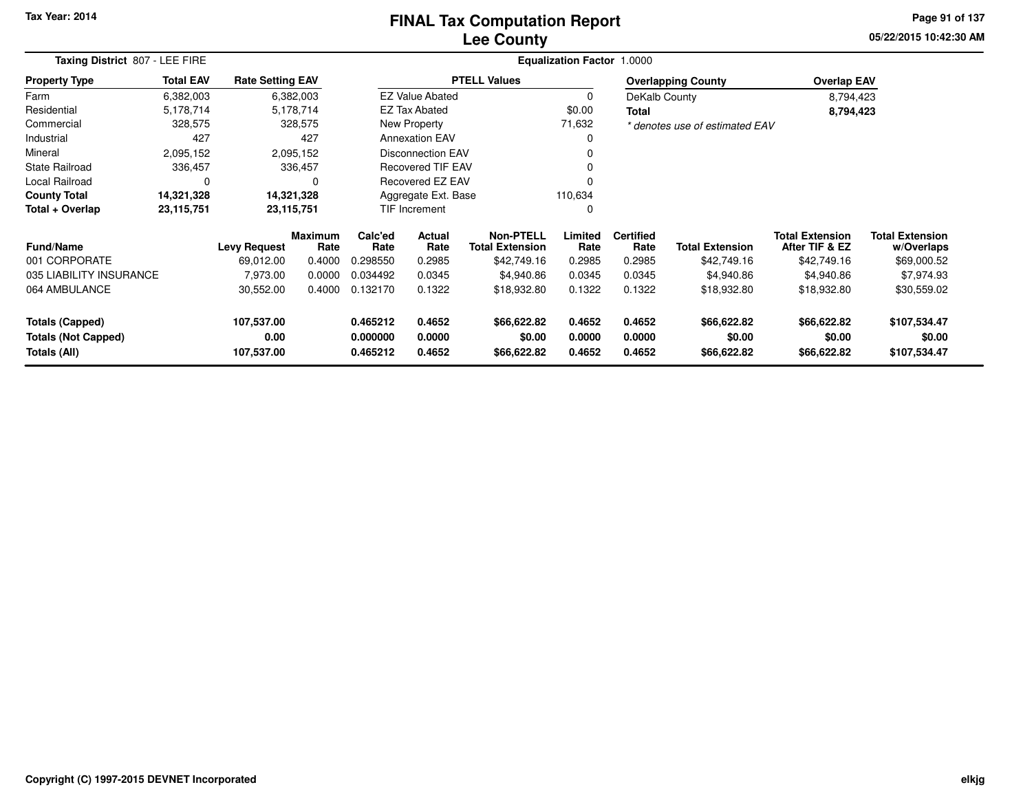# **Lee CountyFINAL Tax Computation Report**

**05/22/2015 10:42:30 AM Page 91 of 137**

| Taxing District 807 - LEE FIRE             |                  |                         |                 |                      |                          |                                            | <b>Equalization Factor 1.0000</b> |                          |                                |                                          |                                      |
|--------------------------------------------|------------------|-------------------------|-----------------|----------------------|--------------------------|--------------------------------------------|-----------------------------------|--------------------------|--------------------------------|------------------------------------------|--------------------------------------|
| <b>Property Type</b>                       | <b>Total EAV</b> | <b>Rate Setting EAV</b> |                 |                      |                          | <b>PTELL Values</b>                        |                                   |                          | <b>Overlapping County</b>      | <b>Overlap EAV</b>                       |                                      |
| Farm                                       | 6,382,003        |                         | 6,382,003       |                      | <b>EZ Value Abated</b>   |                                            | $\Omega$                          | DeKalb County            |                                | 8,794,423                                |                                      |
| Residential                                | 5,178,714        |                         | 5,178,714       |                      | EZ Tax Abated            |                                            | \$0.00                            | <b>Total</b>             |                                | 8,794,423                                |                                      |
| Commercial                                 | 328,575          |                         | 328,575         |                      | New Property             |                                            | 71,632                            |                          | * denotes use of estimated EAV |                                          |                                      |
| Industrial                                 | 427              |                         | 427             |                      | <b>Annexation EAV</b>    |                                            |                                   |                          |                                |                                          |                                      |
| Mineral                                    | 2,095,152        |                         | 2,095,152       |                      | Disconnection EAV        |                                            |                                   |                          |                                |                                          |                                      |
| State Railroad                             | 336,457          |                         | 336,457         |                      | <b>Recovered TIF EAV</b> |                                            |                                   |                          |                                |                                          |                                      |
| <b>Local Railroad</b>                      | 0                |                         | O               |                      | <b>Recovered EZ EAV</b>  |                                            |                                   |                          |                                |                                          |                                      |
| <b>County Total</b>                        | 14,321,328       |                         | 14,321,328      |                      | Aggregate Ext. Base      |                                            | 110,634                           |                          |                                |                                          |                                      |
| Total + Overlap                            | 23,115,751       |                         | 23,115,751      |                      | TIF Increment            |                                            |                                   |                          |                                |                                          |                                      |
| <b>Fund/Name</b>                           |                  | <b>Levy Request</b>     | Maximum<br>Rate | Calc'ed<br>Rate      | <b>Actual</b><br>Rate    | <b>Non-PTELL</b><br><b>Total Extension</b> | Limited<br>Rate                   | <b>Certified</b><br>Rate | <b>Total Extension</b>         | <b>Total Extension</b><br>After TIF & EZ | <b>Total Extension</b><br>w/Overlaps |
| 001 CORPORATE                              |                  | 69,012.00               | 0.4000          | 0.298550             | 0.2985                   | \$42,749.16                                | 0.2985                            | 0.2985                   | \$42,749.16                    | \$42,749.16                              | \$69,000.52                          |
| 035 LIABILITY INSURANCE                    |                  | 7,973.00                | 0.0000          | 0.034492             | 0.0345                   | \$4,940.86                                 | 0.0345                            | 0.0345                   | \$4,940.86                     | \$4,940.86                               | \$7,974.93                           |
| 064 AMBULANCE                              |                  | 30,552.00               | 0.4000          | 0.132170             | 0.1322                   | \$18,932.80                                | 0.1322                            | 0.1322                   | \$18,932.80                    | \$18,932.80                              | \$30,559.02                          |
| <b>Totals (Capped)</b>                     |                  | 107,537.00              |                 | 0.465212             | 0.4652                   | \$66,622.82                                | 0.4652                            | 0.4652                   | \$66,622.82                    | \$66,622.82                              | \$107,534.47                         |
| <b>Totals (Not Capped)</b><br>Totals (All) |                  | 0.00<br>107,537.00      |                 | 0.000000<br>0.465212 | 0.0000<br>0.4652         | \$0.00<br>\$66,622.82                      | 0.0000<br>0.4652                  | 0.0000<br>0.4652         | \$0.00<br>\$66,622.82          | \$0.00<br>\$66,622.82                    | \$0.00<br>\$107,534.47               |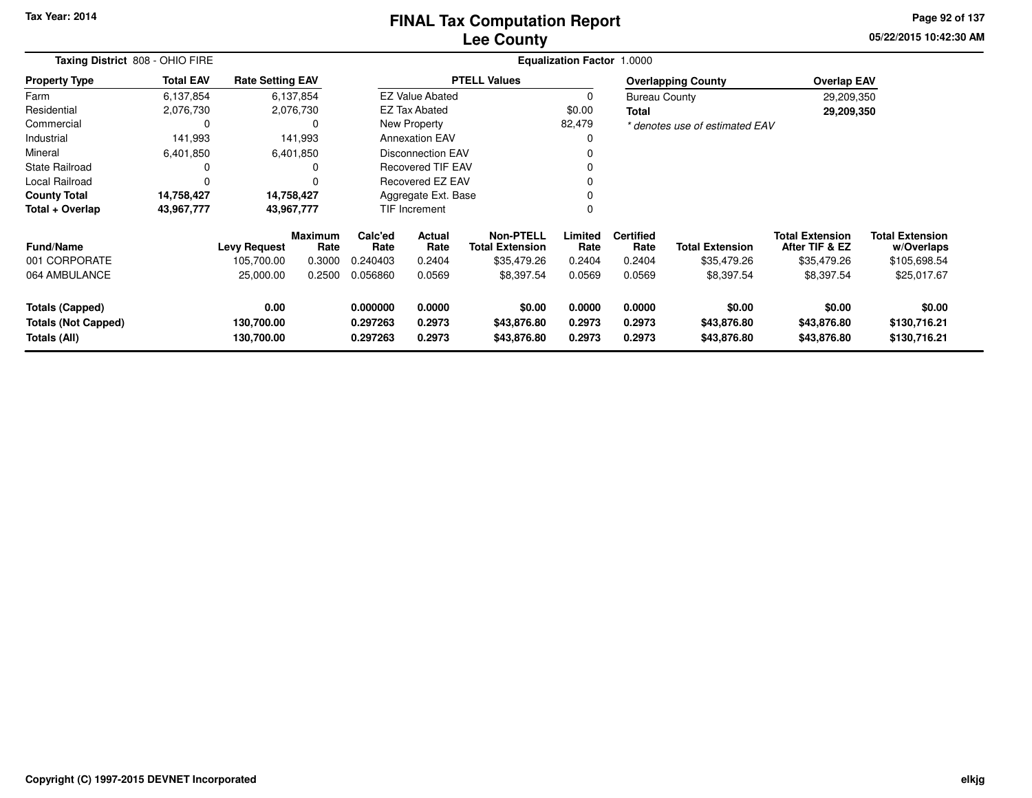# **Lee CountyFINAL Tax Computation Report**

**05/22/2015 10:42:30 AM Page 92 of 137**

| Taxing District 808 - OHIO FIRE |                  |                         | Equalization Factor 1.0000 |                 |                          |                                            |                 |                          |                                |                                          |                                      |  |
|---------------------------------|------------------|-------------------------|----------------------------|-----------------|--------------------------|--------------------------------------------|-----------------|--------------------------|--------------------------------|------------------------------------------|--------------------------------------|--|
| <b>Property Type</b>            | <b>Total EAV</b> | <b>Rate Setting EAV</b> |                            |                 |                          | <b>PTELL Values</b>                        |                 |                          | <b>Overlapping County</b>      | <b>Overlap EAV</b>                       |                                      |  |
| Farm                            | 6,137,854        |                         | 6,137,854                  |                 | <b>EZ Value Abated</b>   |                                            | 0               | <b>Bureau County</b>     |                                | 29,209,350                               |                                      |  |
| Residential                     | 2,076,730        |                         | 2,076,730                  |                 | <b>EZ Tax Abated</b>     |                                            | \$0.00          | <b>Total</b>             |                                | 29,209,350                               |                                      |  |
| Commercial                      | 0                |                         | 0                          |                 | New Property             |                                            | 82,479          |                          | * denotes use of estimated EAV |                                          |                                      |  |
| Industrial                      | 141,993          |                         | 141,993                    |                 | <b>Annexation EAV</b>    |                                            | 0               |                          |                                |                                          |                                      |  |
| Mineral                         | 6,401,850        |                         | 6,401,850                  |                 | <b>Disconnection EAV</b> |                                            |                 |                          |                                |                                          |                                      |  |
| <b>State Railroad</b>           | 0                |                         | 0                          |                 | <b>Recovered TIF EAV</b> |                                            |                 |                          |                                |                                          |                                      |  |
| Local Railroad                  | $\Omega$         |                         | $\Omega$                   |                 | Recovered EZ EAV         |                                            | 0               |                          |                                |                                          |                                      |  |
| <b>County Total</b>             | 14,758,427       | 14,758,427              |                            |                 | Aggregate Ext. Base      |                                            | 0               |                          |                                |                                          |                                      |  |
| Total + Overlap                 | 43,967,777       | 43,967,777              |                            |                 | TIF Increment            |                                            | 0               |                          |                                |                                          |                                      |  |
| Fund/Name                       |                  | <b>Levy Request</b>     | Maximum<br>Rate            | Calc'ed<br>Rate | Actual<br>Rate           | <b>Non-PTELL</b><br><b>Total Extension</b> | Limited<br>Rate | <b>Certified</b><br>Rate | <b>Total Extension</b>         | <b>Total Extension</b><br>After TIF & EZ | <b>Total Extension</b><br>w/Overlaps |  |
| 001 CORPORATE                   |                  | 105,700.00              | 0.3000                     | 0.240403        | 0.2404                   | \$35,479.26                                | 0.2404          | 0.2404                   | \$35,479.26                    | \$35,479.26                              | \$105,698.54                         |  |
| 064 AMBULANCE                   |                  | 25,000.00               | 0.2500                     | 0.056860        | 0.0569                   | \$8,397.54                                 | 0.0569          | 0.0569                   | \$8,397.54                     | \$8,397.54                               | \$25,017.67                          |  |
| <b>Totals (Capped)</b>          |                  | 0.00                    |                            | 0.000000        | 0.0000                   | \$0.00                                     | 0.0000          | 0.0000                   | \$0.00                         | \$0.00                                   | \$0.00                               |  |
| <b>Totals (Not Capped)</b>      |                  | 130,700.00              |                            | 0.297263        | 0.2973                   | \$43,876.80                                | 0.2973          | 0.2973                   | \$43,876.80                    | \$43,876.80                              | \$130,716.21                         |  |
| <b>Totals (All)</b>             |                  | 130,700.00              |                            | 0.297263        | 0.2973                   | \$43,876.80                                | 0.2973          | 0.2973                   | \$43,876.80                    | \$43,876.80                              | \$130,716.21                         |  |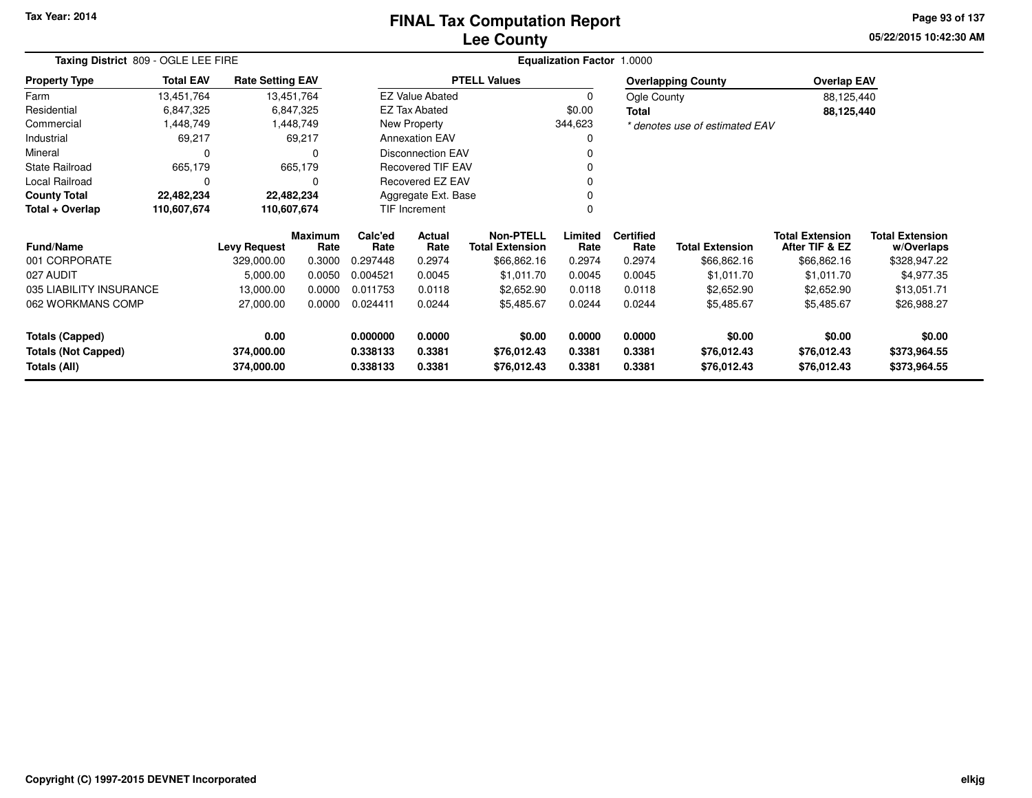# **Lee CountyFINAL Tax Computation Report**

**05/22/2015 10:42:30 AM Page 93 of 137**

|                                            | Taxing District 809 - OGLE LEE FIRE<br><b>Total EAV</b><br><b>Rate Setting EAV</b> |                          |                        |                      |                          |                                            | Equalization Factor 1.0000 |                          |                                |                                          |                                      |
|--------------------------------------------|------------------------------------------------------------------------------------|--------------------------|------------------------|----------------------|--------------------------|--------------------------------------------|----------------------------|--------------------------|--------------------------------|------------------------------------------|--------------------------------------|
| <b>Property Type</b>                       |                                                                                    |                          |                        |                      |                          | <b>PTELL Values</b>                        |                            |                          | <b>Overlapping County</b>      | <b>Overlap EAV</b>                       |                                      |
| Farm                                       | 13,451,764                                                                         |                          | 13,451,764             |                      | <b>EZ Value Abated</b>   |                                            | 0                          | Ogle County              |                                | 88,125,440                               |                                      |
| Residential                                | 6,847,325                                                                          |                          | 6,847,325              |                      | <b>EZ Tax Abated</b>     |                                            | \$0.00                     | Total                    |                                | 88,125,440                               |                                      |
| Commercial                                 | 1,448,749                                                                          |                          | 1,448,749              |                      | New Property             |                                            | 344,623                    |                          | * denotes use of estimated EAV |                                          |                                      |
| Industrial                                 | 69,217                                                                             |                          | 69,217                 |                      | <b>Annexation EAV</b>    |                                            |                            |                          |                                |                                          |                                      |
| Mineral                                    | 0                                                                                  |                          | <sup>0</sup>           |                      | <b>Disconnection EAV</b> |                                            |                            |                          |                                |                                          |                                      |
| <b>State Railroad</b>                      | 665,179                                                                            |                          | 665,179                |                      | <b>Recovered TIF EAV</b> |                                            |                            |                          |                                |                                          |                                      |
| Local Railroad                             | 0                                                                                  |                          | $\Omega$               |                      | Recovered EZ EAV         |                                            |                            |                          |                                |                                          |                                      |
| <b>County Total</b>                        | 22,482,234                                                                         |                          | 22,482,234             |                      | Aggregate Ext. Base      |                                            |                            |                          |                                |                                          |                                      |
| Total + Overlap                            | 110,607,674                                                                        | 110,607,674              |                        |                      | TIF Increment            |                                            |                            |                          |                                |                                          |                                      |
| <b>Fund/Name</b>                           |                                                                                    | <b>Levy Request</b>      | <b>Maximum</b><br>Rate | Calc'ed<br>Rate      | Actual<br>Rate           | <b>Non-PTELL</b><br><b>Total Extension</b> | Limited<br>Rate            | <b>Certified</b><br>Rate | <b>Total Extension</b>         | <b>Total Extension</b><br>After TIF & EZ | <b>Total Extension</b><br>w/Overlaps |
| 001 CORPORATE                              |                                                                                    | 329,000.00               | 0.3000                 | 0.297448             | 0.2974                   | \$66,862.16                                | 0.2974                     | 0.2974                   | \$66,862.16                    | \$66,862.16                              | \$328,947.22                         |
| 027 AUDIT                                  |                                                                                    | 5,000.00                 | 0.0050                 | 0.004521             | 0.0045                   | \$1,011.70                                 | 0.0045                     | 0.0045                   | \$1,011.70                     | \$1,011.70                               | \$4,977.35                           |
| 035 LIABILITY INSURANCE                    |                                                                                    | 13,000.00                | 0.0000                 | 0.011753             | 0.0118                   | \$2,652.90                                 | 0.0118                     | 0.0118                   | \$2,652.90                     | \$2,652.90                               | \$13,051.71                          |
| 062 WORKMANS COMP                          |                                                                                    | 27,000.00                | 0.0000                 | 0.024411             | 0.0244                   | \$5,485.67                                 | 0.0244                     | 0.0244                   | \$5,485.67                     | \$5,485.67                               | \$26,988.27                          |
| <b>Totals (Capped)</b>                     |                                                                                    | 0.00                     |                        | 0.000000             | 0.0000                   | \$0.00                                     | 0.0000                     | 0.0000                   | \$0.00                         | \$0.00                                   | \$0.00                               |
| <b>Totals (Not Capped)</b><br>Totals (All) |                                                                                    | 374,000.00<br>374,000.00 |                        | 0.338133<br>0.338133 | 0.3381<br>0.3381         | \$76,012.43<br>\$76,012.43                 | 0.3381<br>0.3381           | 0.3381<br>0.3381         | \$76,012.43<br>\$76,012.43     | \$76,012.43<br>\$76,012.43               | \$373,964.55<br>\$373,964.55         |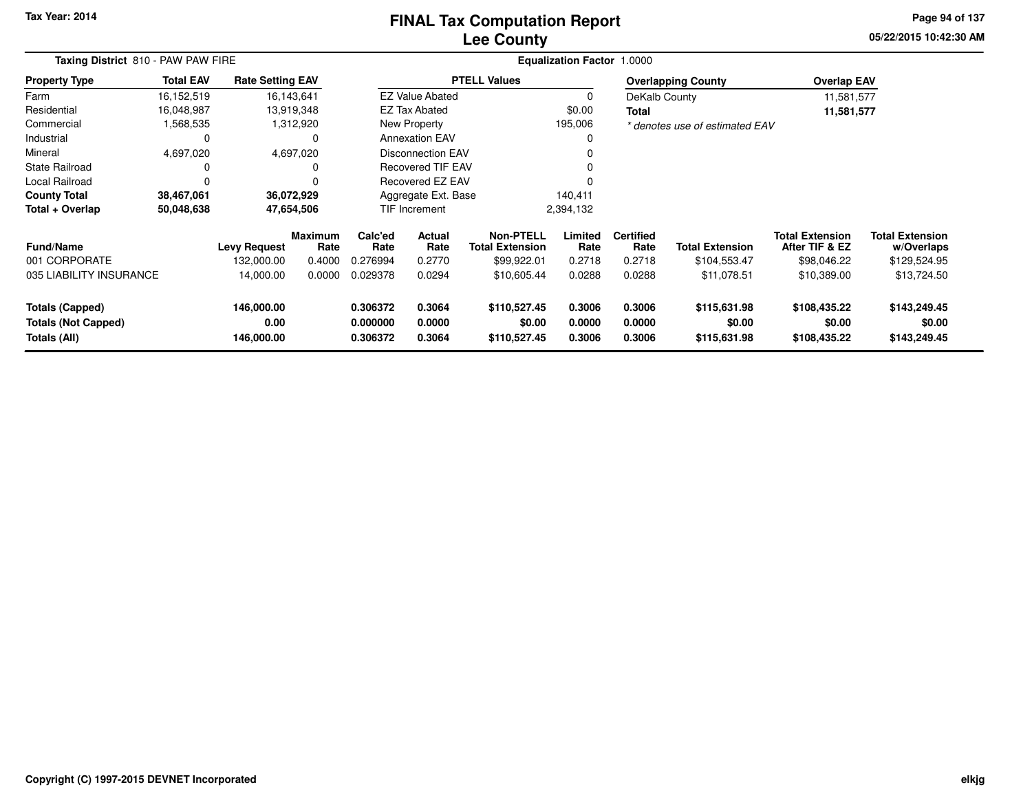### **Lee CountyFINAL Tax Computation Report**

**05/22/2015 10:42:30 AM Page 94 of 137**

| Taxing District 810 - PAW PAW FIRE                                   |                  |                                  |                        |                                  |                            |                                            | <b>Equalization Factor 1.0000</b> |                            |                                        |                                          |                                        |
|----------------------------------------------------------------------|------------------|----------------------------------|------------------------|----------------------------------|----------------------------|--------------------------------------------|-----------------------------------|----------------------------|----------------------------------------|------------------------------------------|----------------------------------------|
| <b>Property Type</b>                                                 | <b>Total EAV</b> | <b>Rate Setting EAV</b>          |                        |                                  |                            | <b>PTELL Values</b>                        |                                   |                            | <b>Overlapping County</b>              | <b>Overlap EAV</b>                       |                                        |
| Farm                                                                 | 16,152,519       |                                  | 16,143,641             |                                  | <b>EZ Value Abated</b>     |                                            | 0                                 | DeKalb County              |                                        | 11,581,577                               |                                        |
| Residential                                                          | 16,048,987       |                                  | 13,919,348             |                                  | <b>EZ Tax Abated</b>       |                                            | \$0.00                            | Total                      |                                        | 11,581,577                               |                                        |
| Commercial                                                           | 1,568,535        |                                  | 1,312,920              |                                  | <b>New Property</b>        |                                            | 195,006                           |                            | * denotes use of estimated EAV         |                                          |                                        |
| Industrial                                                           | 0                |                                  | 0                      |                                  | <b>Annexation EAV</b>      |                                            | 0                                 |                            |                                        |                                          |                                        |
| Mineral                                                              | 4,697,020        |                                  | 4,697,020              |                                  | <b>Disconnection EAV</b>   |                                            |                                   |                            |                                        |                                          |                                        |
| <b>State Railroad</b>                                                | 0                |                                  | 0                      |                                  | <b>Recovered TIF EAV</b>   |                                            |                                   |                            |                                        |                                          |                                        |
| Local Railroad                                                       |                  |                                  |                        |                                  | Recovered EZ EAV           |                                            |                                   |                            |                                        |                                          |                                        |
| <b>County Total</b>                                                  | 38,467,061       |                                  | 36,072,929             |                                  | Aggregate Ext. Base        |                                            | 140,411                           |                            |                                        |                                          |                                        |
| Total + Overlap                                                      | 50,048,638       |                                  | 47,654,506             |                                  | <b>TIF Increment</b>       |                                            | 2,394,132                         |                            |                                        |                                          |                                        |
| <b>Fund/Name</b>                                                     |                  | <b>Levy Request</b>              | <b>Maximum</b><br>Rate | Calc'ed<br>Rate                  | Actual<br>Rate             | <b>Non-PTELL</b><br><b>Total Extension</b> | Limited<br>Rate                   | <b>Certified</b><br>Rate   | <b>Total Extension</b>                 | <b>Total Extension</b><br>After TIF & EZ | <b>Total Extension</b><br>w/Overlaps   |
| 001 CORPORATE                                                        |                  | 132,000.00                       | 0.4000                 | 0.276994                         | 0.2770                     | \$99,922.01                                | 0.2718                            | 0.2718                     | \$104,553.47                           | \$98,046.22                              | \$129,524.95                           |
| 035 LIABILITY INSURANCE                                              |                  | 14,000.00                        | 0.0000                 | 0.029378                         | 0.0294                     | \$10,605.44                                | 0.0288                            | 0.0288                     | \$11,078.51                            | \$10,389.00                              | \$13,724.50                            |
| <b>Totals (Capped)</b><br><b>Totals (Not Capped)</b><br>Totals (All) |                  | 146,000.00<br>0.00<br>146,000.00 |                        | 0.306372<br>0.000000<br>0.306372 | 0.3064<br>0.0000<br>0.3064 | \$110,527.45<br>\$0.00<br>\$110,527.45     | 0.3006<br>0.0000<br>0.3006        | 0.3006<br>0.0000<br>0.3006 | \$115,631.98<br>\$0.00<br>\$115,631.98 | \$108,435.22<br>\$0.00<br>\$108,435.22   | \$143,249.45<br>\$0.00<br>\$143,249.45 |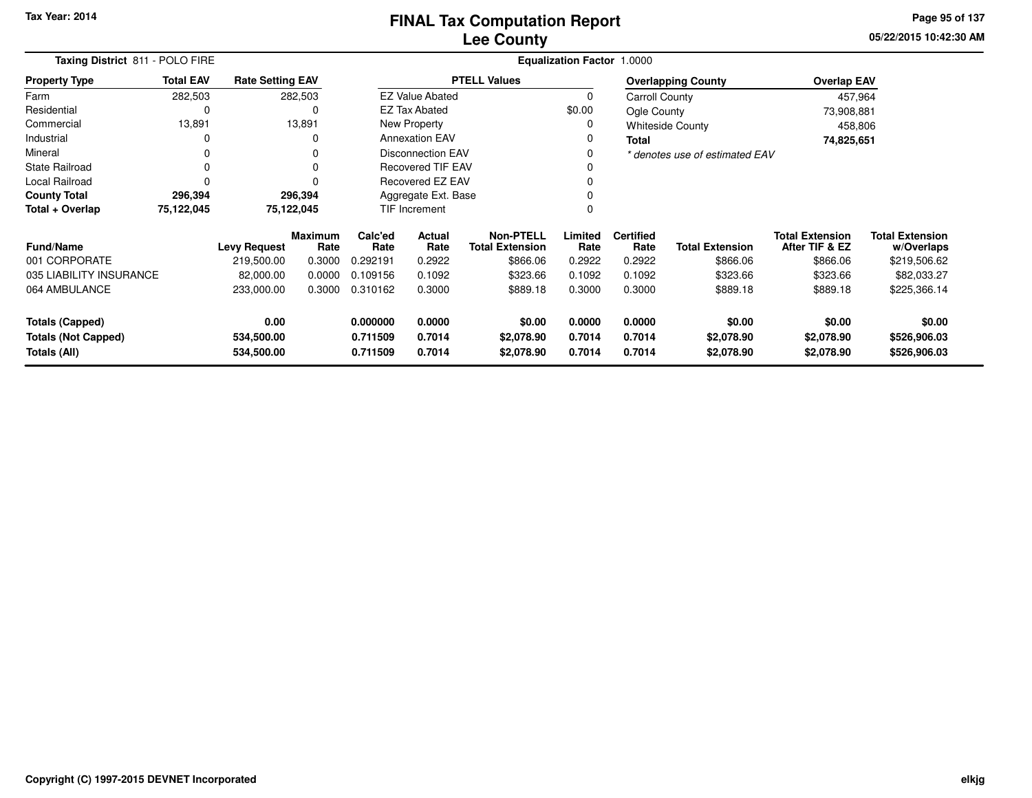**05/22/2015 10:42:30 AM Page 95 of 137**

| Taxing District 811 - POLO FIRE |                  |                         |                        |                           |                          |                                            | <b>Equalization Factor 1.0000</b> |                          |                                |                                          |                                      |
|---------------------------------|------------------|-------------------------|------------------------|---------------------------|--------------------------|--------------------------------------------|-----------------------------------|--------------------------|--------------------------------|------------------------------------------|--------------------------------------|
| <b>Property Type</b>            | <b>Total EAV</b> | <b>Rate Setting EAV</b> |                        |                           |                          | <b>PTELL Values</b>                        |                                   |                          | <b>Overlapping County</b>      | <b>Overlap EAV</b>                       |                                      |
| Farm                            | 282,503          |                         | 282,503                |                           | <b>EZ Value Abated</b>   |                                            | $\Omega$                          | Carroll County           |                                | 457,964                                  |                                      |
| Residential                     | 0                |                         | 0                      |                           | EZ Tax Abated            |                                            | \$0.00                            | Ogle County              |                                | 73,908,881                               |                                      |
| Commercial                      | 13,891           |                         | 13,891                 |                           | New Property             |                                            | 0                                 |                          | <b>Whiteside County</b>        | 458,806                                  |                                      |
| Industrial                      |                  |                         | 0                      |                           | <b>Annexation EAV</b>    |                                            | 0                                 | <b>Total</b>             |                                | 74,825,651                               |                                      |
| Mineral                         | 0                |                         | O                      |                           | <b>Disconnection EAV</b> |                                            | 0                                 |                          | * denotes use of estimated EAV |                                          |                                      |
| <b>State Railroad</b>           | 0                |                         |                        |                           | <b>Recovered TIF EAV</b> |                                            |                                   |                          |                                |                                          |                                      |
| Local Railroad                  | $\Omega$         |                         |                        |                           | <b>Recovered EZ EAV</b>  |                                            | 0                                 |                          |                                |                                          |                                      |
| <b>County Total</b>             | 296,394          |                         | 296,394                | Aggregate Ext. Base       |                          |                                            |                                   |                          |                                |                                          |                                      |
| Total + Overlap                 | 75,122,045       |                         | 75,122,045             | <b>TIF Increment</b><br>0 |                          |                                            |                                   |                          |                                |                                          |                                      |
| <b>Fund/Name</b>                |                  | <b>Levy Request</b>     | <b>Maximum</b><br>Rate | Calc'ed<br>Rate           | <b>Actual</b><br>Rate    | <b>Non-PTELL</b><br><b>Total Extension</b> | Limited<br>Rate                   | <b>Certified</b><br>Rate | <b>Total Extension</b>         | <b>Total Extension</b><br>After TIF & EZ | <b>Total Extension</b><br>w/Overlaps |
| 001 CORPORATE                   |                  | 219,500.00              | 0.3000                 | 0.292191                  | 0.2922                   | \$866.06                                   | 0.2922                            | 0.2922                   | \$866.06                       | \$866.06                                 | \$219,506.62                         |
| 035 LIABILITY INSURANCE         |                  | 82,000.00               | 0.0000                 | 0.109156                  | 0.1092                   | \$323.66                                   | 0.1092                            | 0.1092                   | \$323.66                       | \$323.66                                 | \$82,033.27                          |
| 064 AMBULANCE                   |                  | 233,000.00              | 0.3000                 | 0.310162                  | 0.3000                   | \$889.18                                   | 0.3000                            | 0.3000                   | \$889.18                       | \$889.18                                 | \$225,366.14                         |
| <b>Totals (Capped)</b>          |                  | 0.00                    |                        | 0.000000                  | 0.0000                   | \$0.00                                     | 0.0000                            | 0.0000                   | \$0.00                         | \$0.00                                   | \$0.00                               |
| <b>Totals (Not Capped)</b>      |                  | 534,500.00              |                        | 0.711509                  | 0.7014                   | \$2,078.90                                 | 0.7014                            | 0.7014                   | \$2,078.90                     | \$2,078.90                               | \$526,906.03                         |
| Totals (All)                    |                  | 534,500.00              |                        | 0.711509                  | 0.7014                   | \$2,078.90                                 | 0.7014                            | 0.7014                   | \$2,078.90                     | \$2,078.90                               | \$526,906.03                         |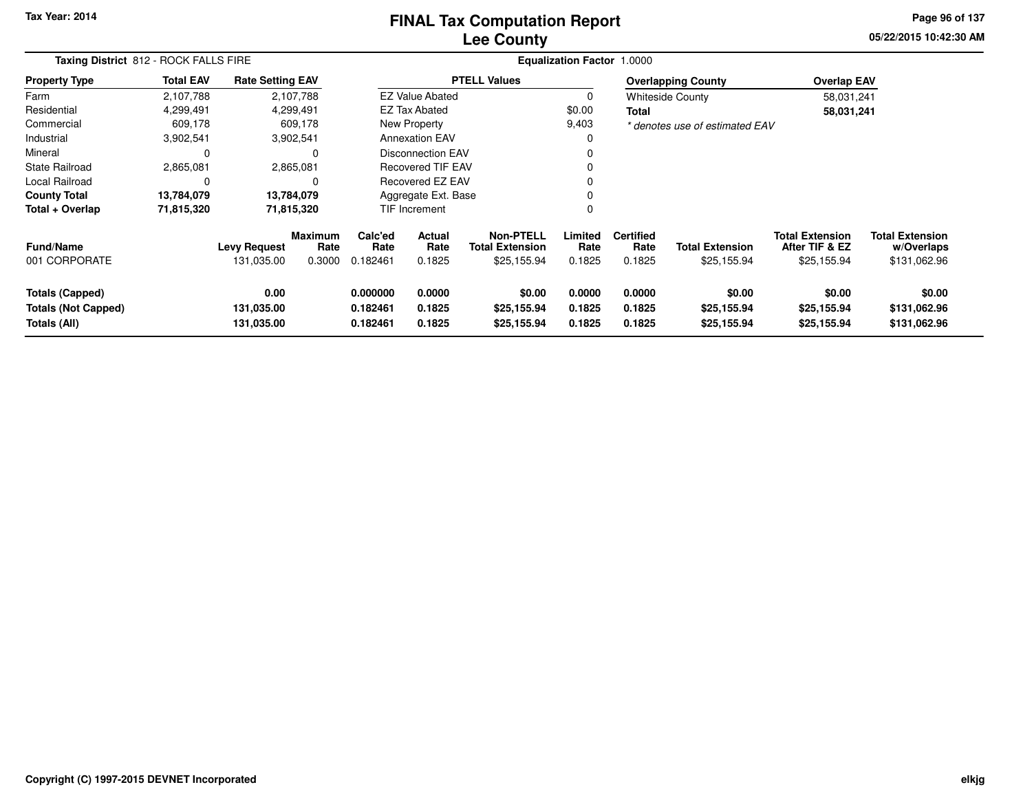### **Lee CountyFINAL Tax Computation Report**

**05/22/2015 10:42:30 AM Page 96 of 137**

| Taxing District 812 - ROCK FALLS FIRE                                |                  |                                   |                                  |                                  |                            |                                                           | <b>Equalization Factor 1.0000</b> |                                    |                                       |                                                         |                                                      |
|----------------------------------------------------------------------|------------------|-----------------------------------|----------------------------------|----------------------------------|----------------------------|-----------------------------------------------------------|-----------------------------------|------------------------------------|---------------------------------------|---------------------------------------------------------|------------------------------------------------------|
| <b>Property Type</b>                                                 | <b>Total EAV</b> | <b>Rate Setting EAV</b>           |                                  |                                  |                            | <b>PTELL Values</b>                                       |                                   |                                    | <b>Overlapping County</b>             | <b>Overlap EAV</b>                                      |                                                      |
| Farm                                                                 | 2,107,788        | 2,107,788                         |                                  |                                  | <b>EZ Value Abated</b>     |                                                           | 0                                 |                                    | <b>Whiteside County</b>               | 58,031,241                                              |                                                      |
| Residential                                                          | 4,299,491        | 4,299,491                         |                                  |                                  | <b>EZ Tax Abated</b>       |                                                           | \$0.00                            | Total                              |                                       | 58,031,241                                              |                                                      |
| Commercial                                                           | 609,178          |                                   | 609,178                          |                                  | New Property               |                                                           | 9,403                             |                                    | * denotes use of estimated EAV        |                                                         |                                                      |
| Industrial                                                           | 3,902,541        | 3,902,541                         |                                  |                                  | <b>Annexation EAV</b>      |                                                           | 0                                 |                                    |                                       |                                                         |                                                      |
| Mineral                                                              | 0                |                                   |                                  |                                  | <b>Disconnection EAV</b>   |                                                           | 0                                 |                                    |                                       |                                                         |                                                      |
| State Railroad                                                       | 2,865,081        | 2,865,081                         |                                  |                                  | <b>Recovered TIF EAV</b>   |                                                           | 0                                 |                                    |                                       |                                                         |                                                      |
| Local Railroad                                                       | 0                |                                   | 0                                |                                  | Recovered EZ EAV           |                                                           | 0                                 |                                    |                                       |                                                         |                                                      |
| <b>County Total</b>                                                  | 13,784,079       | 13,784,079                        |                                  |                                  | Aggregate Ext. Base        |                                                           | 0                                 |                                    |                                       |                                                         |                                                      |
| Total + Overlap                                                      | 71,815,320       | 71,815,320                        |                                  |                                  | TIF Increment              |                                                           | 0                                 |                                    |                                       |                                                         |                                                      |
| Fund/Name<br>001 CORPORATE                                           |                  | <b>Levy Request</b><br>131,035.00 | <b>Maximum</b><br>Rate<br>0.3000 | Calc'ed<br>Rate<br>0.182461      | Actual<br>Rate<br>0.1825   | <b>Non-PTELL</b><br><b>Total Extension</b><br>\$25,155.94 | Limited<br>Rate<br>0.1825         | <b>Certified</b><br>Rate<br>0.1825 | <b>Total Extension</b><br>\$25,155.94 | <b>Total Extension</b><br>After TIF & EZ<br>\$25,155.94 | <b>Total Extension</b><br>w/Overlaps<br>\$131,062.96 |
| <b>Totals (Capped)</b><br><b>Totals (Not Capped)</b><br>Totals (All) |                  | 0.00<br>131,035.00<br>131,035.00  |                                  | 0.000000<br>0.182461<br>0.182461 | 0.0000<br>0.1825<br>0.1825 | \$0.00<br>\$25,155.94<br>\$25,155.94                      | 0.0000<br>0.1825<br>0.1825        | 0.0000<br>0.1825<br>0.1825         | \$0.00<br>\$25,155.94<br>\$25,155.94  | \$0.00<br>\$25,155.94<br>\$25,155.94                    | \$0.00<br>\$131,062.96<br>\$131,062.96               |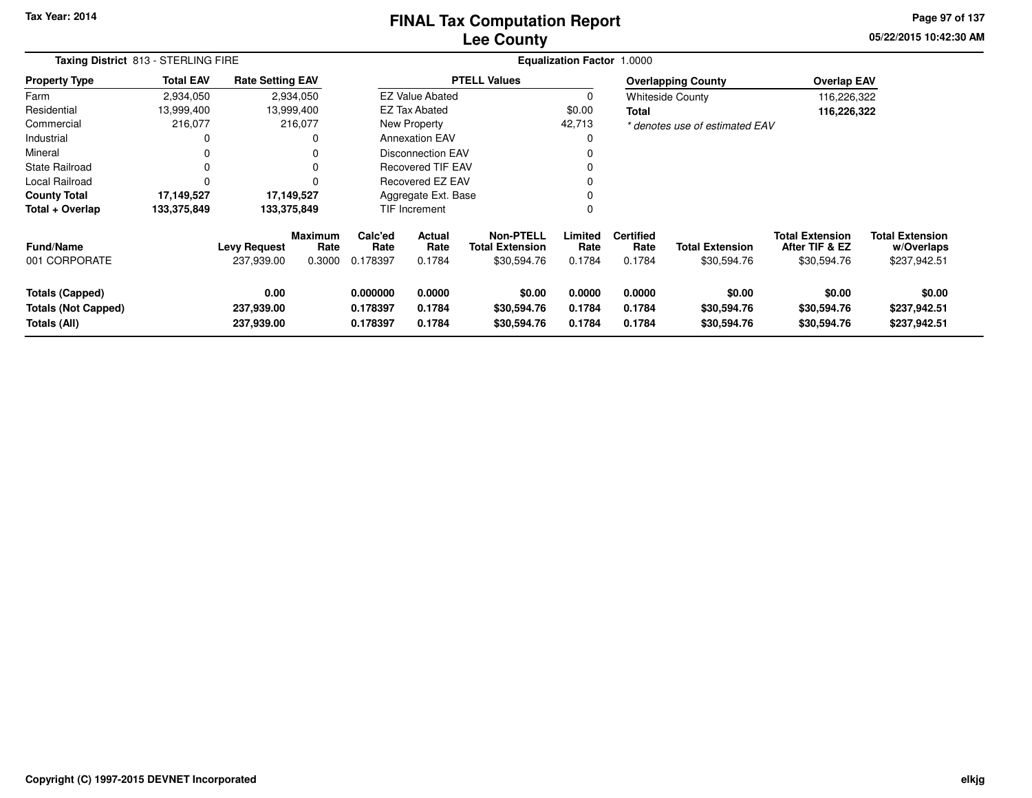### **Lee CountyFINAL Tax Computation Report**

**05/22/2015 10:42:30 AM Page 97 of 137**

| Taxing District 813 - STERLING FIRE                                  |                  | <b>Equalization Factor 1.0000</b> |                                  |                                  |                            |                                                           |                            |                                    |                                       |                                                         |                                                      |
|----------------------------------------------------------------------|------------------|-----------------------------------|----------------------------------|----------------------------------|----------------------------|-----------------------------------------------------------|----------------------------|------------------------------------|---------------------------------------|---------------------------------------------------------|------------------------------------------------------|
| <b>Property Type</b>                                                 | <b>Total EAV</b> | <b>Rate Setting EAV</b>           |                                  |                                  |                            | <b>PTELL Values</b>                                       |                            |                                    | <b>Overlapping County</b>             | <b>Overlap EAV</b>                                      |                                                      |
| Farm                                                                 | 2,934,050        |                                   | 2,934,050                        |                                  | <b>EZ Value Abated</b>     |                                                           | 0                          |                                    | <b>Whiteside County</b>               | 116,226,322                                             |                                                      |
| Residential                                                          | 13,999,400       |                                   | 13,999,400                       |                                  | EZ Tax Abated              |                                                           | \$0.00                     | Total                              |                                       | 116,226,322                                             |                                                      |
| Commercial                                                           | 216,077          |                                   | 216,077                          |                                  | New Property               |                                                           | 42,713                     |                                    | * denotes use of estimated EAV        |                                                         |                                                      |
| Industrial                                                           | 0                |                                   | $\Omega$                         |                                  | <b>Annexation EAV</b>      |                                                           |                            |                                    |                                       |                                                         |                                                      |
| Mineral                                                              | 0                |                                   | <sup>0</sup>                     |                                  | <b>Disconnection EAV</b>   |                                                           |                            |                                    |                                       |                                                         |                                                      |
| <b>State Railroad</b>                                                | 0                |                                   | $\Omega$                         |                                  | <b>Recovered TIF EAV</b>   |                                                           |                            |                                    |                                       |                                                         |                                                      |
| Local Railroad                                                       | 0                |                                   | $\Omega$                         |                                  | Recovered EZ EAV           |                                                           |                            |                                    |                                       |                                                         |                                                      |
| <b>County Total</b>                                                  | 17,149,527       |                                   | 17,149,527                       | Aggregate Ext. Base              |                            |                                                           |                            |                                    |                                       |                                                         |                                                      |
| Total + Overlap                                                      | 133,375,849      |                                   | 133,375,849                      |                                  | TIF Increment              |                                                           | 0                          |                                    |                                       |                                                         |                                                      |
| <b>Fund/Name</b><br>001 CORPORATE                                    |                  | <b>Levy Request</b><br>237,939.00 | <b>Maximum</b><br>Rate<br>0.3000 | Calc'ed<br>Rate<br>0.178397      | Actual<br>Rate<br>0.1784   | <b>Non-PTELL</b><br><b>Total Extension</b><br>\$30,594.76 | Limited<br>Rate<br>0.1784  | <b>Certified</b><br>Rate<br>0.1784 | <b>Total Extension</b><br>\$30,594.76 | <b>Total Extension</b><br>After TIF & EZ<br>\$30,594.76 | <b>Total Extension</b><br>w/Overlaps<br>\$237,942.51 |
| <b>Totals (Capped)</b><br><b>Totals (Not Capped)</b><br>Totals (All) |                  | 0.00<br>237,939.00<br>237,939.00  |                                  | 0.000000<br>0.178397<br>0.178397 | 0.0000<br>0.1784<br>0.1784 | \$0.00<br>\$30,594.76<br>\$30,594.76                      | 0.0000<br>0.1784<br>0.1784 | 0.0000<br>0.1784<br>0.1784         | \$0.00<br>\$30,594.76<br>\$30,594.76  | \$0.00<br>\$30,594.76<br>\$30,594.76                    | \$0.00<br>\$237,942.51<br>\$237,942.51               |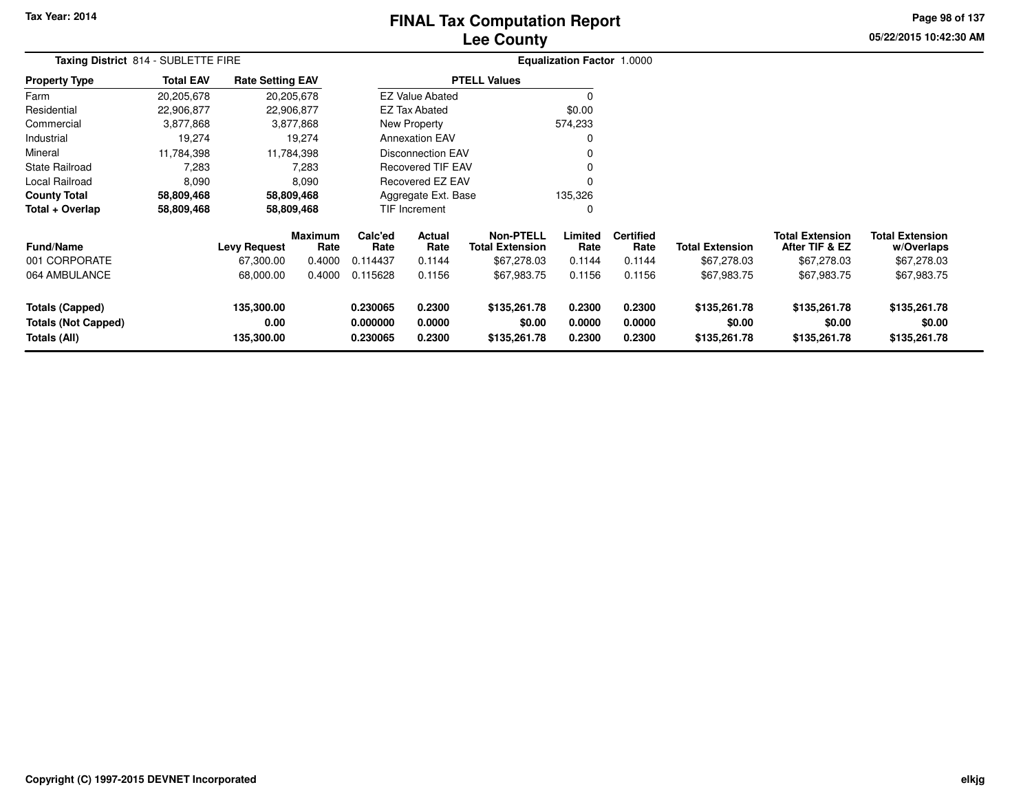# **Lee CountyFINAL Tax Computation Report**

**05/22/2015 10:42:30 AM Page 98 of 137**

|                                                                      | Taxing District 814 - SUBLETTE FIRE |                                  |                        |                                  |                            |                                            | Equalization Factor 1.0000 |                            |                                        |                                          |                                        |  |
|----------------------------------------------------------------------|-------------------------------------|----------------------------------|------------------------|----------------------------------|----------------------------|--------------------------------------------|----------------------------|----------------------------|----------------------------------------|------------------------------------------|----------------------------------------|--|
| <b>Property Type</b>                                                 | <b>Total EAV</b>                    | <b>Rate Setting EAV</b>          |                        |                                  |                            | <b>PTELL Values</b>                        |                            |                            |                                        |                                          |                                        |  |
| Farm                                                                 | 20,205,678                          |                                  | 20,205,678             |                                  | <b>EZ Value Abated</b>     |                                            | 0                          |                            |                                        |                                          |                                        |  |
| Residential                                                          | 22,906,877                          |                                  | 22,906,877             |                                  | <b>EZ Tax Abated</b>       |                                            | \$0.00                     |                            |                                        |                                          |                                        |  |
| Commercial                                                           | 3,877,868                           |                                  | 3,877,868              |                                  | New Property               |                                            | 574,233                    |                            |                                        |                                          |                                        |  |
| Industrial                                                           | 19,274                              |                                  | 19,274                 |                                  | <b>Annexation EAV</b>      |                                            | 0                          |                            |                                        |                                          |                                        |  |
| Mineral                                                              | 11,784,398                          |                                  | 11,784,398             |                                  | Disconnection EAV          |                                            | 0                          |                            |                                        |                                          |                                        |  |
| <b>State Railroad</b>                                                | 7,283                               |                                  | 7,283                  |                                  | Recovered TIF EAV          |                                            | 0                          |                            |                                        |                                          |                                        |  |
| Local Railroad                                                       | 8,090                               |                                  | 8,090                  |                                  | Recovered EZ EAV           |                                            | 0                          |                            |                                        |                                          |                                        |  |
| <b>County Total</b>                                                  | 58,809,468                          |                                  | 58,809,468             |                                  | Aggregate Ext. Base        |                                            | 135,326                    |                            |                                        |                                          |                                        |  |
| Total + Overlap                                                      | 58,809,468                          |                                  | 58,809,468             |                                  | <b>TIF Increment</b><br>0  |                                            |                            |                            |                                        |                                          |                                        |  |
| <b>Fund/Name</b>                                                     |                                     | <b>Levy Request</b>              | <b>Maximum</b><br>Rate | Calc'ed<br>Rate                  | Actual<br>Rate             | <b>Non-PTELL</b><br><b>Total Extension</b> | Limited<br>Rate            | <b>Certified</b><br>Rate   | <b>Total Extension</b>                 | <b>Total Extension</b><br>After TIF & EZ | <b>Total Extension</b><br>w/Overlaps   |  |
| 001 CORPORATE                                                        |                                     | 67,300.00                        | 0.4000                 | 0.114437                         | 0.1144                     | \$67,278.03                                | 0.1144                     | 0.1144                     | \$67,278.03                            | \$67,278.03                              | \$67,278.03                            |  |
| 064 AMBULANCE                                                        |                                     | 68,000.00                        | 0.4000                 | 0.115628                         | 0.1156                     | \$67,983.75                                | 0.1156                     | 0.1156                     | \$67,983.75                            | \$67,983.75                              | \$67,983.75                            |  |
| <b>Totals (Capped)</b><br><b>Totals (Not Capped)</b><br>Totals (All) |                                     | 135,300.00<br>0.00<br>135,300.00 |                        | 0.230065<br>0.000000<br>0.230065 | 0.2300<br>0.0000<br>0.2300 | \$135,261.78<br>\$0.00<br>\$135,261.78     | 0.2300<br>0.0000<br>0.2300 | 0.2300<br>0.0000<br>0.2300 | \$135,261.78<br>\$0.00<br>\$135,261.78 | \$135,261.78<br>\$0.00<br>\$135,261.78   | \$135,261.78<br>\$0.00<br>\$135,261.78 |  |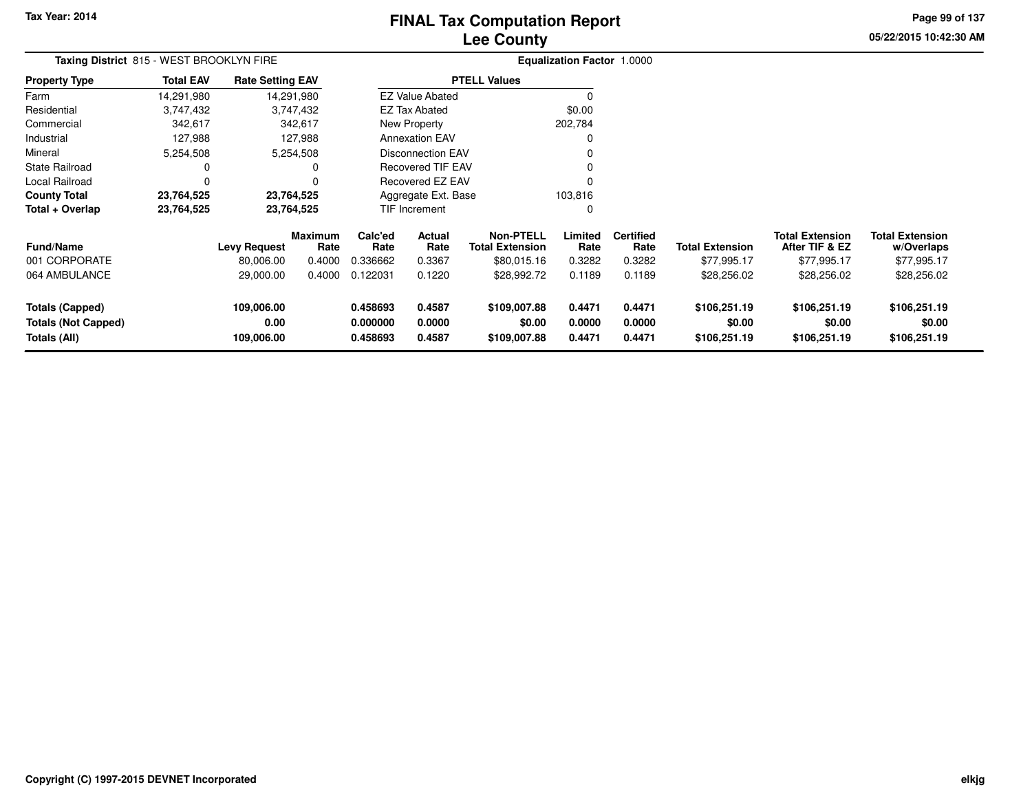# **Lee CountyFINAL Tax Computation Report**

**05/22/2015 10:42:30 AM Page 99 of 137**

| Taxing District 815 - WEST BROOKLYN FIRE                             |                  |                                  |                 | Equalization Factor 1.0000       |                            |                                            |                            |                            |                                        |                                          |                                        |
|----------------------------------------------------------------------|------------------|----------------------------------|-----------------|----------------------------------|----------------------------|--------------------------------------------|----------------------------|----------------------------|----------------------------------------|------------------------------------------|----------------------------------------|
| Property Type                                                        | <b>Total EAV</b> | <b>Rate Setting EAV</b>          |                 |                                  |                            | <b>PTELL Values</b>                        |                            |                            |                                        |                                          |                                        |
| Farm                                                                 | 14,291,980       |                                  | 14,291,980      |                                  | <b>EZ Value Abated</b>     |                                            |                            |                            |                                        |                                          |                                        |
| Residential                                                          | 3,747,432        |                                  | 3,747,432       |                                  | EZ Tax Abated              |                                            | \$0.00                     |                            |                                        |                                          |                                        |
| Commercial                                                           | 342,617          |                                  | 342,617         |                                  | New Property               |                                            | 202,784                    |                            |                                        |                                          |                                        |
| Industrial                                                           | 127,988          |                                  | 127,988         |                                  | <b>Annexation EAV</b>      |                                            |                            |                            |                                        |                                          |                                        |
| Mineral                                                              | 5,254,508        |                                  | 5,254,508       |                                  | <b>Disconnection EAV</b>   |                                            |                            |                            |                                        |                                          |                                        |
| State Railroad                                                       | 0                |                                  |                 |                                  | <b>Recovered TIF EAV</b>   |                                            |                            |                            |                                        |                                          |                                        |
| Local Railroad                                                       | $\Omega$         |                                  |                 |                                  | Recovered EZ EAV           |                                            |                            |                            |                                        |                                          |                                        |
| County Total                                                         | 23,764,525       | 23,764,525                       |                 |                                  | Aggregate Ext. Base        |                                            | 103,816                    |                            |                                        |                                          |                                        |
| Total + Overlap                                                      | 23,764,525       |                                  | 23,764,525      |                                  | TIF Increment              |                                            |                            |                            |                                        |                                          |                                        |
| <b>Fund/Name</b>                                                     |                  | <b>Levy Request</b>              | Maximum<br>Rate | Calc'ed<br>Rate                  | <b>Actual</b><br>Rate      | <b>Non-PTELL</b><br><b>Total Extension</b> | Limited<br>Rate            | <b>Certified</b><br>Rate   | <b>Total Extension</b>                 | <b>Total Extension</b><br>After TIF & EZ | <b>Total Extension</b><br>w/Overlaps   |
| 001 CORPORATE                                                        |                  | 80,006.00                        | 0.4000          | 0.336662                         | 0.3367                     | \$80,015.16                                | 0.3282                     | 0.3282                     | \$77,995.17                            | \$77,995.17                              | \$77,995.17                            |
| 064 AMBULANCE                                                        |                  | 29,000.00                        | 0.4000          | 0.122031                         | 0.1220                     | \$28,992.72                                | 0.1189                     | 0.1189                     | \$28,256.02                            | \$28,256.02                              | \$28,256.02                            |
| <b>Totals (Capped)</b><br><b>Totals (Not Capped)</b><br>Totals (All) |                  | 109,006.00<br>0.00<br>109,006.00 |                 | 0.458693<br>0.000000<br>0.458693 | 0.4587<br>0.0000<br>0.4587 | \$109,007.88<br>\$0.00<br>\$109,007.88     | 0.4471<br>0.0000<br>0.4471 | 0.4471<br>0.0000<br>0.4471 | \$106,251.19<br>\$0.00<br>\$106,251.19 | \$106,251.19<br>\$0.00<br>\$106,251.19   | \$106,251.19<br>\$0.00<br>\$106,251.19 |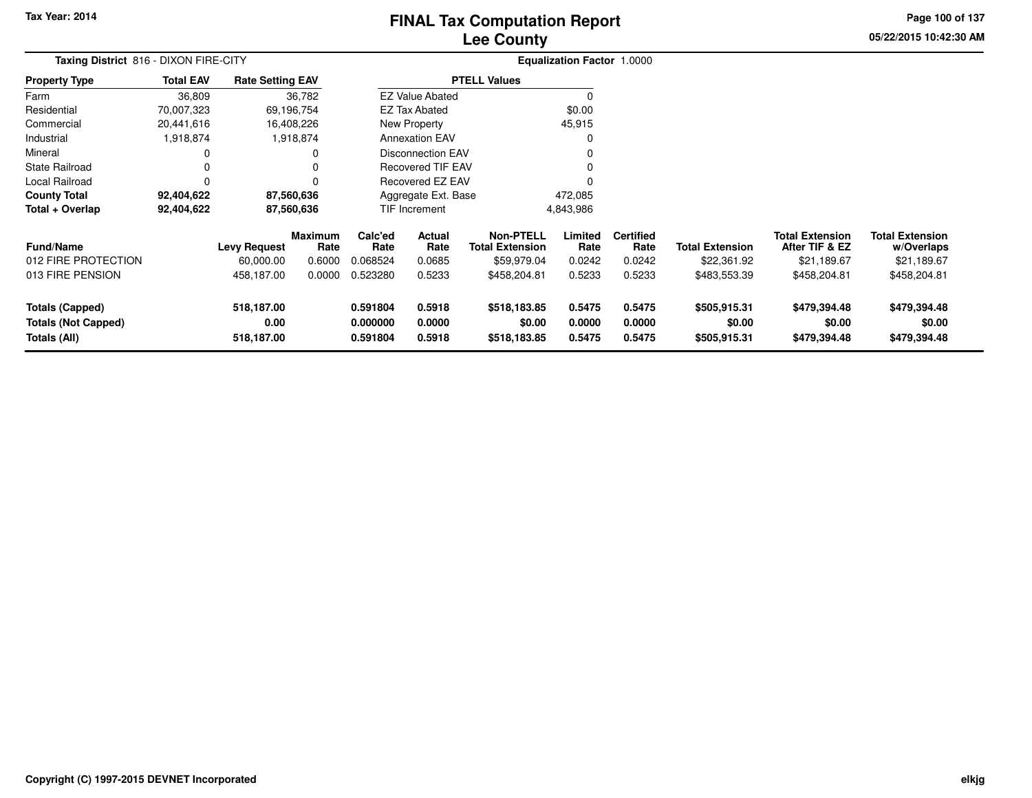# **Lee CountyFINAL Tax Computation Report**

**05/22/2015 10:42:30 AM Page 100 of 137**

| Taxing District 816 - DIXON FIRE-CITY                                |                  |                                  |                        |                                  |                                                      |                                        | <b>Equalization Factor 1.0000</b> |                            |                                        |                                          |                                        |
|----------------------------------------------------------------------|------------------|----------------------------------|------------------------|----------------------------------|------------------------------------------------------|----------------------------------------|-----------------------------------|----------------------------|----------------------------------------|------------------------------------------|----------------------------------------|
| <b>Property Type</b>                                                 | <b>Total EAV</b> | <b>Rate Setting EAV</b>          |                        |                                  |                                                      | <b>PTELL Values</b>                    |                                   |                            |                                        |                                          |                                        |
| Farm                                                                 | 36,809           |                                  | 36,782                 |                                  | <b>EZ Value Abated</b>                               |                                        |                                   |                            |                                        |                                          |                                        |
| Residential                                                          | 70,007,323       |                                  | 69,196,754             |                                  | <b>EZ Tax Abated</b>                                 |                                        | \$0.00                            |                            |                                        |                                          |                                        |
| Commercial                                                           | 20,441,616       |                                  | 16,408,226             |                                  | New Property                                         |                                        | 45,915                            |                            |                                        |                                          |                                        |
| Industrial                                                           | 1,918,874        |                                  | 1,918,874              |                                  | <b>Annexation EAV</b>                                |                                        |                                   |                            |                                        |                                          |                                        |
| Mineral                                                              |                  |                                  |                        |                                  | <b>Disconnection EAV</b><br><b>Recovered TIF EAV</b> |                                        |                                   |                            |                                        |                                          |                                        |
| <b>State Railroad</b>                                                | 0                |                                  |                        |                                  |                                                      |                                        |                                   |                            |                                        |                                          |                                        |
| Local Railroad                                                       | 0                |                                  |                        |                                  | Recovered EZ EAV                                     |                                        |                                   |                            |                                        |                                          |                                        |
| <b>County Total</b>                                                  | 92,404,622       |                                  | 87,560,636             |                                  | Aggregate Ext. Base                                  |                                        | 472,085                           |                            |                                        |                                          |                                        |
| Total + Overlap                                                      | 92,404,622       |                                  | 87,560,636             |                                  | <b>TIF Increment</b>                                 |                                        | 4,843,986                         |                            |                                        |                                          |                                        |
| <b>Fund/Name</b>                                                     |                  | <b>Levy Request</b>              | <b>Maximum</b><br>Rate | Calc'ed<br>Rate                  | Actual<br>Rate                                       | Non-PTELL<br><b>Total Extension</b>    | Limited<br>Rate                   | <b>Certified</b><br>Rate   | <b>Total Extension</b>                 | <b>Total Extension</b><br>After TIF & EZ | <b>Total Extension</b><br>w/Overlaps   |
| 012 FIRE PROTECTION                                                  |                  | 60,000.00                        | 0.6000                 | 0.068524                         | 0.0685                                               | \$59,979.04                            | 0.0242                            | 0.0242                     | \$22,361.92                            | \$21,189.67                              | \$21,189.67                            |
| 013 FIRE PENSION                                                     |                  | 458,187.00                       | 0.0000                 | 0.523280                         | 0.5233                                               | \$458,204.81                           | 0.5233                            | 0.5233                     | \$483,553.39                           | \$458,204.81                             | \$458,204.81                           |
| <b>Totals (Capped)</b><br><b>Totals (Not Capped)</b><br>Totals (All) |                  | 518,187.00<br>0.00<br>518,187.00 |                        | 0.591804<br>0.000000<br>0.591804 | 0.5918<br>0.0000<br>0.5918                           | \$518,183.85<br>\$0.00<br>\$518,183.85 | 0.5475<br>0.0000<br>0.5475        | 0.5475<br>0.0000<br>0.5475 | \$505,915.31<br>\$0.00<br>\$505,915.31 | \$479,394.48<br>\$0.00<br>\$479,394.48   | \$479,394.48<br>\$0.00<br>\$479,394.48 |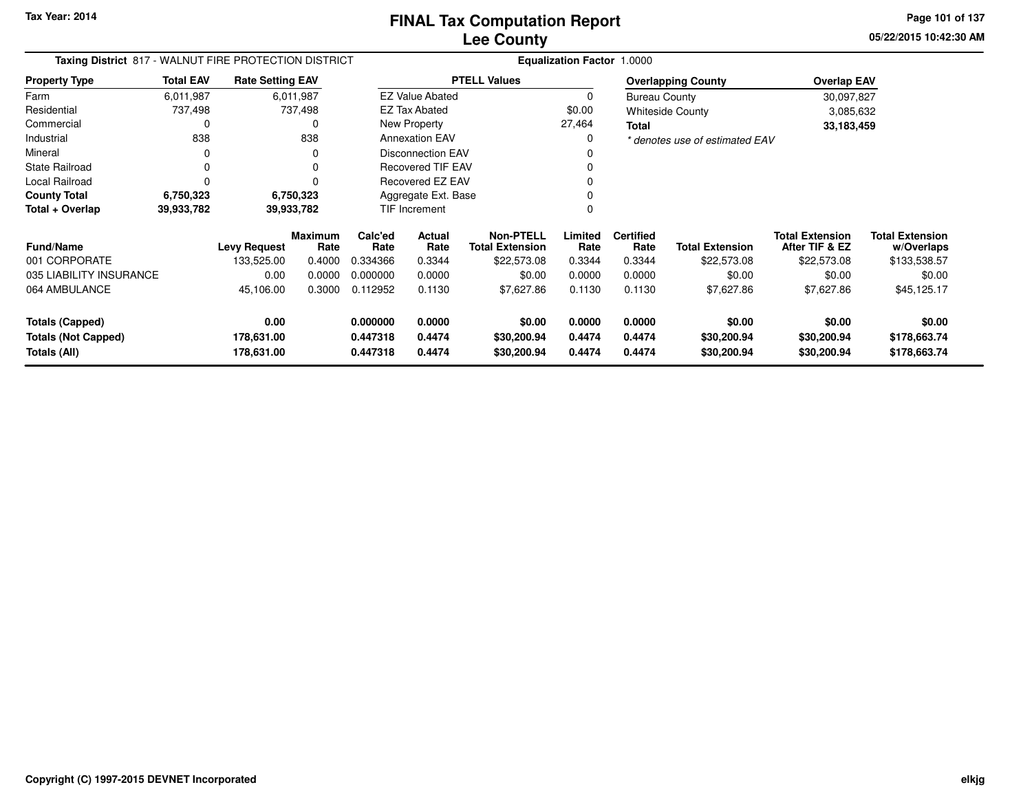**05/22/2015 10:42:30 AM Page 101 of 137**

| Taxing District 817 - WALNUT FIRE PROTECTION DISTRICT |                  |                          |                        |                      |                          |                                            | <b>Equalization Factor 1.0000</b> |                          |                                |                                          |                                      |
|-------------------------------------------------------|------------------|--------------------------|------------------------|----------------------|--------------------------|--------------------------------------------|-----------------------------------|--------------------------|--------------------------------|------------------------------------------|--------------------------------------|
| <b>Property Type</b>                                  | <b>Total EAV</b> | <b>Rate Setting EAV</b>  |                        |                      |                          | <b>PTELL Values</b>                        |                                   |                          | <b>Overlapping County</b>      | <b>Overlap EAV</b>                       |                                      |
| Farm                                                  | 6,011,987        |                          | 6,011,987              |                      | <b>EZ Value Abated</b>   |                                            | 0                                 | <b>Bureau County</b>     |                                | 30,097,827                               |                                      |
| Residential                                           | 737,498          |                          | 737,498                |                      | <b>EZ Tax Abated</b>     |                                            | \$0.00                            |                          | <b>Whiteside County</b>        | 3,085,632                                |                                      |
| Commercial                                            | 0                |                          | 0                      |                      | New Property             |                                            | 27,464                            | Total                    |                                | 33,183,459                               |                                      |
| Industrial                                            | 838              |                          | 838                    |                      | <b>Annexation EAV</b>    |                                            | 0                                 |                          | * denotes use of estimated EAV |                                          |                                      |
| Mineral                                               |                  |                          | 0                      |                      | <b>Disconnection EAV</b> |                                            | O                                 |                          |                                |                                          |                                      |
| <b>State Railroad</b>                                 | $\Omega$         |                          | 0                      |                      | <b>Recovered TIF EAV</b> |                                            | 0                                 |                          |                                |                                          |                                      |
| Local Railroad                                        | $\Omega$         |                          | 0                      |                      | Recovered EZ EAV         |                                            | 0                                 |                          |                                |                                          |                                      |
| <b>County Total</b>                                   | 6,750,323        |                          | 6,750,323              |                      | Aggregate Ext. Base      |                                            |                                   |                          |                                |                                          |                                      |
| Total + Overlap                                       | 39,933,782       |                          | 39,933,782             |                      | <b>TIF Increment</b>     |                                            |                                   |                          |                                |                                          |                                      |
| <b>Fund/Name</b>                                      |                  | <b>Levy Request</b>      | <b>Maximum</b><br>Rate | Calc'ed<br>Rate      | Actual<br>Rate           | <b>Non-PTELL</b><br><b>Total Extension</b> | Limited<br>Rate                   | <b>Certified</b><br>Rate | <b>Total Extension</b>         | <b>Total Extension</b><br>After TIF & EZ | <b>Total Extension</b><br>w/Overlaps |
| 001 CORPORATE                                         |                  | 133,525.00               | 0.4000                 | 0.334366             | 0.3344                   | \$22,573.08                                | 0.3344                            | 0.3344                   | \$22,573.08                    | \$22,573.08                              | \$133,538.57                         |
| 035 LIABILITY INSURANCE                               |                  | 0.00                     | 0.0000                 | 0.000000             | 0.0000                   | \$0.00                                     | 0.0000                            | 0.0000                   | \$0.00                         | \$0.00                                   | \$0.00                               |
| 064 AMBULANCE                                         |                  | 45,106.00                | 0.3000                 | 0.112952             | 0.1130                   | \$7,627.86                                 | 0.1130                            | 0.1130                   | \$7,627.86                     | \$7,627.86                               | \$45,125.17                          |
| <b>Totals (Capped)</b>                                |                  | 0.00                     |                        | 0.000000             | 0.0000                   | \$0.00                                     | 0.0000                            | 0.0000                   | \$0.00                         | \$0.00                                   | \$0.00                               |
| <b>Totals (Not Capped)</b><br>Totals (All)            |                  | 178,631.00<br>178,631.00 |                        | 0.447318<br>0.447318 | 0.4474<br>0.4474         | \$30,200.94<br>\$30,200.94                 | 0.4474<br>0.4474                  | 0.4474<br>0.4474         | \$30,200.94<br>\$30,200.94     | \$30,200.94<br>\$30,200.94               | \$178,663.74<br>\$178,663.74         |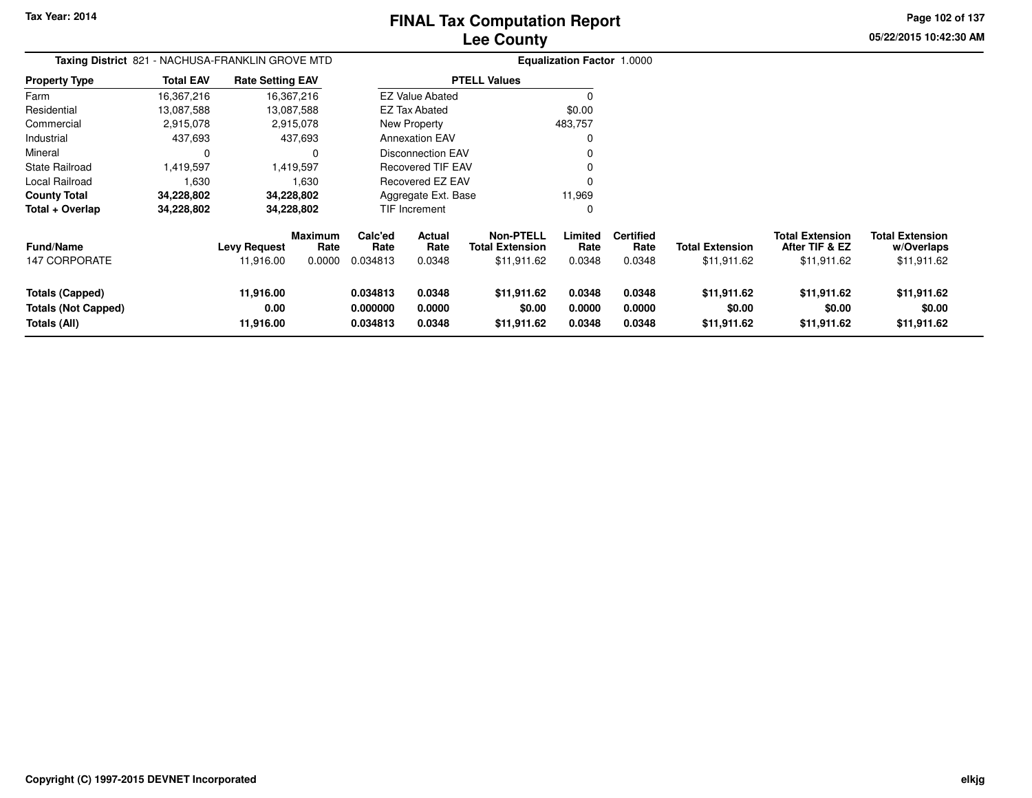**05/22/2015 10:42:30 AMPage 102 of 137**

| <b>Taxing District 821</b>                                                  | - NACHUSA-FRANKLIN GROVE MTD |                                  |                           |                                  | <b>Equalization Factor 1.0000</b> |                                                           |                            |                                    |                                       |                                                         |                                                     |
|-----------------------------------------------------------------------------|------------------------------|----------------------------------|---------------------------|----------------------------------|-----------------------------------|-----------------------------------------------------------|----------------------------|------------------------------------|---------------------------------------|---------------------------------------------------------|-----------------------------------------------------|
| Property Type                                                               | <b>Total EAV</b>             | <b>Rate Setting EAV</b>          |                           |                                  |                                   | <b>PTELL Values</b>                                       |                            |                                    |                                       |                                                         |                                                     |
| Farm                                                                        | 16,367,216                   |                                  | 16,367,216                |                                  | <b>EZ Value Abated</b>            |                                                           | $\Omega$                   |                                    |                                       |                                                         |                                                     |
| Residential                                                                 | 13,087,588                   |                                  | 13,087,588                |                                  | <b>EZ Tax Abated</b>              |                                                           | \$0.00                     |                                    |                                       |                                                         |                                                     |
| Commercial                                                                  | 2,915,078                    |                                  | 2,915,078                 |                                  | New Property                      |                                                           | 483,757                    |                                    |                                       |                                                         |                                                     |
| Industrial                                                                  | 437,693                      |                                  | 437,693                   |                                  | <b>Annexation EAV</b>             |                                                           | 0                          |                                    |                                       |                                                         |                                                     |
| Mineral                                                                     | 0                            |                                  | O                         |                                  | <b>Disconnection EAV</b>          |                                                           |                            |                                    |                                       |                                                         |                                                     |
| <b>State Railroad</b>                                                       | 1,419,597                    |                                  | 1,419,597                 |                                  | <b>Recovered TIF EAV</b>          |                                                           |                            |                                    |                                       |                                                         |                                                     |
| Local Railroad                                                              | 1,630                        |                                  | 1,630                     |                                  | Recovered EZ EAV                  |                                                           | 0                          |                                    |                                       |                                                         |                                                     |
| County Total                                                                | 34,228,802                   |                                  | 34,228,802                |                                  | Aggregate Ext. Base               |                                                           | 11,969                     |                                    |                                       |                                                         |                                                     |
| Total + Overlap                                                             | 34,228,802                   |                                  | 34,228,802                |                                  | TIF Increment                     |                                                           | 0                          |                                    |                                       |                                                         |                                                     |
| Fund/Name<br>147 CORPORATE                                                  |                              | <b>Levy Request</b><br>11,916.00 | Maximum<br>Rate<br>0.0000 | Calc'ed<br>Rate<br>0.034813      | Actual<br>Rate<br>0.0348          | <b>Non-PTELL</b><br><b>Total Extension</b><br>\$11,911.62 | Limited<br>Rate<br>0.0348  | <b>Certified</b><br>Rate<br>0.0348 | <b>Total Extension</b><br>\$11,911.62 | <b>Total Extension</b><br>After TIF & EZ<br>\$11,911.62 | <b>Total Extension</b><br>w/Overlaps<br>\$11,911.62 |
| <b>Totals (Capped)</b><br><b>Totals (Not Capped)</b><br><b>Totals (All)</b> |                              | 11,916.00<br>0.00<br>11,916.00   |                           | 0.034813<br>0.000000<br>0.034813 | 0.0348<br>0.0000<br>0.0348        | \$11,911.62<br>\$0.00<br>\$11,911.62                      | 0.0348<br>0.0000<br>0.0348 | 0.0348<br>0.0000<br>0.0348         | \$11,911.62<br>\$0.00<br>\$11,911.62  | \$11,911.62<br>\$0.00<br>\$11,911.62                    | \$11,911.62<br>\$0.00<br>\$11,911.62                |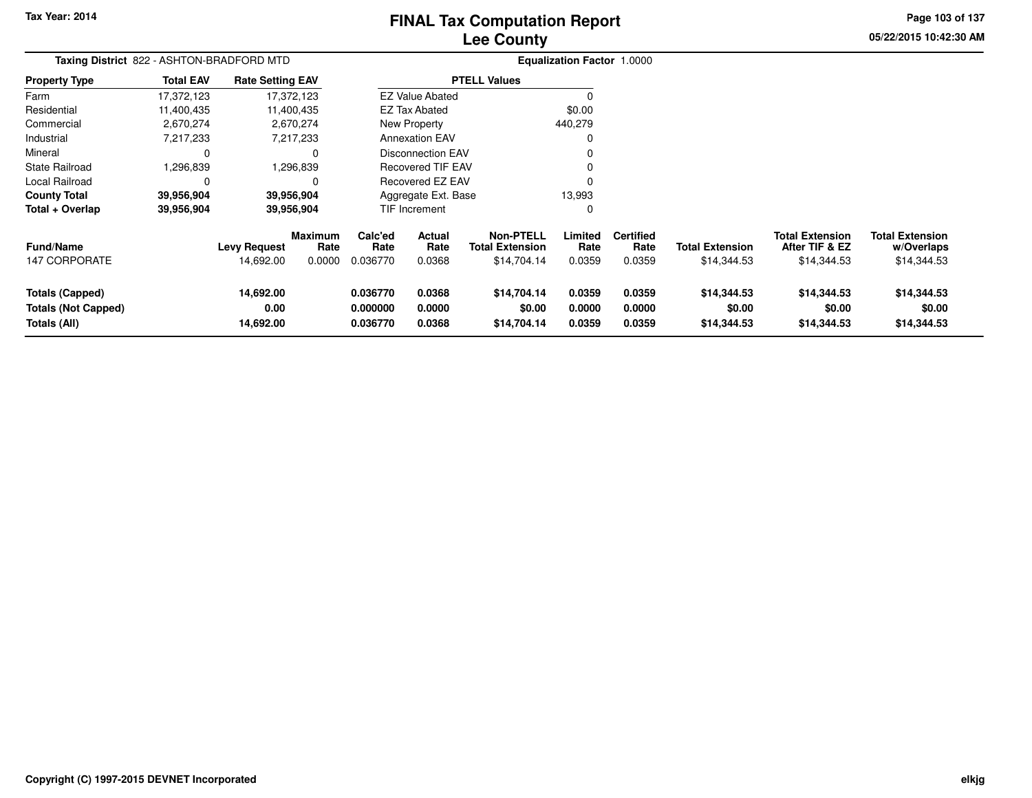# **Lee CountyFINAL Tax Computation Report**

**05/22/2015 10:42:30 AM Page 103 of 137**

| Taxing District 822 - ASHTON-BRADFORD MTD                     |                  |                                  |                                  |                                  | <b>Equalization Factor 1.0000</b> |                                                           |                            |                                    |                                       |                                                         |                                                     |
|---------------------------------------------------------------|------------------|----------------------------------|----------------------------------|----------------------------------|-----------------------------------|-----------------------------------------------------------|----------------------------|------------------------------------|---------------------------------------|---------------------------------------------------------|-----------------------------------------------------|
| <b>Property Type</b>                                          | <b>Total EAV</b> | <b>Rate Setting EAV</b>          |                                  |                                  |                                   | <b>PTELL Values</b>                                       |                            |                                    |                                       |                                                         |                                                     |
| Farm                                                          | 17,372,123       |                                  | 17,372,123                       |                                  | <b>EZ Value Abated</b>            |                                                           |                            |                                    |                                       |                                                         |                                                     |
| Residential                                                   | 11,400,435       |                                  | 11,400,435                       |                                  | EZ Tax Abated                     |                                                           | \$0.00                     |                                    |                                       |                                                         |                                                     |
| Commercial                                                    | 2,670,274        |                                  | 2,670,274                        |                                  | New Property<br>440,279           |                                                           |                            |                                    |                                       |                                                         |                                                     |
| Industrial                                                    | 7,217,233        |                                  | 7,217,233                        |                                  | <b>Annexation EAV</b>             |                                                           |                            |                                    |                                       |                                                         |                                                     |
| Mineral                                                       | 0                |                                  | 0                                |                                  | <b>Disconnection EAV</b>          |                                                           |                            |                                    |                                       |                                                         |                                                     |
| State Railroad                                                | .296,839         |                                  | 1,296,839                        |                                  | <b>Recovered TIF EAV</b>          |                                                           |                            |                                    |                                       |                                                         |                                                     |
| Local Railroad                                                | 0                |                                  | $\Omega$                         |                                  | Recovered EZ EAV                  |                                                           |                            |                                    |                                       |                                                         |                                                     |
| <b>County Total</b>                                           | 39,956,904       |                                  | 39,956,904                       |                                  | Aggregate Ext. Base               |                                                           | 13,993                     |                                    |                                       |                                                         |                                                     |
| Total + Overlap                                               | 39,956,904       |                                  | 39,956,904                       |                                  | TIF Increment                     |                                                           | 0                          |                                    |                                       |                                                         |                                                     |
| <b>Fund/Name</b><br>147 CORPORATE                             |                  | <b>Levy Request</b><br>14,692.00 | <b>Maximum</b><br>Rate<br>0.0000 | Calc'ed<br>Rate<br>0.036770      | Actual<br>Rate<br>0.0368          | <b>Non-PTELL</b><br><b>Total Extension</b><br>\$14,704.14 | Limited<br>Rate<br>0.0359  | <b>Certified</b><br>Rate<br>0.0359 | <b>Total Extension</b><br>\$14,344.53 | <b>Total Extension</b><br>After TIF & EZ<br>\$14,344.53 | <b>Total Extension</b><br>w/Overlaps<br>\$14,344.53 |
| Totals (Capped)<br><b>Totals (Not Capped)</b><br>Totals (All) |                  | 14,692.00<br>0.00<br>14,692.00   |                                  | 0.036770<br>0.000000<br>0.036770 | 0.0368<br>0.0000<br>0.0368        | \$14,704.14<br>\$0.00<br>\$14,704.14                      | 0.0359<br>0.0000<br>0.0359 | 0.0359<br>0.0000<br>0.0359         | \$14,344.53<br>\$0.00<br>\$14,344.53  | \$14,344.53<br>\$0.00<br>\$14,344.53                    | \$14,344.53<br>\$0.00<br>\$14,344.53                |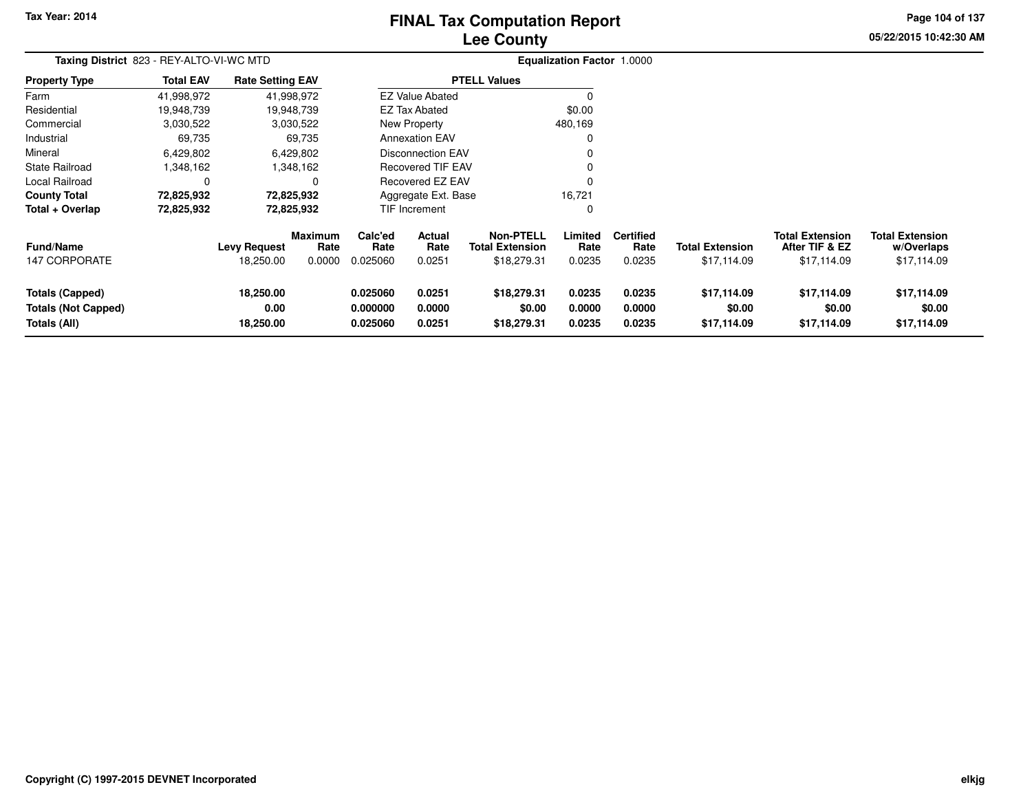# **Lee CountyFINAL Tax Computation Report**

**05/22/2015 10:42:30 AMPage 104 of 137**

| Taxing District 823 - REY-ALTO-VI-WC MTD |                  |                         |                        |                 |                          |                                            | <b>Equalization Factor 1.0000</b> |                          |                        |                                          |                                      |
|------------------------------------------|------------------|-------------------------|------------------------|-----------------|--------------------------|--------------------------------------------|-----------------------------------|--------------------------|------------------------|------------------------------------------|--------------------------------------|
| <b>Property Type</b>                     | <b>Total EAV</b> | <b>Rate Setting EAV</b> |                        |                 |                          | <b>PTELL Values</b>                        |                                   |                          |                        |                                          |                                      |
| Farm                                     | 41,998,972       |                         | 41,998,972             |                 | <b>EZ Value Abated</b>   |                                            | $\Omega$                          |                          |                        |                                          |                                      |
| Residential                              | 19,948,739       |                         | 19,948,739             |                 | <b>EZ Tax Abated</b>     |                                            | \$0.00                            |                          |                        |                                          |                                      |
| Commercial                               | 3,030,522        |                         | 3,030,522              |                 | New Property             |                                            | 480,169                           |                          |                        |                                          |                                      |
| Industrial                               | 69,735           |                         | 69,735                 |                 | <b>Annexation EAV</b>    |                                            | $\Omega$                          |                          |                        |                                          |                                      |
| Mineral                                  | 6,429,802        |                         | 6,429,802              |                 | <b>Disconnection EAV</b> |                                            | 0                                 |                          |                        |                                          |                                      |
| State Railroad                           | 1,348,162        |                         | 1,348,162              |                 | <b>Recovered TIF EAV</b> |                                            | 0                                 |                          |                        |                                          |                                      |
| Local Railroad                           | 0                |                         | 0                      |                 | <b>Recovered EZ EAV</b>  |                                            | 0                                 |                          |                        |                                          |                                      |
| <b>County Total</b>                      | 72,825,932       |                         | 72,825,932             |                 | Aggregate Ext. Base      |                                            | 16,721                            |                          |                        |                                          |                                      |
| Total + Overlap                          | 72,825,932       | 72,825,932              |                        | TIF Increment   |                          |                                            | 0                                 |                          |                        |                                          |                                      |
| Fund/Name                                |                  | <b>Levy Request</b>     | <b>Maximum</b><br>Rate | Calc'ed<br>Rate | Actual<br>Rate           | <b>Non-PTELL</b><br><b>Total Extension</b> | Limited<br>Rate                   | <b>Certified</b><br>Rate | <b>Total Extension</b> | <b>Total Extension</b><br>After TIF & EZ | <b>Total Extension</b><br>w/Overlaps |
| 147 CORPORATE                            |                  | 18,250.00               | 0.0000                 | 0.025060        | 0.0251                   | \$18,279.31                                | 0.0235                            | 0.0235                   | \$17,114.09            | \$17,114.09                              | \$17,114.09                          |
| <b>Totals (Capped)</b>                   |                  | 18,250.00               |                        | 0.025060        | 0.0251                   | \$18,279.31                                | 0.0235                            | 0.0235                   | \$17,114.09            | \$17,114.09                              | \$17,114.09                          |
| <b>Totals (Not Capped)</b>               |                  | 0.00                    |                        | 0.000000        | 0.0000                   | \$0.00                                     | 0.0000                            | 0.0000                   | \$0.00                 | \$0.00                                   | \$0.00                               |
| Totals (All)                             |                  | 18,250.00               |                        | 0.025060        | 0.0251                   | \$18,279.31                                | 0.0235                            | 0.0235                   | \$17,114.09            | \$17,114.09                              | \$17,114.09                          |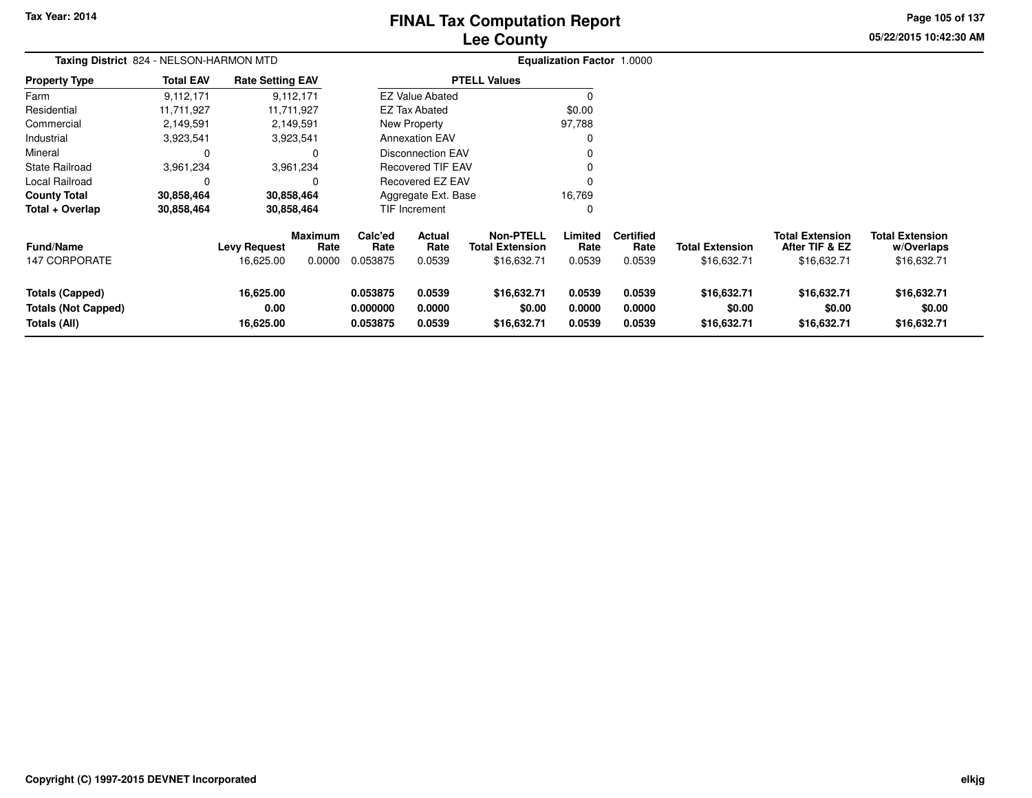# **Lee CountyFINAL Tax Computation Report**

**05/22/2015 10:42:30 AM Page 105 of 137**

| Taxing District 824 - NELSON-HARMON MTD                              |                  |                                  |                                  |                                  |                                 |                                                           | <b>Equalization Factor 1.0000</b> |                                    |                                       |                                                         |                                                     |
|----------------------------------------------------------------------|------------------|----------------------------------|----------------------------------|----------------------------------|---------------------------------|-----------------------------------------------------------|-----------------------------------|------------------------------------|---------------------------------------|---------------------------------------------------------|-----------------------------------------------------|
| <b>Property Type</b>                                                 | <b>Total EAV</b> | <b>Rate Setting EAV</b>          |                                  |                                  |                                 | <b>PTELL Values</b>                                       |                                   |                                    |                                       |                                                         |                                                     |
| Farm                                                                 | 9,112,171        |                                  | 9,112,171                        |                                  | <b>EZ Value Abated</b>          |                                                           |                                   |                                    |                                       |                                                         |                                                     |
| Residential                                                          | 11.711.927       |                                  | 11.711.927                       |                                  | <b>EZ Tax Abated</b>            |                                                           | \$0.00                            |                                    |                                       |                                                         |                                                     |
| Commercial                                                           | 2,149,591        |                                  | 2,149,591                        |                                  | New Property                    |                                                           | 97,788                            |                                    |                                       |                                                         |                                                     |
| Industrial                                                           | 3,923,541        |                                  | 3,923,541                        |                                  | <b>Annexation EAV</b>           |                                                           |                                   |                                    |                                       |                                                         |                                                     |
| Mineral                                                              |                  |                                  | 0                                |                                  | <b>Disconnection EAV</b>        |                                                           |                                   |                                    |                                       |                                                         |                                                     |
| State Railroad                                                       | 3,961,234        |                                  | 3,961,234                        |                                  | Recovered TIF EAV               |                                                           |                                   |                                    |                                       |                                                         |                                                     |
| Local Railroad                                                       |                  |                                  | 0                                |                                  | Recovered EZ EAV                |                                                           |                                   |                                    |                                       |                                                         |                                                     |
| <b>County Total</b>                                                  | 30,858,464       |                                  | 30,858,464                       |                                  | Aggregate Ext. Base             |                                                           | 16,769                            |                                    |                                       |                                                         |                                                     |
| Total + Overlap                                                      | 30,858,464       |                                  | 30,858,464                       |                                  | TIF Increment                   |                                                           | 0                                 |                                    |                                       |                                                         |                                                     |
| Fund/Name<br>147 CORPORATE                                           |                  | <b>Levy Request</b><br>16,625.00 | <b>Maximum</b><br>Rate<br>0.0000 | Calc'ed<br>Rate<br>0.053875      | <b>Actual</b><br>Rate<br>0.0539 | <b>Non-PTELL</b><br><b>Total Extension</b><br>\$16,632.71 | Limited<br>Rate<br>0.0539         | <b>Certified</b><br>Rate<br>0.0539 | <b>Total Extension</b><br>\$16,632.71 | <b>Total Extension</b><br>After TIF & EZ<br>\$16,632.71 | <b>Total Extension</b><br>w/Overlaps<br>\$16,632.71 |
| <b>Totals (Capped)</b><br><b>Totals (Not Capped)</b><br>Totals (All) |                  | 16,625.00<br>0.00<br>16,625.00   |                                  | 0.053875<br>0.000000<br>0.053875 | 0.0539<br>0.0000<br>0.0539      | \$16,632.71<br>\$0.00<br>\$16,632.71                      | 0.0539<br>0.0000<br>0.0539        | 0.0539<br>0.0000<br>0.0539         | \$16,632.71<br>\$0.00<br>\$16,632.71  | \$16,632.71<br>\$0.00<br>\$16,632.71                    | \$16,632.71<br>\$0.00<br>\$16,632.71                |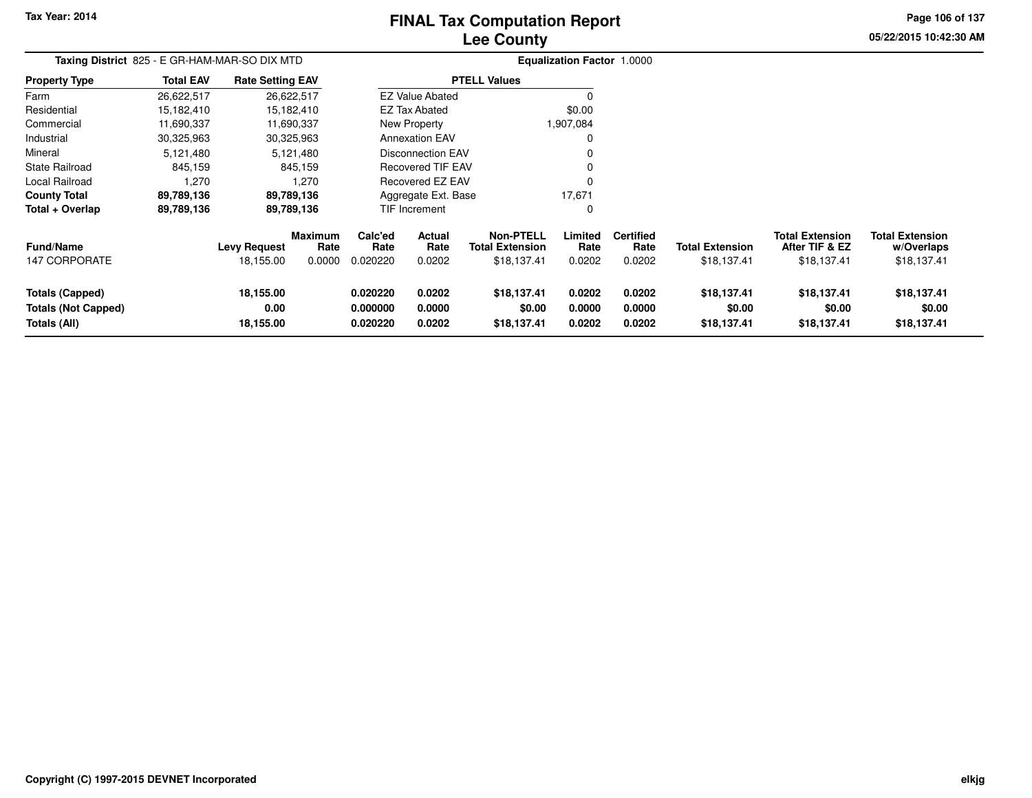# **Lee CountyFINAL Tax Computation Report**

**05/22/2015 10:42:30 AMPage 106 of 137**

| Taxing District 825 - E GR-HAM-MAR-SO DIX MTD                               |                  |                                  |                                  | <b>Equalization Factor 1.0000</b> |                            |                                                           |                            |                                    |                                       |                                                         |                                                     |
|-----------------------------------------------------------------------------|------------------|----------------------------------|----------------------------------|-----------------------------------|----------------------------|-----------------------------------------------------------|----------------------------|------------------------------------|---------------------------------------|---------------------------------------------------------|-----------------------------------------------------|
| Property Type                                                               | <b>Total EAV</b> | <b>Rate Setting EAV</b>          |                                  |                                   |                            | <b>PTELL Values</b>                                       |                            |                                    |                                       |                                                         |                                                     |
| Farm                                                                        | 26,622,517       |                                  | 26,622,517                       |                                   | <b>EZ Value Abated</b>     |                                                           |                            |                                    |                                       |                                                         |                                                     |
| Residential                                                                 | 15,182,410       |                                  | 15,182,410                       |                                   | <b>EZ Tax Abated</b>       |                                                           | \$0.00                     |                                    |                                       |                                                         |                                                     |
| Commercial                                                                  | 11,690,337       |                                  | 11,690,337                       |                                   | New Property               |                                                           | 1,907,084                  |                                    |                                       |                                                         |                                                     |
| Industrial                                                                  | 30,325,963       |                                  | 30,325,963                       |                                   | <b>Annexation EAV</b>      |                                                           |                            |                                    |                                       |                                                         |                                                     |
| Mineral                                                                     | 5,121,480        |                                  | 5,121,480                        |                                   | <b>Disconnection EAV</b>   |                                                           |                            |                                    |                                       |                                                         |                                                     |
| State Railroad                                                              | 845,159          |                                  | 845,159                          |                                   | <b>Recovered TIF EAV</b>   |                                                           |                            |                                    |                                       |                                                         |                                                     |
| Local Railroad                                                              | 1,270            |                                  | 1,270                            |                                   | Recovered EZ EAV           |                                                           |                            |                                    |                                       |                                                         |                                                     |
| <b>County Total</b>                                                         | 89,789,136       |                                  | 89,789,136                       |                                   | Aggregate Ext. Base        |                                                           | 17,671                     |                                    |                                       |                                                         |                                                     |
| Total + Overlap                                                             | 89,789,136       |                                  | 89,789,136                       |                                   | <b>TIF Increment</b>       |                                                           | 0                          |                                    |                                       |                                                         |                                                     |
| <b>Fund/Name</b><br><b>147 CORPORATE</b>                                    |                  | <b>Levy Request</b><br>18,155.00 | <b>Maximum</b><br>Rate<br>0.0000 | Calc'ed<br>Rate<br>0.020220       | Actual<br>Rate<br>0.0202   | <b>Non-PTELL</b><br><b>Total Extension</b><br>\$18,137.41 | Limited<br>Rate<br>0.0202  | <b>Certified</b><br>Rate<br>0.0202 | <b>Total Extension</b><br>\$18,137.41 | <b>Total Extension</b><br>After TIF & EZ<br>\$18,137.41 | <b>Total Extension</b><br>w/Overlaps<br>\$18,137.41 |
| <b>Totals (Capped)</b><br><b>Totals (Not Capped)</b><br><b>Totals (All)</b> |                  | 18,155.00<br>0.00<br>18,155.00   |                                  | 0.020220<br>0.000000<br>0.020220  | 0.0202<br>0.0000<br>0.0202 | \$18,137.41<br>\$0.00<br>\$18,137.41                      | 0.0202<br>0.0000<br>0.0202 | 0.0202<br>0.0000<br>0.0202         | \$18,137.41<br>\$0.00<br>\$18,137.41  | \$18,137.41<br>\$0.00<br>\$18,137.41                    | \$18,137.41<br>\$0.00<br>\$18,137.41                |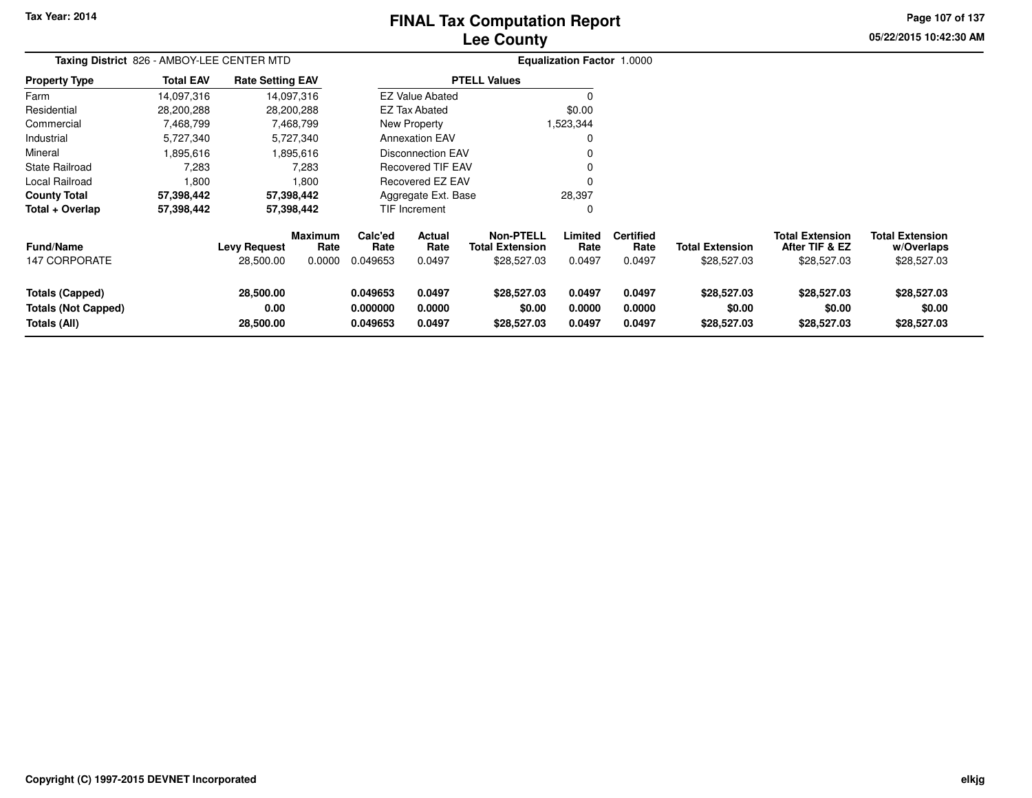# **Lee CountyFINAL Tax Computation Report**

**05/22/2015 10:42:30 AM Page 107 of 137**

|                                                                      | Taxing District 826 - AMBOY-LEE CENTER MTD |                                |                                  |                                  |                            |                                                           | Equalization Factor 1.0000 |                                    |                                       |                                                         |                                                     |
|----------------------------------------------------------------------|--------------------------------------------|--------------------------------|----------------------------------|----------------------------------|----------------------------|-----------------------------------------------------------|----------------------------|------------------------------------|---------------------------------------|---------------------------------------------------------|-----------------------------------------------------|
| <b>Property Type</b>                                                 | <b>Total EAV</b>                           | <b>Rate Setting EAV</b>        |                                  |                                  |                            | <b>PTELL Values</b>                                       |                            |                                    |                                       |                                                         |                                                     |
| Farm                                                                 | 14,097,316                                 |                                | 14,097,316                       |                                  | <b>EZ Value Abated</b>     |                                                           |                            |                                    |                                       |                                                         |                                                     |
| Residential                                                          | 28,200,288                                 |                                | 28,200,288                       |                                  | <b>EZ Tax Abated</b>       |                                                           | \$0.00                     |                                    |                                       |                                                         |                                                     |
| Commercial                                                           | 7,468,799                                  |                                | 7,468,799                        |                                  | New Property               |                                                           | 1,523,344                  |                                    |                                       |                                                         |                                                     |
| Industrial                                                           | 5,727,340                                  |                                | 5,727,340                        |                                  | <b>Annexation EAV</b>      |                                                           |                            |                                    |                                       |                                                         |                                                     |
| Mineral                                                              | 1,895,616                                  |                                | 1,895,616                        |                                  | Disconnection EAV          |                                                           |                            |                                    |                                       |                                                         |                                                     |
| State Railroad                                                       | 7,283                                      |                                | 7,283                            |                                  | <b>Recovered TIF EAV</b>   |                                                           |                            |                                    |                                       |                                                         |                                                     |
| Local Railroad                                                       | 1,800                                      |                                | 1.800                            |                                  | Recovered EZ EAV           |                                                           |                            |                                    |                                       |                                                         |                                                     |
| <b>County Total</b>                                                  | 57,398,442                                 |                                | 57,398,442                       |                                  | Aggregate Ext. Base        |                                                           | 28,397                     |                                    |                                       |                                                         |                                                     |
| Total + Overlap                                                      | 57,398,442                                 |                                | 57,398,442                       |                                  | TIF Increment              |                                                           | 0                          |                                    |                                       |                                                         |                                                     |
| <b>Fund/Name</b><br><b>147 CORPORATE</b>                             |                                            | Levy Request<br>28,500.00      | <b>Maximum</b><br>Rate<br>0.0000 | Calc'ed<br>Rate<br>0.049653      | Actual<br>Rate<br>0.0497   | <b>Non-PTELL</b><br><b>Total Extension</b><br>\$28,527.03 | Limited<br>Rate<br>0.0497  | <b>Certified</b><br>Rate<br>0.0497 | <b>Total Extension</b><br>\$28,527.03 | <b>Total Extension</b><br>After TIF & EZ<br>\$28,527.03 | <b>Total Extension</b><br>w/Overlaps<br>\$28,527.03 |
| <b>Totals (Capped)</b><br><b>Totals (Not Capped)</b><br>Totals (All) |                                            | 28,500.00<br>0.00<br>28,500.00 |                                  | 0.049653<br>0.000000<br>0.049653 | 0.0497<br>0.0000<br>0.0497 | \$28,527.03<br>\$0.00<br>\$28,527.03                      | 0.0497<br>0.0000<br>0.0497 | 0.0497<br>0.0000<br>0.0497         | \$28,527.03<br>\$0.00<br>\$28,527.03  | \$28,527.03<br>\$0.00<br>\$28,527.03                    | \$28,527.03<br>\$0.00<br>\$28,527.03                |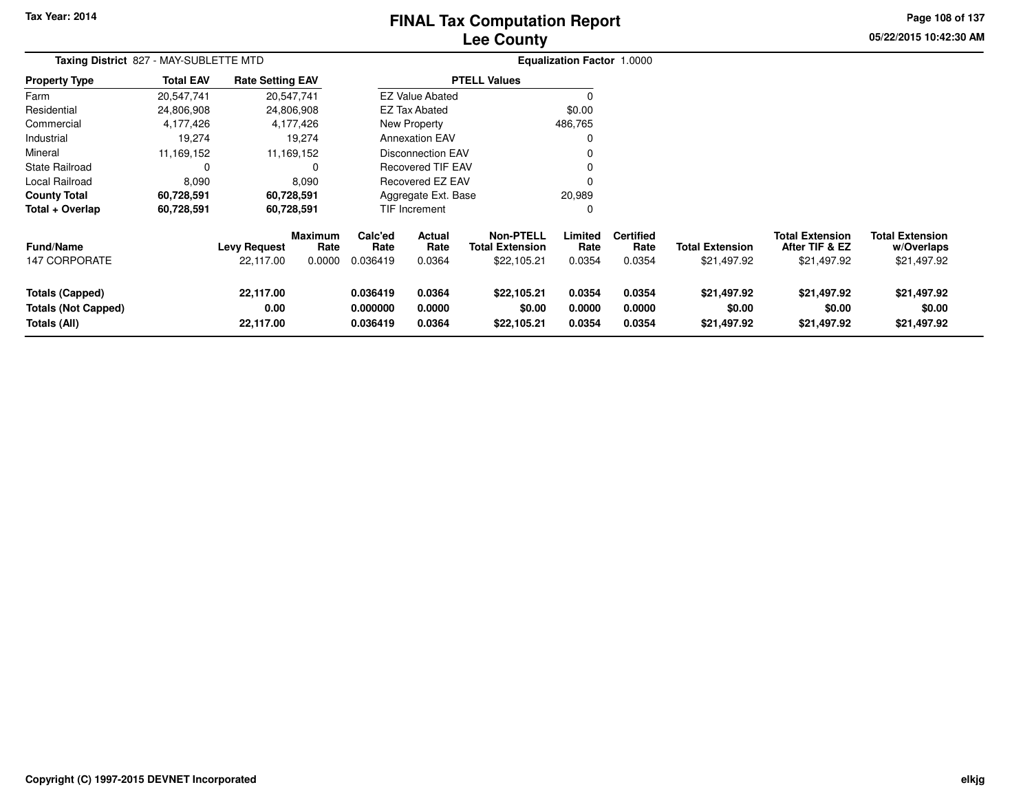# **Lee CountyFINAL Tax Computation Report**

**05/22/2015 10:42:30 AM Page 108 of 137**

| Taxing District 827 - MAY-SUBLETTE MTD                               |                  |                                  |                           |                                  |                                 |                                                           | <b>Equalization Factor 1.0000</b> |                                    |                                       |                                                         |                                                     |
|----------------------------------------------------------------------|------------------|----------------------------------|---------------------------|----------------------------------|---------------------------------|-----------------------------------------------------------|-----------------------------------|------------------------------------|---------------------------------------|---------------------------------------------------------|-----------------------------------------------------|
| <b>Property Type</b>                                                 | <b>Total EAV</b> | <b>Rate Setting EAV</b>          |                           |                                  |                                 | <b>PTELL Values</b>                                       |                                   |                                    |                                       |                                                         |                                                     |
| Farm                                                                 | 20,547,741       |                                  | 20,547,741                |                                  | <b>EZ Value Abated</b>          |                                                           |                                   |                                    |                                       |                                                         |                                                     |
| Residential                                                          | 24,806,908       |                                  | 24,806,908                |                                  | EZ Tax Abated                   |                                                           | \$0.00                            |                                    |                                       |                                                         |                                                     |
| Commercial                                                           | 4,177,426        |                                  | 4,177,426                 |                                  | New Property                    |                                                           | 486,765                           |                                    |                                       |                                                         |                                                     |
| Industrial                                                           | 19,274           |                                  | 19,274                    |                                  | <b>Annexation EAV</b>           |                                                           |                                   |                                    |                                       |                                                         |                                                     |
| Mineral                                                              | 11,169,152       |                                  | 11,169,152                |                                  | <b>Disconnection EAV</b>        |                                                           |                                   |                                    |                                       |                                                         |                                                     |
| <b>State Railroad</b>                                                | 0                |                                  | O                         |                                  | <b>Recovered TIF EAV</b>        |                                                           |                                   |                                    |                                       |                                                         |                                                     |
| <b>Local Railroad</b>                                                | 8,090            |                                  | 8,090                     |                                  | Recovered EZ EAV                |                                                           |                                   |                                    |                                       |                                                         |                                                     |
| <b>County Total</b>                                                  | 60,728,591       |                                  | 60,728,591                |                                  | Aggregate Ext. Base             |                                                           | 20,989                            |                                    |                                       |                                                         |                                                     |
| Total + Overlap                                                      | 60,728,591       |                                  | 60,728,591                |                                  | <b>TIF Increment</b>            |                                                           |                                   |                                    |                                       |                                                         |                                                     |
| <b>Fund/Name</b><br><b>147 CORPORATE</b>                             |                  | <b>Levy Request</b><br>22,117.00 | Maximum<br>Rate<br>0.0000 | Calc'ed<br>Rate<br>0.036419      | <b>Actual</b><br>Rate<br>0.0364 | <b>Non-PTELL</b><br><b>Total Extension</b><br>\$22,105.21 | Limited<br>Rate<br>0.0354         | <b>Certified</b><br>Rate<br>0.0354 | <b>Total Extension</b><br>\$21,497.92 | <b>Total Extension</b><br>After TIF & EZ<br>\$21,497.92 | <b>Total Extension</b><br>w/Overlaps<br>\$21,497.92 |
| <b>Totals (Capped)</b><br><b>Totals (Not Capped)</b><br>Totals (All) |                  | 22,117.00<br>0.00<br>22,117.00   |                           | 0.036419<br>0.000000<br>0.036419 | 0.0364<br>0.0000<br>0.0364      | \$22,105.21<br>\$0.00<br>\$22,105.21                      | 0.0354<br>0.0000<br>0.0354        | 0.0354<br>0.0000<br>0.0354         | \$21,497.92<br>\$0.00<br>\$21,497.92  | \$21,497.92<br>\$0.00<br>\$21,497.92                    | \$21,497.92<br>\$0.00<br>\$21,497.92                |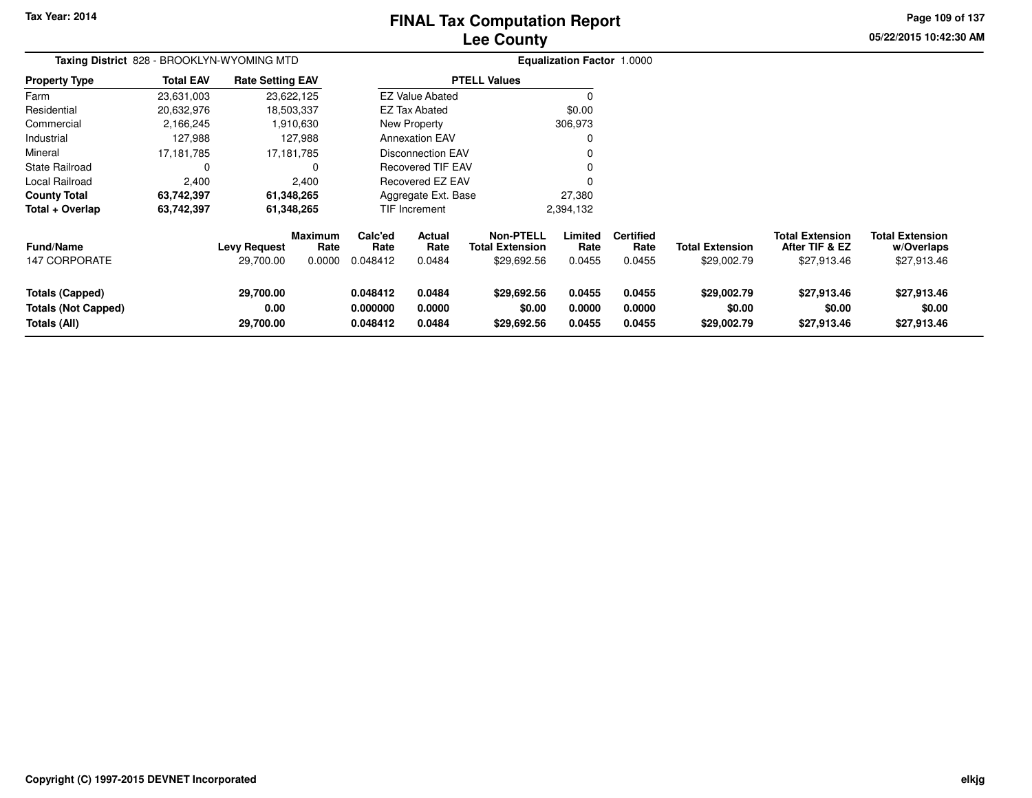**Tax Year: 2014**

#### **Lee CountyFINAL Tax Computation Report**

**Page 109 of 137**

| Taxing District 828 - BROOKLYN-WYOMING MTD                           |                  |                                  |                                  | <b>Equalization Factor 1.0000</b> |                            |                                                           |                            |                                    |                                       |                                                         |                                                     |
|----------------------------------------------------------------------|------------------|----------------------------------|----------------------------------|-----------------------------------|----------------------------|-----------------------------------------------------------|----------------------------|------------------------------------|---------------------------------------|---------------------------------------------------------|-----------------------------------------------------|
| <b>Property Type</b>                                                 | <b>Total EAV</b> | <b>Rate Setting EAV</b>          |                                  |                                   |                            | <b>PTELL Values</b>                                       |                            |                                    |                                       |                                                         |                                                     |
| Farm                                                                 | 23,631,003       |                                  | 23,622,125                       |                                   | <b>EZ Value Abated</b>     |                                                           | $\Omega$                   |                                    |                                       |                                                         |                                                     |
| Residential                                                          | 20,632,976       |                                  | 18,503,337                       |                                   | <b>EZ Tax Abated</b>       |                                                           | \$0.00                     |                                    |                                       |                                                         |                                                     |
| Commercial                                                           | 2,166,245        |                                  | 1,910,630                        | New Property                      |                            | 306,973                                                   |                            |                                    |                                       |                                                         |                                                     |
| Industrial                                                           | 127,988          |                                  | 127,988                          | <b>Annexation EAV</b><br>0        |                            |                                                           |                            |                                    |                                       |                                                         |                                                     |
| Mineral                                                              | 17,181,785       |                                  | 17, 181, 785                     | Disconnection EAV<br>0            |                            |                                                           |                            |                                    |                                       |                                                         |                                                     |
| <b>State Railroad</b>                                                | 0                |                                  | 0                                |                                   | <b>Recovered TIF EAV</b>   |                                                           |                            |                                    |                                       |                                                         |                                                     |
| Local Railroad                                                       | 2,400            |                                  | 2,400                            |                                   | Recovered EZ EAV           |                                                           | 0                          |                                    |                                       |                                                         |                                                     |
| <b>County Total</b>                                                  | 63,742,397       |                                  | 61,348,265                       |                                   | Aggregate Ext. Base        |                                                           | 27,380                     |                                    |                                       |                                                         |                                                     |
| Total + Overlap                                                      | 63,742,397       |                                  | 61,348,265                       |                                   | TIF Increment              |                                                           | 2,394,132                  |                                    |                                       |                                                         |                                                     |
| <b>Fund/Name</b><br><b>147 CORPORATE</b>                             |                  | <b>Levy Request</b><br>29,700.00 | <b>Maximum</b><br>Rate<br>0.0000 | Calc'ed<br>Rate<br>0.048412       | Actual<br>Rate<br>0.0484   | <b>Non-PTELL</b><br><b>Total Extension</b><br>\$29,692.56 | Limited<br>Rate<br>0.0455  | <b>Certified</b><br>Rate<br>0.0455 | <b>Total Extension</b><br>\$29,002.79 | <b>Total Extension</b><br>After TIF & EZ<br>\$27,913.46 | <b>Total Extension</b><br>w/Overlaps<br>\$27,913.46 |
| <b>Totals (Capped)</b><br><b>Totals (Not Capped)</b><br>Totals (All) |                  | 29,700.00<br>0.00<br>29,700.00   |                                  | 0.048412<br>0.000000<br>0.048412  | 0.0484<br>0.0000<br>0.0484 | \$29,692.56<br>\$0.00<br>\$29,692.56                      | 0.0455<br>0.0000<br>0.0455 | 0.0455<br>0.0000<br>0.0455         | \$29,002.79<br>\$0.00<br>\$29,002.79  | \$27,913.46<br>\$0.00<br>\$27,913.46                    | \$27,913.46<br>\$0.00<br>\$27,913.46                |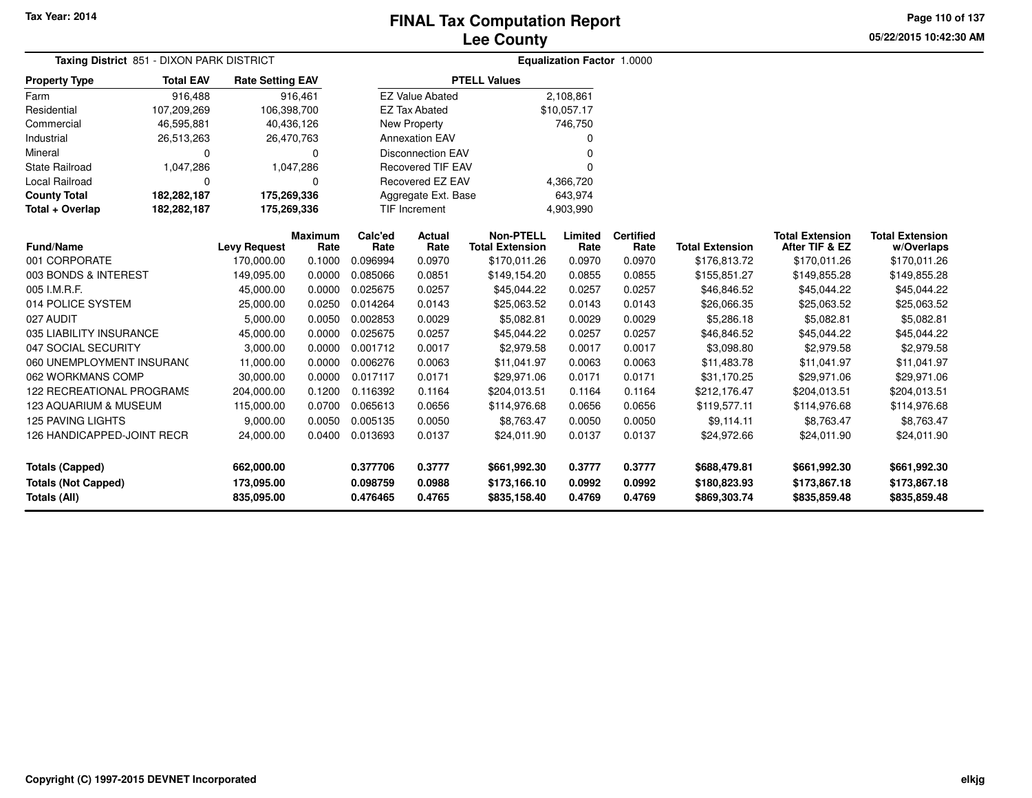**05/22/2015 10:42:30 AMPage 110 of 137**

| Taxing District 851 - DIXON PARK DISTRICT  |                                                                                      |                          |                        |                      |                          |                                            | Equalization Factor 1.0000 |                          |                              |                                          |                                      |
|--------------------------------------------|--------------------------------------------------------------------------------------|--------------------------|------------------------|----------------------|--------------------------|--------------------------------------------|----------------------------|--------------------------|------------------------------|------------------------------------------|--------------------------------------|
| <b>Property Type</b>                       | <b>Total EAV</b><br><b>Rate Setting EAV</b><br>916,488<br>107,209,269<br>106,398,700 |                          |                        |                      |                          | <b>PTELL Values</b>                        |                            |                          |                              |                                          |                                      |
| Farm                                       |                                                                                      |                          | 916,461                |                      | <b>EZ Value Abated</b>   |                                            | 2,108,861                  |                          |                              |                                          |                                      |
| Residential                                |                                                                                      |                          |                        |                      | <b>EZ Tax Abated</b>     |                                            | \$10,057.17                |                          |                              |                                          |                                      |
| Commercial                                 | 46,595,881                                                                           |                          | 40,436,126             |                      | New Property             |                                            | 746,750                    |                          |                              |                                          |                                      |
| Industrial                                 | 26,513,263                                                                           |                          | 26,470,763             |                      | <b>Annexation EAV</b>    |                                            | 0                          |                          |                              |                                          |                                      |
| Mineral                                    | 0                                                                                    |                          | 0                      |                      | <b>Disconnection EAV</b> |                                            | $\Omega$                   |                          |                              |                                          |                                      |
| <b>State Railroad</b>                      | 1,047,286<br>1,047,286                                                               |                          |                        |                      | <b>Recovered TIF EAV</b> |                                            | $\Omega$                   |                          |                              |                                          |                                      |
| Local Railroad                             | 0                                                                                    |                          | $\Omega$               | Recovered EZ EAV     |                          |                                            | 4,366,720                  |                          |                              |                                          |                                      |
| <b>County Total</b>                        | 182,282,187                                                                          | 175,269,336              |                        |                      | Aggregate Ext. Base      |                                            | 643,974                    |                          |                              |                                          |                                      |
| Total + Overlap                            | 182,282,187                                                                          | 175,269,336              |                        |                      | <b>TIF Increment</b>     |                                            | 4,903,990                  |                          |                              |                                          |                                      |
| <b>Fund/Name</b>                           |                                                                                      | <b>Levy Request</b>      | <b>Maximum</b><br>Rate | Calc'ed<br>Rate      | <b>Actual</b><br>Rate    | <b>Non-PTELL</b><br><b>Total Extension</b> | Limited<br>Rate            | <b>Certified</b><br>Rate | <b>Total Extension</b>       | <b>Total Extension</b><br>After TIF & EZ | <b>Total Extension</b><br>w/Overlaps |
| 001 CORPORATE                              |                                                                                      | 170.000.00               | 0.1000                 | 0.096994             | 0.0970                   | \$170,011.26                               | 0.0970                     | 0.0970                   | \$176,813.72                 | \$170,011.26                             | \$170,011.26                         |
| 003 BONDS & INTEREST                       |                                                                                      | 149,095.00               | 0.0000                 | 0.085066             | 0.0851                   | \$149,154.20                               | 0.0855                     | 0.0855                   | \$155,851.27                 | \$149,855.28                             | \$149,855.28                         |
| 005 I.M.R.F.                               |                                                                                      | 45,000.00                | 0.0000                 | 0.025675             | 0.0257                   | \$45,044.22                                | 0.0257                     | 0.0257                   | \$46,846.52                  | \$45,044.22                              | \$45,044.22                          |
| 014 POLICE SYSTEM                          |                                                                                      | 25,000.00                | 0.0250                 | 0.014264             | 0.0143                   | \$25,063.52                                | 0.0143                     | 0.0143                   | \$26,066.35                  | \$25,063.52                              | \$25,063.52                          |
| 027 AUDIT                                  |                                                                                      | 5,000.00                 | 0.0050                 | 0.002853             | 0.0029                   | \$5,082.81                                 | 0.0029                     | 0.0029                   | \$5,286.18                   | \$5,082.81                               | \$5,082.81                           |
| 035 LIABILITY INSURANCE                    |                                                                                      | 45,000.00                | 0.0000                 | 0.025675             | 0.0257                   | \$45,044.22                                | 0.0257                     | 0.0257                   | \$46,846.52                  | \$45,044.22                              | \$45,044.22                          |
| 047 SOCIAL SECURITY                        |                                                                                      | 3,000.00                 | 0.0000                 | 0.001712             | 0.0017                   | \$2,979.58                                 | 0.0017                     | 0.0017                   | \$3,098.80                   | \$2,979.58                               | \$2,979.58                           |
| 060 UNEMPLOYMENT INSURANC                  |                                                                                      | 11,000.00                | 0.0000                 | 0.006276             | 0.0063                   | \$11,041.97                                | 0.0063                     | 0.0063                   | \$11,483.78                  | \$11,041.97                              | \$11,041.97                          |
| 062 WORKMANS COMP                          |                                                                                      | 30,000.00                | 0.0000                 | 0.017117             | 0.0171                   | \$29,971.06                                | 0.0171                     | 0.0171                   | \$31,170.25                  | \$29,971.06                              | \$29,971.06                          |
| 122 RECREATIONAL PROGRAMS                  |                                                                                      | 204,000.00               | 0.1200                 | 0.116392             | 0.1164                   | \$204,013.51                               | 0.1164                     | 0.1164                   | \$212,176.47                 | \$204,013.51                             | \$204,013.51                         |
| 123 AQUARIUM & MUSEUM                      |                                                                                      | 115,000.00               | 0.0700                 | 0.065613             | 0.0656                   | \$114,976.68                               | 0.0656                     | 0.0656                   | \$119,577.11                 | \$114,976.68                             | \$114,976.68                         |
| <b>125 PAVING LIGHTS</b>                   |                                                                                      | 9,000.00                 | 0.0050                 | 0.005135             | 0.0050                   | \$8,763.47                                 | 0.0050                     | 0.0050                   | \$9,114.11                   | \$8,763.47                               | \$8,763.47                           |
| 126 HANDICAPPED-JOINT RECR                 |                                                                                      | 24,000.00                | 0.0400                 | 0.013693             | 0.0137                   | \$24,011.90                                | 0.0137                     | 0.0137                   | \$24,972.66                  | \$24,011.90                              | \$24,011.90                          |
| <b>Totals (Capped)</b>                     |                                                                                      | 662,000.00               |                        | 0.377706             | 0.3777                   | \$661,992.30                               | 0.3777                     | 0.3777                   | \$688,479.81                 | \$661,992.30                             | \$661,992.30                         |
| <b>Totals (Not Capped)</b><br>Totals (All) |                                                                                      | 173,095.00<br>835,095.00 |                        | 0.098759<br>0.476465 | 0.0988<br>0.4765         | \$173,166.10<br>\$835,158.40               | 0.0992<br>0.4769           | 0.0992<br>0.4769         | \$180,823.93<br>\$869,303.74 | \$173,867.18<br>\$835,859.48             | \$173,867.18<br>\$835,859.48         |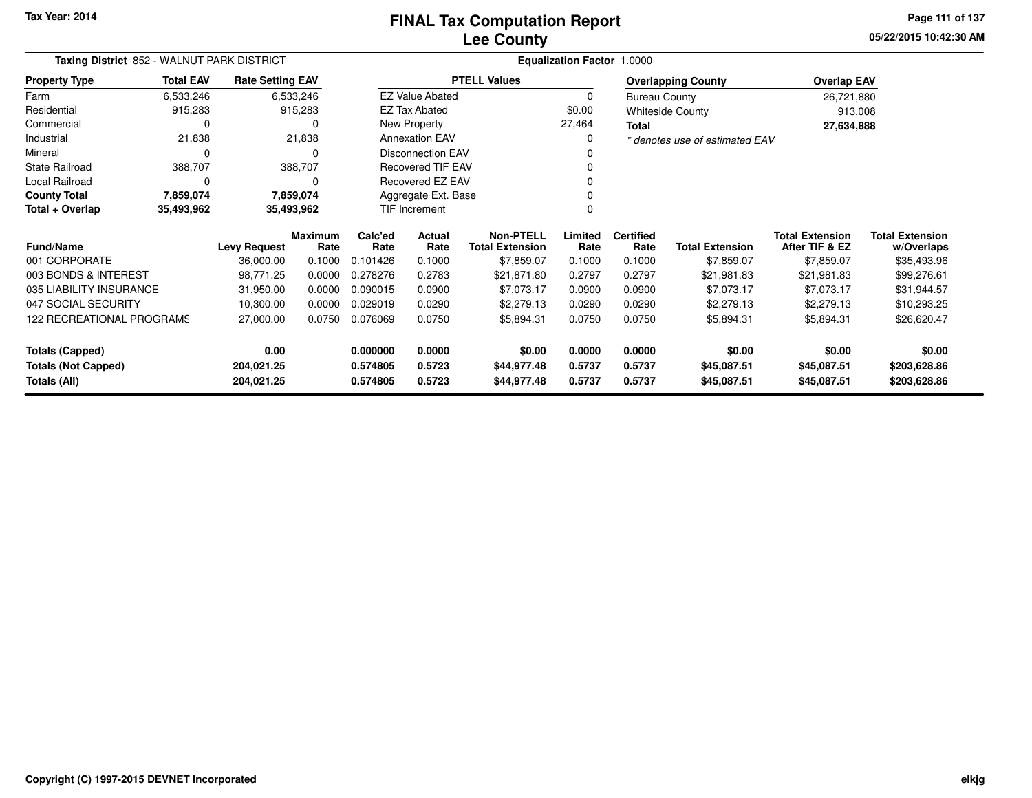**05/22/2015 10:42:30 AMPage 111 of 137**

| Taxing District 852 - WALNUT PARK DISTRICT |                                                           |                         |                 | <b>Equalization Factor 1.0000</b> |                           |                                            |                 |                          |                                |                                          |                                      |
|--------------------------------------------|-----------------------------------------------------------|-------------------------|-----------------|-----------------------------------|---------------------------|--------------------------------------------|-----------------|--------------------------|--------------------------------|------------------------------------------|--------------------------------------|
| <b>Property Type</b>                       | <b>Total EAV</b>                                          | <b>Rate Setting EAV</b> |                 |                                   |                           | <b>PTELL Values</b>                        |                 |                          | <b>Overlapping County</b>      | <b>Overlap EAV</b>                       |                                      |
| Farm                                       | 6,533,246                                                 |                         | 6,533,246       |                                   | <b>EZ Value Abated</b>    |                                            | 0               | <b>Bureau County</b>     |                                | 26,721,880                               |                                      |
| Residential                                | 915,283                                                   |                         | 915,283         |                                   | <b>EZ Tax Abated</b>      |                                            | \$0.00          |                          | <b>Whiteside County</b>        | 913,008                                  |                                      |
| Commercial                                 | 0                                                         |                         | 0               |                                   | New Property              |                                            | 27,464          | Total                    |                                | 27,634,888                               |                                      |
| Industrial                                 | 21,838                                                    |                         | 21,838          |                                   | <b>Annexation EAV</b>     |                                            | 0               |                          | * denotes use of estimated EAV |                                          |                                      |
| Mineral                                    | 0                                                         |                         | 0               |                                   | <b>Disconnection EAV</b>  |                                            | 0               |                          |                                |                                          |                                      |
| <b>State Railroad</b>                      | 388,707                                                   |                         | 388,707         |                                   | <b>Recovered TIF EAV</b>  |                                            | $\Omega$        |                          |                                |                                          |                                      |
| Local Railroad                             | 0                                                         |                         | 0               |                                   | <b>Recovered EZ EAV</b>   |                                            | $\Omega$        |                          |                                |                                          |                                      |
| <b>County Total</b>                        | Aggregate Ext. Base<br>7,859,074<br>7,859,074<br>$\Omega$ |                         |                 |                                   |                           |                                            |                 |                          |                                |                                          |                                      |
| Total + Overlap                            | 35,493,962                                                |                         | 35,493,962      |                                   | TIF Increment<br>$\Omega$ |                                            |                 |                          |                                |                                          |                                      |
| <b>Fund/Name</b>                           |                                                           | <b>Levy Request</b>     | Maximum<br>Rate | Calc'ed<br>Rate                   | Actual<br>Rate            | <b>Non-PTELL</b><br><b>Total Extension</b> | Limited<br>Rate | <b>Certified</b><br>Rate | <b>Total Extension</b>         | <b>Total Extension</b><br>After TIF & EZ | <b>Total Extension</b><br>w/Overlaps |
| 001 CORPORATE                              |                                                           | 36,000.00               | 0.1000          | 0.101426                          | 0.1000                    | \$7,859.07                                 | 0.1000          | 0.1000                   | \$7,859.07                     | \$7,859.07                               | \$35,493.96                          |
| 003 BONDS & INTEREST                       |                                                           | 98,771.25               | 0.0000          | 0.278276                          | 0.2783                    | \$21,871.80                                | 0.2797          | 0.2797                   | \$21,981.83                    | \$21,981.83                              | \$99,276.61                          |
| 035 LIABILITY INSURANCE                    |                                                           | 31,950.00               | 0.0000          | 0.090015                          | 0.0900                    | \$7,073.17                                 | 0.0900          | 0.0900                   | \$7,073.17                     | \$7,073.17                               | \$31,944.57                          |
| 047 SOCIAL SECURITY                        |                                                           | 10,300.00               | 0.0000          | 0.029019                          | 0.0290                    | \$2,279.13                                 | 0.0290          | 0.0290                   | \$2,279.13                     | \$2,279.13                               | \$10,293.25                          |
| 122 RECREATIONAL PROGRAMS                  |                                                           | 27,000.00               | 0.0750          | 0.076069                          | 0.0750                    | \$5,894.31                                 | 0.0750          | 0.0750                   | \$5,894.31                     | \$5,894.31                               | \$26,620.47                          |
| <b>Totals (Capped)</b>                     |                                                           | 0.00                    |                 | 0.000000                          | 0.0000                    | \$0.00                                     | 0.0000          | 0.0000                   | \$0.00                         | \$0.00                                   | \$0.00                               |
| <b>Totals (Not Capped)</b>                 |                                                           | 204,021.25              |                 | 0.574805                          | 0.5723                    | \$44,977.48                                | 0.5737          | 0.5737                   | \$45,087.51                    | \$45,087.51                              | \$203,628.86                         |
| Totals (All)                               |                                                           | 204,021.25              |                 | 0.574805                          | 0.5723                    | \$44,977.48                                | 0.5737          | 0.5737                   | \$45,087.51                    | \$45,087.51                              | \$203,628.86                         |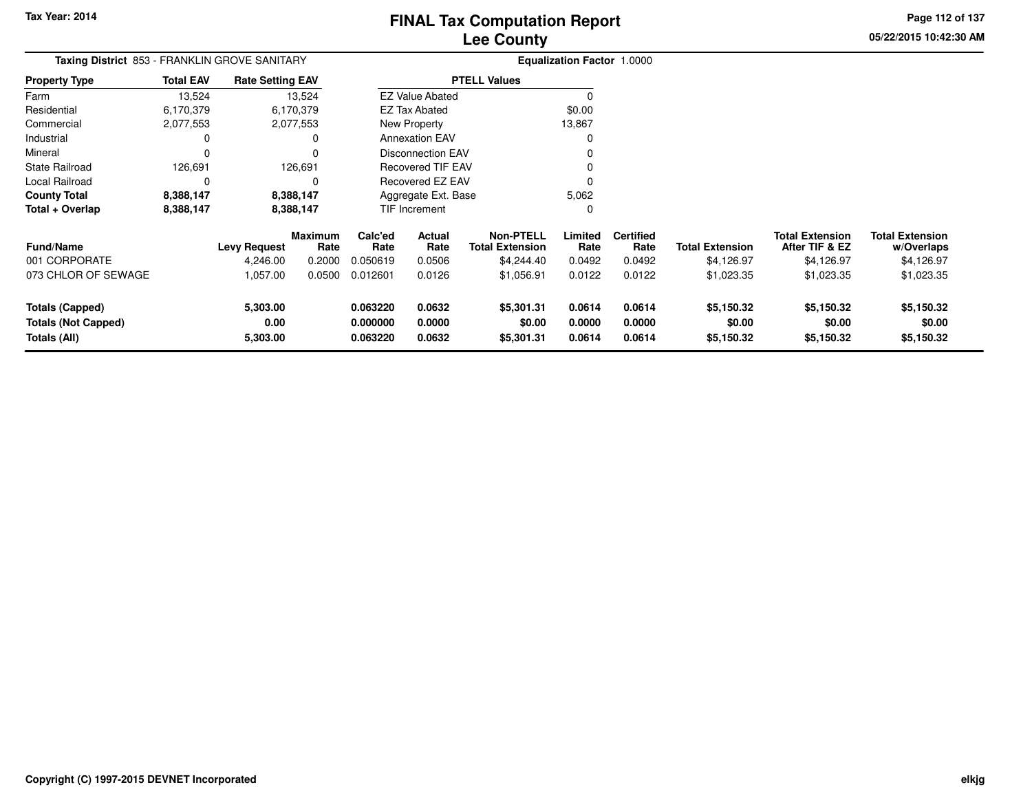**05/22/2015 10:42:30 AM Page 112 of 137**

| Taxing District 853 - FRANKLIN GROVE SANITARY                        |                  |                              |                        |                                  |                            |                                            | <b>Equalization Factor 1.0000</b> |                            |                                    |                                          |                                      |
|----------------------------------------------------------------------|------------------|------------------------------|------------------------|----------------------------------|----------------------------|--------------------------------------------|-----------------------------------|----------------------------|------------------------------------|------------------------------------------|--------------------------------------|
| Property Type                                                        | <b>Total EAV</b> | <b>Rate Setting EAV</b>      |                        |                                  |                            | <b>PTELL Values</b>                        |                                   |                            |                                    |                                          |                                      |
| Farm                                                                 | 13,524           |                              | 13,524                 |                                  | <b>EZ Value Abated</b>     |                                            | O                                 |                            |                                    |                                          |                                      |
| Residential                                                          | 6,170,379        |                              | 6,170,379              |                                  | EZ Tax Abated              |                                            | \$0.00                            |                            |                                    |                                          |                                      |
| Commercial                                                           | 2,077,553        |                              | 2,077,553              |                                  | New Property               |                                            | 13,867                            |                            |                                    |                                          |                                      |
| Industrial                                                           | 0                |                              | 0                      |                                  | <b>Annexation EAV</b>      |                                            | 0                                 |                            |                                    |                                          |                                      |
| Mineral                                                              | $\Omega$         |                              | $\Omega$               |                                  | <b>Disconnection EAV</b>   |                                            |                                   |                            |                                    |                                          |                                      |
| State Railroad                                                       | 126,691          |                              | 126,691                |                                  | <b>Recovered TIF EAV</b>   |                                            |                                   |                            |                                    |                                          |                                      |
| Local Railroad                                                       | 0                |                              | 0                      | Recovered EZ EAV<br>0            |                            |                                            |                                   |                            |                                    |                                          |                                      |
| County Total                                                         | 8,388,147        |                              | 8,388,147              |                                  | Aggregate Ext. Base        |                                            | 5,062                             |                            |                                    |                                          |                                      |
| Total + Overlap                                                      | 8,388,147        |                              | 8,388,147              |                                  | TIF Increment              |                                            | 0                                 |                            |                                    |                                          |                                      |
| <b>Fund/Name</b>                                                     |                  | <b>Levy Request</b>          | <b>Maximum</b><br>Rate | Calc'ed<br>Rate                  | Actual<br>Rate             | <b>Non-PTELL</b><br><b>Total Extension</b> | Limited<br>Rate                   | <b>Certified</b><br>Rate   | <b>Total Extension</b>             | <b>Total Extension</b><br>After TIF & EZ | <b>Total Extension</b><br>w/Overlaps |
| 001 CORPORATE                                                        |                  | 4,246.00                     | 0.2000                 | 0.050619                         | 0.0506                     | \$4,244.40                                 | 0.0492                            | 0.0492                     | \$4,126.97                         | \$4,126.97                               | \$4,126.97                           |
| 073 CHLOR OF SEWAGE                                                  |                  | 1,057.00                     | 0.0500                 | 0.012601                         | 0.0126                     | \$1,056.91                                 | 0.0122                            | 0.0122                     | \$1,023.35                         | \$1,023.35                               | \$1,023.35                           |
| <b>Totals (Capped)</b><br><b>Totals (Not Capped)</b><br>Totals (All) |                  | 5,303.00<br>0.00<br>5,303.00 |                        | 0.063220<br>0.000000<br>0.063220 | 0.0632<br>0.0000<br>0.0632 | \$5,301.31<br>\$0.00<br>\$5,301.31         | 0.0614<br>0.0000<br>0.0614        | 0.0614<br>0.0000<br>0.0614 | \$5,150.32<br>\$0.00<br>\$5,150.32 | \$5,150.32<br>\$0.00<br>\$5,150.32       | \$5,150.32<br>\$0.00<br>\$5,150.32   |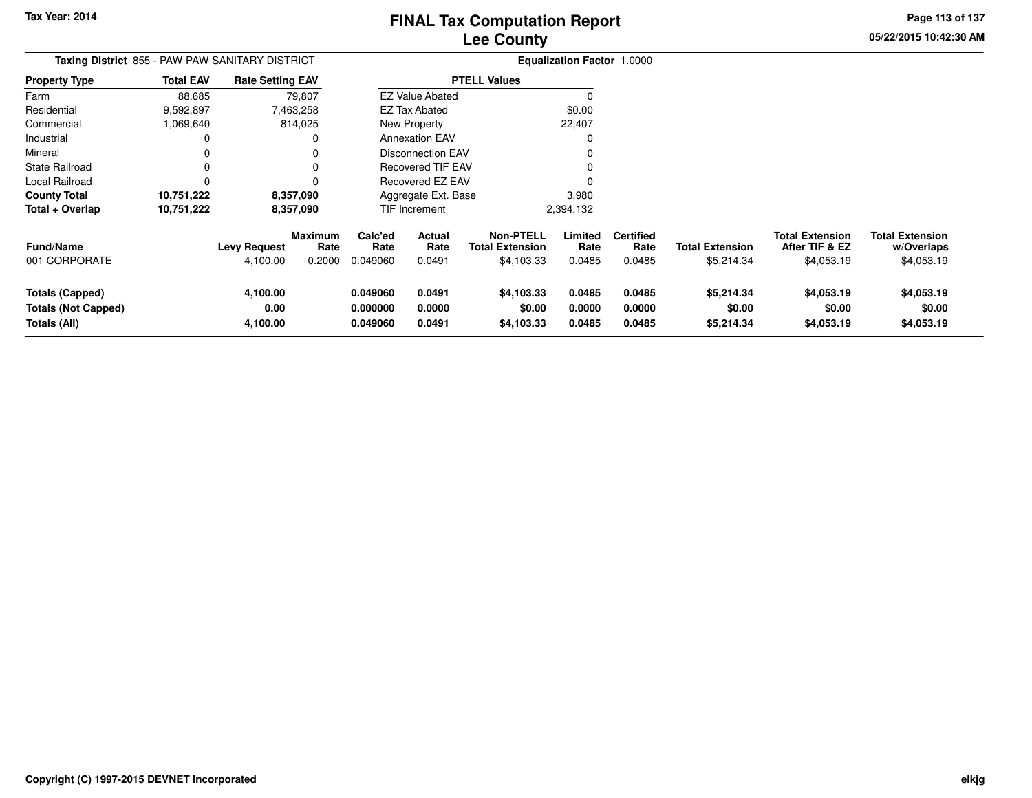**05/22/2015 10:42:30 AMPage 113 of 137**

| <b>Taxing District 855 - PAW PAW SANITARY DISTRICT</b>                      |                  |                              |                                  |                                               |                                 |                                                          | <b>Equalization Factor 1.0000</b> |                                    |                                      |                                                        |                                                    |
|-----------------------------------------------------------------------------|------------------|------------------------------|----------------------------------|-----------------------------------------------|---------------------------------|----------------------------------------------------------|-----------------------------------|------------------------------------|--------------------------------------|--------------------------------------------------------|----------------------------------------------------|
| <b>Property Type</b>                                                        | <b>Total EAV</b> | <b>Rate Setting EAV</b>      |                                  |                                               |                                 | <b>PTELL Values</b>                                      |                                   |                                    |                                      |                                                        |                                                    |
| Farm                                                                        | 88,685           |                              | 79,807                           |                                               | <b>EZ Value Abated</b>          |                                                          | $\Omega$                          |                                    |                                      |                                                        |                                                    |
| Residential                                                                 | 9,592,897        |                              | 7,463,258                        |                                               | <b>EZ Tax Abated</b>            |                                                          | \$0.00                            |                                    |                                      |                                                        |                                                    |
| Commercial                                                                  | 1,069,640        |                              | 814,025                          |                                               | New Property                    |                                                          | 22,407                            |                                    |                                      |                                                        |                                                    |
| Industrial                                                                  | 0                |                              |                                  | <b>Annexation EAV</b><br>O                    |                                 |                                                          |                                   |                                    |                                      |                                                        |                                                    |
| Mineral                                                                     | 0                |                              |                                  | Disconnection EAV<br><b>Recovered TIF EAV</b> |                                 |                                                          |                                   |                                    |                                      |                                                        |                                                    |
| State Railroad                                                              | 0                |                              |                                  |                                               |                                 |                                                          |                                   |                                    |                                      |                                                        |                                                    |
| Local Railroad                                                              | 0                |                              |                                  |                                               | Recovered EZ EAV                |                                                          |                                   |                                    |                                      |                                                        |                                                    |
| County Total                                                                | 10,751,222       |                              | 8,357,090                        |                                               | Aggregate Ext. Base             |                                                          | 3,980                             |                                    |                                      |                                                        |                                                    |
| Total + Overlap                                                             | 10,751,222       | 8,357,090                    |                                  | TIF Increment                                 |                                 |                                                          | 2,394,132                         |                                    |                                      |                                                        |                                                    |
| Fund/Name<br>001 CORPORATE                                                  |                  | Levy Request<br>4,100.00     | <b>Maximum</b><br>Rate<br>0.2000 | Calc'ed<br>Rate<br>0.049060                   | <b>Actual</b><br>Rate<br>0.0491 | <b>Non-PTELL</b><br><b>Total Extension</b><br>\$4,103.33 | Limited<br>Rate<br>0.0485         | <b>Certified</b><br>Rate<br>0.0485 | <b>Total Extension</b><br>\$5,214.34 | <b>Total Extension</b><br>After TIF & EZ<br>\$4,053.19 | <b>Total Extension</b><br>w/Overlaps<br>\$4,053.19 |
| <b>Totals (Capped)</b><br><b>Totals (Not Capped)</b><br><b>Totals (All)</b> |                  | 4,100.00<br>0.00<br>4,100.00 |                                  | 0.049060<br>0.000000<br>0.049060              | 0.0491<br>0.0000<br>0.0491      | \$4,103.33<br>\$0.00<br>\$4,103.33                       | 0.0485<br>0.0000<br>0.0485        | 0.0485<br>0.0000<br>0.0485         | \$5,214.34<br>\$0.00<br>\$5,214.34   | \$4,053.19<br>\$0.00<br>\$4,053.19                     | \$4,053.19<br>\$0.00<br>\$4,053.19                 |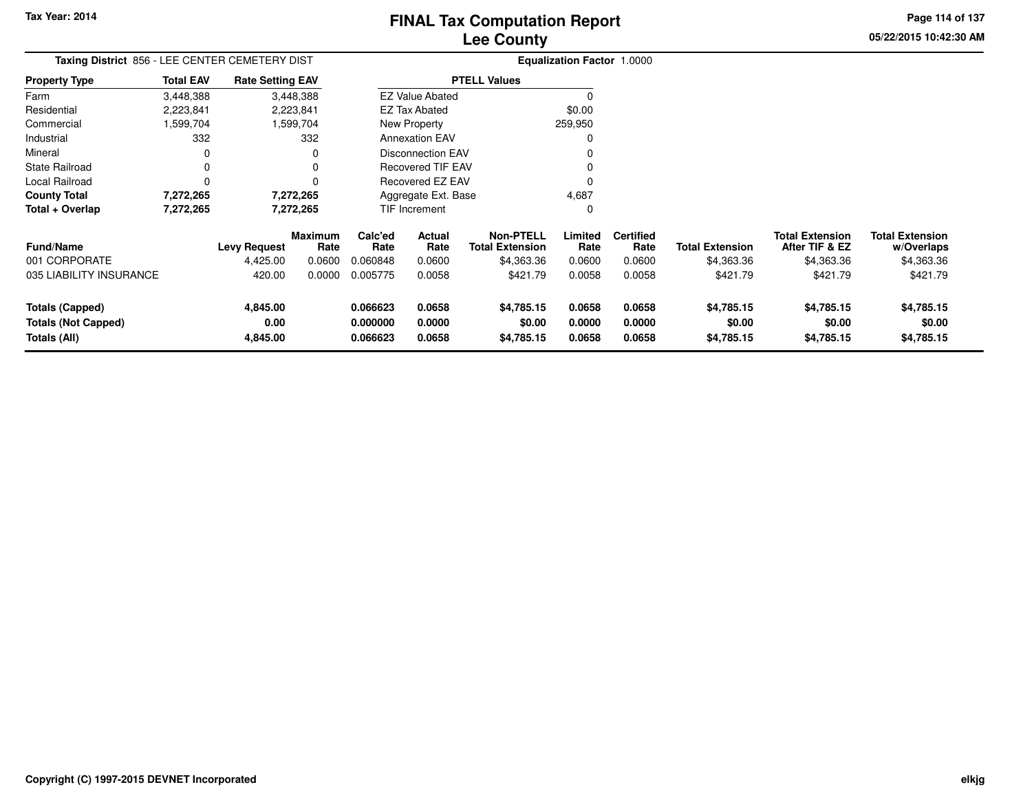**05/22/2015 10:42:30 AM Page 114 of 137**

| Taxing District 856 - LEE CENTER CEMETERY DIST |                  |                         |                 |                      |                          |                                            | <b>Equalization Factor 1.0000</b> |                          |                        |                                          |                                      |
|------------------------------------------------|------------------|-------------------------|-----------------|----------------------|--------------------------|--------------------------------------------|-----------------------------------|--------------------------|------------------------|------------------------------------------|--------------------------------------|
| <b>Property Type</b>                           | <b>Total EAV</b> | <b>Rate Setting EAV</b> |                 |                      |                          | <b>PTELL Values</b>                        |                                   |                          |                        |                                          |                                      |
| Farm                                           | 3,448,388        |                         | 3,448,388       |                      | <b>EZ Value Abated</b>   |                                            |                                   |                          |                        |                                          |                                      |
| Residential                                    | 2,223,841        |                         | 2,223,841       |                      | EZ Tax Abated            |                                            | \$0.00                            |                          |                        |                                          |                                      |
| Commercial                                     | 1,599,704        |                         | 1,599,704       |                      | New Property             |                                            | 259,950                           |                          |                        |                                          |                                      |
| Industrial                                     | 332              |                         | 332             |                      | <b>Annexation EAV</b>    |                                            | 0                                 |                          |                        |                                          |                                      |
| Mineral                                        | 0                |                         | 0               |                      | <b>Disconnection EAV</b> |                                            | 0                                 |                          |                        |                                          |                                      |
| <b>State Railroad</b>                          | 0                |                         | 0               |                      | <b>Recovered TIF EAV</b> |                                            |                                   |                          |                        |                                          |                                      |
| Local Railroad                                 | 0                |                         | 0               | Recovered EZ EAV     |                          |                                            | 0                                 |                          |                        |                                          |                                      |
| <b>County Total</b>                            | 7,272,265        |                         | 7,272,265       |                      | Aggregate Ext. Base      |                                            | 4,687                             |                          |                        |                                          |                                      |
| Total + Overlap                                | 7,272,265        |                         | 7,272,265       |                      | TIF Increment            |                                            | 0                                 |                          |                        |                                          |                                      |
| <b>Fund/Name</b>                               |                  | Levy Request            | Maximum<br>Rate | Calc'ed<br>Rate      | Actual<br>Rate           | <b>Non-PTELL</b><br><b>Total Extension</b> | Limited<br>Rate                   | <b>Certified</b><br>Rate | <b>Total Extension</b> | <b>Total Extension</b><br>After TIF & EZ | <b>Total Extension</b><br>w/Overlaps |
| 001 CORPORATE                                  |                  | 4,425.00                | 0.0600          | 0.060848             | 0.0600                   | \$4,363.36                                 | 0.0600                            | 0.0600                   | \$4,363.36             | \$4,363.36                               | \$4,363.36                           |
| 035 LIABILITY INSURANCE                        |                  | 420.00                  | 0.0000          | 0.005775             | 0.0058                   | \$421.79                                   | 0.0058                            | 0.0058                   | \$421.79               | \$421.79                                 | \$421.79                             |
| Totals (Capped)                                |                  | 4,845.00                |                 | 0.066623             | 0.0658                   | \$4,785.15                                 | 0.0658                            | 0.0658                   | \$4,785.15             | \$4,785.15                               | \$4,785.15                           |
| <b>Totals (Not Capped)</b><br>Totals (All)     |                  | 0.00<br>4,845.00        |                 | 0.000000<br>0.066623 | 0.0000<br>0.0658         | \$0.00<br>\$4,785.15                       | 0.0000<br>0.0658                  | 0.0000<br>0.0658         | \$0.00<br>\$4,785.15   | \$0.00<br>\$4,785.15                     | \$0.00<br>\$4,785.15                 |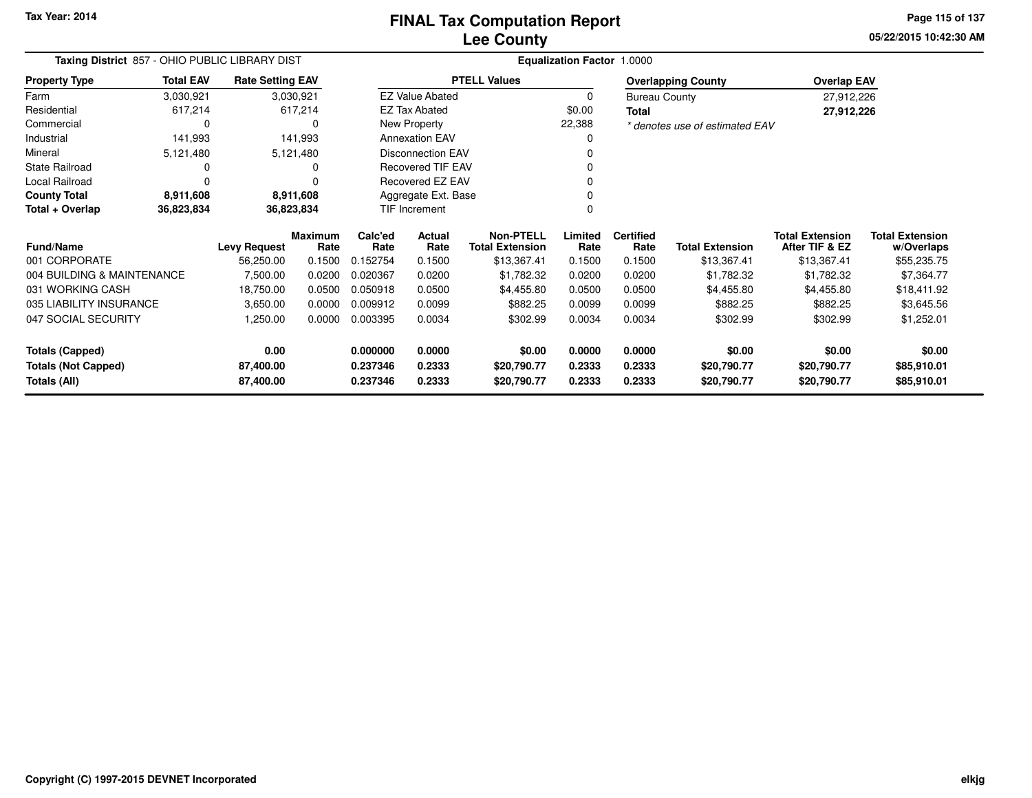**05/22/2015 10:42:30 AMPage 115 of 137**

| Taxing District 857 - OHIO PUBLIC LIBRARY DIST |                        |                         |                        | <b>Equalization Factor 1.0000</b> |                          |                                            |                 |                          |                                |                                          |                                      |
|------------------------------------------------|------------------------|-------------------------|------------------------|-----------------------------------|--------------------------|--------------------------------------------|-----------------|--------------------------|--------------------------------|------------------------------------------|--------------------------------------|
| <b>Property Type</b>                           | <b>Total EAV</b>       | <b>Rate Setting EAV</b> |                        |                                   |                          | <b>PTELL Values</b>                        |                 |                          | <b>Overlapping County</b>      | <b>Overlap EAV</b>                       |                                      |
| Farm                                           | 3,030,921              |                         | 3,030,921              |                                   | <b>EZ Value Abated</b>   |                                            | 0               | <b>Bureau County</b>     |                                | 27,912,226                               |                                      |
| Residential                                    | 617,214                |                         | 617,214                |                                   | <b>EZ Tax Abated</b>     |                                            | \$0.00          | <b>Total</b>             |                                | 27,912,226                               |                                      |
| Commercial                                     | 0                      |                         | 0                      |                                   | New Property             |                                            | 22,388          |                          | * denotes use of estimated EAV |                                          |                                      |
| Industrial                                     | 141,993                |                         | 141,993                |                                   | <b>Annexation EAV</b>    |                                            | O               |                          |                                |                                          |                                      |
| Mineral                                        | 5,121,480              |                         | 5,121,480              |                                   | <b>Disconnection EAV</b> |                                            |                 |                          |                                |                                          |                                      |
| State Railroad                                 | 0                      |                         |                        |                                   | Recovered TIF EAV        |                                            |                 |                          |                                |                                          |                                      |
| Local Railroad                                 |                        |                         |                        |                                   | Recovered EZ EAV         |                                            |                 |                          |                                |                                          |                                      |
| <b>County Total</b>                            | 8,911,608<br>8,911,608 |                         |                        | Aggregate Ext. Base               |                          |                                            |                 |                          |                                |                                          |                                      |
| Total + Overlap<br>36,823,834                  |                        |                         | 36,823,834             |                                   | TIF Increment            |                                            | 0               |                          |                                |                                          |                                      |
| <b>Fund/Name</b>                               |                        | <b>Levy Request</b>     | <b>Maximum</b><br>Rate | Calc'ed<br>Rate                   | Actual<br>Rate           | <b>Non-PTELL</b><br><b>Total Extension</b> | Limited<br>Rate | <b>Certified</b><br>Rate | <b>Total Extension</b>         | <b>Total Extension</b><br>After TIF & EZ | <b>Total Extension</b><br>w/Overlaps |
| 001 CORPORATE                                  |                        | 56,250.00               | 0.1500                 | 0.152754                          | 0.1500                   | \$13,367.41                                | 0.1500          | 0.1500                   | \$13,367.41                    | \$13,367.41                              | \$55,235.75                          |
| 004 BUILDING & MAINTENANCE                     |                        | 7,500.00                | 0.0200                 | 0.020367                          | 0.0200                   | \$1,782.32                                 | 0.0200          | 0.0200                   | \$1,782.32                     | \$1,782.32                               | \$7,364.77                           |
| 031 WORKING CASH                               |                        | 18,750.00               | 0.0500                 | 0.050918                          | 0.0500                   | \$4,455.80                                 | 0.0500          | 0.0500                   | \$4,455.80                     | \$4,455.80                               | \$18,411.92                          |
| 035 LIABILITY INSURANCE                        |                        | 3,650.00                | 0.0000                 | 0.009912                          | 0.0099                   | \$882.25                                   | 0.0099          | 0.0099                   | \$882.25                       | \$882.25                                 | \$3,645.56                           |
| 047 SOCIAL SECURITY                            |                        | 1,250.00                | 0.0000                 | 0.003395                          | 0.0034                   | \$302.99                                   | 0.0034          | 0.0034                   | \$302.99                       | \$302.99                                 | \$1,252.01                           |
| <b>Totals (Capped)</b>                         |                        | 0.00                    |                        | 0.000000                          | 0.0000                   | \$0.00                                     | 0.0000          | 0.0000                   | \$0.00                         | \$0.00                                   | \$0.00                               |
| <b>Totals (Not Capped)</b>                     |                        | 87,400.00               |                        | 0.237346                          | 0.2333                   | \$20,790.77                                | 0.2333          | 0.2333                   | \$20,790.77                    | \$20,790.77                              | \$85,910.01                          |
| Totals (All)                                   |                        | 87,400.00               |                        | 0.237346                          | 0.2333                   | \$20,790.77                                | 0.2333          | 0.2333                   | \$20,790.77                    | \$20,790.77                              | \$85,910.01                          |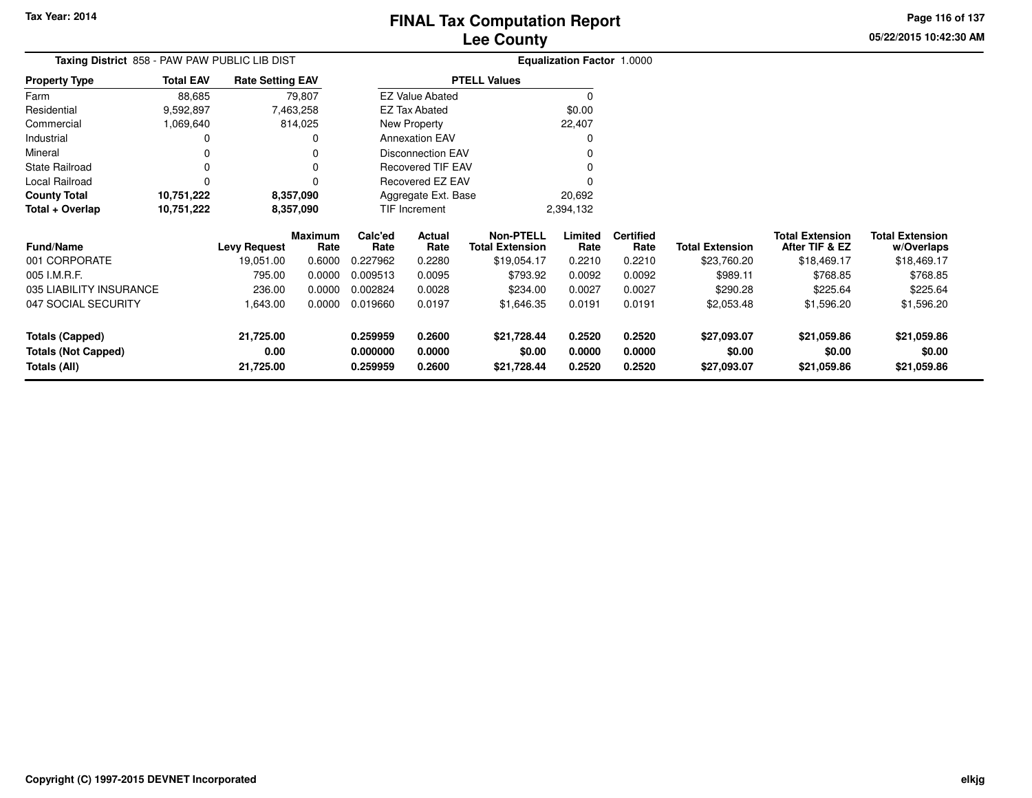**05/22/2015 10:42:30 AMPage 116 of 137**

| Taxing District 858 - PAW PAW PUBLIC LIB DIST |                  |                                                |                 | <b>Equalization Factor 1.0000</b> |                          |                                            |                 |                          |                        |                                          |                                      |
|-----------------------------------------------|------------------|------------------------------------------------|-----------------|-----------------------------------|--------------------------|--------------------------------------------|-----------------|--------------------------|------------------------|------------------------------------------|--------------------------------------|
| <b>Property Type</b>                          | <b>Total EAV</b> | <b>Rate Setting EAV</b><br>79,807<br>7,463,258 |                 |                                   |                          | <b>PTELL Values</b>                        |                 |                          |                        |                                          |                                      |
| Farm                                          | 88,685           |                                                |                 |                                   | <b>EZ Value Abated</b>   |                                            | <sup>0</sup>    |                          |                        |                                          |                                      |
| Residential                                   | 9,592,897        |                                                |                 |                                   | <b>EZ Tax Abated</b>     |                                            | \$0.00          |                          |                        |                                          |                                      |
| Commercial                                    | 1,069,640        |                                                | 814,025         |                                   | New Property             |                                            | 22,407          |                          |                        |                                          |                                      |
| Industrial                                    |                  |                                                |                 |                                   | <b>Annexation EAV</b>    |                                            |                 |                          |                        |                                          |                                      |
| Mineral                                       |                  |                                                |                 |                                   | <b>Disconnection EAV</b> |                                            |                 |                          |                        |                                          |                                      |
| <b>State Railroad</b>                         |                  |                                                |                 |                                   | <b>Recovered TIF EAV</b> |                                            |                 |                          |                        |                                          |                                      |
| Local Railroad                                | $\Omega$         |                                                |                 |                                   | Recovered EZ EAV         |                                            |                 |                          |                        |                                          |                                      |
| <b>County Total</b>                           | 10,751,222       |                                                | 8,357,090       |                                   | Aggregate Ext. Base      |                                            | 20,692          |                          |                        |                                          |                                      |
| Total + Overlap                               | 10,751,222       |                                                | 8,357,090       |                                   | TIF Increment            |                                            | 2,394,132       |                          |                        |                                          |                                      |
| <b>Fund/Name</b>                              |                  | <b>Levy Request</b>                            | Maximum<br>Rate | Calc'ed<br>Rate                   | Actual<br>Rate           | <b>Non-PTELL</b><br><b>Total Extension</b> | Limited<br>Rate | <b>Certified</b><br>Rate | <b>Total Extension</b> | <b>Total Extension</b><br>After TIF & EZ | <b>Total Extension</b><br>w/Overlaps |
| 001 CORPORATE                                 |                  | 19,051.00                                      | 0.6000          | 0.227962                          | 0.2280                   | \$19,054.17                                | 0.2210          | 0.2210                   | \$23,760.20            | \$18,469.17                              | \$18,469.17                          |
| 005 I.M.R.F.                                  |                  | 795.00                                         | 0.0000          | 0.009513                          | 0.0095                   | \$793.92                                   | 0.0092          | 0.0092                   | \$989.11               | \$768.85                                 | \$768.85                             |
| 035 LIABILITY INSURANCE                       |                  | 236.00                                         | 0.0000          | 0.002824                          | 0.0028                   | \$234.00                                   | 0.0027          | 0.0027                   | \$290.28               | \$225.64                                 | \$225.64                             |
| 047 SOCIAL SECURITY                           |                  | 1,643.00                                       | 0.0000          | 0.019660                          | 0.0197                   | \$1,646.35                                 | 0.0191          | 0.0191                   | \$2,053.48             | \$1,596.20                               | \$1,596.20                           |
| <b>Totals (Capped)</b>                        |                  | 21,725.00                                      |                 | 0.259959                          | 0.2600                   | \$21,728.44                                | 0.2520          | 0.2520                   | \$27,093.07            | \$21,059.86                              | \$21,059.86                          |
| <b>Totals (Not Capped)</b>                    |                  | 0.00                                           |                 | 0.000000                          | 0.0000                   | \$0.00                                     | 0.0000          | 0.0000                   | \$0.00                 | \$0.00                                   | \$0.00                               |
| Totals (All)                                  |                  | 21,725.00                                      |                 | 0.259959                          | 0.2600                   | \$21,728.44                                | 0.2520          | 0.2520                   | \$27,093.07            | \$21,059.86                              | \$21,059.86                          |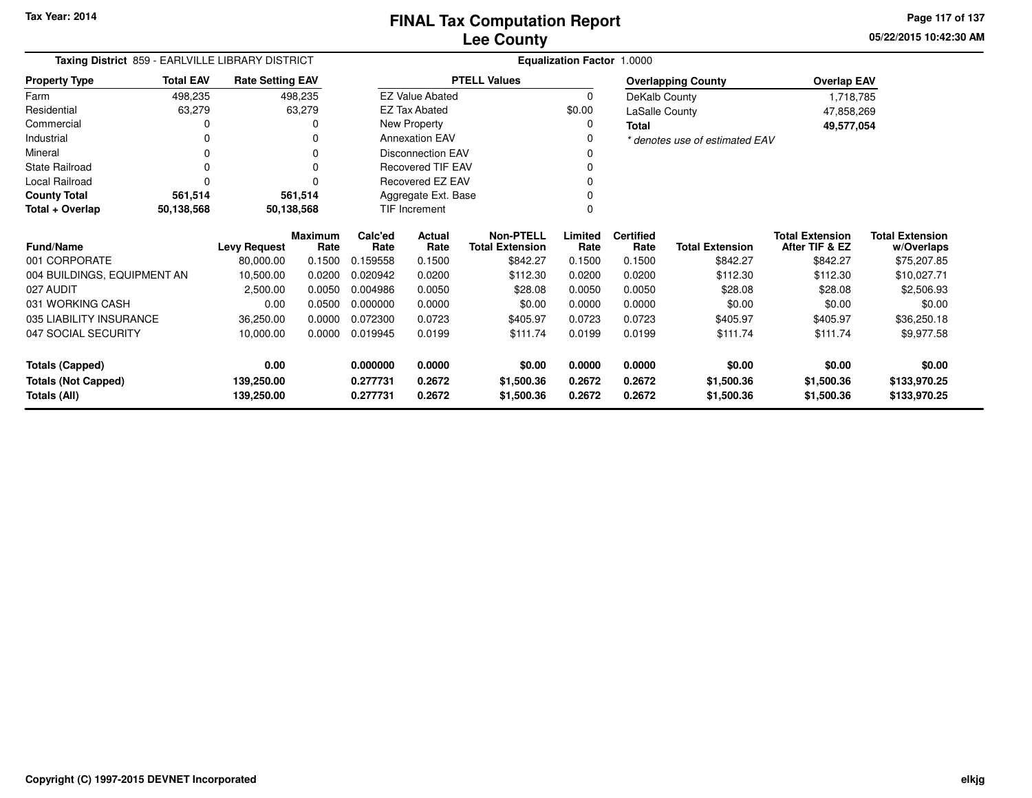**05/22/2015 10:42:30 AMPage 117 of 137**

| Taxing District 859 - EARLVILLE LIBRARY DISTRICT |                  |                         |                        | <b>Equalization Factor 1.0000</b> |                          |                                            |                 |                          |                                |                                          |                                      |
|--------------------------------------------------|------------------|-------------------------|------------------------|-----------------------------------|--------------------------|--------------------------------------------|-----------------|--------------------------|--------------------------------|------------------------------------------|--------------------------------------|
| <b>Property Type</b>                             | <b>Total EAV</b> | <b>Rate Setting EAV</b> |                        |                                   |                          | <b>PTELL Values</b>                        |                 |                          | <b>Overlapping County</b>      | <b>Overlap EAV</b>                       |                                      |
| Farm                                             | 498,235          |                         | 498,235                |                                   | <b>EZ Value Abated</b>   |                                            | $\mathbf 0$     | DeKalb County            |                                | 1,718,785                                |                                      |
| Residential                                      | 63,279           |                         | 63,279                 |                                   | <b>EZ Tax Abated</b>     |                                            | \$0.00          | LaSalle County           |                                | 47,858,269                               |                                      |
| Commercial                                       |                  |                         |                        |                                   | New Property             |                                            | 0               | Total                    |                                | 49,577,054                               |                                      |
| Industrial                                       |                  |                         |                        |                                   | <b>Annexation EAV</b>    |                                            |                 |                          | * denotes use of estimated EAV |                                          |                                      |
| Mineral                                          |                  |                         |                        |                                   | <b>Disconnection EAV</b> |                                            |                 |                          |                                |                                          |                                      |
| State Railroad                                   |                  |                         |                        |                                   | <b>Recovered TIF EAV</b> |                                            |                 |                          |                                |                                          |                                      |
| Local Railroad                                   |                  |                         |                        |                                   | Recovered EZ EAV         |                                            |                 |                          |                                |                                          |                                      |
| <b>County Total</b>                              | 561,514          |                         | 561,514                | Aggregate Ext. Base               |                          |                                            |                 |                          |                                |                                          |                                      |
| Total + Overlap                                  | 50,138,568       |                         | 50,138,568             |                                   | <b>TIF Increment</b>     |                                            |                 |                          |                                |                                          |                                      |
| Fund/Name                                        |                  | <b>Levy Request</b>     | <b>Maximum</b><br>Rate | Calc'ed<br>Rate                   | Actual<br>Rate           | <b>Non-PTELL</b><br><b>Total Extension</b> | Limited<br>Rate | <b>Certified</b><br>Rate | <b>Total Extension</b>         | <b>Total Extension</b><br>After TIF & EZ | <b>Total Extension</b><br>w/Overlaps |
| 001 CORPORATE                                    |                  | 80,000.00               | 0.1500                 | 0.159558                          | 0.1500                   | \$842.27                                   | 0.1500          | 0.1500                   | \$842.27                       | \$842.27                                 | \$75,207.85                          |
| 004 BUILDINGS, EQUIPMENT AN                      |                  | 10,500.00               | 0.0200                 | 0.020942                          | 0.0200                   | \$112.30                                   | 0.0200          | 0.0200                   | \$112.30                       | \$112.30                                 | \$10,027.71                          |
| 027 AUDIT                                        |                  | 2,500.00                | 0.0050                 | 0.004986                          | 0.0050                   | \$28.08                                    | 0.0050          | 0.0050                   | \$28.08                        | \$28.08                                  | \$2,506.93                           |
| 031 WORKING CASH                                 |                  | 0.00                    | 0.0500                 | 0.000000                          | 0.0000                   | \$0.00                                     | 0.0000          | 0.0000                   | \$0.00                         | \$0.00                                   | \$0.00                               |
| 035 LIABILITY INSURANCE                          |                  | 36,250.00               | 0.0000                 | 0.072300                          | 0.0723                   | \$405.97                                   | 0.0723          | 0.0723                   | \$405.97                       | \$405.97                                 | \$36,250.18                          |
| 047 SOCIAL SECURITY                              |                  | 10,000.00               | 0.0000                 | 0.019945                          | 0.0199                   | \$111.74                                   | 0.0199          | 0.0199                   | \$111.74                       | \$111.74                                 | \$9,977.58                           |
| <b>Totals (Capped)</b>                           |                  | 0.00                    |                        | 0.000000                          | 0.0000                   | \$0.00                                     | 0.0000          | 0.0000                   | \$0.00                         | \$0.00                                   | \$0.00                               |
| <b>Totals (Not Capped)</b>                       |                  | 139,250.00              |                        | 0.277731                          | 0.2672                   | \$1,500.36                                 | 0.2672          | 0.2672                   | \$1,500.36                     | \$1,500.36                               | \$133,970.25                         |
| <b>Totals (All)</b>                              |                  | 139,250.00              |                        | 0.277731                          | 0.2672                   | \$1,500.36                                 | 0.2672          | 0.2672                   | \$1,500.36                     | \$1,500.36                               | \$133,970.25                         |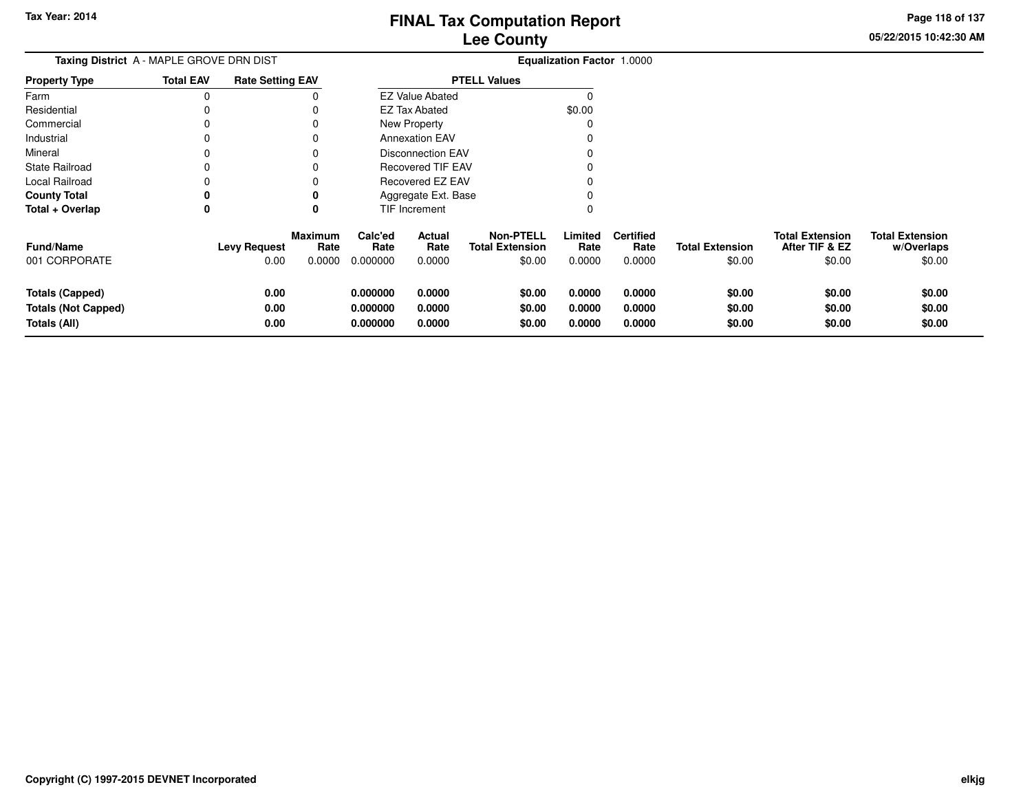**05/22/2015 10:42:30 AMPage 118 of 137**

| Taxing District A - MAPLE GROVE DRN DIST                             |                  |                             |                           |                                  |                            |                                                      | <b>Equalization Factor 1.0000</b> |                                    |                                  |                                                    |                                                |
|----------------------------------------------------------------------|------------------|-----------------------------|---------------------------|----------------------------------|----------------------------|------------------------------------------------------|-----------------------------------|------------------------------------|----------------------------------|----------------------------------------------------|------------------------------------------------|
| <b>Property Type</b>                                                 | <b>Total EAV</b> | <b>Rate Setting EAV</b>     |                           |                                  |                            | <b>PTELL Values</b>                                  |                                   |                                    |                                  |                                                    |                                                |
| Farm                                                                 | $\Omega$         |                             |                           |                                  | <b>EZ Value Abated</b>     |                                                      |                                   |                                    |                                  |                                                    |                                                |
| Residential                                                          |                  |                             |                           |                                  | <b>EZ Tax Abated</b>       |                                                      | \$0.00                            |                                    |                                  |                                                    |                                                |
| Commercial                                                           |                  |                             |                           |                                  | New Property               |                                                      |                                   |                                    |                                  |                                                    |                                                |
| Industrial                                                           |                  |                             |                           |                                  | <b>Annexation EAV</b>      |                                                      |                                   |                                    |                                  |                                                    |                                                |
| Mineral                                                              |                  |                             |                           |                                  | <b>Disconnection EAV</b>   |                                                      |                                   |                                    |                                  |                                                    |                                                |
| <b>State Railroad</b>                                                |                  |                             |                           |                                  | <b>Recovered TIF EAV</b>   |                                                      |                                   |                                    |                                  |                                                    |                                                |
| Local Railroad                                                       |                  |                             |                           |                                  | Recovered EZ EAV           |                                                      |                                   |                                    |                                  |                                                    |                                                |
| <b>County Total</b>                                                  |                  |                             |                           |                                  | Aggregate Ext. Base        |                                                      |                                   |                                    |                                  |                                                    |                                                |
| Total + Overlap                                                      | 0                |                             |                           |                                  | TIF Increment              |                                                      |                                   |                                    |                                  |                                                    |                                                |
| Fund/Name<br>001 CORPORATE                                           |                  | <b>Levy Request</b><br>0.00 | Maximum<br>Rate<br>0.0000 | Calc'ed<br>Rate<br>0.000000      | Actual<br>Rate<br>0.0000   | <b>Non-PTELL</b><br><b>Total Extension</b><br>\$0.00 | Limited<br>Rate<br>0.0000         | <b>Certified</b><br>Rate<br>0.0000 | <b>Total Extension</b><br>\$0.00 | <b>Total Extension</b><br>After TIF & EZ<br>\$0.00 | <b>Total Extension</b><br>w/Overlaps<br>\$0.00 |
| <b>Totals (Capped)</b><br><b>Totals (Not Capped)</b><br>Totals (All) |                  | 0.00<br>0.00<br>0.00        |                           | 0.000000<br>0.000000<br>0.000000 | 0.0000<br>0.0000<br>0.0000 | \$0.00<br>\$0.00<br>\$0.00                           | 0.0000<br>0.0000<br>0.0000        | 0.0000<br>0.0000<br>0.0000         | \$0.00<br>\$0.00<br>\$0.00       | \$0.00<br>\$0.00<br>\$0.00                         | \$0.00<br>\$0.00<br>\$0.00                     |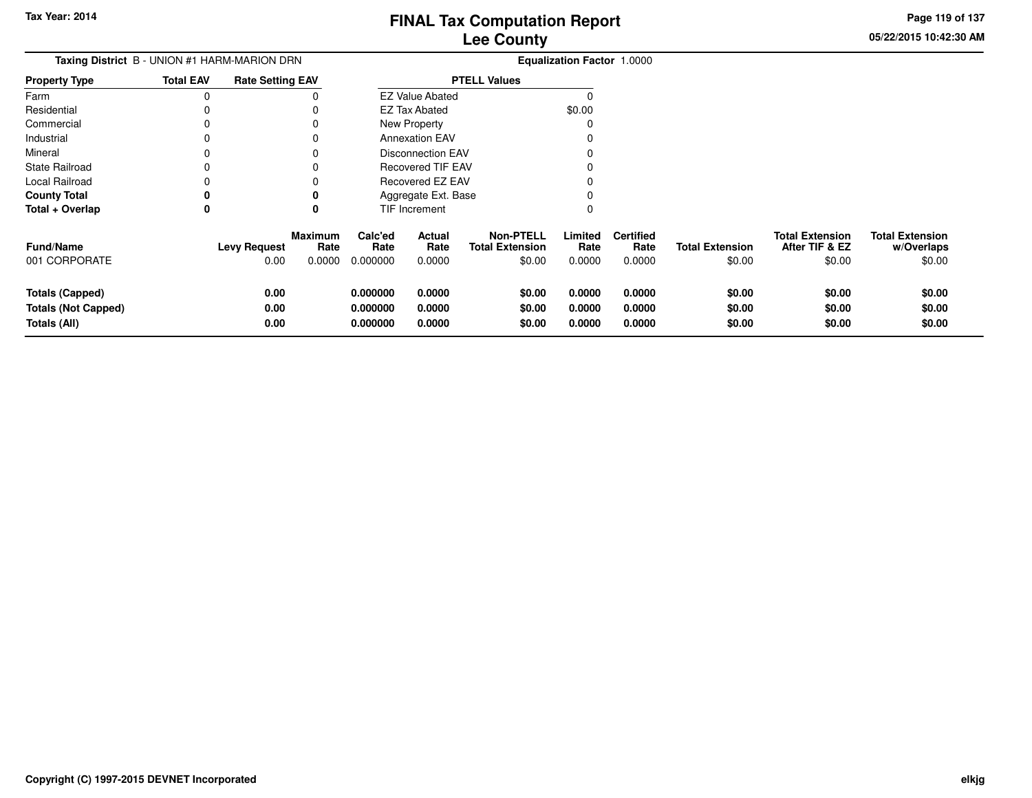**05/22/2015 10:42:30 AMPage 119 of 137**

> **w/Overlaps**\$0.00

| Taxing District B - UNION #1 HARM-MARION DRN |                  |                         |                        | <b>Equalization Factor 1.0000</b> |                          |                                            |                 |                          |                        |                                          |                                      |  |
|----------------------------------------------|------------------|-------------------------|------------------------|-----------------------------------|--------------------------|--------------------------------------------|-----------------|--------------------------|------------------------|------------------------------------------|--------------------------------------|--|
| Property Type                                | <b>Total EAV</b> | <b>Rate Setting EAV</b> |                        |                                   |                          | <b>PTELL Values</b>                        |                 |                          |                        |                                          |                                      |  |
| Farm                                         | 0                |                         |                        |                                   | <b>EZ Value Abated</b>   |                                            |                 |                          |                        |                                          |                                      |  |
| Residential                                  |                  |                         |                        |                                   | <b>EZ Tax Abated</b>     |                                            | \$0.00          |                          |                        |                                          |                                      |  |
| Commercial                                   |                  |                         |                        |                                   | New Property             |                                            |                 |                          |                        |                                          |                                      |  |
| Industrial                                   |                  |                         |                        |                                   | <b>Annexation EAV</b>    |                                            |                 |                          |                        |                                          |                                      |  |
| Mineral                                      |                  |                         |                        |                                   | Disconnection EAV        |                                            |                 |                          |                        |                                          |                                      |  |
| State Railroad                               |                  |                         |                        |                                   | <b>Recovered TIF EAV</b> |                                            |                 |                          |                        |                                          |                                      |  |
| Local Railroad                               |                  |                         |                        |                                   | Recovered EZ EAV         |                                            |                 |                          |                        |                                          |                                      |  |
| <b>County Total</b>                          | 0                |                         |                        |                                   | Aggregate Ext. Base      |                                            |                 |                          |                        |                                          |                                      |  |
| Total + Overlap                              | 0                |                         | 0                      |                                   | TIF Increment            |                                            |                 |                          |                        |                                          |                                      |  |
| Fund/Name                                    |                  | <b>Levy Request</b>     | <b>Maximum</b><br>Rate | Calc'ed<br>Rate                   | Actual<br>Rate           | <b>Non-PTELL</b><br><b>Total Extension</b> | Limited<br>Rate | <b>Certified</b><br>Rate | <b>Total Extension</b> | <b>Total Extension</b><br>After TIF & EZ | <b>Total Extension</b><br>w/Overlaps |  |
| 001 CORPORATE                                |                  | 0.00                    | 0.0000                 | 0.000000                          | 0.0000                   | \$0.00                                     | 0.0000          | 0.0000                   | \$0.00                 | \$0.00                                   | \$0.00                               |  |
| <b>Totals (Capped)</b>                       |                  | 0.00                    |                        | 0.000000                          | 0.0000                   | \$0.00                                     | 0.0000          | 0.0000                   | \$0.00                 | \$0.00                                   | \$0.00                               |  |
| <b>Totals (Not Capped)</b>                   |                  | 0.00                    |                        | 0.000000                          | 0.0000                   | \$0.00                                     | 0.0000          | 0.0000                   | \$0.00                 | \$0.00                                   | \$0.00                               |  |
| Totals (All)                                 |                  | 0.00                    |                        | 0.000000                          | 0.0000                   | \$0.00                                     | 0.0000          | 0.0000                   | \$0.00                 | \$0.00                                   | \$0.00                               |  |
|                                              |                  |                         |                        |                                   |                          |                                            |                 |                          |                        |                                          |                                      |  |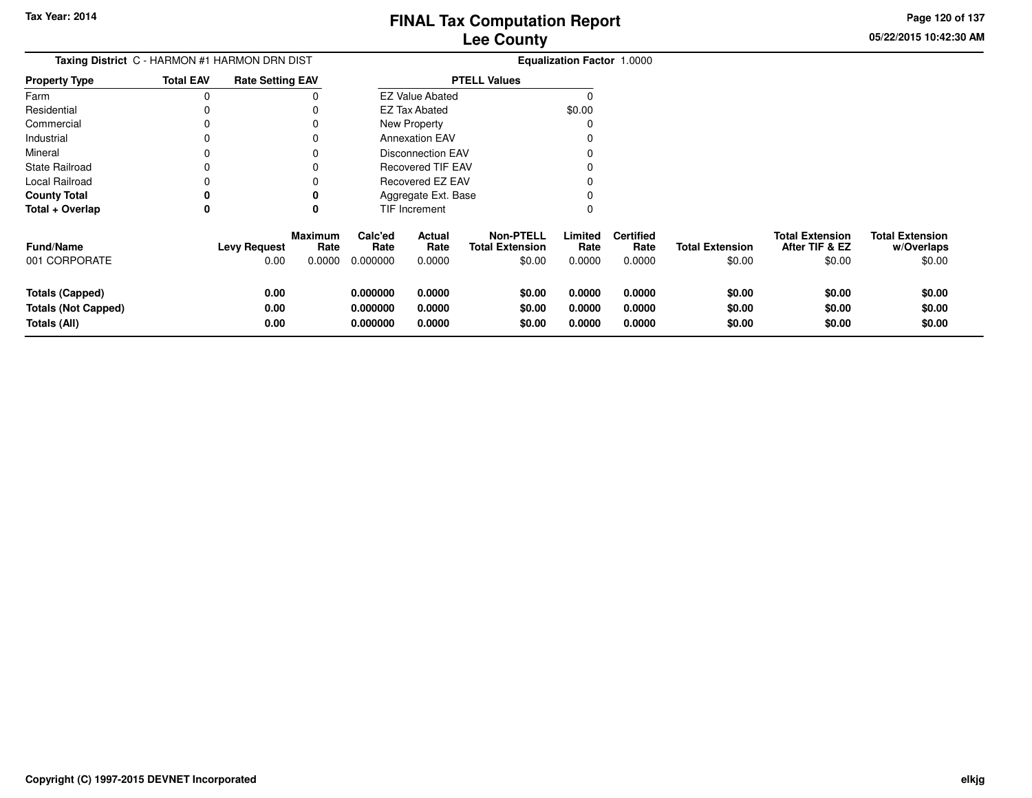**05/22/2015 10:42:30 AMPage 120 of 137**

| <b>Taxing District C - HARMON #1 HARMON DRN DIST</b>                 | <b>Equalization Factor 1.0000</b> |                                                                 |                                  |                            |                                                      |                            |                                    |                                  |                                                    |                                                |
|----------------------------------------------------------------------|-----------------------------------|-----------------------------------------------------------------|----------------------------------|----------------------------|------------------------------------------------------|----------------------------|------------------------------------|----------------------------------|----------------------------------------------------|------------------------------------------------|
| <b>Property Type</b>                                                 | <b>Total EAV</b>                  | <b>Rate Setting EAV</b>                                         |                                  |                            | <b>PTELL Values</b>                                  |                            |                                    |                                  |                                                    |                                                |
| Farm                                                                 |                                   |                                                                 |                                  | <b>EZ Value Abated</b>     |                                                      |                            |                                    |                                  |                                                    |                                                |
| Residential                                                          |                                   |                                                                 |                                  | <b>EZ Tax Abated</b>       |                                                      | \$0.00                     |                                    |                                  |                                                    |                                                |
| Commercial                                                           |                                   |                                                                 |                                  | New Property               |                                                      |                            |                                    |                                  |                                                    |                                                |
| Industrial                                                           |                                   |                                                                 |                                  | <b>Annexation EAV</b>      |                                                      |                            |                                    |                                  |                                                    |                                                |
| Mineral                                                              |                                   |                                                                 |                                  | <b>Disconnection EAV</b>   |                                                      |                            |                                    |                                  |                                                    |                                                |
| <b>State Railroad</b>                                                |                                   | 0                                                               |                                  | <b>Recovered TIF EAV</b>   |                                                      |                            |                                    |                                  |                                                    |                                                |
| Local Railroad                                                       |                                   |                                                                 |                                  | Recovered EZ EAV           |                                                      |                            |                                    |                                  |                                                    |                                                |
| <b>County Total</b>                                                  | o                                 | 0                                                               |                                  | Aggregate Ext. Base        |                                                      |                            |                                    |                                  |                                                    |                                                |
| Total + Overlap                                                      | 0                                 | 0                                                               |                                  | TIF Increment              |                                                      | 0                          |                                    |                                  |                                                    |                                                |
| <b>Fund/Name</b><br>001 CORPORATE                                    |                                   | <b>Maximum</b><br>Rate<br><b>Levy Request</b><br>0.00<br>0.0000 | Calc'ed<br>Rate<br>0.000000      | Actual<br>Rate<br>0.0000   | <b>Non-PTELL</b><br><b>Total Extension</b><br>\$0.00 | Limited<br>Rate<br>0.0000  | <b>Certified</b><br>Rate<br>0.0000 | <b>Total Extension</b><br>\$0.00 | <b>Total Extension</b><br>After TIF & EZ<br>\$0.00 | <b>Total Extension</b><br>w/Overlaps<br>\$0.00 |
| <b>Totals (Capped)</b><br><b>Totals (Not Capped)</b><br>Totals (All) |                                   | 0.00<br>0.00<br>0.00                                            | 0.000000<br>0.000000<br>0.000000 | 0.0000<br>0.0000<br>0.0000 | \$0.00<br>\$0.00<br>\$0.00                           | 0.0000<br>0.0000<br>0.0000 | 0.0000<br>0.0000<br>0.0000         | \$0.00<br>\$0.00<br>\$0.00       | \$0.00<br>\$0.00<br>\$0.00                         | \$0.00<br>\$0.00<br>\$0.00                     |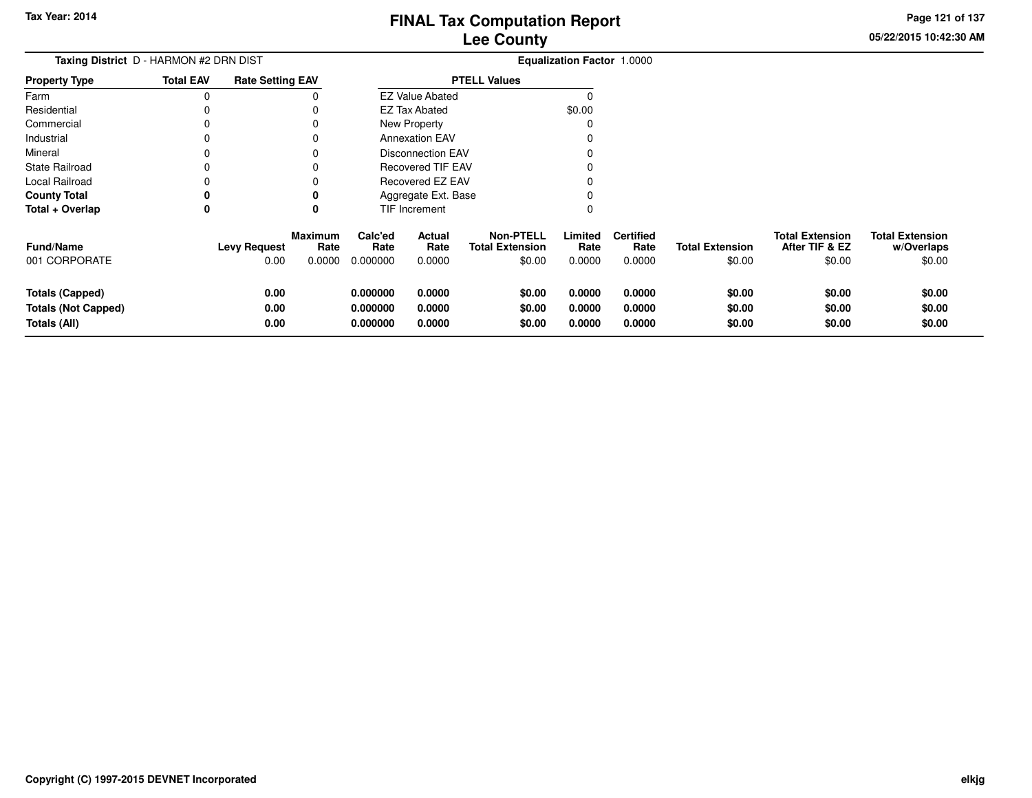**Totals (All)**

# **Lee CountyFINAL Tax Computation Report**

**0.000000 0.0000 \$0.00 0.0000 0.0000 \$0.00 \$0.00 \$0.00**

**05/22/2015 10:42:30 AMPage 121 of 137**

\$0.00

| Taxing District D - HARMON #2 DRN DIST |                  |                         |                 | Equalization Factor 1.0000 |                          |                                            |                 |                          |                        |                                          |                                      |
|----------------------------------------|------------------|-------------------------|-----------------|----------------------------|--------------------------|--------------------------------------------|-----------------|--------------------------|------------------------|------------------------------------------|--------------------------------------|
| <b>Property Type</b>                   | <b>Total EAV</b> | <b>Rate Setting EAV</b> |                 | <b>PTELL Values</b>        |                          |                                            |                 |                          |                        |                                          |                                      |
| Farm                                   | O                |                         |                 |                            | <b>EZ Value Abated</b>   |                                            |                 |                          |                        |                                          |                                      |
| Residential                            |                  |                         |                 |                            | <b>EZ Tax Abated</b>     |                                            | \$0.00          |                          |                        |                                          |                                      |
| Commercial                             |                  |                         |                 |                            | <b>New Property</b>      |                                            |                 |                          |                        |                                          |                                      |
| Industrial                             |                  |                         |                 |                            | <b>Annexation EAV</b>    |                                            |                 |                          |                        |                                          |                                      |
| Mineral                                |                  |                         |                 |                            | Disconnection EAV        |                                            |                 |                          |                        |                                          |                                      |
| <b>State Railroad</b>                  |                  |                         |                 |                            | <b>Recovered TIF EAV</b> |                                            |                 |                          |                        |                                          |                                      |
| Local Railroad                         |                  |                         |                 |                            | Recovered EZ EAV         |                                            |                 |                          |                        |                                          |                                      |
| <b>County Total</b>                    | 0                |                         |                 |                            | Aggregate Ext. Base      |                                            |                 |                          |                        |                                          |                                      |
| Total + Overlap                        | 0                |                         | 0               |                            | TIF Increment            |                                            |                 |                          |                        |                                          |                                      |
| <b>Fund/Name</b>                       |                  | <b>Levy Request</b>     | Maximum<br>Rate | Calc'ed<br>Rate            | Actual<br>Rate           | <b>Non-PTELL</b><br><b>Total Extension</b> | Limited<br>Rate | <b>Certified</b><br>Rate | <b>Total Extension</b> | <b>Total Extension</b><br>After TIF & EZ | <b>Total Extension</b><br>w/Overlaps |
| 001 CORPORATE                          |                  | 0.00                    | 0.0000          | 0.000000                   | 0.0000                   | \$0.00                                     | 0.0000          | 0.0000                   | \$0.00                 | \$0.00                                   | \$0.00                               |
| <b>Totals (Capped)</b>                 |                  | 0.00                    |                 | 0.000000                   | 0.0000                   | \$0.00                                     | 0.0000          | 0.0000                   | \$0.00                 | \$0.00                                   | \$0.00                               |
| <b>Totals (Not Capped)</b>             |                  | 0.00                    |                 | 0.000000                   | 0.0000                   | \$0.00                                     | 0.0000          | 0.0000                   | \$0.00                 | \$0.00                                   | \$0.00                               |

**0.00**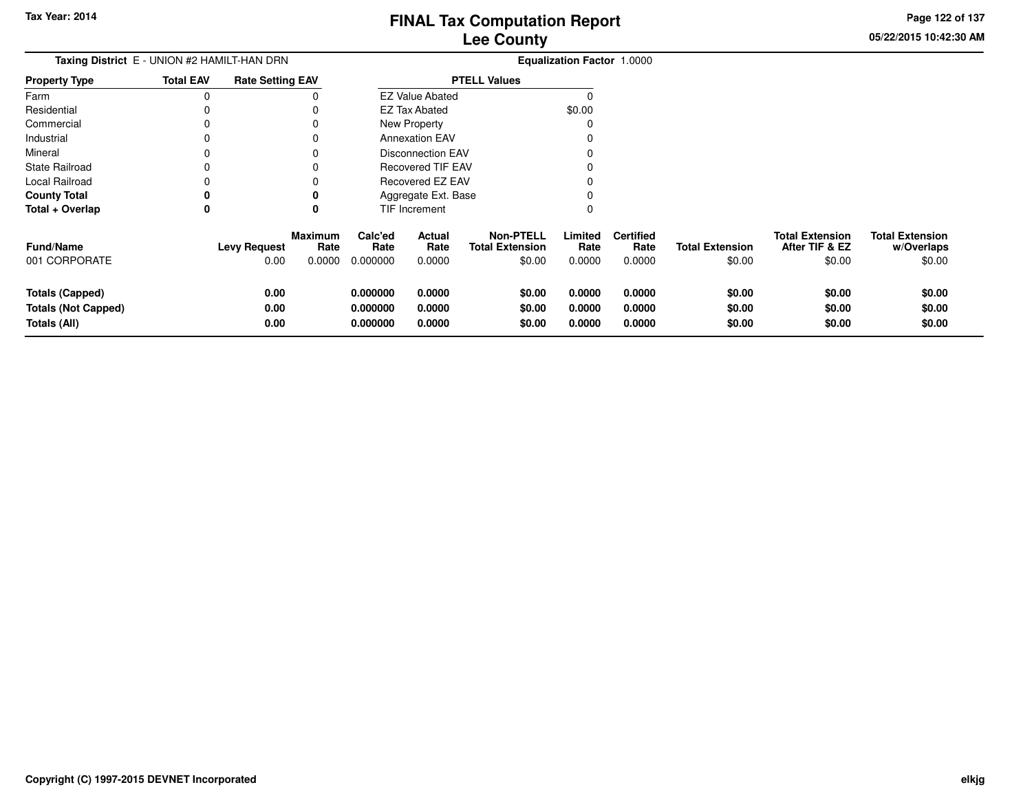**Page 122 of 137**

 $$0.00$ 

| Taxing District E - UNION #2 HAMILT-HAN DRN |                  |                         |                        |                     |                          |                                            | Equalization Factor 1.0000 |                          |                        |                                          |                                      |
|---------------------------------------------|------------------|-------------------------|------------------------|---------------------|--------------------------|--------------------------------------------|----------------------------|--------------------------|------------------------|------------------------------------------|--------------------------------------|
| <b>Property Type</b>                        | <b>Total EAV</b> | <b>Rate Setting EAV</b> |                        | <b>PTELL Values</b> |                          |                                            |                            |                          |                        |                                          |                                      |
| Farm                                        | 0                |                         |                        |                     | <b>EZ Value Abated</b>   |                                            | 0                          |                          |                        |                                          |                                      |
| Residential                                 |                  |                         |                        |                     | EZ Tax Abated            |                                            | \$0.00                     |                          |                        |                                          |                                      |
| Commercial                                  |                  |                         |                        |                     | New Property             |                                            | 0                          |                          |                        |                                          |                                      |
| Industrial                                  |                  |                         | 0                      |                     | <b>Annexation EAV</b>    |                                            | 0                          |                          |                        |                                          |                                      |
| Mineral                                     |                  |                         |                        |                     | <b>Disconnection EAV</b> |                                            | 0                          |                          |                        |                                          |                                      |
| <b>State Railroad</b>                       |                  |                         |                        |                     | Recovered TIF EAV        |                                            |                            |                          |                        |                                          |                                      |
| Local Railroad                              |                  |                         |                        |                     | <b>Recovered EZ EAV</b>  |                                            |                            |                          |                        |                                          |                                      |
| <b>County Total</b>                         | 0                |                         | 0                      |                     | Aggregate Ext. Base      |                                            | 0                          |                          |                        |                                          |                                      |
| Total + Overlap                             | 0                |                         | 0                      |                     | TIF Increment            |                                            | 0                          |                          |                        |                                          |                                      |
| <b>Fund/Name</b>                            |                  | <b>Levy Request</b>     | <b>Maximum</b><br>Rate | Calc'ed<br>Rate     | Actual<br>Rate           | <b>Non-PTELL</b><br><b>Total Extension</b> | Limited<br>Rate            | <b>Certified</b><br>Rate | <b>Total Extension</b> | <b>Total Extension</b><br>After TIF & EZ | <b>Total Extension</b><br>w/Overlaps |
| 001 CORPORATE                               |                  | 0.00                    | 0.0000                 | 0.000000            | 0.0000                   | \$0.00                                     | 0.0000                     | 0.0000                   | \$0.00                 | \$0.00                                   | \$0.00                               |
| <b>Totals (Capped)</b>                      |                  | 0.00                    |                        | 0.000000            | 0.0000                   | \$0.00                                     | 0.0000                     | 0.0000                   | \$0.00                 | \$0.00                                   | \$0.00                               |
| <b>Totals (Not Capped)</b>                  |                  | 0.00                    |                        | 0.000000            | 0.0000                   | \$0.00                                     | 0.0000                     | 0.0000                   | \$0.00                 | \$0.00                                   | \$0.00                               |
| Totals (All)                                |                  | 0.00                    |                        | 0.000000            | 0.0000                   | \$0.00                                     | 0.0000                     | 0.0000                   | \$0.00                 | \$0.00                                   | \$0.00                               |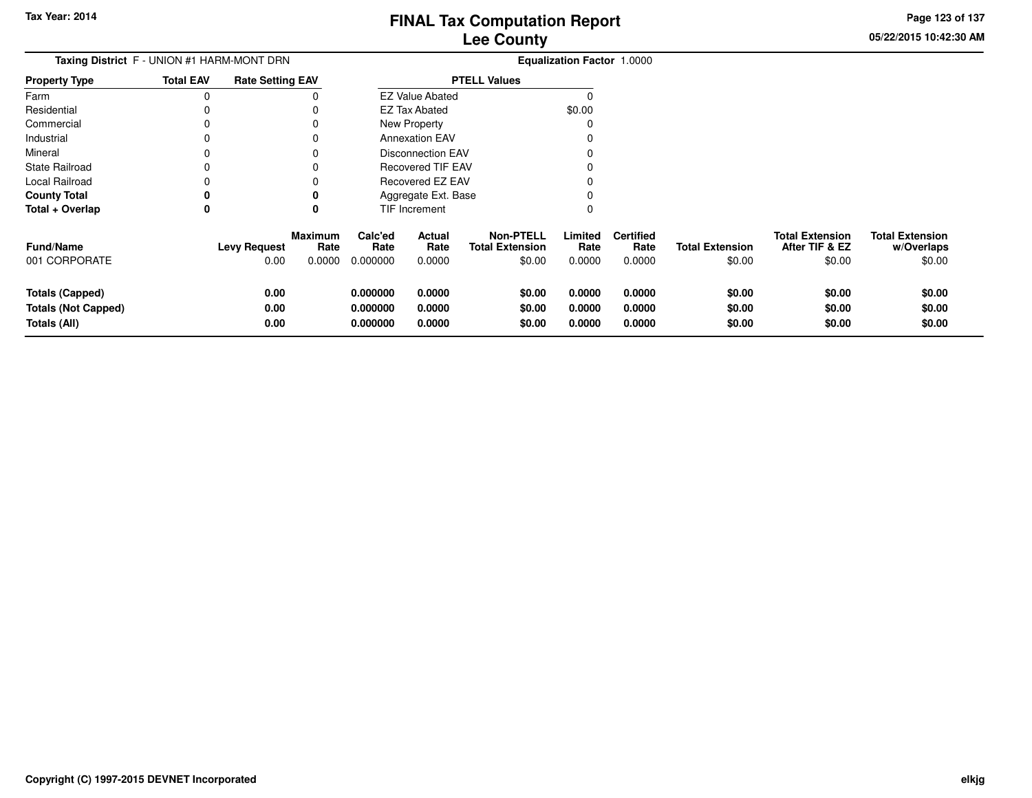**05/22/2015 10:42:30 AMPage 123 of 137**

 $$0.00$ 

| Taxing District F - UNION #1 HARM-MONT DRN           |                  |                         |                 |                      |                          |                                            | <b>Equalization Factor 1.0000</b> |                          |                        |                                          |                                      |
|------------------------------------------------------|------------------|-------------------------|-----------------|----------------------|--------------------------|--------------------------------------------|-----------------------------------|--------------------------|------------------------|------------------------------------------|--------------------------------------|
| <b>Property Type</b>                                 | <b>Total EAV</b> | <b>Rate Setting EAV</b> |                 | <b>PTELL Values</b>  |                          |                                            |                                   |                          |                        |                                          |                                      |
| Farm                                                 | 0                |                         | O               |                      | <b>EZ Value Abated</b>   |                                            |                                   |                          |                        |                                          |                                      |
| Residential                                          | 0                |                         |                 |                      | <b>EZ Tax Abated</b>     |                                            | \$0.00                            |                          |                        |                                          |                                      |
| Commercial                                           | 0                |                         |                 |                      | New Property             |                                            | 0                                 |                          |                        |                                          |                                      |
| Industrial                                           | 0                |                         |                 |                      | <b>Annexation EAV</b>    |                                            |                                   |                          |                        |                                          |                                      |
| Mineral                                              | 0                |                         |                 |                      | <b>Disconnection EAV</b> |                                            |                                   |                          |                        |                                          |                                      |
| <b>State Railroad</b>                                | 0                |                         |                 |                      | Recovered TIF EAV        |                                            |                                   |                          |                        |                                          |                                      |
| <b>Local Railroad</b>                                | 0                |                         |                 |                      | Recovered EZ EAV         |                                            |                                   |                          |                        |                                          |                                      |
| <b>County Total</b>                                  | 0                |                         |                 |                      | Aggregate Ext. Base      |                                            |                                   |                          |                        |                                          |                                      |
| Total + Overlap                                      | 0                |                         | 0               |                      | TIF Increment            |                                            | 0                                 |                          |                        |                                          |                                      |
| <b>Fund/Name</b>                                     |                  | <b>Levy Request</b>     | Maximum<br>Rate | Calc'ed<br>Rate      | Actual<br>Rate           | <b>Non-PTELL</b><br><b>Total Extension</b> | Limited<br>Rate                   | <b>Certified</b><br>Rate | <b>Total Extension</b> | <b>Total Extension</b><br>After TIF & EZ | <b>Total Extension</b><br>w/Overlaps |
| 001 CORPORATE                                        |                  | 0.00                    | 0.0000          | 0.000000             | 0.0000                   | \$0.00                                     | 0.0000                            | 0.0000                   | \$0.00                 | \$0.00                                   | \$0.00                               |
| <b>Totals (Capped)</b><br><b>Totals (Not Capped)</b> |                  | 0.00<br>0.00            |                 | 0.000000<br>0.000000 | 0.0000<br>0.0000         | \$0.00<br>\$0.00                           | 0.0000<br>0.0000                  | 0.0000<br>0.0000         | \$0.00<br>\$0.00       | \$0.00<br>\$0.00                         | \$0.00<br>\$0.00                     |
| Totals (All)                                         |                  | 0.00                    |                 | 0.000000             | 0.0000                   | \$0.00                                     | 0.0000                            | 0.0000                   | \$0.00                 | \$0.00                                   | \$0.00                               |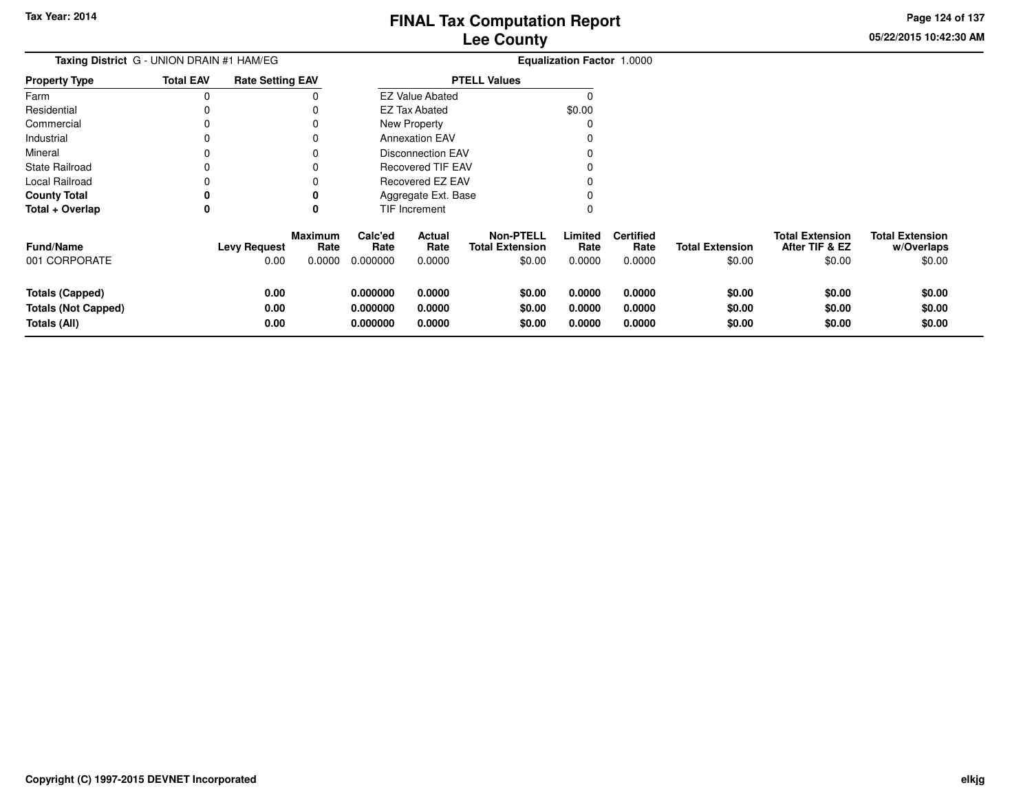**05/22/2015 10:42:30 AMPage 124 of 137**

| Taxing District G - UNION DRAIN #1 HAM/EG                            |                  |                             |                                  |                                  |                            |                                                      | <b>Equalization Factor 1.0000</b> |                                    |                                  |                                                    |                                                |
|----------------------------------------------------------------------|------------------|-----------------------------|----------------------------------|----------------------------------|----------------------------|------------------------------------------------------|-----------------------------------|------------------------------------|----------------------------------|----------------------------------------------------|------------------------------------------------|
| <b>Property Type</b>                                                 | <b>Total EAV</b> | <b>Rate Setting EAV</b>     |                                  | <b>PTELL Values</b>              |                            |                                                      |                                   |                                    |                                  |                                                    |                                                |
| Farm                                                                 | 0                |                             | 0                                |                                  | <b>EZ Value Abated</b>     |                                                      | $\Omega$                          |                                    |                                  |                                                    |                                                |
| Residential                                                          |                  |                             | 0                                |                                  | <b>EZ Tax Abated</b>       |                                                      | \$0.00                            |                                    |                                  |                                                    |                                                |
| Commercial                                                           | 0                |                             | 0                                |                                  | New Property               |                                                      | 0                                 |                                    |                                  |                                                    |                                                |
| Industrial                                                           | ი                |                             | 0                                |                                  | <b>Annexation EAV</b>      |                                                      | 0                                 |                                    |                                  |                                                    |                                                |
| Mineral                                                              | O                |                             | 0                                |                                  | <b>Disconnection EAV</b>   |                                                      |                                   |                                    |                                  |                                                    |                                                |
| State Railroad                                                       |                  |                             | 0                                |                                  | Recovered TIF EAV          |                                                      |                                   |                                    |                                  |                                                    |                                                |
| Local Railroad                                                       |                  |                             | 0                                |                                  | Recovered EZ EAV           |                                                      | 0                                 |                                    |                                  |                                                    |                                                |
| <b>County Total</b>                                                  | 0                |                             | 0                                |                                  | Aggregate Ext. Base        |                                                      |                                   |                                    |                                  |                                                    |                                                |
| Total + Overlap                                                      | 0                |                             | 0                                |                                  | TIF Increment              |                                                      | 0                                 |                                    |                                  |                                                    |                                                |
| <b>Fund/Name</b><br>001 CORPORATE                                    |                  | <b>Levy Request</b><br>0.00 | <b>Maximum</b><br>Rate<br>0.0000 | Calc'ed<br>Rate<br>0.000000      | Actual<br>Rate<br>0.0000   | <b>Non-PTELL</b><br><b>Total Extension</b><br>\$0.00 | Limited<br>Rate<br>0.0000         | <b>Certified</b><br>Rate<br>0.0000 | <b>Total Extension</b><br>\$0.00 | <b>Total Extension</b><br>After TIF & EZ<br>\$0.00 | <b>Total Extension</b><br>w/Overlaps<br>\$0.00 |
| <b>Totals (Capped)</b><br><b>Totals (Not Capped)</b><br>Totals (All) |                  | 0.00<br>0.00<br>0.00        |                                  | 0.000000<br>0.000000<br>0.000000 | 0.0000<br>0.0000<br>0.0000 | \$0.00<br>\$0.00<br>\$0.00                           | 0.0000<br>0.0000<br>0.0000        | 0.0000<br>0.0000<br>0.0000         | \$0.00<br>\$0.00<br>\$0.00       | \$0.00<br>\$0.00<br>\$0.00                         | \$0.00<br>\$0.00<br>\$0.00                     |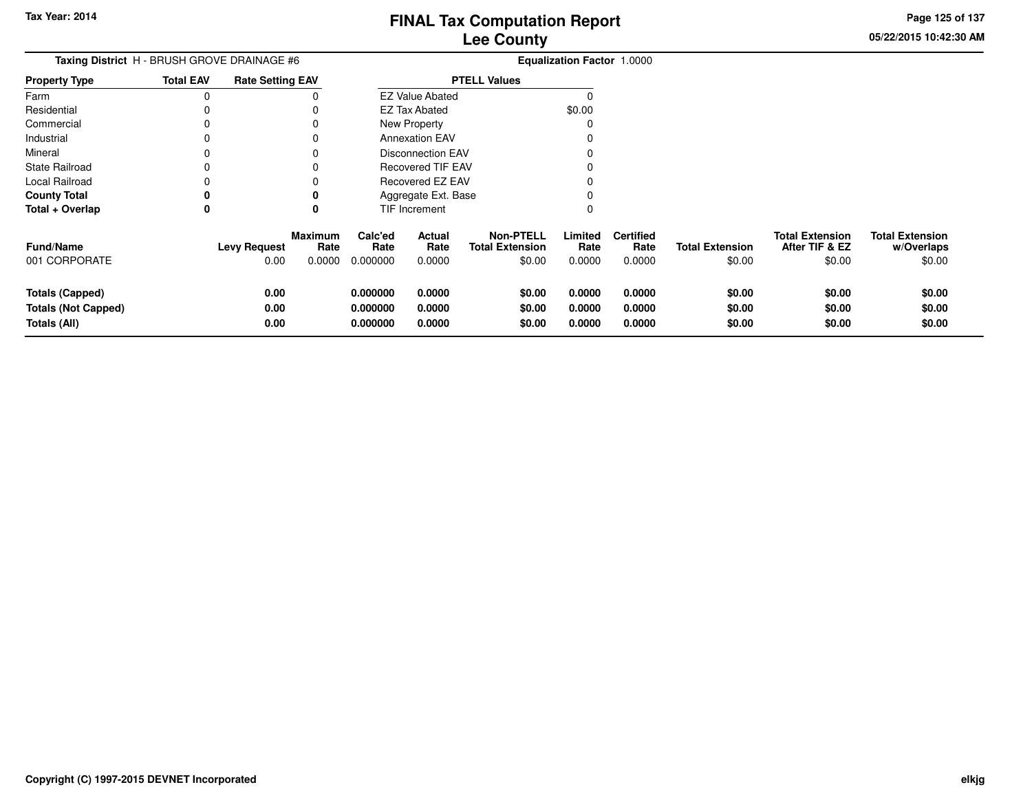**Page 125 of 137**

 $$0.00$ 

| <b>Taxing District</b> H - BRUSH GROVE DRAINAGE #6 |                      |                     |                                           |                            |                                                |                                                                                                                                      |                            |                                   |                                          |                                      |
|----------------------------------------------------|----------------------|---------------------|-------------------------------------------|----------------------------|------------------------------------------------|--------------------------------------------------------------------------------------------------------------------------------------|----------------------------|-----------------------------------|------------------------------------------|--------------------------------------|
| <b>Total EAV</b>                                   |                      |                     | <b>PTELL Values</b>                       |                            |                                                |                                                                                                                                      |                            |                                   |                                          |                                      |
| 0                                                  |                      |                     |                                           |                            |                                                | 0                                                                                                                                    |                            |                                   |                                          |                                      |
|                                                    |                      |                     |                                           |                            |                                                | \$0.00                                                                                                                               |                            |                                   |                                          |                                      |
|                                                    |                      | 0                   |                                           |                            |                                                | 0                                                                                                                                    |                            |                                   |                                          |                                      |
|                                                    |                      | 0                   |                                           |                            |                                                | 0                                                                                                                                    |                            |                                   |                                          |                                      |
|                                                    |                      | 0                   |                                           |                            |                                                | 0                                                                                                                                    |                            |                                   |                                          |                                      |
|                                                    |                      |                     |                                           |                            |                                                |                                                                                                                                      |                            |                                   |                                          |                                      |
|                                                    |                      |                     |                                           |                            |                                                |                                                                                                                                      |                            |                                   |                                          |                                      |
| 0                                                  |                      | 0                   |                                           |                            |                                                | 0                                                                                                                                    |                            |                                   |                                          |                                      |
| 0                                                  |                      | 0                   |                                           |                            |                                                | 0                                                                                                                                    |                            |                                   |                                          |                                      |
|                                                    |                      | Rate                | Calc'ed<br>Rate                           | Actual<br>Rate             | <b>Non-PTELL</b><br><b>Total Extension</b>     | Limited<br>Rate                                                                                                                      | <b>Certified</b><br>Rate   | <b>Total Extension</b>            | <b>Total Extension</b><br>After TIF & EZ | <b>Total Extension</b><br>w/Overlaps |
|                                                    | 0.00                 | 0.0000              | 0.000000                                  | 0.0000                     | \$0.00                                         | 0.0000                                                                                                                               | 0.0000                     |                                   |                                          | \$0.00                               |
|                                                    | 0.00<br>0.00<br>0.00 |                     | 0.000000<br>0.000000<br>0.000000          | 0.0000<br>0.0000<br>0.0000 | \$0.00<br>\$0.00<br>\$0.00                     | 0.0000<br>0.0000<br>0.0000                                                                                                           | 0.0000<br>0.0000<br>0.0000 | \$0.00<br>\$0.00<br>\$0.00        | \$0.00<br>\$0.00<br>\$0.00               | \$0.00<br>\$0.00<br>\$0.00           |
|                                                    |                      | <b>Levy Request</b> | <b>Rate Setting EAV</b><br><b>Maximum</b> |                            | EZ Tax Abated<br>New Property<br>TIF Increment | <b>EZ Value Abated</b><br><b>Annexation EAV</b><br>Disconnection EAV<br>Recovered TIF EAV<br>Recovered EZ EAV<br>Aggregate Ext. Base |                            | <b>Equalization Factor 1.0000</b> | \$0.00                                   | \$0.00                               |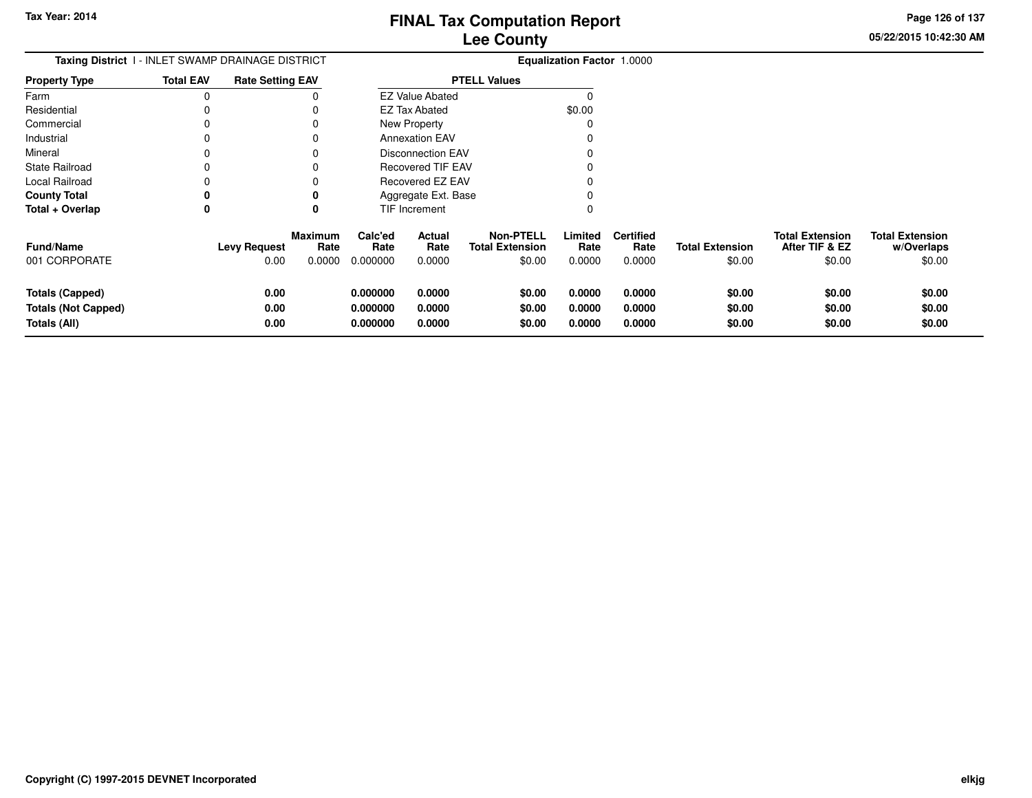**Page 126 of 137**

 $$0.00$ 

| <b>Taxing District I - INLET SWAMP DRAINAGE DISTRICT</b>             |                  |                             |                           |                                  |                            |                                                      | <b>Equalization Factor 1.0000</b> |                                    |                                  |                                                    |                                                |
|----------------------------------------------------------------------|------------------|-----------------------------|---------------------------|----------------------------------|----------------------------|------------------------------------------------------|-----------------------------------|------------------------------------|----------------------------------|----------------------------------------------------|------------------------------------------------|
| Property Type                                                        | <b>Total EAV</b> | <b>Rate Setting EAV</b>     |                           |                                  |                            | <b>PTELL Values</b>                                  |                                   |                                    |                                  |                                                    |                                                |
| Farm                                                                 | 0                |                             |                           |                                  | <b>EZ Value Abated</b>     |                                                      |                                   |                                    |                                  |                                                    |                                                |
| Residential                                                          |                  |                             |                           |                                  | EZ Tax Abated              |                                                      | \$0.00                            |                                    |                                  |                                                    |                                                |
| Commercial                                                           | 0                |                             |                           |                                  | New Property               |                                                      | C                                 |                                    |                                  |                                                    |                                                |
| Industrial                                                           | 0                |                             |                           |                                  | <b>Annexation EAV</b>      |                                                      |                                   |                                    |                                  |                                                    |                                                |
| Mineral                                                              | 0                |                             |                           |                                  | <b>Disconnection EAV</b>   |                                                      |                                   |                                    |                                  |                                                    |                                                |
| State Railroad                                                       |                  |                             |                           |                                  | <b>Recovered TIF EAV</b>   |                                                      |                                   |                                    |                                  |                                                    |                                                |
| Local Railroad                                                       |                  |                             |                           |                                  | Recovered EZ EAV           |                                                      |                                   |                                    |                                  |                                                    |                                                |
| <b>County Total</b>                                                  | 0                |                             |                           |                                  | Aggregate Ext. Base        |                                                      |                                   |                                    |                                  |                                                    |                                                |
| Total + Overlap                                                      | 0                |                             |                           |                                  | TIF Increment              |                                                      | 0                                 |                                    |                                  |                                                    |                                                |
| <b>Fund/Name</b><br>001 CORPORATE                                    |                  | <b>Levy Request</b><br>0.00 | Maximum<br>Rate<br>0.0000 | Calc'ed<br>Rate<br>0.000000      | Actual<br>Rate<br>0.0000   | <b>Non-PTELL</b><br><b>Total Extension</b><br>\$0.00 | Limited<br>Rate<br>0.0000         | <b>Certified</b><br>Rate<br>0.0000 | <b>Total Extension</b><br>\$0.00 | <b>Total Extension</b><br>After TIF & EZ<br>\$0.00 | <b>Total Extension</b><br>w/Overlaps<br>\$0.00 |
| <b>Totals (Capped)</b><br><b>Totals (Not Capped)</b><br>Totals (All) |                  | 0.00<br>0.00<br>0.00        |                           | 0.000000<br>0.000000<br>0.000000 | 0.0000<br>0.0000<br>0.0000 | \$0.00<br>\$0.00<br>\$0.00                           | 0.0000<br>0.0000<br>0.0000        | 0.0000<br>0.0000<br>0.0000         | \$0.00<br>\$0.00<br>\$0.00       | \$0.00<br>\$0.00<br>\$0.00                         | \$0.00<br>\$0.00<br>\$0.00                     |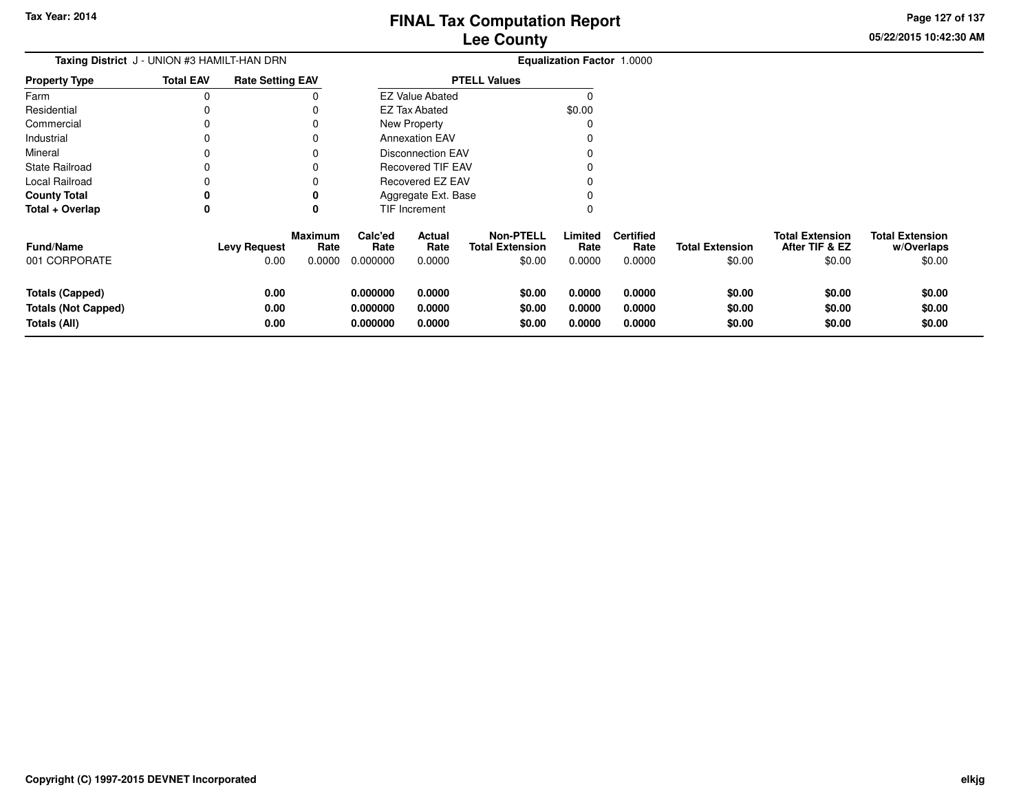**05/22/2015 10:42:30 AMPage 127 of 137**

 $$0.00$ 

| <b>Taxing District</b> J - UNION #3 HAMILT-HAN DRN |                  |                         |                        |                     |                          |                                            | <b>Equalization Factor 1.0000</b> |                          |                        |                                          |                                      |
|----------------------------------------------------|------------------|-------------------------|------------------------|---------------------|--------------------------|--------------------------------------------|-----------------------------------|--------------------------|------------------------|------------------------------------------|--------------------------------------|
| <b>Property Type</b>                               | <b>Total EAV</b> | <b>Rate Setting EAV</b> |                        | <b>PTELL Values</b> |                          |                                            |                                   |                          |                        |                                          |                                      |
| Farm                                               |                  |                         |                        |                     | <b>EZ Value Abated</b>   |                                            |                                   |                          |                        |                                          |                                      |
| Residential                                        |                  |                         |                        |                     | <b>EZ Tax Abated</b>     |                                            | \$0.00                            |                          |                        |                                          |                                      |
| Commercial                                         |                  |                         |                        |                     | New Property             |                                            |                                   |                          |                        |                                          |                                      |
| Industrial                                         |                  |                         |                        |                     | <b>Annexation EAV</b>    |                                            |                                   |                          |                        |                                          |                                      |
| Mineral                                            |                  |                         |                        |                     | <b>Disconnection EAV</b> |                                            |                                   |                          |                        |                                          |                                      |
| <b>State Railroad</b>                              |                  |                         |                        |                     | <b>Recovered TIF EAV</b> |                                            |                                   |                          |                        |                                          |                                      |
| Local Railroad                                     |                  |                         |                        |                     | Recovered EZ EAV         |                                            |                                   |                          |                        |                                          |                                      |
| <b>County Total</b>                                |                  |                         |                        |                     | Aggregate Ext. Base      |                                            |                                   |                          |                        |                                          |                                      |
| Total + Overlap                                    | 0                |                         | 0                      |                     | TIF Increment            |                                            | 0                                 |                          |                        |                                          |                                      |
| <b>Fund/Name</b>                                   |                  | <b>Levy Request</b>     | <b>Maximum</b><br>Rate | Calc'ed<br>Rate     | Actual<br>Rate           | <b>Non-PTELL</b><br><b>Total Extension</b> | Limited<br>Rate                   | <b>Certified</b><br>Rate | <b>Total Extension</b> | <b>Total Extension</b><br>After TIF & EZ | <b>Total Extension</b><br>w/Overlaps |
| 001 CORPORATE                                      |                  | 0.00                    | 0.0000                 | 0.000000            | 0.0000                   | \$0.00                                     | 0.0000                            | 0.0000                   | \$0.00                 | \$0.00                                   | \$0.00                               |
| <b>Totals (Capped)</b>                             |                  | 0.00                    |                        | 0.000000            | 0.0000                   | \$0.00                                     | 0.0000                            | 0.0000                   | \$0.00                 | \$0.00                                   | \$0.00                               |
| <b>Totals (Not Capped)</b>                         |                  | 0.00                    |                        | 0.000000            | 0.0000                   | \$0.00                                     | 0.0000                            | 0.0000                   | \$0.00                 | \$0.00                                   | \$0.00                               |
| Totals (All)                                       |                  | 0.00                    |                        | 0.000000            | 0.0000                   | \$0.00                                     | 0.0000                            | 0.0000                   | \$0.00                 | \$0.00                                   | \$0.00                               |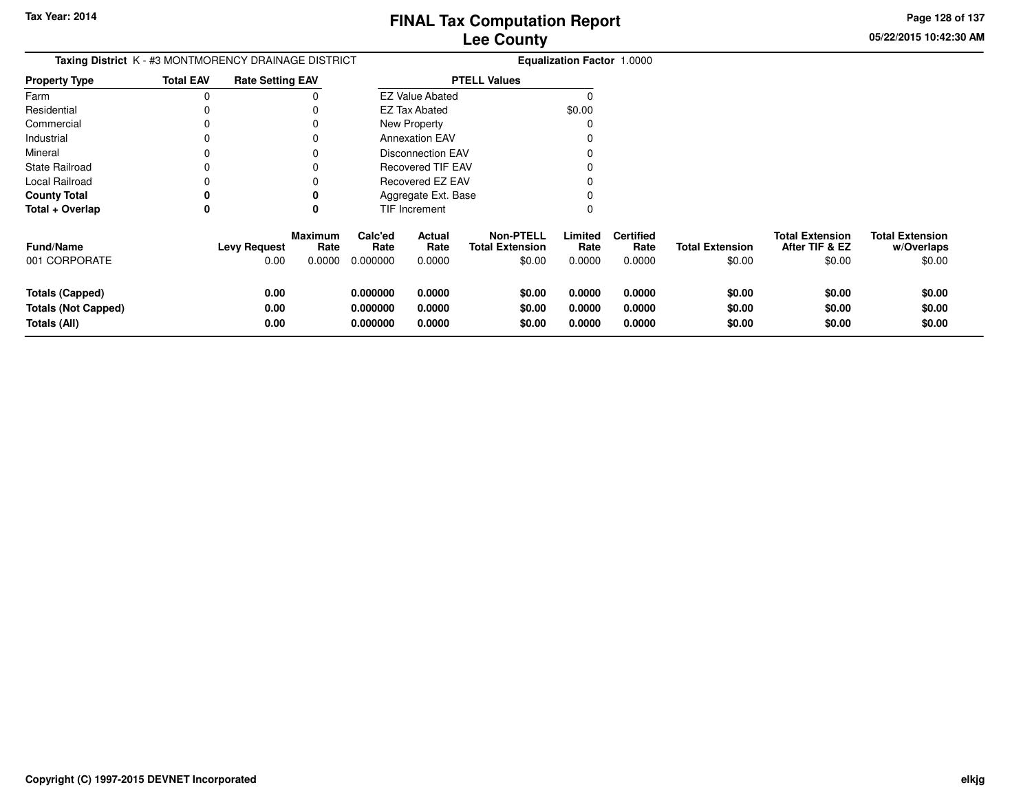**05/22/2015 10:42:30 AMPage 128 of 137**

| <b>Lee County</b>                 |  |
|-----------------------------------|--|
| <b>Equalization Factor 1.0000</b> |  |

|                      | <b>Taxing District</b> K - #3 MONTMORENCY DRAINAGE DISTRICT |                                 |                 |                          | <b>Equalization Factor 1.0000</b>   |                 |                          |     |
|----------------------|-------------------------------------------------------------|---------------------------------|-----------------|--------------------------|-------------------------------------|-----------------|--------------------------|-----|
| <b>Property Type</b> | <b>Total EAV</b>                                            | <b>Rate Setting EAV</b>         |                 |                          | <b>PTELL Values</b>                 |                 |                          |     |
| Farm                 |                                                             |                                 |                 | <b>EZ Value Abated</b>   |                                     |                 |                          |     |
| Residential          |                                                             |                                 |                 | EZ Tax Abated            |                                     | \$0.00          |                          |     |
| Commercial           |                                                             |                                 |                 | New Property             |                                     |                 |                          |     |
| Industrial           |                                                             |                                 |                 | <b>Annexation EAV</b>    |                                     |                 |                          |     |
| Mineral              |                                                             |                                 |                 | <b>Disconnection EAV</b> |                                     |                 |                          |     |
| State Railroad       |                                                             |                                 |                 | <b>Recovered TIF EAV</b> |                                     |                 |                          |     |
| Local Railroad       |                                                             |                                 |                 | Recovered EZ EAV         |                                     |                 |                          |     |
| <b>County Total</b>  |                                                             |                                 |                 | Aggregate Ext. Base      |                                     |                 |                          |     |
| Total + Overlap      |                                                             |                                 |                 | <b>TIF Increment</b>     |                                     |                 |                          |     |
| <b>Fund/Name</b>     |                                                             | Maximum<br>Levv Reauest<br>Rate | Calc'ed<br>Rate | Actual<br>Rate           | <b>Non-PTELL</b><br>Total Extension | Limited<br>Rate | <b>Certified</b><br>Rate | Tot |

| <b>Fund/Name</b>    | <b>Levy Request</b> | <b>Maximum</b><br>Rate | Calc'ed<br>Rate | Actual<br>Rate | <b>Non-PTELL</b><br><b>Total Extension</b> | Limited<br>Rate | <b>Certified</b><br>Rate | <b>Total Extension</b> | <b>Total Extension</b><br>After TIF & EZ | <b>Total Extension</b><br>w/Overlaps |
|---------------------|---------------------|------------------------|-----------------|----------------|--------------------------------------------|-----------------|--------------------------|------------------------|------------------------------------------|--------------------------------------|
| 001 CORPORATE       | 0.00                | 0.0000                 | 0.000000        | 0.0000         | \$0.00                                     | 0.0000          | 0.0000                   | \$0.00                 | \$0.00                                   | \$0.00                               |
| Totals (Capped)     | 0.00                |                        | 0.000000        | 0.0000         | \$0.00                                     | 0.0000          | 0.0000                   | \$0.00                 | \$0.00                                   | \$0.00                               |
| Totals (Not Capped) | 0.00                |                        | 0.000000        | 0.0000         | \$0.00                                     | 0.0000          | 0.0000                   | \$0.00                 | \$0.00                                   | \$0.00                               |
| Totals (All)        | 0.00                |                        | 0.000000        | 0.0000         | \$0.00                                     | 0.0000          | 0.0000                   | \$0.00                 | \$0.00                                   | \$0.00                               |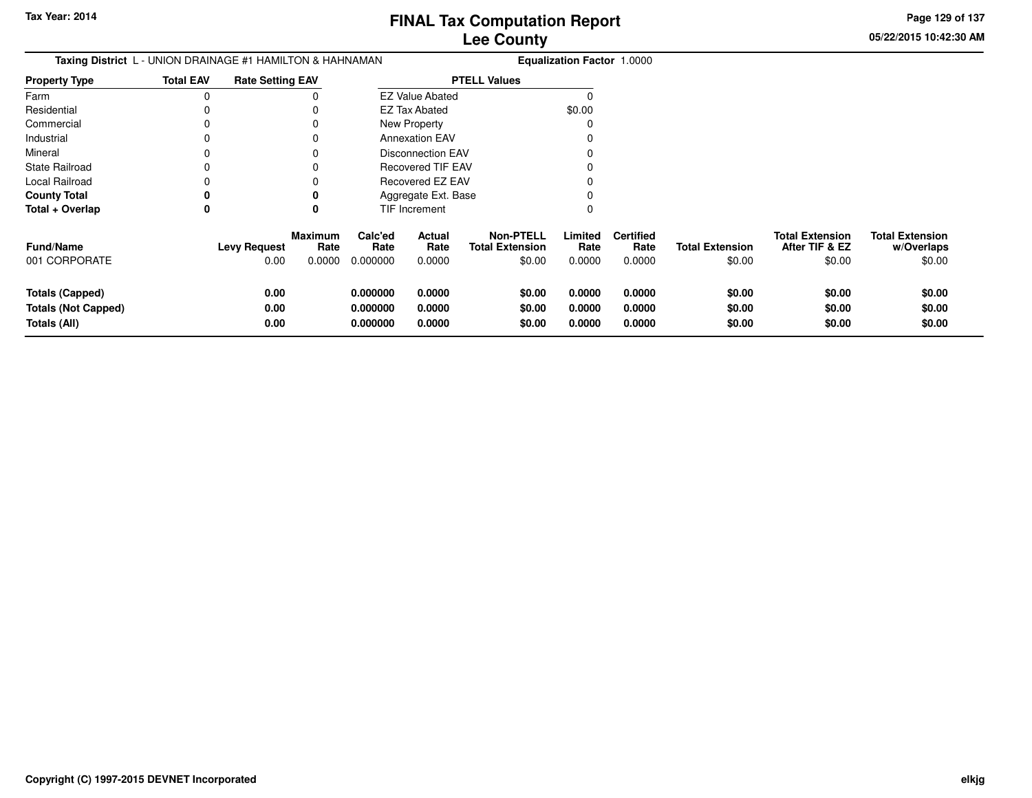**Page 129 of 137**

 $$0.00$ 

| <b>Taxing District</b> L - UNION DRAINAGE #1 HAMILTON & HAHNAMAN |                  |                         |                        |                 |                          | <b>Equalization Factor 1.0000</b>          |                 |                          |                        |                                          |                                      |
|------------------------------------------------------------------|------------------|-------------------------|------------------------|-----------------|--------------------------|--------------------------------------------|-----------------|--------------------------|------------------------|------------------------------------------|--------------------------------------|
| <b>Property Type</b>                                             | <b>Total EAV</b> | <b>Rate Setting EAV</b> |                        |                 |                          | <b>PTELL Values</b>                        |                 |                          |                        |                                          |                                      |
| Farm                                                             | $\Omega$         |                         |                        |                 | <b>EZ Value Abated</b>   |                                            |                 |                          |                        |                                          |                                      |
| Residential                                                      |                  |                         |                        |                 | <b>EZ Tax Abated</b>     |                                            | \$0.00          |                          |                        |                                          |                                      |
| Commercial                                                       |                  |                         |                        |                 | New Property             |                                            |                 |                          |                        |                                          |                                      |
| Industrial                                                       |                  |                         |                        |                 | <b>Annexation EAV</b>    |                                            |                 |                          |                        |                                          |                                      |
| Mineral                                                          |                  |                         |                        |                 | <b>Disconnection EAV</b> |                                            |                 |                          |                        |                                          |                                      |
| <b>State Railroad</b>                                            |                  |                         |                        |                 | Recovered TIF EAV        |                                            |                 |                          |                        |                                          |                                      |
| Local Railroad                                                   |                  |                         |                        |                 | Recovered EZ EAV         |                                            |                 |                          |                        |                                          |                                      |
| <b>County Total</b>                                              |                  |                         |                        |                 | Aggregate Ext. Base      |                                            |                 |                          |                        |                                          |                                      |
| Total + Overlap                                                  | 0                |                         | 0                      |                 | TIF Increment            |                                            |                 |                          |                        |                                          |                                      |
| Fund/Name                                                        |                  | <b>Levy Request</b>     | <b>Maximum</b><br>Rate | Calc'ed<br>Rate | Actual<br>Rate           | <b>Non-PTELL</b><br><b>Total Extension</b> | Limited<br>Rate | <b>Certified</b><br>Rate | <b>Total Extension</b> | <b>Total Extension</b><br>After TIF & EZ | <b>Total Extension</b><br>w/Overlaps |
| 001 CORPORATE                                                    |                  | 0.00                    | 0.0000                 | 0.000000        | 0.0000                   | \$0.00                                     | 0.0000          | 0.0000                   | \$0.00                 | \$0.00                                   | \$0.00                               |
| <b>Totals (Capped)</b>                                           |                  | 0.00                    |                        | 0.000000        | 0.0000                   | \$0.00                                     | 0.0000          | 0.0000                   | \$0.00                 | \$0.00                                   | \$0.00                               |
| <b>Totals (Not Capped)</b>                                       |                  | 0.00                    |                        | 0.000000        | 0.0000                   | \$0.00                                     | 0.0000          | 0.0000                   | \$0.00                 | \$0.00                                   | \$0.00                               |
| Totals (All)                                                     |                  | 0.00                    |                        | 0.000000        | 0.0000                   | \$0.00                                     | 0.0000          | 0.0000                   | \$0.00                 | \$0.00                                   | \$0.00                               |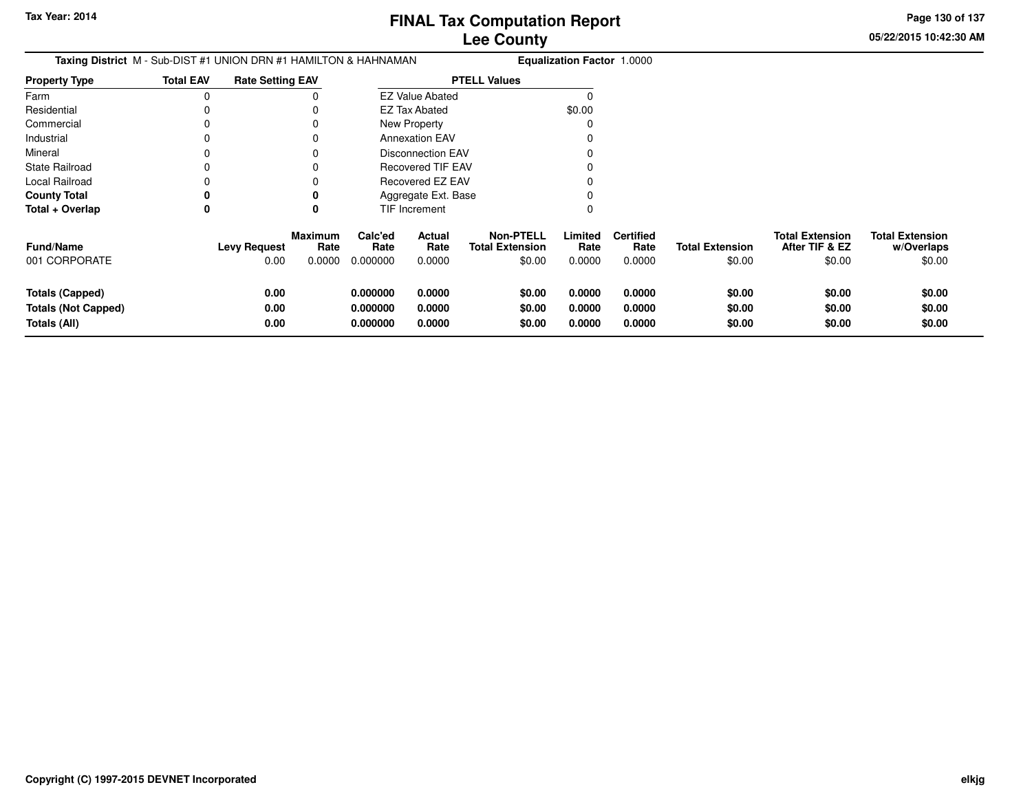**05/22/2015 10:42:30 AMPage 130 of 137**

| <b>Taxing District</b> M - Sub-DIST #1 UNION DRN #1 HAMILTON & HAHNAMAN |                  |                         |                                  |                                  |                            | <b>Equalization Factor 1.0000</b>          |                                                          |                                    |                                  |                                                    |                                                |
|-------------------------------------------------------------------------|------------------|-------------------------|----------------------------------|----------------------------------|----------------------------|--------------------------------------------|----------------------------------------------------------|------------------------------------|----------------------------------|----------------------------------------------------|------------------------------------------------|
| <b>Property Type</b>                                                    | <b>Total EAV</b> | <b>Rate Setting EAV</b> |                                  |                                  |                            | <b>PTELL Values</b>                        |                                                          |                                    |                                  |                                                    |                                                |
| Farm                                                                    | 0                |                         |                                  |                                  | <b>EZ Value Abated</b>     |                                            |                                                          |                                    |                                  |                                                    |                                                |
| Residential                                                             |                  |                         |                                  |                                  | <b>EZ Tax Abated</b>       |                                            | \$0.00                                                   |                                    |                                  |                                                    |                                                |
| Commercial                                                              |                  |                         |                                  |                                  | New Property               |                                            |                                                          |                                    |                                  |                                                    |                                                |
| Industrial                                                              |                  |                         |                                  |                                  | <b>Annexation EAV</b>      |                                            |                                                          |                                    |                                  |                                                    |                                                |
| Mineral                                                                 |                  |                         |                                  |                                  | <b>Disconnection EAV</b>   |                                            |                                                          |                                    |                                  |                                                    |                                                |
| State Railroad                                                          |                  |                         |                                  |                                  | <b>Recovered TIF EAV</b>   |                                            |                                                          |                                    |                                  |                                                    |                                                |
| Local Railroad                                                          |                  |                         |                                  |                                  | Recovered EZ EAV           |                                            |                                                          |                                    |                                  |                                                    |                                                |
| <b>County Total</b>                                                     |                  |                         |                                  |                                  | Aggregate Ext. Base        |                                            |                                                          |                                    |                                  |                                                    |                                                |
| Total + Overlap                                                         | 0                |                         |                                  |                                  | TIF Increment              |                                            |                                                          |                                    |                                  |                                                    |                                                |
| <b>Fund/Name</b><br>001 CORPORATE                                       |                  | Levy Request<br>0.00    | <b>Maximum</b><br>Rate<br>0.0000 | Calc'ed<br>Rate<br>0.000000      | Actual<br>Rate<br>0.0000   | <b>Non-PTELL</b><br><b>Total Extension</b> | Limited<br>Rate<br>\$0.00<br>0.0000                      | <b>Certified</b><br>Rate<br>0.0000 | <b>Total Extension</b><br>\$0.00 | <b>Total Extension</b><br>After TIF & EZ<br>\$0.00 | <b>Total Extension</b><br>w/Overlaps<br>\$0.00 |
| <b>Totals (Capped)</b><br><b>Totals (Not Capped)</b><br>Totals (All)    |                  | 0.00<br>0.00<br>0.00    |                                  | 0.000000<br>0.000000<br>0.000000 | 0.0000<br>0.0000<br>0.0000 |                                            | \$0.00<br>0.0000<br>\$0.00<br>0.0000<br>\$0.00<br>0.0000 | 0.0000<br>0.0000<br>0.0000         | \$0.00<br>\$0.00<br>\$0.00       | \$0.00<br>\$0.00<br>\$0.00                         | \$0.00<br>\$0.00<br>\$0.00                     |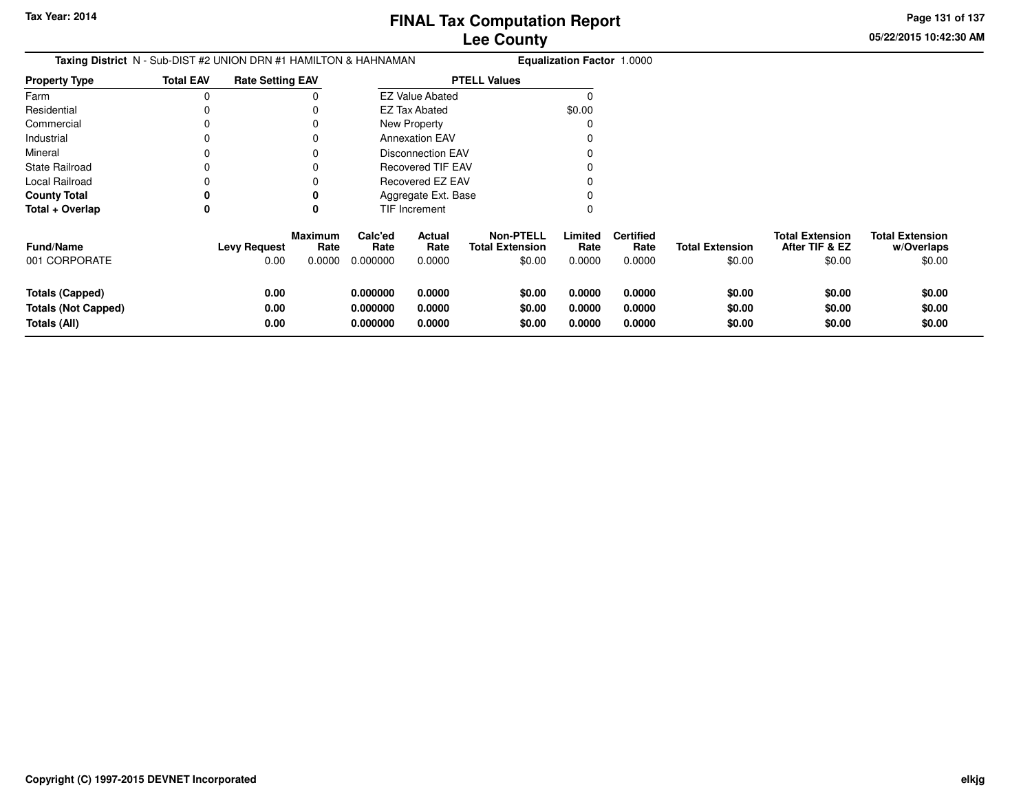**05/22/2015 10:42:30 AMPage 131 of 137**

| Taxing District N - Sub-DIST #2 UNION DRN #1 HAMILTON & HAHNAMAN     |                  |                             |                           |                                  |                            | <b>Equalization Factor 1.0000</b>                    |                            |                                    |                                  |                                                    |                                                |
|----------------------------------------------------------------------|------------------|-----------------------------|---------------------------|----------------------------------|----------------------------|------------------------------------------------------|----------------------------|------------------------------------|----------------------------------|----------------------------------------------------|------------------------------------------------|
| <b>Property Type</b>                                                 | <b>Total EAV</b> | <b>Rate Setting EAV</b>     |                           |                                  |                            | <b>PTELL Values</b>                                  |                            |                                    |                                  |                                                    |                                                |
| Farm                                                                 | $\Omega$         |                             |                           |                                  | <b>EZ Value Abated</b>     |                                                      |                            |                                    |                                  |                                                    |                                                |
| Residential                                                          |                  |                             |                           |                                  | <b>EZ Tax Abated</b>       |                                                      | \$0.00                     |                                    |                                  |                                                    |                                                |
| Commercial                                                           |                  |                             |                           |                                  | New Property               |                                                      |                            |                                    |                                  |                                                    |                                                |
| Industrial                                                           |                  |                             |                           |                                  | <b>Annexation EAV</b>      |                                                      |                            |                                    |                                  |                                                    |                                                |
| Mineral                                                              |                  |                             |                           |                                  | <b>Disconnection EAV</b>   |                                                      |                            |                                    |                                  |                                                    |                                                |
| <b>State Railroad</b>                                                |                  |                             |                           |                                  | <b>Recovered TIF EAV</b>   |                                                      |                            |                                    |                                  |                                                    |                                                |
| Local Railroad                                                       |                  |                             |                           |                                  | <b>Recovered EZ EAV</b>    |                                                      |                            |                                    |                                  |                                                    |                                                |
| <b>County Total</b>                                                  | 0                |                             |                           |                                  | Aggregate Ext. Base        |                                                      |                            |                                    |                                  |                                                    |                                                |
| Total + Overlap                                                      | 0                |                             | 0                         |                                  | TIF Increment              |                                                      |                            |                                    |                                  |                                                    |                                                |
| <b>Fund/Name</b><br>001 CORPORATE                                    |                  | <b>Levy Request</b><br>0.00 | Maximum<br>Rate<br>0.0000 | Calc'ed<br>Rate<br>0.000000      | Actual<br>Rate<br>0.0000   | <b>Non-PTELL</b><br><b>Total Extension</b><br>\$0.00 | Limited<br>Rate<br>0.0000  | <b>Certified</b><br>Rate<br>0.0000 | <b>Total Extension</b><br>\$0.00 | <b>Total Extension</b><br>After TIF & EZ<br>\$0.00 | <b>Total Extension</b><br>w/Overlaps<br>\$0.00 |
|                                                                      |                  |                             |                           |                                  |                            |                                                      |                            |                                    |                                  |                                                    |                                                |
| <b>Totals (Capped)</b><br><b>Totals (Not Capped)</b><br>Totals (All) |                  | 0.00<br>0.00<br>0.00        |                           | 0.000000<br>0.000000<br>0.000000 | 0.0000<br>0.0000<br>0.0000 | \$0.00<br>\$0.00<br>\$0.00                           | 0.0000<br>0.0000<br>0.0000 | 0.0000<br>0.0000<br>0.0000         | \$0.00<br>\$0.00<br>\$0.00       | \$0.00<br>\$0.00<br>\$0.00                         | \$0.00<br>\$0.00<br>\$0.00                     |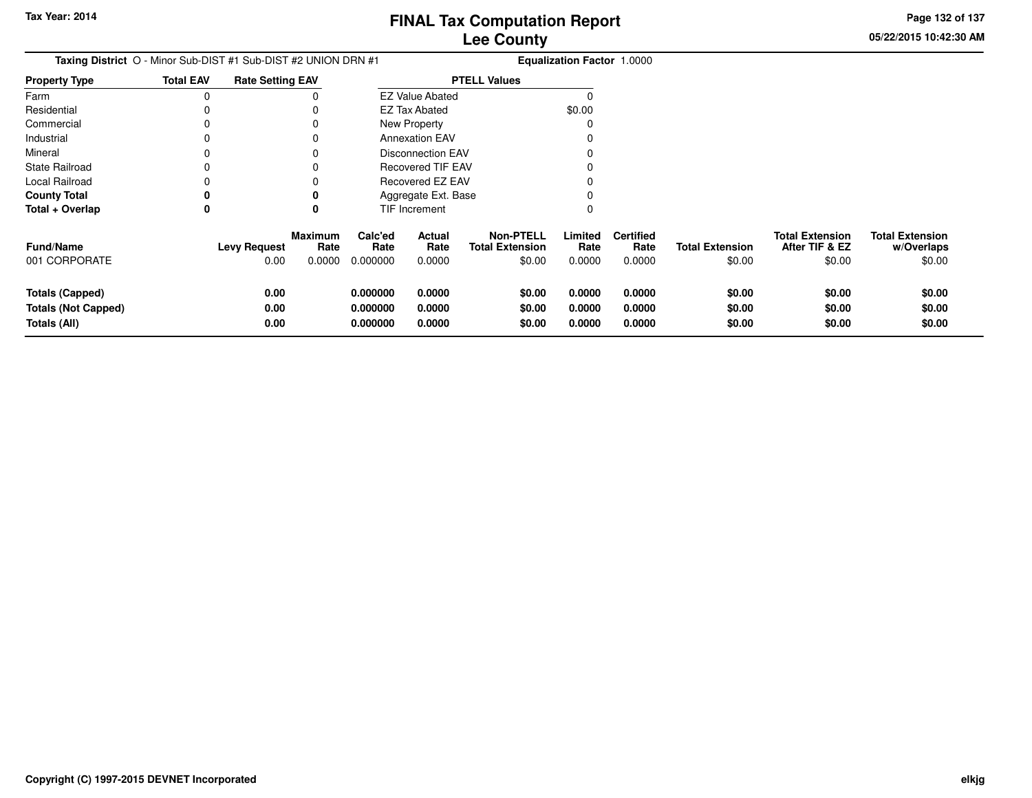**05/22/2015 10:42:30 AMPage 132 of 137**

| Taxing District O - Minor Sub-DIST #1 Sub-DIST #2 UNION DRN #1       |                  |                             |                                  |                                  |                            | Equalization Factor 1.0000                           |                            |                                    |                                  |                                                    |                                                |  |
|----------------------------------------------------------------------|------------------|-----------------------------|----------------------------------|----------------------------------|----------------------------|------------------------------------------------------|----------------------------|------------------------------------|----------------------------------|----------------------------------------------------|------------------------------------------------|--|
| Property Type                                                        | <b>Total EAV</b> | <b>Rate Setting EAV</b>     |                                  |                                  |                            | <b>PTELL Values</b>                                  |                            |                                    |                                  |                                                    |                                                |  |
| Farm                                                                 | 0                |                             |                                  |                                  | <b>EZ Value Abated</b>     |                                                      |                            |                                    |                                  |                                                    |                                                |  |
| Residential                                                          | 0                |                             |                                  |                                  | <b>EZ Tax Abated</b>       |                                                      | \$0.00                     |                                    |                                  |                                                    |                                                |  |
| Commercial                                                           | 0                |                             |                                  |                                  | New Property               |                                                      |                            |                                    |                                  |                                                    |                                                |  |
| Industrial                                                           | 0                |                             |                                  |                                  | <b>Annexation EAV</b>      |                                                      |                            |                                    |                                  |                                                    |                                                |  |
| Mineral                                                              | 0                |                             |                                  |                                  | <b>Disconnection EAV</b>   |                                                      |                            |                                    |                                  |                                                    |                                                |  |
| State Railroad                                                       | 0                |                             |                                  |                                  | <b>Recovered TIF EAV</b>   |                                                      |                            |                                    |                                  |                                                    |                                                |  |
| Local Railroad                                                       | 0                |                             |                                  |                                  | Recovered EZ EAV           |                                                      |                            |                                    |                                  |                                                    |                                                |  |
| County Total                                                         | 0                |                             |                                  |                                  | Aggregate Ext. Base        |                                                      |                            |                                    |                                  |                                                    |                                                |  |
| Total + Overlap                                                      | 0                |                             | 0                                |                                  | TIF Increment              |                                                      | 0                          |                                    |                                  |                                                    |                                                |  |
| Fund/Name<br>001 CORPORATE                                           |                  | <b>Levy Request</b><br>0.00 | <b>Maximum</b><br>Rate<br>0.0000 | Calc'ed<br>Rate<br>0.000000      | Actual<br>Rate<br>0.0000   | <b>Non-PTELL</b><br><b>Total Extension</b><br>\$0.00 | Limited<br>Rate<br>0.0000  | <b>Certified</b><br>Rate<br>0.0000 | <b>Total Extension</b><br>\$0.00 | <b>Total Extension</b><br>After TIF & EZ<br>\$0.00 | <b>Total Extension</b><br>w/Overlaps<br>\$0.00 |  |
| <b>Totals (Capped)</b><br><b>Totals (Not Capped)</b><br>Totals (All) |                  | 0.00<br>0.00<br>0.00        |                                  | 0.000000<br>0.000000<br>0.000000 | 0.0000<br>0.0000<br>0.0000 | \$0.00<br>\$0.00<br>\$0.00                           | 0.0000<br>0.0000<br>0.0000 | 0.0000<br>0.0000<br>0.0000         | \$0.00<br>\$0.00<br>\$0.00       | \$0.00<br>\$0.00<br>\$0.00                         | \$0.00<br>\$0.00<br>\$0.00                     |  |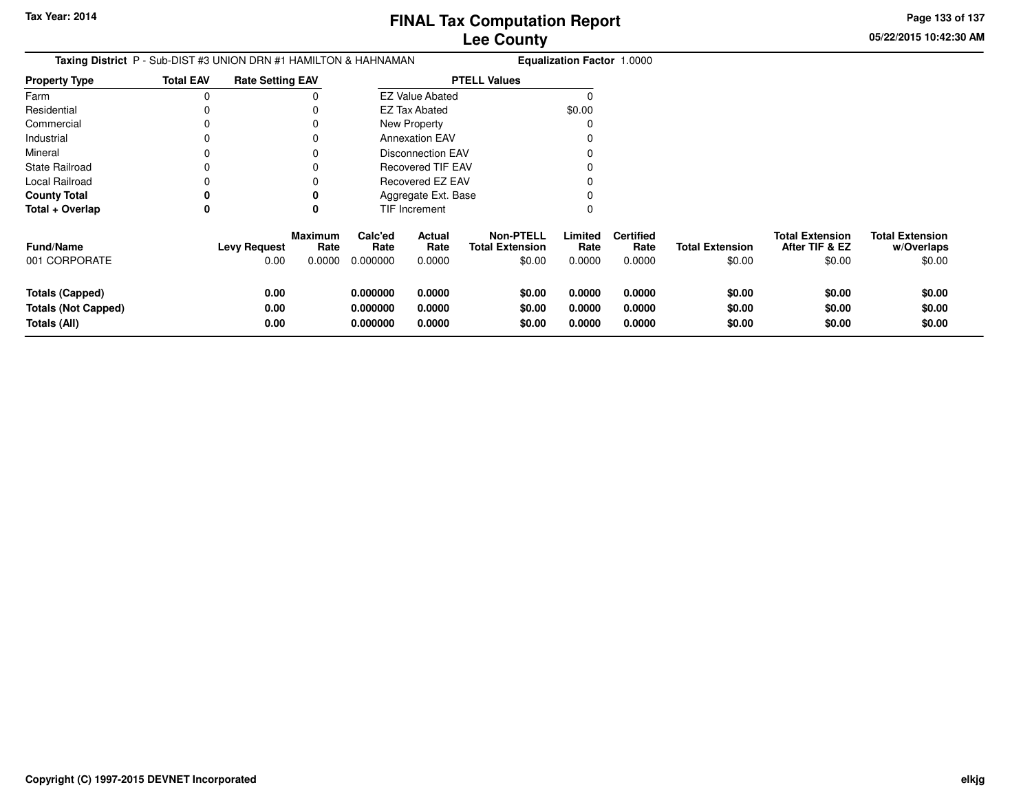**Page 133 of 137**

| <b>Taxing District</b> P - Sub-DIST #3 UNION DRN #1 HAMILTON & HAHNAMAN |                  |                             |                           |                                  |                            | <b>Equalization Factor 1.0000</b>          |                                                          |                                    |                                  |                                                    |                                                |
|-------------------------------------------------------------------------|------------------|-----------------------------|---------------------------|----------------------------------|----------------------------|--------------------------------------------|----------------------------------------------------------|------------------------------------|----------------------------------|----------------------------------------------------|------------------------------------------------|
| <b>Property Type</b>                                                    | <b>Total EAV</b> | <b>Rate Setting EAV</b>     |                           |                                  |                            | <b>PTELL Values</b>                        |                                                          |                                    |                                  |                                                    |                                                |
| Farm                                                                    | 0                |                             |                           | <b>EZ Value Abated</b>           |                            |                                            |                                                          |                                    |                                  |                                                    |                                                |
| Residential                                                             |                  |                             |                           |                                  | EZ Tax Abated              |                                            | \$0.00                                                   |                                    |                                  |                                                    |                                                |
| Commercial                                                              | 0                |                             |                           |                                  | New Property               |                                            |                                                          |                                    |                                  |                                                    |                                                |
| Industrial                                                              | 0                |                             | 0                         |                                  | <b>Annexation EAV</b>      |                                            |                                                          |                                    |                                  |                                                    |                                                |
| Mineral                                                                 | 0                |                             |                           |                                  | <b>Disconnection EAV</b>   |                                            |                                                          |                                    |                                  |                                                    |                                                |
| <b>State Railroad</b>                                                   |                  |                             |                           | <b>Recovered TIF EAV</b>         |                            |                                            |                                                          |                                    |                                  |                                                    |                                                |
| Local Railroad                                                          |                  |                             |                           | Recovered EZ EAV                 |                            |                                            |                                                          |                                    |                                  |                                                    |                                                |
| <b>County Total</b>                                                     | 0                |                             | 0                         | Aggregate Ext. Base              |                            |                                            |                                                          |                                    |                                  |                                                    |                                                |
| Total + Overlap                                                         | 0                |                             | 0                         |                                  | TIF Increment              |                                            |                                                          |                                    |                                  |                                                    |                                                |
| <b>Fund/Name</b><br>001 CORPORATE                                       |                  | <b>Levy Request</b><br>0.00 | Maximum<br>Rate<br>0.0000 | Calc'ed<br>Rate<br>0.000000      | Actual<br>Rate<br>0.0000   | <b>Non-PTELL</b><br><b>Total Extension</b> | Limited<br>Rate<br>\$0.00<br>0.0000                      | <b>Certified</b><br>Rate<br>0.0000 | <b>Total Extension</b><br>\$0.00 | <b>Total Extension</b><br>After TIF & EZ<br>\$0.00 | <b>Total Extension</b><br>w/Overlaps<br>\$0.00 |
| <b>Totals (Capped)</b><br><b>Totals (Not Capped)</b><br>Totals (All)    |                  | 0.00<br>0.00<br>0.00        |                           | 0.000000<br>0.000000<br>0.000000 | 0.0000<br>0.0000<br>0.0000 |                                            | 0.0000<br>\$0.00<br>0.0000<br>\$0.00<br>\$0.00<br>0.0000 | 0.0000<br>0.0000<br>0.0000         | \$0.00<br>\$0.00<br>\$0.00       | \$0.00<br>\$0.00<br>\$0.00                         | \$0.00<br>\$0.00<br>\$0.00                     |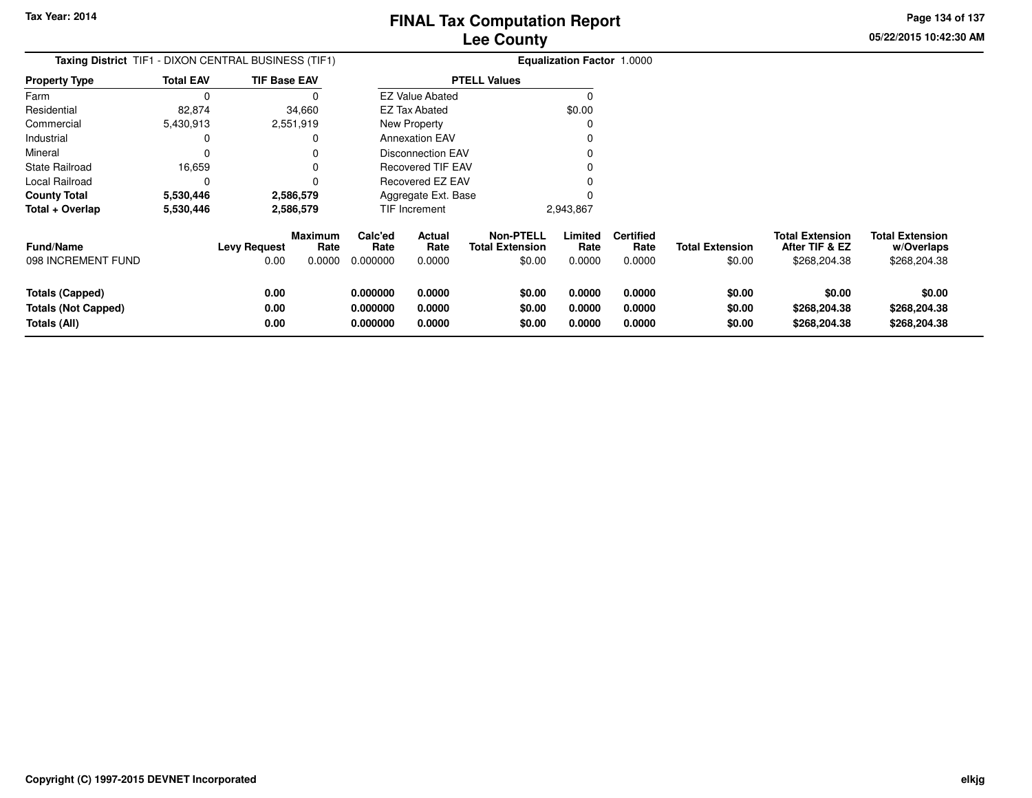**05/22/2015 10:42:30 AMPage 134 of 137**

| <b>Taxing District</b> TIF1 - DIXON CENTRAL BUSINESS (TIF1)          |                  |                             |                                  |                                  | <b>Equalization Factor 1.0000</b> |                                                      |                            |                                    |                                  |                                                          |                                                      |  |  |
|----------------------------------------------------------------------|------------------|-----------------------------|----------------------------------|----------------------------------|-----------------------------------|------------------------------------------------------|----------------------------|------------------------------------|----------------------------------|----------------------------------------------------------|------------------------------------------------------|--|--|
| <b>Property Type</b>                                                 | <b>Total EAV</b> | <b>TIF Base EAV</b>         |                                  |                                  |                                   | <b>PTELL Values</b>                                  |                            |                                    |                                  |                                                          |                                                      |  |  |
| Farm                                                                 | 0                |                             |                                  |                                  | <b>EZ Value Abated</b>            |                                                      |                            |                                    |                                  |                                                          |                                                      |  |  |
| Residential                                                          | 82,874           |                             | 34,660                           |                                  | <b>EZ Tax Abated</b>              |                                                      | \$0.00                     |                                    |                                  |                                                          |                                                      |  |  |
| Commercial                                                           | 5,430,913        |                             | 2,551,919                        |                                  | New Property                      |                                                      |                            |                                    |                                  |                                                          |                                                      |  |  |
| Industrial                                                           |                  |                             | 0                                |                                  | <b>Annexation EAV</b>             |                                                      |                            |                                    |                                  |                                                          |                                                      |  |  |
| Mineral                                                              |                  |                             |                                  |                                  | <b>Disconnection EAV</b>          |                                                      |                            |                                    |                                  |                                                          |                                                      |  |  |
| <b>State Railroad</b>                                                | 16,659           |                             | $\Omega$                         |                                  | Recovered TIF EAV                 |                                                      |                            |                                    |                                  |                                                          |                                                      |  |  |
| Local Railroad                                                       |                  |                             | 0                                |                                  | Recovered EZ EAV                  |                                                      |                            |                                    |                                  |                                                          |                                                      |  |  |
| <b>County Total</b>                                                  | 5,530,446        |                             | 2,586,579                        | Aggregate Ext. Base              |                                   |                                                      |                            |                                    |                                  |                                                          |                                                      |  |  |
| Total + Overlap                                                      | 5,530,446        |                             | 2,586,579                        |                                  | TIF Increment                     |                                                      | 2,943,867                  |                                    |                                  |                                                          |                                                      |  |  |
| <b>Fund/Name</b><br>098 INCREMENT FUND                               |                  | <b>Levy Request</b><br>0.00 | <b>Maximum</b><br>Rate<br>0.0000 | Calc'ed<br>Rate<br>0.000000      | Actual<br>Rate<br>0.0000          | <b>Non-PTELL</b><br><b>Total Extension</b><br>\$0.00 | Limited<br>Rate<br>0.0000  | <b>Certified</b><br>Rate<br>0.0000 | <b>Total Extension</b><br>\$0.00 | <b>Total Extension</b><br>After TIF & EZ<br>\$268,204.38 | <b>Total Extension</b><br>w/Overlaps<br>\$268,204.38 |  |  |
| <b>Totals (Capped)</b><br><b>Totals (Not Capped)</b><br>Totals (All) |                  | 0.00<br>0.00<br>0.00        |                                  | 0.000000<br>0.000000<br>0.000000 | 0.0000<br>0.0000<br>0.0000        | \$0.00<br>\$0.00<br>\$0.00                           | 0.0000<br>0.0000<br>0.0000 | 0.0000<br>0.0000<br>0.0000         | \$0.00<br>\$0.00<br>\$0.00       | \$0.00<br>\$268,204.38<br>\$268,204.38                   | \$0.00<br>\$268,204.38<br>\$268,204.38               |  |  |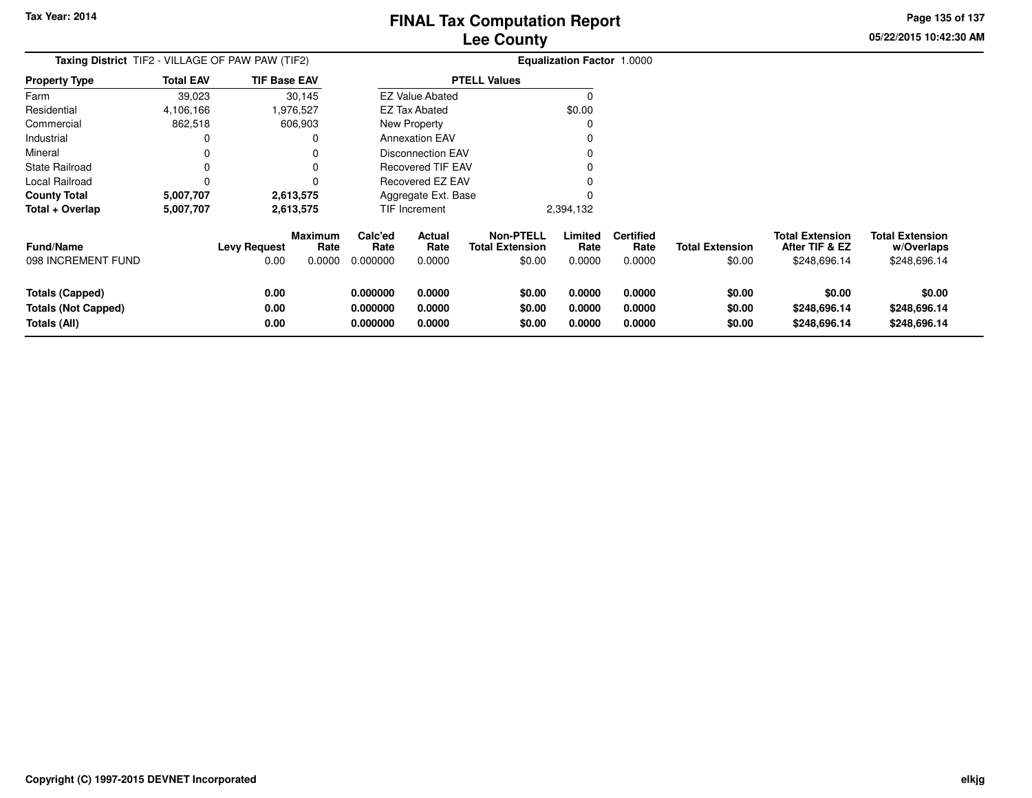**Totals (Not Capped)**

**Totals (All)**

# **Lee CountyFINAL Tax Computation Report**

**0.000000 0.0000 \$0.00 0.0000 0.0000 \$0.00 \$0.00 \$0.00**

**0.000000 0.0000 \$0.00 0.0000 0.0000 \$0.00 \$248,696.14 \$248,696.14**

**0.000000 0.0000 \$0.00 0.0000 0.0000 \$0.00 \$248,696.14 \$248,696.14**

**05/22/2015 10:42:30 AMPage 135 of 137**

| Taxing District TIF2 - VILLAGE OF PAW PAW (TIF2) |                                         | <b>Equalization Factor 1.0000</b> |                                  |                             |                          |                                            |        |                           |                                    |                                  |                                                          |                                                      |
|--------------------------------------------------|-----------------------------------------|-----------------------------------|----------------------------------|-----------------------------|--------------------------|--------------------------------------------|--------|---------------------------|------------------------------------|----------------------------------|----------------------------------------------------------|------------------------------------------------------|
| <b>Property Type</b>                             | <b>Total EAV</b><br><b>TIF Base EAV</b> |                                   |                                  |                             |                          | <b>PTELL Values</b>                        |        |                           |                                    |                                  |                                                          |                                                      |
| Farm                                             | 39,023                                  |                                   | 30,145                           |                             | <b>EZ Value Abated</b>   |                                            |        |                           |                                    |                                  |                                                          |                                                      |
| Residential                                      | 4,106,166                               |                                   | 976,527                          |                             | <b>EZ Tax Abated</b>     |                                            |        | \$0.00                    |                                    |                                  |                                                          |                                                      |
| Commercial                                       | 862,518                                 |                                   | 606,903                          |                             | New Property             |                                            |        |                           |                                    |                                  |                                                          |                                                      |
| Industrial                                       |                                         |                                   |                                  | <b>Annexation EAV</b>       |                          |                                            |        |                           |                                    |                                  |                                                          |                                                      |
| Mineral                                          |                                         |                                   |                                  | <b>Disconnection EAV</b>    |                          |                                            |        |                           |                                    |                                  |                                                          |                                                      |
| <b>State Railroad</b>                            |                                         |                                   |                                  | Recovered TIF EAV           |                          |                                            |        |                           |                                    |                                  |                                                          |                                                      |
| Local Railroad                                   |                                         |                                   |                                  | Recovered EZ EAV            |                          |                                            |        |                           |                                    |                                  |                                                          |                                                      |
| <b>County Total</b>                              | 5,007,707                               |                                   | 2,613,575                        |                             | Aggregate Ext. Base      |                                            |        |                           |                                    |                                  |                                                          |                                                      |
| Total + Overlap                                  | 5,007,707<br>2,613,575                  |                                   |                                  |                             | TIF Increment            |                                            |        | 2,394,132                 |                                    |                                  |                                                          |                                                      |
| <b>Fund/Name</b><br>098 INCREMENT FUND           |                                         | <b>Levy Request</b><br>0.00       | <b>Maximum</b><br>Rate<br>0.0000 | Calc'ed<br>Rate<br>0.000000 | Actual<br>Rate<br>0.0000 | <b>Non-PTELL</b><br><b>Total Extension</b> | \$0.00 | Limited<br>Rate<br>0.0000 | <b>Certified</b><br>Rate<br>0.0000 | <b>Total Extension</b><br>\$0.00 | <b>Total Extension</b><br>After TIF & EZ<br>\$248,696.14 | <b>Total Extension</b><br>w/Overlaps<br>\$248,696.14 |
| <b>Totals (Capped)</b>                           |                                         | 0.00                              |                                  | 0.000000                    | 0.0000                   |                                            | \$0.00 | 0.0000                    | 0.0000                             | \$0.00                           | \$0.00                                                   | \$0.00                                               |

**0.00**

**0.00**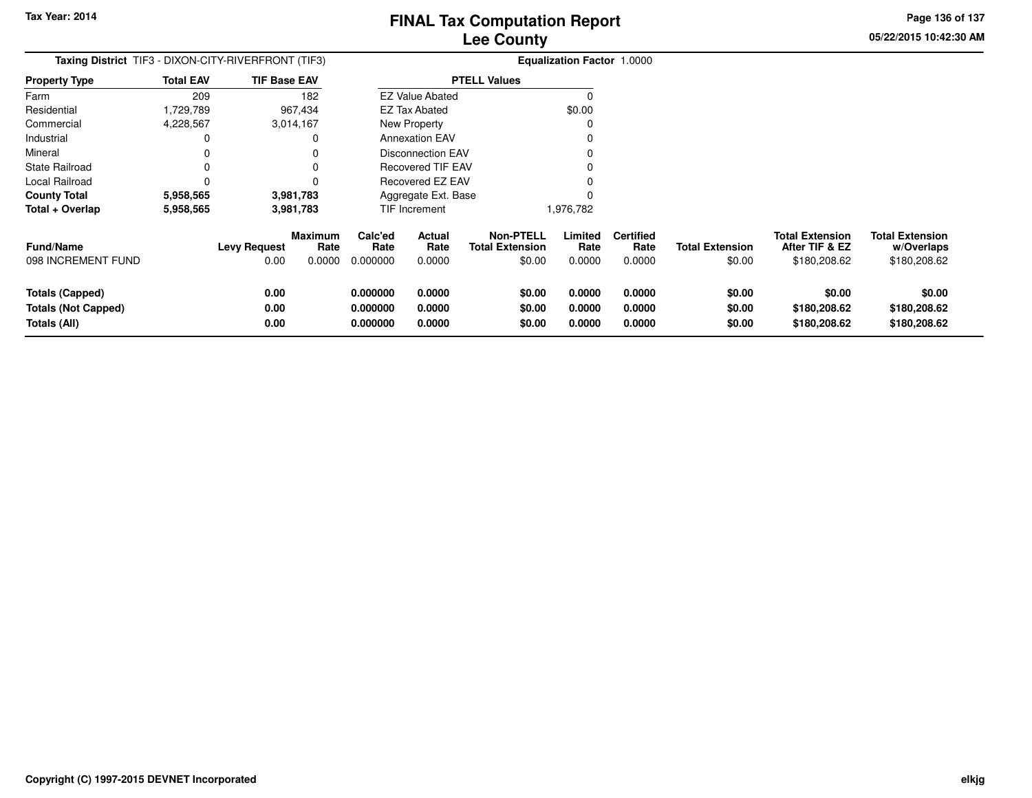**0.000000 0.0000 \$0.00 0.0000 0.0000 \$0.00 \$180,208.62 \$180,208.62**

**Page 136 of 137**

| Taxing District TIF3 - DIXON-CITY-RIVERFRONT (TIF3) |                  | Equalization Factor 1.0000 |                        |                 |                          |                                            |                 |                          |                        |                                          |                                      |
|-----------------------------------------------------|------------------|----------------------------|------------------------|-----------------|--------------------------|--------------------------------------------|-----------------|--------------------------|------------------------|------------------------------------------|--------------------------------------|
| <b>Property Type</b>                                | <b>Total EAV</b> | <b>TIF Base EAV</b>        |                        |                 |                          | <b>PTELL Values</b>                        |                 |                          |                        |                                          |                                      |
| Farm                                                | 209              |                            | 182                    |                 | <b>EZ Value Abated</b>   |                                            |                 |                          |                        |                                          |                                      |
| Residential                                         | 1,729,789        |                            | 967,434                |                 | <b>EZ Tax Abated</b>     |                                            | \$0.00          |                          |                        |                                          |                                      |
| Commercial                                          | 4,228,567        | 3,014,167                  |                        |                 | New Property             |                                            |                 |                          |                        |                                          |                                      |
| Industrial                                          |                  |                            | $\Omega$               |                 | <b>Annexation EAV</b>    |                                            |                 |                          |                        |                                          |                                      |
| Mineral                                             |                  |                            |                        |                 | Disconnection EAV        |                                            |                 |                          |                        |                                          |                                      |
| State Railroad                                      |                  |                            |                        |                 | <b>Recovered TIF EAV</b> |                                            |                 |                          |                        |                                          |                                      |
| Local Railroad                                      |                  |                            |                        |                 | Recovered EZ EAV         |                                            |                 |                          |                        |                                          |                                      |
| <b>County Total</b>                                 | 5,958,565        | 3,981,783                  |                        |                 | Aggregate Ext. Base      |                                            |                 |                          |                        |                                          |                                      |
| Total + Overlap                                     | 5,958,565        | 3,981,783                  |                        |                 | TIF Increment            |                                            | 1,976,782       |                          |                        |                                          |                                      |
| <b>Fund/Name</b>                                    |                  | <b>Levy Request</b>        | <b>Maximum</b><br>Rate | Calc'ed<br>Rate | Actual<br>Rate           | <b>Non-PTELL</b><br><b>Total Extension</b> | Limited<br>Rate | <b>Certified</b><br>Rate | <b>Total Extension</b> | <b>Total Extension</b><br>After TIF & EZ | <b>Total Extension</b><br>w/Overlaps |
| 098 INCREMENT FUND                                  |                  | 0.00                       | 0.0000                 | 0.000000        | 0.0000                   | \$0.00                                     | 0.0000          | 0.0000                   | \$0.00                 | \$180,208.62                             | \$180,208.62                         |
| <b>Totals (Capped)</b>                              |                  | 0.00                       |                        | 0.000000        | 0.0000                   | \$0.00                                     | 0.0000          | 0.0000                   | \$0.00                 | \$0.00                                   | \$0.00                               |
| <b>Totals (Not Capped)</b>                          |                  | 0.00                       |                        | 0.000000        | 0.0000                   | \$0.00                                     | 0.0000          | 0.0000                   | \$0.00                 | \$180,208.62                             | \$180,208.62                         |
| Totals (All)                                        |                  | 0.00                       |                        | 0.000000        | 0.0000                   | \$0.00                                     | 0.0000          | 0.0000                   | \$0.00                 | \$180,208.62                             | \$180,208.62                         |